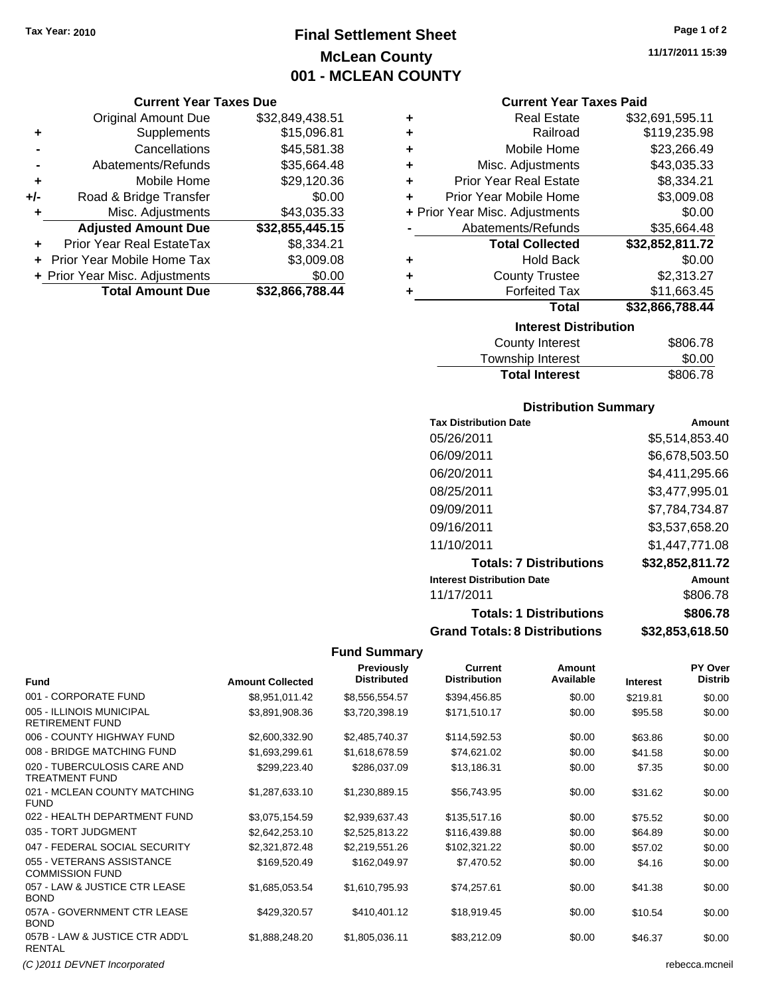### **Final Settlement Sheet Tax Year: 2010 Page 1 of 2 McLean County 001 - MCLEAN COUNTY**

#### **Current Year Taxes Due**

|       | <b>Original Amount Due</b>       | \$32,849,438.51 |
|-------|----------------------------------|-----------------|
| ٠     | Supplements                      | \$15,096.81     |
|       | Cancellations                    | \$45,581.38     |
|       | Abatements/Refunds               | \$35,664.48     |
| ÷     | Mobile Home                      | \$29,120.36     |
| $+/-$ | Road & Bridge Transfer           | \$0.00          |
|       | Misc. Adjustments                | \$43,035.33     |
|       | <b>Adjusted Amount Due</b>       | \$32,855,445.15 |
| ÷     | <b>Prior Year Real EstateTax</b> | \$8,334.21      |
|       | Prior Year Mobile Home Tax       | \$3,009.08      |
|       | + Prior Year Misc. Adjustments   | \$0.00          |
|       | <b>Total Amount Due</b>          | \$32,866,788.44 |

#### **Current Year Taxes Paid**

|   | ومملئي والعنماج عمعومهما       |                 |
|---|--------------------------------|-----------------|
|   | Total                          | \$32,866,788.44 |
| ٠ | <b>Forfeited Tax</b>           | \$11,663.45     |
| ٠ | <b>County Trustee</b>          | \$2,313.27      |
| ٠ | <b>Hold Back</b>               | \$0.00          |
|   | <b>Total Collected</b>         | \$32,852,811.72 |
|   | Abatements/Refunds             | \$35,664.48     |
|   | + Prior Year Misc. Adjustments | \$0.00          |
| ÷ | Prior Year Mobile Home         | \$3,009.08      |
| ÷ | <b>Prior Year Real Estate</b>  | \$8,334.21      |
| ٠ | Misc. Adjustments              | \$43,035.33     |
| ٠ | Mobile Home                    | \$23,266.49     |
| ٠ | Railroad                       | \$119,235.98    |
| ٠ | <b>Real Estate</b>             | \$32,691,595.11 |

| <b>Interest Distribution</b> |          |
|------------------------------|----------|
| County Interest              | \$806.78 |
| Township Interest            | \$0.00   |
| <b>Total Interest</b>        | \$806.78 |

#### **Distribution Summary**

| <b>Tax Distribution Date</b>         | Amount          |
|--------------------------------------|-----------------|
| 05/26/2011                           | \$5,514,853.40  |
| 06/09/2011                           | \$6,678,503.50  |
| 06/20/2011                           | \$4,411,295.66  |
| 08/25/2011                           | \$3,477,995.01  |
| 09/09/2011                           | \$7,784,734.87  |
| 09/16/2011                           | \$3,537,658.20  |
| 11/10/2011                           | \$1.447.771.08  |
| <b>Totals: 7 Distributions</b>       | \$32,852,811.72 |
| <b>Interest Distribution Date</b>    | Amount          |
| 11/17/2011                           | \$806.78        |
| <b>Totals: 1 Distributions</b>       | \$806.78        |
| <b>Grand Totals: 8 Distributions</b> | \$32,853,618.50 |

#### **Fund Summary**

| <b>Fund</b>                                         | <b>Amount Collected</b> | <b>Previously</b><br><b>Distributed</b> | <b>Current</b><br><b>Distribution</b> | Amount<br>Available | <b>Interest</b> | PY Over<br>Distrib |
|-----------------------------------------------------|-------------------------|-----------------------------------------|---------------------------------------|---------------------|-----------------|--------------------|
| 001 - CORPORATE FUND                                | \$8,951,011.42          | \$8,556,554.57                          | \$394,456.85                          | \$0.00              | \$219.81        | \$0.00             |
| 005 - ILLINOIS MUNICIPAL<br><b>RETIREMENT FUND</b>  | \$3,891,908.36          | \$3,720,398.19                          | \$171,510.17                          | \$0.00              | \$95.58         | \$0.00             |
| 006 - COUNTY HIGHWAY FUND                           | \$2,600,332.90          | \$2,485,740.37                          | \$114,592.53                          | \$0.00              | \$63.86         | \$0.00             |
| 008 - BRIDGE MATCHING FUND                          | \$1,693,299.61          | \$1,618,678.59                          | \$74,621.02                           | \$0.00              | \$41.58         | \$0.00             |
| 020 - TUBERCULOSIS CARE AND<br>TREATMENT FUND       | \$299,223.40            | \$286,037.09                            | \$13,186.31                           | \$0.00              | \$7.35          | \$0.00             |
| 021 - MCLEAN COUNTY MATCHING<br><b>FUND</b>         | \$1,287,633.10          | \$1,230,889.15                          | \$56,743.95                           | \$0.00              | \$31.62         | \$0.00             |
| 022 - HEALTH DEPARTMENT FUND                        | \$3,075,154.59          | \$2,939,637.43                          | \$135,517.16                          | \$0.00              | \$75.52         | \$0.00             |
| 035 - TORT JUDGMENT                                 | \$2,642,253.10          | \$2,525,813.22                          | \$116,439.88                          | \$0.00              | \$64.89         | \$0.00             |
| 047 - FEDERAL SOCIAL SECURITY                       | \$2,321,872.48          | \$2,219,551.26                          | \$102,321.22                          | \$0.00              | \$57.02         | \$0.00             |
| 055 - VETERANS ASSISTANCE<br><b>COMMISSION FUND</b> | \$169,520.49            | \$162,049.97                            | \$7,470.52                            | \$0.00              | \$4.16          | \$0.00             |
| 057 - LAW & JUSTICE CTR LEASE<br><b>BOND</b>        | \$1,685,053.54          | \$1,610,795.93                          | \$74,257.61                           | \$0.00              | \$41.38         | \$0.00             |
| 057A - GOVERNMENT CTR LEASE<br><b>BOND</b>          | \$429,320.57            | \$410,401.12                            | \$18,919.45                           | \$0.00              | \$10.54         | \$0.00             |
| 057B - LAW & JUSTICE CTR ADD'L<br><b>RENTAL</b>     | \$1,888,248.20          | \$1,805,036.11                          | \$83,212.09                           | \$0.00              | \$46.37         | \$0.00             |

*(C )2011 DEVNET Incorporated* rebecca.mcneil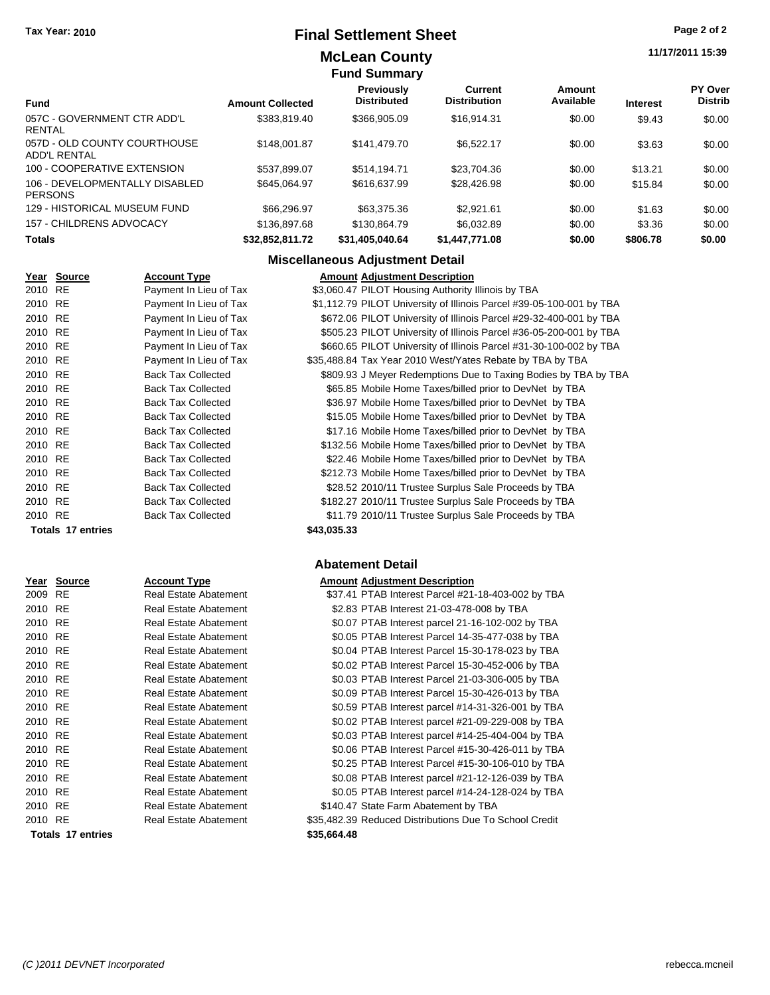### **Final Settlement Sheet Tax Year: 2010 Page 2 of 2**

#### **McLean County Fund Summary**

#### **11/17/2011 15:39**

|                                                  |                         | ı unu vunnlar v                         |                                |                     |                 |                           |
|--------------------------------------------------|-------------------------|-----------------------------------------|--------------------------------|---------------------|-----------------|---------------------------|
| <b>Fund</b>                                      | <b>Amount Collected</b> | <b>Previously</b><br><b>Distributed</b> | Current<br><b>Distribution</b> | Amount<br>Available | <b>Interest</b> | PY Over<br><b>Distrib</b> |
| 057C - GOVERNMENT CTR ADD'L<br>RENTAL            | \$383,819.40            | \$366,905.09                            | \$16,914.31                    | \$0.00              | \$9.43          | \$0.00                    |
| 057D - OLD COUNTY COURTHOUSE<br>ADD'L RENTAL     | \$148,001.87            | \$141.479.70                            | \$6.522.17                     | \$0.00              | \$3.63          | \$0.00                    |
| 100 - COOPERATIVE EXTENSION                      | \$537.899.07            | \$514.194.71                            | \$23.704.36                    | \$0.00              | \$13.21         | \$0.00                    |
| 106 - DEVELOPMENTALLY DISABLED<br><b>PERSONS</b> | \$645.064.97            | \$616,637.99                            | \$28.426.98                    | \$0.00              | \$15.84         | \$0.00                    |
| 129 - HISTORICAL MUSEUM FUND                     | \$66,296.97             | \$63,375,36                             | \$2.921.61                     | \$0.00              | \$1.63          | \$0.00                    |
| 157 - CHILDRENS ADVOCACY                         | \$136,897.68            | \$130,864.79                            | \$6.032.89                     | \$0.00              | \$3.36          | \$0.00                    |
| <b>Totals</b>                                    | \$32,852,811.72         | \$31,405,040.64                         | \$1,447,771.08                 | \$0.00              | \$806.78        | \$0.00                    |

#### **Miscellaneous Adjustment Detail**

|         | Year Source       | <b>Account Type</b>       | <b>Amount Adjustment Description</b>                                 |
|---------|-------------------|---------------------------|----------------------------------------------------------------------|
| 2010 RE |                   | Payment In Lieu of Tax    | \$3,060.47 PILOT Housing Authority Illinois by TBA                   |
| 2010 RE |                   | Payment In Lieu of Tax    | \$1,112.79 PILOT University of Illinois Parcel #39-05-100-001 by TBA |
| 2010 RE |                   | Payment In Lieu of Tax    | \$672.06 PILOT University of Illinois Parcel #29-32-400-001 by TBA   |
| 2010 RE |                   | Payment In Lieu of Tax    | \$505.23 PILOT University of Illinois Parcel #36-05-200-001 by TBA   |
| 2010 RE |                   | Payment In Lieu of Tax    | \$660.65 PILOT University of Illinois Parcel #31-30-100-002 by TBA   |
| 2010 RE |                   | Payment In Lieu of Tax    | \$35,488.84 Tax Year 2010 West/Yates Rebate by TBA by TBA            |
| 2010 RE |                   | <b>Back Tax Collected</b> | \$809.93 J Meyer Redemptions Due to Taxing Bodies by TBA by TBA      |
| 2010 RE |                   | <b>Back Tax Collected</b> | \$65.85 Mobile Home Taxes/billed prior to DevNet by TBA              |
| 2010 RE |                   | <b>Back Tax Collected</b> | \$36.97 Mobile Home Taxes/billed prior to DevNet by TBA              |
| 2010 RE |                   | <b>Back Tax Collected</b> | \$15.05 Mobile Home Taxes/billed prior to DevNet by TBA              |
| 2010 RE |                   | <b>Back Tax Collected</b> | \$17.16 Mobile Home Taxes/billed prior to DevNet by TBA              |
| 2010 RE |                   | <b>Back Tax Collected</b> | \$132.56 Mobile Home Taxes/billed prior to DevNet by TBA             |
| 2010 RE |                   | <b>Back Tax Collected</b> | \$22.46 Mobile Home Taxes/billed prior to DevNet by TBA              |
| 2010 RE |                   | <b>Back Tax Collected</b> | \$212.73 Mobile Home Taxes/billed prior to DevNet by TBA             |
| 2010 RE |                   | <b>Back Tax Collected</b> | \$28.52 2010/11 Trustee Surplus Sale Proceeds by TBA                 |
| 2010 RE |                   | <b>Back Tax Collected</b> | \$182.27 2010/11 Trustee Surplus Sale Proceeds by TBA                |
| 2010 RE |                   | <b>Back Tax Collected</b> | \$11.79 2010/11 Trustee Surplus Sale Proceeds by TBA                 |
|         | Totals 17 entries |                           | \$43,035.33                                                          |

#### **Abatement Detail**

|         | Year Source              | <b>Account Type</b>          |             | <b>Amount Adjustment Description</b>                   |
|---------|--------------------------|------------------------------|-------------|--------------------------------------------------------|
| 2009 RE |                          | Real Estate Abatement        |             | \$37.41 PTAB Interest Parcel #21-18-403-002 by TBA     |
| 2010 RE |                          | Real Estate Abatement        |             | \$2.83 PTAB Interest 21-03-478-008 by TBA              |
| 2010 RE |                          | <b>Real Estate Abatement</b> |             | \$0.07 PTAB Interest parcel 21-16-102-002 by TBA       |
| 2010 RE |                          | <b>Real Estate Abatement</b> |             | \$0.05 PTAB Interest Parcel 14-35-477-038 by TBA       |
| 2010 RE |                          | Real Estate Abatement        |             | \$0.04 PTAB Interest Parcel 15-30-178-023 by TBA       |
| 2010 RE |                          | Real Estate Abatement        |             | \$0.02 PTAB Interest Parcel 15-30-452-006 by TBA       |
| 2010 RE |                          | Real Estate Abatement        |             | \$0.03 PTAB Interest Parcel 21-03-306-005 by TBA       |
| 2010 RE |                          | <b>Real Estate Abatement</b> |             | \$0.09 PTAB Interest Parcel 15-30-426-013 by TBA       |
| 2010 RE |                          | <b>Real Estate Abatement</b> |             | \$0.59 PTAB Interest parcel #14-31-326-001 by TBA      |
| 2010 RE |                          | <b>Real Estate Abatement</b> |             | \$0.02 PTAB Interest parcel #21-09-229-008 by TBA      |
| 2010 RE |                          | <b>Real Estate Abatement</b> |             | \$0.03 PTAB Interest parcel #14-25-404-004 by TBA      |
| 2010 RE |                          | Real Estate Abatement        |             | \$0.06 PTAB Interest Parcel #15-30-426-011 by TBA      |
| 2010 RE |                          | Real Estate Abatement        |             | \$0.25 PTAB Interest Parcel #15-30-106-010 by TBA      |
| 2010 RE |                          | Real Estate Abatement        |             | \$0.08 PTAB Interest parcel #21-12-126-039 by TBA      |
| 2010 RE |                          | Real Estate Abatement        |             | \$0.05 PTAB Interest parcel #14-24-128-024 by TBA      |
| 2010 RE |                          | Real Estate Abatement        |             | \$140.47 State Farm Abatement by TBA                   |
| 2010 RE |                          | Real Estate Abatement        |             | \$35,482.39 Reduced Distributions Due To School Credit |
|         | <b>Totals 17 entries</b> |                              | \$35,664.48 |                                                        |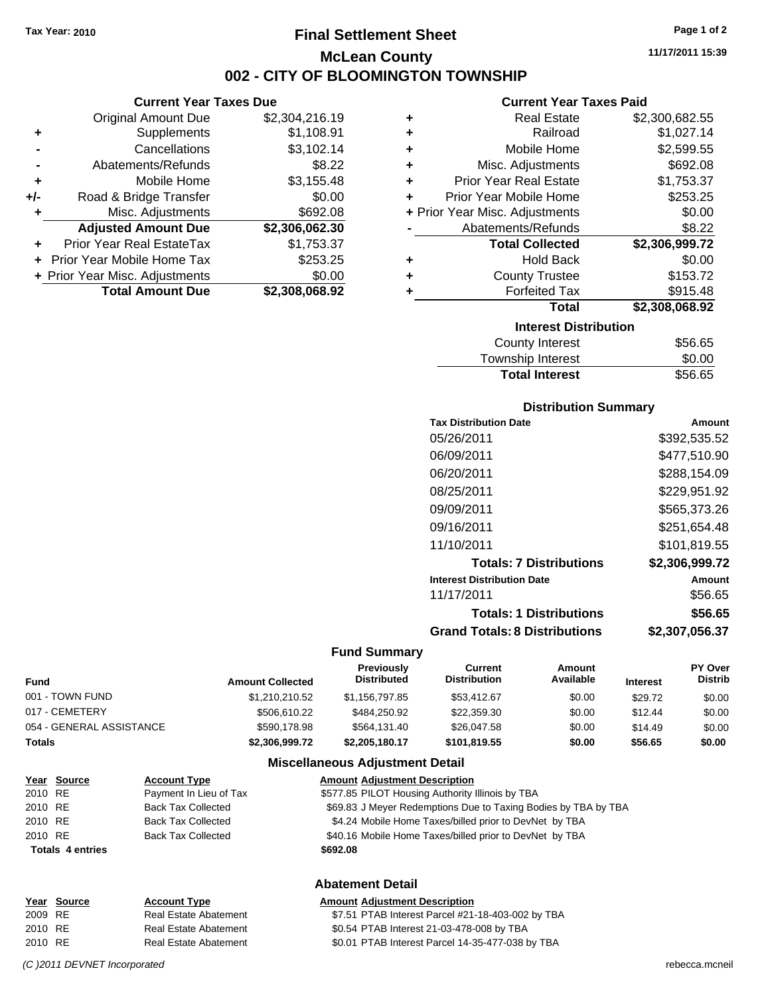### **Final Settlement Sheet Tax Year: 2010 Page 1 of 2 McLean County 002 - CITY OF BLOOMINGTON TOWNSHIP**

**Current Year Taxes Due**

|       | <b>Original Amount Due</b>     | \$2,304,216.19 |
|-------|--------------------------------|----------------|
| ٠     | Supplements                    | \$1,108.91     |
|       | Cancellations                  | \$3,102.14     |
|       | Abatements/Refunds             | \$8.22         |
| ÷     | Mobile Home                    | \$3,155.48     |
| $+/-$ | Road & Bridge Transfer         | \$0.00         |
| ٠     | Misc. Adjustments              | \$692.08       |
|       | <b>Adjusted Amount Due</b>     | \$2,306,062.30 |
|       | Prior Year Real EstateTax      | \$1,753.37     |
|       | Prior Year Mobile Home Tax     | \$253.25       |
|       | + Prior Year Misc. Adjustments | \$0.00         |
|       | <b>Total Amount Due</b>        | \$2,308,068.92 |

| <b>Current Year Taxes Paid</b> |  |  |  |
|--------------------------------|--|--|--|
|--------------------------------|--|--|--|

|   | <b>Real Estate</b>             | \$2,300,682.55 |
|---|--------------------------------|----------------|
| ÷ | Railroad                       | \$1,027.14     |
| ٠ | Mobile Home                    | \$2,599.55     |
| ٠ | Misc. Adjustments              | \$692.08       |
| ٠ | <b>Prior Year Real Estate</b>  | \$1,753.37     |
| ٠ | Prior Year Mobile Home         | \$253.25       |
|   | + Prior Year Misc. Adjustments | \$0.00         |
|   | Abatements/Refunds             | \$8.22         |
|   | <b>Total Collected</b>         | \$2,306,999.72 |
| ٠ | <b>Hold Back</b>               | \$0.00         |
| ٠ | <b>County Trustee</b>          | \$153.72       |
| ٠ | <b>Forfeited Tax</b>           | \$915.48       |
|   | Total                          | \$2,308,068.92 |
|   | <b>Interest Distribution</b>   |                |
|   | County Interest                | \$56 65        |

| County Interest       | \$56.65 |
|-----------------------|---------|
| Township Interest     | \$0.00  |
| <b>Total Interest</b> | \$56.65 |

#### **Distribution Summary**

| <b>Tax Distribution Date</b>         | Amount         |
|--------------------------------------|----------------|
| 05/26/2011                           | \$392,535.52   |
| 06/09/2011                           | \$477.510.90   |
| 06/20/2011                           | \$288.154.09   |
| 08/25/2011                           | \$229,951.92   |
| 09/09/2011                           | \$565,373.26   |
| 09/16/2011                           | \$251,654.48   |
| 11/10/2011                           | \$101,819.55   |
| <b>Totals: 7 Distributions</b>       | \$2,306,999.72 |
| <b>Interest Distribution Date</b>    | Amount         |
| 11/17/2011                           | \$56.65        |
| <b>Totals: 1 Distributions</b>       | \$56.65        |
| <b>Grand Totals: 8 Distributions</b> | \$2,307,056.37 |

#### **Fund Summary**

 $\overline{\phantom{0}}$ 

| <b>Fund</b>              | <b>Amount Collected</b> | <b>Previously</b><br><b>Distributed</b> | Current<br><b>Distribution</b> | Amount<br>Available | <b>Interest</b> | <b>PY Over</b><br><b>Distrib</b> |
|--------------------------|-------------------------|-----------------------------------------|--------------------------------|---------------------|-----------------|----------------------------------|
| 001 - TOWN FUND          | \$1.210.210.52          | \$1.156.797.85                          | \$53.412.67                    | \$0.00              | \$29.72         | \$0.00                           |
| 017 - CEMETERY           | \$506,610.22            | \$484,250.92                            | \$22,359.30                    | \$0.00              | \$12.44         | \$0.00                           |
| 054 - GENERAL ASSISTANCE | \$590,178.98            | \$564.131.40                            | \$26,047.58                    | \$0.00              | \$14.49         | \$0.00                           |
| <b>Totals</b>            | \$2,306,999.72          | \$2,205,180.17                          | \$101.819.55                   | \$0.00              | \$56.65         | \$0.00                           |

#### **Miscellaneous Adjustment Detail**

|         | Year Source             | <b>Account Type</b>       | <b>Amount Adjustment Description</b>                           |
|---------|-------------------------|---------------------------|----------------------------------------------------------------|
| 2010 RE |                         | Payment In Lieu of Tax    | \$577.85 PILOT Housing Authority Illinois by TBA               |
| 2010 RE |                         | <b>Back Tax Collected</b> | \$69.83 J Meyer Redemptions Due to Taxing Bodies by TBA by TBA |
| 2010 RE |                         | <b>Back Tax Collected</b> | \$4.24 Mobile Home Taxes/billed prior to DevNet by TBA         |
| 2010 RE |                         | <b>Back Tax Collected</b> | \$40.16 Mobile Home Taxes/billed prior to DevNet by TBA        |
|         | <b>Totals 4 entries</b> |                           | \$692.08                                                       |
|         |                         |                           |                                                                |

#### **Abatement Detail**

|         | Year Source | <b>Account Type</b>          | <b>Amount Adjustment Description</b>              |
|---------|-------------|------------------------------|---------------------------------------------------|
| 2009 RE |             | <b>Real Estate Abatement</b> | \$7.51 PTAB Interest Parcel #21-18-403-002 by TBA |
| 2010 RE |             | <b>Real Estate Abatement</b> | \$0.54 PTAB Interest 21-03-478-008 by TBA         |
| 2010 RE |             | Real Estate Abatement        | \$0.01 PTAB Interest Parcel 14-35-477-038 by TBA  |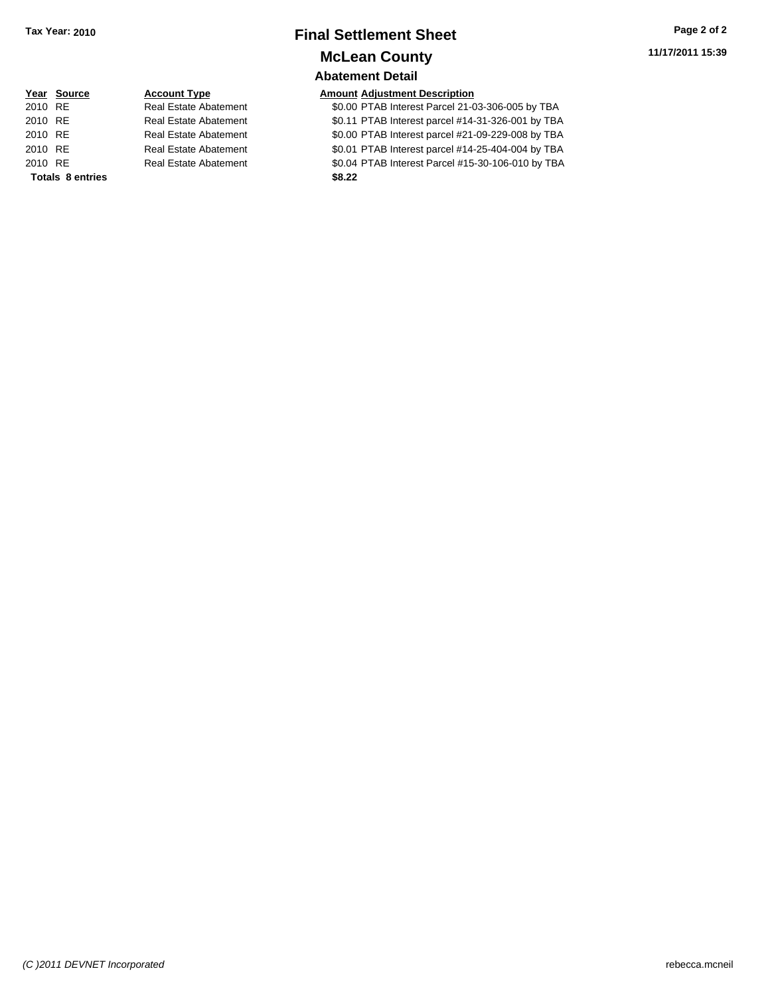### **Final Settlement Sheet Tax Year: 2010 Page 2 of 2 McLean County**

**Abatement Detail**

#### **Year Source Account Type Amount Adjustment Description**

2010 Estate Abatement **\$0.00 PTAB Interest Parcel 21-03-306-005 by TBA** 2011 PTAB Interest parcel #14-31-326-001 by TBA 2010 Estate Abatement **2010** S0.00 PTAB Interest parcel #21-09-229-008 by TBA 2010 PTAB Interest parcel #14-25-404-004 by TBA 2010 Real Estate Abatement **\$0.04 PTAB Interest Parcel #15-30-106-010 by TBA** 

|         | Year Source             | <b>Account Type</b>          | Amount |
|---------|-------------------------|------------------------------|--------|
| 2010 RE |                         | <b>Real Estate Abatement</b> | \$0.00 |
| 2010 RE |                         | <b>Real Estate Abatement</b> | \$0.11 |
| 2010 RE |                         | <b>Real Estate Abatement</b> | \$0.00 |
| 2010 RE |                         | <b>Real Estate Abatement</b> | \$0.01 |
| 2010 RE |                         | <b>Real Estate Abatement</b> | \$0.04 |
|         | <b>Totals 8 entries</b> |                              | \$8.22 |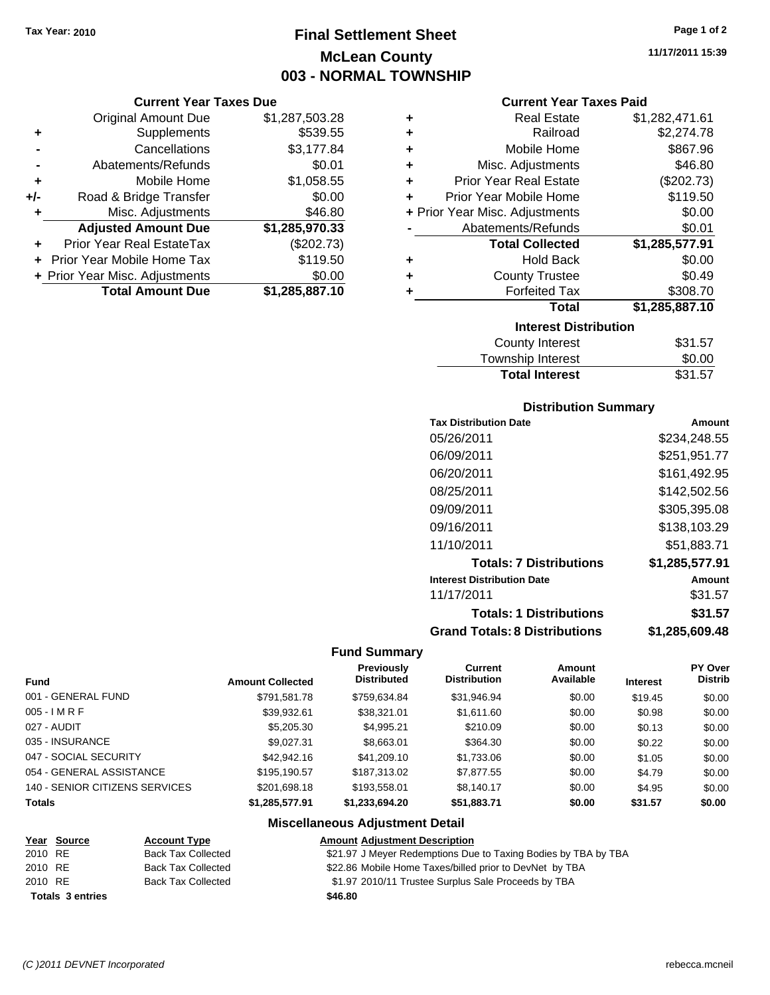### **Final Settlement Sheet Tax Year: 2010 Page 1 of 2 McLean County 003 - NORMAL TOWNSHIP**

#### **Current Year Taxes Due**

|       | <b>Original Amount Due</b>     | \$1,287,503.28 |
|-------|--------------------------------|----------------|
| ٠     | Supplements                    | \$539.55       |
|       | Cancellations                  | \$3,177.84     |
|       | Abatements/Refunds             | \$0.01         |
| ٠     | Mobile Home                    | \$1,058.55     |
| $+/-$ | Road & Bridge Transfer         | \$0.00         |
| ٠     | Misc. Adjustments              | \$46.80        |
|       | <b>Adjusted Amount Due</b>     | \$1,285,970.33 |
|       | Prior Year Real EstateTax      | (\$202.73)     |
|       | Prior Year Mobile Home Tax     | \$119.50       |
|       | + Prior Year Misc. Adjustments | \$0.00         |
|       | <b>Total Amount Due</b>        | \$1,285,887.10 |

| ٠ | <b>Real Estate</b>             | \$1,282,471.61 |  |  |  |  |
|---|--------------------------------|----------------|--|--|--|--|
| ٠ | Railroad                       | \$2,274.78     |  |  |  |  |
| ٠ | Mobile Home                    | \$867.96       |  |  |  |  |
| ٠ | Misc. Adjustments              | \$46.80        |  |  |  |  |
| ٠ | <b>Prior Year Real Estate</b>  | (\$202.73)     |  |  |  |  |
| ÷ | Prior Year Mobile Home         | \$119.50       |  |  |  |  |
|   | + Prior Year Misc. Adjustments | \$0.00         |  |  |  |  |
|   | Abatements/Refunds             | \$0.01         |  |  |  |  |
|   | <b>Total Collected</b>         | \$1,285,577.91 |  |  |  |  |
| ٠ | Hold Back                      | \$0.00         |  |  |  |  |
|   | <b>County Trustee</b>          | \$0.49         |  |  |  |  |
| ٠ | <b>Forfeited Tax</b>           | \$308.70       |  |  |  |  |
|   | Total                          | \$1,285,887.10 |  |  |  |  |
|   | <b>Interest Distribution</b>   |                |  |  |  |  |
|   | County Interest                | \$31.57        |  |  |  |  |

| <b>Total Interest</b> | \$31.57      |
|-----------------------|--------------|
| Township Interest     | \$0.00       |
| County interest       | <b>JJJ.J</b> |

#### **Distribution Summary**

| <b>Tax Distribution Date</b>         | Amount         |
|--------------------------------------|----------------|
| 05/26/2011                           | \$234.248.55   |
| 06/09/2011                           | \$251,951.77   |
| 06/20/2011                           | \$161,492.95   |
| 08/25/2011                           | \$142,502.56   |
| 09/09/2011                           | \$305,395.08   |
| 09/16/2011                           | \$138,103.29   |
| 11/10/2011                           | \$51,883.71    |
| <b>Totals: 7 Distributions</b>       | \$1,285,577.91 |
| <b>Interest Distribution Date</b>    | Amount         |
| 11/17/2011                           | \$31.57        |
| <b>Totals: 1 Distributions</b>       | \$31.57        |
| <b>Grand Totals: 8 Distributions</b> | \$1,285,609.48 |

#### **Fund Summary**

| <b>Fund</b>                    | <b>Amount Collected</b> | Previously<br><b>Distributed</b> | Current<br><b>Distribution</b> | Amount<br>Available | <b>Interest</b> | <b>PY Over</b><br><b>Distrib</b> |
|--------------------------------|-------------------------|----------------------------------|--------------------------------|---------------------|-----------------|----------------------------------|
| 001 - GENERAL FUND             | \$791,581.78            | \$759.634.84                     | \$31,946.94                    | \$0.00              | \$19.45         | \$0.00                           |
| $005 - IMRF$                   | \$39,932.61             | \$38,321.01                      | \$1,611.60                     | \$0.00              | \$0.98          | \$0.00                           |
| 027 - AUDIT                    | \$5,205.30              | \$4,995.21                       | \$210.09                       | \$0.00              | \$0.13          | \$0.00                           |
| 035 - INSURANCE                | \$9,027.31              | \$8,663.01                       | \$364.30                       | \$0.00              | \$0.22          | \$0.00                           |
| 047 - SOCIAL SECURITY          | \$42,942.16             | \$41,209.10                      | \$1,733.06                     | \$0.00              | \$1.05          | \$0.00                           |
| 054 - GENERAL ASSISTANCE       | \$195,190.57            | \$187.313.02                     | \$7,877.55                     | \$0.00              | \$4.79          | \$0.00                           |
| 140 - SENIOR CITIZENS SERVICES | \$201.698.18            | \$193,558.01                     | \$8,140.17                     | \$0.00              | \$4.95          | \$0.00                           |
| <b>Totals</b>                  | \$1,285,577.91          | \$1,233,694.20                   | \$51,883.71                    | \$0.00              | \$31.57         | \$0.00                           |

#### **Miscellaneous Adjustment Detail**

|         | <u>Year Source</u>      | <b>Account Type</b>       | <b>Amount Adjustment Description</b>                           |
|---------|-------------------------|---------------------------|----------------------------------------------------------------|
| 2010 RE |                         | <b>Back Tax Collected</b> | \$21.97 J Meyer Redemptions Due to Taxing Bodies by TBA by TBA |
| 2010 RE |                         | Back Tax Collected        | \$22.86 Mobile Home Taxes/billed prior to DevNet by TBA        |
| 2010 RE |                         | <b>Back Tax Collected</b> | \$1.97 2010/11 Trustee Surplus Sale Proceeds by TBA            |
|         | <b>Totals 3 entries</b> |                           | \$46.80                                                        |

*(C )2011 DEVNET Incorporated* rebecca.mcneil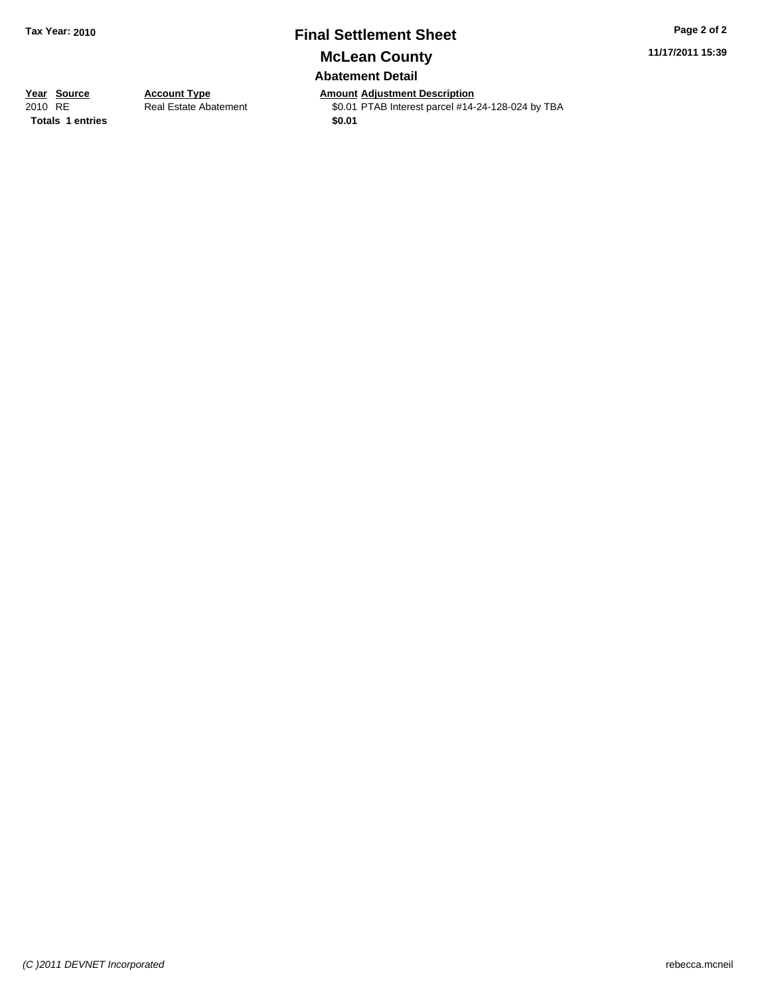## **Final Settlement Sheet Tax Year: 2010 Page 2 of 2**

**McLean County**

### **Abatement Detail**

**11/17/2011 15:39**

**Totals 1 entries** \$0.01

**Year Source Account Type Anneurry Adjustment Description**<br> **Amount Adjustment Adjustment Adjustment Adjustment Adjustment Adjustment Adjustment Adjustment Adjustment** Real Estate Abatement \$0.01 PTAB Interest parcel #14-24-128-024 by TBA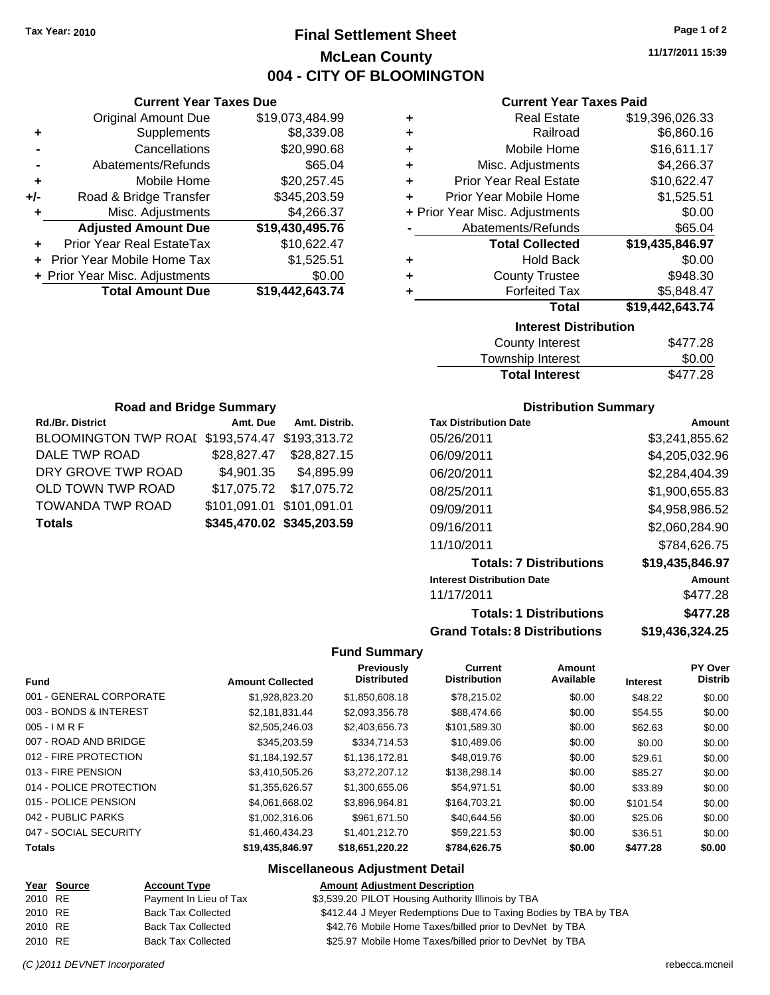### **Final Settlement Sheet Tax Year: 2010 Page 1 of 2 McLean County 004 - CITY OF BLOOMINGTON**

**11/17/2011 15:39**

#### **Current Year Taxes Paid**

| ٠ | <b>Real Estate</b>             | \$19,396,026.33 |
|---|--------------------------------|-----------------|
| ÷ | Railroad                       | \$6,860.16      |
| ÷ | Mobile Home                    | \$16,611.17     |
| ÷ | Misc. Adjustments              | \$4,266.37      |
| ÷ | <b>Prior Year Real Estate</b>  | \$10,622.47     |
| ÷ | Prior Year Mobile Home         | \$1,525.51      |
|   | + Prior Year Misc. Adjustments | \$0.00          |
|   | Abatements/Refunds             | \$65.04         |
|   | <b>Total Collected</b>         | \$19,435,846.97 |
| ÷ | <b>Hold Back</b>               | \$0.00          |
| ٠ | <b>County Trustee</b>          | \$948.30        |
| ٠ | <b>Forfeited Tax</b>           | \$5,848.47      |
|   | <b>Total</b>                   | \$19,442,643.74 |
|   | <b>Interest Distribution</b>   |                 |
|   | County Intoract                | C177 70         |

| <b>County Interest</b> | \$477.28 |
|------------------------|----------|
| Township Interest      | \$0.00   |
| <b>Total Interest</b>  | \$477.28 |

| <b>Road and Bridge Summary</b>                 |                           |                         |  |  |  |  |
|------------------------------------------------|---------------------------|-------------------------|--|--|--|--|
| Rd./Br. District                               | Amt. Due                  | Amt. Distrib.           |  |  |  |  |
| BLOOMINGTON TWP ROAI \$193,574.47 \$193,313.72 |                           |                         |  |  |  |  |
| DALE TWP ROAD                                  |                           | \$28,827.47 \$28,827.15 |  |  |  |  |
| DRY GROVE TWP ROAD                             |                           | \$4,901.35 \$4,895.99   |  |  |  |  |
| OLD TOWN TWP ROAD                              |                           | \$17,075.72 \$17,075.72 |  |  |  |  |
| TOWANDA TWP ROAD                               | \$101,091.01 \$101,091.01 |                         |  |  |  |  |
| \$345,470.02 \$345,203.59<br>Totals            |                           |                         |  |  |  |  |

**Current Year Taxes Due** Original Amount Due \$19,073,484.99

**Adjusted Amount Due \$19,430,495.76**

**Total Amount Due \$19,442,643.74**

**+** Supplements \$8,339.08 **-** Cancellations \$20,990.68 **-** Abatements/Refunds \$65.04 **+** Mobile Home \$20,257.45 **+/-** Road & Bridge Transfer \$345,203.59 **+** Misc. Adjustments \$4,266.37

**+** Prior Year Real EstateTax \$10,622.47 **+** Prior Year Mobile Home Tax \$1,525.51 **+ Prior Year Misc. Adjustments**  $$0.00$ 

#### **Distribution Summary**

| <b>Tax Distribution Date</b>         | Amount          |
|--------------------------------------|-----------------|
| 05/26/2011                           | \$3,241,855.62  |
| 06/09/2011                           | \$4.205.032.96  |
| 06/20/2011                           | \$2,284,404.39  |
| 08/25/2011                           | \$1.900.655.83  |
| 09/09/2011                           | \$4.958.986.52  |
| 09/16/2011                           | \$2,060,284.90  |
| 11/10/2011                           | \$784,626.75    |
| <b>Totals: 7 Distributions</b>       | \$19.435.846.97 |
| <b>Interest Distribution Date</b>    | Amount          |
| 11/17/2011                           | \$477.28        |
| <b>Totals: 1 Distributions</b>       | \$477.28        |
| <b>Grand Totals: 8 Distributions</b> | \$19,436,324.25 |

#### **Fund Summary**

| <b>Fund</b>             | <b>Amount Collected</b> | Previously<br><b>Distributed</b> | <b>Current</b><br><b>Distribution</b> | Amount<br>Available | <b>Interest</b> | PY Over<br><b>Distrib</b> |
|-------------------------|-------------------------|----------------------------------|---------------------------------------|---------------------|-----------------|---------------------------|
|                         |                         |                                  |                                       |                     |                 |                           |
| 001 - GENERAL CORPORATE | \$1.928.823.20          | \$1,850,608.18                   | \$78,215.02                           | \$0.00              | \$48.22         | \$0.00                    |
| 003 - BONDS & INTEREST  | \$2.181.831.44          | \$2,093,356.78                   | \$88,474.66                           | \$0.00              | \$54.55         | \$0.00                    |
| $005 - I$ M R F         | \$2,505,246.03          | \$2,403,656.73                   | \$101,589.30                          | \$0.00              | \$62.63         | \$0.00                    |
| 007 - ROAD AND BRIDGE   | \$345,203.59            | \$334,714.53                     | \$10,489.06                           | \$0.00              | \$0.00          | \$0.00                    |
| 012 - FIRE PROTECTION   | \$1,184,192.57          | \$1,136,172.81                   | \$48,019.76                           | \$0.00              | \$29.61         | \$0.00                    |
| 013 - FIRE PENSION      | \$3.410.505.26          | \$3,272,207.12                   | \$138,298.14                          | \$0.00              | \$85.27         | \$0.00                    |
| 014 - POLICE PROTECTION | \$1,355,626.57          | \$1,300,655,06                   | \$54.971.51                           | \$0.00              | \$33.89         | \$0.00                    |
| 015 - POLICE PENSION    | \$4.061.668.02          | \$3,896,964.81                   | \$164.703.21                          | \$0.00              | \$101.54        | \$0.00                    |
| 042 - PUBLIC PARKS      | \$1,002,316,06          | \$961.671.50                     | \$40,644.56                           | \$0.00              | \$25.06         | \$0.00                    |
| 047 - SOCIAL SECURITY   | \$1.460.434.23          | \$1.401.212.70                   | \$59.221.53                           | \$0.00              | \$36.51         | \$0.00                    |
| <b>Totals</b>           | \$19.435.846.97         | \$18.651.220.22                  | \$784.626.75                          | \$0.00              | \$477.28        | \$0.00                    |

#### **Miscellaneous Adjustment Detail**

#### **Year Source Account Type Amount Adjustment Description**

|         | $1991$ <b>998199</b> | ,,,,,,,,,,,,,,,,          |                                                                 |
|---------|----------------------|---------------------------|-----------------------------------------------------------------|
| 2010 RE |                      | Payment In Lieu of Tax    | \$3,539.20 PILOT Housing Authority Illinois by TBA              |
| 2010 RE |                      | <b>Back Tax Collected</b> | \$412.44 J Meyer Redemptions Due to Taxing Bodies by TBA by TBA |
| 2010 RE |                      | <b>Back Tax Collected</b> | \$42.76 Mobile Home Taxes/billed prior to DevNet by TBA         |
| 2010 RE |                      | <b>Back Tax Collected</b> | \$25.97 Mobile Home Taxes/billed prior to DevNet by TBA         |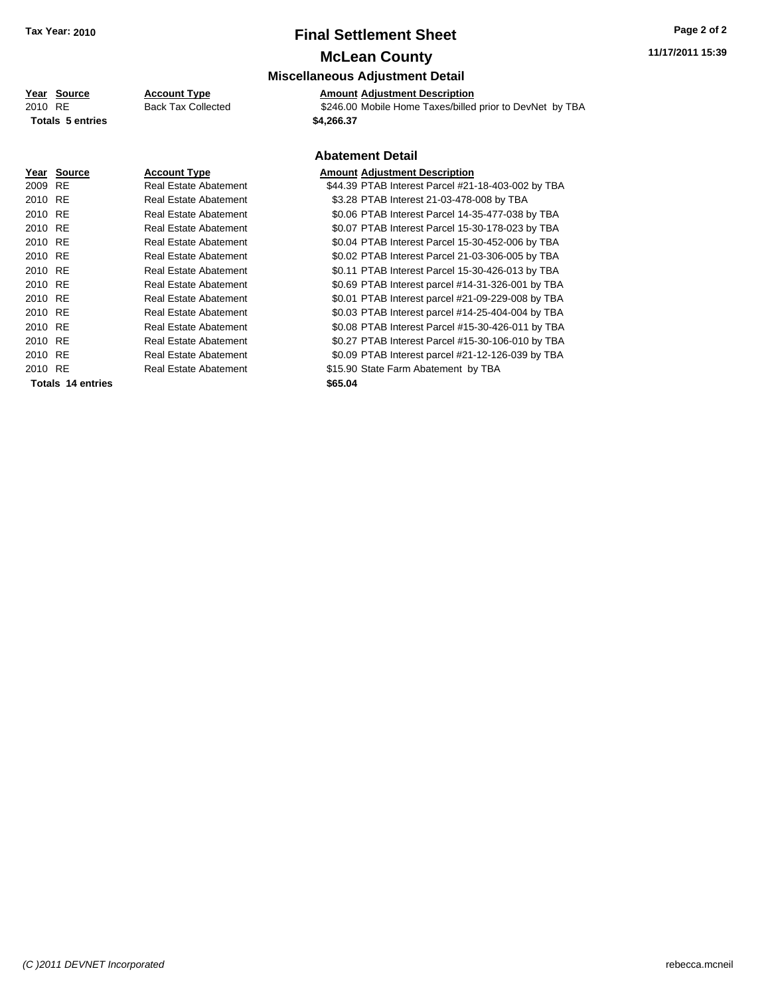# **Final Settlement Sheet Tax Year: 2010 Page 2 of 2**

### **McLean County**

#### **Miscellaneous Adjustment Detail**

**Year Source Account Type Amount Adjustment Description**

2010 RE **\$246.00 Mobile Home Taxes/billed prior to DevNet by TBA** Back Tax Collected \$246.00 Mobile Home Taxes/billed prior to DevNet by TBA **Totals \$4,266.37 5 entries**

|         |                   |                              | <b>Abatement De</b>   |  |
|---------|-------------------|------------------------------|-----------------------|--|
|         | Year Source       | <b>Account Type</b>          | <b>Amount Adjustn</b> |  |
| 2009 RE |                   | Real Estate Abatement        | \$44.39 PTAB In       |  |
| 2010 RE |                   | Real Estate Abatement        | \$3.28 PTAB In        |  |
| 2010 RE |                   | Real Estate Abatement        | \$0.06 PTAB In        |  |
| 2010 RE |                   | Real Estate Abatement        | \$0.07 PTAB In        |  |
| 2010 RE |                   | Real Estate Abatement        | \$0.04 PTAB In        |  |
| 2010 RE |                   | Real Estate Abatement        | \$0.02 PTAB In        |  |
| 2010 RE |                   | Real Estate Abatement        | \$0.11 PTAB In        |  |
| 2010 RE |                   | Real Estate Abatement        | \$0.69 PTAB In        |  |
| 2010 RE |                   | Real Estate Abatement        | \$0.01 PTAB In        |  |
| 2010 RE |                   | <b>Real Estate Abatement</b> | \$0.03 PTAB In        |  |
| 2010 RE |                   | Real Estate Abatement        | \$0.08 PTAB In        |  |
| 2010 RE |                   | Real Estate Abatement        | \$0.27 PTAB In        |  |
| 2010 RE |                   | Real Estate Abatement        | \$0.09 PTAB In        |  |
| 2010 RE |                   | Real Estate Abatement        | \$15.90 State Fa      |  |
|         | Totals 14 entries |                              | \$65.04               |  |
|         |                   |                              |                       |  |

#### **Abatement Detail**

#### **<u>Read</u> Reading Reading Reading Reading Reading**

1terest Parcel #21-18-403-002 by TBA 1terest 21-03-478-008 by TBA 1terest Parcel 14-35-477-038 by TBA terest Parcel 15-30-178-023 by TBA 1terest Parcel 15-30-452-006 by TBA terest Parcel 21-03-306-005 by TBA 1terest Parcel 15-30-426-013 by TBA 1terest parcel #14-31-326-001 by TBA 1terest parcel #21-09-229-008 by TBA 1terest parcel #14-25-404-004 by TBA 1terest Parcel #15-30-426-011 by TBA 1terest Parcel #15-30-106-010 by TBA 1terest parcel #21-12-126-039 by TBA arm Abatement by TBA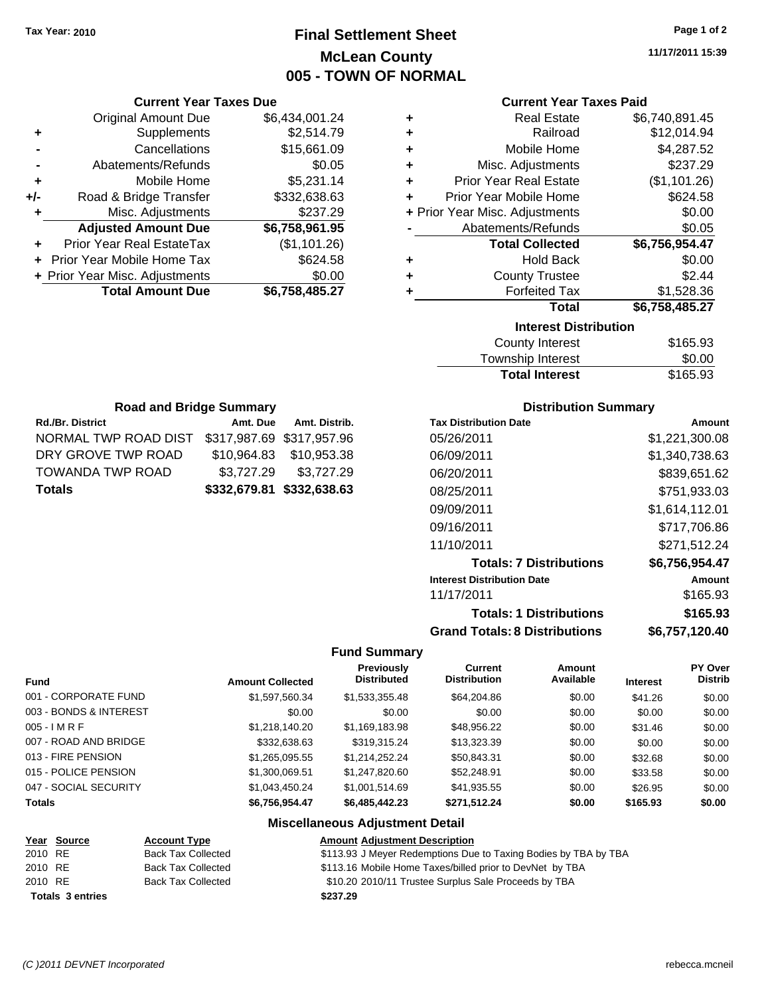### **Final Settlement Sheet Tax Year: 2010 Page 1 of 2 McLean County 005 - TOWN OF NORMAL**

**11/17/2011 15:39**

| <b>Current Year</b> |
|---------------------|

| <b>Current Year Taxes Paid</b> |                                |                |  |  |
|--------------------------------|--------------------------------|----------------|--|--|
| ٠                              | Real Estate                    | \$6,740,891.45 |  |  |
| ٠                              | Railroad                       | \$12,014.94    |  |  |
| ÷                              | Mobile Home                    | \$4,287.52     |  |  |
| ÷                              | Misc. Adjustments              | \$237.29       |  |  |
| ÷                              | <b>Prior Year Real Estate</b>  | (\$1,101.26)   |  |  |
| ÷                              | Prior Year Mobile Home         | \$624.58       |  |  |
|                                | + Prior Year Misc. Adjustments | \$0.00         |  |  |
|                                | Abatements/Refunds             | \$0.05         |  |  |
|                                | <b>Total Collected</b>         | \$6,756,954.47 |  |  |
| ٠                              | <b>Hold Back</b>               | \$0.00         |  |  |
| ٠                              | <b>County Trustee</b>          | \$2.44         |  |  |
| ٠                              | <b>Forfeited Tax</b>           | \$1,528.36     |  |  |
| <b>Total</b><br>\$6,758,485.27 |                                |                |  |  |
|                                | <b>Interest Distribution</b>   |                |  |  |
|                                | <b>County Interest</b>         | \$165.93       |  |  |
|                                |                                |                |  |  |

| <b>Total Interest</b> | \$165.93 |
|-----------------------|----------|
| Township Interest     | \$0.00   |
| County Interest       | \$165.93 |

| <b>Road and Bridge Summary</b>                 |  |                           |  |  |
|------------------------------------------------|--|---------------------------|--|--|
| Rd./Br. District                               |  | Amt. Due Amt. Distrib.    |  |  |
| NORMAL TWP ROAD DIST \$317,987.69 \$317,957.96 |  |                           |  |  |
| DRY GROVE TWP ROAD                             |  | \$10,964.83 \$10,953.38   |  |  |
| <b>TOWANDA TWP ROAD</b>                        |  | \$3,727.29 \$3,727.29     |  |  |
| <b>Totals</b>                                  |  | \$332,679.81 \$332,638.63 |  |  |

**Current Year Taxes Due** Original Amount Due \$6,434,001.24

**Adjusted Amount Due \$6,758,961.95**

**+** Supplements \$2,514.79 **-** Cancellations \$15,661.09 **-** Abatements/Refunds \$0.05 **+** Mobile Home \$5,231.14 **+/-** Road & Bridge Transfer \$332,638.63 **+** Misc. Adjustments \$237.29

**+** Prior Year Real EstateTax (\$1,101.26) **+** Prior Year Mobile Home Tax \$624.58 **+ Prior Year Misc. Adjustments \$0.00<br>Total Amount Due \$6,758,485.27** 

**Total Amount Due** 

#### **Distribution Summary**

| <b>Tax Distribution Date</b>         | Amount         |
|--------------------------------------|----------------|
| 05/26/2011                           | \$1,221,300.08 |
| 06/09/2011                           | \$1,340,738.63 |
| 06/20/2011                           | \$839,651.62   |
| 08/25/2011                           | \$751,933.03   |
| 09/09/2011                           | \$1,614,112.01 |
| 09/16/2011                           | \$717.706.86   |
| 11/10/2011                           | \$271.512.24   |
| <b>Totals: 7 Distributions</b>       | \$6,756,954.47 |
| <b>Interest Distribution Date</b>    | Amount         |
| 11/17/2011                           | \$165.93       |
| <b>Totals: 1 Distributions</b>       | \$165.93       |
| <b>Grand Totals: 8 Distributions</b> | \$6,757,120.40 |

#### **Fund Summary**

| <b>Fund</b>            | <b>Amount Collected</b> | Previously<br><b>Distributed</b> | <b>Current</b><br><b>Distribution</b> | Amount<br>Available | <b>Interest</b> | <b>PY Over</b><br><b>Distrib</b> |
|------------------------|-------------------------|----------------------------------|---------------------------------------|---------------------|-----------------|----------------------------------|
| 001 - CORPORATE FUND   | \$1,597,560.34          | \$1,533,355.48                   | \$64,204.86                           | \$0.00              | \$41.26         | \$0.00                           |
| 003 - BONDS & INTEREST | \$0.00                  | \$0.00                           | \$0.00                                | \$0.00              | \$0.00          | \$0.00                           |
| $005 - I$ M R F        | \$1,218,140.20          | \$1,169,183.98                   | \$48,956.22                           | \$0.00              | \$31.46         | \$0.00                           |
| 007 - ROAD AND BRIDGE  | \$332,638.63            | \$319.315.24                     | \$13,323.39                           | \$0.00              | \$0.00          | \$0.00                           |
| 013 - FIRE PENSION     | \$1,265,095.55          | \$1.214.252.24                   | \$50,843.31                           | \$0.00              | \$32.68         | \$0.00                           |
| 015 - POLICE PENSION   | \$1,300,069.51          | \$1,247,820.60                   | \$52,248.91                           | \$0.00              | \$33.58         | \$0.00                           |
| 047 - SOCIAL SECURITY  | \$1,043,450.24          | \$1.001.514.69                   | \$41,935.55                           | \$0.00              | \$26.95         | \$0.00                           |
| <b>Totals</b>          | \$6,756,954.47          | \$6,485,442.23                   | \$271,512.24                          | \$0.00              | \$165.93        | \$0.00                           |

#### **Miscellaneous Adjustment Detail**

|         | <u>Year Source</u>      | <b>Account Type</b>       | <b>Amount Adjustment Description</b>                            |
|---------|-------------------------|---------------------------|-----------------------------------------------------------------|
| 2010 RE |                         | <b>Back Tax Collected</b> | \$113.93 J Meyer Redemptions Due to Taxing Bodies by TBA by TBA |
| 2010 RE |                         | <b>Back Tax Collected</b> | \$113.16 Mobile Home Taxes/billed prior to DevNet by TBA        |
| 2010 RE |                         | <b>Back Tax Collected</b> | \$10.20 2010/11 Trustee Surplus Sale Proceeds by TBA            |
|         | <b>Totals 3 entries</b> |                           | \$237.29                                                        |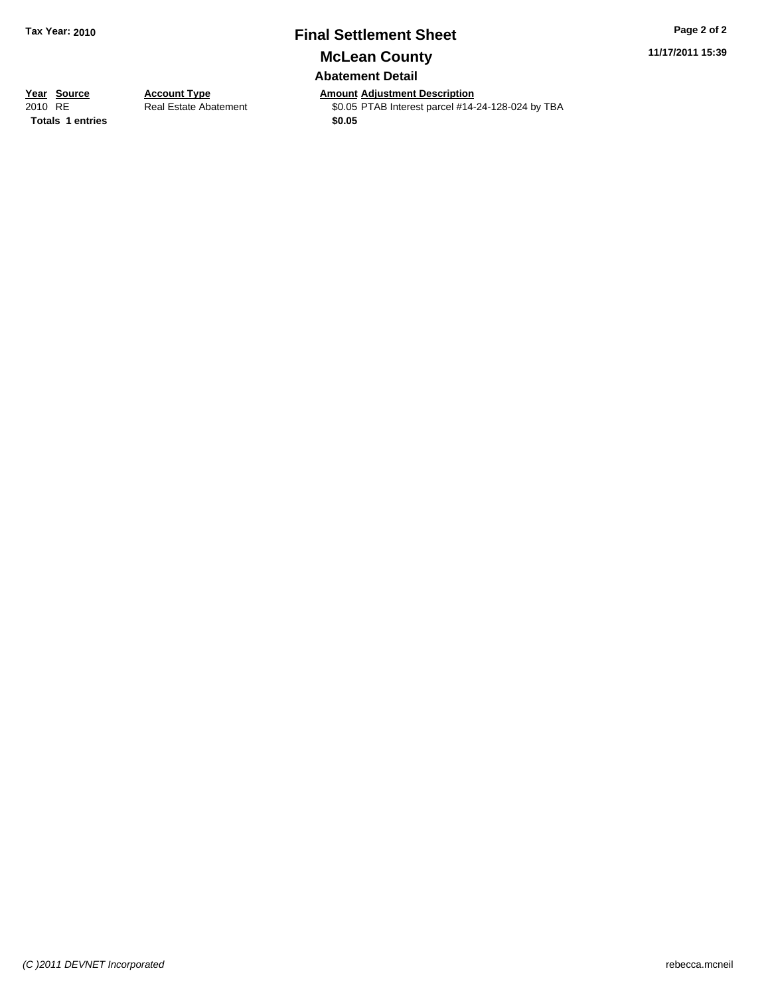## **Final Settlement Sheet Tax Year: 2010 Page 2 of 2**

**McLean County**

### **Abatement Detail**

**11/17/2011 15:39**

**Totals \$0.05 1 entries**

**Year Source Account Type Anneursian Adjustment Description**<br>2010 RE Real Estate Abatement **Adjustment Account Adjustment Adjustment Adjustment Adjustment Adjustment** Real Estate Abatement \$0.05 PTAB Interest parcel #14-24-128-024 by TBA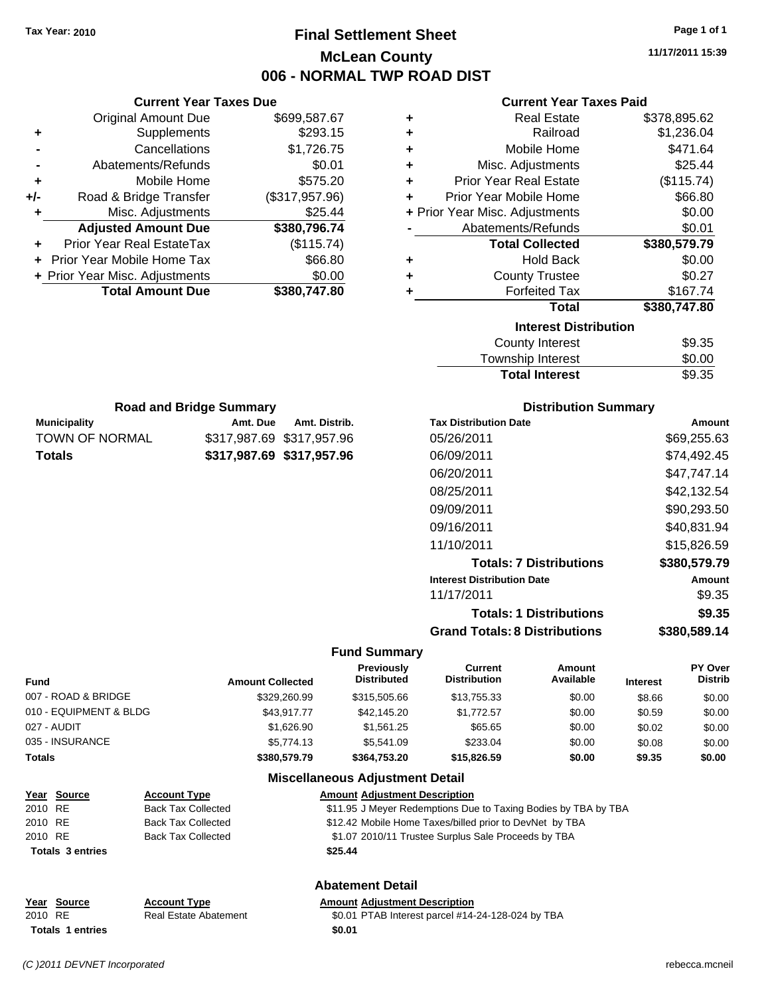### **Final Settlement Sheet Tax Year: 2010 Page 1 of 1 McLean County 006 - NORMAL TWP ROAD DIST**

**11/17/2011 15:39**

|     | <b>Current Year Taxes Due</b>  |                |  |  |  |
|-----|--------------------------------|----------------|--|--|--|
|     | <b>Original Amount Due</b>     | \$699,587.67   |  |  |  |
| ٠   | Supplements                    | \$293.15       |  |  |  |
|     | Cancellations                  | \$1,726.75     |  |  |  |
| -   | Abatements/Refunds             | \$0.01         |  |  |  |
| ٠   | Mobile Home                    | \$575.20       |  |  |  |
| +/- | Road & Bridge Transfer         | (\$317,957.96) |  |  |  |
| ٠   | Misc. Adjustments              | \$25.44        |  |  |  |
|     | <b>Adjusted Amount Due</b>     | \$380,796.74   |  |  |  |
| ٠   | Prior Year Real EstateTax      | (\$115.74)     |  |  |  |
|     | Prior Year Mobile Home Tax     | \$66.80        |  |  |  |
|     | + Prior Year Misc. Adjustments | \$0.00         |  |  |  |
|     | <b>Total Amount Due</b>        | \$380,747.80   |  |  |  |
|     |                                |                |  |  |  |

**Municipality Municipality** Amt. Due Amt. Distrib. **Road and Bridge Summary**

TOWN OF NORMAL \$317,987.69 \$317,957.96 **Totals \$317,987.69 \$317,957.96**

#### **Current Year Taxes Paid**

| ٠ | <b>Real Estate</b>             | \$378,895.62 |
|---|--------------------------------|--------------|
| ٠ | Railroad                       | \$1,236.04   |
| ٠ | Mobile Home                    | \$471.64     |
| ٠ | Misc. Adjustments              | \$25.44      |
| ٠ | <b>Prior Year Real Estate</b>  | (\$115.74)   |
| ٠ | Prior Year Mobile Home         | \$66.80      |
|   | + Prior Year Misc. Adjustments | \$0.00       |
|   | Abatements/Refunds             | \$0.01       |
|   | <b>Total Collected</b>         | \$380,579.79 |
| ٠ | <b>Hold Back</b>               | \$0.00       |
| ٠ | <b>County Trustee</b>          | \$0.27       |
| ٠ | <b>Forfeited Tax</b>           | \$167.74     |
|   | <b>Total</b>                   | \$380,747.80 |
|   | <b>Interest Distribution</b>   |              |
|   | County Interest                | \$9.35       |

| <b>Total Interest</b> | \$9.35 |
|-----------------------|--------|
| Township Interest     | \$0.00 |
| County Interest       | \$9.35 |

| <b>Distribution Summary</b> |  |
|-----------------------------|--|
|-----------------------------|--|

| <b>Tax Distribution Date</b>         | Amount       |
|--------------------------------------|--------------|
| 05/26/2011                           | \$69,255.63  |
| 06/09/2011                           | \$74.492.45  |
| 06/20/2011                           | \$47.747.14  |
| 08/25/2011                           | \$42.132.54  |
| 09/09/2011                           | \$90,293.50  |
| 09/16/2011                           | \$40,831.94  |
| 11/10/2011                           | \$15.826.59  |
| <b>Totals: 7 Distributions</b>       | \$380,579.79 |
| <b>Interest Distribution Date</b>    | Amount       |
| 11/17/2011                           | \$9.35       |
| <b>Totals: 1 Distributions</b>       | \$9.35       |
| <b>Grand Totals: 8 Distributions</b> | \$380,589.14 |

#### **Fund Summary**

| <b>Fund</b>            | <b>Amount Collected</b> | Previously<br><b>Distributed</b>       | Current<br><b>Distribution</b> | <b>Amount</b><br>Available | <b>Interest</b> | <b>PY Over</b><br><b>Distrib</b> |
|------------------------|-------------------------|----------------------------------------|--------------------------------|----------------------------|-----------------|----------------------------------|
| 007 - ROAD & BRIDGE    | \$329,260.99            | \$315,505.66                           | \$13,755.33                    | \$0.00                     | \$8.66          | \$0.00                           |
| 010 - EQUIPMENT & BLDG | \$43.917.77             | \$42,145,20                            | \$1.772.57                     | \$0.00                     | \$0.59          | \$0.00                           |
| 027 - AUDIT            | \$1.626.90              | \$1,561.25                             | \$65.65                        | \$0.00                     | \$0.02          | \$0.00                           |
| 035 - INSURANCE        | \$5,774.13              | \$5,541.09                             | \$233.04                       | \$0.00                     | \$0.08          | \$0.00                           |
| <b>Totals</b>          | \$380,579.79            | \$364,753,20                           | \$15,826,59                    | \$0.00                     | \$9.35          | \$0.00                           |
|                        |                         | <b>Miscellaneous Adjustment Detail</b> |                                |                            |                 |                                  |

| Year Source                        | <b>Account Type</b>       | <b>Amount Adjustment Description</b>                           |  |
|------------------------------------|---------------------------|----------------------------------------------------------------|--|
| 2010 RE                            | Back Tax Collected        | \$11.95 J Meyer Redemptions Due to Taxing Bodies by TBA by TBA |  |
| 2010 RE                            | <b>Back Tax Collected</b> | \$12.42 Mobile Home Taxes/billed prior to DevNet by TBA        |  |
| 2010 RE                            | <b>Back Tax Collected</b> | \$1.07 2010/11 Trustee Surplus Sale Proceeds by TBA            |  |
| <b>Totals 3 entries</b><br>\$25.44 |                           |                                                                |  |
| <b>Abatement Detail</b>            |                           |                                                                |  |

|         | Year Source             | <b>Account Type</b>          | <b>Amount Adiustment Description</b>              |
|---------|-------------------------|------------------------------|---------------------------------------------------|
| 2010 RE |                         | <b>Real Estate Abatement</b> | \$0.01 PTAB Interest parcel #14-24-128-024 by TBA |
|         | <b>Totals 1 entries</b> |                              | \$0.01                                            |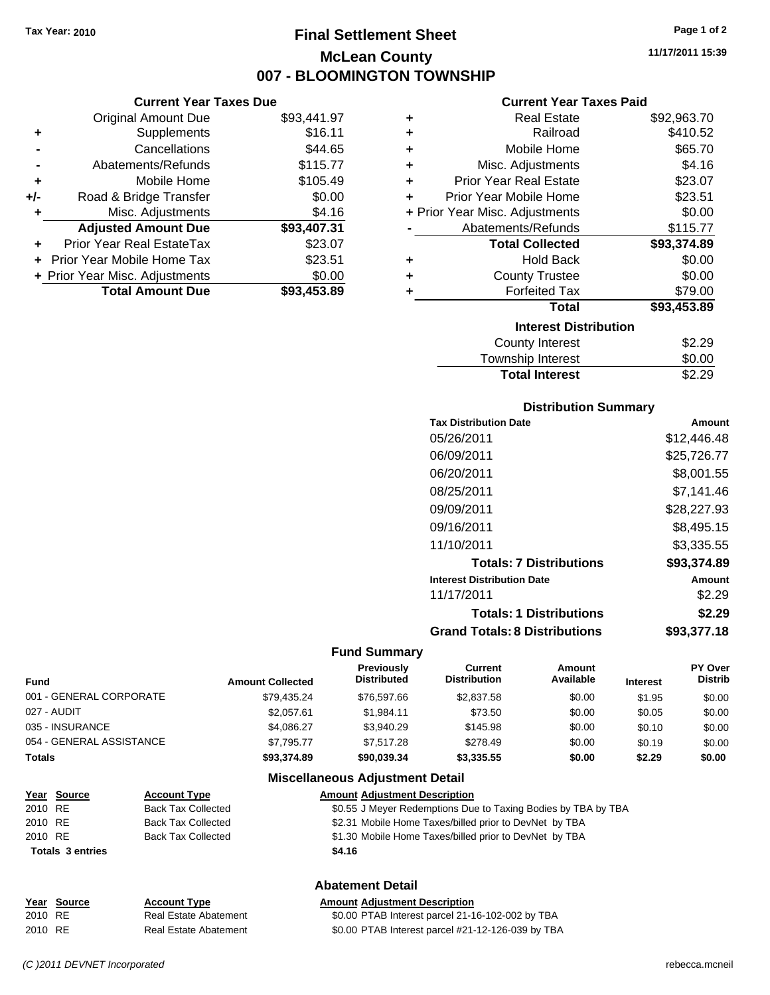### **Final Settlement Sheet Tax Year: 2010 Page 1 of 2 McLean County 007 - BLOOMINGTON TOWNSHIP**

**11/17/2011 15:39**

#### **Current Year Taxes Due**

|       | OUITUR TUUT TUAUS DUU             |             |  |
|-------|-----------------------------------|-------------|--|
|       | <b>Original Amount Due</b>        | \$93,441.97 |  |
| ٠     | Supplements                       | \$16.11     |  |
|       | Cancellations                     | \$44.65     |  |
|       | Abatements/Refunds                | \$115.77    |  |
| ٠     | Mobile Home                       | \$105.49    |  |
| $+/-$ | Road & Bridge Transfer            | \$0.00      |  |
| ٠     | Misc. Adjustments                 | \$4.16      |  |
|       | <b>Adjusted Amount Due</b>        | \$93,407.31 |  |
|       | Prior Year Real EstateTax         | \$23.07     |  |
|       | <b>Prior Year Mobile Home Tax</b> | \$23.51     |  |
|       | + Prior Year Misc. Adjustments    | \$0.00      |  |
|       | <b>Total Amount Due</b>           | \$93,453.89 |  |

#### **Current Year Taxes Paid**

| ٠ | <b>Real Estate</b>             | \$92,963.70 |
|---|--------------------------------|-------------|
| ٠ | Railroad                       | \$410.52    |
| ٠ | Mobile Home                    | \$65.70     |
| ٠ | Misc. Adjustments              | \$4.16      |
| ٠ | <b>Prior Year Real Estate</b>  | \$23.07     |
| ٠ | Prior Year Mobile Home         | \$23.51     |
|   | + Prior Year Misc. Adjustments | \$0.00      |
|   | Abatements/Refunds             | \$115.77    |
|   | <b>Total Collected</b>         | \$93,374.89 |
| ٠ | Hold Back                      | \$0.00      |
| ٠ | <b>County Trustee</b>          | \$0.00      |
| ٠ | <b>Forfeited Tax</b>           | \$79.00     |
|   | Total                          | \$93,453.89 |
|   | <b>Interest Distribution</b>   |             |
|   | <b>County Interest</b>         | \$2.29      |
|   | <b>Township Interest</b>       | \$0.00      |
|   | <b>Total Interest</b>          | \$2.29      |

#### **Distribution Summary**

| <b>Tax Distribution Date</b>         | Amount      |
|--------------------------------------|-------------|
| 05/26/2011                           | \$12,446.48 |
| 06/09/2011                           | \$25,726.77 |
| 06/20/2011                           | \$8,001.55  |
| 08/25/2011                           | \$7.141.46  |
| 09/09/2011                           | \$28,227.93 |
| 09/16/2011                           | \$8,495.15  |
| 11/10/2011                           | \$3,335.55  |
| <b>Totals: 7 Distributions</b>       | \$93,374.89 |
| <b>Interest Distribution Date</b>    | Amount      |
| 11/17/2011                           | \$2.29      |
| <b>Totals: 1 Distributions</b>       | \$2.29      |
| <b>Grand Totals: 8 Distributions</b> | \$93,377.18 |

#### **Fund Summary**

| Fund                     | <b>Amount Collected</b> | Previously<br><b>Distributed</b> | Current<br><b>Distribution</b> | Amount<br>Available | <b>Interest</b> | <b>PY Over</b><br><b>Distrib</b> |
|--------------------------|-------------------------|----------------------------------|--------------------------------|---------------------|-----------------|----------------------------------|
| 001 - GENERAL CORPORATE  | \$79.435.24             | \$76,597.66                      | \$2,837.58                     | \$0.00              | \$1.95          | \$0.00                           |
| 027 - AUDIT              | \$2,057.61              | \$1,984.11                       | \$73.50                        | \$0.00              | \$0.05          | \$0.00                           |
| 035 - INSURANCE          | \$4,086.27              | \$3.940.29                       | \$145.98                       | \$0.00              | \$0.10          | \$0.00                           |
| 054 - GENERAL ASSISTANCE | \$7.795.77              | \$7.517.28                       | \$278.49                       | \$0.00              | \$0.19          | \$0.00                           |
| <b>Totals</b>            | \$93,374.89             | \$90,039,34                      | \$3,335.55                     | \$0.00              | \$2.29          | \$0.00                           |

#### **Miscellaneous Adjustment Detail**

|         | <u>Year Source</u>      | <b>Account Type</b>       | <b>Amount Adjustment Description</b>                          |
|---------|-------------------------|---------------------------|---------------------------------------------------------------|
| 2010 RE |                         | <b>Back Tax Collected</b> | \$0.55 J Meyer Redemptions Due to Taxing Bodies by TBA by TBA |
| 2010 RE |                         | <b>Back Tax Collected</b> | \$2.31 Mobile Home Taxes/billed prior to DevNet by TBA        |
| 2010 RE |                         | <b>Back Tax Collected</b> | \$1.30 Mobile Home Taxes/billed prior to DevNet by TBA        |
|         | <b>Totals 3 entries</b> |                           | \$4.16                                                        |
|         |                         |                           |                                                               |

**Abatement Detail**

|         | Year Source | <b>Account Type</b>   | <b>Amount Adjustment Description</b>              |
|---------|-------------|-----------------------|---------------------------------------------------|
| 2010 RE |             | Real Estate Abatement | \$0.00 PTAB Interest parcel 21-16-102-002 by TBA  |
| 2010 RE |             | Real Estate Abatement | \$0.00 PTAB Interest parcel #21-12-126-039 by TBA |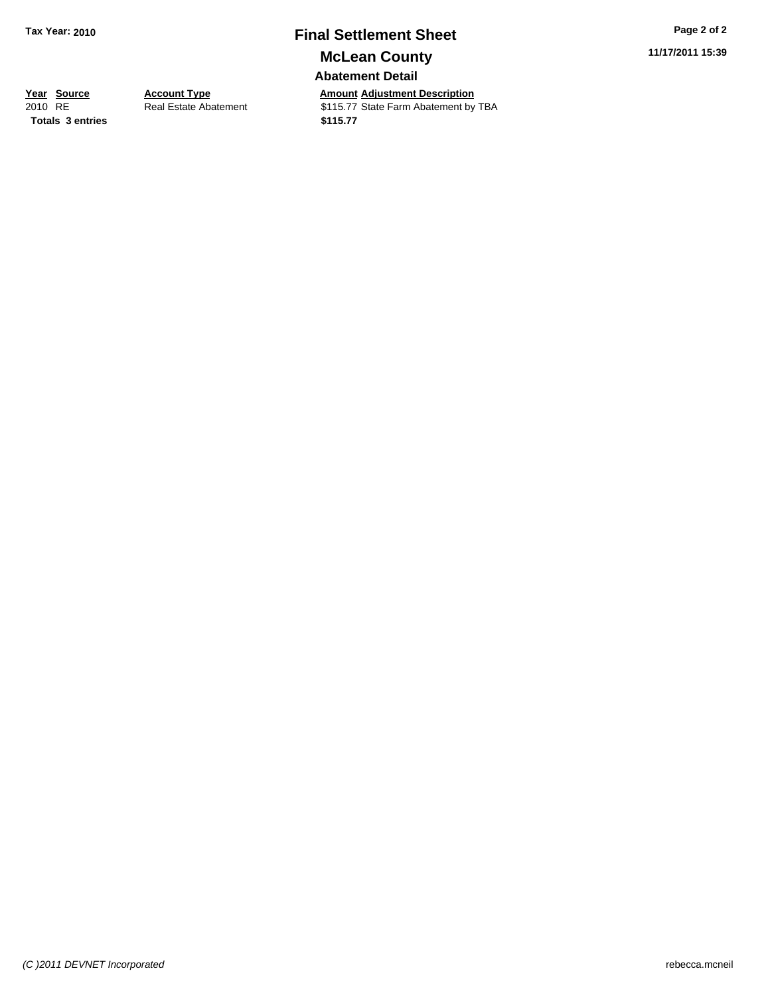### **Final Settlement Sheet Tax Year: 2010 Page 2 of 2 McLean County**

**Abatement Detail**

**Totals \$115.77 3 entries**

**Year Source Account Type And Amount Adjustment Description**<br> **Amount Adjustment Description**<br> **Amount Adjustment by Additional State Farm Abatement by** Real Estate Abatement **\$115.77** State Farm Abatement by TBA **11/17/2011 15:39**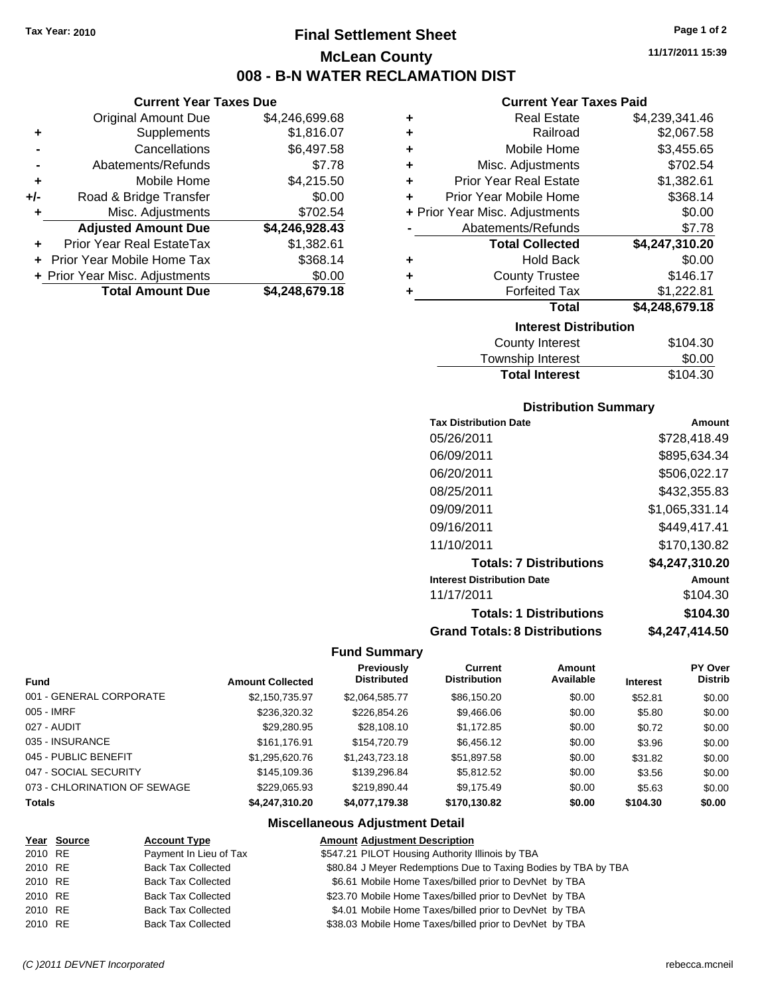**Current Year Taxes Due** Original Amount Due \$4,246,699.68

**Adjusted Amount Due \$4,246,928.43**

**+** Supplements \$1,816.07 **-** Cancellations \$6,497.58 **-** Abatements/Refunds \$7.78 **+** Mobile Home \$4,215.50 **+/-** Road & Bridge Transfer \$0.00 **+** Misc. Adjustments \$702.54

**+** Prior Year Real EstateTax \$1,382.61 **+** Prior Year Mobile Home Tax \$368.14 **+ Prior Year Misc. Adjustments \$0.00<br>Total Amount Due \$4,248,679.18** 

**Total Amount Due** 

### **Final Settlement Sheet Tax Year: 2010 Page 1 of 2 McLean County 008 - B-N WATER RECLAMATION DIST**

**11/17/2011 15:39**

#### **Current Year Taxes Paid**

| \$0.00<br><b>Hold Back</b><br>٠<br>\$146.17<br><b>County Trustee</b><br>٠<br><b>Forfeited Tax</b><br>\$1,222.81<br>٠ | Abatements/Refunds     | \$7.78 |
|----------------------------------------------------------------------------------------------------------------------|------------------------|--------|
|                                                                                                                      |                        |        |
|                                                                                                                      |                        |        |
|                                                                                                                      | <b>Total Collected</b> |        |
|                                                                                                                      |                        |        |
|                                                                                                                      |                        |        |
|                                                                                                                      |                        |        |
|                                                                                                                      |                        |        |
|                                                                                                                      |                        |        |
|                                                                                                                      |                        |        |
| \$4,248,679.18<br><b>Total</b>                                                                                       |                        |        |
|                                                                                                                      |                        |        |
|                                                                                                                      |                        |        |
|                                                                                                                      |                        |        |
|                                                                                                                      |                        |        |
|                                                                                                                      |                        |        |
|                                                                                                                      |                        |        |
|                                                                                                                      |                        |        |
|                                                                                                                      |                        |        |
| \$4,247,310.20                                                                                                       |                        |        |
|                                                                                                                      |                        |        |
|                                                                                                                      |                        |        |
| \$0.00                                                                                                               |                        |        |
| \$368.14<br>Prior Year Mobile Home                                                                                   |                        |        |
| \$1,382.61<br><b>Prior Year Real Estate</b>                                                                          |                        |        |
| ٠<br>\$702.54<br>Misc. Adjustments<br>٠<br>÷<br>+ Prior Year Misc. Adjustments                                       |                        |        |
| ٠<br>Mobile Home<br>\$3,455.65                                                                                       |                        |        |
| \$4,239,341.46<br><b>Real Estate</b><br>٠<br>\$2,067.58<br>Railroad                                                  |                        |        |

| County Interest       | \$104.30 |
|-----------------------|----------|
| Township Interest     | \$0.00   |
| <b>Total Interest</b> | \$104.30 |

#### **Distribution Summary**

| <b>Tax Distribution Date</b>         | Amount         |
|--------------------------------------|----------------|
| 05/26/2011                           | \$728,418.49   |
| 06/09/2011                           | \$895,634.34   |
| 06/20/2011                           | \$506.022.17   |
| 08/25/2011                           | \$432,355.83   |
| 09/09/2011                           | \$1,065,331.14 |
| 09/16/2011                           | \$449,417.41   |
| 11/10/2011                           | \$170,130.82   |
| <b>Totals: 7 Distributions</b>       | \$4.247.310.20 |
| <b>Interest Distribution Date</b>    | Amount         |
| 11/17/2011                           | \$104.30       |
| <b>Totals: 1 Distributions</b>       | \$104.30       |
| <b>Grand Totals: 8 Distributions</b> | \$4,247,414.50 |

#### **Fund Summary**

|                              |                         | <b>Previously</b>  | Current             | <b>Amount</b> |                 | <b>PY Over</b> |
|------------------------------|-------------------------|--------------------|---------------------|---------------|-----------------|----------------|
| <b>Fund</b>                  | <b>Amount Collected</b> | <b>Distributed</b> | <b>Distribution</b> | Available     | <b>Interest</b> | <b>Distrib</b> |
| 001 - GENERAL CORPORATE      | \$2,150,735.97          | \$2,064,585.77     | \$86,150.20         | \$0.00        | \$52.81         | \$0.00         |
| 005 - IMRF                   | \$236,320.32            | \$226,854.26       | \$9,466.06          | \$0.00        | \$5.80          | \$0.00         |
| 027 - AUDIT                  | \$29,280.95             | \$28,108,10        | \$1,172.85          | \$0.00        | \$0.72          | \$0.00         |
| 035 - INSURANCE              | \$161.176.91            | \$154,720.79       | \$6,456.12          | \$0.00        | \$3.96          | \$0.00         |
| 045 - PUBLIC BENEFIT         | \$1,295,620.76          | \$1,243,723.18     | \$51,897.58         | \$0.00        | \$31.82         | \$0.00         |
| 047 - SOCIAL SECURITY        | \$145,109.36            | \$139,296.84       | \$5,812.52          | \$0.00        | \$3.56          | \$0.00         |
| 073 - CHLORINATION OF SEWAGE | \$229,065.93            | \$219.890.44       | \$9,175.49          | \$0.00        | \$5.63          | \$0.00         |
| <b>Totals</b>                | \$4,247,310,20          | \$4,077,179.38     | \$170.130.82        | \$0.00        | \$104.30        | \$0.00         |

#### **Miscellaneous Adjustment Detail**

|         | Year Source | <b>Account Type</b>       | <b>Amount Adjustment Description</b>                           |
|---------|-------------|---------------------------|----------------------------------------------------------------|
| 2010 RE |             | Payment In Lieu of Tax    | \$547.21 PILOT Housing Authority Illinois by TBA               |
| 2010 RE |             | <b>Back Tax Collected</b> | \$80.84 J Meyer Redemptions Due to Taxing Bodies by TBA by TBA |
| 2010 RE |             | <b>Back Tax Collected</b> | \$6.61 Mobile Home Taxes/billed prior to DevNet by TBA         |
| 2010 RE |             | <b>Back Tax Collected</b> | \$23.70 Mobile Home Taxes/billed prior to DevNet by TBA        |
| 2010 RE |             | <b>Back Tax Collected</b> | \$4.01 Mobile Home Taxes/billed prior to DevNet by TBA         |
| 2010 RE |             | <b>Back Tax Collected</b> | \$38.03 Mobile Home Taxes/billed prior to DevNet by TBA        |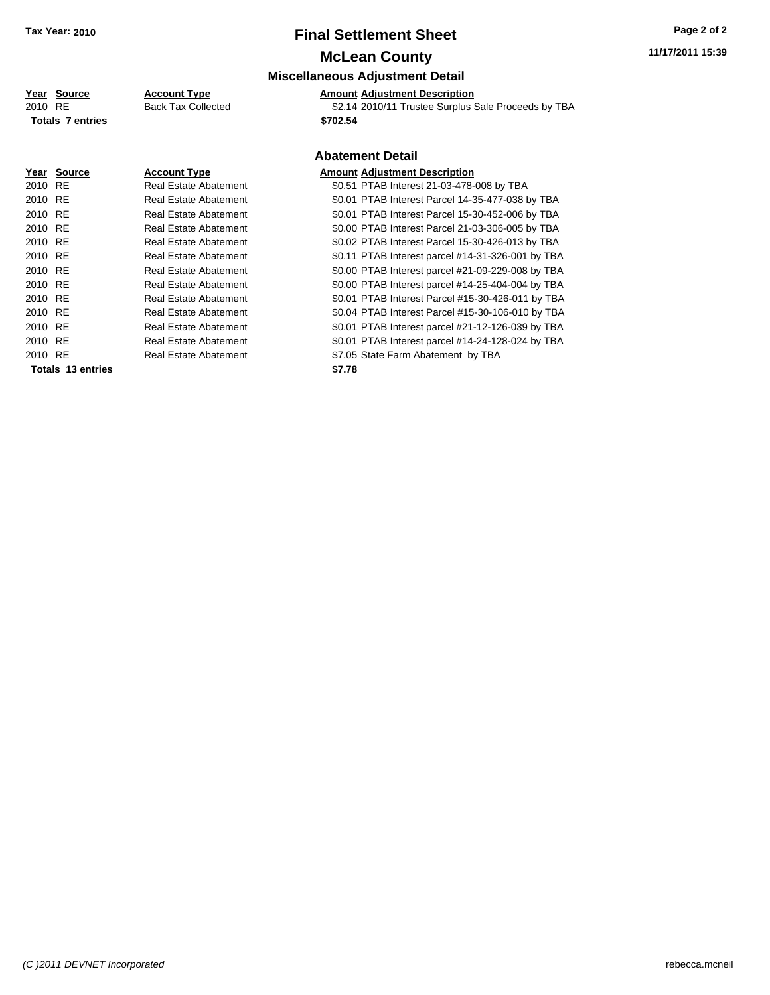# **Final Settlement Sheet Tax Year: 2010 Page 2 of 2**

## **McLean County**

### **Miscellaneous Adjustment Detail**

#### **Year Source Account Type Amount Adjustment Description**

| 2010 RE | <b>Totals 7 entries</b> | <b>Back Tax Collected</b>    | \$2.14 2010/11 Trustee Surplus Sale Proceeds by TBA<br>\$702.54 |
|---------|-------------------------|------------------------------|-----------------------------------------------------------------|
|         |                         |                              |                                                                 |
|         |                         |                              | <b>Abatement Detail</b>                                         |
|         | Year Source             | <b>Account Type</b>          | <b>Amount Adjustment Description</b>                            |
| 2010 RE |                         | Real Estate Abatement        | \$0.51 PTAB Interest 21-03-478-008 by TBA                       |
| 2010 RE |                         | Real Estate Abatement        | \$0.01 PTAB Interest Parcel 14-35-477-038 by TBA                |
| 2010 RE |                         | Real Estate Abatement        | \$0.01 PTAB Interest Parcel 15-30-452-006 by TBA                |
| 2010 RE |                         | Real Estate Abatement        | \$0.00 PTAB Interest Parcel 21-03-306-005 by TBA                |
| 2010 RE |                         | Real Estate Abatement        | \$0.02 PTAB Interest Parcel 15-30-426-013 by TBA                |
| 2010 RE |                         | Real Estate Abatement        | \$0.11 PTAB Interest parcel #14-31-326-001 by TBA               |
| 2010 RE |                         | <b>Real Estate Abatement</b> | \$0.00 PTAB Interest parcel #21-09-229-008 by TBA               |
| 2010 RE |                         | Real Estate Abatement        | \$0.00 PTAB Interest parcel #14-25-404-004 by TBA               |
| 2010 RE |                         | Real Estate Abatement        | \$0.01 PTAB Interest Parcel #15-30-426-011 by TBA               |
| 2010 RE |                         | Real Estate Abatement        | \$0.04 PTAB Interest Parcel #15-30-106-010 by TBA               |
| 2010 RE |                         | Real Estate Abatement        | \$0.01 PTAB Interest parcel #21-12-126-039 by TBA               |
| 2010 RE |                         | Real Estate Abatement        | \$0.01 PTAB Interest parcel #14-24-128-024 by TBA               |

2010 RE **12.000 Real Estate Abatement** 127.05 State Farm Abatement by TBA **Totals \$7.78 13 entries**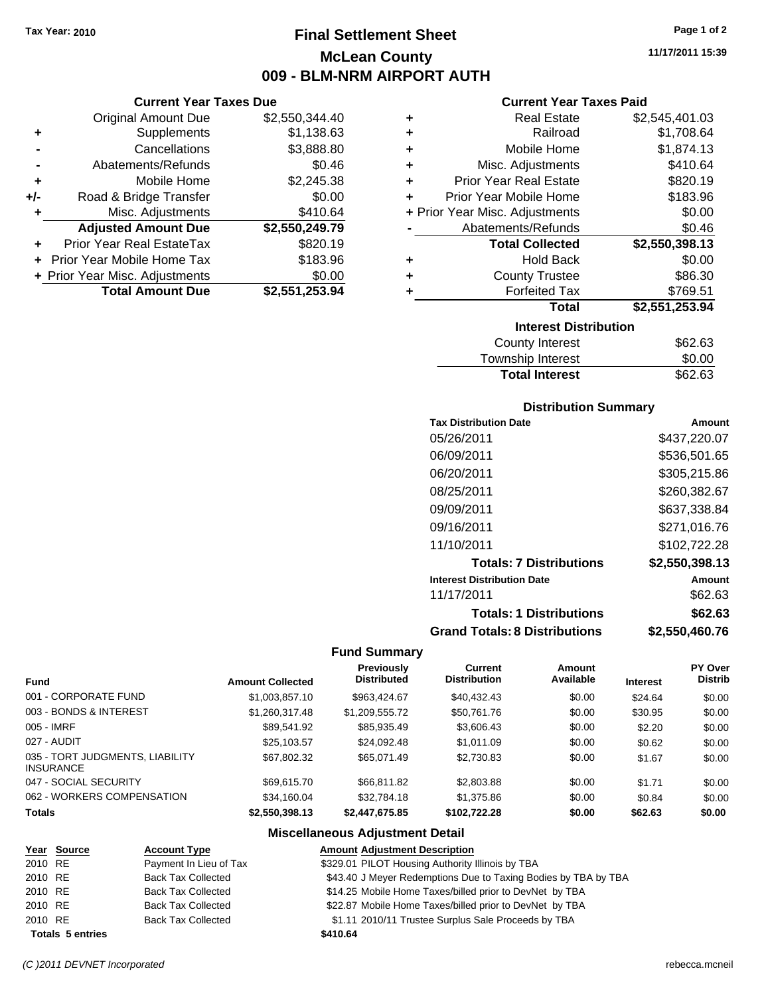### **Final Settlement Sheet Tax Year: 2010 Page 1 of 2 McLean County 009 - BLM-NRM AIRPORT AUTH**

**Current Year Taxes Due**

|     | <b>Total Amount Due</b>           | \$2,551,253.94 |
|-----|-----------------------------------|----------------|
|     | + Prior Year Misc. Adjustments    | \$0.00         |
|     | <b>Prior Year Mobile Home Tax</b> | \$183.96       |
|     | <b>Prior Year Real EstateTax</b>  | \$820.19       |
|     | <b>Adjusted Amount Due</b>        | \$2,550,249.79 |
| ٠   | Misc. Adjustments                 | \$410.64       |
| +/- | Road & Bridge Transfer            | \$0.00         |
| ÷   | Mobile Home                       | \$2,245.38     |
|     | Abatements/Refunds                | \$0.46         |
|     | Cancellations                     | \$3,888.80     |
| ٠   | Supplements                       | \$1,138.63     |
|     | <b>Original Amount Due</b>        | \$2,550,344.40 |
|     |                                   |                |

#### **Current Year Taxes Paid**

| ٠ | <b>Real Estate</b>             | \$2,545,401.03 |
|---|--------------------------------|----------------|
| ٠ | Railroad                       | \$1,708.64     |
| ٠ | Mobile Home                    | \$1,874.13     |
| ٠ | Misc. Adjustments              | \$410.64       |
| ÷ | <b>Prior Year Real Estate</b>  | \$820.19       |
| ٠ | Prior Year Mobile Home         | \$183.96       |
|   | + Prior Year Misc. Adjustments | \$0.00         |
|   | Abatements/Refunds             | \$0.46         |
|   | <b>Total Collected</b>         | \$2,550,398.13 |
| ٠ | <b>Hold Back</b>               | \$0.00         |
| ٠ | <b>County Trustee</b>          | \$86.30        |
| ٠ | <b>Forfeited Tax</b>           | \$769.51       |
|   | Total                          | \$2,551,253.94 |
|   | <b>Interest Distribution</b>   |                |
|   | County Interest                | S62 63         |

| <b>Total Interest</b> | \$62.63 |
|-----------------------|---------|
| Township Interest     | \$0.00  |
| County Interest       | \$62.63 |

#### **Distribution Summary**

| <b>Tax Distribution Date</b>         | Amount         |
|--------------------------------------|----------------|
| 05/26/2011                           | \$437,220.07   |
| 06/09/2011                           | \$536,501.65   |
| 06/20/2011                           | \$305,215.86   |
| 08/25/2011                           | \$260,382.67   |
| 09/09/2011                           | \$637,338.84   |
| 09/16/2011                           | \$271,016.76   |
| 11/10/2011                           | \$102,722.28   |
| <b>Totals: 7 Distributions</b>       | \$2,550,398.13 |
| <b>Interest Distribution Date</b>    | Amount         |
| 11/17/2011                           | \$62.63        |
| <b>Totals: 1 Distributions</b>       | \$62.63        |
| <b>Grand Totals: 8 Distributions</b> | \$2,550,460.76 |

#### **Fund Summary**

 $\overline{\phantom{0}}$ 

| <b>Fund</b>                                         |                         | Previously<br><b>Distributed</b> | Current<br><b>Distribution</b> | Amount<br>Available |                 | <b>PY Over</b><br><b>Distrib</b> |
|-----------------------------------------------------|-------------------------|----------------------------------|--------------------------------|---------------------|-----------------|----------------------------------|
|                                                     | <b>Amount Collected</b> |                                  |                                |                     | <b>Interest</b> |                                  |
| 001 - CORPORATE FUND                                | \$1,003,857.10          | \$963.424.67                     | \$40,432.43                    | \$0.00              | \$24.64         | \$0.00                           |
| 003 - BONDS & INTEREST                              | \$1,260,317.48          | \$1,209,555.72                   | \$50,761.76                    | \$0.00              | \$30.95         | \$0.00                           |
| 005 - IMRF                                          | \$89,541.92             | \$85,935.49                      | \$3,606.43                     | \$0.00              | \$2.20          | \$0.00                           |
| 027 - AUDIT                                         | \$25,103.57             | \$24,092.48                      | \$1,011.09                     | \$0.00              | \$0.62          | \$0.00                           |
| 035 - TORT JUDGMENTS, LIABILITY<br><b>INSURANCE</b> | \$67.802.32             | \$65,071.49                      | \$2,730.83                     | \$0.00              | \$1.67          | \$0.00                           |
| 047 - SOCIAL SECURITY                               | \$69,615.70             | \$66,811,82                      | \$2,803.88                     | \$0.00              | \$1.71          | \$0.00                           |
| 062 - WORKERS COMPENSATION                          | \$34,160.04             | \$32,784.18                      | \$1,375.86                     | \$0.00              | \$0.84          | \$0.00                           |
| <b>Totals</b>                                       | \$2,550,398.13          | \$2,447,675,85                   | \$102.722.28                   | \$0.00              | \$62.63         | \$0.00                           |

#### **Miscellaneous Adjustment Detail**

|         | Year Source             | <b>Account Type</b>       | <b>Amount Adjustment Description</b>                           |
|---------|-------------------------|---------------------------|----------------------------------------------------------------|
| 2010 RE |                         | Payment In Lieu of Tax    | \$329.01 PILOT Housing Authority Illinois by TBA               |
| 2010 RE |                         | <b>Back Tax Collected</b> | \$43.40 J Meyer Redemptions Due to Taxing Bodies by TBA by TBA |
| 2010 RE |                         | <b>Back Tax Collected</b> | \$14.25 Mobile Home Taxes/billed prior to DevNet by TBA        |
| 2010 RE |                         | <b>Back Tax Collected</b> | \$22.87 Mobile Home Taxes/billed prior to DevNet by TBA        |
| 2010 RE |                         | <b>Back Tax Collected</b> | \$1.11 2010/11 Trustee Surplus Sale Proceeds by TBA            |
|         | <b>Totals 5 entries</b> |                           | \$410.64                                                       |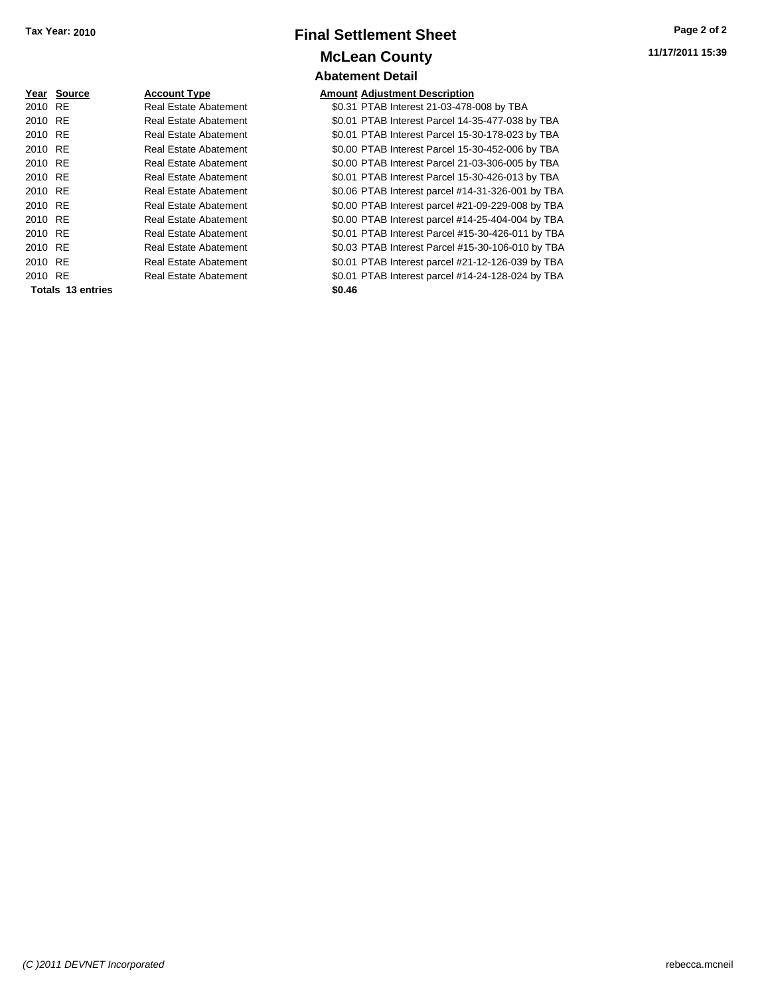### **Final Settlement Sheet Tax Year: 2010 Page 2 of 2 McLean County Abatement Detail**

**Year Source Account Type Amount Adjustment Description** 2010 RE **12.31 Real Estate Abatement** 120.31 PTAB Interest 21-03-478-008 by TBA

**Totals \$0.46 13 entries**

2010 RE **12.010 RE** Real Estate Abatement **\$0.01 PTAB Interest Parcel 14-35-477-038 by TBA** 2010 RE **\$0.01 PTAB Interest Parcel 15-30-178-023 by TBA** Real Estate Abatement 2010 RE **\$0.00 PTAB Interest Parcel 15-30-452-006 by TBA** Real Estate Abatement 2010 RE **\$0.00 PTAB Interest Parcel 21-03-306-005 by TBA** Real Estate Abatement 2010 RE **\$0.01 PTAB Interest Parcel 15-30-426-013 by TBA** Real Estate Abatement 2010 RE **\$0.06 PTAB Interest parcel #14-31-326-001 by TBA** Real Estate Abatement 2010 RE **\$0.00 PTAB Interest parcel #21-09-229-008 by TBA** Real Estate Abatement 2010 RE Real Estate Abatement \$0.00 PTAB Interest parcel #14-25-404-004 by TBA 2010 RE **12.010 Real Estate Abatement** 50.01 PTAB Interest Parcel #15-30-426-011 by TBA 2010 RE **\$0.03 PTAB Interest Parcel #15-30-106-010 by TBA** Real Estate Abatement 2010 RE **\$0.01 PTAB Interest parcel #21-12-126-039 by TBA** Real Estate Abatement 2010 RE **\$0.01 PTAB Interest parcel #14-24-128-024 by TBA** Real Estate Abatement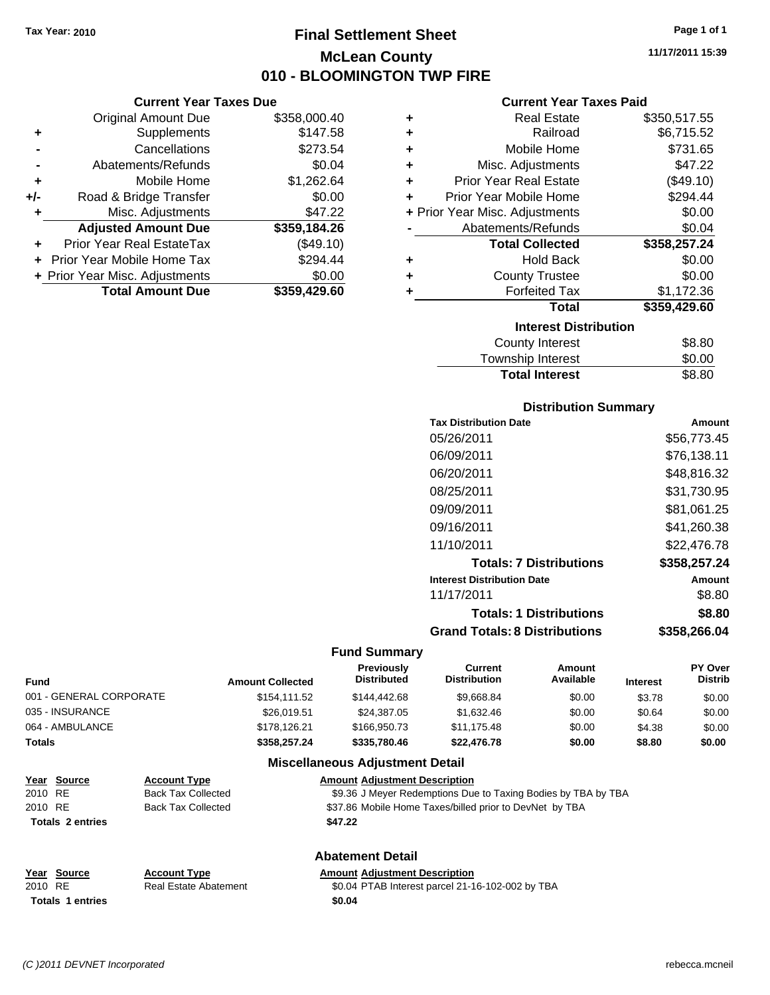### **Final Settlement Sheet Tax Year: 2010 Page 1 of 1 McLean County 010 - BLOOMINGTON TWP FIRE**

**11/17/2011 15:39**

#### **Current Year Taxes Due**

|       | <b>Total Amount Due</b>           | \$359,429.60 |
|-------|-----------------------------------|--------------|
|       | + Prior Year Misc. Adjustments    | \$0.00       |
|       | <b>Prior Year Mobile Home Tax</b> | \$294.44     |
|       | Prior Year Real EstateTax         | (\$49.10)    |
|       | <b>Adjusted Amount Due</b>        | \$359,184.26 |
| ٠     | Misc. Adjustments                 | \$47.22      |
| $+/-$ | Road & Bridge Transfer            | \$0.00       |
| ÷     | Mobile Home                       | \$1,262.64   |
|       | Abatements/Refunds                | \$0.04       |
|       | Cancellations                     | \$273.54     |
| ٠     | Supplements                       | \$147.58     |
|       | <b>Original Amount Due</b>        | \$358,000.40 |
|       |                                   |              |

#### **Current Year Taxes Paid**

| <b>Real Estate</b>            | \$350,517.55                   |
|-------------------------------|--------------------------------|
| Railroad                      | \$6,715.52                     |
| Mobile Home                   | \$731.65                       |
| Misc. Adjustments             | \$47.22                        |
| <b>Prior Year Real Estate</b> | (\$49.10)                      |
| Prior Year Mobile Home        | \$294.44                       |
|                               | \$0.00                         |
| Abatements/Refunds            | \$0.04                         |
| <b>Total Collected</b>        | \$358,257.24                   |
| <b>Hold Back</b>              | \$0.00                         |
| <b>County Trustee</b>         | \$0.00                         |
| <b>Forfeited Tax</b>          | \$1,172.36                     |
| <b>Total</b>                  | \$359,429.60                   |
| <b>Interest Distribution</b>  |                                |
| <b>County Interest</b>        | \$8.80                         |
|                               | + Prior Year Misc. Adjustments |

### Township Interest \$0.00 Total Interest \$8.80

#### **Distribution Summary**

| <b>Tax Distribution Date</b>         | Amount       |
|--------------------------------------|--------------|
| 05/26/2011                           | \$56,773.45  |
| 06/09/2011                           | \$76,138.11  |
| 06/20/2011                           | \$48,816.32  |
| 08/25/2011                           | \$31,730.95  |
| 09/09/2011                           | \$81,061.25  |
| 09/16/2011                           | \$41,260.38  |
| 11/10/2011                           | \$22.476.78  |
| <b>Totals: 7 Distributions</b>       | \$358,257.24 |
| <b>Interest Distribution Date</b>    | Amount       |
| 11/17/2011                           | \$8.80       |
| <b>Totals: 1 Distributions</b>       | \$8.80       |
| <b>Grand Totals: 8 Distributions</b> | \$358,266.04 |

#### **Fund Summary**

| <b>Fund</b>   |                         |                           | <b>Amount Collected</b> | <b>Previously</b><br><b>Distributed</b>                       | Current<br><b>Distribution</b> | Amount<br>Available | <b>Interest</b> | PY Over<br><b>Distrib</b> |        |        |
|---------------|-------------------------|---------------------------|-------------------------|---------------------------------------------------------------|--------------------------------|---------------------|-----------------|---------------------------|--------|--------|
|               | 001 - GENERAL CORPORATE |                           | \$154.111.52            | \$144,442,68                                                  | \$9,668.84                     | \$0.00              | \$3.78          | \$0.00                    |        |        |
|               | 035 - INSURANCE         |                           | \$26,019.51             | \$24,387.05                                                   | \$1,632.46                     | \$0.00              | \$0.64          | \$0.00                    |        |        |
|               | 064 - AMBULANCE         |                           | \$178.126.21            | \$166,950.73                                                  | \$11,175.48                    | \$0.00              | \$4.38          | \$0.00                    |        |        |
| <b>Totals</b> |                         |                           |                         |                                                               | \$358,257,24                   | \$335,780.46        | \$22,476.78     | \$0.00                    | \$8.80 | \$0.00 |
|               |                         |                           |                         | <b>Miscellaneous Adjustment Detail</b>                        |                                |                     |                 |                           |        |        |
|               | Year Source             | <b>Account Type</b>       |                         | <b>Amount Adiustment Description</b>                          |                                |                     |                 |                           |        |        |
| 2010 RE       |                         | <b>Back Tax Collected</b> |                         | \$9.36 J Meyer Redemptions Due to Taxing Bodies by TBA by TBA |                                |                     |                 |                           |        |        |

2010 RE Back Tax Collected \$37.86 Mobile Home Taxes/billed prior to DevNet by TBA **Totals \$47.22 2 entries**

**Totals \$0.04 1 entries**

### **Abatement Detail**

**Year Source Account Type Amount Adjustment Description**

2010 RE **\$**0.04 PTAB Interest parcel 21-16-102-002 by TBA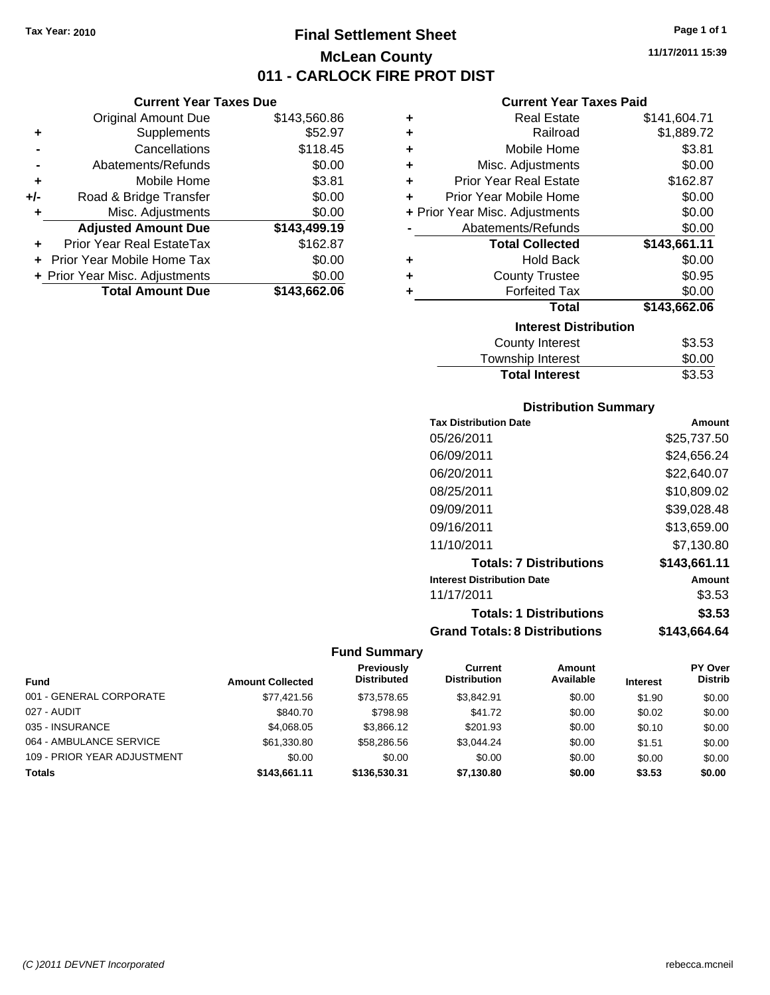### **Final Settlement Sheet Tax Year: 2010 Page 1 of 1 McLean County 011 - CARLOCK FIRE PROT DIST**

**Current Year Taxes Due**

|     | <b>Original Amount Due</b>     | \$143,560.86 |
|-----|--------------------------------|--------------|
| ٠   | Supplements                    | \$52.97      |
|     | Cancellations                  | \$118.45     |
|     | Abatements/Refunds             | \$0.00       |
| ÷   | Mobile Home                    | \$3.81       |
| +/- | Road & Bridge Transfer         | \$0.00       |
| ٠   | Misc. Adjustments              | \$0.00       |
|     | <b>Adjusted Amount Due</b>     | \$143,499.19 |
|     | Prior Year Real EstateTax      | \$162.87     |
|     | Prior Year Mobile Home Tax     | \$0.00       |
|     | + Prior Year Misc. Adjustments | \$0.00       |
|     | <b>Total Amount Due</b>        | \$143,662.06 |
|     |                                |              |

#### **Current Year Taxes Paid**

| ٠ | <b>Real Estate</b>             | \$141,604.71 |
|---|--------------------------------|--------------|
| ÷ | Railroad                       | \$1,889.72   |
| ٠ | Mobile Home                    | \$3.81       |
| ٠ | Misc. Adjustments              | \$0.00       |
| ÷ | <b>Prior Year Real Estate</b>  | \$162.87     |
| ÷ | Prior Year Mobile Home         | \$0.00       |
|   | + Prior Year Misc. Adjustments | \$0.00       |
|   | Abatements/Refunds             | \$0.00       |
|   | <b>Total Collected</b>         | \$143,661.11 |
| ٠ | <b>Hold Back</b>               | \$0.00       |
| ÷ | <b>County Trustee</b>          | \$0.95       |
| ٠ | <b>Forfeited Tax</b>           | \$0.00       |
|   | <b>Total</b>                   | \$143,662.06 |
|   | <b>Interest Distribution</b>   |              |
|   | <b>County Interest</b>         | \$3.53       |
|   |                                | ີ ລ          |

### Township Interest \$0.00<br>
Total Interest \$3.53 **Total Interest**

#### **Distribution Summary**

| <b>Tax Distribution Date</b>         | Amount       |
|--------------------------------------|--------------|
| 05/26/2011                           | \$25,737.50  |
| 06/09/2011                           | \$24,656.24  |
| 06/20/2011                           | \$22,640.07  |
| 08/25/2011                           | \$10.809.02  |
| 09/09/2011                           | \$39.028.48  |
| 09/16/2011                           | \$13.659.00  |
| 11/10/2011                           | \$7.130.80   |
| <b>Totals: 7 Distributions</b>       | \$143,661.11 |
| <b>Interest Distribution Date</b>    | Amount       |
| 11/17/2011                           | \$3.53       |
| <b>Totals: 1 Distributions</b>       | \$3.53       |
| <b>Grand Totals: 8 Distributions</b> | \$143,664.64 |

#### **Fund Summary**

|                             |                         | Previously         | Current             | Amount    |                 | <b>PY Over</b> |
|-----------------------------|-------------------------|--------------------|---------------------|-----------|-----------------|----------------|
| Fund                        | <b>Amount Collected</b> | <b>Distributed</b> | <b>Distribution</b> | Available | <b>Interest</b> | <b>Distrib</b> |
| 001 - GENERAL CORPORATE     | \$77.421.56             | \$73.578.65        | \$3.842.91          | \$0.00    | \$1.90          | \$0.00         |
| 027 - AUDIT                 | \$840.70                | \$798.98           | \$41.72             | \$0.00    | \$0.02          | \$0.00         |
| 035 - INSURANCE             | \$4,068,05              | \$3,866.12         | \$201.93            | \$0.00    | \$0.10          | \$0.00         |
| 064 - AMBULANCE SERVICE     | \$61,330.80             | \$58,286,56        | \$3.044.24          | \$0.00    | \$1.51          | \$0.00         |
| 109 - PRIOR YEAR ADJUSTMENT | \$0.00                  | \$0.00             | \$0.00              | \$0.00    | \$0.00          | \$0.00         |
| <b>Totals</b>               | \$143.661.11            | \$136,530,31       | \$7.130.80          | \$0.00    | \$3.53          | \$0.00         |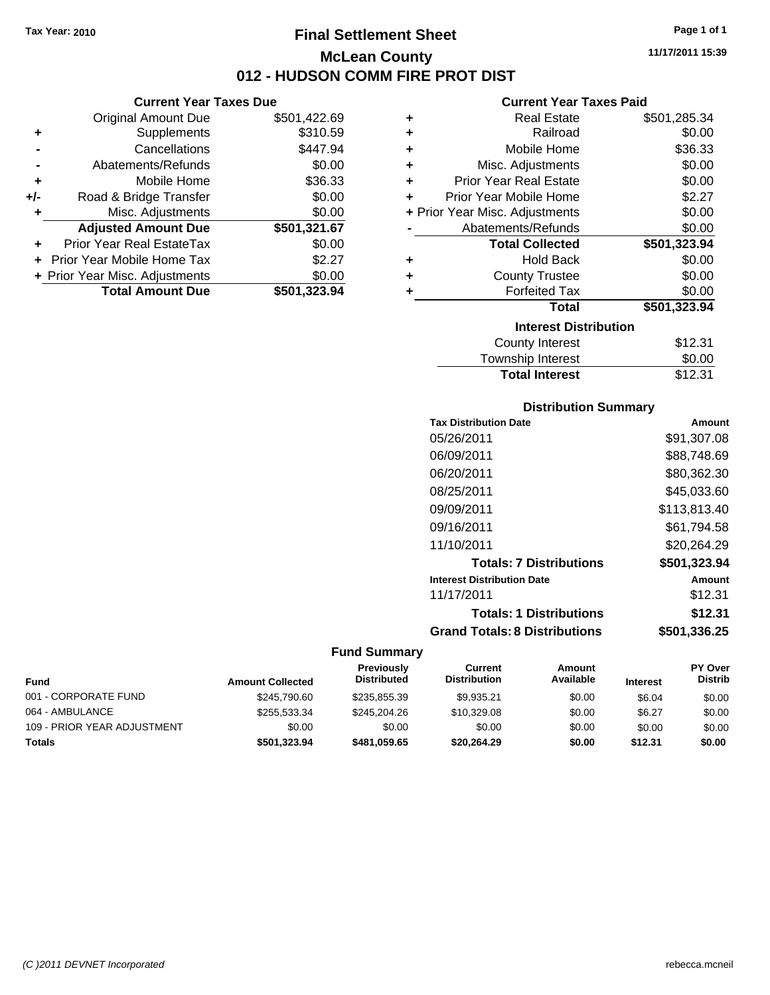**Current Year Taxes Due** Original Amount Due \$501,422.69

**Adjusted Amount Due \$501,321.67**

**+** Supplements \$310.59 **-** Cancellations \$447.94 **-** Abatements/Refunds \$0.00 **+** Mobile Home \$36.33 **+/-** Road & Bridge Transfer \$0.00 **+** Misc. Adjustments \$0.00

**+** Prior Year Real EstateTax \$0.00 **+** Prior Year Mobile Home Tax \$2.27 **+ Prior Year Misc. Adjustments \$0.00<br>Total Amount Due \$501,323.94** 

**Total Amount Due** 

### **Final Settlement Sheet Tax Year: 2010 Page 1 of 1 McLean County 012 - HUDSON COMM FIRE PROT DIST**

**11/17/2011 15:39**

#### **Current Year Taxes Paid**

| ٠ | <b>Real Estate</b>             | \$501,285.34 |
|---|--------------------------------|--------------|
| ٠ | Railroad                       | \$0.00       |
| ٠ | Mobile Home                    | \$36.33      |
| ÷ | Misc. Adjustments              | \$0.00       |
| ٠ | <b>Prior Year Real Estate</b>  | \$0.00       |
| ÷ | Prior Year Mobile Home         | \$2.27       |
|   | + Prior Year Misc. Adjustments | \$0.00       |
|   | Abatements/Refunds             | \$0.00       |
|   | <b>Total Collected</b>         | \$501,323.94 |
| ٠ | <b>Hold Back</b>               | \$0.00       |
| ÷ | <b>County Trustee</b>          | \$0.00       |
| ٠ | <b>Forfeited Tax</b>           | \$0.00       |
|   | Total                          | \$501,323.94 |
|   | <b>Interest Distribution</b>   |              |
|   | <b>County Interest</b>         | \$12.31      |
|   |                                |              |

| <b>Total Interest</b>  | \$12.31   |
|------------------------|-----------|
| Township Interest      | \$0.00    |
| <b>COUTTLY IFTERST</b> | ا ت.∠ا دت |

#### **Distribution Summary**

| <b>Tax Distribution Date</b>         | Amount       |
|--------------------------------------|--------------|
| 05/26/2011                           | \$91.307.08  |
| 06/09/2011                           | \$88,748.69  |
| 06/20/2011                           | \$80.362.30  |
| 08/25/2011                           | \$45.033.60  |
| 09/09/2011                           | \$113,813.40 |
| 09/16/2011                           | \$61,794.58  |
| 11/10/2011                           | \$20.264.29  |
| <b>Totals: 7 Distributions</b>       | \$501,323.94 |
| <b>Interest Distribution Date</b>    | Amount       |
| 11/17/2011                           | \$12.31      |
| <b>Totals: 1 Distributions</b>       | \$12.31      |
| <b>Grand Totals: 8 Distributions</b> | \$501,336.25 |

#### **Fund Summary**

|                             |                         | Previously         | Current             | Amount    |                 | <b>PY Over</b> |
|-----------------------------|-------------------------|--------------------|---------------------|-----------|-----------------|----------------|
| Fund                        | <b>Amount Collected</b> | <b>Distributed</b> | <b>Distribution</b> | Available | <b>Interest</b> | <b>Distrib</b> |
| 001 - CORPORATE FUND        | \$245,790.60            | \$235.855.39       | \$9.935.21          | \$0.00    | \$6.04          | \$0.00         |
| 064 - AMBULANCE             | \$255,533,34            | \$245,204.26       | \$10,329.08         | \$0.00    | \$6.27          | \$0.00         |
| 109 - PRIOR YEAR ADJUSTMENT | \$0.00                  | \$0.00             | \$0.00              | \$0.00    | \$0.00          | \$0.00         |
| <b>Totals</b>               | \$501,323.94            | \$481.059.65       | \$20.264.29         | \$0.00    | \$12.31         | \$0.00         |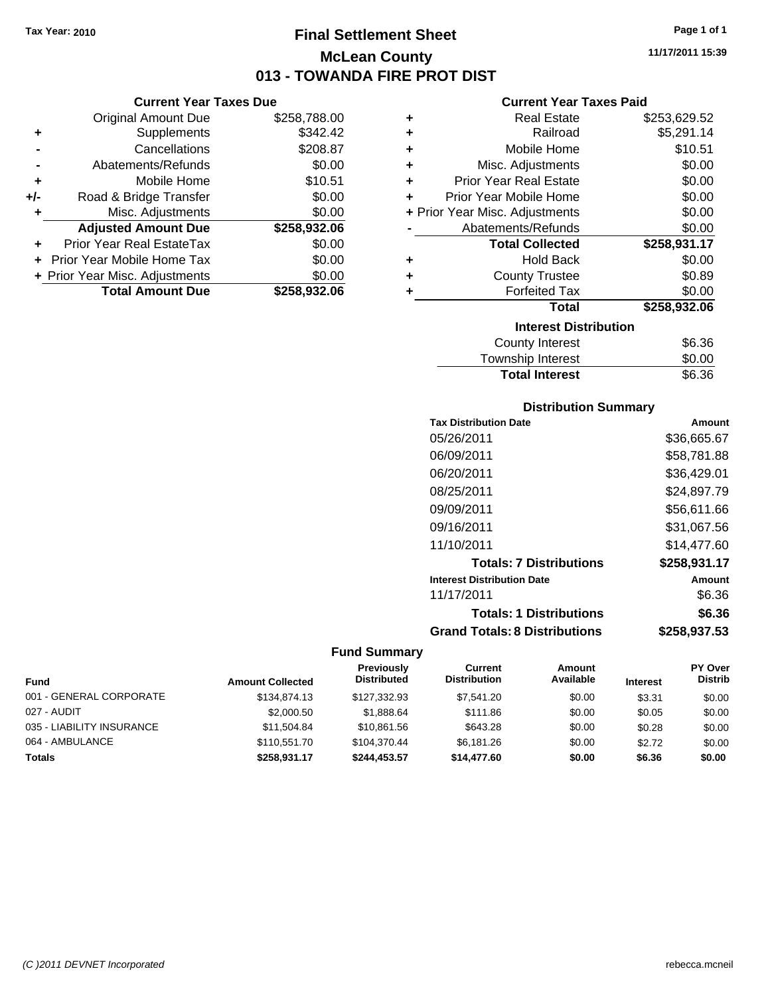### **Final Settlement Sheet Tax Year: 2010 Page 1 of 1 McLean County 013 - TOWANDA FIRE PROT DIST**

**Current Year Taxes Due**

|       | Guilth Ital Taxts Dut          |              |
|-------|--------------------------------|--------------|
|       | <b>Original Amount Due</b>     | \$258,788.00 |
| ٠     | Supplements                    | \$342.42     |
|       | Cancellations                  | \$208.87     |
|       | Abatements/Refunds             | \$0.00       |
| ÷     | Mobile Home                    | \$10.51      |
| $+/-$ | Road & Bridge Transfer         | \$0.00       |
|       | Misc. Adjustments              | \$0.00       |
|       | <b>Adjusted Amount Due</b>     | \$258,932.06 |
| ٠     | Prior Year Real EstateTax      | \$0.00       |
|       | Prior Year Mobile Home Tax     | \$0.00       |
|       | + Prior Year Misc. Adjustments | \$0.00       |
|       | <b>Total Amount Due</b>        | \$258,932.06 |
|       |                                |              |

#### **Current Year Taxes Paid**

|   | <b>Real Estate</b>             | \$253,629.52 |
|---|--------------------------------|--------------|
| ÷ | Railroad                       | \$5,291.14   |
| ٠ | Mobile Home                    | \$10.51      |
| ٠ | Misc. Adjustments              | \$0.00       |
| ÷ | <b>Prior Year Real Estate</b>  | \$0.00       |
| ٠ | Prior Year Mobile Home         | \$0.00       |
|   | + Prior Year Misc. Adjustments | \$0.00       |
|   | Abatements/Refunds             | \$0.00       |
|   | <b>Total Collected</b>         | \$258,931.17 |
| ٠ | <b>Hold Back</b>               | \$0.00       |
| ÷ | <b>County Trustee</b>          | \$0.89       |
| ٠ | <b>Forfeited Tax</b>           | \$0.00       |
|   |                                |              |
|   | <b>Total</b>                   | \$258,932.06 |
|   | <b>Interest Distribution</b>   |              |
|   | County Interest                | \$6.36       |

| <b>Total Interest</b> | \$6.36 |
|-----------------------|--------|
| Township Interest     | \$0.00 |
| County interest       | ახ.ახ  |

#### **Distribution Summary**

| <b>Tax Distribution Date</b>         | Amount       |
|--------------------------------------|--------------|
| 05/26/2011                           | \$36,665.67  |
| 06/09/2011                           | \$58.781.88  |
| 06/20/2011                           | \$36,429.01  |
| 08/25/2011                           | \$24,897.79  |
| 09/09/2011                           | \$56,611.66  |
| 09/16/2011                           | \$31,067.56  |
| 11/10/2011                           | \$14.477.60  |
| <b>Totals: 7 Distributions</b>       | \$258,931.17 |
| <b>Interest Distribution Date</b>    | Amount       |
| 11/17/2011                           | \$6.36       |
| <b>Totals: 1 Distributions</b>       | \$6.36       |
| <b>Grand Totals: 8 Distributions</b> | \$258,937.53 |

#### **Fund Summary**

| Fund                      | <b>Amount Collected</b> | Previously<br><b>Distributed</b> | Current<br><b>Distribution</b> | Amount<br>Available | <b>Interest</b> | <b>PY Over</b><br><b>Distrib</b> |
|---------------------------|-------------------------|----------------------------------|--------------------------------|---------------------|-----------------|----------------------------------|
| 001 - GENERAL CORPORATE   | \$134,874.13            | \$127,332.93                     | \$7,541.20                     | \$0.00              | \$3.31          | \$0.00                           |
| 027 - AUDIT               | \$2,000.50              | \$1.888.64                       | \$111.86                       | \$0.00              | \$0.05          | \$0.00                           |
| 035 - LIABILITY INSURANCE | \$11,504.84             | \$10,861.56                      | \$643.28                       | \$0.00              | \$0.28          | \$0.00                           |
| 064 - AMBULANCE           | \$110.551.70            | \$104.370.44                     | \$6.181.26                     | \$0.00              | \$2.72          | \$0.00                           |
| <b>Totals</b>             | \$258.931.17            | \$244,453.57                     | \$14,477.60                    | \$0.00              | \$6.36          | \$0.00                           |

**11/17/2011 15:39**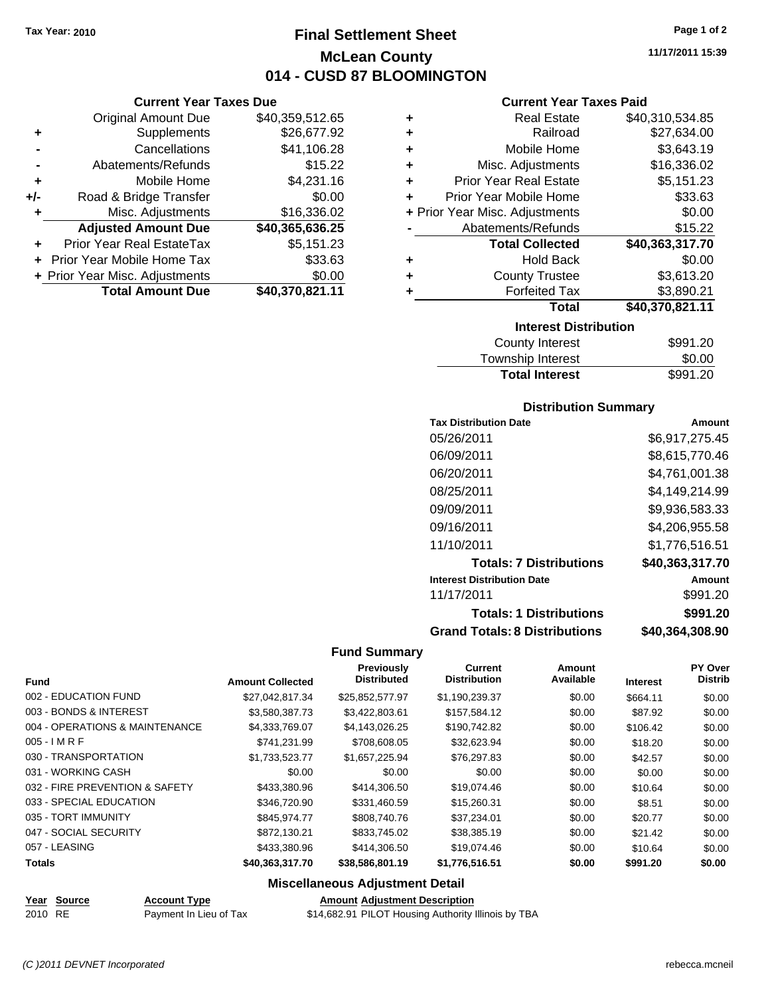**Current Year Taxes Due** Original Amount Due \$40,359,512.65

**Adjusted Amount Due \$40,365,636.25**

**Total Amount Due \$40,370,821.11**

**+** Supplements \$26,677.92 **-** Cancellations \$41,106.28 **-** Abatements/Refunds \$15.22 **+** Mobile Home \$4,231.16 **+/-** Road & Bridge Transfer \$0.00 **+** Misc. Adjustments \$16,336.02

**+** Prior Year Real EstateTax \$5,151.23 **+** Prior Year Mobile Home Tax \$33.63 **+ Prior Year Misc. Adjustments**  $$0.00$ 

### **Final Settlement Sheet Tax Year: 2010 Page 1 of 2 McLean County 014 - CUSD 87 BLOOMINGTON**

**11/17/2011 15:39**

#### **Current Year Taxes Paid**

| ٠                            | <b>Real Estate</b>             | \$40,310,534.85 |  |
|------------------------------|--------------------------------|-----------------|--|
| ٠                            | Railroad                       | \$27,634.00     |  |
| ٠                            | Mobile Home                    | \$3,643.19      |  |
| ٠                            | Misc. Adjustments              | \$16,336.02     |  |
| ÷                            | <b>Prior Year Real Estate</b>  | \$5,151.23      |  |
| ÷                            | Prior Year Mobile Home         | \$33.63         |  |
|                              | + Prior Year Misc. Adjustments | \$0.00          |  |
|                              | Abatements/Refunds             | \$15.22         |  |
|                              | <b>Total Collected</b>         | \$40,363,317.70 |  |
| ٠                            | <b>Hold Back</b>               | \$0.00          |  |
|                              | <b>County Trustee</b>          | \$3,613.20      |  |
| ٠                            | <b>Forfeited Tax</b>           | \$3,890.21      |  |
|                              | Total                          | \$40,370,821.11 |  |
| <b>Interest Distribution</b> |                                |                 |  |

| County Interest       | \$991.20 |
|-----------------------|----------|
| Township Interest     | \$0.00   |
| <b>Total Interest</b> | \$991.20 |

#### **Distribution Summary**

| <b>Tax Distribution Date</b>         | Amount          |
|--------------------------------------|-----------------|
| 05/26/2011                           | \$6.917.275.45  |
| 06/09/2011                           | \$8,615,770.46  |
| 06/20/2011                           | \$4,761,001.38  |
| 08/25/2011                           | \$4,149,214.99  |
| 09/09/2011                           | \$9,936,583.33  |
| 09/16/2011                           | \$4.206.955.58  |
| 11/10/2011                           | \$1,776,516.51  |
| <b>Totals: 7 Distributions</b>       | \$40,363,317.70 |
| <b>Interest Distribution Date</b>    | Amount          |
| 11/17/2011                           | \$991.20        |
| <b>Totals: 1 Distributions</b>       | \$991.20        |
| <b>Grand Totals: 8 Distributions</b> | \$40,364,308.90 |

#### **Fund Summary**

| <b>Fund</b>                    | <b>Amount Collected</b> | Previously<br><b>Distributed</b> | Current<br><b>Distribution</b> | Amount<br>Available | <b>Interest</b> | PY Over<br><b>Distrib</b> |
|--------------------------------|-------------------------|----------------------------------|--------------------------------|---------------------|-----------------|---------------------------|
| 002 - EDUCATION FUND           | \$27.042.817.34         | \$25.852.577.97                  | \$1,190,239.37                 | \$0.00              | \$664.11        | \$0.00                    |
| 003 - BONDS & INTEREST         | \$3.580.387.73          | \$3.422,803.61                   | \$157.584.12                   | \$0.00              | \$87.92         | \$0.00                    |
| 004 - OPERATIONS & MAINTENANCE | \$4,333,769.07          | \$4,143,026.25                   | \$190,742.82                   | \$0.00              | \$106.42        | \$0.00                    |
| $005 - I$ M R F                | \$741,231.99            | \$708,608.05                     | \$32,623.94                    | \$0.00              | \$18.20         | \$0.00                    |
| 030 - TRANSPORTATION           | \$1,733,523.77          | \$1,657,225.94                   | \$76,297.83                    | \$0.00              | \$42.57         | \$0.00                    |
| 031 - WORKING CASH             | \$0.00                  | \$0.00                           | \$0.00                         | \$0.00              | \$0.00          | \$0.00                    |
| 032 - FIRE PREVENTION & SAFETY | \$433,380.96            | \$414,306.50                     | \$19,074.46                    | \$0.00              | \$10.64         | \$0.00                    |
| 033 - SPECIAL EDUCATION        | \$346,720.90            | \$331,460.59                     | \$15,260.31                    | \$0.00              | \$8.51          | \$0.00                    |
| 035 - TORT IMMUNITY            | \$845.974.77            | \$808,740.76                     | \$37.234.01                    | \$0.00              | \$20.77         | \$0.00                    |
| 047 - SOCIAL SECURITY          | \$872.130.21            | \$833,745.02                     | \$38,385.19                    | \$0.00              | \$21.42         | \$0.00                    |
| 057 - LEASING                  | \$433,380.96            | \$414,306.50                     | \$19,074.46                    | \$0.00              | \$10.64         | \$0.00                    |
| <b>Totals</b>                  | \$40,363,317.70         | \$38,586,801.19                  | \$1,776,516.51                 | \$0.00              | \$991.20        | \$0.00                    |
|                                |                         |                                  |                                |                     |                 |                           |

#### **Miscellaneous Adjustment Detail**

| _____   | Year Source | <b>Account Type</b>    | <b>Amount Adiustment Description</b>                |
|---------|-------------|------------------------|-----------------------------------------------------|
| 2010 RE |             | Payment In Lieu of Tax | \$14,682.91 PILOT Housing Authority Illinois by TBA |

*(C )2011 DEVNET Incorporated* rebecca.mcneil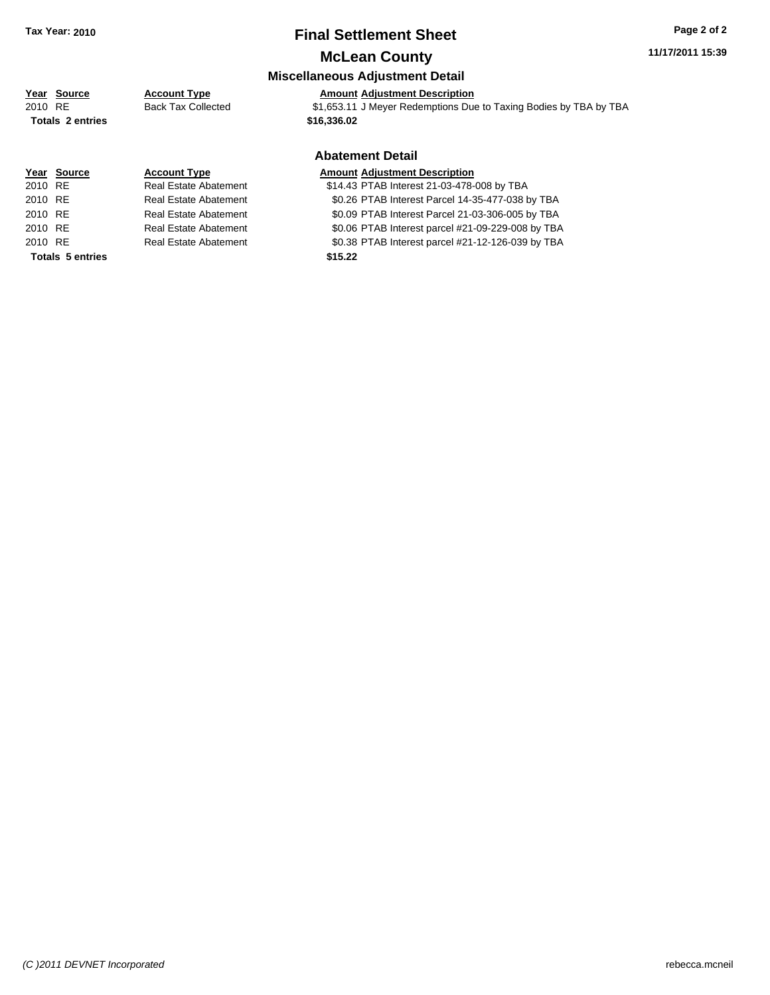### **Final Settlement Sheet Tax Year: 2010 Page 2 of 2**

### **McLean County**

## **Miscellaneous Adjustment Detail**

**Year Source Account Type Amount Adjustment Description** 2010 RE Back Tax Collected \$1,653.11 J Meyer Redemptions Due to Taxing Bodies by TBA by TBA **Totals \$16,336.02 2 entries**

|             |                         |                              | <b>Abatement Detail</b>                           |
|-------------|-------------------------|------------------------------|---------------------------------------------------|
| Year Source |                         | <b>Account Type</b>          | <b>Amount Adjustment Description</b>              |
| 2010 RE     |                         | <b>Real Estate Abatement</b> | \$14.43 PTAB Interest 21-03-478-008 by TBA        |
| 2010 RE     |                         | Real Estate Abatement        | \$0.26 PTAB Interest Parcel 14-35-477-038 by TBA  |
| 2010 RE     |                         | Real Estate Abatement        | \$0.09 PTAB Interest Parcel 21-03-306-005 by TBA  |
| 2010 RE     |                         | Real Estate Abatement        | \$0.06 PTAB Interest parcel #21-09-229-008 by TBA |
| 2010 RE     |                         | Real Estate Abatement        | \$0.38 PTAB Interest parcel #21-12-126-039 by TBA |
|             | <b>Totals 5 entries</b> |                              | \$15.22                                           |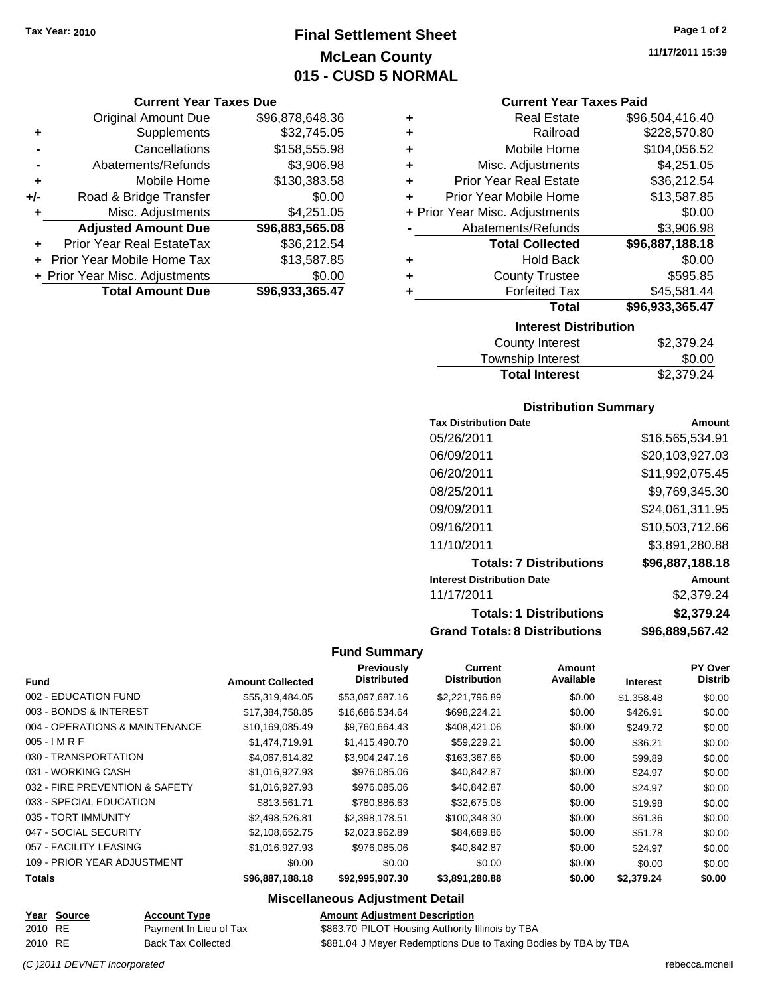### **Final Settlement Sheet Tax Year: 2010 Page 1 of 2 McLean County 015 - CUSD 5 NORMAL**

#### **Current Year Taxes Due**

|     | <b>Original Amount Due</b>     | \$96,878,648.36 |
|-----|--------------------------------|-----------------|
| ٠   | Supplements                    | \$32,745.05     |
|     | Cancellations                  | \$158,555.98    |
|     | Abatements/Refunds             | \$3,906.98      |
| ٠   | Mobile Home                    | \$130,383.58    |
| +/- | Road & Bridge Transfer         | \$0.00          |
| ٠   | Misc. Adjustments              | \$4,251.05      |
|     | <b>Adjusted Amount Due</b>     | \$96,883,565.08 |
| ٠   | Prior Year Real EstateTax      | \$36,212.54     |
|     | + Prior Year Mobile Home Tax   | \$13,587.85     |
|     | + Prior Year Misc. Adjustments | \$0.00          |
|     | <b>Total Amount Due</b>        | \$96,933,365.47 |

| ٠                            | <b>Real Estate</b>             | \$96,504,416.40 |  |  |
|------------------------------|--------------------------------|-----------------|--|--|
| ٠                            | Railroad                       | \$228,570.80    |  |  |
| ٠                            | Mobile Home                    | \$104,056.52    |  |  |
| ٠                            | Misc. Adjustments              | \$4,251.05      |  |  |
| ÷                            | <b>Prior Year Real Estate</b>  | \$36,212.54     |  |  |
|                              | Prior Year Mobile Home         | \$13,587.85     |  |  |
|                              | + Prior Year Misc. Adjustments | \$0.00          |  |  |
|                              | Abatements/Refunds             | \$3,906.98      |  |  |
|                              | <b>Total Collected</b>         | \$96,887,188.18 |  |  |
| ٠                            | <b>Hold Back</b>               | \$0.00          |  |  |
| ٠                            | <b>County Trustee</b>          | \$595.85        |  |  |
| ٠                            | <b>Forfeited Tax</b>           | \$45,581.44     |  |  |
|                              | <b>Total</b>                   | \$96,933,365.47 |  |  |
| <b>Interest Distribution</b> |                                |                 |  |  |

| County Interest       | \$2,379.24 |
|-----------------------|------------|
| Township Interest     | \$0.00     |
| <b>Total Interest</b> | \$2,379.24 |

#### **Distribution Summary**

| <b>Tax Distribution Date</b>         | Amount          |
|--------------------------------------|-----------------|
| 05/26/2011                           | \$16,565,534.91 |
| 06/09/2011                           | \$20,103,927.03 |
| 06/20/2011                           | \$11,992,075.45 |
| 08/25/2011                           | \$9.769.345.30  |
| 09/09/2011                           | \$24,061,311.95 |
| 09/16/2011                           | \$10,503,712.66 |
| 11/10/2011                           | \$3.891.280.88  |
| <b>Totals: 7 Distributions</b>       | \$96,887,188.18 |
| <b>Interest Distribution Date</b>    | Amount          |
| 11/17/2011                           | \$2,379.24      |
| <b>Totals: 1 Distributions</b>       | \$2,379.24      |
| <b>Grand Totals: 8 Distributions</b> | \$96,889,567.42 |

#### **Fund Summary**

| <b>Fund</b>                    | <b>Amount Collected</b> | Previously<br><b>Distributed</b> | Current<br><b>Distribution</b> | Amount<br>Available | <b>Interest</b> | PY Over<br><b>Distrib</b> |
|--------------------------------|-------------------------|----------------------------------|--------------------------------|---------------------|-----------------|---------------------------|
| 002 - EDUCATION FUND           | \$55,319,484.05         | \$53,097,687.16                  | \$2,221,796.89                 | \$0.00              | \$1,358.48      | \$0.00                    |
| 003 - BONDS & INTEREST         | \$17,384,758.85         | \$16,686,534.64                  | \$698,224.21                   | \$0.00              | \$426.91        | \$0.00                    |
| 004 - OPERATIONS & MAINTENANCE | \$10,169,085.49         | \$9.760.664.43                   | \$408,421.06                   | \$0.00              | \$249.72        | \$0.00                    |
| $005 - I$ M R F                | \$1,474,719.91          | \$1.415.490.70                   | \$59.229.21                    | \$0.00              | \$36.21         | \$0.00                    |
| 030 - TRANSPORTATION           | \$4,067,614.82          | \$3,904,247.16                   | \$163,367.66                   | \$0.00              | \$99.89         | \$0.00                    |
| 031 - WORKING CASH             | \$1,016,927.93          | \$976,085.06                     | \$40,842.87                    | \$0.00              | \$24.97         | \$0.00                    |
| 032 - FIRE PREVENTION & SAFETY | \$1,016,927.93          | \$976,085.06                     | \$40,842.87                    | \$0.00              | \$24.97         | \$0.00                    |
| 033 - SPECIAL EDUCATION        | \$813,561.71            | \$780,886.63                     | \$32,675.08                    | \$0.00              | \$19.98         | \$0.00                    |
| 035 - TORT IMMUNITY            | \$2,498,526.81          | \$2,398,178.51                   | \$100,348.30                   | \$0.00              | \$61.36         | \$0.00                    |
| 047 - SOCIAL SECURITY          | \$2,108,652.75          | \$2.023.962.89                   | \$84,689.86                    | \$0.00              | \$51.78         | \$0.00                    |
| 057 - FACILITY LEASING         | \$1.016.927.93          | \$976,085.06                     | \$40.842.87                    | \$0.00              | \$24.97         | \$0.00                    |
| 109 - PRIOR YEAR ADJUSTMENT    | \$0.00                  | \$0.00                           | \$0.00                         | \$0.00              | \$0.00          | \$0.00                    |
| Totals                         | \$96,887,188.18         | \$92,995,907.30                  | \$3,891,280.88                 | \$0.00              | \$2,379.24      | \$0.00                    |

#### **Miscellaneous Adjustment Detail**

|         | Year Source | <b>Account Type</b>       | <b>Amount Adiustment Description</b>                            |
|---------|-------------|---------------------------|-----------------------------------------------------------------|
| 2010 RE |             | Payment In Lieu of Tax    | \$863.70 PILOT Housing Authority Illinois by TBA                |
| 2010 RE |             | <b>Back Tax Collected</b> | \$881.04 J Meyer Redemptions Due to Taxing Bodies by TBA by TBA |

**11/17/2011 15:39**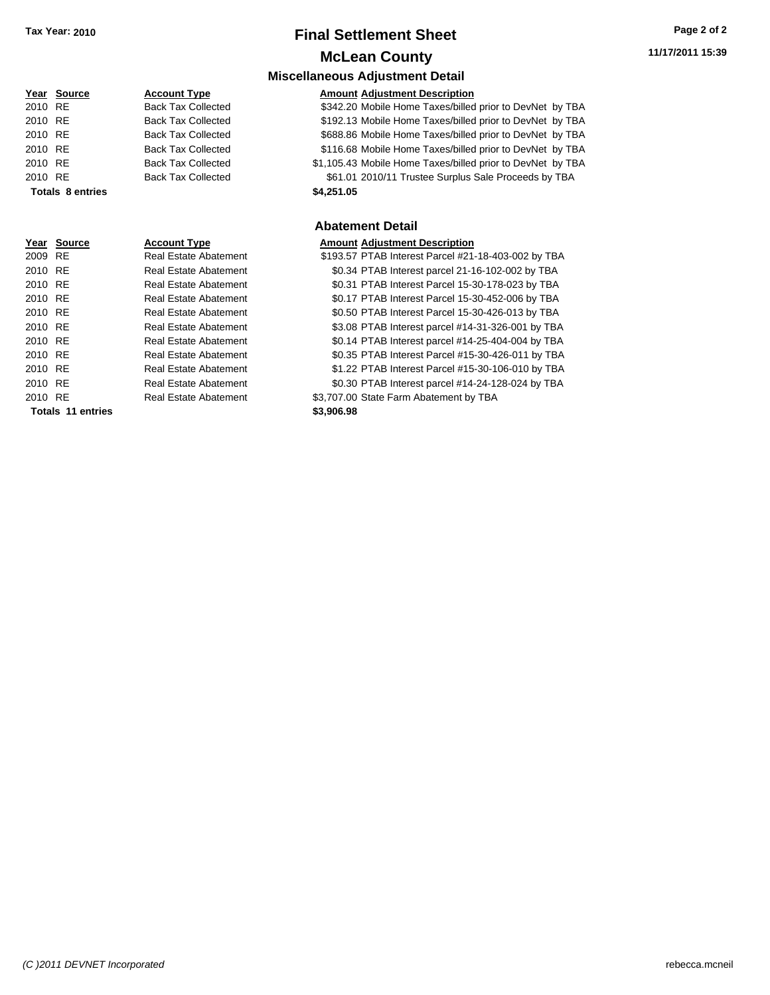### **Final Settlement Sheet Tax Year: 2010 Page 2 of 2 McLean County**

**Miscellaneous Adjustment Detail**

#### **Year Source Account Type Amount Adjustment Description**

|         | <b>IGAL</b> OULLING     | <b>ACCOULL LYDE</b>       | Allioulit Aujustinent Description                          |
|---------|-------------------------|---------------------------|------------------------------------------------------------|
| 2010 RE |                         | <b>Back Tax Collected</b> | \$342.20 Mobile Home Taxes/billed prior to DevNet by TBA   |
| 2010 RE |                         | <b>Back Tax Collected</b> | \$192.13 Mobile Home Taxes/billed prior to DevNet by TBA   |
| 2010 RE |                         | <b>Back Tax Collected</b> | \$688.86 Mobile Home Taxes/billed prior to DevNet by TBA   |
| 2010 RE |                         | <b>Back Tax Collected</b> | \$116.68 Mobile Home Taxes/billed prior to DevNet by TBA   |
| 2010 RE |                         | <b>Back Tax Collected</b> | \$1,105.43 Mobile Home Taxes/billed prior to DevNet by TBA |
| 2010 RE |                         | <b>Back Tax Collected</b> | \$61.01 2010/11 Trustee Surplus Sale Proceeds by TBA       |
|         | <b>Totals 8 entries</b> |                           | \$4,251.05                                                 |
|         |                         |                           |                                                            |

#### **Abatement Detail**

|--|

| 2009 RE           |  | <b>Real Estate Abatement</b> | \$193.57 PTAB Interest Parcel #21-18-403-002 by TBA |
|-------------------|--|------------------------------|-----------------------------------------------------|
| 2010 RE           |  | <b>Real Estate Abatement</b> | \$0.34 PTAB Interest parcel 21-16-102-002 by TBA    |
| 2010 RE           |  | <b>Real Estate Abatement</b> | \$0.31 PTAB Interest Parcel 15-30-178-023 by TBA    |
| 2010 RE           |  | <b>Real Estate Abatement</b> | \$0.17 PTAB Interest Parcel 15-30-452-006 by TBA    |
| 2010 RE           |  | <b>Real Estate Abatement</b> | \$0.50 PTAB Interest Parcel 15-30-426-013 by TBA    |
| 2010 RE           |  | <b>Real Estate Abatement</b> | \$3.08 PTAB Interest parcel #14-31-326-001 by TBA   |
| 2010 RE           |  | <b>Real Estate Abatement</b> | \$0.14 PTAB Interest parcel #14-25-404-004 by TBA   |
| 2010 RE           |  | <b>Real Estate Abatement</b> | \$0.35 PTAB Interest Parcel #15-30-426-011 by TBA   |
| 2010 RE           |  | <b>Real Estate Abatement</b> | \$1.22 PTAB Interest Parcel #15-30-106-010 by TBA   |
| 2010 RE           |  | <b>Real Estate Abatement</b> | \$0.30 PTAB Interest parcel #14-24-128-024 by TBA   |
| 2010 RE           |  | <b>Real Estate Abatement</b> | \$3,707.00 State Farm Abatement by TBA              |
| Totals 11 entries |  |                              | \$3,906.98                                          |
|                   |  |                              |                                                     |

|         |             |                              | <b>Abatement Detail</b>                |
|---------|-------------|------------------------------|----------------------------------------|
|         | Year Source | <b>Account Type</b>          | <b>Amount Adjustment Description</b>   |
| 2009 RE |             | <b>Real Estate Abatement</b> | \$193.57 PTAB Interest Parcel #21-18-4 |
| 2010 RE |             | <b>Real Estate Abatement</b> | \$0.34 PTAB Interest parcel 21-16-10   |
| 2010 RE |             | <b>Real Estate Abatement</b> | \$0.31 PTAB Interest Parcel 15-30-17   |
| 2010 RE |             | Real Estate Abatement        | \$0.17 PTAB Interest Parcel 15-30-45   |
| 2010 RE |             | Real Estate Abatement        | \$0.50 PTAB Interest Parcel 15-30-42   |
| 2010 RE |             | <b>Real Estate Abatement</b> | \$3.08 PTAB Interest parcel #14-31-3.  |
| 2010 RE |             | <b>Real Estate Abatement</b> | \$0.14 PTAB Interest parcel #14-25-4   |
| 2010 RE |             | <b>Real Estate Abatement</b> | \$0.35 PTAB Interest Parcel #15-30-4   |
| 2010 RE |             | <b>Real Estate Abatement</b> | \$1.22 PTAB Interest Parcel #15-30-1   |
| 2010 RE |             | <b>Real Estate Abatement</b> | \$0.30 PTAB Interest parcel #14-24-1.  |
| 2010 RE |             | <b>Real Estate Abatement</b> | \$3,707.00 State Farm Abatement by TBA |
|         |             |                              |                                        |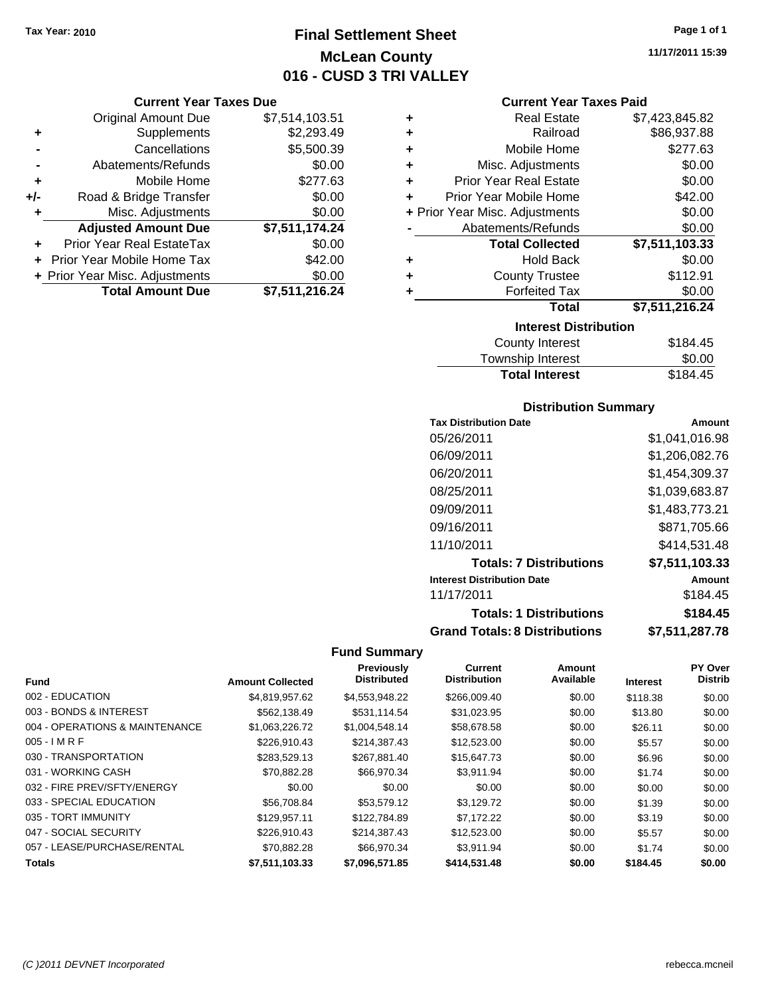### **Final Settlement Sheet Tax Year: 2010 Page 1 of 1 McLean County 016 - CUSD 3 TRI VALLEY**

**Current Year Taxes Due**

|       | <b>Total Amount Due</b>        | \$7,511,216.24 |
|-------|--------------------------------|----------------|
|       | + Prior Year Misc. Adjustments | \$0.00         |
|       | Prior Year Mobile Home Tax     | \$42.00        |
|       | Prior Year Real EstateTax      | \$0.00         |
|       | <b>Adjusted Amount Due</b>     | \$7,511,174.24 |
|       | Misc. Adjustments              | \$0.00         |
| $+/-$ | Road & Bridge Transfer         | \$0.00         |
| ÷     | Mobile Home                    | \$277.63       |
|       | Abatements/Refunds             | \$0.00         |
|       | Cancellations                  | \$5,500.39     |
| ٠     | Supplements                    | \$2,293.49     |
|       | <b>Original Amount Due</b>     | \$7,514,103.51 |
|       |                                |                |

| ٠ | <b>Real Estate</b>             | \$7,423,845.82 |
|---|--------------------------------|----------------|
| ٠ | Railroad                       | \$86,937.88    |
| ٠ | Mobile Home                    | \$277.63       |
| ÷ | Misc. Adjustments              | \$0.00         |
| ٠ | <b>Prior Year Real Estate</b>  | \$0.00         |
| ٠ | Prior Year Mobile Home         | \$42.00        |
|   | + Prior Year Misc. Adjustments | \$0.00         |
|   | Abatements/Refunds             | \$0.00         |
|   | <b>Total Collected</b>         | \$7,511,103.33 |
| ٠ | <b>Hold Back</b>               | \$0.00         |
| ٠ | <b>County Trustee</b>          | \$112.91       |
| ٠ | <b>Forfeited Tax</b>           | \$0.00         |
|   | Total                          | \$7,511,216.24 |
|   | <b>Interest Distribution</b>   |                |
|   | County Interest                | \$184 45       |

| County Interest       | \$184.45 |
|-----------------------|----------|
| Township Interest     | \$0.00   |
| <b>Total Interest</b> | \$184.45 |

#### **Distribution Summary**

| <b>Tax Distribution Date</b>         | Amount         |
|--------------------------------------|----------------|
| 05/26/2011                           | \$1.041.016.98 |
| 06/09/2011                           | \$1,206,082.76 |
| 06/20/2011                           | \$1,454,309.37 |
| 08/25/2011                           | \$1,039,683.87 |
| 09/09/2011                           | \$1,483,773.21 |
| 09/16/2011                           | \$871.705.66   |
| 11/10/2011                           | \$414.531.48   |
| <b>Totals: 7 Distributions</b>       | \$7,511,103.33 |
| <b>Interest Distribution Date</b>    | Amount         |
| 11/17/2011                           | \$184.45       |
| <b>Totals: 1 Distributions</b>       | \$184.45       |
| <b>Grand Totals: 8 Distributions</b> | \$7,511,287.78 |

#### **Fund Summary**

 $\frac{1}{2}$ 

|                                |                         | Previously         | Current             | Amount    |                 | PY Over        |
|--------------------------------|-------------------------|--------------------|---------------------|-----------|-----------------|----------------|
| <b>Fund</b>                    | <b>Amount Collected</b> | <b>Distributed</b> | <b>Distribution</b> | Available | <b>Interest</b> | <b>Distrib</b> |
| 002 - EDUCATION                | \$4,819,957.62          | \$4,553,948.22     | \$266,009.40        | \$0.00    | \$118.38        | \$0.00         |
| 003 - BONDS & INTEREST         | \$562.138.49            | \$531.114.54       | \$31,023.95         | \$0.00    | \$13.80         | \$0.00         |
| 004 - OPERATIONS & MAINTENANCE | \$1,063,226.72          | \$1,004,548.14     | \$58,678.58         | \$0.00    | \$26.11         | \$0.00         |
| $005 - I$ M R F                | \$226.910.43            | \$214,387.43       | \$12,523.00         | \$0.00    | \$5.57          | \$0.00         |
| 030 - TRANSPORTATION           | \$283.529.13            | \$267.881.40       | \$15,647.73         | \$0.00    | \$6.96          | \$0.00         |
| 031 - WORKING CASH             | \$70.882.28             | \$66,970.34        | \$3.911.94          | \$0.00    | \$1.74          | \$0.00         |
| 032 - FIRE PREV/SFTY/ENERGY    | \$0.00                  | \$0.00             | \$0.00              | \$0.00    | \$0.00          | \$0.00         |
| 033 - SPECIAL EDUCATION        | \$56,708.84             | \$53.579.12        | \$3.129.72          | \$0.00    | \$1.39          | \$0.00         |
| 035 - TORT IMMUNITY            | \$129.957.11            | \$122,784.89       | \$7.172.22          | \$0.00    | \$3.19          | \$0.00         |
| 047 - SOCIAL SECURITY          | \$226.910.43            | \$214,387.43       | \$12,523.00         | \$0.00    | \$5.57          | \$0.00         |
| 057 - LEASE/PURCHASE/RENTAL    | \$70.882.28             | \$66,970.34        | \$3.911.94          | \$0.00    | \$1.74          | \$0.00         |
| Totals                         | \$7,511,103.33          | \$7,096,571.85     | \$414,531.48        | \$0.00    | \$184.45        | \$0.00         |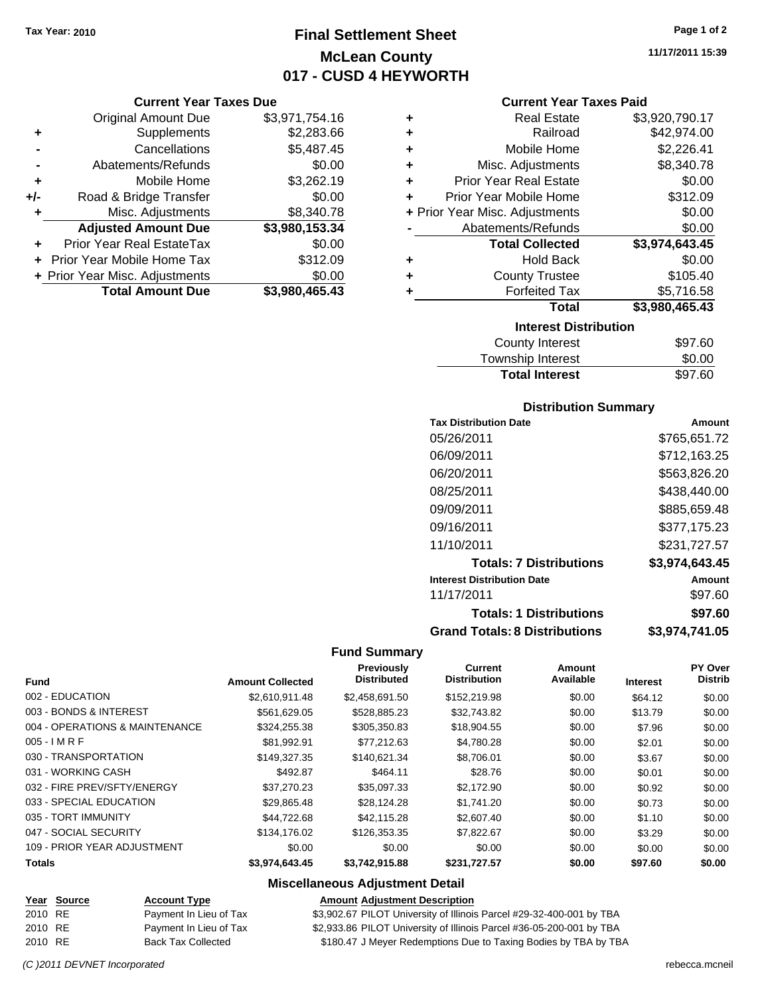### **Final Settlement Sheet Tax Year: 2010 Page 1 of 2 McLean County 017 - CUSD 4 HEYWORTH**

#### **Current Year Taxes Due**

|     | <b>Original Amount Due</b>     | \$3,971,754.16 |
|-----|--------------------------------|----------------|
| ٠   | Supplements                    | \$2,283.66     |
|     | Cancellations                  | \$5,487.45     |
|     | Abatements/Refunds             | \$0.00         |
| ٠   | Mobile Home                    | \$3,262.19     |
| +/- | Road & Bridge Transfer         | \$0.00         |
| ٠   | Misc. Adjustments              | \$8,340.78     |
|     | <b>Adjusted Amount Due</b>     | \$3,980,153.34 |
|     | Prior Year Real EstateTax      | \$0.00         |
|     | Prior Year Mobile Home Tax     | \$312.09       |
|     | + Prior Year Misc. Adjustments | \$0.00         |
|     | <b>Total Amount Due</b>        | \$3,980,465.43 |

#### **Current Year Taxes Paid**

| ٠ | <b>Real Estate</b>             | \$3,920,790.17 |
|---|--------------------------------|----------------|
| ٠ | Railroad                       | \$42,974.00    |
| ٠ | Mobile Home                    | \$2,226.41     |
| ٠ | Misc. Adjustments              | \$8,340.78     |
| ٠ | <b>Prior Year Real Estate</b>  | \$0.00         |
| ÷ | Prior Year Mobile Home         | \$312.09       |
|   | + Prior Year Misc. Adjustments | \$0.00         |
|   | Abatements/Refunds             | \$0.00         |
|   | <b>Total Collected</b>         | \$3,974,643.45 |
| ٠ | <b>Hold Back</b>               | \$0.00         |
| ٠ | <b>County Trustee</b>          | \$105.40       |
| ٠ | <b>Forfeited Tax</b>           | \$5,716.58     |
|   | <b>Total</b>                   | \$3,980,465.43 |
|   | <b>Interest Distribution</b>   |                |
|   |                                |                |

| <b>Total Interest</b> | \$97.60 |
|-----------------------|---------|
| Township Interest     | \$0.00  |
| County Interest       | \$97.60 |

#### **Distribution Summary**

| <b>Tax Distribution Date</b>         | Amount         |
|--------------------------------------|----------------|
| 05/26/2011                           | \$765,651.72   |
| 06/09/2011                           | \$712.163.25   |
| 06/20/2011                           | \$563,826.20   |
| 08/25/2011                           | \$438,440.00   |
| 09/09/2011                           | \$885,659.48   |
| 09/16/2011                           | \$377.175.23   |
| 11/10/2011                           | \$231.727.57   |
| <b>Totals: 7 Distributions</b>       | \$3,974,643.45 |
| <b>Interest Distribution Date</b>    | Amount         |
| 11/17/2011                           | \$97.60        |
| <b>Totals: 1 Distributions</b>       | \$97.60        |
| <b>Grand Totals: 8 Distributions</b> | \$3,974,741.05 |

#### **Fund Summary**

 $\overline{\phantom{0}}$ 

|                                |                         | Previously         | Current             | Amount    |                 | <b>PY Over</b> |
|--------------------------------|-------------------------|--------------------|---------------------|-----------|-----------------|----------------|
| <b>Fund</b>                    | <b>Amount Collected</b> | <b>Distributed</b> | <b>Distribution</b> | Available | <b>Interest</b> | <b>Distrib</b> |
| 002 - EDUCATION                | \$2.610.911.48          | \$2.458.691.50     | \$152,219.98        | \$0.00    | \$64.12         | \$0.00         |
| 003 - BONDS & INTEREST         | \$561.629.05            | \$528,885,23       | \$32.743.82         | \$0.00    | \$13.79         | \$0.00         |
| 004 - OPERATIONS & MAINTENANCE | \$324,255.38            | \$305,350.83       | \$18,904.55         | \$0.00    | \$7.96          | \$0.00         |
| $005 - IMRF$                   | \$81.992.91             | \$77.212.63        | \$4,780.28          | \$0.00    | \$2.01          | \$0.00         |
| 030 - TRANSPORTATION           | \$149.327.35            | \$140.621.34       | \$8,706.01          | \$0.00    | \$3.67          | \$0.00         |
| 031 - WORKING CASH             | \$492.87                | \$464.11           | \$28.76             | \$0.00    | \$0.01          | \$0.00         |
| 032 - FIRE PREV/SFTY/ENERGY    | \$37,270.23             | \$35,097.33        | \$2,172.90          | \$0.00    | \$0.92          | \$0.00         |
| 033 - SPECIAL EDUCATION        | \$29,865.48             | \$28.124.28        | \$1,741.20          | \$0.00    | \$0.73          | \$0.00         |
| 035 - TORT IMMUNITY            | \$44.722.68             | \$42,115,28        | \$2,607.40          | \$0.00    | \$1.10          | \$0.00         |
| 047 - SOCIAL SECURITY          | \$134,176.02            | \$126,353.35       | \$7,822.67          | \$0.00    | \$3.29          | \$0.00         |
| 109 - PRIOR YEAR ADJUSTMENT    | \$0.00                  | \$0.00             | \$0.00              | \$0.00    | \$0.00          | \$0.00         |
| <b>Totals</b>                  | \$3.974.643.45          | \$3.742.915.88     | \$231,727.57        | \$0.00    | \$97.60         | \$0.00         |

#### **Miscellaneous Adjustment Detail**

|         | Year Source | <b>Account Type</b>    | <b>Amount Adjustment Description</b>                                 |
|---------|-------------|------------------------|----------------------------------------------------------------------|
| 2010 RE |             | Payment In Lieu of Tax | \$3,902.67 PILOT University of Illinois Parcel #29-32-400-001 by TBA |
| 2010 RE |             | Payment In Lieu of Tax | \$2,933.86 PILOT University of Illinois Parcel #36-05-200-001 by TBA |
| 2010 RE |             | Back Tax Collected     | \$180.47 J Meyer Redemptions Due to Taxing Bodies by TBA by TBA      |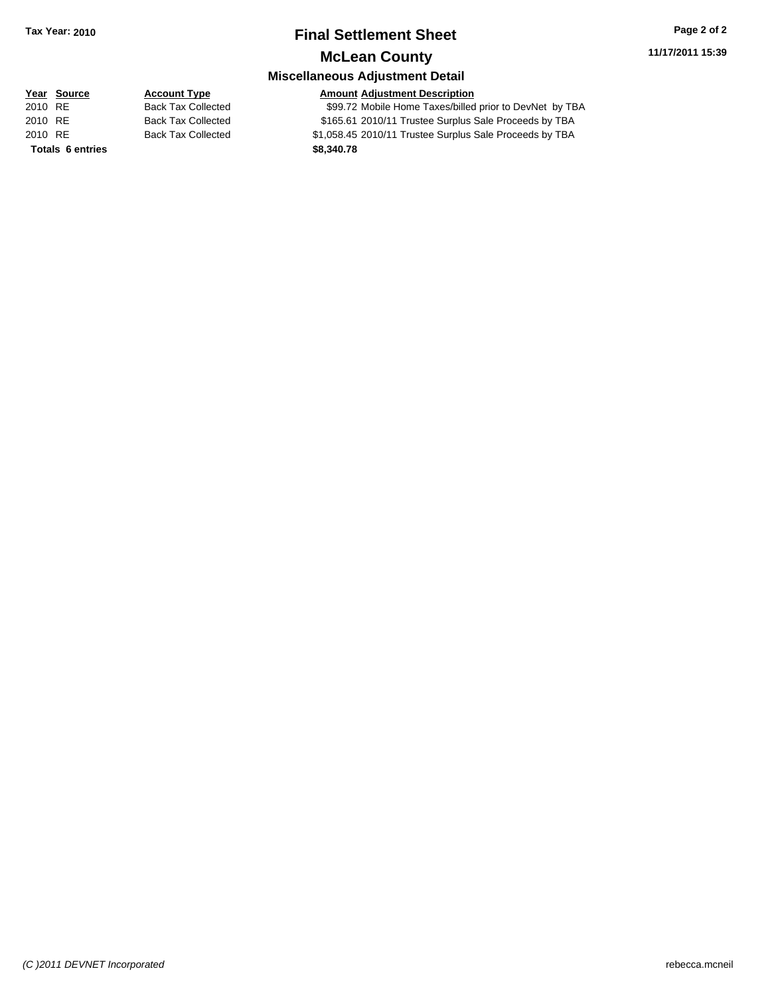### **Final Settlement Sheet Tax Year: 2010 Page 2 of 2 McLean County**

**11/17/2011 15:39**

### **Miscellaneous Adjustment Detail**

### **Year Source Account Type Amount Adjustment Description**

2010 RE Back Tax Collected \$99.72 Mobile Home Taxes/billed prior to DevNet by TBA 2010 RE Back Tax Collected \$165.61 2010/11 Trustee Surplus Sale Proceeds by TBA 2010 RE Back Tax Collected \$1,058.45 2010/11 Trustee Surplus Sale Proceeds by TBA **Totals \$8,340.78 6 entries**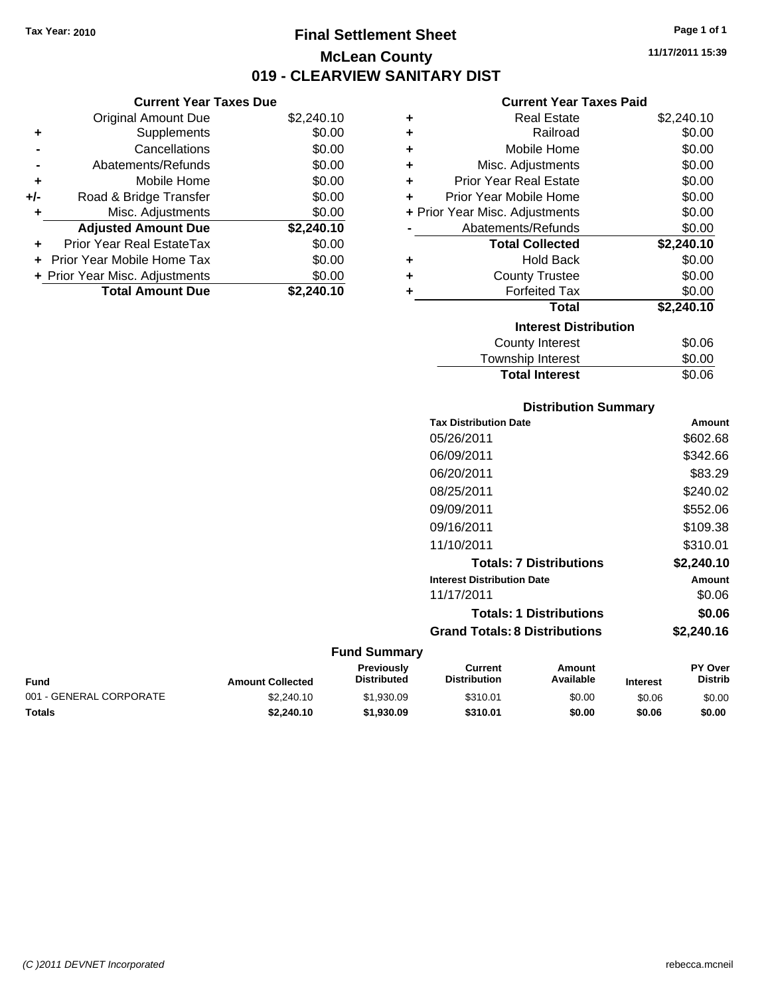### **Final Settlement Sheet Tax Year: 2010 Page 1 of 1 McLean County 019 - CLEARVIEW SANITARY DIST**

#### **Current Year Taxes Due**

|     | <b>Original Amount Due</b>     | \$2,240.10 |
|-----|--------------------------------|------------|
| ٠   | Supplements                    | \$0.00     |
|     | Cancellations                  | \$0.00     |
|     | Abatements/Refunds             | \$0.00     |
| ÷   | Mobile Home                    | \$0.00     |
| +/- | Road & Bridge Transfer         | \$0.00     |
| ٠   | Misc. Adjustments              | \$0.00     |
|     | <b>Adjusted Amount Due</b>     | \$2,240.10 |
| ÷   | Prior Year Real EstateTax      | \$0.00     |
|     | Prior Year Mobile Home Tax     | \$0.00     |
|     | + Prior Year Misc. Adjustments | \$0.00     |
|     | <b>Total Amount Due</b>        | \$2,240.10 |

#### **Current Year Taxes Paid**

| ٠ | <b>Real Estate</b>             | \$2,240.10 |
|---|--------------------------------|------------|
| ٠ | Railroad                       | \$0.00     |
| ÷ | Mobile Home                    | \$0.00     |
| ٠ | Misc. Adjustments              | \$0.00     |
| ٠ | <b>Prior Year Real Estate</b>  | \$0.00     |
| ٠ | Prior Year Mobile Home         | \$0.00     |
|   | + Prior Year Misc. Adjustments | \$0.00     |
|   | Abatements/Refunds             | \$0.00     |
|   | <b>Total Collected</b>         | \$2,240.10 |
| ٠ | <b>Hold Back</b>               | \$0.00     |
| ٠ | <b>County Trustee</b>          | \$0.00     |
|   | <b>Forfeited Tax</b>           | \$0.00     |
|   | <b>Total</b>                   | \$2,240.10 |
|   | <b>Interest Distribution</b>   |            |
|   | <b>County Interest</b>         | \$0.06     |
|   | <b>Townebin Interact</b>       | ድስ ሰስ      |

#### Township Interest  $$0.00$ **Total Interest** \$0.06

| <b>Distribution Summary</b>          |            |
|--------------------------------------|------------|
| <b>Tax Distribution Date</b>         | Amount     |
| 05/26/2011                           | \$602.68   |
| 06/09/2011                           | \$342.66   |
| 06/20/2011                           | \$83.29    |
| 08/25/2011                           | \$240.02   |
| 09/09/2011                           | \$552.06   |
| 09/16/2011                           | \$109.38   |
| 11/10/2011                           | \$310.01   |
| <b>Totals: 7 Distributions</b>       | \$2,240.10 |
| <b>Interest Distribution Date</b>    | Amount     |
| 11/17/2011                           | \$0.06     |
| <b>Totals: 1 Distributions</b>       | \$0.06     |
| <b>Grand Totals: 8 Distributions</b> | \$2,240.16 |

#### **Fund Summary**

| Fund                    | <b>Amount Collected</b> | <b>Previously</b><br><b>Distributed</b> | Current<br><b>Distribution</b> | Amount<br>Available | <b>Interest</b> | <b>PY Over</b><br>Distrib |
|-------------------------|-------------------------|-----------------------------------------|--------------------------------|---------------------|-----------------|---------------------------|
| 001 - GENERAL CORPORATE | \$2,240.10              | \$1,930.09                              | \$310.01                       | \$0.00              | \$0.06          | \$0.00                    |
| Totals                  | \$2,240.10              | \$1,930.09                              | \$310.01                       | \$0.00              | \$0.06          | \$0.00                    |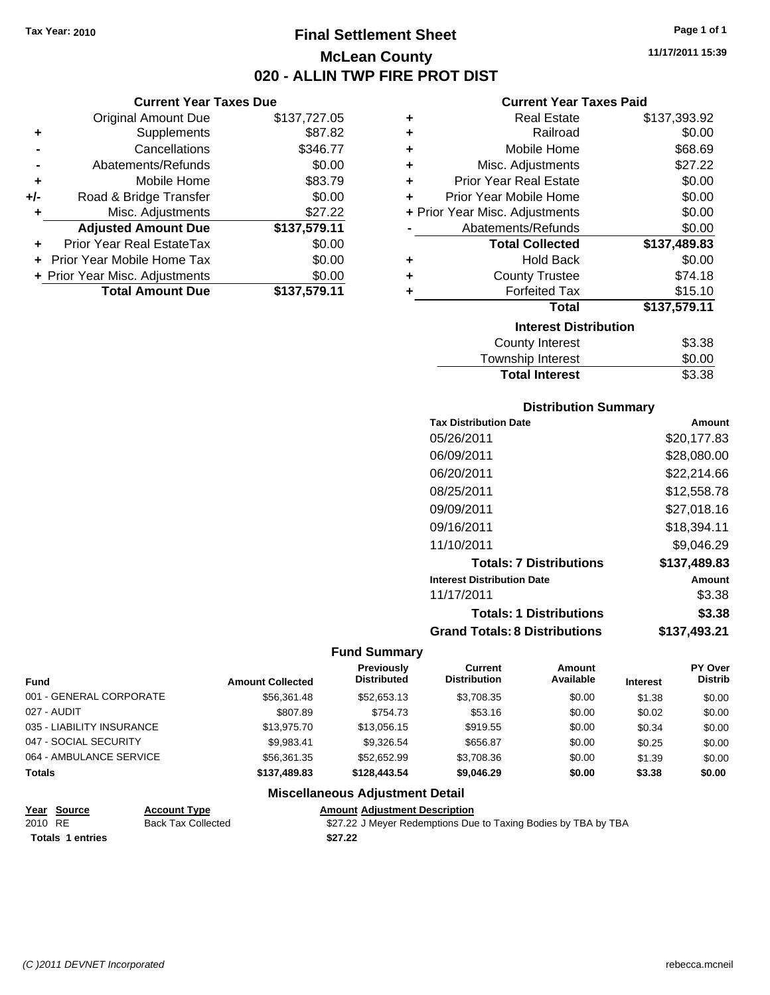### **Final Settlement Sheet Tax Year: 2010 Page 1 of 1 McLean County 020 - ALLIN TWP FIRE PROT DIST**

**11/17/2011 15:39**

| <b>Current Year Taxes Due</b> |  |  |
|-------------------------------|--|--|

|       | <b>Original Amount Due</b>     | \$137,727.05 |
|-------|--------------------------------|--------------|
| ٠     | Supplements                    | \$87.82      |
|       | Cancellations                  | \$346.77     |
|       | Abatements/Refunds             | \$0.00       |
| ÷     | Mobile Home                    | \$83.79      |
| $+/-$ | Road & Bridge Transfer         | \$0.00       |
| ٠     | Misc. Adjustments              | \$27.22      |
|       | <b>Adjusted Amount Due</b>     | \$137,579.11 |
|       | Prior Year Real EstateTax      | \$0.00       |
|       | Prior Year Mobile Home Tax     | \$0.00       |
|       | + Prior Year Misc. Adjustments | \$0.00       |
|       | <b>Total Amount Due</b>        | \$137,579.11 |
|       |                                |              |

#### **Current Year Taxes Paid**

|   | <b>Real Estate</b>             | \$137,393.92 |
|---|--------------------------------|--------------|
| ٠ | Railroad                       | \$0.00       |
| ٠ | Mobile Home                    | \$68.69      |
| ٠ | Misc. Adjustments              | \$27.22      |
| ٠ | <b>Prior Year Real Estate</b>  | \$0.00       |
| ٠ | Prior Year Mobile Home         | \$0.00       |
|   | + Prior Year Misc. Adjustments | \$0.00       |
|   | Abatements/Refunds             | \$0.00       |
|   | <b>Total Collected</b>         | \$137,489.83 |
| ٠ | <b>Hold Back</b>               | \$0.00       |
| ٠ | <b>County Trustee</b>          | \$74.18      |
|   | <b>Forfeited Tax</b>           | \$15.10      |
|   | Total                          | \$137,579.11 |
|   | <b>Interest Distribution</b>   |              |
|   | <b>County Interest</b>         | \$3.38       |

| <b>Total Interest</b> | \$3.38 |
|-----------------------|--------|
| Township Interest     | \$0.00 |
|                       | vv.vv  |

#### **Distribution Summary**

| <b>Tax Distribution Date</b>         | Amount       |
|--------------------------------------|--------------|
| 05/26/2011                           | \$20,177.83  |
| 06/09/2011                           | \$28,080,00  |
| 06/20/2011                           | \$22,214.66  |
| 08/25/2011                           | \$12,558.78  |
| 09/09/2011                           | \$27.018.16  |
| 09/16/2011                           | \$18,394.11  |
| 11/10/2011                           | \$9.046.29   |
| <b>Totals: 7 Distributions</b>       | \$137,489.83 |
| <b>Interest Distribution Date</b>    | Amount       |
| 11/17/2011                           | \$3.38       |
| <b>Totals: 1 Distributions</b>       | \$3.38       |
| <b>Grand Totals: 8 Distributions</b> | \$137,493.21 |

#### **Fund Summary**

|                           |                         | Previously<br><b>Distributed</b> | Current<br><b>Distribution</b> | Amount<br>Available |                 | <b>PY Over</b><br><b>Distrib</b> |
|---------------------------|-------------------------|----------------------------------|--------------------------------|---------------------|-----------------|----------------------------------|
| <b>Fund</b>               | <b>Amount Collected</b> |                                  |                                |                     | <b>Interest</b> |                                  |
| 001 - GENERAL CORPORATE   | \$56,361.48             | \$52,653.13                      | \$3.708.35                     | \$0.00              | \$1.38          | \$0.00                           |
| 027 - AUDIT               | \$807.89                | \$754.73                         | \$53.16                        | \$0.00              | \$0.02          | \$0.00                           |
| 035 - LIABILITY INSURANCE | \$13,975.70             | \$13,056.15                      | \$919.55                       | \$0.00              | \$0.34          | \$0.00                           |
| 047 - SOCIAL SECURITY     | \$9.983.41              | \$9.326.54                       | \$656.87                       | \$0.00              | \$0.25          | \$0.00                           |
| 064 - AMBULANCE SERVICE   | \$56.361.35             | \$52.652.99                      | \$3,708.36                     | \$0.00              | \$1.39          | \$0.00                           |
| <b>Totals</b>             | \$137,489,83            | \$128,443.54                     | \$9,046.29                     | \$0.00              | \$3.38          | \$0.00                           |

#### **Miscellaneous Adjustment Detail**

| Year Source             | <b>Account Type</b>       | <b>Amount Adiustment Description</b>                           |  |
|-------------------------|---------------------------|----------------------------------------------------------------|--|
| 2010 RE                 | <b>Back Tax Collected</b> | \$27.22 J Meyer Redemptions Due to Taxing Bodies by TBA by TBA |  |
| <b>Totals 1 entries</b> |                           | \$27.22                                                        |  |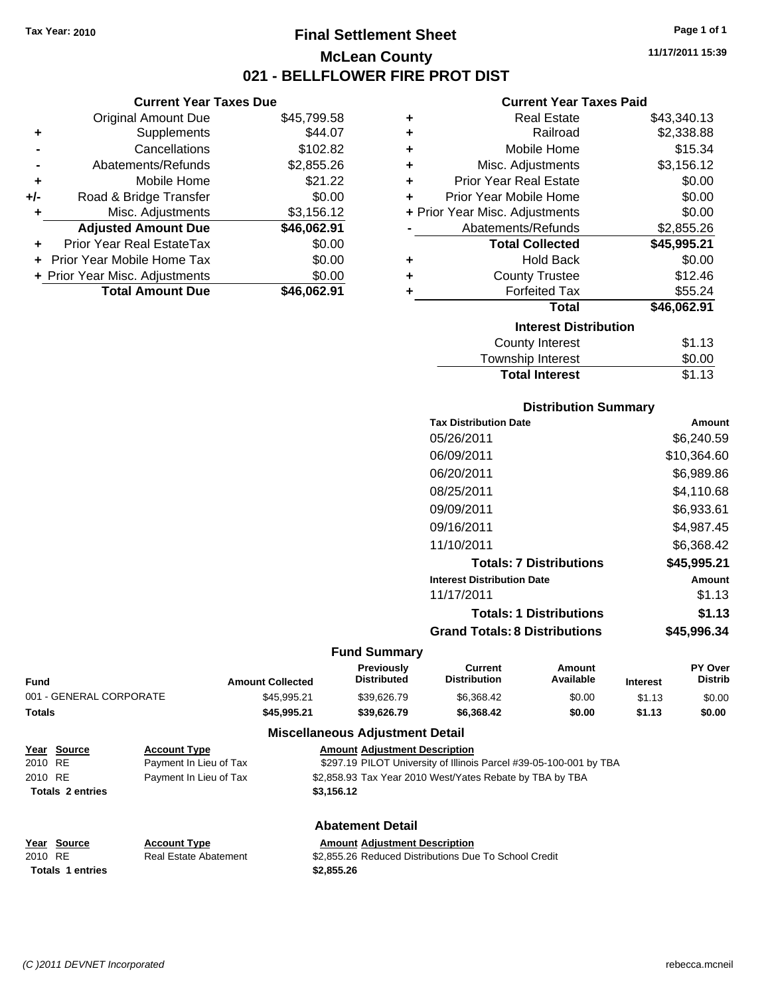### **Final Settlement Sheet Tax Year: 2010 Page 1 of 1 McLean County 021 - BELLFLOWER FIRE PROT DIST**

**Current Year Taxes Due**

|       | <b>Original Amount Due</b>        | \$45,799.58 |
|-------|-----------------------------------|-------------|
| ٠     | Supplements                       | \$44.07     |
|       | Cancellations                     | \$102.82    |
|       | Abatements/Refunds                | \$2,855.26  |
| ٠     | Mobile Home                       | \$21.22     |
| $+/-$ | Road & Bridge Transfer            | \$0.00      |
|       | Misc. Adjustments                 | \$3,156.12  |
|       | <b>Adjusted Amount Due</b>        | \$46,062.91 |
|       | Prior Year Real EstateTax         | \$0.00      |
|       | <b>Prior Year Mobile Home Tax</b> | \$0.00      |
|       | + Prior Year Misc. Adjustments    | \$0.00      |
|       | <b>Total Amount Due</b>           | \$46.062.91 |
|       |                                   |             |

#### **Current Year Taxes Paid**

| ٠ | <b>Real Estate</b>             | \$43,340.13 |
|---|--------------------------------|-------------|
| ÷ | Railroad                       | \$2,338.88  |
| ٠ | Mobile Home                    | \$15.34     |
| ٠ | Misc. Adjustments              | \$3,156.12  |
| ٠ | <b>Prior Year Real Estate</b>  | \$0.00      |
| ٠ | Prior Year Mobile Home         | \$0.00      |
|   | + Prior Year Misc. Adjustments | \$0.00      |
|   | Abatements/Refunds             | \$2,855.26  |
|   | <b>Total Collected</b>         | \$45,995.21 |
| ٠ | <b>Hold Back</b>               | \$0.00      |
| ٠ | <b>County Trustee</b>          | \$12.46     |
| ٠ | <b>Forfeited Tax</b>           | \$55.24     |
|   | Total                          | \$46,062.91 |
|   | <b>Interest Distribution</b>   |             |
|   | <b>County Interest</b>         | \$1.13      |
|   | Township Interest              | \$0.00      |
|   | <b>Total Interest</b>          | \$1.13      |

#### **Distribution Summary**

| <b>Tax Distribution Date</b>         | Amount      |
|--------------------------------------|-------------|
| 05/26/2011                           | \$6,240.59  |
| 06/09/2011                           | \$10,364.60 |
| 06/20/2011                           | \$6.989.86  |
| 08/25/2011                           | \$4,110.68  |
| 09/09/2011                           | \$6,933.61  |
| 09/16/2011                           | \$4.987.45  |
| 11/10/2011                           | \$6,368.42  |
| <b>Totals: 7 Distributions</b>       | \$45,995.21 |
| <b>Interest Distribution Date</b>    | Amount      |
| 11/17/2011                           | \$1.13      |
| <b>Totals: 1 Distributions</b>       | \$1.13      |
| <b>Grand Totals: 8 Distributions</b> | \$45.996.34 |

#### **Fund Summary**

| Fund                    | <b>Amount Collected</b> | <b>Previously</b><br><b>Distributed</b> | Current<br><b>Distribution</b> | Amount<br>Available | <b>Interest</b> | <b>PY Over</b><br><b>Distrib</b> |
|-------------------------|-------------------------|-----------------------------------------|--------------------------------|---------------------|-----------------|----------------------------------|
| 001 - GENERAL CORPORATE | \$45.995.21             | \$39.626.79                             | \$6.368.42                     | \$0.00              | \$1.13          | \$0.00                           |
| Totals                  | \$45.995.21             | \$39,626,79                             | \$6,368,42                     | \$0.00              | \$1.13          | \$0.00                           |
|                         |                         |                                         |                                |                     |                 |                                  |

#### **Miscellaneous Adjustment Detail**

| Year Source             | <b>Account Type</b>    | <b>Amount Adjustment Description</b>                               |
|-------------------------|------------------------|--------------------------------------------------------------------|
| 2010 RE                 | Payment In Lieu of Tax | \$297.19 PILOT University of Illinois Parcel #39-05-100-001 by TBA |
| 2010 RE                 | Payment In Lieu of Tax | \$2,858.93 Tax Year 2010 West/Yates Rebate by TBA by TBA           |
| <b>Totals 2 entries</b> |                        | \$3,156.12                                                         |
|                         |                        | <b>Abatement Detail</b>                                            |

**Totals \$2,855.26 1 entries**

| Year Source |                  |
|-------------|------------------|
| 2010 RE     |                  |
|             | Totals 1 entries |

**Year Source Account Type Amount Adjustment Description** Real Estate Abatement \$2,855.26 Reduced Distributions Due To School Credit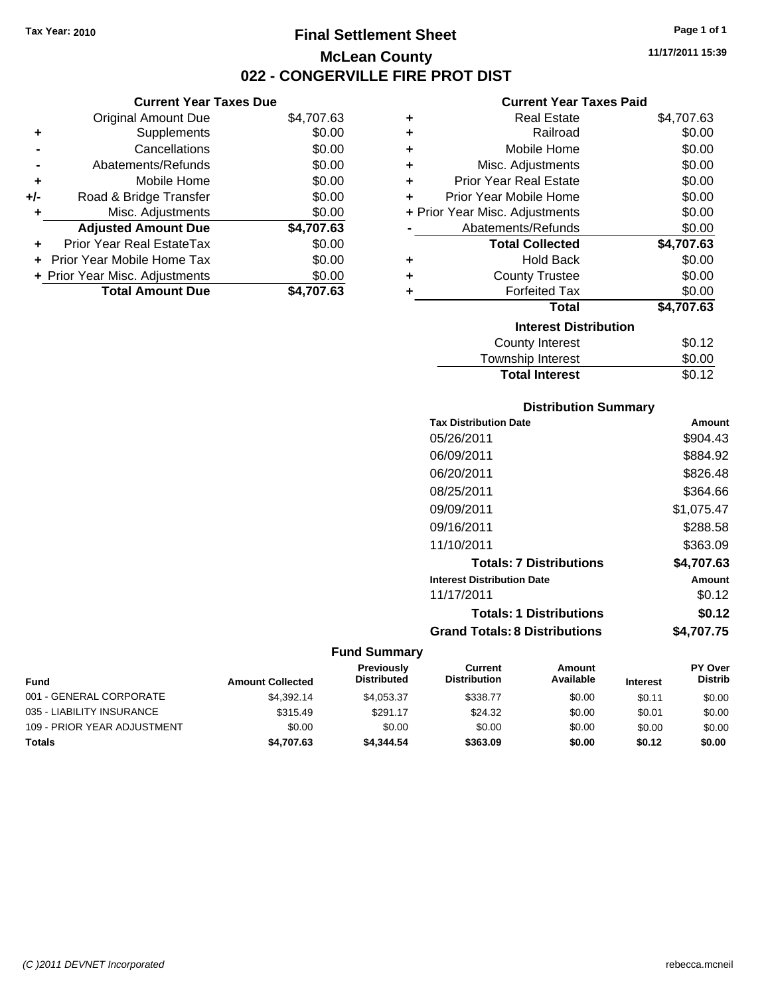**Current Year Taxes Due** Original Amount Due \$4,707.63

**Adjusted Amount Due \$4,707.63**

**Total Amount Due \$4,707.63**

**+** Supplements \$0.00 **-** Cancellations \$0.00 **-** Abatements/Refunds \$0.00 **+** Mobile Home \$0.00 **+/-** Road & Bridge Transfer \$0.00 **+** Misc. Adjustments \$0.00

**+** Prior Year Real EstateTax \$0.00 **+** Prior Year Mobile Home Tax \$0.00 **+ Prior Year Misc. Adjustments**  $$0.00$ 

### **Final Settlement Sheet Tax Year: 2010 Page 1 of 1 McLean County 022 - CONGERVILLE FIRE PROT DIST**

**11/17/2011 15:39**

### **Current Year Taxes Paid**

|   | GUITEIIL TEAL TAXES FAIU       |            |
|---|--------------------------------|------------|
| ٠ | <b>Real Estate</b>             | \$4,707.63 |
| ٠ | Railroad                       | \$0.00     |
| ٠ | Mobile Home                    | \$0.00     |
| ٠ | Misc. Adjustments              | \$0.00     |
| ٠ | <b>Prior Year Real Estate</b>  | \$0.00     |
| ÷ | Prior Year Mobile Home         | \$0.00     |
|   | + Prior Year Misc. Adjustments | \$0.00     |
|   | Abatements/Refunds             | \$0.00     |
|   | <b>Total Collected</b>         | \$4,707.63 |
| ٠ | <b>Hold Back</b>               | \$0.00     |
| ٠ | <b>County Trustee</b>          | \$0.00     |
| ٠ | <b>Forfeited Tax</b>           | \$0.00     |
|   | <b>Total</b>                   | \$4,707.63 |
|   | <b>Interest Distribution</b>   |            |
|   | <b>County Interest</b>         | \$0.12     |
|   |                                |            |

| Township Interest     | \$0.00 |
|-----------------------|--------|
| <b>Total Interest</b> | \$0.12 |
|                       |        |

#### **Distribution Summary**

| <b>Tax Distribution Date</b>         | Amount     |
|--------------------------------------|------------|
| 05/26/2011                           | \$904.43   |
| 06/09/2011                           | \$884.92   |
| 06/20/2011                           | \$826.48   |
| 08/25/2011                           | \$364.66   |
| 09/09/2011                           | \$1.075.47 |
| 09/16/2011                           | \$288.58   |
| 11/10/2011                           | \$363.09   |
| <b>Totals: 7 Distributions</b>       | \$4,707.63 |
| <b>Interest Distribution Date</b>    | Amount     |
| 11/17/2011                           | \$0.12     |
| <b>Totals: 1 Distributions</b>       | \$0.12     |
| <b>Grand Totals: 8 Distributions</b> | \$4.707.75 |

#### **Fund Summary**

| <b>Fund</b>                 | <b>Amount Collected</b> | <b>Previously</b><br><b>Distributed</b> | Current<br><b>Distribution</b> | Amount<br>Available | <b>Interest</b> | <b>PY Over</b><br><b>Distrib</b> |
|-----------------------------|-------------------------|-----------------------------------------|--------------------------------|---------------------|-----------------|----------------------------------|
| 001 - GENERAL CORPORATE     | \$4,392.14              | \$4.053.37                              | \$338.77                       | \$0.00              | \$0.11          | \$0.00                           |
| 035 - LIABILITY INSURANCE   | \$315.49                | \$291.17                                | \$24.32                        | \$0.00              | \$0.01          | \$0.00                           |
| 109 - PRIOR YEAR ADJUSTMENT | \$0.00                  | \$0.00                                  | \$0.00                         | \$0.00              | \$0.00          | \$0.00                           |
| Totals                      | \$4,707.63              | \$4,344,54                              | \$363.09                       | \$0.00              | \$0.12          | \$0.00                           |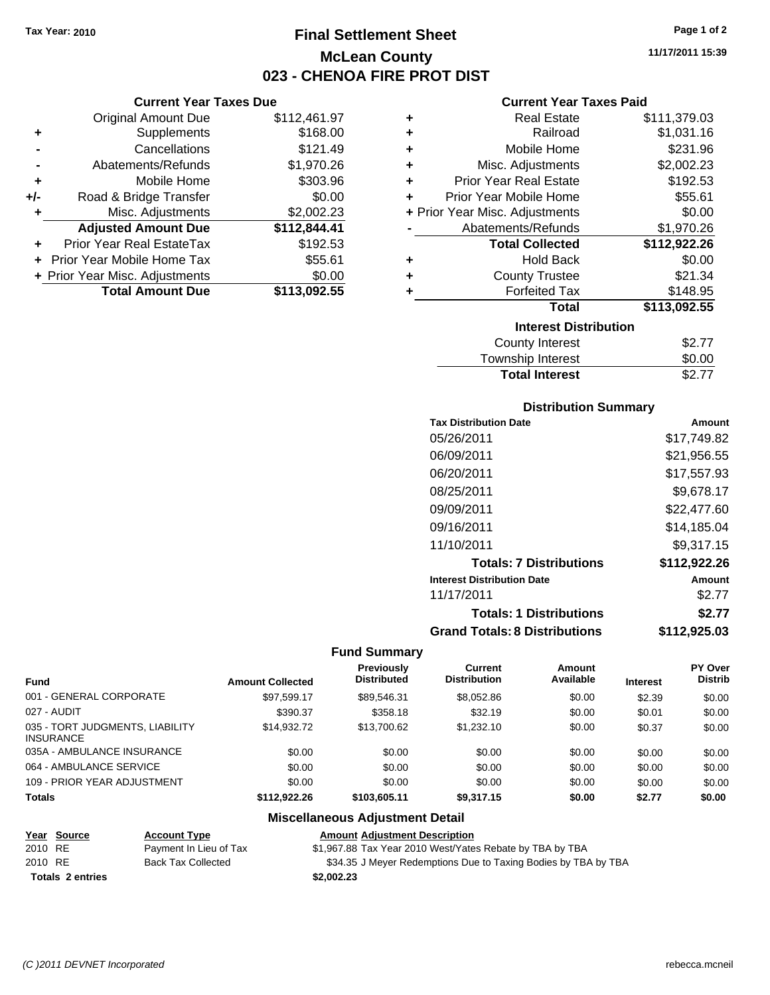**Current Year Taxes Due** Original Amount Due \$112,461.97

**+** Supplements \$168.00 **-** Cancellations **\$121.49 -** Abatements/Refunds \$1,970.26 **+** Mobile Home \$303.96 **+/-** Road & Bridge Transfer \$0.00 **+** Misc. Adjustments \$2,002.23 **Adjusted Amount Due \$112,844.41**

**+** Prior Year Real EstateTax \$192.53 **+** Prior Year Mobile Home Tax \$55.61 **+ Prior Year Misc. Adjustments**  $$0.00$ 

**Total Amount Due \$113,092.55**

### **Final Settlement Sheet Tax Year: 2010 Page 1 of 2 McLean County 023 - CHENOA FIRE PROT DIST**

**11/17/2011 15:39**

#### **Current Year Taxes Paid**

| ٠ | <b>Real Estate</b>             | \$111,379.03 |  |  |
|---|--------------------------------|--------------|--|--|
| ÷ | Railroad                       | \$1,031.16   |  |  |
| ÷ | Mobile Home                    | \$231.96     |  |  |
| ٠ | Misc. Adjustments              | \$2,002.23   |  |  |
| ÷ | <b>Prior Year Real Estate</b>  | \$192.53     |  |  |
| ÷ | Prior Year Mobile Home         | \$55.61      |  |  |
|   | + Prior Year Misc. Adjustments | \$0.00       |  |  |
|   | Abatements/Refunds             | \$1,970.26   |  |  |
|   | <b>Total Collected</b>         | \$112,922.26 |  |  |
| ٠ | <b>Hold Back</b>               | \$0.00       |  |  |
| ٠ | <b>County Trustee</b>          | \$21.34      |  |  |
| ÷ | <b>Forfeited Tax</b>           | \$148.95     |  |  |
|   | <b>Total</b>                   | \$113,092.55 |  |  |
|   | <b>Interest Distribution</b>   |              |  |  |
|   | <b>County Interest</b>         | \$2.77       |  |  |
|   | Tauraahin Intornat             | ሮስ ሰሰ        |  |  |

| Township Interest     | \$0.00 |
|-----------------------|--------|
| <b>Total Interest</b> | \$2.77 |

#### **Distribution Summary**

| <b>Tax Distribution Date</b>         | Amount       |
|--------------------------------------|--------------|
| 05/26/2011                           | \$17.749.82  |
| 06/09/2011                           | \$21,956.55  |
| 06/20/2011                           | \$17,557.93  |
| 08/25/2011                           | \$9.678.17   |
| 09/09/2011                           | \$22,477.60  |
| 09/16/2011                           | \$14.185.04  |
| 11/10/2011                           | \$9.317.15   |
| <b>Totals: 7 Distributions</b>       | \$112,922.26 |
| <b>Interest Distribution Date</b>    | Amount       |
| 11/17/2011                           | \$2.77       |
| <b>Totals: 1 Distributions</b>       | \$2.77       |
| <b>Grand Totals: 8 Distributions</b> | \$112,925.03 |

#### **Fund Summary**

| <b>Fund</b>                                         | <b>Amount Collected</b> | <b>Previously</b><br><b>Distributed</b> | Current<br><b>Distribution</b> | <b>Amount</b><br>Available | <b>Interest</b> | <b>PY Over</b><br><b>Distrib</b> |
|-----------------------------------------------------|-------------------------|-----------------------------------------|--------------------------------|----------------------------|-----------------|----------------------------------|
| 001 - GENERAL CORPORATE                             | \$97.599.17             | \$89.546.31                             | \$8,052.86                     | \$0.00                     | \$2.39          | \$0.00                           |
| 027 - AUDIT                                         | \$390.37                | \$358.18                                | \$32.19                        | \$0.00                     | \$0.01          | \$0.00                           |
| 035 - TORT JUDGMENTS, LIABILITY<br><b>INSURANCE</b> | \$14.932.72             | \$13,700.62                             | \$1,232.10                     | \$0.00                     | \$0.37          | \$0.00                           |
| 035A - AMBULANCE INSURANCE                          | \$0.00                  | \$0.00                                  | \$0.00                         | \$0.00                     | \$0.00          | \$0.00                           |
| 064 - AMBULANCE SERVICE                             | \$0.00                  | \$0.00                                  | \$0.00                         | \$0.00                     | \$0.00          | \$0.00                           |
| 109 - PRIOR YEAR ADJUSTMENT                         | \$0.00                  | \$0.00                                  | \$0.00                         | \$0.00                     | \$0.00          | \$0.00                           |
| <b>Totals</b>                                       | \$112.922.26            | \$103,605.11                            | \$9.317.15                     | \$0.00                     | \$2.77          | \$0.00                           |

#### **Miscellaneous Adjustment Detail**

**Year Source Account Type Amount Adjustment Description**

2010 RE Payment In Lieu of Tax \$1,967.88 Tax Year 2010 West/Yates Rebate by TBA by TBA

**Totals \$2,002.23 2 entries**

2010 RE Back Tax Collected \$34.35 J Meyer Redemptions Due to Taxing Bodies by TBA by TBA

*(C )2011 DEVNET Incorporated* rebecca.mcneil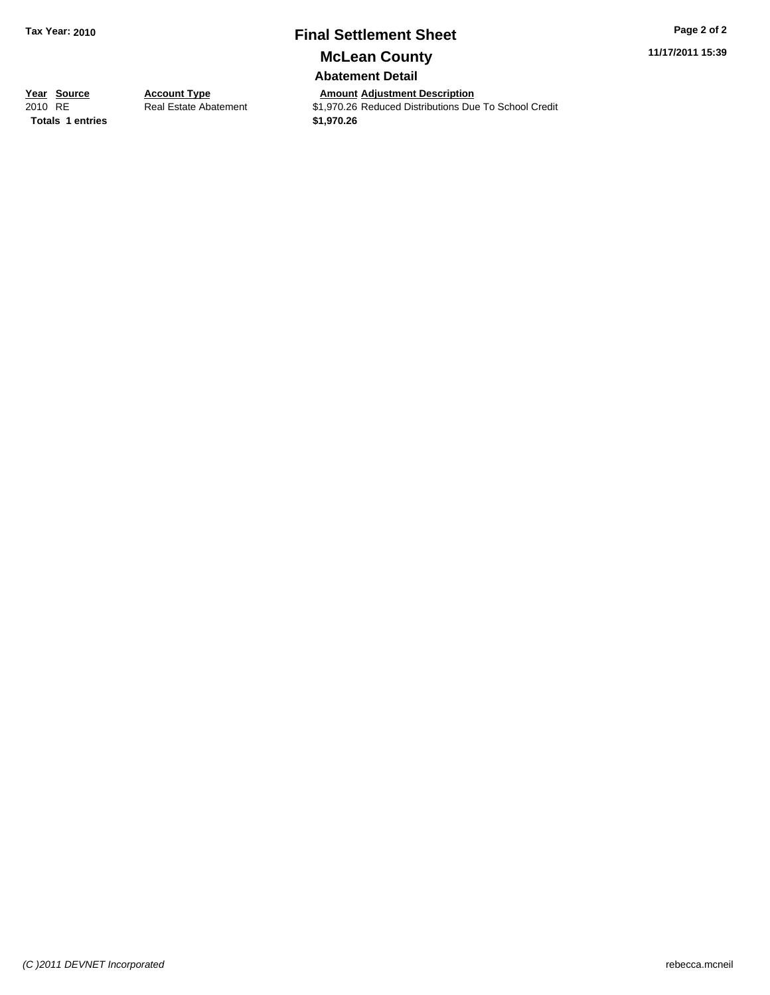### **Final Settlement Sheet Tax Year: 2010 Page 2 of 2**

**11/17/2011 15:39**

**McLean County**

**Abatement Detail**

**Totals \$1,970.26 1 entries**

**Year Source Account Type And Adjustment Description**<br>
2010 RE Real Estate Abatement \$1,970.26 Reduced Distributions Due **2010 Real Estate Abatement** \$1,970.26 Reduced Distributions Due To School Credit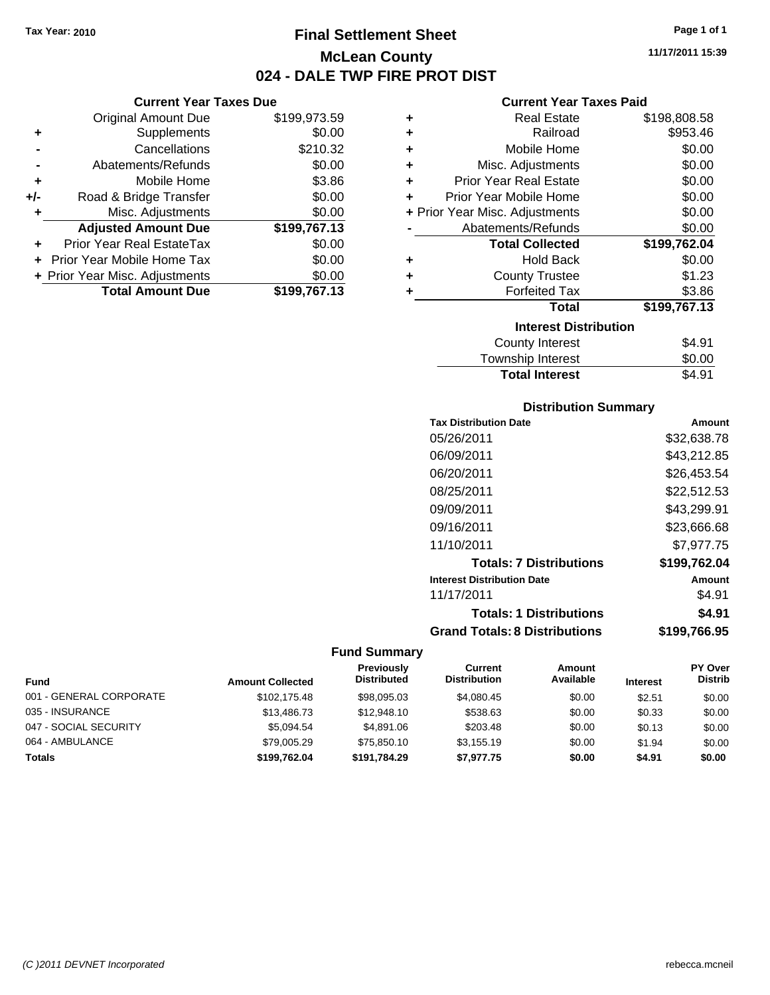### **Final Settlement Sheet Tax Year: 2010 Page 1 of 1 McLean County 024 - DALE TWP FIRE PROT DIST**

**Current Year Taxes Due**

|       | <b>Total Amount Due</b>           | \$199,767.13 |
|-------|-----------------------------------|--------------|
|       | + Prior Year Misc. Adjustments    | \$0.00       |
|       | <b>Prior Year Mobile Home Tax</b> | \$0.00       |
|       | Prior Year Real EstateTax         | \$0.00       |
|       | <b>Adjusted Amount Due</b>        | \$199,767.13 |
| ٠     | Misc. Adjustments                 | \$0.00       |
| $+/-$ | Road & Bridge Transfer            | \$0.00       |
| ÷     | Mobile Home                       | \$3.86       |
|       | Abatements/Refunds                | \$0.00       |
|       | Cancellations                     | \$210.32     |
| ٠     | Supplements                       | \$0.00       |
|       | <b>Original Amount Due</b>        | \$199,973.59 |
|       |                                   |              |

#### **Current Year Taxes Paid**

| ٠ | <b>Real Estate</b>             | \$198,808.58 |  |  |  |  |
|---|--------------------------------|--------------|--|--|--|--|
| ٠ | Railroad                       | \$953.46     |  |  |  |  |
| ٠ | Mobile Home                    | \$0.00       |  |  |  |  |
| ٠ | Misc. Adjustments              | \$0.00       |  |  |  |  |
| ÷ | <b>Prior Year Real Estate</b>  | \$0.00       |  |  |  |  |
| ÷ | Prior Year Mobile Home         | \$0.00       |  |  |  |  |
|   | + Prior Year Misc. Adjustments | \$0.00       |  |  |  |  |
|   | Abatements/Refunds             | \$0.00       |  |  |  |  |
|   | <b>Total Collected</b>         | \$199,762.04 |  |  |  |  |
| ٠ | <b>Hold Back</b>               | \$0.00       |  |  |  |  |
| ٠ | <b>County Trustee</b>          | \$1.23       |  |  |  |  |
| ٠ | <b>Forfeited Tax</b>           | \$3.86       |  |  |  |  |
|   | <b>Total</b>                   | \$199,767.13 |  |  |  |  |
|   | <b>Interest Distribution</b>   |              |  |  |  |  |
|   | <b>County Interest</b>         | \$4.91       |  |  |  |  |
|   | Taunaakin latasaat             | ጦ ለለ         |  |  |  |  |

| <b>Total Interest</b> | \$4.91 |
|-----------------------|--------|
| Township Interest     | \$0.00 |
| County interest       | ১৭.৬ ৷ |

#### **Distribution Summary**

| <b>Tax Distribution Date</b>         | Amount       |
|--------------------------------------|--------------|
| 05/26/2011                           | \$32,638.78  |
| 06/09/2011                           | \$43,212.85  |
| 06/20/2011                           | \$26.453.54  |
| 08/25/2011                           | \$22.512.53  |
| 09/09/2011                           | \$43,299.91  |
| 09/16/2011                           | \$23,666.68  |
| 11/10/2011                           | \$7.977.75   |
| <b>Totals: 7 Distributions</b>       | \$199,762.04 |
| <b>Interest Distribution Date</b>    | Amount       |
| 11/17/2011                           | \$4.91       |
| <b>Totals: 1 Distributions</b>       | \$4.91       |
| <b>Grand Totals: 8 Distributions</b> | \$199,766.95 |

#### **Fund Summary**

|                         |                         | <b>Previously</b><br><b>Distributed</b> | Current<br><b>Distribution</b> | Amount<br>Available |                 | <b>PY Over</b><br><b>Distrib</b> |
|-------------------------|-------------------------|-----------------------------------------|--------------------------------|---------------------|-----------------|----------------------------------|
| <b>Fund</b>             | <b>Amount Collected</b> |                                         |                                |                     | <b>Interest</b> |                                  |
| 001 - GENERAL CORPORATE | \$102,175.48            | \$98,095,03                             | \$4,080.45                     | \$0.00              | \$2.51          | \$0.00                           |
| 035 - INSURANCE         | \$13,486.73             | \$12,948.10                             | \$538.63                       | \$0.00              | \$0.33          | \$0.00                           |
| 047 - SOCIAL SECURITY   | \$5.094.54              | \$4.891.06                              | \$203.48                       | \$0.00              | \$0.13          | \$0.00                           |
| 064 - AMBULANCE         | \$79,005.29             | \$75,850.10                             | \$3.155.19                     | \$0.00              | \$1.94          | \$0.00                           |
| <b>Totals</b>           | \$199.762.04            | \$191,784.29                            | \$7.977.75                     | \$0.00              | \$4.91          | \$0.00                           |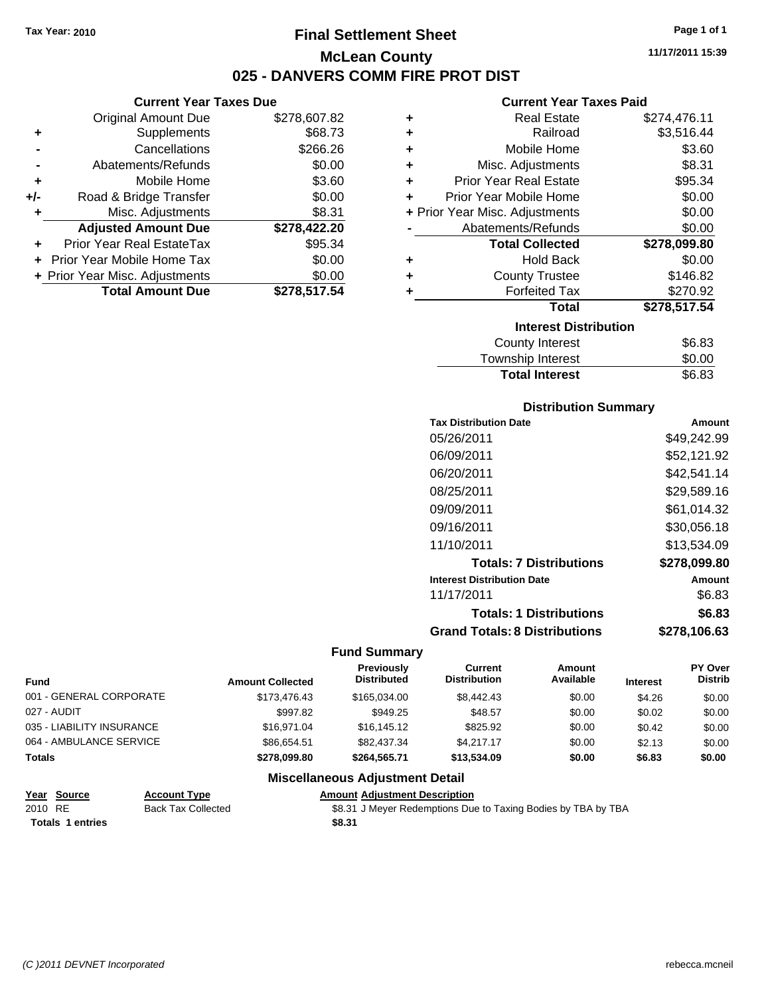### **Final Settlement Sheet Tax Year: 2010 Page 1 of 1 McLean County 025 - DANVERS COMM FIRE PROT DIST**

#### **Current Year Taxes Due**

|       | <b>Original Amount Due</b>     | \$278,607.82 |
|-------|--------------------------------|--------------|
| ٠     | Supplements                    | \$68.73      |
|       | Cancellations                  | \$266.26     |
|       | Abatements/Refunds             | \$0.00       |
| ٠     | Mobile Home                    | \$3.60       |
| $+/-$ | Road & Bridge Transfer         | \$0.00       |
| ٠     | Misc. Adjustments              | \$8.31       |
|       | <b>Adjusted Amount Due</b>     | \$278,422.20 |
|       | Prior Year Real EstateTax      | \$95.34      |
|       | Prior Year Mobile Home Tax     | \$0.00       |
|       | + Prior Year Misc. Adjustments | \$0.00       |
|       | <b>Total Amount Due</b>        | \$278,517,54 |

#### **Current Year Taxes Paid**

| ٠ | <b>Real Estate</b>             | \$274,476.11 |  |  |  |  |
|---|--------------------------------|--------------|--|--|--|--|
| ٠ | Railroad                       | \$3,516.44   |  |  |  |  |
| ÷ | Mobile Home                    | \$3.60       |  |  |  |  |
| ٠ | Misc. Adjustments              | \$8.31       |  |  |  |  |
| ÷ | <b>Prior Year Real Estate</b>  | \$95.34      |  |  |  |  |
| ÷ | Prior Year Mobile Home         | \$0.00       |  |  |  |  |
|   | + Prior Year Misc. Adjustments | \$0.00       |  |  |  |  |
|   | Abatements/Refunds             | \$0.00       |  |  |  |  |
|   | <b>Total Collected</b>         | \$278,099.80 |  |  |  |  |
| ٠ | <b>Hold Back</b>               | \$0.00       |  |  |  |  |
| ÷ | <b>County Trustee</b>          | \$146.82     |  |  |  |  |
| ٠ | <b>Forfeited Tax</b>           | \$270.92     |  |  |  |  |
|   | <b>Total</b>                   | \$278,517.54 |  |  |  |  |
|   | <b>Interest Distribution</b>   |              |  |  |  |  |
|   | <b>County Interest</b>         | \$6.83       |  |  |  |  |
|   |                                |              |  |  |  |  |

| Township Interest     | \$0.00 |
|-----------------------|--------|
| <b>Total Interest</b> | \$6.83 |

#### **Distribution Summary**

| <b>Tax Distribution Date</b>         | Amount       |
|--------------------------------------|--------------|
| 05/26/2011                           | \$49,242.99  |
| 06/09/2011                           | \$52,121.92  |
| 06/20/2011                           | \$42.541.14  |
| 08/25/2011                           | \$29,589.16  |
| 09/09/2011                           | \$61.014.32  |
| 09/16/2011                           | \$30,056.18  |
| 11/10/2011                           | \$13.534.09  |
| <b>Totals: 7 Distributions</b>       | \$278,099.80 |
| <b>Interest Distribution Date</b>    | Amount       |
| 11/17/2011                           | \$6.83       |
| <b>Totals: 1 Distributions</b>       | \$6.83       |
| <b>Grand Totals: 8 Distributions</b> | \$278,106.63 |

#### **Fund Summary**

| <b>Fund</b>               | <b>Amount Collected</b> | Previously<br><b>Distributed</b> | Current<br><b>Distribution</b> | Amount<br>Available | <b>Interest</b> | <b>PY Over</b><br><b>Distrib</b> |
|---------------------------|-------------------------|----------------------------------|--------------------------------|---------------------|-----------------|----------------------------------|
| 001 - GENERAL CORPORATE   | \$173,476.43            | \$165,034,00                     | \$8,442.43                     | \$0.00              | \$4.26          | \$0.00                           |
| 027 - AUDIT               | \$997.82                | \$949.25                         | \$48.57                        | \$0.00              | \$0.02          | \$0.00                           |
| 035 - LIABILITY INSURANCE | \$16,971.04             | \$16,145.12                      | \$825.92                       | \$0.00              | \$0.42          | \$0.00                           |
| 064 - AMBULANCE SERVICE   | \$86,654.51             | \$82,437,34                      | \$4.217.17                     | \$0.00              | \$2.13          | \$0.00                           |
| <b>Totals</b>             | \$278.099.80            | \$264,565.71                     | \$13,534.09                    | \$0.00              | \$6.83          | \$0.00                           |

#### **Miscellaneous Adjustment Detail**

#### **Year Source Account Type Amount Adjustment Description** 2010 RE Back Tax Collected \$8.31 J Meyer Redemptions Due to Taxing Bodies by TBA by TBA **Totals \$8.31 1 entries**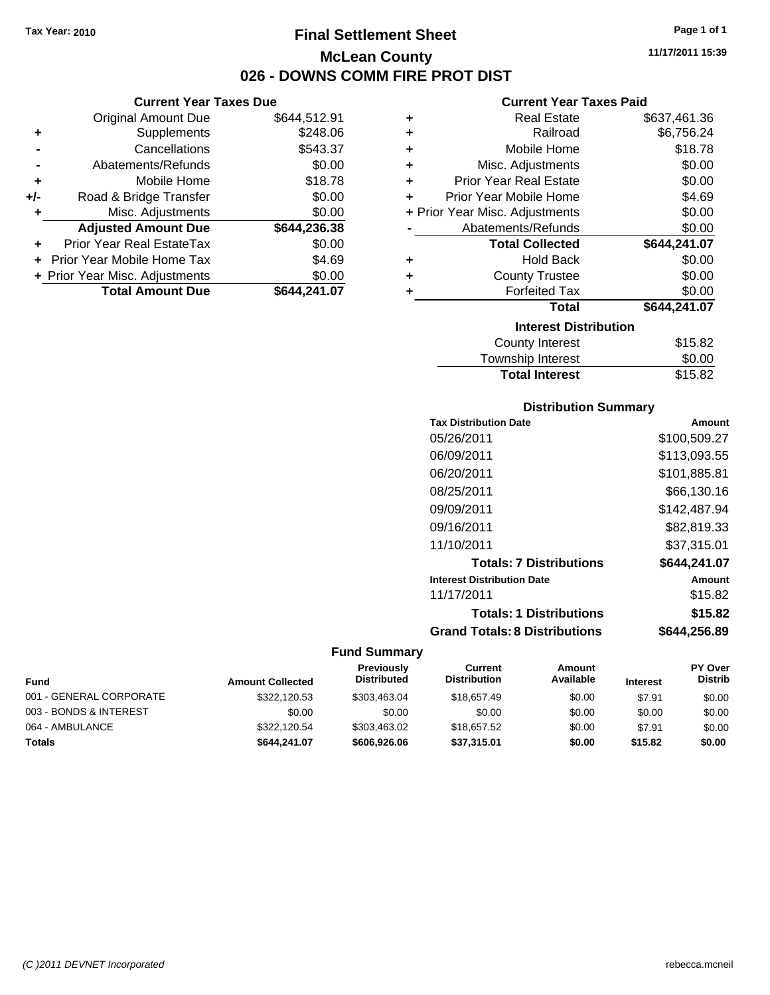# **Final Settlement Sheet Tax Year: 2010 Page 1 of 1 McLean County 026 - DOWNS COMM FIRE PROT DIST**

### **Current Year Taxes Due**

|       | <b>Original Amount Due</b>     | \$644,512.91 |
|-------|--------------------------------|--------------|
| ٠     | Supplements                    | \$248.06     |
|       | Cancellations                  | \$543.37     |
|       | Abatements/Refunds             | \$0.00       |
| ÷     | Mobile Home                    | \$18.78      |
| $+/-$ | Road & Bridge Transfer         | \$0.00       |
| ٠     | Misc. Adjustments              | \$0.00       |
|       | <b>Adjusted Amount Due</b>     | \$644,236.38 |
|       | Prior Year Real EstateTax      | \$0.00       |
|       | Prior Year Mobile Home Tax     | \$4.69       |
|       | + Prior Year Misc. Adjustments | \$0.00       |
|       | <b>Total Amount Due</b>        | \$644,241.07 |

#### **Current Year Taxes Paid**

| ٠ | <b>Real Estate</b>             | \$637,461.36 |
|---|--------------------------------|--------------|
| ÷ | Railroad                       | \$6,756.24   |
| ÷ | Mobile Home                    | \$18.78      |
| ÷ | Misc. Adjustments              | \$0.00       |
| ÷ | <b>Prior Year Real Estate</b>  | \$0.00       |
| ٠ | Prior Year Mobile Home         | \$4.69       |
|   | + Prior Year Misc. Adjustments | \$0.00       |
|   | Abatements/Refunds             | \$0.00       |
|   | <b>Total Collected</b>         | \$644,241.07 |
| ٠ | <b>Hold Back</b>               | \$0.00       |
| ٠ | <b>County Trustee</b>          | \$0.00       |
| ٠ | <b>Forfeited Tax</b>           | \$0.00       |
|   | Total                          | \$644,241.07 |
|   | <b>Interest Distribution</b>   |              |
|   | <b>County Interest</b>         | \$15.82      |
|   | Townshin Interest              | ፍስ ሰስ        |

# Township Interest \$0.00 **Total Interest**

### **Distribution Summary**

| <b>Tax Distribution Date</b>         | Amount       |
|--------------------------------------|--------------|
| 05/26/2011                           | \$100,509.27 |
| 06/09/2011                           | \$113,093.55 |
| 06/20/2011                           | \$101,885.81 |
| 08/25/2011                           | \$66,130.16  |
| 09/09/2011                           | \$142,487.94 |
| 09/16/2011                           | \$82,819.33  |
| 11/10/2011                           | \$37,315.01  |
| <b>Totals: 7 Distributions</b>       | \$644.241.07 |
| <b>Interest Distribution Date</b>    | Amount       |
| 11/17/2011                           | \$15.82      |
| <b>Totals: 1 Distributions</b>       | \$15.82      |
| <b>Grand Totals: 8 Distributions</b> | \$644,256.89 |

|                         |                         | Previously         | Current             | Amount    |                 | <b>PY Over</b> |
|-------------------------|-------------------------|--------------------|---------------------|-----------|-----------------|----------------|
| Fund                    | <b>Amount Collected</b> | <b>Distributed</b> | <b>Distribution</b> | Available | <b>Interest</b> | <b>Distrib</b> |
| 001 - GENERAL CORPORATE | \$322,120.53            | \$303.463.04       | \$18,657.49         | \$0.00    | \$7.91          | \$0.00         |
| 003 - BONDS & INTEREST  | \$0.00                  | \$0.00             | \$0.00              | \$0.00    | \$0.00          | \$0.00         |
| 064 - AMBULANCE         | \$322,120.54            | \$303,463.02       | \$18,657.52         | \$0.00    | \$7.91          | \$0.00         |
| <b>Totals</b>           | \$644.241.07            | \$606,926,06       | \$37,315.01         | \$0.00    | \$15.82         | \$0.00         |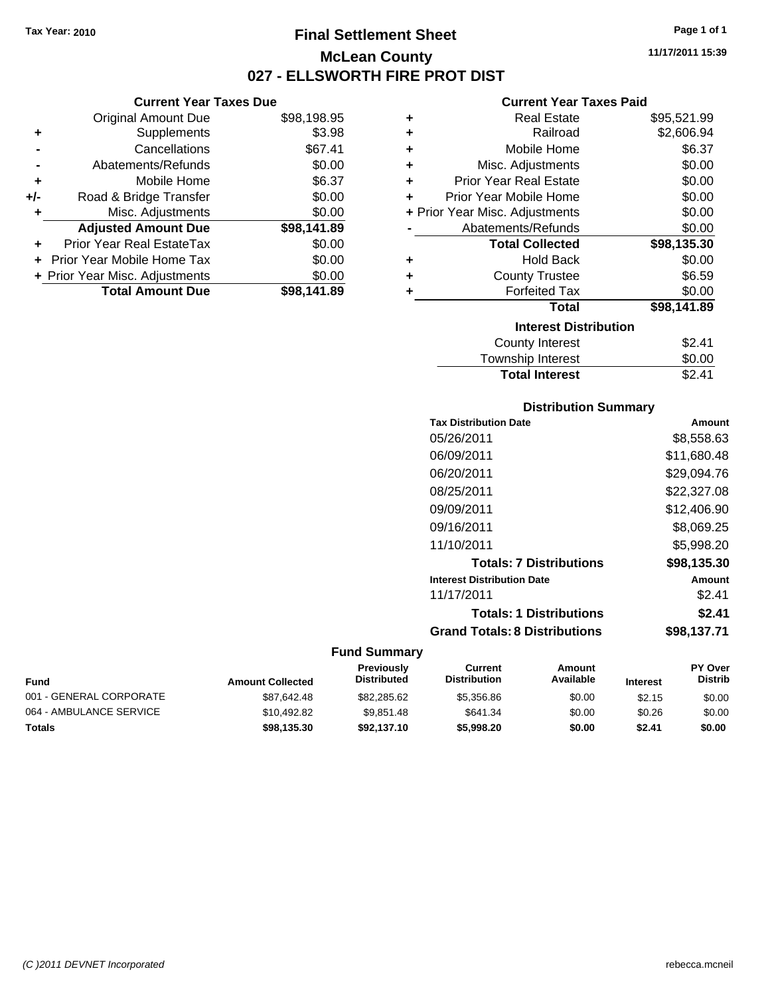# **Final Settlement Sheet Tax Year: 2010 Page 1 of 1 McLean County 027 - ELLSWORTH FIRE PROT DIST**

**Current Year Taxes Due**

|       | <b>Original Amount Due</b>     | \$98,198.95 |
|-------|--------------------------------|-------------|
| ٠     | Supplements                    | \$3.98      |
|       | Cancellations                  | \$67.41     |
|       | Abatements/Refunds             | \$0.00      |
| ٠     | Mobile Home                    | \$6.37      |
| $+/-$ | Road & Bridge Transfer         | \$0.00      |
|       | Misc. Adjustments              | \$0.00      |
|       | <b>Adjusted Amount Due</b>     | \$98,141.89 |
|       | Prior Year Real EstateTax      | \$0.00      |
|       | Prior Year Mobile Home Tax     | \$0.00      |
|       | + Prior Year Misc. Adjustments | \$0.00      |
|       | <b>Total Amount Due</b>        | \$98.141.89 |
|       |                                |             |

#### **Current Year Taxes Paid**

| ٠ | <b>Real Estate</b>             | \$95,521.99 |
|---|--------------------------------|-------------|
| ÷ | Railroad                       | \$2,606.94  |
| ٠ | Mobile Home                    | \$6.37      |
| ٠ | Misc. Adjustments              | \$0.00      |
| ٠ | <b>Prior Year Real Estate</b>  | \$0.00      |
| ٠ | Prior Year Mobile Home         | \$0.00      |
|   | + Prior Year Misc. Adjustments | \$0.00      |
|   | Abatements/Refunds             | \$0.00      |
|   | <b>Total Collected</b>         | \$98,135.30 |
| ٠ | <b>Hold Back</b>               | \$0.00      |
| ٠ | <b>County Trustee</b>          | \$6.59      |
| ٠ | <b>Forfeited Tax</b>           | \$0.00      |
|   | Total                          | \$98,141.89 |
|   | <b>Interest Distribution</b>   |             |
|   | <b>County Interest</b>         | \$2.41      |
|   | <b>Township Interest</b>       | \$0.00      |
|   | <b>Total Interest</b>          | \$2.41      |

### **Distribution Summary**

| <b>Tax Distribution Date</b>         | Amount      |
|--------------------------------------|-------------|
| 05/26/2011                           | \$8,558.63  |
| 06/09/2011                           | \$11,680.48 |
| 06/20/2011                           | \$29,094.76 |
| 08/25/2011                           | \$22,327.08 |
| 09/09/2011                           | \$12,406.90 |
| 09/16/2011                           | \$8,069.25  |
| 11/10/2011                           | \$5,998.20  |
| <b>Totals: 7 Distributions</b>       | \$98,135.30 |
| <b>Interest Distribution Date</b>    | Amount      |
| 11/17/2011                           | \$2.41      |
| <b>Totals: 1 Distributions</b>       | \$2.41      |
| <b>Grand Totals: 8 Distributions</b> | \$98.137.71 |

|                         |                         | Previously         | Current             | Amount    |                 | <b>PY Over</b> |
|-------------------------|-------------------------|--------------------|---------------------|-----------|-----------------|----------------|
| Fund                    | <b>Amount Collected</b> | <b>Distributed</b> | <b>Distribution</b> | Available | <b>Interest</b> | <b>Distrib</b> |
| 001 - GENERAL CORPORATE | \$87.642.48             | \$82,285,62        | \$5,356.86          | \$0.00    | \$2.15          | \$0.00         |
| 064 - AMBULANCE SERVICE | \$10.492.82             | \$9.851.48         | \$641.34            | \$0.00    | \$0.26          | \$0.00         |
| Totals                  | \$98,135.30             | \$92,137,10        | \$5,998,20          | \$0.00    | \$2.41          | \$0.00         |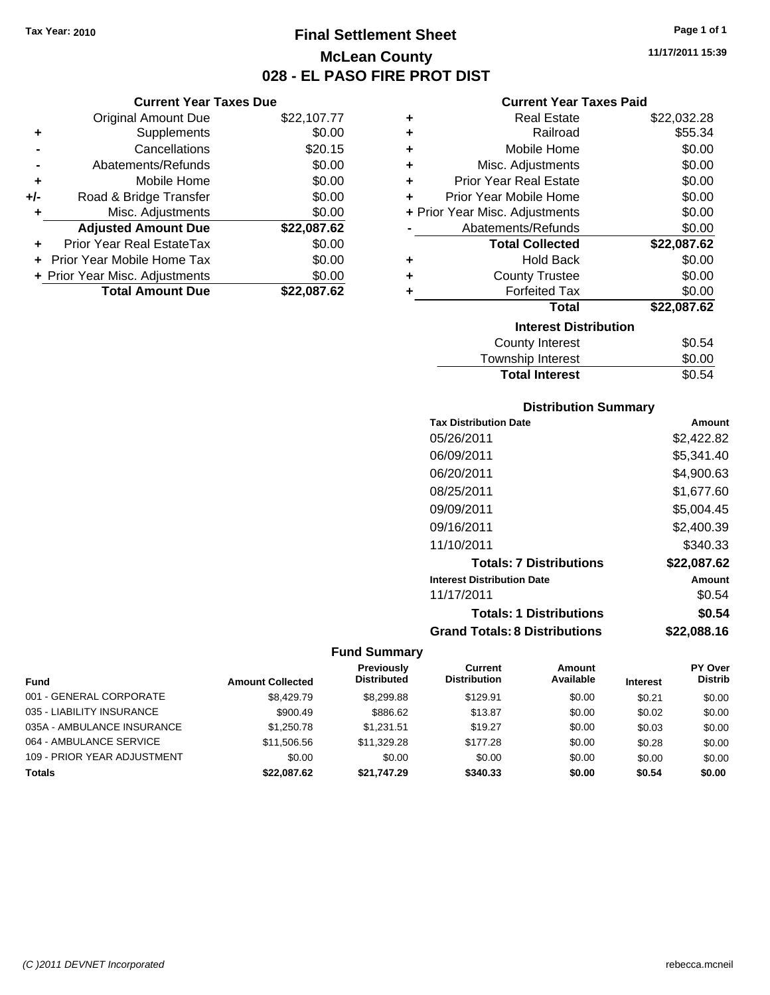# **Final Settlement Sheet Tax Year: 2010 Page 1 of 1 McLean County 028 - EL PASO FIRE PROT DIST**

**11/17/2011 15:39**

| Current Year Taxes Due |  |  |
|------------------------|--|--|

|     | <b>Total Amount Due</b>        | \$22.087.62 |
|-----|--------------------------------|-------------|
|     | + Prior Year Misc. Adjustments | \$0.00      |
|     | Prior Year Mobile Home Tax     | \$0.00      |
|     | Prior Year Real EstateTax      | \$0.00      |
|     | <b>Adjusted Amount Due</b>     | \$22,087.62 |
|     | Misc. Adjustments              | \$0.00      |
| +/- | Road & Bridge Transfer         | \$0.00      |
| ٠   | Mobile Home                    | \$0.00      |
|     | Abatements/Refunds             | \$0.00      |
|     | Cancellations                  | \$20.15     |
| ٠   | Supplements                    | \$0.00      |
|     | Original Amount Due            | \$22,107.77 |
|     |                                |             |

### **Current Year Taxes Paid**

| ٠ | <b>Real Estate</b>             | \$22,032.28 |
|---|--------------------------------|-------------|
| ÷ | Railroad                       | \$55.34     |
| ÷ | Mobile Home                    | \$0.00      |
| ٠ | Misc. Adjustments              | \$0.00      |
| ٠ | <b>Prior Year Real Estate</b>  | \$0.00      |
| ٠ | Prior Year Mobile Home         | \$0.00      |
|   | + Prior Year Misc. Adjustments | \$0.00      |
|   | Abatements/Refunds             | \$0.00      |
|   | <b>Total Collected</b>         | \$22,087.62 |
| ٠ | <b>Hold Back</b>               | \$0.00      |
| ÷ | <b>County Trustee</b>          | \$0.00      |
| ٠ | <b>Forfeited Tax</b>           | \$0.00      |
|   | <b>Total</b>                   | \$22,087.62 |
|   | <b>Interest Distribution</b>   |             |
|   |                                |             |
|   | <b>County Interest</b>         | \$0.54      |

### Township Interest **\$0.00**<br>Total Interest \$0.54 **Total Interest**

| <b>Distribution Summary</b>          |             |
|--------------------------------------|-------------|
| <b>Tax Distribution Date</b>         | Amount      |
| 05/26/2011                           | \$2,422.82  |
| 06/09/2011                           | \$5,341.40  |
| 06/20/2011                           | \$4.900.63  |
| 08/25/2011                           | \$1.677.60  |
| 09/09/2011                           | \$5,004.45  |
| 09/16/2011                           | \$2,400.39  |
| 11/10/2011                           | \$340.33    |
| <b>Totals: 7 Distributions</b>       | \$22,087.62 |
| <b>Interest Distribution Date</b>    | Amount      |
| 11/17/2011                           | \$0.54      |
| <b>Totals: 1 Distributions</b>       | \$0.54      |
| <b>Grand Totals: 8 Distributions</b> | \$22,088.16 |

|                             |                         | Previously         | Current             | <b>Amount</b> |                 | <b>PY Over</b> |
|-----------------------------|-------------------------|--------------------|---------------------|---------------|-----------------|----------------|
| <b>Fund</b>                 | <b>Amount Collected</b> | <b>Distributed</b> | <b>Distribution</b> | Available     | <b>Interest</b> | <b>Distrib</b> |
| 001 - GENERAL CORPORATE     | \$8,429.79              | \$8,299.88         | \$129.91            | \$0.00        | \$0.21          | \$0.00         |
| 035 - LIABILITY INSURANCE   | \$900.49                | \$886.62           | \$13.87             | \$0.00        | \$0.02          | \$0.00         |
| 035A - AMBULANCE INSURANCE  | \$1,250.78              | \$1.231.51         | \$19.27             | \$0.00        | \$0.03          | \$0.00         |
| 064 - AMBULANCE SERVICE     | \$11,506.56             | \$11,329.28        | \$177.28            | \$0.00        | \$0.28          | \$0.00         |
| 109 - PRIOR YEAR ADJUSTMENT | \$0.00                  | \$0.00             | \$0.00              | \$0.00        | \$0.00          | \$0.00         |
| Totals                      | \$22,087.62             | \$21.747.29        | \$340.33            | \$0.00        | \$0.54          | \$0.00         |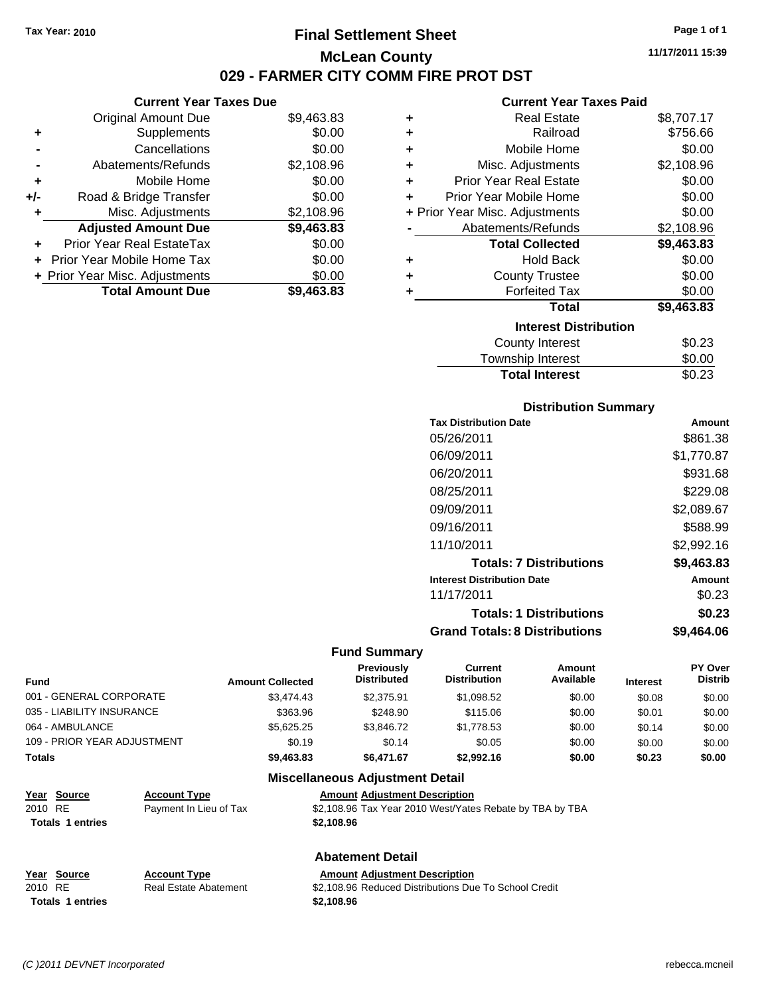# **Final Settlement Sheet Tax Year: 2010 Page 1 of 1 McLean County 029 - FARMER CITY COMM FIRE PROT DST**

#### **Current Year Taxes Due**

|       | <b>Original Amount Due</b>       | \$9,463.83 |
|-------|----------------------------------|------------|
| ٠     | Supplements                      | \$0.00     |
|       | Cancellations                    | \$0.00     |
|       | Abatements/Refunds               | \$2,108.96 |
| ÷     | Mobile Home                      | \$0.00     |
| $+/-$ | Road & Bridge Transfer           | \$0.00     |
| ٠     | Misc. Adjustments                | \$2,108.96 |
|       | <b>Adjusted Amount Due</b>       | \$9,463.83 |
|       | <b>Prior Year Real EstateTax</b> | \$0.00     |
|       | Prior Year Mobile Home Tax       | \$0.00     |
|       | + Prior Year Misc. Adjustments   | \$0.00     |
|       | <b>Total Amount Due</b>          | \$9,463.83 |

#### **Current Year Taxes Paid**

| ٠ | <b>Real Estate</b>             | \$8,707.17 |
|---|--------------------------------|------------|
| ٠ | Railroad                       | \$756.66   |
| ٠ | Mobile Home                    | \$0.00     |
| ٠ | Misc. Adjustments              | \$2,108.96 |
| ÷ | <b>Prior Year Real Estate</b>  | \$0.00     |
| ٠ | Prior Year Mobile Home         | \$0.00     |
|   | + Prior Year Misc. Adjustments | \$0.00     |
|   | Abatements/Refunds             | \$2,108.96 |
|   | <b>Total Collected</b>         | \$9,463.83 |
| ٠ | <b>Hold Back</b>               | \$0.00     |
| ٠ | <b>County Trustee</b>          | \$0.00     |
| ٠ | <b>Forfeited Tax</b>           | \$0.00     |
|   | Total                          | \$9,463.83 |
|   | <b>Interest Distribution</b>   |            |
|   | County Interest                | \$0.23     |
|   | Townshin Interest              | ደ0 00      |

# Township Interest  $$0.00$ **Total Interest** \$0.23

### **Distribution Summary**

| <b>Tax Distribution Date</b>         | Amount     |
|--------------------------------------|------------|
| 05/26/2011                           | \$861.38   |
| 06/09/2011                           | \$1,770.87 |
| 06/20/2011                           | \$931.68   |
| 08/25/2011                           | \$229.08   |
| 09/09/2011                           | \$2.089.67 |
| 09/16/2011                           | \$588.99   |
| 11/10/2011                           | \$2,992.16 |
| <b>Totals: 7 Distributions</b>       | \$9,463.83 |
| <b>Interest Distribution Date</b>    | Amount     |
| 11/17/2011                           | \$0.23     |
| <b>Totals: 1 Distributions</b>       | \$0.23     |
| <b>Grand Totals: 8 Distributions</b> | \$9.464.06 |

#### **Fund Summary**

| <b>Fund</b>                 | <b>Amount Collected</b> | Previously<br><b>Distributed</b> | Current<br><b>Distribution</b> | Amount<br>Available | <b>Interest</b> | <b>PY Over</b><br><b>Distrib</b> |
|-----------------------------|-------------------------|----------------------------------|--------------------------------|---------------------|-----------------|----------------------------------|
| 001 - GENERAL CORPORATE     | \$3,474.43              | \$2.375.91                       | \$1,098.52                     | \$0.00              | \$0.08          | \$0.00                           |
| 035 - LIABILITY INSURANCE   | \$363.96                | \$248.90                         | \$115.06                       | \$0.00              | \$0.01          | \$0.00                           |
| 064 - AMBULANCE             | \$5.625.25              | \$3,846,72                       | \$1,778.53                     | \$0.00              | \$0.14          | \$0.00                           |
| 109 - PRIOR YEAR ADJUSTMENT | \$0.19                  | \$0.14                           | \$0.05                         | \$0.00              | \$0.00          | \$0.00                           |
| <b>Totals</b>               | \$9,463.83              | \$6.471.67                       | \$2,992.16                     | \$0.00              | \$0.23          | \$0.00                           |

#### **Miscellaneous Adjustment Detail**

| Year Source             | <b>Account Type</b>    | <b>Amount Adiustment Description</b>                     |
|-------------------------|------------------------|----------------------------------------------------------|
| 2010 RE                 | Payment In Lieu of Tax | \$2,108.96 Tax Year 2010 West/Yates Rebate by TBA by TBA |
| <b>Totals 1 entries</b> |                        | \$2.108.96                                               |
|                         |                        |                                                          |

# **Abatement Detail**

| Year Source      | <b>Account Type</b>   | <b>Amount Adiustment Description</b>                  |
|------------------|-----------------------|-------------------------------------------------------|
| 2010 RE          | Real Estate Abatement | \$2,108.96 Reduced Distributions Due To School Credit |
| Totals 1 entries |                       | \$2,108.96                                            |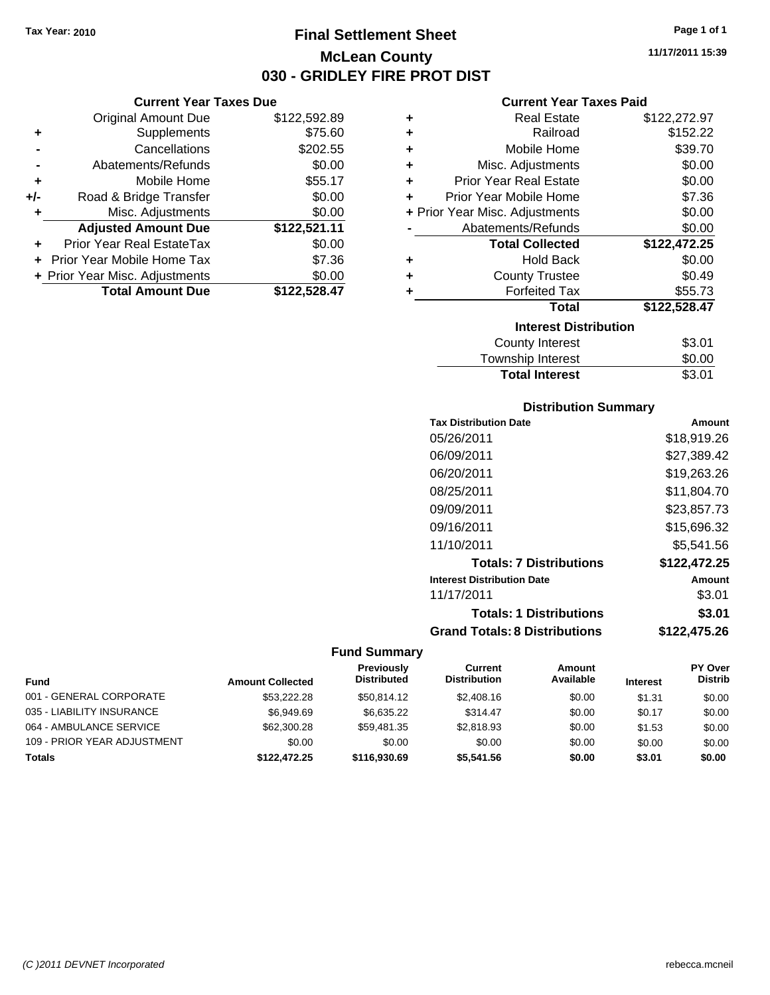Original Amount Due

**Adjusted Amount Due** 

**Total Amount Due** 

**+** Supplements **-** Cancellations **-** Abatements/Refunds **+** Mobile Home **+/-** Road & Bridge Transfer **+** Misc. Adjustments

**+** Prior Year Real EstateTax \$0.00 **+** Prior Year Mobile Home Tax **+ Prior Year Misc. Adjustments** 

# **Final Settlement Sheet Tax Year: 2010 Page 1 of 1 McLean County 030 - GRIDLEY FIRE PROT DIST**

**11/17/2011 15:39**

# **Current Year Taxes Paid**

| <b>Current Year Taxes Due</b> |              |   | <b>Current Year Taxes Paid</b> |              |
|-------------------------------|--------------|---|--------------------------------|--------------|
| ıl Amount Due                 | \$122,592.89 | ٠ | <b>Real Estate</b>             | \$122,272.97 |
| Supplements                   | \$75.60      | ٠ | Railroad                       | \$152.22     |
| Cancellations                 | \$202.55     | ÷ | Mobile Home                    | \$39.70      |
| าents/Refunds                 | \$0.00       | ÷ | Misc. Adjustments              | \$0.00       |
| Mobile Home                   | \$55.17      | ÷ | <b>Prior Year Real Estate</b>  | \$0.00       |
| ridge Transfer                | \$0.00       | ÷ | Prior Year Mobile Home         | \$7.36       |
| . Adjustments                 | \$0.00       |   | + Prior Year Misc. Adjustments | \$0.00       |
| <b>Amount Due</b>             | \$122,521.11 |   | Abatements/Refunds             | \$0.00       |
| eal EstateTax                 | \$0.00       |   | <b>Total Collected</b>         | \$122,472.25 |
| pile Home Tax                 | \$7.36       | ÷ | <b>Hold Back</b>               | \$0.00       |
| . Adjustments                 | \$0.00       | ÷ | <b>County Trustee</b>          | \$0.49       |
| <b>Amount Due</b>             | \$122,528.47 |   | <b>Forfeited Tax</b>           | \$55.73      |
|                               |              |   | <b>Total</b>                   | \$122,528.47 |
|                               |              |   | <b>Interest Distribution</b>   |              |
|                               |              |   |                                | ሰዓ ሰፊ        |

| \$3.01 |
|--------|
| \$0.00 |
| \$3.01 |
|        |

#### **Distribution Summary**

| <b>Tax Distribution Date</b>         | Amount       |
|--------------------------------------|--------------|
| 05/26/2011                           | \$18,919.26  |
| 06/09/2011                           | \$27.389.42  |
| 06/20/2011                           | \$19,263.26  |
| 08/25/2011                           | \$11,804.70  |
| 09/09/2011                           | \$23,857.73  |
| 09/16/2011                           | \$15,696.32  |
| 11/10/2011                           | \$5.541.56   |
| <b>Totals: 7 Distributions</b>       | \$122,472.25 |
| <b>Interest Distribution Date</b>    | Amount       |
| 11/17/2011                           | \$3.01       |
| <b>Totals: 1 Distributions</b>       | \$3.01       |
| <b>Grand Totals: 8 Distributions</b> | \$122,475.26 |

| Fund                        | <b>Amount Collected</b> | Previously<br><b>Distributed</b> | Current<br><b>Distribution</b> | Amount<br>Available | <b>Interest</b> | <b>PY Over</b><br><b>Distrib</b> |
|-----------------------------|-------------------------|----------------------------------|--------------------------------|---------------------|-----------------|----------------------------------|
| 001 - GENERAL CORPORATE     | \$53,222,28             | \$50.814.12                      | \$2,408.16                     | \$0.00              | \$1.31          | \$0.00                           |
| 035 - LIABILITY INSURANCE   | \$6.949.69              | \$6.635.22                       | \$314.47                       | \$0.00              | \$0.17          | \$0.00                           |
| 064 - AMBULANCE SERVICE     | \$62,300.28             | \$59.481.35                      | \$2.818.93                     | \$0.00              | \$1.53          | \$0.00                           |
| 109 - PRIOR YEAR ADJUSTMENT | \$0.00                  | \$0.00                           | \$0.00                         | \$0.00              | \$0.00          | \$0.00                           |
| <b>Totals</b>               | \$122,472.25            | \$116,930,69                     | \$5,541.56                     | \$0.00              | \$3.01          | \$0.00                           |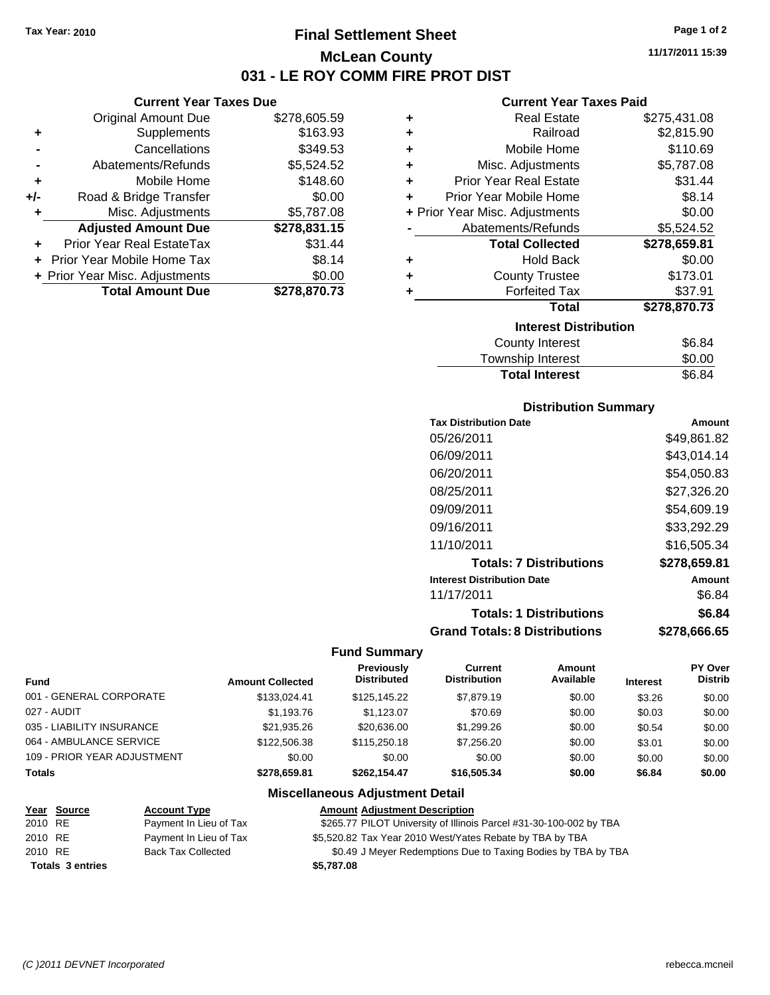# **Final Settlement Sheet Tax Year: 2010 Page 1 of 2 McLean County 031 - LE ROY COMM FIRE PROT DIST**

**Current Year Taxes Due**

|       | <b>Original Amount Due</b>     | \$278,605.59 |
|-------|--------------------------------|--------------|
| ٠     | Supplements                    | \$163.93     |
|       | Cancellations                  | \$349.53     |
|       | Abatements/Refunds             | \$5,524.52   |
| ٠     | Mobile Home                    | \$148.60     |
| $+/-$ | Road & Bridge Transfer         | \$0.00       |
| ٠     | Misc. Adjustments              | \$5,787.08   |
|       | <b>Adjusted Amount Due</b>     | \$278,831.15 |
|       | Prior Year Real EstateTax      | \$31.44      |
|       | Prior Year Mobile Home Tax     | \$8.14       |
|       | + Prior Year Misc. Adjustments | \$0.00       |
|       | <b>Total Amount Due</b>        | \$278,870.73 |

#### **Current Year Taxes Paid**

| ٠ | <b>Real Estate</b>             | \$275,431.08 |
|---|--------------------------------|--------------|
| ٠ | Railroad                       | \$2,815.90   |
| ٠ | Mobile Home                    | \$110.69     |
| ٠ | Misc. Adjustments              | \$5,787.08   |
| ÷ | <b>Prior Year Real Estate</b>  | \$31.44      |
| ÷ | Prior Year Mobile Home         | \$8.14       |
|   | + Prior Year Misc. Adjustments | \$0.00       |
|   | Abatements/Refunds             | \$5,524.52   |
|   | <b>Total Collected</b>         | \$278,659.81 |
| ٠ | <b>Hold Back</b>               | \$0.00       |
| ÷ | <b>County Trustee</b>          | \$173.01     |
| ٠ | <b>Forfeited Tax</b>           | \$37.91      |
|   | <b>Total</b>                   | \$278,870.73 |
|   | <b>Interest Distribution</b>   |              |
|   | <b>County Interest</b>         | \$6.84       |
|   | --                             |              |

| <b>Total Interest</b> | \$6.84 |
|-----------------------|--------|
| Township Interest     | \$0.00 |
| <b>OVAIRY INCICOL</b> | ⊤יט.⊽  |

### **Distribution Summary**

| <b>Tax Distribution Date</b>         | Amount       |
|--------------------------------------|--------------|
| 05/26/2011                           | \$49,861.82  |
| 06/09/2011                           | \$43,014.14  |
| 06/20/2011                           | \$54.050.83  |
| 08/25/2011                           | \$27.326.20  |
| 09/09/2011                           | \$54,609.19  |
| 09/16/2011                           | \$33,292.29  |
| 11/10/2011                           | \$16,505.34  |
| <b>Totals: 7 Distributions</b>       | \$278,659.81 |
| <b>Interest Distribution Date</b>    | Amount       |
| 11/17/2011                           | \$6.84       |
| <b>Totals: 1 Distributions</b>       | \$6.84       |
| <b>Grand Totals: 8 Distributions</b> | \$278,666.65 |

# **Fund Summary**

| <b>Fund</b>                 | <b>Amount Collected</b> | Previously<br><b>Distributed</b> | Current<br><b>Distribution</b> | Amount<br>Available | <b>Interest</b> | <b>PY Over</b><br><b>Distrib</b> |
|-----------------------------|-------------------------|----------------------------------|--------------------------------|---------------------|-----------------|----------------------------------|
| 001 - GENERAL CORPORATE     | \$133.024.41            | \$125,145.22                     | \$7,879.19                     | \$0.00              | \$3.26          | \$0.00                           |
| 027 - AUDIT                 | \$1,193.76              | \$1.123.07                       | \$70.69                        | \$0.00              | \$0.03          | \$0.00                           |
| 035 - LIABILITY INSURANCE   | \$21,935.26             | \$20,636,00                      | \$1,299.26                     | \$0.00              | \$0.54          | \$0.00                           |
| 064 - AMBULANCE SERVICE     | \$122,506.38            | \$115,250.18                     | \$7,256,20                     | \$0.00              | \$3.01          | \$0.00                           |
| 109 - PRIOR YEAR ADJUSTMENT | \$0.00                  | \$0.00                           | \$0.00                         | \$0.00              | \$0.00          | \$0.00                           |
| <b>Totals</b>               | \$278,659.81            | \$262.154.47                     | \$16,505,34                    | \$0.00              | \$6.84          | \$0.00                           |

#### **Miscellaneous Adjustment Detail**

|         | Year Source             | <b>Account Type</b>       | <b>Amount Adjustment Description</b>                               |
|---------|-------------------------|---------------------------|--------------------------------------------------------------------|
| 2010 RE |                         | Payment In Lieu of Tax    | \$265.77 PILOT University of Illinois Parcel #31-30-100-002 by TBA |
| 2010 RE |                         | Payment In Lieu of Tax    | \$5,520.82 Tax Year 2010 West/Yates Rebate by TBA by TBA           |
| 2010 RE |                         | <b>Back Tax Collected</b> | \$0.49 J Meyer Redemptions Due to Taxing Bodies by TBA by TBA      |
|         | <b>Totals 3 entries</b> |                           | \$5.787.08                                                         |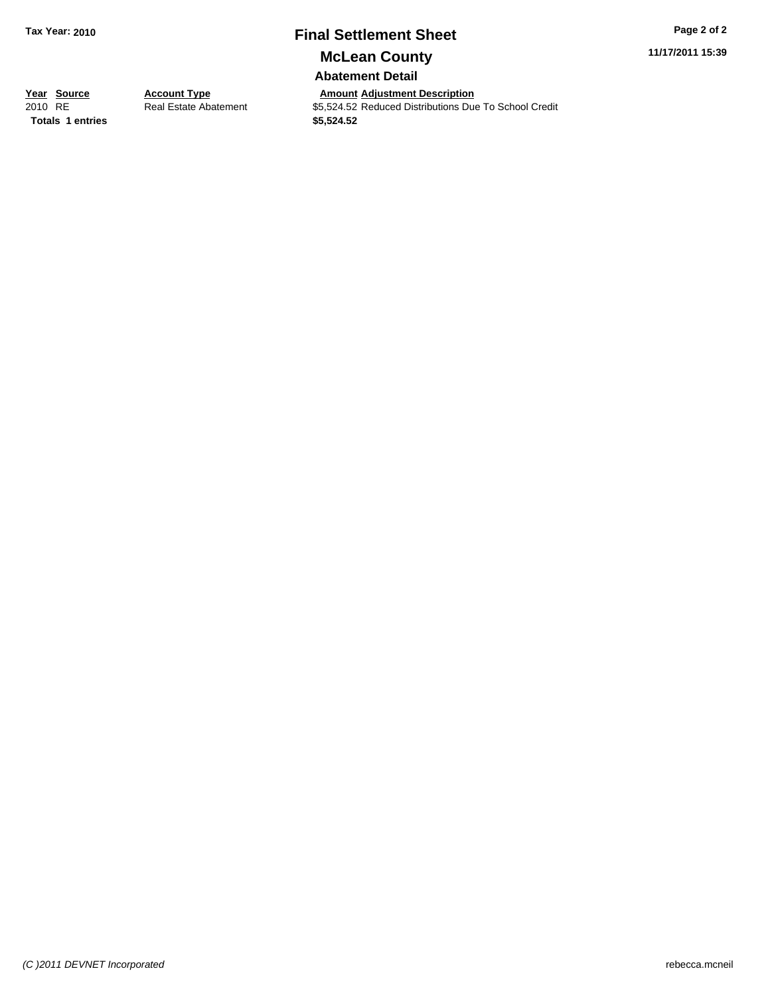# **Final Settlement Sheet Tax Year: 2010 Page 2 of 2**

**11/17/2011 15:39**

**McLean County**

**Abatement Detail**

**Totals 1 entries 1 and 1 and 1 and 1 and 1 and 1 and 1 and 1 and 1 and 1 and 1 and 1 and 1 and 1 and 1 and 1 and 1 and 1 and 1 and 1 and 1 and 1 and 1 and 1 and 1 and 1 and 1 and 1 and 1 and 1 and 1 and 1 and 1 and 1 an** 

**Year Source Account Type And Adjustment Description**<br>
2010 RE Real Estate Abatement \$5,524.52 Reduced Distributions Due **2010 Real Estate Abatement** \$5,524.52 Reduced Distributions Due To School Credit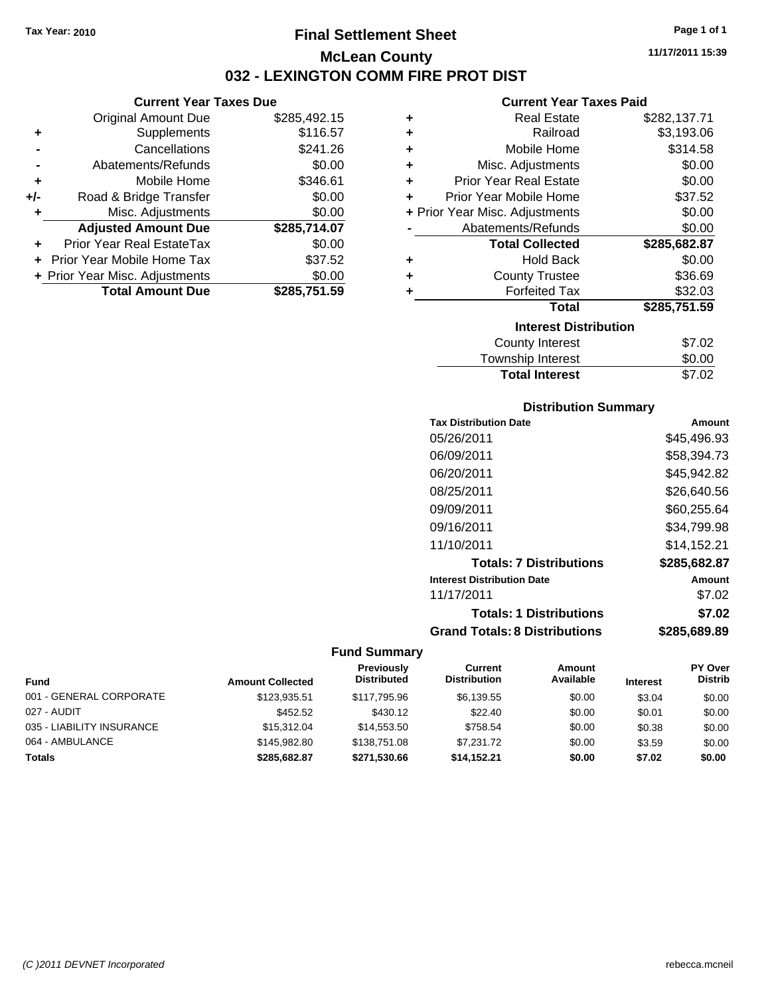# **Final Settlement Sheet Tax Year: 2010 Page 1 of 1 McLean County 032 - LEXINGTON COMM FIRE PROT DIST**

### **Current Year Taxes Due**

|       | <b>Original Amount Due</b>     | \$285,492.15 |
|-------|--------------------------------|--------------|
| ٠     | Supplements                    | \$116.57     |
|       | Cancellations                  | \$241.26     |
|       | Abatements/Refunds             | \$0.00       |
| ÷     | Mobile Home                    | \$346.61     |
| $+/-$ | Road & Bridge Transfer         | \$0.00       |
| ٠     | Misc. Adjustments              | \$0.00       |
|       | <b>Adjusted Amount Due</b>     | \$285,714.07 |
|       | Prior Year Real EstateTax      | \$0.00       |
|       | Prior Year Mobile Home Tax     | \$37.52      |
|       | + Prior Year Misc. Adjustments | \$0.00       |
|       | <b>Total Amount Due</b>        | \$285.751.59 |

#### **Current Year Taxes Paid**

| ٠ | <b>Real Estate</b>             | \$282,137.71 |
|---|--------------------------------|--------------|
| ٠ | Railroad                       | \$3,193.06   |
| ÷ | Mobile Home                    | \$314.58     |
| ٠ | Misc. Adjustments              | \$0.00       |
| ٠ | <b>Prior Year Real Estate</b>  | \$0.00       |
| ٠ | Prior Year Mobile Home         | \$37.52      |
|   | + Prior Year Misc. Adjustments | \$0.00       |
|   | Abatements/Refunds             | \$0.00       |
|   | <b>Total Collected</b>         | \$285,682.87 |
| ٠ | <b>Hold Back</b>               | \$0.00       |
| ٠ | <b>County Trustee</b>          | \$36.69      |
|   | <b>Forfeited Tax</b>           | \$32.03      |
|   | <b>Total</b>                   | \$285,751.59 |
|   | <b>Interest Distribution</b>   |              |
|   | <b>County Interest</b>         | \$7.02       |
|   |                                |              |

# Township Interest 50.00<br>Total Interest \$7.02 **Total Interest**

### **Distribution Summary**

| <b>Tax Distribution Date</b>         | Amount       |
|--------------------------------------|--------------|
| 05/26/2011                           | \$45,496.93  |
| 06/09/2011                           | \$58.394.73  |
| 06/20/2011                           | \$45.942.82  |
| 08/25/2011                           | \$26.640.56  |
| 09/09/2011                           | \$60,255.64  |
| 09/16/2011                           | \$34,799.98  |
| 11/10/2011                           | \$14.152.21  |
| <b>Totals: 7 Distributions</b>       | \$285,682.87 |
| <b>Interest Distribution Date</b>    | Amount       |
| 11/17/2011                           | \$7.02       |
| <b>Totals: 1 Distributions</b>       | \$7.02       |
| <b>Grand Totals: 8 Distributions</b> | \$285,689.89 |

| <b>Fund</b>               | <b>Amount Collected</b> | Previously<br><b>Distributed</b> | Current<br><b>Distribution</b> | Amount<br>Available | <b>Interest</b> | <b>PY Over</b><br><b>Distrib</b> |
|---------------------------|-------------------------|----------------------------------|--------------------------------|---------------------|-----------------|----------------------------------|
| 001 - GENERAL CORPORATE   | \$123.935.51            | \$117.795.96                     | \$6,139.55                     | \$0.00              | \$3.04          | \$0.00                           |
| 027 - AUDIT               | \$452.52                | \$430.12                         | \$22.40                        | \$0.00              | \$0.01          | \$0.00                           |
| 035 - LIABILITY INSURANCE | \$15,312.04             | \$14,553,50                      | \$758.54                       | \$0.00              | \$0.38          | \$0.00                           |
| 064 - AMBULANCE           | \$145,982.80            | \$138,751,08                     | \$7.231.72                     | \$0.00              | \$3.59          | \$0.00                           |
| <b>Totals</b>             | \$285.682.87            | \$271.530.66                     | \$14,152.21                    | \$0.00              | \$7.02          | \$0.00                           |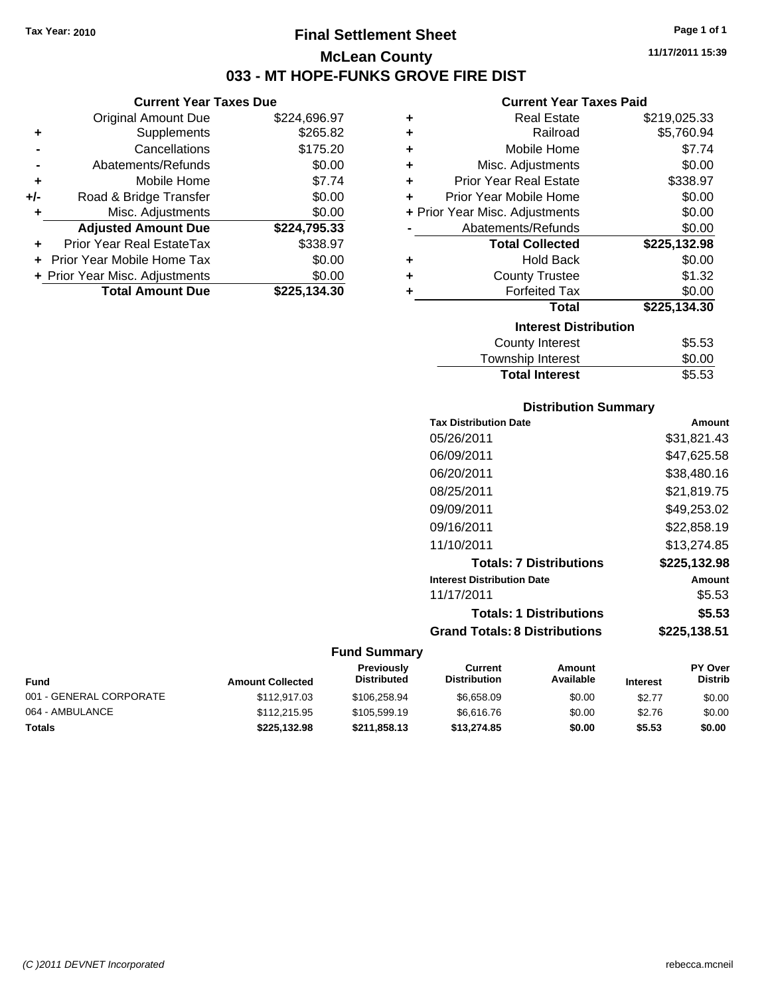# **Final Settlement Sheet Tax Year: 2010 Page 1 of 1 McLean County 033 - MT HOPE-FUNKS GROVE FIRE DIST**

### **Current Year Taxes Due**

|       | <b>Original Amount Due</b>     | \$224,696.97 |
|-------|--------------------------------|--------------|
| ٠     | Supplements                    | \$265.82     |
|       | Cancellations                  | \$175.20     |
|       | Abatements/Refunds             | \$0.00       |
| ٠     | Mobile Home                    | \$7.74       |
| $+/-$ | Road & Bridge Transfer         | \$0.00       |
| ۰     | Misc. Adjustments              | \$0.00       |
|       | <b>Adjusted Amount Due</b>     | \$224,795.33 |
|       | Prior Year Real EstateTax      | \$338.97     |
|       | Prior Year Mobile Home Tax     | \$0.00       |
|       | + Prior Year Misc. Adjustments | \$0.00       |
|       | <b>Total Amount Due</b>        | \$225,134.30 |
|       |                                |              |

#### **Current Year Taxes Paid**

| ٠ | <b>Real Estate</b>             | \$219,025.33 |
|---|--------------------------------|--------------|
| ٠ | Railroad                       | \$5,760.94   |
| ٠ | Mobile Home                    | \$7.74       |
| ٠ | Misc. Adjustments              | \$0.00       |
| ٠ | <b>Prior Year Real Estate</b>  | \$338.97     |
| ٠ | Prior Year Mobile Home         | \$0.00       |
|   | + Prior Year Misc. Adjustments | \$0.00       |
|   | Abatements/Refunds             | \$0.00       |
|   | <b>Total Collected</b>         | \$225,132.98 |
| ÷ | <b>Hold Back</b>               | \$0.00       |
| ٠ | <b>County Trustee</b>          | \$1.32       |
| ٠ | <b>Forfeited Tax</b>           | \$0.00       |
|   | <b>Total</b>                   | \$225,134.30 |
|   | <b>Interest Distribution</b>   |              |
|   | <b>County Interest</b>         | \$5.53       |
|   | <b>Townebin Interact</b>       | ደስ ሰስ        |

# Township Interest **\$0.00**<br>Total Interest \$5.53 **Total Interest**

### **Distribution Summary**

| <b>Tax Distribution Date</b>         | Amount       |
|--------------------------------------|--------------|
| 05/26/2011                           | \$31.821.43  |
| 06/09/2011                           | \$47,625.58  |
| 06/20/2011                           | \$38.480.16  |
| 08/25/2011                           | \$21.819.75  |
| 09/09/2011                           | \$49.253.02  |
| 09/16/2011                           | \$22,858.19  |
| 11/10/2011                           | \$13.274.85  |
| <b>Totals: 7 Distributions</b>       | \$225,132.98 |
| <b>Interest Distribution Date</b>    | Amount       |
| 11/17/2011                           | \$5.53       |
| <b>Totals: 1 Distributions</b>       | \$5.53       |
| <b>Grand Totals: 8 Distributions</b> | \$225.138.51 |

|                         |                         | <b>Previously</b>  | Current             | Amount    |                 | <b>PY Over</b> |
|-------------------------|-------------------------|--------------------|---------------------|-----------|-----------------|----------------|
| Fund                    | <b>Amount Collected</b> | <b>Distributed</b> | <b>Distribution</b> | Available | <b>Interest</b> | Distrib        |
| 001 - GENERAL CORPORATE | \$112,917.03            | \$106,258,94       | \$6.658.09          | \$0.00    | \$2.77          | \$0.00         |
| 064 - AMBULANCE         | \$112,215.95            | \$105,599.19       | \$6.616.76          | \$0.00    | \$2.76          | \$0.00         |
| Totals                  | \$225,132.98            | \$211,858.13       | \$13,274.85         | \$0.00    | \$5.53          | \$0.00         |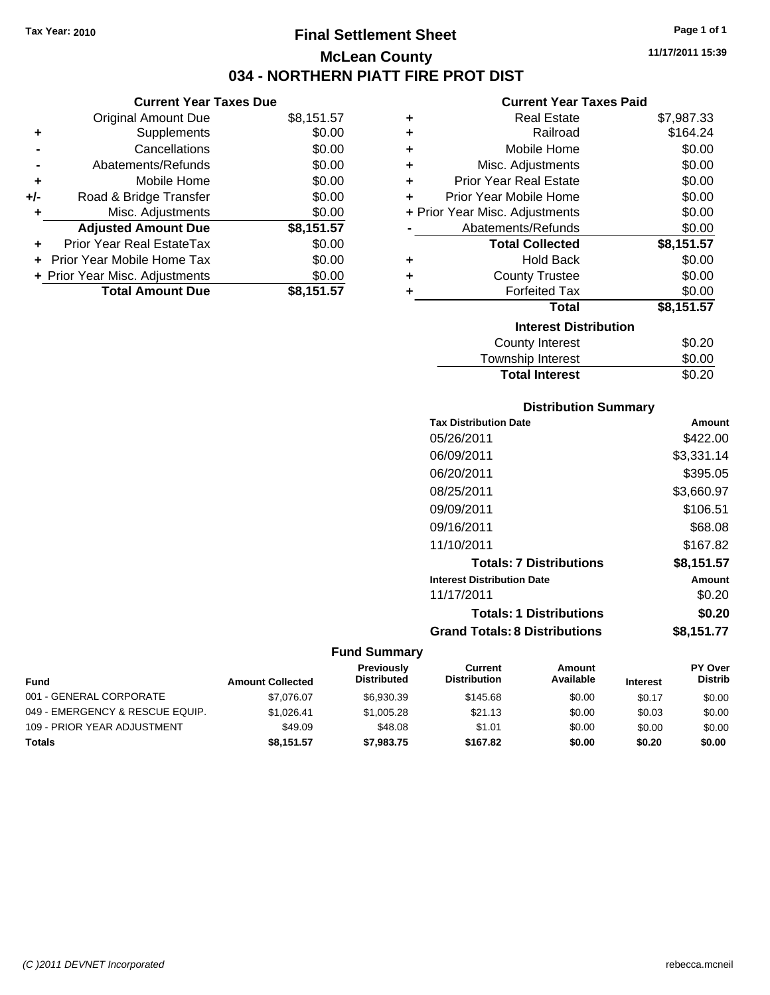# **Final Settlement Sheet Tax Year: 2010 Page 1 of 1 McLean County 034 - NORTHERN PIATT FIRE PROT DIST**

**11/17/2011 15:39**

### **Current Year Taxes Paid**

|     | <b>Current Year Taxes Due</b>  |            |
|-----|--------------------------------|------------|
|     | <b>Original Amount Due</b>     | \$8,151.57 |
| ٠   | Supplements                    | \$0.00     |
|     | Cancellations                  | \$0.00     |
|     | Abatements/Refunds             | \$0.00     |
| ٠   | Mobile Home                    | \$0.00     |
| +/- | Road & Bridge Transfer         | \$0.00     |
| ٠   | Misc. Adjustments              | \$0.00     |
|     | <b>Adjusted Amount Due</b>     | \$8,151.57 |
|     | Prior Year Real EstateTax      | \$0.00     |
|     | Prior Year Mobile Home Tax     | \$0.00     |
|     | + Prior Year Misc. Adjustments | \$0.00     |
|     | <b>Total Amount Due</b>        | \$8,151.57 |
|     |                                |            |

| ٠ | <b>Real Estate</b>             | \$7,987.33 |
|---|--------------------------------|------------|
| ٠ | Railroad                       | \$164.24   |
| ٠ | Mobile Home                    | \$0.00     |
| ٠ | Misc. Adjustments              | \$0.00     |
| ÷ | <b>Prior Year Real Estate</b>  | \$0.00     |
| ٠ | Prior Year Mobile Home         | \$0.00     |
|   | + Prior Year Misc. Adjustments | \$0.00     |
|   | Abatements/Refunds             | \$0.00     |
|   | <b>Total Collected</b>         | \$8,151.57 |
| ٠ | <b>Hold Back</b>               | \$0.00     |
| ٠ | <b>County Trustee</b>          | \$0.00     |
| ٠ | <b>Forfeited Tax</b>           | \$0.00     |
|   | Total                          | \$8,151.57 |
|   | <b>Interest Distribution</b>   |            |
|   | <b>County Interest</b>         | \$0.20     |
|   | <b>Township Interest</b>       | \$0.00     |
|   | <b>Total Interest</b>          | \$0.20     |

### **Distribution Summary**

| <b>Tax Distribution Date</b>         | Amount     |
|--------------------------------------|------------|
| 05/26/2011                           | \$422.00   |
| 06/09/2011                           | \$3,331.14 |
| 06/20/2011                           | \$395.05   |
| 08/25/2011                           | \$3,660.97 |
| 09/09/2011                           | \$106.51   |
| 09/16/2011                           | \$68.08    |
| 11/10/2011                           | \$167.82   |
| <b>Totals: 7 Distributions</b>       | \$8,151.57 |
| <b>Interest Distribution Date</b>    | Amount     |
| 11/17/2011                           | \$0.20     |
| <b>Totals: 1 Distributions</b>       | \$0.20     |
| <b>Grand Totals: 8 Distributions</b> | \$8,151.77 |

| <b>Fund</b>                     | <b>Amount Collected</b> | <b>Previously</b><br><b>Distributed</b> | Current<br><b>Distribution</b> | Amount<br>Available | <b>Interest</b> | <b>PY Over</b><br><b>Distrib</b> |
|---------------------------------|-------------------------|-----------------------------------------|--------------------------------|---------------------|-----------------|----------------------------------|
| 001 - GENERAL CORPORATE         | \$7.076.07              | \$6.930.39                              | \$145.68                       | \$0.00              | \$0.17          | \$0.00                           |
| 049 - EMERGENCY & RESCUE EQUIP. | \$1.026.41              | \$1,005.28                              | \$21.13                        | \$0.00              | \$0.03          | \$0.00                           |
| 109 - PRIOR YEAR ADJUSTMENT     | \$49.09                 | \$48.08                                 | \$1.01                         | \$0.00              | \$0.00          | \$0.00                           |
| <b>Totals</b>                   | \$8.151.57              | \$7,983.75                              | \$167.82                       | \$0.00              | \$0.20          | \$0.00                           |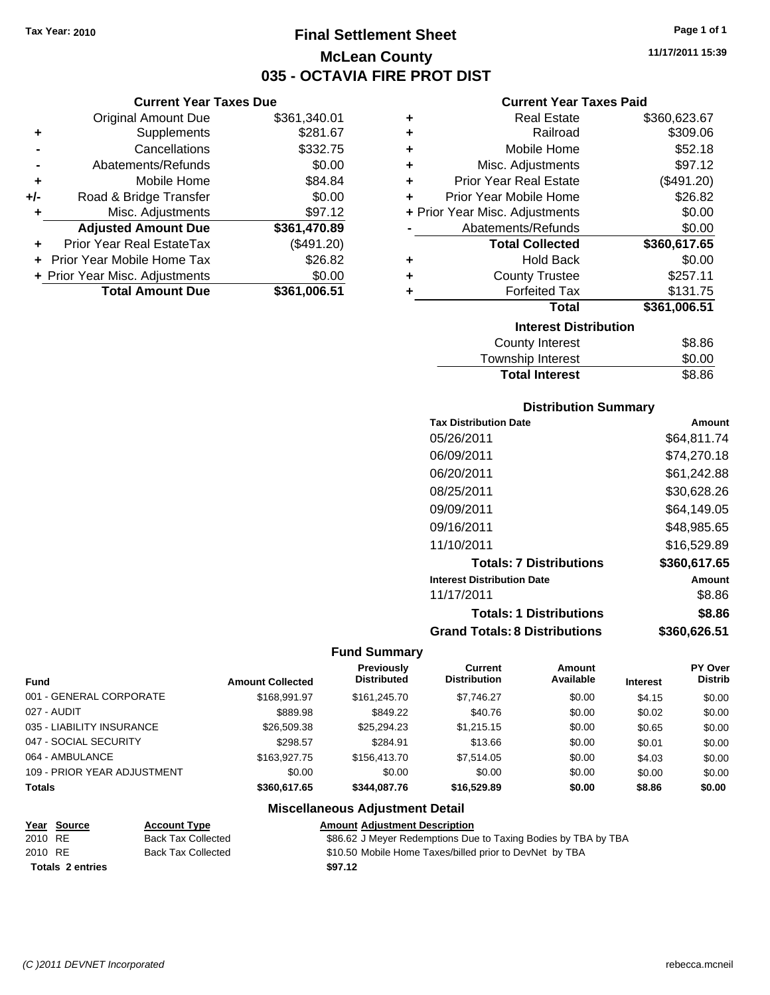# **Final Settlement Sheet Tax Year: 2010 Page 1 of 1 McLean County 035 - OCTAVIA FIRE PROT DIST**

**11/17/2011 15:39**

### **Current Year Taxes Due**

|       | <b>Original Amount Due</b>     | \$361,340.01 |
|-------|--------------------------------|--------------|
| ٠     | Supplements                    | \$281.67     |
|       | Cancellations                  | \$332.75     |
|       | Abatements/Refunds             | \$0.00       |
| ÷     | Mobile Home                    | \$84.84      |
| $+/-$ | Road & Bridge Transfer         | \$0.00       |
| ۰     | Misc. Adjustments              | \$97.12      |
|       | <b>Adjusted Amount Due</b>     | \$361,470.89 |
|       | Prior Year Real EstateTax      | (\$491.20)   |
|       | Prior Year Mobile Home Tax     | \$26.82      |
|       | + Prior Year Misc. Adjustments | \$0.00       |
|       | <b>Total Amount Due</b>        | \$361,006.51 |

### **Current Year Taxes Paid**

|   | <b>Real Estate</b>             | \$360,623.67 |
|---|--------------------------------|--------------|
| ٠ | Railroad                       | \$309.06     |
| ٠ | Mobile Home                    | \$52.18      |
| ٠ | Misc. Adjustments              | \$97.12      |
| ٠ | <b>Prior Year Real Estate</b>  | (\$491.20)   |
| ÷ | Prior Year Mobile Home         | \$26.82      |
|   | + Prior Year Misc. Adjustments | \$0.00       |
|   | Abatements/Refunds             | \$0.00       |
|   | <b>Total Collected</b>         | \$360,617.65 |
| ٠ | <b>Hold Back</b>               | \$0.00       |
| ٠ | <b>County Trustee</b>          | \$257.11     |
| ٠ | <b>Forfeited Tax</b>           | \$131.75     |
|   | Total                          | \$361,006.51 |
|   |                                |              |
|   | <b>Interest Distribution</b>   |              |

# Township Interest \$0.00 Total Interest \$8.86

### **Distribution Summary**

| <b>Tax Distribution Date</b>         | Amount       |
|--------------------------------------|--------------|
| 05/26/2011                           | \$64,811.74  |
| 06/09/2011                           | \$74,270.18  |
| 06/20/2011                           | \$61,242.88  |
| 08/25/2011                           | \$30.628.26  |
| 09/09/2011                           | \$64.149.05  |
| 09/16/2011                           | \$48,985.65  |
| 11/10/2011                           | \$16,529.89  |
| <b>Totals: 7 Distributions</b>       | \$360,617.65 |
| <b>Interest Distribution Date</b>    | Amount       |
| 11/17/2011                           | \$8.86       |
| <b>Totals: 1 Distributions</b>       | \$8.86       |
| <b>Grand Totals: 8 Distributions</b> | \$360,626.51 |

#### **Fund Summary**

|                             |                         | Previously         | Current             | Amount    |                 | <b>PY Over</b> |
|-----------------------------|-------------------------|--------------------|---------------------|-----------|-----------------|----------------|
| <b>Fund</b>                 | <b>Amount Collected</b> | <b>Distributed</b> | <b>Distribution</b> | Available | <b>Interest</b> | <b>Distrib</b> |
| 001 - GENERAL CORPORATE     | \$168,991.97            | \$161.245.70       | \$7,746.27          | \$0.00    | \$4.15          | \$0.00         |
| 027 - AUDIT                 | \$889.98                | \$849.22           | \$40.76             | \$0.00    | \$0.02          | \$0.00         |
| 035 - LIABILITY INSURANCE   | \$26,509.38             | \$25.294.23        | \$1.215.15          | \$0.00    | \$0.65          | \$0.00         |
| 047 - SOCIAL SECURITY       | \$298.57                | \$284.91           | \$13.66             | \$0.00    | \$0.01          | \$0.00         |
| 064 - AMBULANCE             | \$163,927.75            | \$156,413.70       | \$7.514.05          | \$0.00    | \$4.03          | \$0.00         |
| 109 - PRIOR YEAR ADJUSTMENT | \$0.00                  | \$0.00             | \$0.00              | \$0.00    | \$0.00          | \$0.00         |
| <b>Totals</b>               | \$360,617,65            | \$344.087.76       | \$16,529.89         | \$0.00    | \$8.86          | \$0.00         |

#### **Miscellaneous Adjustment Detail Year Source Account Type Amount Adjustment Description** 2010 RE Back Tax Collected \$86.62 J Meyer Redemptions Due to Taxing Bodies by TBA by TBA 2010 RE Back Tax Collected \$10.50 Mobile Home Taxes/billed prior to DevNet by TBA **Totals \$97.12 2 entries**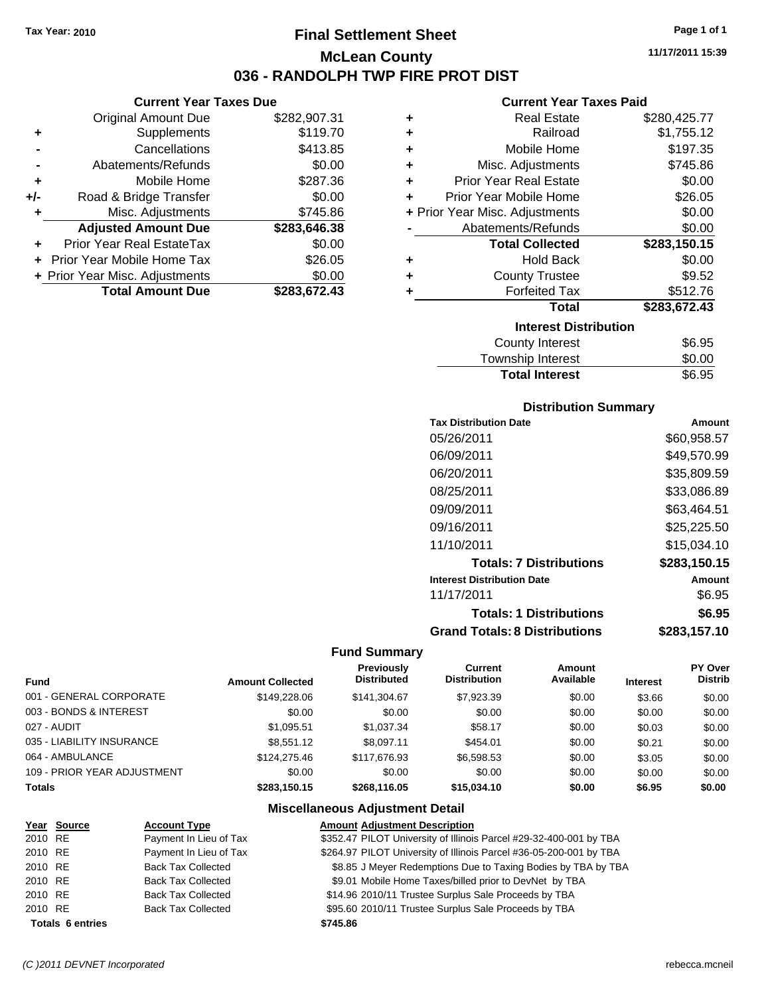**Current Year Taxes Due** Original Amount Due \$282,907.31

**Adjusted Amount Due \$283,646.38**

**+** Supplements \$119.70 **-** Cancellations \$413.85 **-** Abatements/Refunds \$0.00 **+** Mobile Home \$287.36 **+/-** Road & Bridge Transfer \$0.00 **+** Misc. Adjustments \$745.86

**+** Prior Year Real EstateTax \$0.00 **+** Prior Year Mobile Home Tax \$26.05 **+ Prior Year Misc. Adjustments \$0.00<br>Total Amount Due \$283,672.43** 

**Total Amount Due** 

# **Final Settlement Sheet Tax Year: 2010 Page 1 of 1 McLean County 036 - RANDOLPH TWP FIRE PROT DIST**

**11/17/2011 15:39**

#### **Current Year Taxes Paid**

|   | OUITUR TUUT TUAUJ LUIU         |              |
|---|--------------------------------|--------------|
| ٠ | <b>Real Estate</b>             | \$280,425.77 |
| ٠ | Railroad                       | \$1,755.12   |
| ٠ | Mobile Home                    | \$197.35     |
| ٠ | Misc. Adjustments              | \$745.86     |
| ٠ | <b>Prior Year Real Estate</b>  | \$0.00       |
| ٠ | Prior Year Mobile Home         | \$26.05      |
|   | + Prior Year Misc. Adjustments | \$0.00       |
|   | Abatements/Refunds             | \$0.00       |
|   | <b>Total Collected</b>         | \$283,150.15 |
| ٠ | <b>Hold Back</b>               | \$0.00       |
| ٠ | <b>County Trustee</b>          | \$9.52       |
| ٠ | <b>Forfeited Tax</b>           | \$512.76     |
|   | <b>Total</b>                   | \$283,672.43 |
|   | <b>Interest Distribution</b>   |              |
|   | County Interest                | \$6.95       |
|   |                                |              |

| <b>Total Interest</b> | \$6.95 |
|-----------------------|--------|
| Township Interest     | \$0.00 |
| County Interest       | \$6.95 |

#### **Distribution Summary**

| <b>Tax Distribution Date</b>         | Amount       |
|--------------------------------------|--------------|
| 05/26/2011                           | \$60,958.57  |
| 06/09/2011                           | \$49,570.99  |
| 06/20/2011                           | \$35,809.59  |
| 08/25/2011                           | \$33.086.89  |
| 09/09/2011                           | \$63,464.51  |
| 09/16/2011                           | \$25,225.50  |
| 11/10/2011                           | \$15.034.10  |
| <b>Totals: 7 Distributions</b>       | \$283,150.15 |
| <b>Interest Distribution Date</b>    | Amount       |
| 11/17/2011                           | \$6.95       |
| <b>Totals: 1 Distributions</b>       | \$6.95       |
| <b>Grand Totals: 8 Distributions</b> | \$283,157.10 |

#### **Fund Summary**

|                             |                         | Previously         | Current             | Amount    |                 | <b>PY Over</b> |
|-----------------------------|-------------------------|--------------------|---------------------|-----------|-----------------|----------------|
| <b>Fund</b>                 | <b>Amount Collected</b> | <b>Distributed</b> | <b>Distribution</b> | Available | <b>Interest</b> | <b>Distrib</b> |
| 001 - GENERAL CORPORATE     | \$149,228,06            | \$141,304.67       | \$7,923.39          | \$0.00    | \$3.66          | \$0.00         |
| 003 - BONDS & INTEREST      | \$0.00                  | \$0.00             | \$0.00              | \$0.00    | \$0.00          | \$0.00         |
| 027 - AUDIT                 | \$1,095.51              | \$1,037.34         | \$58.17             | \$0.00    | \$0.03          | \$0.00         |
| 035 - LIABILITY INSURANCE   | \$8.551.12              | \$8.097.11         | \$454.01            | \$0.00    | \$0.21          | \$0.00         |
| 064 - AMBULANCE             | \$124,275.46            | \$117,676,93       | \$6,598.53          | \$0.00    | \$3.05          | \$0.00         |
| 109 - PRIOR YEAR ADJUSTMENT | \$0.00                  | \$0.00             | \$0.00              | \$0.00    | \$0.00          | \$0.00         |
| <b>Totals</b>               | \$283.150.15            | \$268.116.05       | \$15,034.10         | \$0.00    | \$6.95          | \$0.00         |

# **Miscellaneous Adjustment Detail**

|         | Year Source             | <b>Account Type</b>       | <b>Amount Adjustment Description</b>                               |
|---------|-------------------------|---------------------------|--------------------------------------------------------------------|
| 2010 RE |                         | Payment In Lieu of Tax    | \$352.47 PILOT University of Illinois Parcel #29-32-400-001 by TBA |
| 2010 RE |                         | Payment In Lieu of Tax    | \$264.97 PILOT University of Illinois Parcel #36-05-200-001 by TBA |
| 2010 RE |                         | <b>Back Tax Collected</b> | \$8.85 J Meyer Redemptions Due to Taxing Bodies by TBA by TBA      |
| 2010 RE |                         | <b>Back Tax Collected</b> | \$9.01 Mobile Home Taxes/billed prior to DevNet by TBA             |
| 2010 RE |                         | <b>Back Tax Collected</b> | \$14.96 2010/11 Trustee Surplus Sale Proceeds by TBA               |
| 2010 RE |                         | <b>Back Tax Collected</b> | \$95.60 2010/11 Trustee Surplus Sale Proceeds by TBA               |
|         | <b>Totals 6 entries</b> |                           | \$745.86                                                           |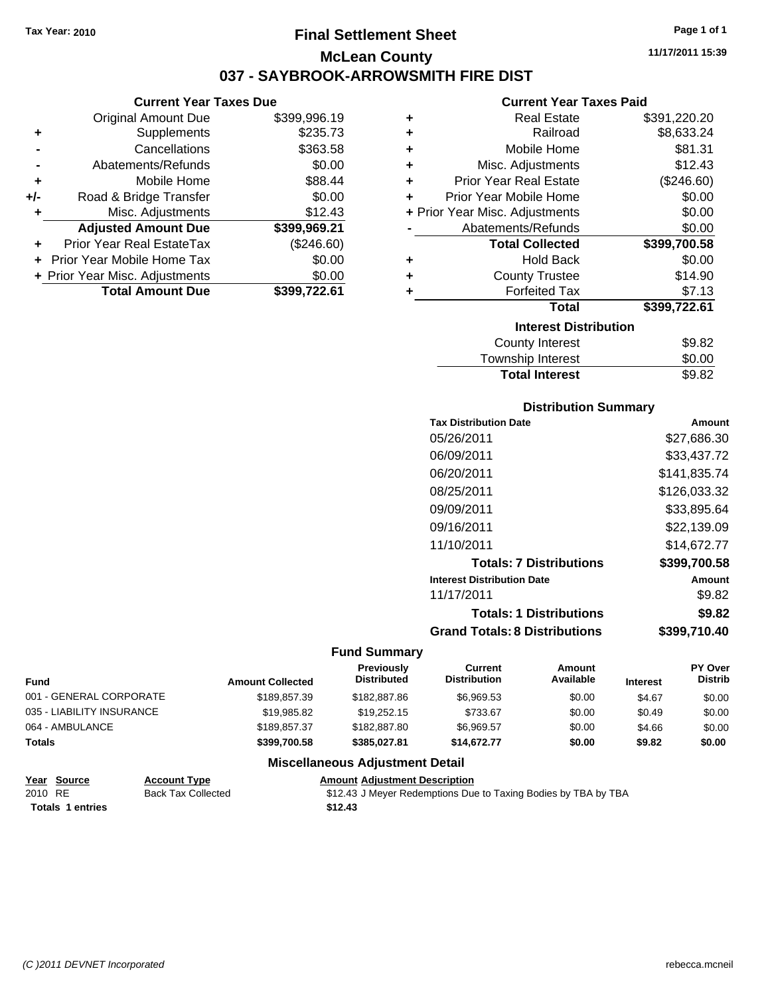# **Final Settlement Sheet Tax Year: 2010 Page 1 of 1 McLean County 037 - SAYBROOK-ARROWSMITH FIRE DIST**

#### **Current Year Taxes Due**

|       | <b>Total Amount Due</b>        | \$399,722.61 |
|-------|--------------------------------|--------------|
|       | + Prior Year Misc. Adjustments | \$0.00       |
|       | Prior Year Mobile Home Tax     | \$0.00       |
|       | Prior Year Real EstateTax      | (\$246.60)   |
|       | <b>Adjusted Amount Due</b>     | \$399,969.21 |
| ٠     | Misc. Adjustments              | \$12.43      |
| $+/-$ | Road & Bridge Transfer         | \$0.00       |
| ÷     | Mobile Home                    | \$88.44      |
|       | Abatements/Refunds             | \$0.00       |
|       | Cancellations                  | \$363.58     |
| ٠     | Supplements                    | \$235.73     |
|       | <b>Original Amount Due</b>     | \$399,996.19 |
|       |                                |              |

#### **Current Year Taxes Paid**

| ٠ | <b>Real Estate</b>               | \$391,220.20 |
|---|----------------------------------|--------------|
| ٠ | Railroad                         | \$8,633.24   |
| ÷ | Mobile Home                      | \$81.31      |
| ٠ | Misc. Adjustments                | \$12.43      |
| ٠ | <b>Prior Year Real Estate</b>    | (\$246.60)   |
| ÷ | Prior Year Mobile Home           | \$0.00       |
|   | + Prior Year Misc. Adjustments   | \$0.00       |
|   | Abatements/Refunds               | \$0.00       |
|   | <b>Total Collected</b>           | \$399,700.58 |
| ٠ | <b>Hold Back</b>                 | \$0.00       |
| ÷ | <b>County Trustee</b>            | \$14.90      |
| ٠ | <b>Forfeited Tax</b>             | \$7.13       |
|   | <b>Total</b>                     | \$399,722.61 |
|   | <b>Interest Distribution</b>     |              |
|   | <b>County Interest</b>           | \$9.82       |
|   | للتوصيص عناصرا المراجل المسترورة | ጦጣ ጣጣ        |

# Township Interest \$0.00 Total Interest \$9.82

#### **Distribution Summary**

| <b>Tax Distribution Date</b>         | Amount       |
|--------------------------------------|--------------|
| 05/26/2011                           | \$27,686.30  |
| 06/09/2011                           | \$33,437.72  |
| 06/20/2011                           | \$141.835.74 |
| 08/25/2011                           | \$126.033.32 |
| 09/09/2011                           | \$33,895.64  |
| 09/16/2011                           | \$22,139.09  |
| 11/10/2011                           | \$14.672.77  |
| <b>Totals: 7 Distributions</b>       | \$399,700.58 |
| <b>Interest Distribution Date</b>    | Amount       |
| 11/17/2011                           | \$9.82       |
| <b>Totals: 1 Distributions</b>       | \$9.82       |
| <b>Grand Totals: 8 Distributions</b> | \$399,710.40 |

#### **Fund Summary**

| <b>Fund</b>               | <b>Amount Collected</b> | <b>Previously</b><br><b>Distributed</b> | Current<br><b>Distribution</b> | Amount<br>Available | <b>Interest</b> | <b>PY Over</b><br><b>Distrib</b> |
|---------------------------|-------------------------|-----------------------------------------|--------------------------------|---------------------|-----------------|----------------------------------|
| 001 - GENERAL CORPORATE   | \$189,857,39            | \$182,887,86                            | \$6.969.53                     | \$0.00              | \$4.67          | \$0.00                           |
| 035 - LIABILITY INSURANCE | \$19,985.82             | \$19,252.15                             | \$733.67                       | \$0.00              | \$0.49          | \$0.00                           |
| 064 - AMBULANCE           | \$189.857.37            | \$182,887,80                            | \$6.969.57                     | \$0.00              | \$4.66          | \$0.00                           |
| <b>Totals</b>             | \$399.700.58            | \$385.027.81                            | \$14,672.77                    | \$0.00              | \$9.82          | \$0.00                           |
|                           | ---                     |                                         |                                |                     |                 |                                  |

#### **Miscellaneous Adjustment Detail**

#### **Year Source Account Type Amount Adjustment Description** 2010 RE Back Tax Collected \$12.43 J Meyer Redemptions Due to Taxing Bodies by TBA by TBA

**Totals \$12.43 1 entries**

**11/17/2011 15:39**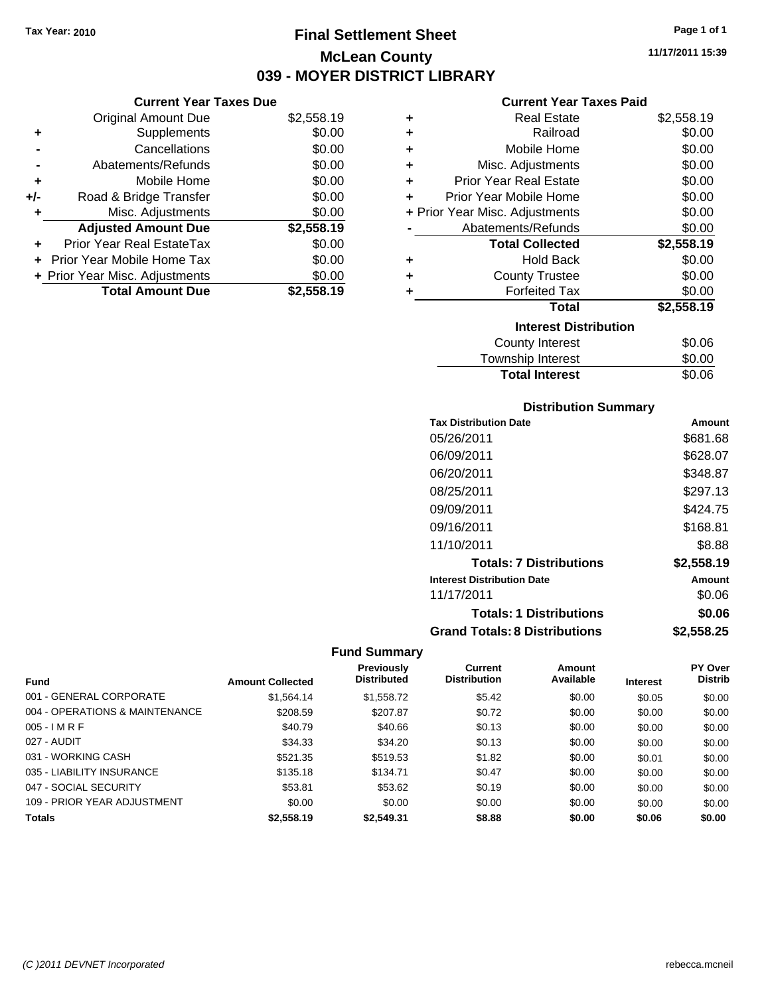**Current Year Taxes Due** Original Amount Due \$2,558.19

**Adjusted Amount Due \$2,558.19**

Total Amount Due \$2,558.19

**+** Supplements \$0.00 **-** Cancellations \$0.00 **-** Abatements/Refunds \$0.00 **+** Mobile Home \$0.00 **+/-** Road & Bridge Transfer \$0.00 **+** Misc. Adjustments \$0.00

**+** Prior Year Real EstateTax \$0.00 **+** Prior Year Mobile Home Tax \$0.00 **+ Prior Year Misc. Adjustments**  $$0.00$ 

# **Final Settlement Sheet Tax Year: 2010 Page 1 of 1 McLean County 039 - MOYER DISTRICT LIBRARY**

**11/17/2011 15:39**

### **Current Year Taxes Paid**

| ٠ | <b>Real Estate</b>             | \$2,558.19 |
|---|--------------------------------|------------|
| ٠ | Railroad                       | \$0.00     |
| ٠ | Mobile Home                    | \$0.00     |
| ٠ | Misc. Adjustments              | \$0.00     |
| ٠ | <b>Prior Year Real Estate</b>  | \$0.00     |
| ÷ | Prior Year Mobile Home         | \$0.00     |
|   | + Prior Year Misc. Adjustments | \$0.00     |
|   | Abatements/Refunds             | \$0.00     |
|   | <b>Total Collected</b>         | \$2,558.19 |
| ٠ | <b>Hold Back</b>               | \$0.00     |
| ÷ | <b>County Trustee</b>          | \$0.00     |
| ٠ | <b>Forfeited Tax</b>           | \$0.00     |
|   | <b>Total</b>                   | \$2,558.19 |
|   | <b>Interest Distribution</b>   |            |
|   | <b>County Interest</b>         | \$0.06     |
|   |                                |            |

| Township Interest     | \$0.00 |
|-----------------------|--------|
| <b>Total Interest</b> | \$0.06 |

#### **Distribution Summary**

| <b>Tax Distribution Date</b>         | Amount     |
|--------------------------------------|------------|
| 05/26/2011                           | \$681.68   |
| 06/09/2011                           | \$628.07   |
| 06/20/2011                           | \$348.87   |
| 08/25/2011                           | \$297.13   |
| 09/09/2011                           | \$424.75   |
| 09/16/2011                           | \$168.81   |
| 11/10/2011                           | \$8.88     |
| <b>Totals: 7 Distributions</b>       | \$2,558.19 |
| <b>Interest Distribution Date</b>    | Amount     |
| 11/17/2011                           | \$0.06     |
| <b>Totals: 1 Distributions</b>       | \$0.06     |
| <b>Grand Totals: 8 Distributions</b> | \$2,558.25 |

|                                |                         | Previously         | Current             | Amount    |                 | PY Over        |
|--------------------------------|-------------------------|--------------------|---------------------|-----------|-----------------|----------------|
| <b>Fund</b>                    | <b>Amount Collected</b> | <b>Distributed</b> | <b>Distribution</b> | Available | <b>Interest</b> | <b>Distrib</b> |
| 001 - GENERAL CORPORATE        | \$1,564.14              | \$1,558.72         | \$5.42              | \$0.00    | \$0.05          | \$0.00         |
| 004 - OPERATIONS & MAINTENANCE | \$208.59                | \$207.87           | \$0.72              | \$0.00    | \$0.00          | \$0.00         |
| $005 - I$ M R F                | \$40.79                 | \$40.66            | \$0.13              | \$0.00    | \$0.00          | \$0.00         |
| 027 - AUDIT                    | \$34.33                 | \$34.20            | \$0.13              | \$0.00    | \$0.00          | \$0.00         |
| 031 - WORKING CASH             | \$521.35                | \$519.53           | \$1.82              | \$0.00    | \$0.01          | \$0.00         |
| 035 - LIABILITY INSURANCE      | \$135.18                | \$134.71           | \$0.47              | \$0.00    | \$0.00          | \$0.00         |
| 047 - SOCIAL SECURITY          | \$53.81                 | \$53.62            | \$0.19              | \$0.00    | \$0.00          | \$0.00         |
| 109 - PRIOR YEAR ADJUSTMENT    | \$0.00                  | \$0.00             | \$0.00              | \$0.00    | \$0.00          | \$0.00         |
| <b>Totals</b>                  | \$2,558.19              | \$2,549.31         | \$8.88              | \$0.00    | \$0.06          | \$0.00         |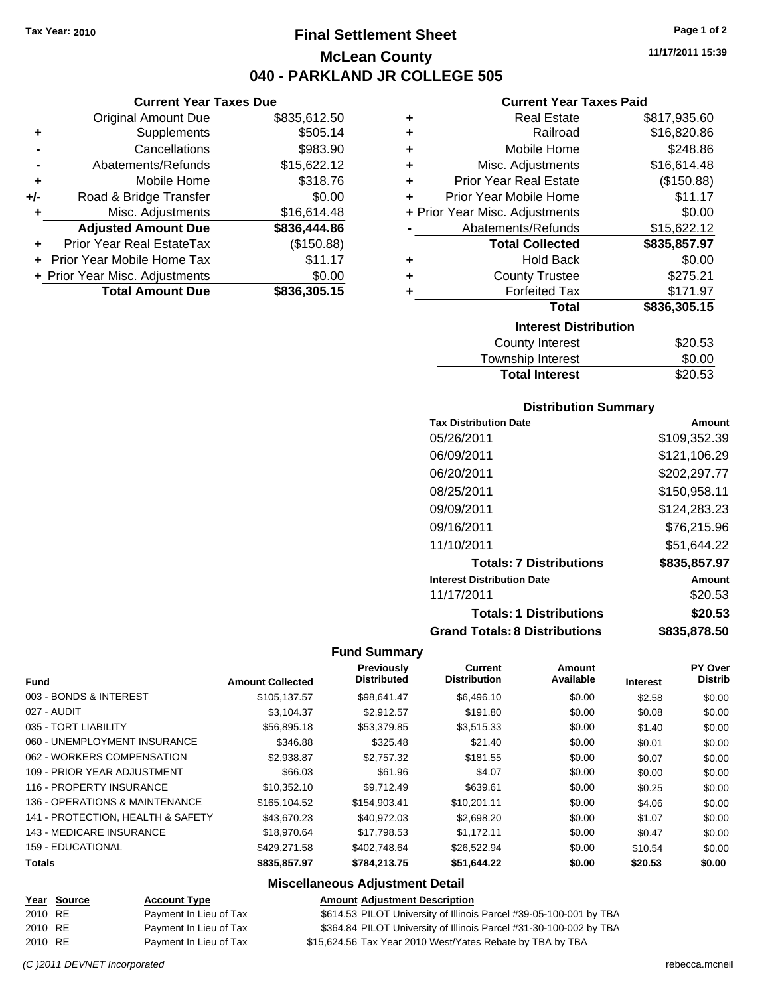# **Final Settlement Sheet Tax Year: 2010 Page 1 of 2 McLean County 040 - PARKLAND JR COLLEGE 505**

|     | <b>Current Year Taxes Due</b>    |              |
|-----|----------------------------------|--------------|
|     | <b>Original Amount Due</b>       | \$835,612.50 |
| ٠   | Supplements                      | \$505.14     |
|     | Cancellations                    | \$983.90     |
|     | Abatements/Refunds               | \$15,622.12  |
| ٠   | Mobile Home                      | \$318.76     |
| +/- | Road & Bridge Transfer           | \$0.00       |
| ٠   | Misc. Adjustments                | \$16,614.48  |
|     | <b>Adjusted Amount Due</b>       | \$836,444.86 |
|     | <b>Prior Year Real EstateTax</b> | (\$150.88)   |
|     | Prior Year Mobile Home Tax       | \$11.17      |
|     | + Prior Year Misc. Adjustments   | \$0.00       |
|     | <b>Total Amount Due</b>          | \$836,305.15 |

# **Current Year Taxes Paid**

| ٠ | <b>Real Estate</b>             | \$817,935.60 |
|---|--------------------------------|--------------|
| ÷ | Railroad                       | \$16,820.86  |
| ٠ | Mobile Home                    | \$248.86     |
| ٠ | Misc. Adjustments              | \$16,614.48  |
| ÷ | <b>Prior Year Real Estate</b>  | (\$150.88)   |
| ٠ | Prior Year Mobile Home         | \$11.17      |
|   | + Prior Year Misc. Adjustments | \$0.00       |
|   | Abatements/Refunds             | \$15,622.12  |
|   | <b>Total Collected</b>         | \$835,857.97 |
| ٠ | <b>Hold Back</b>               | \$0.00       |
| ٠ | <b>County Trustee</b>          | \$275.21     |
| ٠ | <b>Forfeited Tax</b>           | \$171.97     |
|   | <b>Total</b>                   | \$836,305.15 |
|   | <b>Interest Distribution</b>   |              |
|   | <b>County Interest</b>         | \$20.53      |
|   |                                |              |

| <b>Township Interest</b> | \$0.00  |
|--------------------------|---------|
| <b>Total Interest</b>    | \$20.53 |

### **Distribution Summary**

| <b>Tax Distribution Date</b>         | Amount       |
|--------------------------------------|--------------|
| 05/26/2011                           | \$109,352.39 |
| 06/09/2011                           | \$121.106.29 |
| 06/20/2011                           | \$202,297.77 |
| 08/25/2011                           | \$150,958.11 |
| 09/09/2011                           | \$124,283.23 |
| 09/16/2011                           | \$76.215.96  |
| 11/10/2011                           | \$51.644.22  |
| <b>Totals: 7 Distributions</b>       | \$835,857.97 |
| <b>Interest Distribution Date</b>    | Amount       |
| 11/17/2011                           | \$20.53      |
| <b>Totals: 1 Distributions</b>       | \$20.53      |
| <b>Grand Totals: 8 Distributions</b> | \$835,878.50 |

### **Fund Summary**

| <b>Fund</b>                       | <b>Amount Collected</b> | Previously<br><b>Distributed</b> | Current<br><b>Distribution</b> | Amount<br>Available | <b>Interest</b> | <b>PY Over</b><br><b>Distrib</b> |
|-----------------------------------|-------------------------|----------------------------------|--------------------------------|---------------------|-----------------|----------------------------------|
| 003 - BONDS & INTEREST            | \$105,137.57            | \$98,641.47                      | \$6,496.10                     | \$0.00              | \$2.58          | \$0.00                           |
| 027 - AUDIT                       | \$3,104.37              | \$2.912.57                       | \$191.80                       | \$0.00              | \$0.08          | \$0.00                           |
| 035 - TORT LIABILITY              | \$56,895.18             | \$53.379.85                      | \$3.515.33                     | \$0.00              | \$1.40          | \$0.00                           |
| 060 - UNEMPLOYMENT INSURANCE      | \$346.88                | \$325.48                         | \$21.40                        | \$0.00              | \$0.01          | \$0.00                           |
| 062 - WORKERS COMPENSATION        | \$2,938.87              | \$2,757.32                       | \$181.55                       | \$0.00              | \$0.07          | \$0.00                           |
| 109 - PRIOR YEAR ADJUSTMENT       | \$66.03                 | \$61.96                          | \$4.07                         | \$0.00              | \$0.00          | \$0.00                           |
| 116 - PROPERTY INSURANCE          | \$10,352.10             | \$9.712.49                       | \$639.61                       | \$0.00              | \$0.25          | \$0.00                           |
| 136 - OPERATIONS & MAINTENANCE    | \$165,104.52            | \$154,903.41                     | \$10.201.11                    | \$0.00              | \$4.06          | \$0.00                           |
| 141 - PROTECTION, HEALTH & SAFETY | \$43,670.23             | \$40.972.03                      | \$2,698.20                     | \$0.00              | \$1.07          | \$0.00                           |
| 143 - MEDICARE INSURANCE          | \$18,970.64             | \$17.798.53                      | \$1.172.11                     | \$0.00              | \$0.47          | \$0.00                           |
| 159 - EDUCATIONAL                 | \$429.271.58            | \$402.748.64                     | \$26,522.94                    | \$0.00              | \$10.54         | \$0.00                           |
| <b>Totals</b>                     | \$835,857.97            | \$784,213,75                     | \$51,644.22                    | \$0.00              | \$20.53         | \$0.00                           |

### **Miscellaneous Adjustment Detail**

|         | <u>Year Source</u> | <b>Account Type</b>    | <b>Amount Adjustment Description</b>                               |
|---------|--------------------|------------------------|--------------------------------------------------------------------|
| 2010 RE |                    | Payment In Lieu of Tax | \$614.53 PILOT University of Illinois Parcel #39-05-100-001 by TBA |
| 2010 RE |                    | Payment In Lieu of Tax | \$364.84 PILOT University of Illinois Parcel #31-30-100-002 by TBA |
| 2010 RE |                    | Payment In Lieu of Tax | \$15,624.56 Tax Year 2010 West/Yates Rebate by TBA by TBA          |

**11/17/2011 15:39**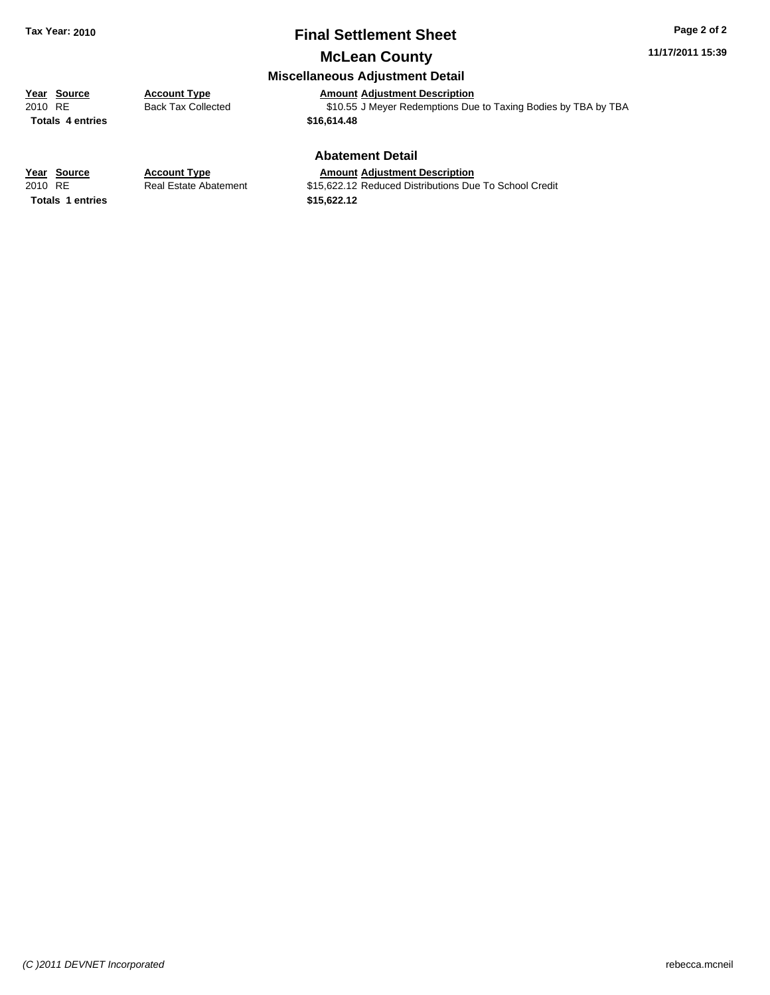# **Final Settlement Sheet Tax Year: 2010 Page 2 of 2**

**11/17/2011 15:39**

# **McLean County**

### **Miscellaneous Adjustment Detail**

# **Year Source Account Type**<br> **Amount Adjustment Description**<br>
2010 RE **Back Tax Collected** \$10.55 J Meyer Redemptions Due

**Totals 4 entries** 

Back Tax Collected<br>
310.55 J Meyer Redemptions Due to Taxing Bodies by TBA by TBA<br> **\$16,614.48** 

### **Abatement Detail**

#### **Year Source Account Type Amount Adjustment Description**

**Totals 1 entries 1 and 1 and 1 and 1 and 1 and 1 and 1 and 1 and 1 and 1 and 1 and 1 and 1 and 1 and 1 and 1 and 1 and 1 and 1 and 1 and 1 and 1 and 1 and 1 and 1 and 1 and 1 and 1 and 1 and 1 and 1 and 1 and 1 and 1 an** 

2010 RE **12.12 Real Estate Abatement** \$15,622.12 Reduced Distributions Due To School Credit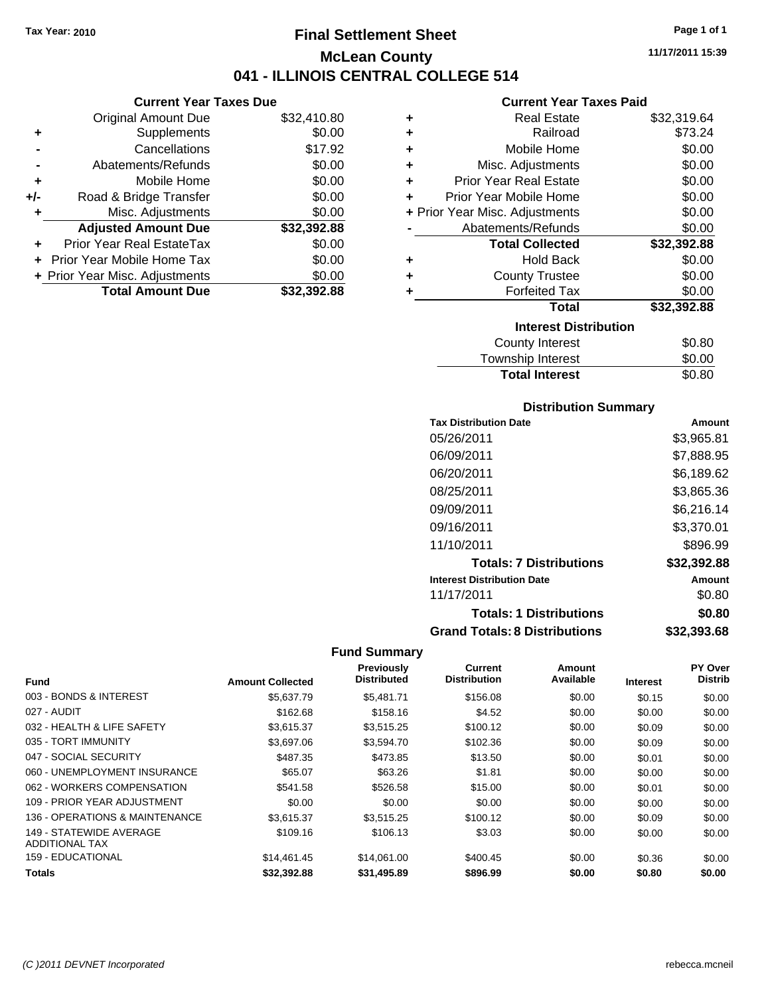# **Final Settlement Sheet Tax Year: 2010 Page 1 of 1 McLean County 041 - ILLINOIS CENTRAL COLLEGE 514**

### **Current Year Taxes Due**

|     | <b>Original Amount Due</b>        | \$32,410.80 |
|-----|-----------------------------------|-------------|
| ٠   | Supplements                       | \$0.00      |
|     | Cancellations                     | \$17.92     |
|     | Abatements/Refunds                | \$0.00      |
| ٠   | Mobile Home                       | \$0.00      |
| +/- | Road & Bridge Transfer            | \$0.00      |
| ٠   | Misc. Adjustments                 | \$0.00      |
|     | <b>Adjusted Amount Due</b>        | \$32,392.88 |
|     | Prior Year Real EstateTax         | \$0.00      |
|     | <b>Prior Year Mobile Home Tax</b> | \$0.00      |
|     | + Prior Year Misc. Adjustments    | \$0.00      |
|     | <b>Total Amount Due</b>           | \$32.392.88 |

#### **Current Year Taxes Paid**

| ٠ | <b>Real Estate</b>             | \$32,319.64 |
|---|--------------------------------|-------------|
| ÷ | Railroad                       | \$73.24     |
| ÷ | Mobile Home                    | \$0.00      |
| ٠ | Misc. Adjustments              | \$0.00      |
| ٠ | <b>Prior Year Real Estate</b>  | \$0.00      |
| ٠ | Prior Year Mobile Home         | \$0.00      |
|   | + Prior Year Misc. Adjustments | \$0.00      |
|   | Abatements/Refunds             | \$0.00      |
|   |                                |             |
|   | <b>Total Collected</b>         | \$32,392.88 |
| ٠ | <b>Hold Back</b>               | \$0.00      |
| ٠ | <b>County Trustee</b>          | \$0.00      |
|   | <b>Forfeited Tax</b>           | \$0.00      |
|   | Total                          | \$32,392.88 |
|   | <b>Interest Distribution</b>   |             |
|   | County Interest                | \$0.80      |

#### $\frac{\text{snip interest}}{\text{total Interest}}$  \$0.00 **Total Interest**

| <b>Distribution Summary</b>          |             |  |  |  |
|--------------------------------------|-------------|--|--|--|
| <b>Tax Distribution Date</b>         | Amount      |  |  |  |
| 05/26/2011                           | \$3,965.81  |  |  |  |
| 06/09/2011                           | \$7.888.95  |  |  |  |
| 06/20/2011                           | \$6,189.62  |  |  |  |
| 08/25/2011                           | \$3,865.36  |  |  |  |
| 09/09/2011                           | \$6,216.14  |  |  |  |
| 09/16/2011                           | \$3,370.01  |  |  |  |
| 11/10/2011                           | \$896.99    |  |  |  |
| <b>Totals: 7 Distributions</b>       | \$32,392.88 |  |  |  |
| <b>Interest Distribution Date</b>    | Amount      |  |  |  |
| 11/17/2011                           | \$0.80      |  |  |  |
| <b>Totals: 1 Distributions</b>       | \$0.80      |  |  |  |
| <b>Grand Totals: 8 Distributions</b> | \$32,393.68 |  |  |  |

| Fund                                             | <b>Amount Collected</b> | <b>Previously</b><br><b>Distributed</b> | <b>Current</b><br><b>Distribution</b> | Amount<br>Available | <b>Interest</b> | PY Over<br><b>Distrib</b> |
|--------------------------------------------------|-------------------------|-----------------------------------------|---------------------------------------|---------------------|-----------------|---------------------------|
| 003 - BONDS & INTEREST                           | \$5.637.79              | \$5.481.71                              | \$156.08                              | \$0.00              | \$0.15          | \$0.00                    |
| 027 - AUDIT                                      | \$162.68                | \$158.16                                | \$4.52                                | \$0.00              | \$0.00          | \$0.00                    |
| 032 - HEALTH & LIFE SAFETY                       | \$3,615.37              | \$3,515.25                              | \$100.12                              | \$0.00              | \$0.09          | \$0.00                    |
| 035 - TORT IMMUNITY                              | \$3,697.06              | \$3,594.70                              | \$102.36                              | \$0.00              | \$0.09          | \$0.00                    |
| 047 - SOCIAL SECURITY                            | \$487.35                | \$473.85                                | \$13.50                               | \$0.00              | \$0.01          | \$0.00                    |
| 060 - UNEMPLOYMENT INSURANCE                     | \$65.07                 | \$63.26                                 | \$1.81                                | \$0.00              | \$0.00          | \$0.00                    |
| 062 - WORKERS COMPENSATION                       | \$541.58                | \$526.58                                | \$15.00                               | \$0.00              | \$0.01          | \$0.00                    |
| 109 - PRIOR YEAR ADJUSTMENT                      | \$0.00                  | \$0.00                                  | \$0.00                                | \$0.00              | \$0.00          | \$0.00                    |
| 136 - OPERATIONS & MAINTENANCE                   | \$3,615.37              | \$3,515.25                              | \$100.12                              | \$0.00              | \$0.09          | \$0.00                    |
| 149 - STATEWIDE AVERAGE<br><b>ADDITIONAL TAX</b> | \$109.16                | \$106.13                                | \$3.03                                | \$0.00              | \$0.00          | \$0.00                    |
| 159 - EDUCATIONAL                                | \$14,461.45             | \$14,061.00                             | \$400.45                              | \$0.00              | \$0.36          | \$0.00                    |
| Totals                                           | \$32.392.88             | \$31,495.89                             | \$896.99                              | \$0.00              | \$0.80          | \$0.00                    |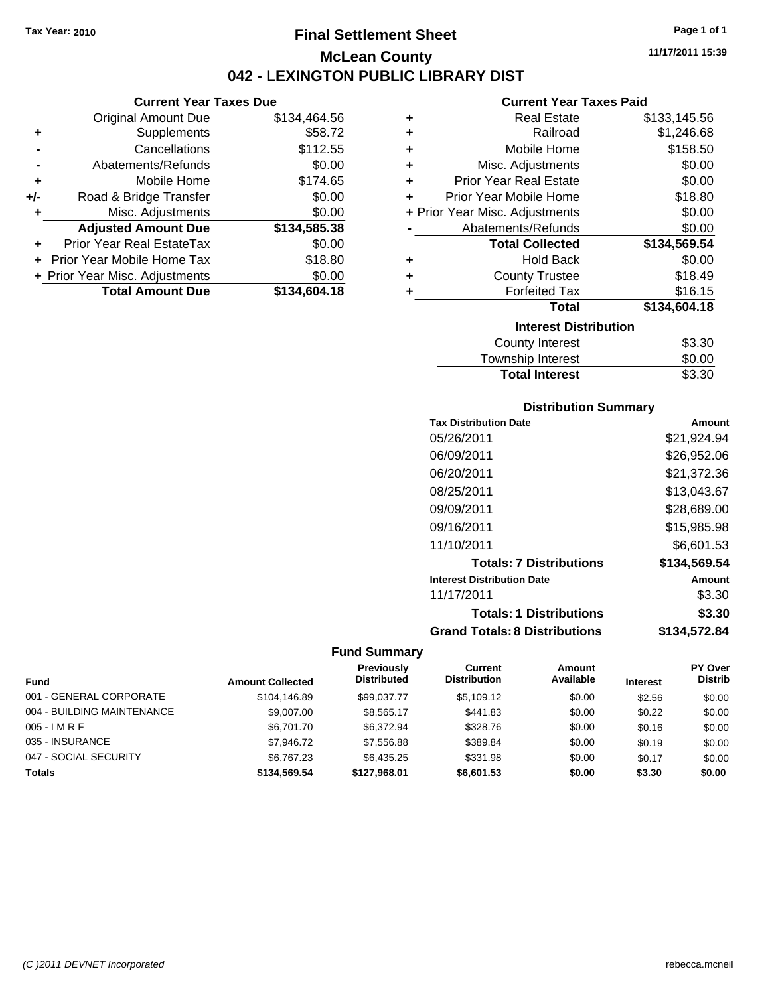# **Final Settlement Sheet Tax Year: 2010 Page 1 of 1 McLean County 042 - LEXINGTON PUBLIC LIBRARY DIST**

#### **Current Year Taxes Due**

|       | <b>Original Amount Due</b>     | \$134,464.56 |
|-------|--------------------------------|--------------|
| ٠     | Supplements                    | \$58.72      |
|       | Cancellations                  | \$112.55     |
|       | Abatements/Refunds             | \$0.00       |
| ÷     | Mobile Home                    | \$174.65     |
| $+/-$ | Road & Bridge Transfer         | \$0.00       |
| ٠     | Misc. Adjustments              | \$0.00       |
|       | <b>Adjusted Amount Due</b>     | \$134,585.38 |
|       | Prior Year Real EstateTax      | \$0.00       |
|       | Prior Year Mobile Home Tax     | \$18.80      |
|       | + Prior Year Misc. Adjustments | \$0.00       |
|       | <b>Total Amount Due</b>        | \$134,604.18 |

#### **Current Year Taxes Paid**

| ٠ | <b>Real Estate</b>             | \$133,145.56 |
|---|--------------------------------|--------------|
| ٠ | Railroad                       | \$1,246.68   |
| ÷ | Mobile Home                    | \$158.50     |
| ٠ | Misc. Adjustments              | \$0.00       |
| ٠ | <b>Prior Year Real Estate</b>  | \$0.00       |
| ÷ | Prior Year Mobile Home         | \$18.80      |
|   | + Prior Year Misc. Adjustments | \$0.00       |
|   | Abatements/Refunds             | \$0.00       |
|   | <b>Total Collected</b>         | \$134,569.54 |
| ٠ | <b>Hold Back</b>               | \$0.00       |
|   | <b>County Trustee</b>          | \$18.49      |
| ٠ | <b>Forfeited Tax</b>           | \$16.15      |
|   | Total                          | \$134,604.18 |
|   | <b>Interest Distribution</b>   |              |
|   | <b>County Interest</b>         | \$3.30       |

# Township Interest \$0.00<br>
Total Interest \$3.30 **Total Interest**

### **Distribution Summary**

| <b>Tax Distribution Date</b>         | Amount       |
|--------------------------------------|--------------|
| 05/26/2011                           | \$21,924.94  |
| 06/09/2011                           | \$26,952.06  |
| 06/20/2011                           | \$21.372.36  |
| 08/25/2011                           | \$13.043.67  |
| 09/09/2011                           | \$28.689.00  |
| 09/16/2011                           | \$15,985.98  |
| 11/10/2011                           | \$6,601.53   |
| <b>Totals: 7 Distributions</b>       | \$134,569.54 |
| <b>Interest Distribution Date</b>    | Amount       |
| 11/17/2011                           | \$3.30       |
| <b>Totals: 1 Distributions</b>       | \$3.30       |
| <b>Grand Totals: 8 Distributions</b> | \$134,572.84 |

|                            |                         | Previously         | Current             | <b>Amount</b> |                 | <b>PY Over</b> |
|----------------------------|-------------------------|--------------------|---------------------|---------------|-----------------|----------------|
| <b>Fund</b>                | <b>Amount Collected</b> | <b>Distributed</b> | <b>Distribution</b> | Available     | <b>Interest</b> | <b>Distrib</b> |
| 001 - GENERAL CORPORATE    | \$104.146.89            | \$99,037.77        | \$5,109.12          | \$0.00        | \$2.56          | \$0.00         |
| 004 - BUILDING MAINTENANCE | \$9,007.00              | \$8,565.17         | \$441.83            | \$0.00        | \$0.22          | \$0.00         |
| $005 - I$ M R F            | \$6,701.70              | \$6,372.94         | \$328.76            | \$0.00        | \$0.16          | \$0.00         |
| 035 - INSURANCE            | \$7,946.72              | \$7,556.88         | \$389.84            | \$0.00        | \$0.19          | \$0.00         |
| 047 - SOCIAL SECURITY      | \$6,767,23              | \$6,435.25         | \$331.98            | \$0.00        | \$0.17          | \$0.00         |
| <b>Totals</b>              | \$134,569,54            | \$127.968.01       | \$6,601.53          | \$0.00        | \$3.30          | \$0.00         |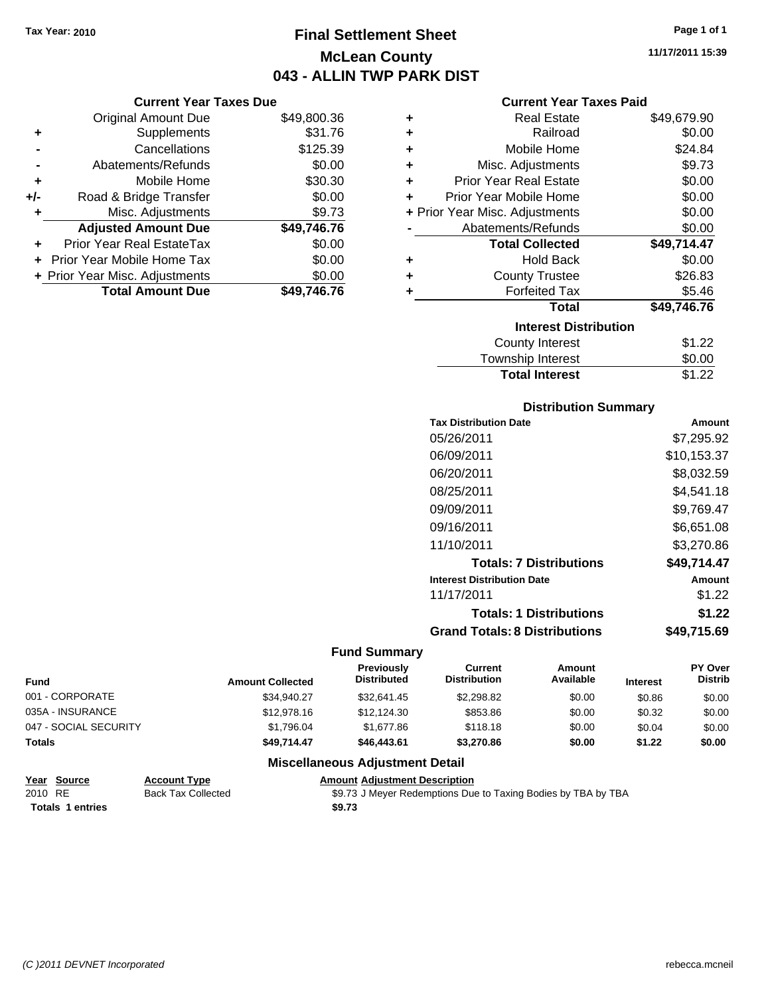# **Final Settlement Sheet Tax Year: 2010 Page 1 of 1 McLean County 043 - ALLIN TWP PARK DIST**

#### **Current Year Taxes Due**

|       | <b>Original Amount Due</b>       | \$49,800.36 |
|-------|----------------------------------|-------------|
| ٠     | Supplements                      | \$31.76     |
|       | Cancellations                    | \$125.39    |
|       | Abatements/Refunds               | \$0.00      |
| ÷     | Mobile Home                      | \$30.30     |
| $+/-$ | Road & Bridge Transfer           | \$0.00      |
| ٠     | Misc. Adjustments                | \$9.73      |
|       | <b>Adjusted Amount Due</b>       | \$49,746.76 |
|       | <b>Prior Year Real EstateTax</b> | \$0.00      |
|       | Prior Year Mobile Home Tax       | \$0.00      |
|       | + Prior Year Misc. Adjustments   | \$0.00      |
|       | <b>Total Amount Due</b>          | \$49,746.76 |

#### **Current Year Taxes Paid**

| ٠ | Real Estate                    | \$49,679.90 |
|---|--------------------------------|-------------|
| ÷ | Railroad                       | \$0.00      |
| ÷ | Mobile Home                    | \$24.84     |
| ÷ | Misc. Adjustments              | \$9.73      |
| ÷ | <b>Prior Year Real Estate</b>  | \$0.00      |
| ٠ | Prior Year Mobile Home         | \$0.00      |
|   | + Prior Year Misc. Adjustments | \$0.00      |
|   | Abatements/Refunds             | \$0.00      |
|   | <b>Total Collected</b>         | \$49,714.47 |
| ٠ | <b>Hold Back</b>               | \$0.00      |
| ٠ | <b>County Trustee</b>          | \$26.83     |
| ٠ | <b>Forfeited Tax</b>           | \$5.46      |
|   | Total                          | \$49,746.76 |
|   | <b>Interest Distribution</b>   |             |
|   | County Interest                | \$1.22      |
|   | <b>Township Interest</b>       | \$0.00      |
|   | <b>Total Interest</b>          | \$1.22      |

#### **Distribution Summary**

| <b>Tax Distribution Date</b>         | Amount      |
|--------------------------------------|-------------|
| 05/26/2011                           | \$7,295.92  |
| 06/09/2011                           | \$10,153.37 |
| 06/20/2011                           | \$8.032.59  |
| 08/25/2011                           | \$4.541.18  |
| 09/09/2011                           | \$9,769.47  |
| 09/16/2011                           | \$6,651.08  |
| 11/10/2011                           | \$3,270.86  |
| <b>Totals: 7 Distributions</b>       | \$49.714.47 |
| <b>Interest Distribution Date</b>    | Amount      |
| 11/17/2011                           | \$1.22      |
| <b>Totals: 1 Distributions</b>       | \$1.22      |
| <b>Grand Totals: 8 Distributions</b> | \$49,715.69 |

#### **Fund Summary**

| Fund                  | <b>Amount Collected</b> | Previously<br><b>Distributed</b> | Current<br><b>Distribution</b> | Amount<br>Available | <b>Interest</b> | <b>PY Over</b><br><b>Distrib</b> |
|-----------------------|-------------------------|----------------------------------|--------------------------------|---------------------|-----------------|----------------------------------|
| 001 - CORPORATE       | \$34,940.27             | \$32,641.45                      | \$2,298.82                     | \$0.00              | \$0.86          | \$0.00                           |
| 035A - INSURANCE      | \$12,978.16             | \$12,124,30                      | \$853.86                       | \$0.00              | \$0.32          | \$0.00                           |
| 047 - SOCIAL SECURITY | \$1,796.04              | \$1,677.86                       | \$118.18                       | \$0.00              | \$0.04          | \$0.00                           |
| <b>Totals</b>         | \$49.714.47             | \$46,443,61                      | \$3,270.86                     | \$0.00              | \$1.22          | \$0.00                           |

### **Miscellaneous Adjustment Detail**

#### **Year Source Account Type Amount Adjustment Description** 2010 RE Back Tax Collected \$9.73 J Meyer Redemptions Due to Taxing Bodies by TBA by TBA **Totals \$9.73 1 entries**

**11/17/2011 15:39**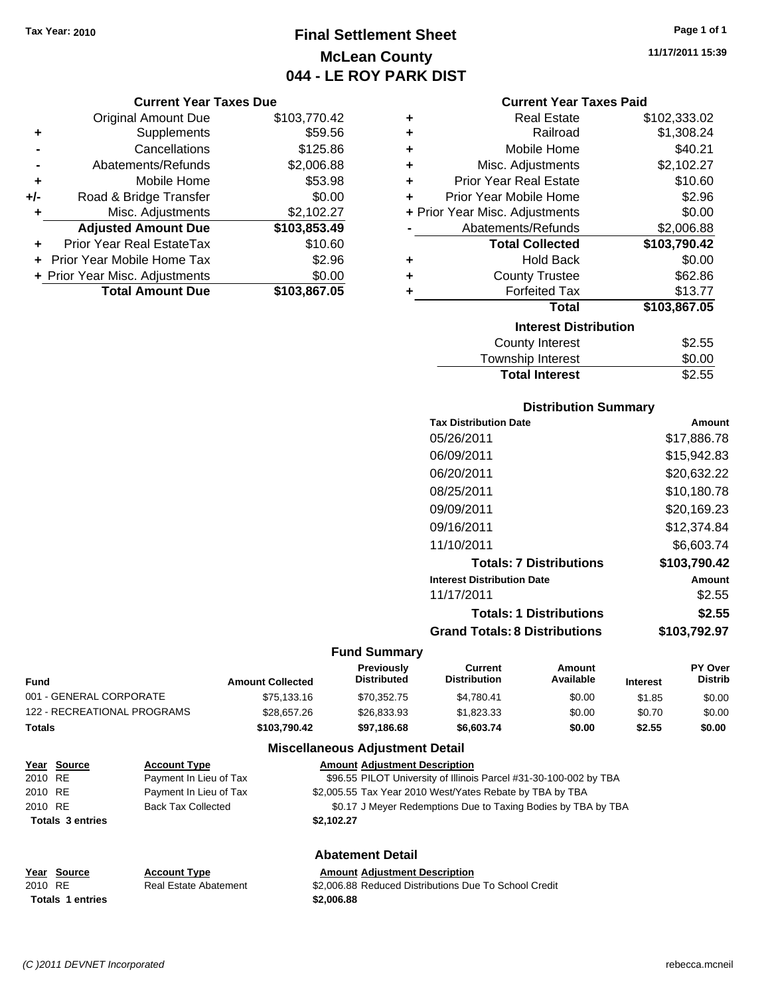# **Final Settlement Sheet Tax Year: 2010 Page 1 of 1 McLean County 044 - LE ROY PARK DIST**

#### **Current Year Taxes Due**

|       | <b>Original Amount Due</b>     | \$103,770.42 |
|-------|--------------------------------|--------------|
| ٠     | Supplements                    | \$59.56      |
|       | Cancellations                  | \$125.86     |
|       | Abatements/Refunds             | \$2,006.88   |
| ٠     | Mobile Home                    | \$53.98      |
| $+/-$ | Road & Bridge Transfer         | \$0.00       |
| ٠     | Misc. Adjustments              | \$2,102.27   |
|       | <b>Adjusted Amount Due</b>     | \$103,853.49 |
|       | Prior Year Real EstateTax      | \$10.60      |
|       | Prior Year Mobile Home Tax     | \$2.96       |
|       | + Prior Year Misc. Adjustments | \$0.00       |
|       | <b>Total Amount Due</b>        | \$103,867.05 |

| ٠ | <b>Real Estate</b>             | \$102,333.02 |
|---|--------------------------------|--------------|
| ٠ | Railroad                       | \$1,308.24   |
| ٠ | Mobile Home                    | \$40.21      |
| ٠ | Misc. Adjustments              | \$2,102.27   |
| ٠ | <b>Prior Year Real Estate</b>  | \$10.60      |
| ÷ | Prior Year Mobile Home         | \$2.96       |
|   | + Prior Year Misc. Adjustments | \$0.00       |
|   | Abatements/Refunds             | \$2,006.88   |
|   | <b>Total Collected</b>         | \$103,790.42 |
| ٠ | <b>Hold Back</b>               | \$0.00       |
|   | <b>County Trustee</b>          | \$62.86      |
| ٠ | <b>Forfeited Tax</b>           | \$13.77      |
|   | Total                          | \$103,867.05 |
|   | <b>Interest Distribution</b>   |              |
|   | County Interest                | \$2.55       |

| <b>Total Interest</b>     | \$2.55 |
|---------------------------|--------|
| Township Interest         | \$0.00 |
| <b>COUTTLY IFFICITION</b> | ა∠.ວວ  |

### **Distribution Summary**

| Amount       |
|--------------|
| \$17,886.78  |
| \$15,942.83  |
| \$20,632.22  |
| \$10,180.78  |
| \$20.169.23  |
| \$12.374.84  |
| \$6,603.74   |
| \$103.790.42 |
| Amount       |
| \$2.55       |
| \$2.55       |
| \$103.792.97 |
|              |

#### **Fund Summary**

| <b>Fund</b>                 | <b>Amount Collected</b> | <b>Previously</b><br><b>Distributed</b> | Current<br><b>Distribution</b> | Amount<br>Available | <b>Interest</b> | <b>PY Over</b><br><b>Distrib</b> |
|-----------------------------|-------------------------|-----------------------------------------|--------------------------------|---------------------|-----------------|----------------------------------|
| 001 - GENERAL CORPORATE     | \$75,133.16             | \$70,352.75                             | \$4.780.41                     | \$0.00              | \$1.85          | \$0.00                           |
| 122 - RECREATIONAL PROGRAMS | \$28,657.26             | \$26,833.93                             | \$1.823.33                     | \$0.00              | \$0.70          | \$0.00                           |
| Totals                      | \$103.790.42            | \$97,186.68                             | \$6,603.74                     | \$0.00              | \$2.55          | \$0.00                           |

|         | Year Source             | <b>Account Type</b>       | <b>Amount Adjustment Description</b>                              |
|---------|-------------------------|---------------------------|-------------------------------------------------------------------|
| 2010 RE |                         | Payment In Lieu of Tax    | \$96.55 PILOT University of Illinois Parcel #31-30-100-002 by TBA |
| 2010 RE |                         | Payment In Lieu of Tax    | \$2,005.55 Tax Year 2010 West/Yates Rebate by TBA by TBA          |
| 2010 RE |                         | <b>Back Tax Collected</b> | \$0.17 J Meyer Redemptions Due to Taxing Bodies by TBA by TBA     |
|         | <b>Totals 3 entries</b> |                           | \$2.102.27                                                        |
|         |                         |                           | <b>Abatement Detail</b>                                           |
| Year    | Source                  | <b>Account Type</b>       | <b>Amount Adjustment Description</b>                              |

| <b>Amount Adjustment Description</b> |
|--------------------------------------|
|--------------------------------------|

| \$2,006.88 Reduced Distributions Due To School Credit |
|-------------------------------------------------------|
| \$2,006.88                                            |

**11/17/2011 15:39**

**Totals 1 entries** 

2010 RE Real Estate Abatement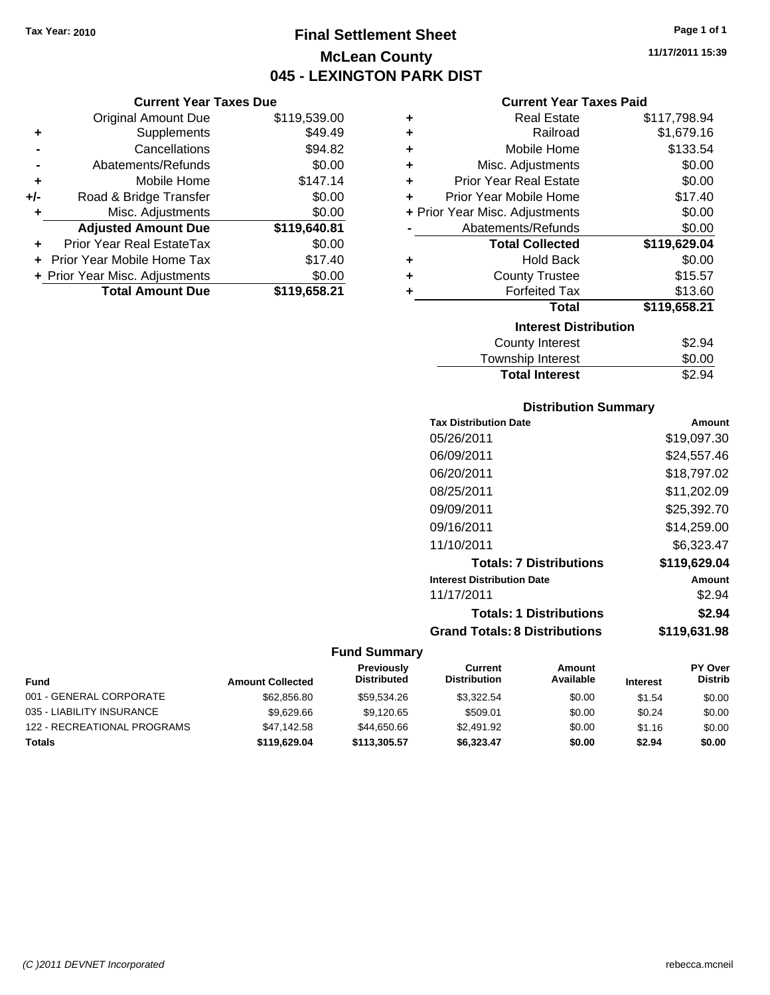# **Final Settlement Sheet Tax Year: 2010 Page 1 of 1 McLean County 045 - LEXINGTON PARK DIST**

**11/17/2011 15:39**

### **Current Year Taxes Paid**

|     | <b>Current Year Taxes Due</b>  |              |  |  |  |  |
|-----|--------------------------------|--------------|--|--|--|--|
|     | <b>Original Amount Due</b>     | \$119,539.00 |  |  |  |  |
| ٠   | Supplements                    | \$49.49      |  |  |  |  |
|     | Cancellations                  | \$94.82      |  |  |  |  |
|     | Abatements/Refunds             | \$0.00       |  |  |  |  |
| ٠   | Mobile Home                    | \$147.14     |  |  |  |  |
| +/- | Road & Bridge Transfer         | \$0.00       |  |  |  |  |
| ٠   | Misc. Adjustments              | \$0.00       |  |  |  |  |
|     | <b>Adjusted Amount Due</b>     | \$119,640.81 |  |  |  |  |
|     | Prior Year Real EstateTax      | \$0.00       |  |  |  |  |
|     | Prior Year Mobile Home Tax     | \$17.40      |  |  |  |  |
|     | + Prior Year Misc. Adjustments | \$0.00       |  |  |  |  |
|     | <b>Total Amount Due</b>        | \$119,658.21 |  |  |  |  |

| ٠ | <b>Real Estate</b>             | \$117,798.94 |
|---|--------------------------------|--------------|
| ÷ | Railroad                       | \$1,679.16   |
| ÷ | Mobile Home                    | \$133.54     |
| ٠ | Misc. Adjustments              | \$0.00       |
| ÷ | <b>Prior Year Real Estate</b>  | \$0.00       |
| ٠ | Prior Year Mobile Home         | \$17.40      |
|   | + Prior Year Misc. Adjustments | \$0.00       |
|   | Abatements/Refunds             | \$0.00       |
|   | <b>Total Collected</b>         | \$119,629.04 |
| ٠ | <b>Hold Back</b>               | \$0.00       |
| ٠ | <b>County Trustee</b>          | \$15.57      |
| ٠ | <b>Forfeited Tax</b>           | \$13.60      |
|   | Total                          | \$119,658.21 |
|   | <b>Interest Distribution</b>   |              |
|   | <b>County Interest</b>         | \$2.94       |
|   | Township Interest              | \$0.00       |
|   | <b>Total Interest</b>          | \$2.94       |

### **Distribution Summary**

| <b>Tax Distribution Date</b>         | Amount       |
|--------------------------------------|--------------|
| 05/26/2011                           | \$19,097.30  |
| 06/09/2011                           | \$24.557.46  |
| 06/20/2011                           | \$18,797.02  |
| 08/25/2011                           | \$11,202.09  |
| 09/09/2011                           | \$25,392.70  |
| 09/16/2011                           | \$14,259.00  |
| 11/10/2011                           | \$6.323.47   |
| <b>Totals: 7 Distributions</b>       | \$119,629.04 |
| <b>Interest Distribution Date</b>    | Amount       |
| 11/17/2011                           | \$2.94       |
| <b>Totals: 1 Distributions</b>       | \$2.94       |
| <b>Grand Totals: 8 Distributions</b> | \$119.631.98 |

| <b>Fund</b>                 | <b>Amount Collected</b> | <b>Previously</b><br><b>Distributed</b> | Current<br><b>Distribution</b> | Amount<br>Available | <b>Interest</b> | <b>PY Over</b><br><b>Distrib</b> |
|-----------------------------|-------------------------|-----------------------------------------|--------------------------------|---------------------|-----------------|----------------------------------|
| 001 - GENERAL CORPORATE     | \$62,856.80             | \$59.534.26                             | \$3.322.54                     | \$0.00              | \$1.54          | \$0.00                           |
| 035 - LIABILITY INSURANCE   | \$9.629.66              | \$9.120.65                              | \$509.01                       | \$0.00              | \$0.24          | \$0.00                           |
| 122 - RECREATIONAL PROGRAMS | \$47,142.58             | \$44,650,66                             | \$2,491.92                     | \$0.00              | \$1.16          | \$0.00                           |
| <b>Totals</b>               | \$119,629.04            | \$113.305.57                            | \$6.323.47                     | \$0.00              | \$2.94          | \$0.00                           |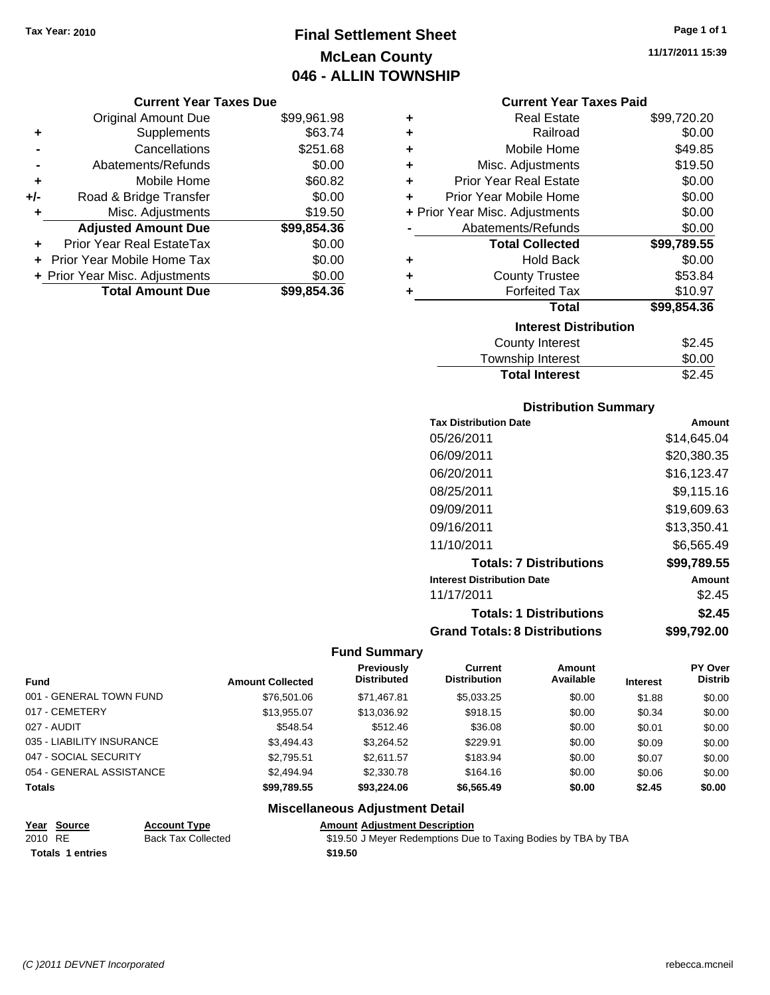# **Final Settlement Sheet Tax Year: 2010 Page 1 of 1 McLean County 046 - ALLIN TOWNSHIP**

#### **Current Year Taxes Due**

|       | <b>Original Amount Due</b>        | \$99,961.98 |
|-------|-----------------------------------|-------------|
| ٠     | Supplements                       | \$63.74     |
|       | Cancellations                     | \$251.68    |
|       | Abatements/Refunds                | \$0.00      |
| ÷     | Mobile Home                       | \$60.82     |
| $+/-$ | Road & Bridge Transfer            | \$0.00      |
| ۰     | Misc. Adjustments                 | \$19.50     |
|       | <b>Adjusted Amount Due</b>        | \$99,854.36 |
|       | <b>Prior Year Real EstateTax</b>  | \$0.00      |
|       | <b>Prior Year Mobile Home Tax</b> | \$0.00      |
|       | + Prior Year Misc. Adjustments    | \$0.00      |
|       | <b>Total Amount Due</b>           | \$99,854,36 |

#### **Current Year Taxes Paid**

| ٠ | <b>Real Estate</b>             | \$99,720.20 |
|---|--------------------------------|-------------|
|   |                                |             |
| ٠ | Railroad                       | \$0.00      |
| ÷ | Mobile Home                    | \$49.85     |
| ٠ | Misc. Adjustments              | \$19.50     |
| ٠ | <b>Prior Year Real Estate</b>  | \$0.00      |
| ٠ | Prior Year Mobile Home         | \$0.00      |
|   | + Prior Year Misc. Adjustments | \$0.00      |
|   | Abatements/Refunds             | \$0.00      |
|   | <b>Total Collected</b>         | \$99,789.55 |
| ٠ | <b>Hold Back</b>               | \$0.00      |
| ÷ | <b>County Trustee</b>          | \$53.84     |
| ٠ | <b>Forfeited Tax</b>           | \$10.97     |
|   | Total                          | \$99,854.36 |
|   | <b>Interest Distribution</b>   |             |
|   | <b>County Interest</b>         | \$2.45      |
|   | <b>Township Interest</b>       | \$0.00      |
|   | <b>Total Interest</b>          | \$2.45      |

#### **Distribution Summary**

| <b>Tax Distribution Date</b>         | Amount      |
|--------------------------------------|-------------|
| 05/26/2011                           | \$14.645.04 |
| 06/09/2011                           | \$20,380.35 |
| 06/20/2011                           | \$16,123.47 |
| 08/25/2011                           | \$9,115.16  |
| 09/09/2011                           | \$19,609.63 |
| 09/16/2011                           | \$13,350.41 |
| 11/10/2011                           | \$6,565.49  |
| <b>Totals: 7 Distributions</b>       | \$99,789.55 |
| <b>Interest Distribution Date</b>    | Amount      |
| 11/17/2011                           | \$2.45      |
| <b>Totals: 1 Distributions</b>       | \$2.45      |
| <b>Grand Totals: 8 Distributions</b> | \$99,792.00 |

#### **Fund Summary**

|                           |                         | Previously         | Current             | <b>Amount</b> |                 | <b>PY Over</b> |
|---------------------------|-------------------------|--------------------|---------------------|---------------|-----------------|----------------|
| <b>Fund</b>               | <b>Amount Collected</b> | <b>Distributed</b> | <b>Distribution</b> | Available     | <b>Interest</b> | <b>Distrib</b> |
| 001 - GENERAL TOWN FUND   | \$76,501.06             | \$71,467.81        | \$5,033.25          | \$0.00        | \$1.88          | \$0.00         |
| 017 - CEMETERY            | \$13.955.07             | \$13.036.92        | \$918.15            | \$0.00        | \$0.34          | \$0.00         |
| 027 - AUDIT               | \$548.54                | \$512.46           | \$36.08             | \$0.00        | \$0.01          | \$0.00         |
| 035 - LIABILITY INSURANCE | \$3.494.43              | \$3,264.52         | \$229.91            | \$0.00        | \$0.09          | \$0.00         |
| 047 - SOCIAL SECURITY     | \$2.795.51              | \$2.611.57         | \$183.94            | \$0.00        | \$0.07          | \$0.00         |
| 054 - GENERAL ASSISTANCE  | \$2,494.94              | \$2,330.78         | \$164.16            | \$0.00        | \$0.06          | \$0.00         |
| <b>Totals</b>             | \$99.789.55             | \$93,224.06        | \$6,565,49          | \$0.00        | \$2.45          | \$0.00         |

# **Miscellaneous Adjustment Detail**

Totals 1 entries **19.50** 

### **Year Source Account Type Amount Adjustment Description**

2010 RE Back Tax Collected \$19.50 J Meyer Redemptions Due to Taxing Bodies by TBA by TBA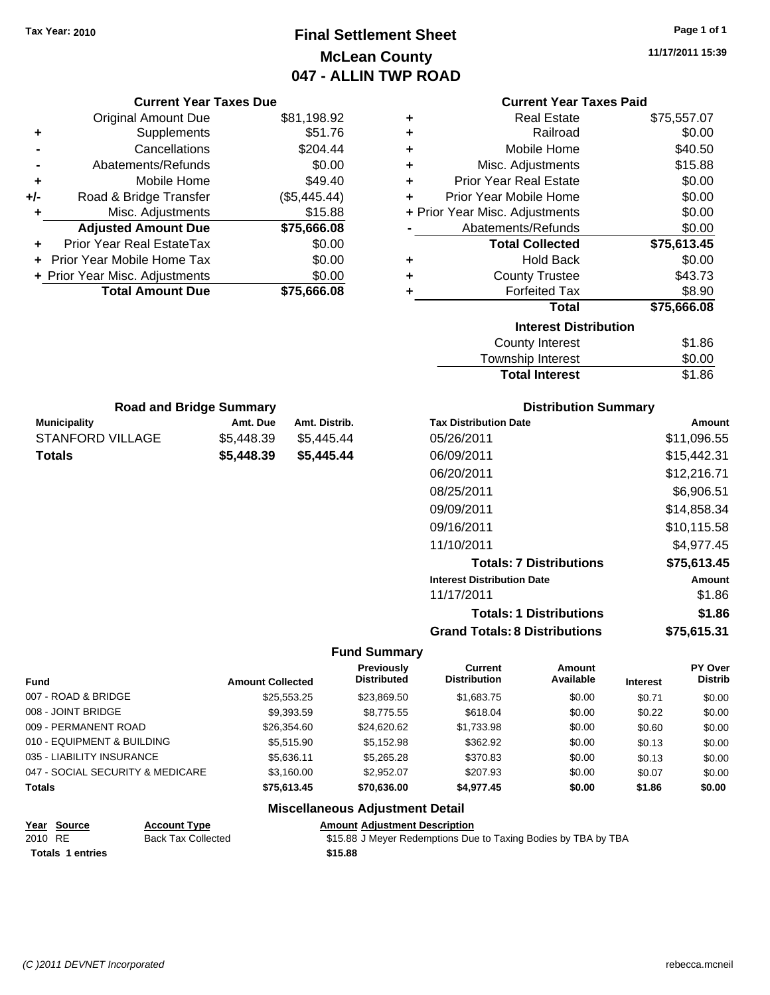# **Final Settlement Sheet Tax Year: 2010 Page 1 of 1 McLean County 047 - ALLIN TWP ROAD**

**11/17/2011 15:39**

| <b>Current Year Taxes Due</b>                  |                         |                                        | <b>Current Year Taxes Paid</b>       |                                                                |                                   |                           |                                  |
|------------------------------------------------|-------------------------|----------------------------------------|--------------------------------------|----------------------------------------------------------------|-----------------------------------|---------------------------|----------------------------------|
| <b>Original Amount Due</b>                     |                         | \$81,198.92                            | ٠                                    |                                                                | <b>Real Estate</b>                |                           | \$75,557.07                      |
| Supplements<br>٠                               |                         | \$51.76                                | ٠                                    |                                                                | Railroad                          |                           | \$0.00                           |
| Cancellations                                  |                         | \$204.44                               | ٠                                    |                                                                | Mobile Home                       |                           | \$40.50                          |
| Abatements/Refunds                             |                         | \$0.00                                 | ٠                                    |                                                                | Misc. Adjustments                 |                           | \$15.88                          |
| Mobile Home<br>٠                               |                         | \$49.40                                | ٠                                    | <b>Prior Year Real Estate</b>                                  |                                   |                           | \$0.00                           |
| Road & Bridge Transfer<br>+/-                  |                         | (\$5,445.44)                           | ٠                                    | Prior Year Mobile Home                                         |                                   |                           | \$0.00                           |
| Misc. Adjustments<br>٠                         |                         | \$15.88                                |                                      | + Prior Year Misc. Adjustments                                 |                                   |                           | \$0.00                           |
| <b>Adjusted Amount Due</b>                     |                         | \$75,666.08                            |                                      | Abatements/Refunds                                             |                                   |                           | \$0.00                           |
| Prior Year Real EstateTax                      |                         | \$0.00                                 |                                      |                                                                | <b>Total Collected</b>            |                           | \$75,613.45                      |
| Prior Year Mobile Home Tax                     |                         | \$0.00                                 | ٠                                    |                                                                | <b>Hold Back</b>                  |                           | \$0.00                           |
| + Prior Year Misc. Adjustments                 |                         | \$0.00                                 | ٠                                    |                                                                | <b>County Trustee</b>             |                           | \$43.73                          |
| <b>Total Amount Due</b>                        |                         | \$75,666.08                            | ٠                                    |                                                                | <b>Forfeited Tax</b>              |                           | \$8.90                           |
|                                                |                         |                                        |                                      |                                                                | <b>Total</b>                      |                           | \$75,666.08                      |
|                                                |                         |                                        |                                      |                                                                | <b>Interest Distribution</b>      |                           |                                  |
|                                                |                         |                                        |                                      |                                                                | <b>County Interest</b>            |                           | \$1.86                           |
|                                                |                         |                                        |                                      |                                                                | Township Interest                 |                           | \$0.00                           |
|                                                |                         |                                        |                                      |                                                                | <b>Total Interest</b>             |                           | \$1.86                           |
|                                                |                         |                                        |                                      |                                                                |                                   |                           |                                  |
| <b>Road and Bridge Summary</b>                 |                         | Amt. Distrib.                          |                                      | <b>Tax Distribution Date</b>                                   | <b>Distribution Summary</b>       |                           |                                  |
| <b>Municipality</b><br><b>STANFORD VILLAGE</b> | Amt. Due<br>\$5,448.39  | \$5,445.44                             |                                      | 05/26/2011                                                     |                                   |                           | Amount<br>\$11,096.55            |
|                                                |                         |                                        |                                      |                                                                |                                   |                           |                                  |
| <b>Totals</b>                                  | \$5,448.39              | \$5,445.44                             |                                      | 06/09/2011                                                     |                                   |                           | \$15,442.31                      |
|                                                |                         |                                        |                                      | 06/20/2011                                                     |                                   |                           | \$12,216.71                      |
|                                                |                         |                                        |                                      | 08/25/2011                                                     |                                   |                           | \$6,906.51                       |
|                                                |                         |                                        |                                      | 09/09/2011                                                     |                                   |                           | \$14,858.34                      |
|                                                |                         |                                        |                                      | 09/16/2011                                                     |                                   |                           | \$10,115.58                      |
|                                                |                         |                                        |                                      | 11/10/2011                                                     |                                   |                           | \$4,977.45                       |
|                                                |                         |                                        |                                      |                                                                | <b>Totals: 7 Distributions</b>    |                           | \$75,613.45                      |
|                                                |                         |                                        |                                      | <b>Interest Distribution Date</b>                              |                                   |                           | Amount                           |
|                                                |                         |                                        |                                      | 11/17/2011                                                     |                                   |                           | \$1.86                           |
|                                                |                         |                                        |                                      |                                                                | <b>Totals: 1 Distributions</b>    |                           | \$1.86                           |
|                                                |                         |                                        |                                      | <b>Grand Totals: 8 Distributions</b>                           |                                   |                           |                                  |
|                                                |                         |                                        |                                      |                                                                |                                   |                           | \$75,615.31                      |
|                                                |                         |                                        | <b>Fund Summary</b>                  |                                                                |                                   |                           |                                  |
|                                                |                         |                                        | Previously<br><b>Distributed</b>     | <b>Current</b><br><b>Distribution</b>                          | <b>Amount</b><br><b>Available</b> |                           | <b>PY Over</b><br><b>Distrib</b> |
| Fund<br>007 - ROAD & BRIDGE                    | <b>Amount Collected</b> | \$25,553.25                            | \$23,869.50                          | \$1,683.75                                                     | \$0.00                            | <b>Interest</b><br>\$0.71 |                                  |
| 008 - JOINT BRIDGE                             |                         | \$9,393.59                             | \$8,775.55                           | \$618.04                                                       | \$0.00                            | \$0.22                    | \$0.00<br>\$0.00                 |
| 009 - PERMANENT ROAD                           |                         | \$26,354.60                            | \$24,620.62                          | \$1,733.98                                                     | \$0.00                            | \$0.60                    | \$0.00                           |
| 010 - EQUIPMENT & BUILDING                     |                         | \$5,515.90                             | \$5,152.98                           | \$362.92                                                       | \$0.00                            | \$0.13                    | \$0.00                           |
| 035 - LIABILITY INSURANCE                      |                         | \$5,636.11                             | \$5,265.28                           | \$370.83                                                       | \$0.00                            | \$0.13                    | \$0.00                           |
| 047 - SOCIAL SECURITY & MEDICARE               |                         | \$3,160.00                             | \$2,952.07                           | \$207.93                                                       | \$0.00                            | \$0.07                    | \$0.00                           |
| Totals                                         |                         | \$75,613.45                            | \$70,636.00                          | \$4,977.45                                                     | \$0.00                            | \$1.86                    | \$0.00                           |
|                                                |                         | <b>Miscellaneous Adjustment Detail</b> |                                      |                                                                |                                   |                           |                                  |
| <b>Account Type</b><br><u> Year Source</u>     |                         |                                        | <b>Amount Adjustment Description</b> |                                                                |                                   |                           |                                  |
| 2010 RE<br><b>Back Tax Collected</b>           |                         |                                        |                                      | \$15.88 J Meyer Redemptions Due to Taxing Bodies by TBA by TBA |                                   |                           |                                  |
| <b>Totals 1 entries</b>                        |                         | \$15.88                                |                                      |                                                                |                                   |                           |                                  |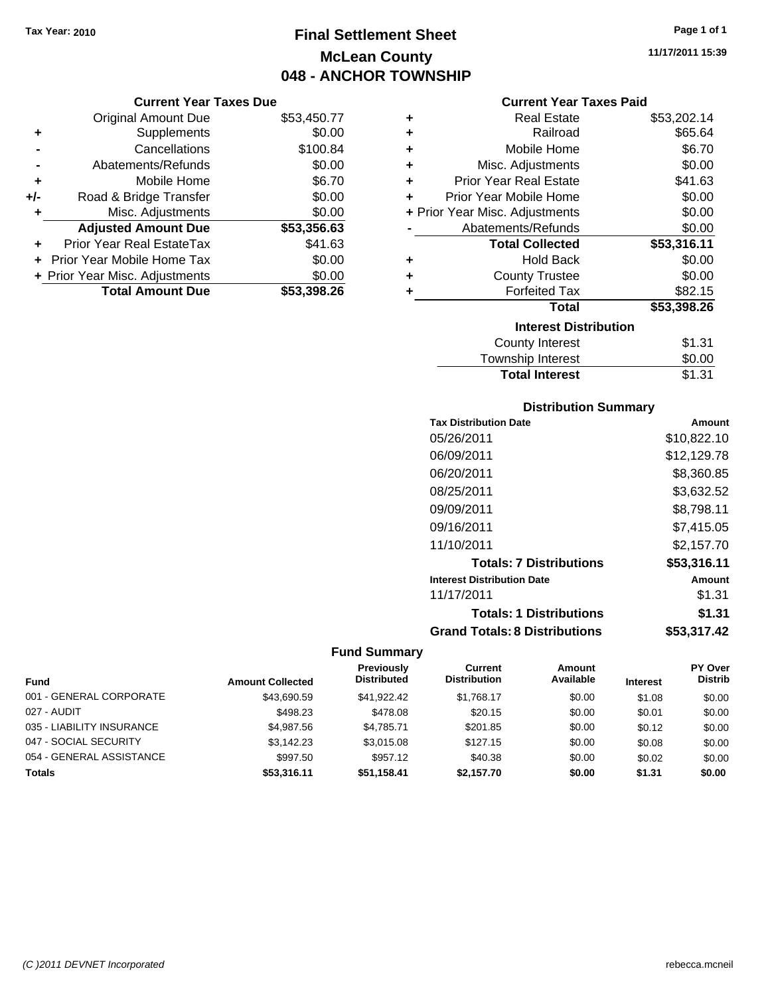# **Final Settlement Sheet Tax Year: 2010 Page 1 of 1 McLean County 048 - ANCHOR TOWNSHIP**

#### **Current Year Taxes Due**

|       | <b>Original Amount Due</b>       | \$53,450.77 |
|-------|----------------------------------|-------------|
| ٠     | Supplements                      | \$0.00      |
|       | Cancellations                    | \$100.84    |
|       | Abatements/Refunds               | \$0.00      |
| ÷     | Mobile Home                      | \$6.70      |
| $+/-$ | Road & Bridge Transfer           | \$0.00      |
| ٠     | Misc. Adjustments                | \$0.00      |
|       | <b>Adjusted Amount Due</b>       | \$53,356.63 |
|       | <b>Prior Year Real EstateTax</b> | \$41.63     |
|       | Prior Year Mobile Home Tax       | \$0.00      |
|       | + Prior Year Misc. Adjustments   | \$0.00      |
|       | <b>Total Amount Due</b>          | \$53,398.26 |

#### **Current Year Taxes Paid**

| ٠ | Real Estate                    | \$53,202.14 |
|---|--------------------------------|-------------|
| ٠ | Railroad                       | \$65.64     |
| ٠ | Mobile Home                    | \$6.70      |
| ٠ | Misc. Adjustments              | \$0.00      |
| ٠ | <b>Prior Year Real Estate</b>  | \$41.63     |
| ٠ | Prior Year Mobile Home         | \$0.00      |
|   | + Prior Year Misc. Adjustments | \$0.00      |
|   | Abatements/Refunds             | \$0.00      |
|   | <b>Total Collected</b>         | \$53,316.11 |
| ٠ | <b>Hold Back</b>               | \$0.00      |
| ٠ | <b>County Trustee</b>          | \$0.00      |
| ٠ | <b>Forfeited Tax</b>           | \$82.15     |
|   | Total                          | \$53,398.26 |
|   | <b>Interest Distribution</b>   |             |
|   | County Interest                | \$1.31      |
|   | <b>Township Interest</b>       | \$0.00      |
|   | <b>Total Interest</b>          | \$1.31      |

### **Distribution Summary**

| <b>Tax Distribution Date</b>         | Amount      |
|--------------------------------------|-------------|
| 05/26/2011                           | \$10.822.10 |
| 06/09/2011                           | \$12.129.78 |
| 06/20/2011                           | \$8,360.85  |
| 08/25/2011                           | \$3,632.52  |
| 09/09/2011                           | \$8,798.11  |
| 09/16/2011                           | \$7,415.05  |
| 11/10/2011                           | \$2.157.70  |
| <b>Totals: 7 Distributions</b>       | \$53,316.11 |
| <b>Interest Distribution Date</b>    | Amount      |
| 11/17/2011                           | \$1.31      |
| <b>Totals: 1 Distributions</b>       | \$1.31      |
| <b>Grand Totals: 8 Distributions</b> | \$53,317.42 |

#### **Fund Summary**

| <b>Fund</b>               | <b>Amount Collected</b> | Previously<br><b>Distributed</b> | Current<br><b>Distribution</b> | Amount<br>Available | <b>Interest</b> | <b>PY Over</b><br><b>Distrib</b> |
|---------------------------|-------------------------|----------------------------------|--------------------------------|---------------------|-----------------|----------------------------------|
| 001 - GENERAL CORPORATE   | \$43,690.59             | \$41.922.42                      | \$1.768.17                     | \$0.00              | \$1.08          | \$0.00                           |
| 027 - AUDIT               | \$498.23                | \$478.08                         | \$20.15                        | \$0.00              | \$0.01          | \$0.00                           |
| 035 - LIABILITY INSURANCE | \$4.987.56              | \$4.785.71                       | \$201.85                       | \$0.00              | \$0.12          | \$0.00                           |
| 047 - SOCIAL SECURITY     | \$3,142.23              | \$3.015.08                       | \$127.15                       | \$0.00              | \$0.08          | \$0.00                           |
| 054 - GENERAL ASSISTANCE  | \$997.50                | \$957.12                         | \$40.38                        | \$0.00              | \$0.02          | \$0.00                           |
| <b>Totals</b>             | \$53,316,11             | \$51.158.41                      | \$2.157.70                     | \$0.00              | \$1.31          | \$0.00                           |

**11/17/2011 15:39**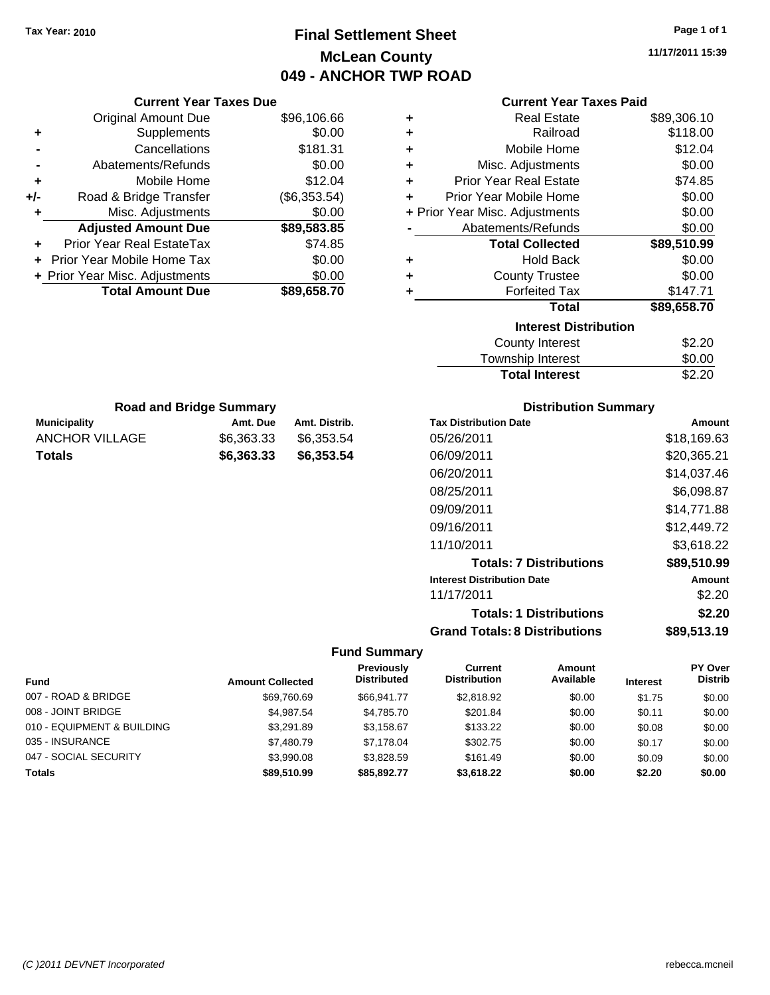# **Final Settlement Sheet Tax Year: 2010 Page 1 of 1 McLean County 049 - ANCHOR TWP ROAD**

**11/17/2011 15:39**

#### **Current Year Taxes Paid**

| ٠ | <b>Real Estate</b>             | \$89,306.10 |
|---|--------------------------------|-------------|
| ٠ | Railroad                       | \$118.00    |
| ÷ | Mobile Home                    | \$12.04     |
| ÷ | Misc. Adjustments              | \$0.00      |
| ÷ | <b>Prior Year Real Estate</b>  | \$74.85     |
| ÷ | Prior Year Mobile Home         | \$0.00      |
|   | + Prior Year Misc. Adjustments | \$0.00      |
|   | Abatements/Refunds             | \$0.00      |
|   | <b>Total Collected</b>         | \$89,510.99 |
| ٠ | <b>Hold Back</b>               | \$0.00      |
| ٠ | <b>County Trustee</b>          | \$0.00      |
| ٠ | <b>Forfeited Tax</b>           | \$147.71    |
|   | <b>Total</b>                   | \$89,658.70 |
|   | <b>Interest Distribution</b>   |             |
|   | <b>County Interest</b>         | \$2.20      |
|   | <b>Township Interest</b>       | \$0.00      |
|   | <b>Total Interest</b>          | \$2.20      |

| <b>Road and Bridge Summary</b> |            |               |  |  |  |
|--------------------------------|------------|---------------|--|--|--|
| <b>Municipality</b>            | Amt. Due   | Amt. Distrib. |  |  |  |
| ANCHOR VILLAGE                 | \$6,363,33 | \$6,353.54    |  |  |  |
| <b>Totals</b>                  | \$6,363,33 | \$6,353.54    |  |  |  |

**Current Year Taxes Due** Original Amount Due \$96,106.66

**Adjusted Amount Due \$89,583.85**

Total Amount Due \$89,658.70

**+** Supplements \$0.00 **-** Cancellations \$181.31 **-** Abatements/Refunds \$0.00 **+** Mobile Home \$12.04 **+/-** Road & Bridge Transfer (\$6,353.54) **+** Misc. Adjustments \$0.00

**+** Prior Year Real EstateTax \$74.85 **+** Prior Year Mobile Home Tax \$0.00 **+ Prior Year Misc. Adjustments**  $$0.00$ 

### **Distribution Summary**

| <b>Tax Distribution Date</b>         | Amount      |
|--------------------------------------|-------------|
| 05/26/2011                           | \$18,169.63 |
| 06/09/2011                           | \$20,365.21 |
| 06/20/2011                           | \$14,037.46 |
| 08/25/2011                           | \$6,098.87  |
| 09/09/2011                           | \$14,771.88 |
| 09/16/2011                           | \$12.449.72 |
| 11/10/2011                           | \$3.618.22  |
| <b>Totals: 7 Distributions</b>       | \$89,510.99 |
| <b>Interest Distribution Date</b>    | Amount      |
| 11/17/2011                           | \$2.20      |
| <b>Totals: 1 Distributions</b>       | \$2.20      |
| <b>Grand Totals: 8 Distributions</b> | \$89,513.19 |

| <b>Fund</b>                | <b>Amount Collected</b> | Previously<br><b>Distributed</b> | Current<br><b>Distribution</b> | <b>Amount</b><br>Available | <b>Interest</b> | <b>PY Over</b><br><b>Distrib</b> |
|----------------------------|-------------------------|----------------------------------|--------------------------------|----------------------------|-----------------|----------------------------------|
| 007 - ROAD & BRIDGE        | \$69,760.69             | \$66.941.77                      | \$2,818.92                     | \$0.00                     | \$1.75          | \$0.00                           |
| 008 - JOINT BRIDGE         | \$4,987.54              | \$4,785.70                       | \$201.84                       | \$0.00                     | \$0.11          | \$0.00                           |
| 010 - EQUIPMENT & BUILDING | \$3.291.89              | \$3,158.67                       | \$133.22                       | \$0.00                     | \$0.08          | \$0.00                           |
| 035 - INSURANCE            | \$7,480.79              | \$7.178.04                       | \$302.75                       | \$0.00                     | \$0.17          | \$0.00                           |
| 047 - SOCIAL SECURITY      | \$3,990.08              | \$3,828.59                       | \$161.49                       | \$0.00                     | \$0.09          | \$0.00                           |
| <b>Totals</b>              | \$89,510.99             | \$85.892.77                      | \$3,618.22                     | \$0.00                     | \$2.20          | \$0.00                           |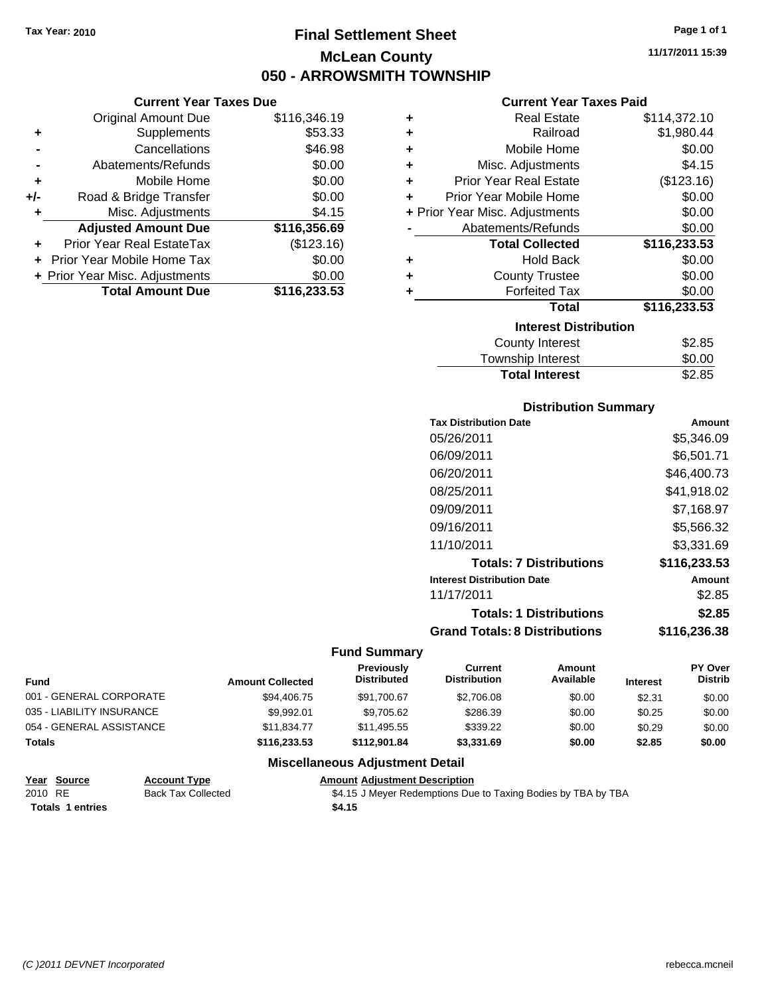# **Final Settlement Sheet Tax Year: 2010 Page 1 of 1 McLean County 050 - ARROWSMITH TOWNSHIP**

**11/17/2011 15:39**

### **Current Year Taxes Due**

| <b>Original Amount Due</b>        | \$116,346.19                   |
|-----------------------------------|--------------------------------|
| Supplements                       | \$53.33                        |
| Cancellations                     | \$46.98                        |
| Abatements/Refunds                | \$0.00                         |
| Mobile Home                       | \$0.00                         |
| Road & Bridge Transfer            | \$0.00                         |
| Misc. Adjustments                 | \$4.15                         |
| <b>Adjusted Amount Due</b>        | \$116,356.69                   |
| Prior Year Real EstateTax         | (\$123.16)                     |
| <b>Prior Year Mobile Home Tax</b> | \$0.00                         |
|                                   | \$0.00                         |
| <b>Total Amount Due</b>           | \$116,233.53                   |
|                                   | + Prior Year Misc. Adjustments |

### **Current Year Taxes Paid**

|   | <b>Real Estate</b>             | \$114,372.10 |
|---|--------------------------------|--------------|
| ٠ | Railroad                       | \$1,980.44   |
| ٠ | Mobile Home                    | \$0.00       |
| ٠ | Misc. Adjustments              | \$4.15       |
| ٠ | <b>Prior Year Real Estate</b>  | (\$123.16)   |
| ٠ | Prior Year Mobile Home         | \$0.00       |
|   | + Prior Year Misc. Adjustments | \$0.00       |
|   | Abatements/Refunds             | \$0.00       |
|   | <b>Total Collected</b>         | \$116,233.53 |
| ٠ | <b>Hold Back</b>               | \$0.00       |
| ٠ | <b>County Trustee</b>          | \$0.00       |
|   |                                |              |
| ٠ | <b>Forfeited Tax</b>           | \$0.00       |
|   | Total                          | \$116,233.53 |
|   | <b>Interest Distribution</b>   |              |

| <b>Total Interest</b>  | \$2.85 |
|------------------------|--------|
| Township Interest      | \$0.00 |
| <b>COUTTY THICLEST</b> | ںں.عو  |

#### **Distribution Summary**

| <b>Tax Distribution Date</b>         | Amount       |
|--------------------------------------|--------------|
| 05/26/2011                           | \$5.346.09   |
| 06/09/2011                           | \$6,501.71   |
| 06/20/2011                           | \$46,400.73  |
| 08/25/2011                           | \$41.918.02  |
| 09/09/2011                           | \$7,168.97   |
| 09/16/2011                           | \$5,566.32   |
| 11/10/2011                           | \$3.331.69   |
| <b>Totals: 7 Distributions</b>       | \$116,233.53 |
| <b>Interest Distribution Date</b>    | Amount       |
| 11/17/2011                           | \$2.85       |
| <b>Totals: 1 Distributions</b>       | \$2.85       |
| <b>Grand Totals: 8 Distributions</b> | \$116,236.38 |

#### **Fund Summary**

| <b>Fund</b>               | <b>Amount Collected</b> | Previously<br><b>Distributed</b> | Current<br><b>Distribution</b> | Amount<br>Available | <b>Interest</b> | <b>PY Over</b><br><b>Distrib</b> |
|---------------------------|-------------------------|----------------------------------|--------------------------------|---------------------|-----------------|----------------------------------|
| 001 - GENERAL CORPORATE   | \$94,406.75             | \$91.700.67                      | \$2,706.08                     | \$0.00              | \$2.31          | \$0.00                           |
| 035 - LIABILITY INSURANCE | \$9.992.01              | \$9.705.62                       | \$286.39                       | \$0.00              | \$0.25          | \$0.00                           |
| 054 - GENERAL ASSISTANCE  | \$11,834.77             | \$11,495.55                      | \$339.22                       | \$0.00              | \$0.29          | \$0.00                           |
| <b>Totals</b>             | \$116,233.53            | \$112,901.84                     | \$3,331.69                     | \$0.00              | \$2.85          | \$0.00                           |

### **Miscellaneous Adjustment Detail**

#### **Year Source Account Type Amount Adjustment Description** 2010 RE Back Tax Collected \$4.15 J Meyer Redemptions Due to Taxing Bodies by TBA by TBA **Totals \$4.15 1 entries**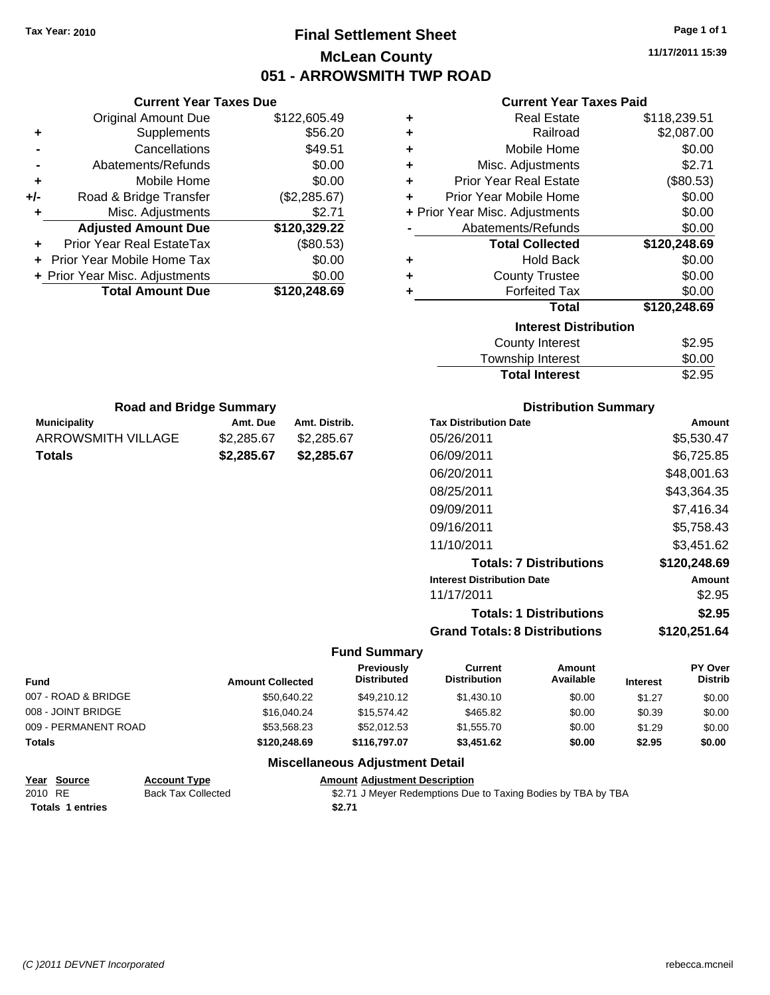**Current Year Taxes Due**

# **Final Settlement Sheet Tax Year: 2010 Page 1 of 1 McLean County 051 - ARROWSMITH TWP ROAD**

**11/17/2011 15:39**

#### **Current Year Taxes Paid**

|                     | <b>Original Amount Due</b>                    |                                        | \$122,605.49                           | ٠                                    |                                                               | <b>Real Estate</b>             | \$118,239.51    |                |
|---------------------|-----------------------------------------------|----------------------------------------|----------------------------------------|--------------------------------------|---------------------------------------------------------------|--------------------------------|-----------------|----------------|
| ٠                   | Supplements                                   |                                        | \$56.20                                |                                      |                                                               | Railroad                       |                 | \$2,087.00     |
|                     | Cancellations                                 |                                        | \$49.51                                | ٠                                    |                                                               | Mobile Home                    |                 | \$0.00         |
|                     | Abatements/Refunds                            |                                        | \$0.00                                 | ٠                                    |                                                               | Misc. Adjustments              |                 | \$2.71         |
| ٠                   | Mobile Home                                   |                                        | \$0.00                                 | ٠                                    | <b>Prior Year Real Estate</b>                                 |                                |                 | (\$80.53)      |
| +/-                 | Road & Bridge Transfer                        |                                        | (\$2,285.67)                           | ٠                                    | Prior Year Mobile Home                                        |                                |                 | \$0.00         |
|                     | Misc. Adjustments                             |                                        | \$2.71                                 |                                      | + Prior Year Misc. Adjustments                                |                                |                 | \$0.00         |
|                     | <b>Adjusted Amount Due</b>                    |                                        | \$120,329.22                           |                                      | Abatements/Refunds                                            |                                |                 | \$0.00         |
|                     | Prior Year Real EstateTax                     |                                        | (\$80.53)                              |                                      |                                                               | <b>Total Collected</b>         | \$120,248.69    |                |
|                     | Prior Year Mobile Home Tax                    |                                        | \$0.00                                 | ٠                                    |                                                               | <b>Hold Back</b>               | \$0.00          |                |
|                     | + Prior Year Misc. Adjustments                |                                        | \$0.00                                 | ٠                                    |                                                               | <b>County Trustee</b>          |                 | \$0.00         |
|                     | <b>Total Amount Due</b>                       |                                        | \$120,248.69                           | ٠                                    |                                                               | <b>Forfeited Tax</b>           |                 | \$0.00         |
|                     |                                               |                                        |                                        |                                      |                                                               | <b>Total</b>                   | \$120,248.69    |                |
|                     |                                               |                                        |                                        |                                      |                                                               | <b>Interest Distribution</b>   |                 |                |
|                     |                                               |                                        |                                        |                                      |                                                               | <b>County Interest</b>         |                 | \$2.95         |
|                     |                                               |                                        |                                        |                                      |                                                               | Township Interest              |                 | \$0.00         |
|                     |                                               |                                        |                                        |                                      |                                                               | <b>Total Interest</b>          |                 | \$2.95         |
|                     | <b>Road and Bridge Summary</b>                |                                        |                                        |                                      |                                                               | <b>Distribution Summary</b>    |                 |                |
| <b>Municipality</b> |                                               | Amt. Due                               | Amt. Distrib.                          |                                      | <b>Tax Distribution Date</b>                                  |                                |                 | Amount         |
|                     | <b>ARROWSMITH VILLAGE</b>                     | \$2,285.67<br>\$2,285.67<br>05/26/2011 |                                        | \$5,530.47                           |                                                               |                                |                 |                |
|                     | <b>Totals</b>                                 | \$2,285.67                             | \$2,285.67                             |                                      | 06/09/2011                                                    |                                | \$6,725.85      |                |
|                     |                                               |                                        |                                        |                                      | 06/20/2011                                                    |                                |                 | \$48,001.63    |
|                     |                                               |                                        |                                        |                                      | 08/25/2011                                                    |                                |                 | \$43,364.35    |
|                     |                                               |                                        |                                        |                                      | 09/09/2011                                                    |                                |                 | \$7,416.34     |
|                     |                                               |                                        |                                        |                                      | 09/16/2011                                                    |                                |                 | \$5,758.43     |
|                     |                                               |                                        |                                        |                                      | 11/10/2011                                                    |                                |                 | \$3,451.62     |
|                     |                                               |                                        |                                        |                                      |                                                               | <b>Totals: 7 Distributions</b> |                 | \$120,248.69   |
|                     |                                               |                                        |                                        |                                      | <b>Interest Distribution Date</b>                             |                                |                 | Amount         |
|                     |                                               |                                        |                                        |                                      | 11/17/2011                                                    |                                |                 | \$2.95         |
|                     |                                               |                                        |                                        |                                      |                                                               | <b>Totals: 1 Distributions</b> |                 | \$2.95         |
|                     |                                               |                                        |                                        |                                      | <b>Grand Totals: 8 Distributions</b>                          |                                |                 | \$120,251.64   |
|                     |                                               |                                        |                                        | <b>Fund Summary</b>                  |                                                               |                                |                 |                |
|                     |                                               |                                        |                                        | Previously                           | <b>Current</b>                                                | Amount                         |                 | <b>PY Over</b> |
| Fund                |                                               | <b>Amount Collected</b>                |                                        | Distributed                          | <b>Distribution</b>                                           | Available                      | <b>Interest</b> | <b>Distrib</b> |
|                     | 007 - ROAD & BRIDGE                           |                                        | \$50,640.22                            | \$49,210.12                          | \$1,430.10                                                    | \$0.00                         | \$1.27          | \$0.00         |
|                     | 008 - JOINT BRIDGE                            |                                        | \$16,040.24                            | \$15,574.42                          | \$465.82                                                      | \$0.00                         | \$0.39          | \$0.00         |
|                     | 009 - PERMANENT ROAD                          |                                        | \$53,568.23                            | \$52,012.53                          | \$1,555.70                                                    | \$0.00                         | \$1.29          | \$0.00         |
| Totals              |                                               |                                        | \$120,248.69                           | \$116,797.07                         | \$3,451.62                                                    | \$0.00                         | \$2.95          | \$0.00         |
|                     |                                               |                                        | <b>Miscellaneous Adjustment Detail</b> |                                      |                                                               |                                |                 |                |
|                     | <b>Account Type</b><br><u>Year Source</u>     |                                        |                                        | <b>Amount Adjustment Description</b> |                                                               |                                |                 |                |
| 2010 RE             | <b>Back Tax Collected</b><br>Totals 1 entries |                                        | \$2.71                                 |                                      | \$2.71 J Meyer Redemptions Due to Taxing Bodies by TBA by TBA |                                |                 |                |
|                     |                                               |                                        |                                        |                                      |                                                               |                                |                 |                |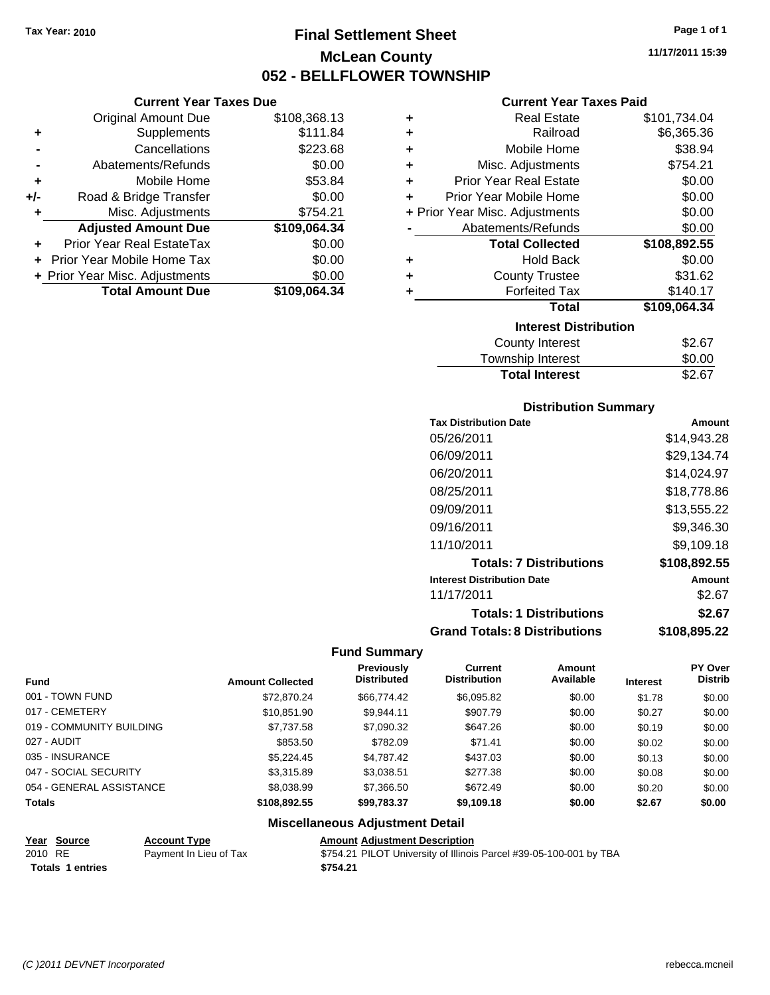# **Final Settlement Sheet Tax Year: 2010 Page 1 of 1 McLean County 052 - BELLFLOWER TOWNSHIP**

**11/17/2011 15:39**

| Current Year Taxes Due |  |  |
|------------------------|--|--|
|                        |  |  |

|       | <b>Original Amount Due</b>     | \$108,368.13 |
|-------|--------------------------------|--------------|
| ٠     | Supplements                    | \$111.84     |
|       | Cancellations                  | \$223.68     |
|       | Abatements/Refunds             | \$0.00       |
| ÷     | Mobile Home                    | \$53.84      |
| $+/-$ | Road & Bridge Transfer         | \$0.00       |
| ٠     | Misc. Adjustments              | \$754.21     |
|       | <b>Adjusted Amount Due</b>     | \$109,064.34 |
|       | Prior Year Real EstateTax      | \$0.00       |
|       | Prior Year Mobile Home Tax     | \$0.00       |
|       | + Prior Year Misc. Adjustments | \$0.00       |
|       | <b>Total Amount Due</b>        | \$109.064.34 |

### **Current Year Taxes Paid**

| ٠ | <b>Real Estate</b>             | \$101,734.04 |
|---|--------------------------------|--------------|
| ٠ | Railroad                       | \$6,365.36   |
| ٠ | Mobile Home                    | \$38.94      |
| ٠ | Misc. Adjustments              | \$754.21     |
| ÷ | <b>Prior Year Real Estate</b>  | \$0.00       |
| ÷ | Prior Year Mobile Home         | \$0.00       |
|   | + Prior Year Misc. Adjustments | \$0.00       |
|   | Abatements/Refunds             | \$0.00       |
|   | <b>Total Collected</b>         | \$108,892.55 |
| ٠ | <b>Hold Back</b>               | \$0.00       |
| ٠ | <b>County Trustee</b>          | \$31.62      |
| ٠ | <b>Forfeited Tax</b>           | \$140.17     |
|   |                                |              |
|   | Total                          | \$109,064.34 |
|   | <b>Interest Distribution</b>   |              |

### Township Interest \$0.00<br>
Total Interest \$2.67 **Total Interest**

| <b>Distribution Summary</b>          |              |
|--------------------------------------|--------------|
| <b>Tax Distribution Date</b>         | Amount       |
| 05/26/2011                           | \$14,943.28  |
| 06/09/2011                           | \$29,134.74  |
| 06/20/2011                           | \$14,024.97  |
| 08/25/2011                           | \$18.778.86  |
| 09/09/2011                           | \$13,555.22  |
| 09/16/2011                           | \$9,346.30   |
| 11/10/2011                           | \$9,109.18   |
| <b>Totals: 7 Distributions</b>       | \$108,892.55 |
| <b>Interest Distribution Date</b>    | Amount       |
| 11/17/2011                           | \$2.67       |
| <b>Totals: 1 Distributions</b>       | \$2.67       |
| <b>Grand Totals: 8 Distributions</b> | \$108,895.22 |

#### **Fund Summary**

| <b>Fund</b>              | <b>Amount Collected</b> | Previously<br><b>Distributed</b> | Current<br><b>Distribution</b> | Amount<br>Available | <b>Interest</b> | <b>PY Over</b><br><b>Distrib</b> |
|--------------------------|-------------------------|----------------------------------|--------------------------------|---------------------|-----------------|----------------------------------|
| 001 - TOWN FUND          | \$72,870.24             | \$66,774.42                      | \$6,095.82                     | \$0.00              | \$1.78          | \$0.00                           |
| 017 - CEMETERY           | \$10,851.90             | \$9.944.11                       | \$907.79                       | \$0.00              | \$0.27          | \$0.00                           |
| 019 - COMMUNITY BUILDING | \$7,737.58              | \$7,090.32                       | \$647.26                       | \$0.00              | \$0.19          | \$0.00                           |
| 027 - AUDIT              | \$853.50                | \$782.09                         | \$71.41                        | \$0.00              | \$0.02          | \$0.00                           |
| 035 - INSURANCE          | \$5.224.45              | \$4.787.42                       | \$437.03                       | \$0.00              | \$0.13          | \$0.00                           |
| 047 - SOCIAL SECURITY    | \$3.315.89              | \$3,038.51                       | \$277.38                       | \$0.00              | \$0.08          | \$0.00                           |
| 054 - GENERAL ASSISTANCE | \$8,038.99              | \$7,366.50                       | \$672.49                       | \$0.00              | \$0.20          | \$0.00                           |
| <b>Totals</b>            | \$108,892.55            | \$99,783.37                      | \$9,109.18                     | \$0.00              | \$2.67          | \$0.00                           |

#### **Miscellaneous Adjustment Detail**

| Year Source<br>$\sim$ $\sim$ $\sim$ $\sim$ | <b>Account Type</b>    | <b>Amount Adjustment Description</b>  |
|--------------------------------------------|------------------------|---------------------------------------|
| 2010 RE                                    | Payment In Lieu of Tax | \$754.21 PILOT University of Illinois |
|                                            |                        |                                       |

**Totals \$754.21 1 entries**

Payment In Lieu of Tax \$754.21 PILOT University of Illinois Parcel #39-05-100-001 by TBA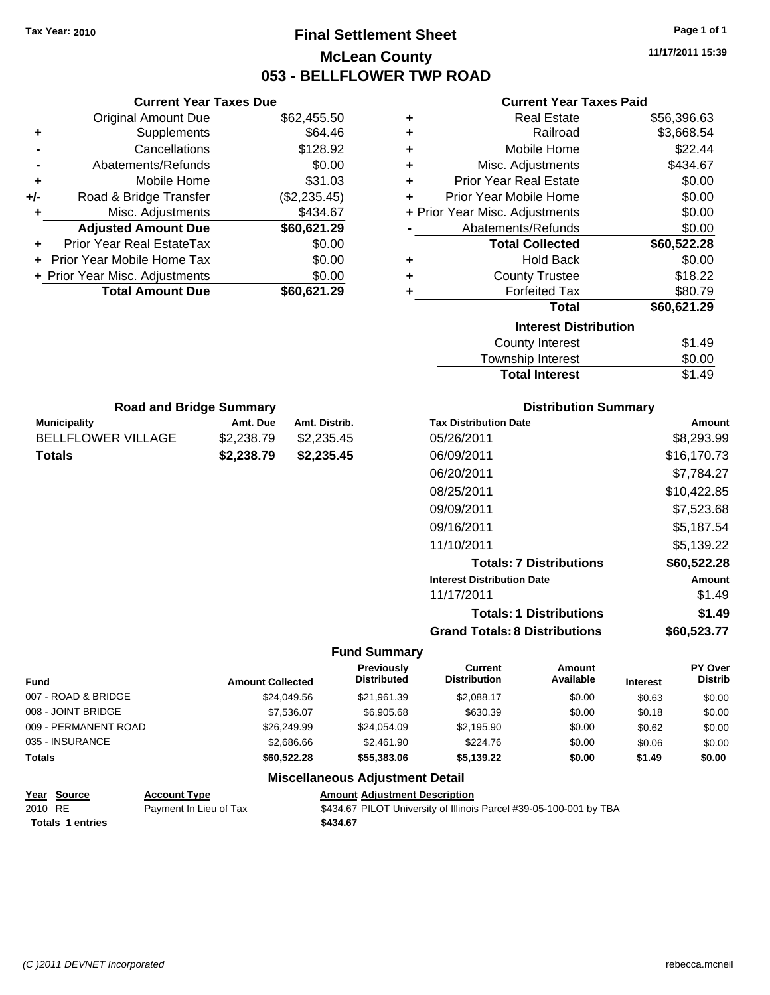# **Final Settlement Sheet Tax Year: 2010 Page 1 of 1 McLean County 053 - BELLFLOWER TWP ROAD**

**11/17/2011 15:39**

### **Current Year Taxes Paid**

| ٠ | <b>Real Estate</b>             | \$56,396.63 |
|---|--------------------------------|-------------|
| ٠ | Railroad                       | \$3,668.54  |
| ٠ | Mobile Home                    | \$22.44     |
| ٠ | Misc. Adjustments              | \$434.67    |
| ÷ | Prior Year Real Estate         | \$0.00      |
| ÷ | Prior Year Mobile Home         | \$0.00      |
|   | + Prior Year Misc. Adjustments | \$0.00      |
|   | Abatements/Refunds             | \$0.00      |
|   | <b>Total Collected</b>         | \$60,522.28 |
| ٠ | <b>Hold Back</b>               | \$0.00      |
| ٠ | <b>County Trustee</b>          | \$18.22     |
| ٠ | <b>Forfeited Tax</b>           | \$80.79     |
|   | <b>Total</b>                   | \$60,621.29 |
|   | <b>Interest Distribution</b>   |             |
|   | <b>County Interest</b>         | \$1.49      |
|   | <b>Township Interest</b>       | \$0.00      |
|   | <b>Total Interest</b>          | \$1.49      |

|     | <b>Current Year Taxes Due</b>    |              |
|-----|----------------------------------|--------------|
|     | <b>Original Amount Due</b>       | \$62,455.50  |
| ٠   | Supplements                      | \$64.46      |
|     | Cancellations                    | \$128.92     |
|     | Abatements/Refunds               | \$0.00       |
| ٠   | Mobile Home                      | \$31.03      |
| +/- | Road & Bridge Transfer           | (\$2,235.45) |
| ٠   | Misc. Adjustments                | \$434.67     |
|     | <b>Adjusted Amount Due</b>       | \$60,621.29  |
|     | <b>Prior Year Real EstateTax</b> | \$0.00       |
|     | Prior Year Mobile Home Tax       | \$0.00       |
|     | + Prior Year Misc. Adjustments   | \$0.00       |
|     | <b>Total Amount Due</b>          | \$60.621.29  |

| <b>Road and Bridge Summary</b> |            |               |  |  |
|--------------------------------|------------|---------------|--|--|
| <b>Municipality</b>            | Amt. Due   | Amt. Distrib. |  |  |
| <b>BELLFLOWER VILLAGE</b>      | \$2,238.79 | \$2,235.45    |  |  |
| <b>Totals</b>                  | \$2,238,79 | \$2,235.45    |  |  |

### **Distribution Summary**

| <b>Tax Distribution Date</b>         | Amount      |
|--------------------------------------|-------------|
| 05/26/2011                           | \$8,293.99  |
| 06/09/2011                           | \$16.170.73 |
| 06/20/2011                           | \$7,784.27  |
| 08/25/2011                           | \$10,422.85 |
| 09/09/2011                           | \$7,523.68  |
| 09/16/2011                           | \$5,187.54  |
| 11/10/2011                           | \$5,139.22  |
| <b>Totals: 7 Distributions</b>       | \$60,522.28 |
| <b>Interest Distribution Date</b>    | Amount      |
| 11/17/2011                           | \$1.49      |
| <b>Totals: 1 Distributions</b>       | \$1.49      |
| <b>Grand Totals: 8 Distributions</b> | \$60,523.77 |

#### **Fund Summary**

| Fund                 | <b>Amount Collected</b> | Previously<br><b>Distributed</b> | Current<br><b>Distribution</b> | Amount<br>Available | <b>Interest</b> | <b>PY Over</b><br><b>Distrib</b> |
|----------------------|-------------------------|----------------------------------|--------------------------------|---------------------|-----------------|----------------------------------|
| 007 - ROAD & BRIDGE  | \$24,049.56             | \$21.961.39                      | \$2.088.17                     | \$0.00              | \$0.63          | \$0.00                           |
| 008 - JOINT BRIDGE   | \$7.536.07              | \$6,905.68                       | \$630.39                       | \$0.00              | \$0.18          | \$0.00                           |
| 009 - PERMANENT ROAD | \$26,249.99             | \$24.054.09                      | \$2,195.90                     | \$0.00              | \$0.62          | \$0.00                           |
| 035 - INSURANCE      | \$2,686.66              | \$2,461.90                       | \$224.76                       | \$0.00              | \$0.06          | \$0.00                           |
| <b>Totals</b>        | \$60,522.28             | \$55,383.06                      | \$5,139.22                     | \$0.00              | \$1.49          | \$0.00                           |

### **Miscellaneous Adjustment Detail**

#### **Year Source Account Type Amount Adjustment Description** 2010 RE Payment In Lieu of Tax \$434.67 PILOT University of Illinois Parcel #39-05-100-001 by TBA **Totals \$434.67 1 entries**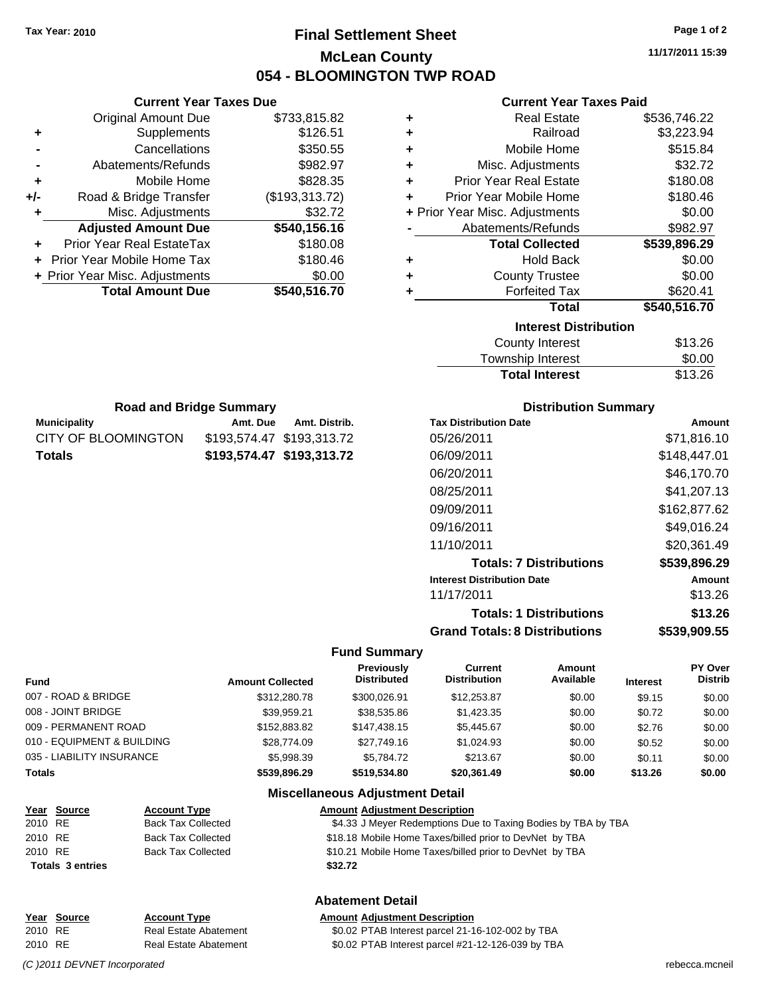**Current Year Taxes Due** Original Amount Due \$733,815.82

**Adjusted Amount Due \$540,156.16**

**Total Amount Due \$540,516.70**

**+** Supplements \$126.51 **-** Cancellations \$350.55 **-** Abatements/Refunds \$982.97 **+** Mobile Home \$828.35 **+/-** Road & Bridge Transfer (\$193,313.72) **+** Misc. Adjustments \$32.72

**+** Prior Year Real EstateTax \$180.08 **+** Prior Year Mobile Home Tax \$180.46 **+ Prior Year Misc. Adjustments**  $$0.00$ 

**Municipality Municipality** Amt. Due Amt. Distrib. **Road and Bridge Summary**

CITY OF BLOOMINGTON \$193,574.47 \$193,313.72 **Totals \$193,574.47 \$193,313.72**

# **Final Settlement Sheet Tax Year: 2010 Page 1 of 2 McLean County 054 - BLOOMINGTON TWP ROAD**

**11/17/2011 15:39**

### **Current Year Taxes Paid**

| ٠ | <b>Real Estate</b>             | \$536,746.22 |
|---|--------------------------------|--------------|
| ٠ | Railroad                       | \$3,223.94   |
| ٠ | Mobile Home                    | \$515.84     |
| ٠ | Misc. Adjustments              | \$32.72      |
| ÷ | <b>Prior Year Real Estate</b>  | \$180.08     |
| ٠ | Prior Year Mobile Home         | \$180.46     |
|   | + Prior Year Misc. Adjustments | \$0.00       |
|   | Abatements/Refunds             | \$982.97     |
|   | <b>Total Collected</b>         | \$539,896.29 |
| ٠ | <b>Hold Back</b>               | \$0.00       |
| ٠ | <b>County Trustee</b>          | \$0.00       |
| ٠ | <b>Forfeited Tax</b>           | \$620.41     |
|   | <b>Total</b>                   | \$540,516.70 |
|   | <b>Interest Distribution</b>   |              |
|   | <b>County Interest</b>         | \$13.26      |
|   | <b>Township Interest</b>       | \$0.00       |

| <b>Total Interest</b> | \$13.26 |
|-----------------------|---------|
| Township Interest     | \$0.00  |
| County Interest       | \$13.26 |

| <b>Distribution Summary</b> |  |
|-----------------------------|--|
|-----------------------------|--|

| <b>Tax Distribution Date</b>         | Amount       |
|--------------------------------------|--------------|
| 05/26/2011                           | \$71.816.10  |
| 06/09/2011                           | \$148,447.01 |
| 06/20/2011                           | \$46.170.70  |
| 08/25/2011                           | \$41,207.13  |
| 09/09/2011                           | \$162,877.62 |
| 09/16/2011                           | \$49.016.24  |
| 11/10/2011                           | \$20.361.49  |
| <b>Totals: 7 Distributions</b>       | \$539,896.29 |
| <b>Interest Distribution Date</b>    | Amount       |
| 11/17/2011                           | \$13.26      |
| <b>Totals: 1 Distributions</b>       | \$13.26      |
| <b>Grand Totals: 8 Distributions</b> | \$539,909.55 |

#### **Fund Summary**

| <b>Fund</b>                | <b>Amount Collected</b> | Previously<br><b>Distributed</b> | Current<br><b>Distribution</b> | <b>Amount</b><br>Available | <b>Interest</b> | <b>PY Over</b><br><b>Distrib</b> |
|----------------------------|-------------------------|----------------------------------|--------------------------------|----------------------------|-----------------|----------------------------------|
| 007 - ROAD & BRIDGE        | \$312,280.78            | \$300.026.91                     | \$12,253.87                    | \$0.00                     | \$9.15          | \$0.00                           |
| 008 - JOINT BRIDGE         | \$39.959.21             | \$38,535.86                      | \$1,423.35                     | \$0.00                     | \$0.72          | \$0.00                           |
| 009 - PERMANENT ROAD       | \$152,883,82            | \$147.438.15                     | \$5.445.67                     | \$0.00                     | \$2.76          | \$0.00                           |
| 010 - EQUIPMENT & BUILDING | \$28,774.09             | \$27.749.16                      | \$1.024.93                     | \$0.00                     | \$0.52          | \$0.00                           |
| 035 - LIABILITY INSURANCE  | \$5.998.39              | \$5.784.72                       | \$213.67                       | \$0.00                     | \$0.11          | \$0.00                           |
| <b>Totals</b>              | \$539,896.29            | \$519,534.80                     | \$20,361.49                    | \$0.00                     | \$13.26         | \$0.00                           |

# **Miscellaneous Adjustment Detail**

|         | <u>Year Source</u>      | <b>Account Type</b>       | <b>Amount Adjustment Description</b>                          |
|---------|-------------------------|---------------------------|---------------------------------------------------------------|
| 2010 RE |                         | <b>Back Tax Collected</b> | \$4.33 J Meyer Redemptions Due to Taxing Bodies by TBA by TBA |
| 2010 RE |                         | <b>Back Tax Collected</b> | \$18.18 Mobile Home Taxes/billed prior to DevNet by TBA       |
| 2010 RE |                         | <b>Back Tax Collected</b> | \$10.21 Mobile Home Taxes/billed prior to DevNet by TBA       |
|         | <b>Totals 3 entries</b> |                           | \$32.72                                                       |
|         |                         |                           |                                                               |

### **Abatement Detail**

|         | Year Source | <b>Account Type</b>   | <b>Amount Adiustment Description</b>              |
|---------|-------------|-----------------------|---------------------------------------------------|
| 2010 RE |             | Real Estate Abatement | \$0.02 PTAB Interest parcel 21-16-102-002 by TBA  |
| 2010 RE |             | Real Estate Abatement | \$0.02 PTAB Interest parcel #21-12-126-039 by TBA |

*(C )2011 DEVNET Incorporated* rebecca.mcneil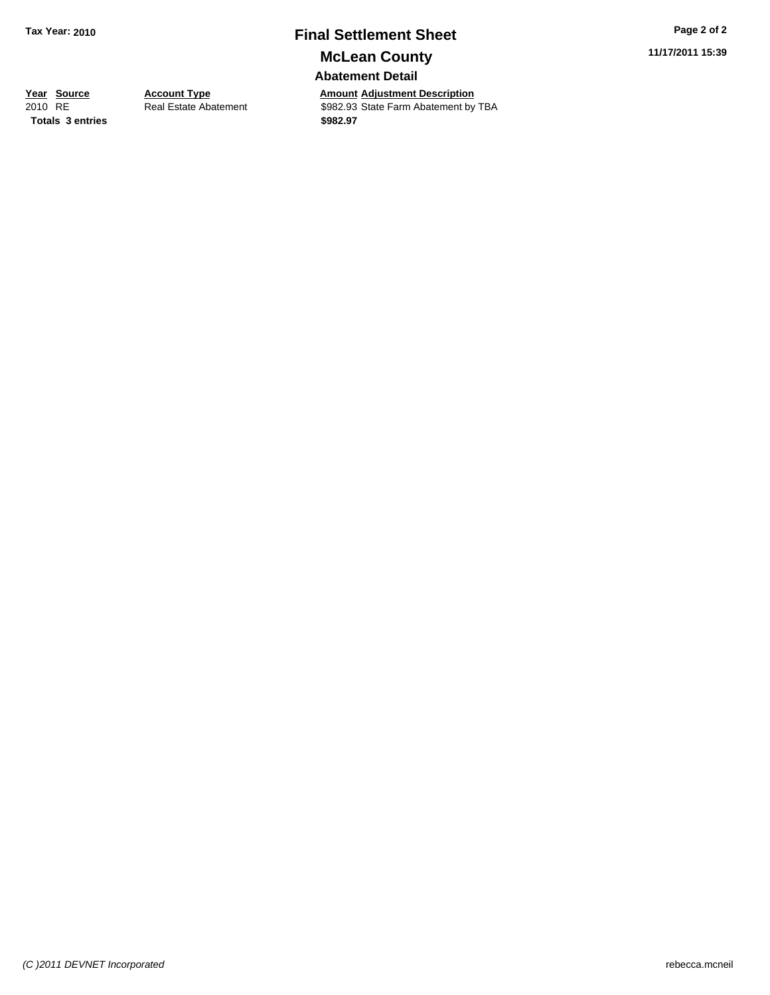# **Final Settlement Sheet Tax Year: 2010 Page 2 of 2 McLean County**

**Abatement Detail**

**Totals \$982.97 3 entries**

**11/17/2011 15:39**

**Year Source Account Type Anneurry Adjustment Description**<br> **Amount Adjustment** Description<br> **Amount** Adjustment by<br> **Amount** Adjustment by Real Estate Abatement **\$982.93** State Farm Abatement by TBA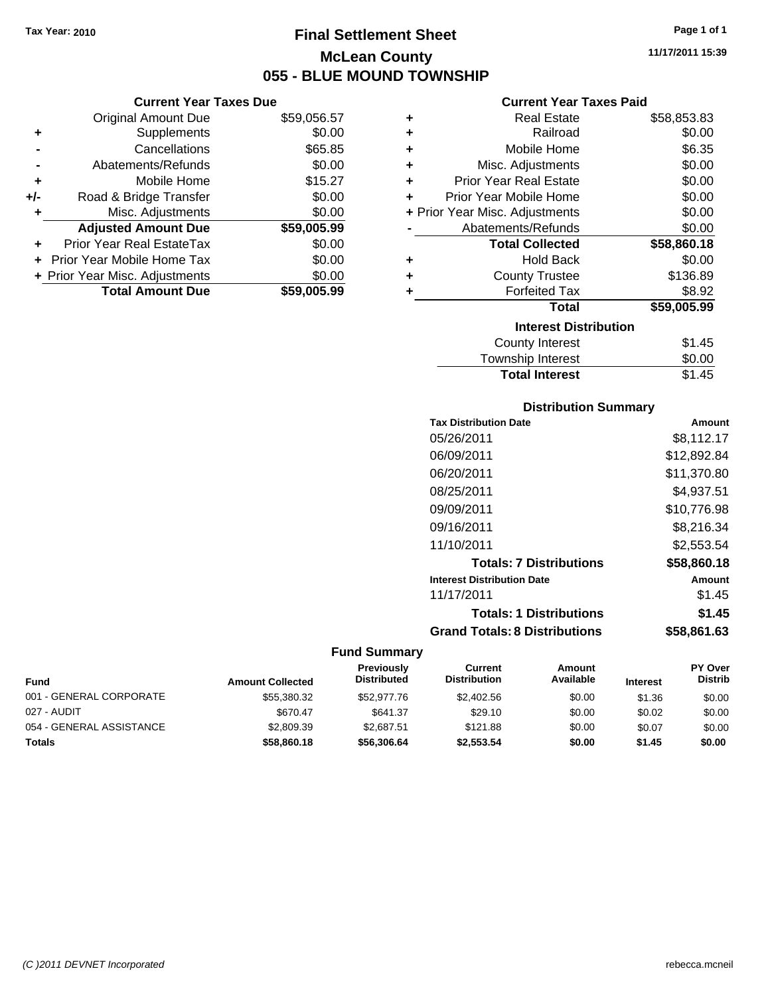**Current Year Taxes Due** Original Amount Due \$59,056.57

**Adjusted Amount Due \$59,005.99**

**Total Amount Due \$59,005.99**

**+** Supplements \$0.00 **-** Cancellations \$65.85 **-** Abatements/Refunds \$0.00 **+** Mobile Home \$15.27 **+/-** Road & Bridge Transfer \$0.00 **+** Misc. Adjustments \$0.00

**+** Prior Year Real EstateTax \$0.00 **+** Prior Year Mobile Home Tax \$0.00 **+ Prior Year Misc. Adjustments**  $$0.00$ 

# **Final Settlement Sheet Tax Year: 2010 Page 1 of 1 McLean County 055 - BLUE MOUND TOWNSHIP**

**11/17/2011 15:39**

#### **Current Year Taxes Paid**

| ٠ | <b>Real Estate</b>             | \$58,853.83 |
|---|--------------------------------|-------------|
| ٠ | Railroad                       | \$0.00      |
| ÷ | Mobile Home                    | \$6.35      |
| ÷ | Misc. Adjustments              | \$0.00      |
| ÷ | <b>Prior Year Real Estate</b>  | \$0.00      |
| ٠ | Prior Year Mobile Home         | \$0.00      |
|   | + Prior Year Misc. Adjustments | \$0.00      |
|   | Abatements/Refunds             | \$0.00      |
|   | <b>Total Collected</b>         | \$58,860.18 |
| ٠ | <b>Hold Back</b>               | \$0.00      |
| ٠ | <b>County Trustee</b>          | \$136.89    |
| ٠ | <b>Forfeited Tax</b>           | \$8.92      |
|   | <b>Total</b>                   | \$59,005.99 |
|   | <b>Interest Distribution</b>   |             |
|   | <b>County Interest</b>         | \$1.45      |
|   | <b>Township Interest</b>       | \$0.00      |

# **Total Interest** \$1.45

| <b>Distribution Summary</b>          |             |
|--------------------------------------|-------------|
| <b>Tax Distribution Date</b>         | Amount      |
| 05/26/2011                           | \$8,112.17  |
| 06/09/2011                           | \$12,892.84 |
| 06/20/2011                           | \$11,370.80 |
| 08/25/2011                           | \$4,937.51  |
| 09/09/2011                           | \$10,776.98 |
| 09/16/2011                           | \$8,216.34  |
| 11/10/2011                           | \$2,553.54  |
| <b>Totals: 7 Distributions</b>       | \$58,860.18 |
| <b>Interest Distribution Date</b>    | Amount      |
| 11/17/2011                           | \$1.45      |
| <b>Totals: 1 Distributions</b>       | \$1.45      |
| <b>Grand Totals: 8 Distributions</b> | \$58,861.63 |

| <b>Fund</b>              | <b>Amount Collected</b> | Previously<br><b>Distributed</b> | Current<br><b>Distribution</b> | Amount<br>Available | <b>Interest</b> | <b>PY Over</b><br><b>Distrib</b> |
|--------------------------|-------------------------|----------------------------------|--------------------------------|---------------------|-----------------|----------------------------------|
| 001 - GENERAL CORPORATE  | \$55,380.32             | \$52,977.76                      | \$2,402.56                     | \$0.00              | \$1.36          | \$0.00                           |
| 027 - AUDIT              | \$670.47                | \$641.37                         | \$29.10                        | \$0.00              | \$0.02          | \$0.00                           |
| 054 - GENERAL ASSISTANCE | \$2,809.39              | \$2.687.51                       | \$121.88                       | \$0.00              | \$0.07          | \$0.00                           |
| Totals                   | \$58,860,18             | \$56,306,64                      | \$2.553.54                     | \$0.00              | \$1.45          | \$0.00                           |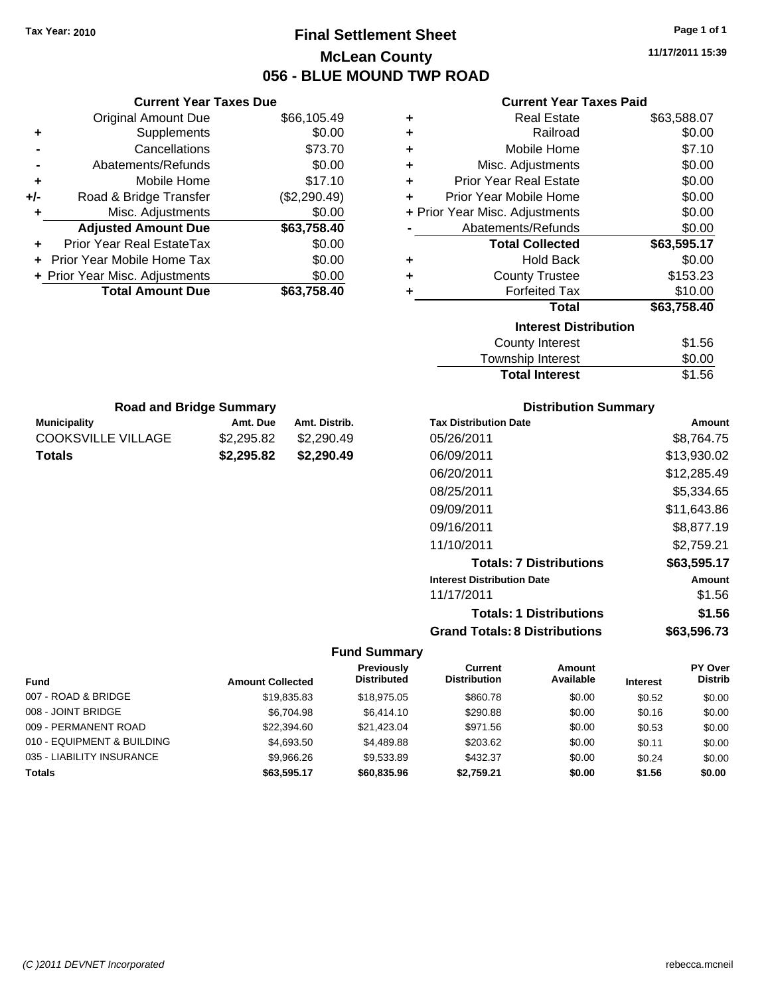**Current Year Taxes Due** Original Amount Due \$66,105.49

**Adjusted Amount Due \$63,758.40**

**Total Amount Due \$63,758.40**

**+** Supplements \$0.00 **-** Cancellations \$73.70 **-** Abatements/Refunds \$0.00 **+** Mobile Home \$17.10 **+/-** Road & Bridge Transfer (\$2,290.49) **+** Misc. Adjustments \$0.00

**+** Prior Year Real EstateTax \$0.00 **+** Prior Year Mobile Home Tax \$0.00 **+ Prior Year Misc. Adjustments**  $$0.00$ 

**Municipality Municipality** Amt. Due Amt. Distrib. **Road and Bridge Summary**

COOKSVILLE VILLAGE \$2,295.82 \$2,290.49 **Totals \$2,295.82 \$2,290.49**

# **Final Settlement Sheet Tax Year: 2010 Page 1 of 1 McLean County 056 - BLUE MOUND TWP ROAD**

**11/17/2011 15:39**

**Amount** 

| <b>Current Year Taxes Paid</b> |  |  |  |
|--------------------------------|--|--|--|
|--------------------------------|--|--|--|

| ٠ | <b>Real Estate</b>             | \$63,588.07 |
|---|--------------------------------|-------------|
| ÷ | Railroad                       | \$0.00      |
| ÷ | Mobile Home                    | \$7.10      |
| ÷ | Misc. Adjustments              | \$0.00      |
| ÷ | <b>Prior Year Real Estate</b>  | \$0.00      |
| ٠ | Prior Year Mobile Home         | \$0.00      |
|   | + Prior Year Misc. Adjustments | \$0.00      |
|   | Abatements/Refunds             | \$0.00      |
|   |                                |             |
|   | <b>Total Collected</b>         | \$63,595.17 |
| ٠ | <b>Hold Back</b>               | \$0.00      |
| ٠ | <b>County Trustee</b>          | \$153.23    |
| ÷ | <b>Forfeited Tax</b>           | \$10.00     |
|   | <b>Total</b>                   | \$63,758.40 |
|   | <b>Interest Distribution</b>   |             |
|   | <b>County Interest</b>         | \$1.56      |

| County Interest       | \$1.56 |
|-----------------------|--------|
| Township Interest     | \$0.00 |
| <b>Total Interest</b> | \$1.56 |

| <b>Distribution Summary</b>  |
|------------------------------|
| <b>Tax Distribution Date</b> |
| 05/26/2011                   |

| 05/26/2011                           | \$8,764.75  |
|--------------------------------------|-------------|
| 06/09/2011                           | \$13,930.02 |
| 06/20/2011                           | \$12,285.49 |
| 08/25/2011                           | \$5,334.65  |
| 09/09/2011                           | \$11,643.86 |
| 09/16/2011                           | \$8,877.19  |
| 11/10/2011                           | \$2,759.21  |
| <b>Totals: 7 Distributions</b>       | \$63,595.17 |
| <b>Interest Distribution Date</b>    | Amount      |
| 11/17/2011                           | \$1.56      |
| <b>Totals: 1 Distributions</b>       | \$1.56      |
| <b>Grand Totals: 8 Distributions</b> | \$63,596.73 |

|                            |                         | Previously         | Current             | Amount    |                 | <b>PY Over</b> |
|----------------------------|-------------------------|--------------------|---------------------|-----------|-----------------|----------------|
| <b>Fund</b>                | <b>Amount Collected</b> | <b>Distributed</b> | <b>Distribution</b> | Available | <b>Interest</b> | <b>Distrib</b> |
| 007 - ROAD & BRIDGE        | \$19.835.83             | \$18,975.05        | \$860.78            | \$0.00    | \$0.52          | \$0.00         |
| 008 - JOINT BRIDGE         | \$6,704.98              | \$6,414.10         | \$290.88            | \$0.00    | \$0.16          | \$0.00         |
| 009 - PERMANENT ROAD       | \$22,394.60             | \$21.423.04        | \$971.56            | \$0.00    | \$0.53          | \$0.00         |
| 010 - EQUIPMENT & BUILDING | \$4,693.50              | \$4,489.88         | \$203.62            | \$0.00    | \$0.11          | \$0.00         |
| 035 - LIABILITY INSURANCE  | \$9,966.26              | \$9,533.89         | \$432.37            | \$0.00    | \$0.24          | \$0.00         |
| Totals                     | \$63.595.17             | \$60,835,96        | \$2.759.21          | \$0.00    | \$1.56          | \$0.00         |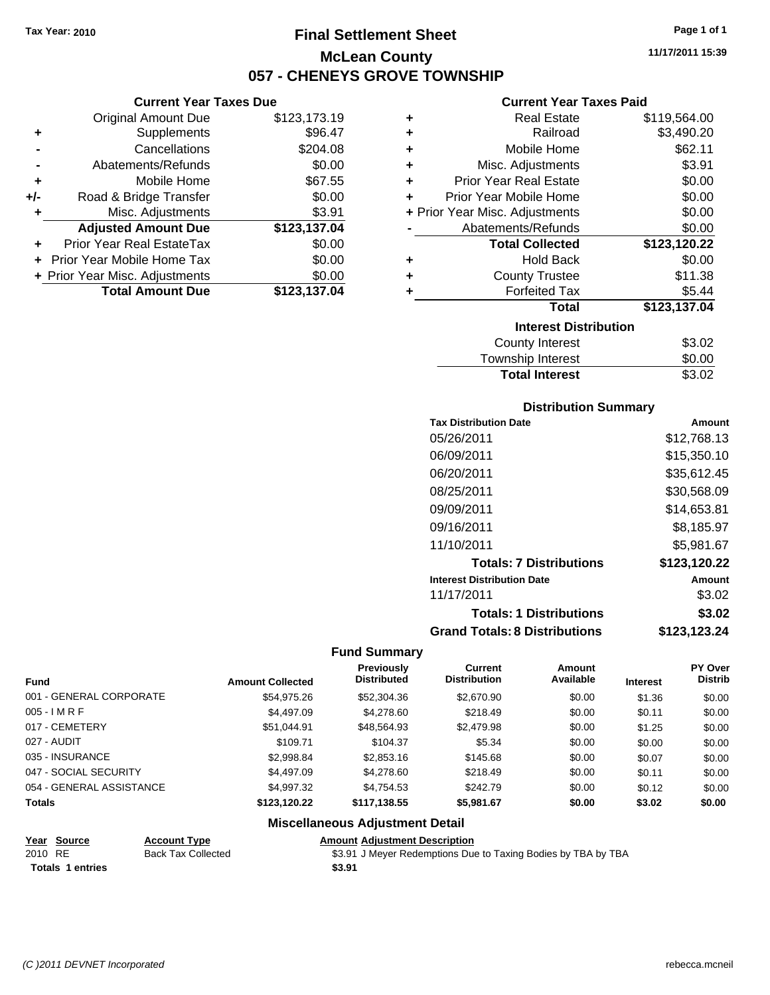**Current Year Taxes Due** Original Amount Due \$123,173.19

**Adjusted Amount Due \$123,137.04**

**Total Amount Due \$123,137.04**

**+** Supplements \$96.47 **-** Cancellations \$204.08 **-** Abatements/Refunds \$0.00 **+** Mobile Home \$67.55 **+/-** Road & Bridge Transfer \$0.00 **+** Misc. Adjustments \$3.91

**+** Prior Year Real EstateTax \$0.00 **+** Prior Year Mobile Home Tax \$0.00 **+ Prior Year Misc. Adjustments**  $$0.00$ 

# **Final Settlement Sheet Tax Year: 2010 Page 1 of 1 McLean County 057 - CHENEYS GROVE TOWNSHIP**

**11/17/2011 15:39**

#### **Current Year Taxes Paid**

| ٠ | <b>Real Estate</b>             | \$119,564.00 |
|---|--------------------------------|--------------|
| ٠ | Railroad                       | \$3,490.20   |
| ٠ | Mobile Home                    | \$62.11      |
| ٠ | Misc. Adjustments              | \$3.91       |
| ٠ | <b>Prior Year Real Estate</b>  | \$0.00       |
| ÷ | Prior Year Mobile Home         | \$0.00       |
|   | + Prior Year Misc. Adjustments | \$0.00       |
|   | Abatements/Refunds             | \$0.00       |
|   | <b>Total Collected</b>         | \$123,120.22 |
| ٠ | <b>Hold Back</b>               | \$0.00       |
| ٠ | <b>County Trustee</b>          | \$11.38      |
| ٠ | <b>Forfeited Tax</b>           | \$5.44       |
|   | <b>Total</b>                   | \$123,137.04 |
|   | <b>Interest Distribution</b>   |              |
|   | <b>County Interest</b>         | \$3.02       |
|   |                                |              |

| <b>Total Interest</b> | \$3.02 |
|-----------------------|--------|
| Township Interest     | \$0.00 |
| County Interest       | \$3.02 |

#### **Distribution Summary**

| <b>Tax Distribution Date</b>         | Amount       |
|--------------------------------------|--------------|
| 05/26/2011                           | \$12,768.13  |
| 06/09/2011                           | \$15,350.10  |
| 06/20/2011                           | \$35.612.45  |
| 08/25/2011                           | \$30,568,09  |
| 09/09/2011                           | \$14,653.81  |
| 09/16/2011                           | \$8,185.97   |
| 11/10/2011                           | \$5.981.67   |
| <b>Totals: 7 Distributions</b>       | \$123,120.22 |
| <b>Interest Distribution Date</b>    | Amount       |
| 11/17/2011                           | \$3.02       |
| <b>Totals: 1 Distributions</b>       | \$3.02       |
| <b>Grand Totals: 8 Distributions</b> | \$123,123.24 |

#### **Fund Summary**

|                          |                         | Previously         | Current             | <b>Amount</b> |                 | <b>PY Over</b> |
|--------------------------|-------------------------|--------------------|---------------------|---------------|-----------------|----------------|
| <b>Fund</b>              | <b>Amount Collected</b> | <b>Distributed</b> | <b>Distribution</b> | Available     | <b>Interest</b> | <b>Distrib</b> |
| 001 - GENERAL CORPORATE  | \$54.975.26             | \$52,304.36        | \$2,670.90          | \$0.00        | \$1.36          | \$0.00         |
| $005 - IMRF$             | \$4,497.09              | \$4,278.60         | \$218.49            | \$0.00        | \$0.11          | \$0.00         |
| 017 - CEMETERY           | \$51,044.91             | \$48,564.93        | \$2,479.98          | \$0.00        | \$1.25          | \$0.00         |
| 027 - AUDIT              | \$109.71                | \$104.37           | \$5.34              | \$0.00        | \$0.00          | \$0.00         |
| 035 - INSURANCE          | \$2,998.84              | \$2,853.16         | \$145.68            | \$0.00        | \$0.07          | \$0.00         |
| 047 - SOCIAL SECURITY    | \$4,497.09              | \$4,278,60         | \$218.49            | \$0.00        | \$0.11          | \$0.00         |
| 054 - GENERAL ASSISTANCE | \$4,997.32              | \$4,754.53         | \$242.79            | \$0.00        | \$0.12          | \$0.00         |
| <b>Totals</b>            | \$123,120.22            | \$117,138.55       | \$5,981.67          | \$0.00        | \$3.02          | \$0.00         |

#### **Miscellaneous Adjustment Detail**

#### **Year Source Account Type Amount Adjustment Description**

**Totals \$3.91 1 entries**

2010 RE Back Tax Collected \$3.91 J Meyer Redemptions Due to Taxing Bodies by TBA by TBA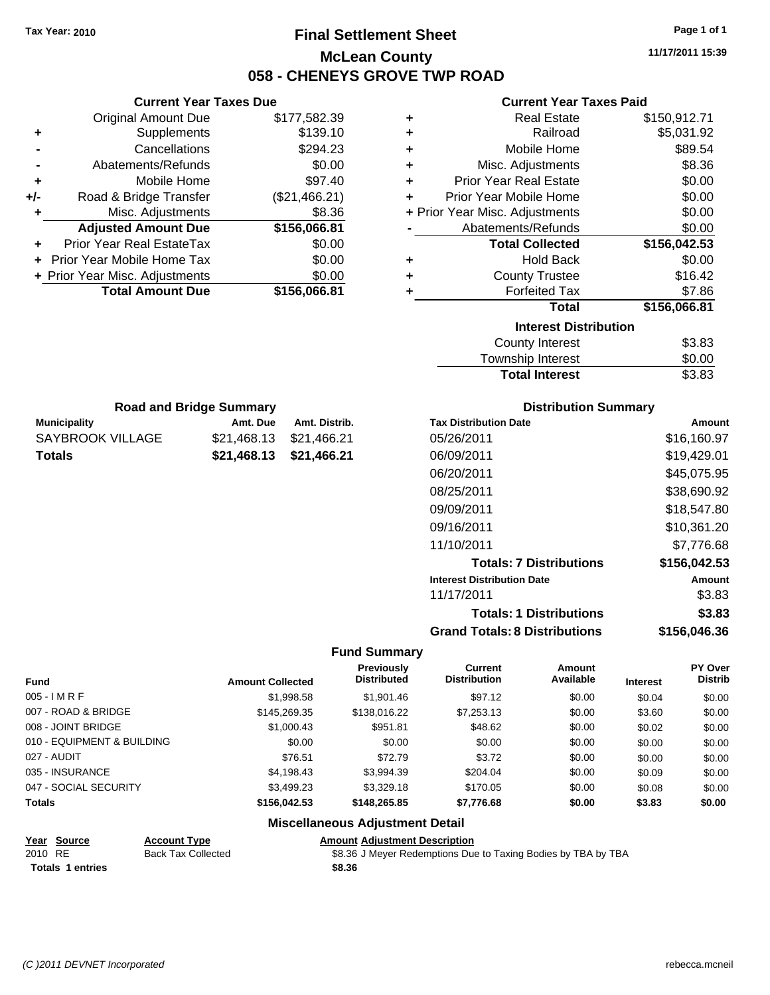# **Final Settlement Sheet Tax Year: 2010 Page 1 of 1 McLean County 058 - CHENEYS GROVE TWP ROAD**

**11/17/2011 15:39**

# **Current Year Taxes Paid**

| <b>Current Year Taxes Due</b> |                                |               |   | Cu                   |
|-------------------------------|--------------------------------|---------------|---|----------------------|
|                               | Original Amount Due            | \$177,582.39  | ٠ |                      |
| ٠                             | Supplements                    | \$139.10      | + |                      |
|                               | Cancellations                  | \$294.23      | ٠ | M                    |
|                               | Abatements/Refunds             | \$0.00        | ٠ | Misc. A              |
| ٠                             | Mobile Home                    | \$97.40       | ٠ | <b>Prior Year F</b>  |
| $+/-$                         | Road & Bridge Transfer         | (\$21,466.21) |   | Prior Year Mo        |
|                               | Misc. Adjustments              | \$8.36        |   | + Prior Year Misc. A |
|                               | <b>Adjusted Amount Due</b>     | \$156,066.81  |   | Abatemen             |
| ٠                             | Prior Year Real EstateTax      | \$0.00        |   | Total                |
|                               | Prior Year Mobile Home Tax     | \$0.00        | ٠ |                      |
|                               | + Prior Year Misc. Adjustments | \$0.00        | ٠ | Cou                  |
|                               | <b>Total Amount Due</b>        | \$156,066.81  |   | Fc                   |
|                               |                                |               |   |                      |
|                               |                                |               |   |                      |

| ٠         | <b>Real Estate</b>             | \$150,912.71 |
|-----------|--------------------------------|--------------|
| $\ddot{}$ | Railroad                       | \$5,031.92   |
| ÷         | Mobile Home                    | \$89.54      |
| ٠         | Misc. Adjustments              | \$8.36       |
| ÷         | <b>Prior Year Real Estate</b>  | \$0.00       |
| ÷         | Prior Year Mobile Home         | \$0.00       |
|           | + Prior Year Misc. Adjustments | \$0.00       |
|           | Abatements/Refunds             | \$0.00       |
|           | <b>Total Collected</b>         | \$156,042.53 |
|           |                                |              |
| ٠         | <b>Hold Back</b>               | \$0.00       |
| ÷         | <b>County Trustee</b>          | \$16.42      |
|           | <b>Forfeited Tax</b>           | \$7.86       |
|           | <b>Total</b>                   | \$156,066.81 |
|           | <b>Interest Distribution</b>   |              |

| <b>Total Interest</b> | \$3.83 |
|-----------------------|--------|
| Township Interest     | \$0.00 |
| County Interest       | ৯३.৪३  |

| <b>Distribution Summary</b>       |              |
|-----------------------------------|--------------|
| <b>Tax Distribution Date</b>      | Amount       |
| 05/26/2011                        | \$16,160.97  |
| 06/09/2011                        | \$19,429.01  |
| 06/20/2011                        | \$45,075.95  |
| 08/25/2011                        | \$38,690.92  |
| 09/09/2011                        | \$18.547.80  |
| 09/16/2011                        | \$10,361.20  |
| 11/10/2011                        | \$7.776.68   |
| <b>Totals: 7 Distributions</b>    | \$156,042.53 |
| <b>Interest Distribution Date</b> | Amount       |
| 11/17/2011                        | \$3.83       |
|                                   |              |

**Totals: 1 Distributions \$3.83**

# **Grand Totals: 8 Distributions \$156,046.36**

### **Fund Summary**

| <b>Fund</b>                | <b>Amount Collected</b> | Previously<br><b>Distributed</b> | Current<br><b>Distribution</b> | <b>Amount</b><br>Available | <b>Interest</b> | <b>PY Over</b><br><b>Distrib</b> |
|----------------------------|-------------------------|----------------------------------|--------------------------------|----------------------------|-----------------|----------------------------------|
| $005 - IMRF$               | \$1,998.58              | \$1,901.46                       | \$97.12                        | \$0.00                     | \$0.04          | \$0.00                           |
| 007 - ROAD & BRIDGE        | \$145,269,35            | \$138,016.22                     | \$7,253,13                     | \$0.00                     | \$3.60          | \$0.00                           |
| 008 - JOINT BRIDGE         | \$1,000.43              | \$951.81                         | \$48.62                        | \$0.00                     | \$0.02          | \$0.00                           |
| 010 - EQUIPMENT & BUILDING | \$0.00                  | \$0.00                           | \$0.00                         | \$0.00                     | \$0.00          | \$0.00                           |
| 027 - AUDIT                | \$76.51                 | \$72.79                          | \$3.72                         | \$0.00                     | \$0.00          | \$0.00                           |
| 035 - INSURANCE            | \$4,198.43              | \$3,994.39                       | \$204.04                       | \$0.00                     | \$0.09          | \$0.00                           |
| 047 - SOCIAL SECURITY      | \$3,499.23              | \$3,329.18                       | \$170.05                       | \$0.00                     | \$0.08          | \$0.00                           |
| <b>Totals</b>              | \$156,042.53            | \$148,265.85                     | \$7,776.68                     | \$0.00                     | \$3.83          | \$0.00                           |

#### **Miscellaneous Adjustment Detail**

# **Year Source Account Type Amount Adjustment Description**

**Totals \$8.36 1 entries**

**Municipality Municipality** Amt. Due Amt. Distrib. **Road and Bridge Summary**

SAYBROOK VILLAGE \$21,468.13 \$21,466.21 **Totals \$21,468.13 \$21,466.21**

2010 RE Back Tax Collected \$8.36 J Meyer Redemptions Due to Taxing Bodies by TBA by TBA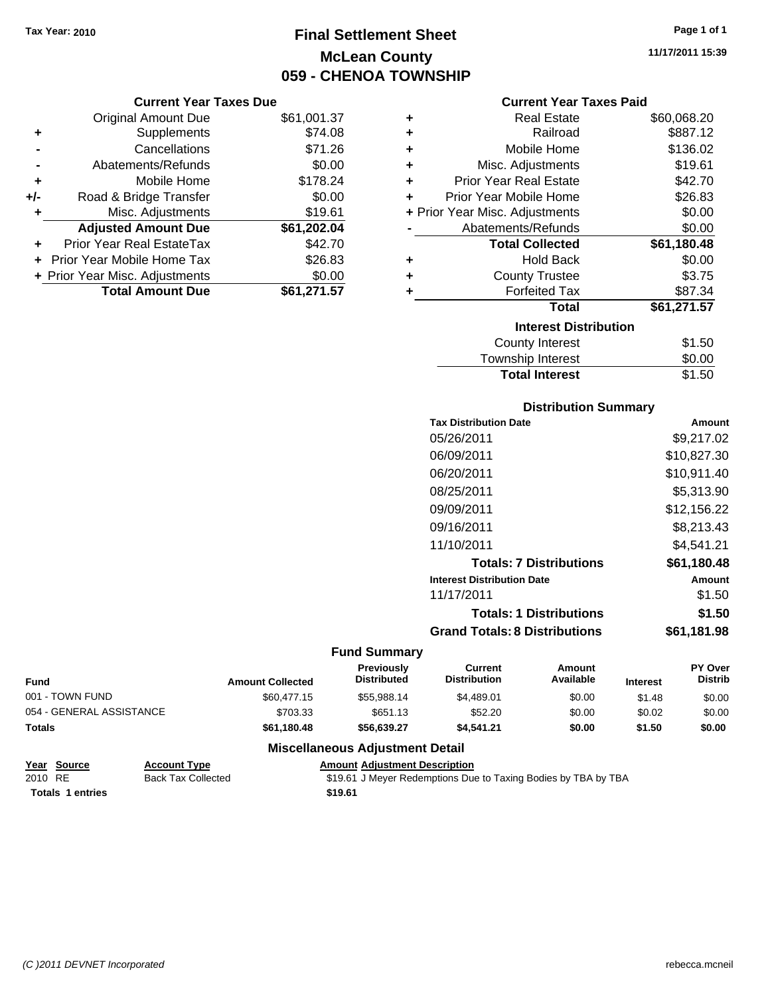# **Final Settlement Sheet Tax Year: 2010 Page 1 of 1 McLean County 059 - CHENOA TOWNSHIP**

#### **Current Year Taxes Due**

|     | <b>Original Amount Due</b>     | \$61,001.37 |
|-----|--------------------------------|-------------|
| ٠   | Supplements                    | \$74.08     |
|     | Cancellations                  | \$71.26     |
|     | Abatements/Refunds             | \$0.00      |
| ٠   | Mobile Home                    | \$178.24    |
| +/- | Road & Bridge Transfer         | \$0.00      |
| ٠   | Misc. Adjustments              | \$19.61     |
|     | <b>Adjusted Amount Due</b>     | \$61,202.04 |
|     | Prior Year Real EstateTax      | \$42.70     |
|     | Prior Year Mobile Home Tax     | \$26.83     |
|     | + Prior Year Misc. Adjustments | \$0.00      |
|     | <b>Total Amount Due</b>        | \$61,271.57 |

### **Current Year Taxes Paid**

| ٠                            | Real Estate                    | \$60,068.20 |  |  |
|------------------------------|--------------------------------|-------------|--|--|
| ٠                            | Railroad                       | \$887.12    |  |  |
| ٠                            | Mobile Home                    | \$136.02    |  |  |
| ٠                            | Misc. Adjustments              | \$19.61     |  |  |
| ٠                            | <b>Prior Year Real Estate</b>  | \$42.70     |  |  |
| ٠                            | Prior Year Mobile Home         | \$26.83     |  |  |
|                              | + Prior Year Misc. Adjustments | \$0.00      |  |  |
|                              | Abatements/Refunds             | \$0.00      |  |  |
|                              | <b>Total Collected</b>         | \$61,180.48 |  |  |
| ٠                            | <b>Hold Back</b>               | \$0.00      |  |  |
| ÷                            | <b>County Trustee</b>          | \$3.75      |  |  |
| ٠                            | <b>Forfeited Tax</b>           | \$87.34     |  |  |
|                              | Total                          | \$61,271.57 |  |  |
| <b>Interest Distribution</b> |                                |             |  |  |
|                              | <b>County Interest</b>         | \$1.50      |  |  |
|                              | <b>Township Interest</b>       | \$0.00      |  |  |
|                              | <b>Total Interest</b>          | \$1.50      |  |  |

### **Distribution Summary**

| <b>Tax Distribution Date</b>         | Amount      |  |  |
|--------------------------------------|-------------|--|--|
| 05/26/2011                           | \$9,217.02  |  |  |
| 06/09/2011                           | \$10.827.30 |  |  |
| 06/20/2011                           | \$10.911.40 |  |  |
| 08/25/2011                           | \$5.313.90  |  |  |
| 09/09/2011                           | \$12,156.22 |  |  |
| 09/16/2011                           | \$8,213.43  |  |  |
| 11/10/2011                           | \$4.541.21  |  |  |
| <b>Totals: 7 Distributions</b>       | \$61,180.48 |  |  |
| <b>Interest Distribution Date</b>    | Amount      |  |  |
| 11/17/2011                           | \$1.50      |  |  |
| <b>Totals: 1 Distributions</b>       | \$1.50      |  |  |
| <b>Grand Totals: 8 Distributions</b> | \$61.181.98 |  |  |

# **Fund Summary**

| Fund                     | <b>Amount Collected</b> | <b>Previously</b><br><b>Distributed</b> | Current<br><b>Distribution</b> | Amount<br>Available | <b>Interest</b> | <b>PY Over</b><br><b>Distrib</b> |
|--------------------------|-------------------------|-----------------------------------------|--------------------------------|---------------------|-----------------|----------------------------------|
| 001 - TOWN FUND          | \$60,477.15             | \$55.988.14                             | \$4.489.01                     | \$0.00              | \$1.48          | \$0.00                           |
| 054 - GENERAL ASSISTANCE | \$703.33                | \$651.13                                | \$52.20                        | \$0.00              | \$0.02          | \$0.00                           |
| Totals                   | \$61,180.48             | \$56,639.27                             | \$4.541.21                     | \$0.00              | \$1.50          | \$0.00                           |

# **Miscellaneous Adjustment Detail**

|         | Year Source             | <b>Account Type</b>       | <b>Amount Adjustment Description</b>                           |
|---------|-------------------------|---------------------------|----------------------------------------------------------------|
| 2010 RE |                         | <b>Back Tax Collected</b> | \$19.61 J Meyer Redemptions Due to Taxing Bodies by TBA by TBA |
|         | <b>Totals 1 entries</b> |                           | \$19.61                                                        |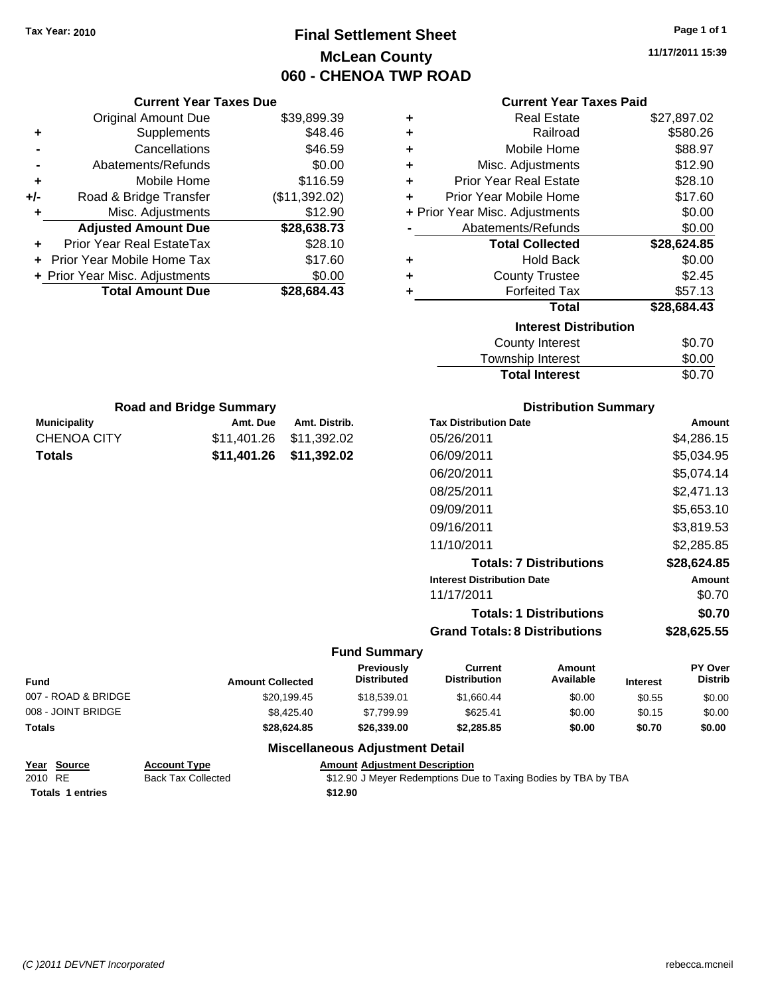# **Final Settlement Sheet Tax Year: 2010 Page 1 of 1 McLean County 060 - CHENOA TWP ROAD**

**11/17/2011 15:39**

| <b>Current Year Taxes Due</b> |                                  |               |        |
|-------------------------------|----------------------------------|---------------|--------|
|                               | Original Amount Due              | \$39,899.39   | ٠      |
|                               | Supplements                      | \$48.46       | ٠      |
|                               | Cancellations                    | \$46.59       | ٠      |
|                               | Abatements/Refunds               | \$0.00        | ٠      |
|                               | Mobile Home                      | \$116.59      | ٠      |
| +/-                           | Road & Bridge Transfer           | (\$11,392.02) | ٠      |
|                               | Misc. Adjustments                | \$12.90       | + Prio |
|                               | <b>Adjusted Amount Due</b>       | \$28,638.73   |        |
|                               | <b>Prior Year Real EstateTax</b> | \$28.10       |        |
|                               | Prior Year Mobile Home Tax       | \$17.60       | ٠      |
|                               | + Prior Year Misc. Adjustments   | \$0.00        |        |
|                               | <b>Total Amount Due</b>          | \$28,684.43   |        |
|                               |                                  |               |        |
|                               |                                  |               |        |

**Municipality Municipality** Amt. Due Amt. Distrib. **Road and Bridge Summary**

CHENOA CITY \$11,401.26 \$11,392.02 **Totals \$11,401.26 \$11,392.02**

#### **Current Year Taxes Paid**

| ٠ | <b>Real Estate</b>             | \$27,897.02 |
|---|--------------------------------|-------------|
| ٠ | Railroad                       | \$580.26    |
| ٠ | Mobile Home                    | \$88.97     |
| ÷ | Misc. Adjustments              | \$12.90     |
| ÷ | <b>Prior Year Real Estate</b>  | \$28.10     |
| ÷ | Prior Year Mobile Home         | \$17.60     |
|   | + Prior Year Misc. Adjustments | \$0.00      |
|   | Abatements/Refunds             | \$0.00      |
|   |                                |             |
|   | <b>Total Collected</b>         | \$28,624.85 |
| ٠ | <b>Hold Back</b>               | \$0.00      |
| ÷ | <b>County Trustee</b>          | \$2.45      |
| ٠ | <b>Forfeited Tax</b>           | \$57.13     |
|   | <b>Total</b>                   | \$28,684.43 |
|   | <b>Interest Distribution</b>   |             |
|   | <b>County Interest</b>         | \$0.70      |

# Total Interest \$0.70

| <b>Distribution Summary</b>          |             |  |
|--------------------------------------|-------------|--|
| <b>Tax Distribution Date</b>         | Amount      |  |
| 05/26/2011                           | \$4,286.15  |  |
| 06/09/2011                           | \$5,034.95  |  |
| 06/20/2011                           | \$5.074.14  |  |
| 08/25/2011                           | \$2.471.13  |  |
| 09/09/2011                           | \$5,653.10  |  |
| 09/16/2011                           | \$3,819.53  |  |
| 11/10/2011                           | \$2.285.85  |  |
| <b>Totals: 7 Distributions</b>       | \$28,624.85 |  |
| <b>Interest Distribution Date</b>    | Amount      |  |
| 11/17/2011                           | \$0.70      |  |
| <b>Totals: 1 Distributions</b>       | \$0.70      |  |
| <b>Grand Totals: 8 Distributions</b> | \$28.625.55 |  |

#### **Fund Summary**

| <b>Fund</b>         | <b>Amount Collected</b> | Previously<br><b>Distributed</b>       | <b>Current</b><br><b>Distribution</b> | Amount<br>Available | <b>Interest</b> | <b>PY Over</b><br><b>Distrib</b> |
|---------------------|-------------------------|----------------------------------------|---------------------------------------|---------------------|-----------------|----------------------------------|
| 007 - ROAD & BRIDGE | \$20,199.45             | \$18,539.01                            | \$1.660.44                            | \$0.00              | \$0.55          | \$0.00                           |
| 008 - JOINT BRIDGE  | \$8,425.40              | \$7.799.99                             | \$625.41                              | \$0.00              | \$0.15          | \$0.00                           |
| <b>Totals</b>       | \$28,624.85             | \$26,339,00                            | \$2,285.85                            | \$0.00              | \$0.70          | \$0.00                           |
|                     |                         | <b>Miscellaneous Adjustment Detail</b> |                                       |                     |                 |                                  |

#### **Year Source Account Type Amount Adjustment Description**

|         | $1.69$ 000166           | AGGOUIL LYPS              | Allivant Aujustinent Description                               |
|---------|-------------------------|---------------------------|----------------------------------------------------------------|
| 2010 RE |                         | <b>Back Tax Collected</b> | \$12.90 J Meyer Redemptions Due to Taxing Bodies by TBA by TBA |
|         | <b>Totals 1 entries</b> |                           | \$12.90                                                        |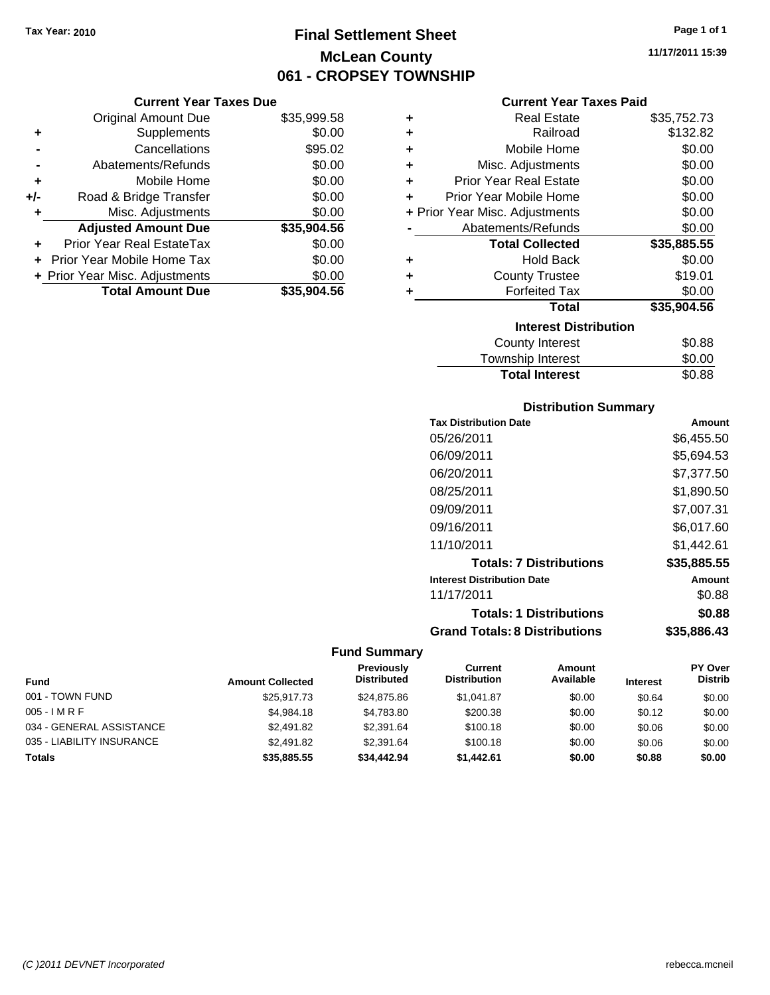# **Final Settlement Sheet Tax Year: 2010 Page 1 of 1 McLean County 061 - CROPSEY TOWNSHIP**

## **Current Year Taxes Due**

|       | <b>Original Amount Due</b>       | \$35,999.58 |
|-------|----------------------------------|-------------|
| ٠     | Supplements                      | \$0.00      |
|       | Cancellations                    | \$95.02     |
|       | Abatements/Refunds               | \$0.00      |
| ÷     | Mobile Home                      | \$0.00      |
| $+/-$ | Road & Bridge Transfer           | \$0.00      |
| ٠     | Misc. Adjustments                | \$0.00      |
|       | <b>Adjusted Amount Due</b>       | \$35,904.56 |
|       | <b>Prior Year Real EstateTax</b> | \$0.00      |
|       | Prior Year Mobile Home Tax       | \$0.00      |
|       | + Prior Year Misc. Adjustments   | \$0.00      |
|       | <b>Total Amount Due</b>          | \$35.904.56 |

## **Current Year Taxes Paid**

| ٠ | <b>Real Estate</b>             | \$35,752.73 |
|---|--------------------------------|-------------|
| ÷ | Railroad                       | \$132.82    |
| ÷ | Mobile Home                    | \$0.00      |
| ÷ | Misc. Adjustments              | \$0.00      |
| ÷ | <b>Prior Year Real Estate</b>  | \$0.00      |
| ÷ | Prior Year Mobile Home         | \$0.00      |
|   | + Prior Year Misc. Adjustments | \$0.00      |
|   | Abatements/Refunds             | \$0.00      |
|   |                                |             |
|   | <b>Total Collected</b>         | \$35,885.55 |
| ٠ | <b>Hold Back</b>               | \$0.00      |
| ÷ | <b>County Trustee</b>          | \$19.01     |
| ٠ | <b>Forfeited Tax</b>           | \$0.00      |
|   | <b>Total</b>                   | \$35,904.56 |
|   | <b>Interest Distribution</b>   |             |
|   | County Interest                | \$0.88      |

Total Interest \$0.88

| <b>Distribution Summary</b>          |             |
|--------------------------------------|-------------|
| <b>Tax Distribution Date</b>         | Amount      |
| 05/26/2011                           | \$6,455.50  |
| 06/09/2011                           | \$5,694.53  |
| 06/20/2011                           | \$7,377.50  |
| 08/25/2011                           | \$1,890.50  |
| 09/09/2011                           | \$7,007.31  |
| 09/16/2011                           | \$6,017.60  |
| 11/10/2011                           | \$1.442.61  |
| <b>Totals: 7 Distributions</b>       | \$35,885.55 |
| <b>Interest Distribution Date</b>    | Amount      |
| 11/17/2011                           | \$0.88      |
| <b>Totals: 1 Distributions</b>       | \$0.88      |
| <b>Grand Totals: 8 Distributions</b> | \$35,886.43 |

# **Fund Summary**

|                           |                         | <b>Previously</b>  | Current             | Amount    |                 | <b>PY Over</b> |
|---------------------------|-------------------------|--------------------|---------------------|-----------|-----------------|----------------|
| <b>Fund</b>               | <b>Amount Collected</b> | <b>Distributed</b> | <b>Distribution</b> | Available | <b>Interest</b> | <b>Distrib</b> |
| 001 - TOWN FUND           | \$25,917.73             | \$24.875.86        | \$1.041.87          | \$0.00    | \$0.64          | \$0.00         |
| $005 - I$ M R F           | \$4.984.18              | \$4.783.80         | \$200.38            | \$0.00    | \$0.12          | \$0.00         |
| 034 - GENERAL ASSISTANCE  | \$2,491.82              | \$2,391.64         | \$100.18            | \$0.00    | \$0.06          | \$0.00         |
| 035 - LIABILITY INSURANCE | \$2,491.82              | \$2,391.64         | \$100.18            | \$0.00    | \$0.06          | \$0.00         |
| <b>Totals</b>             | \$35,885,55             | \$34,442.94        | \$1.442.61          | \$0.00    | \$0.88          | \$0.00         |

**11/17/2011 15:39**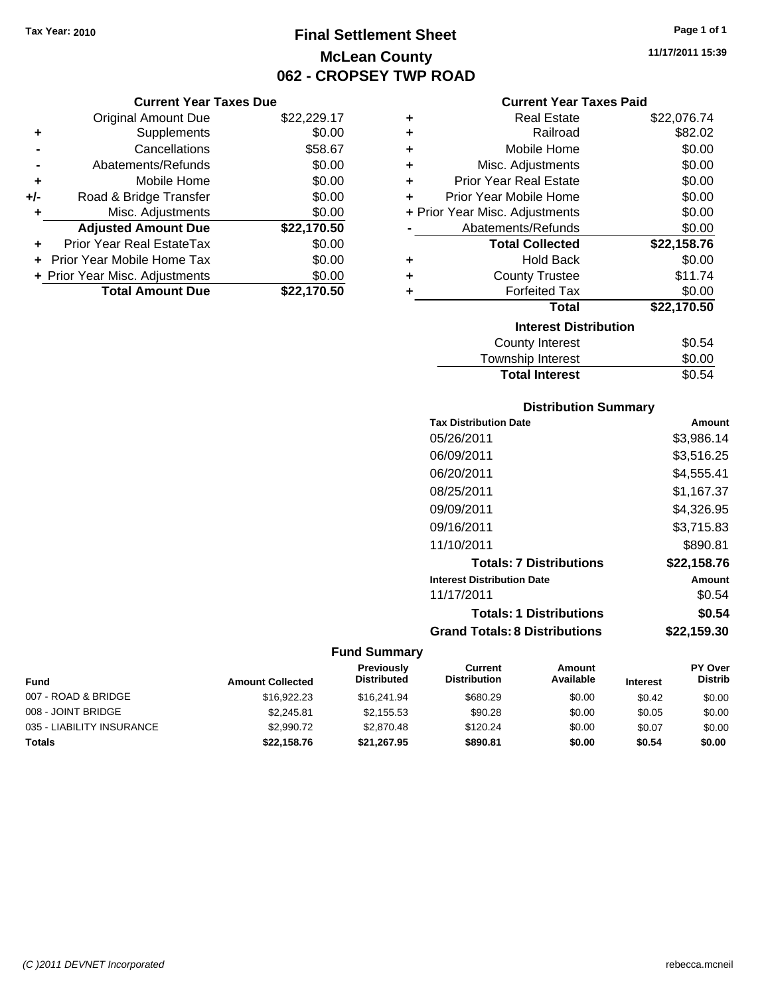# **Final Settlement Sheet Tax Year: 2010 Page 1 of 1 McLean County 062 - CROPSEY TWP ROAD**

**11/17/2011 15:39**

| Current Year Taxes Due |  |
|------------------------|--|

|       | <b>Original Amount Due</b>     | \$22,229.17 |
|-------|--------------------------------|-------------|
| ٠     | Supplements                    | \$0.00      |
|       | Cancellations                  | \$58.67     |
|       | Abatements/Refunds             | \$0.00      |
| ٠     | Mobile Home                    | \$0.00      |
| $+/-$ | Road & Bridge Transfer         | \$0.00      |
| ٠     | Misc. Adjustments              | \$0.00      |
|       | <b>Adjusted Amount Due</b>     | \$22,170.50 |
|       | Prior Year Real EstateTax      | \$0.00      |
|       | Prior Year Mobile Home Tax     | \$0.00      |
|       | + Prior Year Misc. Adjustments | \$0.00      |
|       | <b>Total Amount Due</b>        | \$22.170.50 |

# **Current Year Taxes Paid**

| ٠ | Real Estate                    | \$22,076.74 |
|---|--------------------------------|-------------|
| ٠ | Railroad                       | \$82.02     |
| ٠ | Mobile Home                    | \$0.00      |
| ٠ | Misc. Adjustments              | \$0.00      |
| ٠ | <b>Prior Year Real Estate</b>  | \$0.00      |
| ٠ | Prior Year Mobile Home         | \$0.00      |
|   | + Prior Year Misc. Adjustments | \$0.00      |
|   | Abatements/Refunds             | \$0.00      |
|   | <b>Total Collected</b>         | \$22,158.76 |
| ٠ | <b>Hold Back</b>               | \$0.00      |
| ÷ | <b>County Trustee</b>          | \$11.74     |
| ٠ | <b>Forfeited Tax</b>           | \$0.00      |
|   | Total                          | \$22,170.50 |
|   | <b>Interest Distribution</b>   |             |
|   | County Interest                | \$0.54      |
|   | <b>Township Interest</b>       | \$0.00      |
|   | <b>Total Interest</b>          | \$0.54      |

# **Total Interest**

| <b>Distribution Summary</b>          |             |
|--------------------------------------|-------------|
| <b>Tax Distribution Date</b>         | Amount      |
| 05/26/2011                           | \$3,986.14  |
| 06/09/2011                           | \$3,516.25  |
| 06/20/2011                           | \$4,555.41  |
| 08/25/2011                           | \$1.167.37  |
| 09/09/2011                           | \$4,326.95  |
| 09/16/2011                           | \$3,715.83  |
| 11/10/2011                           | \$890.81    |
| <b>Totals: 7 Distributions</b>       | \$22,158.76 |
| <b>Interest Distribution Date</b>    | Amount      |
| 11/17/2011                           | \$0.54      |
| <b>Totals: 1 Distributions</b>       | \$0.54      |
| <b>Grand Totals: 8 Distributions</b> | \$22,159.30 |

| <b>Fund</b>               | <b>Amount Collected</b> | Previously<br><b>Distributed</b> | Current<br><b>Distribution</b> | Amount<br>Available | <b>Interest</b> | <b>PY Over</b><br><b>Distrib</b> |
|---------------------------|-------------------------|----------------------------------|--------------------------------|---------------------|-----------------|----------------------------------|
| 007 - ROAD & BRIDGE       | \$16,922.23             | \$16,241.94                      | \$680.29                       | \$0.00              | \$0.42          | \$0.00                           |
| 008 - JOINT BRIDGE        | \$2.245.81              | \$2.155.53                       | \$90.28                        | \$0.00              | \$0.05          | \$0.00                           |
| 035 - LIABILITY INSURANCE | \$2,990.72              | \$2.870.48                       | \$120.24                       | \$0.00              | \$0.07          | \$0.00                           |
| <b>Totals</b>             | \$22,158.76             | \$21,267.95                      | \$890.81                       | \$0.00              | \$0.54          | \$0.00                           |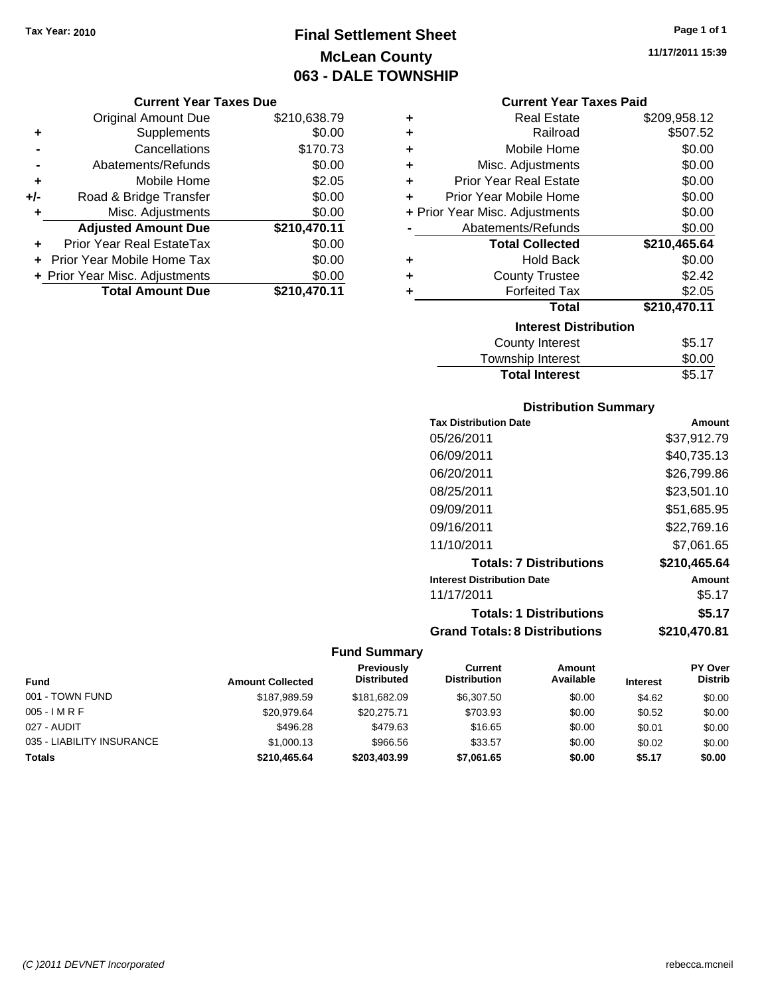# **Final Settlement Sheet Tax Year: 2010 Page 1 of 1 McLean County 063 - DALE TOWNSHIP**

#### **Current Year Taxes Due**

|       | <b>Original Amount Due</b>     | \$210,638.79 |
|-------|--------------------------------|--------------|
| ٠     | Supplements                    | \$0.00       |
|       | Cancellations                  | \$170.73     |
|       | Abatements/Refunds             | \$0.00       |
| ÷     | Mobile Home                    | \$2.05       |
| $+/-$ | Road & Bridge Transfer         | \$0.00       |
| ٠     | Misc. Adjustments              | \$0.00       |
|       | <b>Adjusted Amount Due</b>     | \$210,470.11 |
|       | Prior Year Real EstateTax      | \$0.00       |
|       | Prior Year Mobile Home Tax     | \$0.00       |
|       | + Prior Year Misc. Adjustments | \$0.00       |
|       | <b>Total Amount Due</b>        | \$210,470.11 |

#### **Current Year Taxes Paid**

| ٠ | <b>Real Estate</b>             | \$209,958.12 |
|---|--------------------------------|--------------|
| ÷ | Railroad                       | \$507.52     |
| ÷ | Mobile Home                    | \$0.00       |
| ٠ | Misc. Adjustments              | \$0.00       |
| ÷ | <b>Prior Year Real Estate</b>  | \$0.00       |
| ٠ | Prior Year Mobile Home         | \$0.00       |
|   | + Prior Year Misc. Adjustments | \$0.00       |
|   | Abatements/Refunds             | \$0.00       |
|   |                                |              |
|   | <b>Total Collected</b>         | \$210,465.64 |
| ٠ | <b>Hold Back</b>               | \$0.00       |
| ÷ | <b>County Trustee</b>          | \$2.42       |
| ٠ | <b>Forfeited Tax</b>           | \$2.05       |
|   | <b>Total</b>                   | \$210,470.11 |
|   | <b>Interest Distribution</b>   |              |
|   | County Interest                | \$5.17       |

| <b>TOWISHIP INTERST</b> | JU.UU  |
|-------------------------|--------|
| <b>Total Interest</b>   | \$5.17 |
|                         |        |

# **Distribution Summary**

| <b>Tax Distribution Date</b>         | Amount       |
|--------------------------------------|--------------|
| 05/26/2011                           | \$37.912.79  |
| 06/09/2011                           | \$40,735.13  |
| 06/20/2011                           | \$26,799.86  |
| 08/25/2011                           | \$23,501.10  |
| 09/09/2011                           | \$51.685.95  |
| 09/16/2011                           | \$22,769.16  |
| 11/10/2011                           | \$7.061.65   |
| <b>Totals: 7 Distributions</b>       | \$210,465.64 |
| <b>Interest Distribution Date</b>    | Amount       |
| 11/17/2011                           | \$5.17       |
| <b>Totals: 1 Distributions</b>       | \$5.17       |
| <b>Grand Totals: 8 Distributions</b> | \$210,470.81 |

# **Fund Summary**

|                           |                         | <b>Previously</b>  | Current             | Amount    |                 | <b>PY Over</b> |
|---------------------------|-------------------------|--------------------|---------------------|-----------|-----------------|----------------|
| Fund                      | <b>Amount Collected</b> | <b>Distributed</b> | <b>Distribution</b> | Available | <b>Interest</b> | <b>Distrib</b> |
| 001 - TOWN FUND           | \$187,989.59            | \$181,682.09       | \$6,307.50          | \$0.00    | \$4.62          | \$0.00         |
| 005 - I M R F             | \$20.979.64             | \$20,275.71        | \$703.93            | \$0.00    | \$0.52          | \$0.00         |
| 027 - AUDIT               | \$496.28                | \$479.63           | \$16.65             | \$0.00    | \$0.01          | \$0.00         |
| 035 - LIABILITY INSURANCE | \$1,000.13              | \$966.56           | \$33.57             | \$0.00    | \$0.02          | \$0.00         |
| Totals                    | \$210,465.64            | \$203,403.99       | \$7,061.65          | \$0.00    | \$5.17          | \$0.00         |

**11/17/2011 15:39**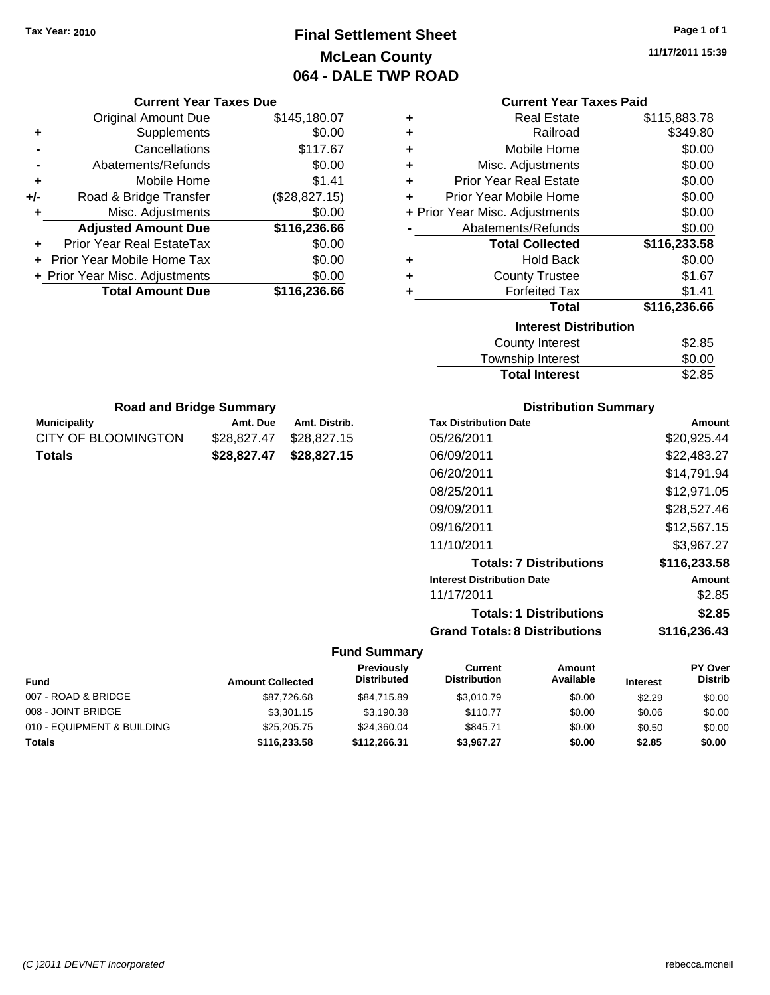# **Final Settlement Sheet Tax Year: 2010 Page 1 of 1 McLean County 064 - DALE TWP ROAD**

**11/17/2011 15:39**

|     | <b>Current Year Taxes Due</b>  |               |
|-----|--------------------------------|---------------|
|     | <b>Original Amount Due</b>     | \$145,180.07  |
| ٠   | Supplements                    | \$0.00        |
|     | Cancellations                  | \$117.67      |
|     | Abatements/Refunds             | \$0.00        |
| ٠   | Mobile Home                    | \$1.41        |
| +/- | Road & Bridge Transfer         | (\$28,827.15) |
|     | Misc. Adjustments              | \$0.00        |
|     | <b>Adjusted Amount Due</b>     | \$116,236.66  |
|     | Prior Year Real EstateTax      | \$0.00        |
|     | Prior Year Mobile Home Tax     | \$0.00        |
|     | + Prior Year Misc. Adjustments | \$0.00        |
|     | <b>Total Amount Due</b>        | \$116,236.66  |
|     |                                |               |

# **Current Year Taxes Paid**

| ٠ | <b>Real Estate</b>             | \$115,883.78 |
|---|--------------------------------|--------------|
| ÷ | Railroad                       | \$349.80     |
| ٠ | Mobile Home                    | \$0.00       |
| ٠ | Misc. Adjustments              | \$0.00       |
| ÷ | <b>Prior Year Real Estate</b>  | \$0.00       |
| ÷ | Prior Year Mobile Home         | \$0.00       |
|   | + Prior Year Misc. Adjustments | \$0.00       |
|   | Abatements/Refunds             | \$0.00       |
|   | <b>Total Collected</b>         | \$116,233.58 |
|   | <b>Hold Back</b>               |              |
| ٠ |                                | \$0.00       |
| ٠ | <b>County Trustee</b>          | \$1.67       |
| ٠ | <b>Forfeited Tax</b>           | \$1.41       |
|   | <b>Total</b>                   | \$116,236.66 |
|   | <b>Interest Distribution</b>   |              |

| <b>Total Interest</b> | \$2.85 |
|-----------------------|--------|
| Township Interest     | \$0.00 |
| County Interest       | \$2.85 |

# **Road and Bridge Summary**

| <b>Municipality</b> | Amt. Due                | Amt. Distrib. |
|---------------------|-------------------------|---------------|
| CITY OF BLOOMINGTON | \$28.827.47 \$28.827.15 |               |
| <b>Totals</b>       | \$28.827.47             | \$28.827.15   |

# **Distribution Summary**

| <b>Tax Distribution Date</b>         | Amount       |
|--------------------------------------|--------------|
| 05/26/2011                           | \$20,925.44  |
| 06/09/2011                           | \$22,483.27  |
| 06/20/2011                           | \$14,791.94  |
| 08/25/2011                           | \$12,971.05  |
| 09/09/2011                           | \$28,527.46  |
| 09/16/2011                           | \$12,567.15  |
| 11/10/2011                           | \$3.967.27   |
| <b>Totals: 7 Distributions</b>       | \$116,233.58 |
| <b>Interest Distribution Date</b>    | Amount       |
| 11/17/2011                           | \$2.85       |
| <b>Totals: 1 Distributions</b>       | \$2.85       |
| <b>Grand Totals: 8 Distributions</b> | \$116,236.43 |

# **Fund Summary**

 $\overline{\phantom{0}}$ 

| <b>Fund</b>                | <b>Amount Collected</b> | <b>Previously</b><br><b>Distributed</b> | Current<br><b>Distribution</b> | Amount<br>Available | <b>Interest</b> | <b>PY Over</b><br><b>Distrib</b> |
|----------------------------|-------------------------|-----------------------------------------|--------------------------------|---------------------|-----------------|----------------------------------|
| 007 - ROAD & BRIDGE        | \$87,726.68             | \$84.715.89                             | \$3.010.79                     | \$0.00              | \$2.29          | \$0.00                           |
| 008 - JOINT BRIDGE         | \$3,301.15              | \$3.190.38                              | \$110.77                       | \$0.00              | \$0.06          | \$0.00                           |
| 010 - EQUIPMENT & BUILDING | \$25,205.75             | \$24,360.04                             | \$845.71                       | \$0.00              | \$0.50          | \$0.00                           |
| <b>Totals</b>              | \$116,233,58            | \$112,266.31                            | \$3,967.27                     | \$0.00              | \$2.85          | \$0.00                           |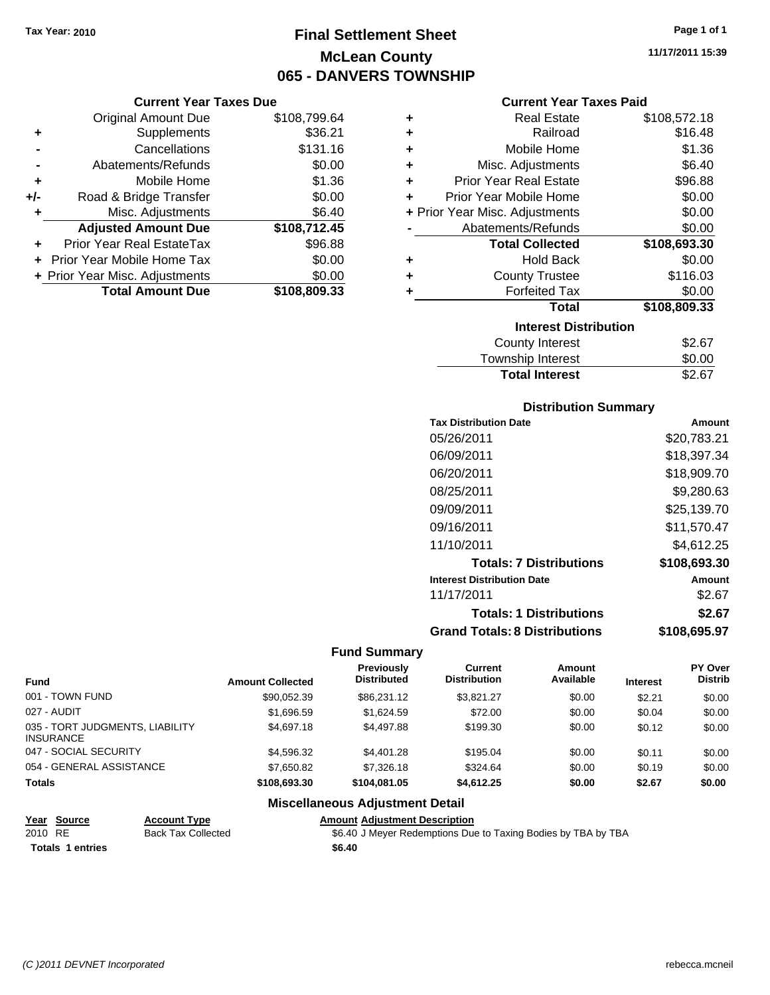# **Final Settlement Sheet Tax Year: 2010 Page 1 of 1 McLean County 065 - DANVERS TOWNSHIP**

#### **Current Year Taxes Due**

|       | <b>Original Amount Due</b>        | \$108,799.64 |
|-------|-----------------------------------|--------------|
| ٠     | Supplements                       | \$36.21      |
|       | Cancellations                     | \$131.16     |
|       | Abatements/Refunds                | \$0.00       |
| ÷     | Mobile Home                       | \$1.36       |
| $+/-$ | Road & Bridge Transfer            | \$0.00       |
| ٠     | Misc. Adjustments                 | \$6.40       |
|       | <b>Adjusted Amount Due</b>        | \$108,712.45 |
|       | Prior Year Real EstateTax         | \$96.88      |
|       | <b>Prior Year Mobile Home Tax</b> | \$0.00       |
|       | + Prior Year Misc. Adjustments    | \$0.00       |
|       | <b>Total Amount Due</b>           | \$108,809.33 |

#### **Current Year Taxes Paid**

| ٠ | <b>Real Estate</b>             | \$108,572.18 |
|---|--------------------------------|--------------|
| ÷ | Railroad                       | \$16.48      |
| ÷ | Mobile Home                    | \$1.36       |
| ٠ | Misc. Adjustments              | \$6.40       |
| ÷ | <b>Prior Year Real Estate</b>  | \$96.88      |
| ٠ | Prior Year Mobile Home         | \$0.00       |
|   | + Prior Year Misc. Adjustments | \$0.00       |
|   | Abatements/Refunds             | \$0.00       |
|   |                                |              |
|   | <b>Total Collected</b>         | \$108,693.30 |
| ٠ | <b>Hold Back</b>               | \$0.00       |
| ÷ | <b>County Trustee</b>          | \$116.03     |
| ٠ | <b>Forfeited Tax</b>           | \$0.00       |
|   | <b>Total</b>                   | \$108,809.33 |
|   | <b>Interest Distribution</b>   |              |
|   | County Interest                | \$2.67       |

## Total Interest \$2.67

| <b>Distribution Summary</b>          |              |
|--------------------------------------|--------------|
| <b>Tax Distribution Date</b>         | Amount       |
| 05/26/2011                           | \$20,783.21  |
| 06/09/2011                           | \$18.397.34  |
| 06/20/2011                           | \$18,909.70  |
| 08/25/2011                           | \$9,280.63   |
| 09/09/2011                           | \$25,139.70  |
| 09/16/2011                           | \$11,570.47  |
| 11/10/2011                           | \$4,612.25   |
| <b>Totals: 7 Distributions</b>       | \$108,693.30 |
| <b>Interest Distribution Date</b>    | Amount       |
| 11/17/2011                           | \$2.67       |
| <b>Totals: 1 Distributions</b>       | \$2.67       |
| <b>Grand Totals: 8 Distributions</b> | \$108,695.97 |

#### **Fund Summary**

| <b>Fund</b>                                         | <b>Amount Collected</b> | Previously<br><b>Distributed</b> | Current<br><b>Distribution</b> | <b>Amount</b><br>Available | <b>Interest</b> | <b>PY Over</b><br><b>Distrib</b> |
|-----------------------------------------------------|-------------------------|----------------------------------|--------------------------------|----------------------------|-----------------|----------------------------------|
| 001 - TOWN FUND                                     | \$90,052.39             | \$86,231.12                      | \$3.821.27                     | \$0.00                     | \$2.21          | \$0.00                           |
| 027 - AUDIT                                         | \$1,696.59              | \$1,624.59                       | \$72.00                        | \$0.00                     | \$0.04          | \$0.00                           |
| 035 - TORT JUDGMENTS, LIABILITY<br><b>INSURANCE</b> | \$4,697.18              | \$4,497.88                       | \$199.30                       | \$0.00                     | \$0.12          | \$0.00                           |
| 047 - SOCIAL SECURITY                               | \$4,596.32              | \$4,401.28                       | \$195.04                       | \$0.00                     | \$0.11          | \$0.00                           |
| 054 - GENERAL ASSISTANCE                            | \$7,650.82              | \$7,326.18                       | \$324.64                       | \$0.00                     | \$0.19          | \$0.00                           |
| <b>Totals</b>                                       | \$108,693.30            | \$104,081.05                     | \$4,612.25                     | \$0.00                     | \$2.67          | \$0.00                           |

#### **Miscellaneous Adjustment Detail**

**Year Source Account Type Amount Adjustment Description** Back Tax Collected **2010 S6.40 J Meyer Redemptions Due to Taxing Bodies by TBA by TBA Totals 1 entries** \$6.40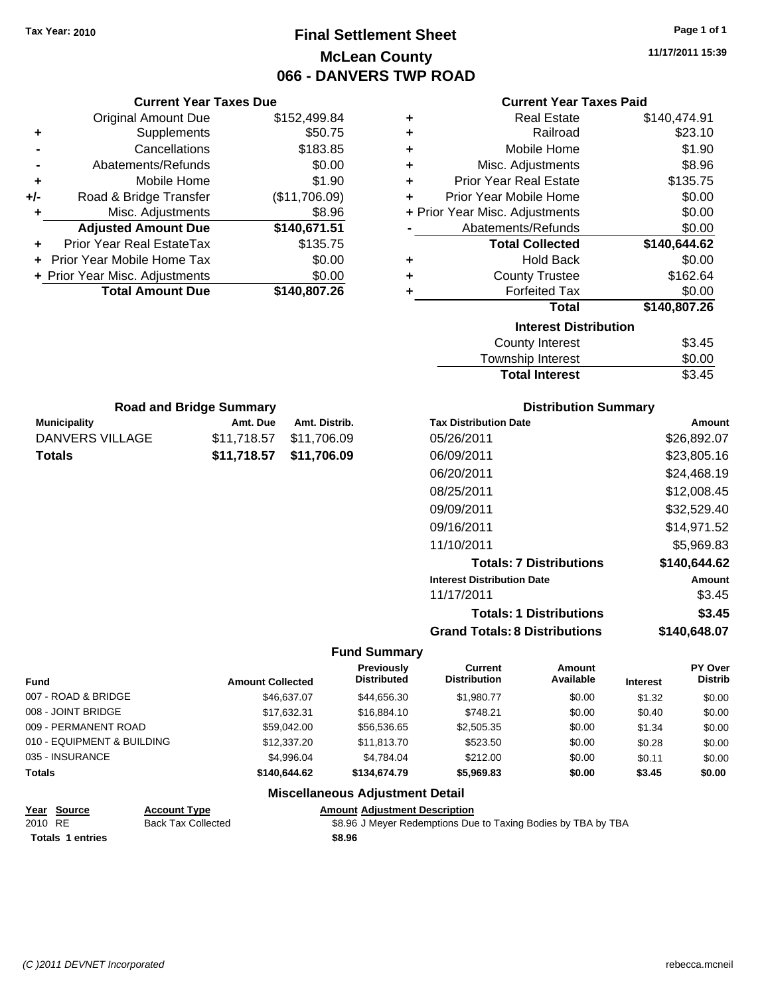# **Final Settlement Sheet Tax Year: 2010 Page 1 of 1 McLean County 066 - DANVERS TWP ROAD**

**11/17/2011 15:39**

#### **Current Year Taxes Paid**

|     | <b>Current Year Taxes Due</b>  |               |       |
|-----|--------------------------------|---------------|-------|
|     | <b>Original Amount Due</b>     | \$152,499.84  | ٠     |
|     | Supplements                    | \$50.75       | ٠     |
|     | Cancellations                  | \$183.85      | ٠     |
|     | Abatements/Refunds             | \$0.00        | ٠     |
|     | Mobile Home                    | \$1.90        | ٠     |
| +/- | Road & Bridge Transfer         | (\$11,706.09) | ÷     |
|     | Misc. Adjustments              | \$8.96        | + Pri |
|     | <b>Adjusted Amount Due</b>     | \$140,671.51  |       |
|     | Prior Year Real EstateTax      | \$135.75      |       |
|     | Prior Year Mobile Home Tax     | \$0.00        |       |
|     | + Prior Year Misc. Adjustments | \$0.00        |       |
|     | <b>Total Amount Due</b>        | \$140,807.26  |       |
|     |                                |               |       |

**Municipality Municipality** Amt. Due Amt. Distrib. **Road and Bridge Summary**

DANVERS VILLAGE \$11,718.57 \$11,706.09 **Totals \$11,718.57 \$11,706.09**

| ٠ | <b>Real Estate</b>             | \$140,474.91 |
|---|--------------------------------|--------------|
| ٠ | Railroad                       | \$23.10      |
| ٠ | Mobile Home                    | \$1.90       |
| ٠ | Misc. Adjustments              | \$8.96       |
| ÷ | <b>Prior Year Real Estate</b>  | \$135.75     |
| ٠ | Prior Year Mobile Home         | \$0.00       |
|   | + Prior Year Misc. Adjustments | \$0.00       |
|   | Abatements/Refunds             | \$0.00       |
|   | <b>Total Collected</b>         |              |
|   |                                | \$140,644.62 |
| ٠ | <b>Hold Back</b>               | \$0.00       |
| ٠ | <b>County Trustee</b>          | \$162.64     |
| ٠ | <b>Forfeited Tax</b>           | \$0.00       |
|   | Total                          | \$140,807.26 |
|   | <b>Interest Distribution</b>   |              |
|   | <b>County Interest</b>         | \$3.45       |

| <b>Total Interest</b>  | \$3.45             |
|------------------------|--------------------|
| Township Interest      | \$0.00             |
| <b>COUTTLY IFTERST</b> | აა. <del>4</del> ს |

| <b>Distribution Summary</b> |  |
|-----------------------------|--|
|-----------------------------|--|

| <b>Tax Distribution Date</b>         | Amount        |
|--------------------------------------|---------------|
| 05/26/2011                           | \$26,892.07   |
| 06/09/2011                           | \$23,805.16   |
| 06/20/2011                           | \$24,468.19   |
| 08/25/2011                           | \$12,008.45   |
| 09/09/2011                           | \$32,529.40   |
| 09/16/2011                           | \$14,971.52   |
| 11/10/2011                           | \$5.969.83    |
| <b>Totals: 7 Distributions</b>       | \$140,644.62  |
| <b>Interest Distribution Date</b>    | <b>Amount</b> |
| 11/17/2011                           | \$3.45        |
| <b>Totals: 1 Distributions</b>       | \$3.45        |
| <b>Grand Totals: 8 Distributions</b> | \$140,648.07  |

## **Fund Summary**

|                            |                         | Previously         | Current             | Amount    |                 | <b>PY Over</b> |
|----------------------------|-------------------------|--------------------|---------------------|-----------|-----------------|----------------|
| <b>Fund</b>                | <b>Amount Collected</b> | <b>Distributed</b> | <b>Distribution</b> | Available | <b>Interest</b> | <b>Distrib</b> |
| 007 - ROAD & BRIDGE        | \$46,637,07             | \$44,656,30        | \$1,980.77          | \$0.00    | \$1.32          | \$0.00         |
| 008 - JOINT BRIDGE         | \$17.632.31             | \$16,884.10        | \$748.21            | \$0.00    | \$0.40          | \$0.00         |
| 009 - PERMANENT ROAD       | \$59,042,00             | \$56,536,65        | \$2,505.35          | \$0.00    | \$1.34          | \$0.00         |
| 010 - EQUIPMENT & BUILDING | \$12,337.20             | \$11,813.70        | \$523.50            | \$0.00    | \$0.28          | \$0.00         |
| 035 - INSURANCE            | \$4.996.04              | \$4.784.04         | \$212.00            | \$0.00    | \$0.11          | \$0.00         |
| <b>Totals</b>              | \$140,644,62            | \$134,674.79       | \$5,969.83          | \$0.00    | \$3.45          | \$0.00         |

## **Miscellaneous Adjustment Detail**

| Year Source             | <b>Account Type</b>       | <b>Amount Adiustment Description</b>                          |
|-------------------------|---------------------------|---------------------------------------------------------------|
| 2010 RE                 | <b>Back Tax Collected</b> | \$8.96 J Meyer Redemptions Due to Taxing Bodies by TBA by TBA |
| <b>Totals 1 entries</b> |                           | \$8.96                                                        |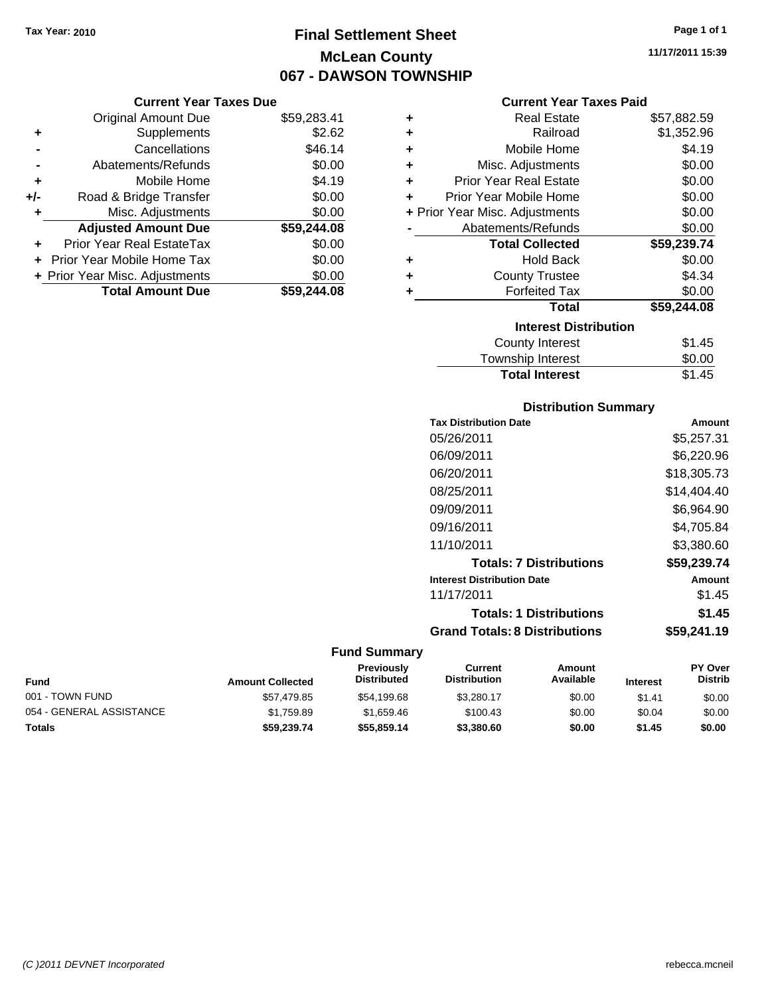# **Final Settlement Sheet Tax Year: 2010 Page 1 of 1 McLean County 067 - DAWSON TOWNSHIP**

## **Current Year Taxes Due**

|     | <b>Original Amount Due</b>     | \$59,283.41 |
|-----|--------------------------------|-------------|
| ٠   | Supplements                    | \$2.62      |
|     | Cancellations                  | \$46.14     |
|     | Abatements/Refunds             | \$0.00      |
| ٠   | Mobile Home                    | \$4.19      |
| +/- | Road & Bridge Transfer         | \$0.00      |
| ٠   | Misc. Adjustments              | \$0.00      |
|     | <b>Adjusted Amount Due</b>     | \$59,244.08 |
|     | Prior Year Real EstateTax      | \$0.00      |
|     | Prior Year Mobile Home Tax     | \$0.00      |
|     | + Prior Year Misc. Adjustments | \$0.00      |
|     | <b>Total Amount Due</b>        | \$59,244.08 |

## **Current Year Taxes Paid**

| ٠ | Real Estate                    | \$57,882.59 |
|---|--------------------------------|-------------|
| ٠ | Railroad                       | \$1,352.96  |
|   |                                |             |
| ٠ | Mobile Home                    | \$4.19      |
| ٠ | Misc. Adjustments              | \$0.00      |
| ٠ | <b>Prior Year Real Estate</b>  | \$0.00      |
| ٠ | Prior Year Mobile Home         | \$0.00      |
|   | + Prior Year Misc. Adjustments | \$0.00      |
|   | Abatements/Refunds             | \$0.00      |
|   | <b>Total Collected</b>         | \$59,239.74 |
| ٠ | <b>Hold Back</b>               | \$0.00      |
| ÷ | <b>County Trustee</b>          | \$4.34      |
| ٠ | <b>Forfeited Tax</b>           | \$0.00      |
|   | Total                          | \$59,244.08 |
|   | <b>Interest Distribution</b>   |             |
|   | County Interest                | \$1.45      |
|   | <b>Township Interest</b>       | \$0.00      |
|   | <b>Total Interest</b>          | \$1.45      |

# **Distribution Summary**

| <b>Tax Distribution Date</b>         | Amount      |
|--------------------------------------|-------------|
| 05/26/2011                           | \$5,257.31  |
| 06/09/2011                           | \$6.220.96  |
| 06/20/2011                           | \$18,305.73 |
| 08/25/2011                           | \$14,404.40 |
| 09/09/2011                           | \$6,964.90  |
| 09/16/2011                           | \$4,705.84  |
| 11/10/2011                           | \$3,380.60  |
| <b>Totals: 7 Distributions</b>       | \$59,239.74 |
| <b>Interest Distribution Date</b>    | Amount      |
| 11/17/2011                           | \$1.45      |
| <b>Totals: 1 Distributions</b>       | \$1.45      |
| <b>Grand Totals: 8 Distributions</b> | \$59.241.19 |

|                          |                         | <b>Previously</b> | Current             | Amount    |                 | <b>PY Over</b> |
|--------------------------|-------------------------|-------------------|---------------------|-----------|-----------------|----------------|
| <b>Fund</b>              | <b>Amount Collected</b> | Distributed       | <b>Distribution</b> | Available | <b>Interest</b> | Distrib        |
| 001 - TOWN FUND          | \$57,479.85             | \$54.199.68       | \$3.280.17          | \$0.00    | \$1.41          | \$0.00         |
| 054 - GENERAL ASSISTANCE | \$1.759.89              | \$1.659.46        | \$100.43            | \$0.00    | \$0.04          | \$0.00         |
| <b>Totals</b>            | \$59,239.74             | \$55,859.14       | \$3,380.60          | \$0.00    | \$1.45          | \$0.00         |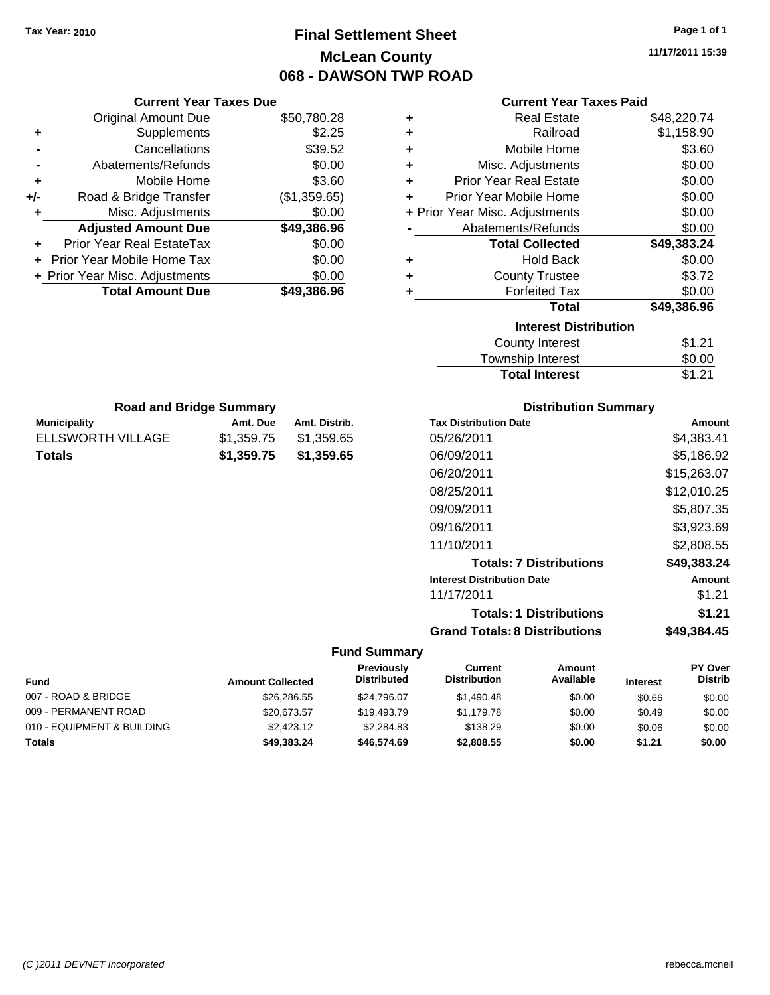# **Final Settlement Sheet Tax Year: 2010 Page 1 of 1 McLean County 068 - DAWSON TWP ROAD**

**11/17/2011 15:39**

#### **Current Year Taxes Paid**

|     | <b>Original Amount Due</b>     | \$50,780.28  | ٠ | <b>Real Estate</b>             | \$48,220.74 |
|-----|--------------------------------|--------------|---|--------------------------------|-------------|
| ٠   | <b>Supplements</b>             | \$2.25       | ٠ | Railroad                       | \$1,158.90  |
|     | Cancellations                  | \$39.52      | ٠ | Mobile Home                    | \$3.60      |
|     | Abatements/Refunds             | \$0.00       | ٠ | Misc. Adjustments              | \$0.00      |
| ٠   | Mobile Home                    | \$3.60       | ÷ | <b>Prior Year Real Estate</b>  | \$0.00      |
| +/- | Road & Bridge Transfer         | (\$1,359.65) | ÷ | Prior Year Mobile Home         | \$0.00      |
|     | Misc. Adjustments              | \$0.00       |   | + Prior Year Misc. Adjustments | \$0.00      |
|     | <b>Adjusted Amount Due</b>     | \$49,386.96  |   | Abatements/Refunds             | \$0.00      |
| ÷.  | Prior Year Real EstateTax      | \$0.00       |   | <b>Total Collected</b>         | \$49,383.24 |
|     | + Prior Year Mobile Home Tax   | \$0.00       | ٠ | <b>Hold Back</b>               | \$0.00      |
|     | + Prior Year Misc. Adjustments | \$0.00       | ٠ | <b>County Trustee</b>          | \$3.72      |
|     | <b>Total Amount Due</b>        | \$49,386.96  |   | <b>Forfeited Tax</b>           | \$0.00      |
|     |                                |              |   | <b>Total</b>                   | \$49,386.96 |
|     |                                |              |   | <b>Interest Distribution</b>   |             |
|     |                                |              |   | County Interest                | \$1.21      |
|     |                                |              |   | <b>Township Interest</b>       | \$0.00      |

| <b>Road and Bridge Summary</b> |            |               |  |  |  |
|--------------------------------|------------|---------------|--|--|--|
| Municipality                   | Amt. Due   | Amt. Distrib. |  |  |  |
| ELLSWORTH VILLAGE              | \$1,359.75 | \$1,359.65    |  |  |  |
| Totals                         | \$1,359.75 | \$1,359.65    |  |  |  |

**Current Year Taxes Due**

## **Distribution Summary**

Total Interest \$1.21

| <b>Tax Distribution Date</b>         | Amount      |
|--------------------------------------|-------------|
| 05/26/2011                           | \$4,383.41  |
| 06/09/2011                           | \$5,186.92  |
| 06/20/2011                           | \$15,263.07 |
| 08/25/2011                           | \$12.010.25 |
| 09/09/2011                           | \$5,807.35  |
| 09/16/2011                           | \$3,923.69  |
| 11/10/2011                           | \$2,808.55  |
| <b>Totals: 7 Distributions</b>       | \$49,383.24 |
| <b>Interest Distribution Date</b>    | Amount      |
| 11/17/2011                           | \$1.21      |
| <b>Totals: 1 Distributions</b>       | \$1.21      |
| <b>Grand Totals: 8 Distributions</b> | \$49,384.45 |

| <b>Fund</b>                | <b>Amount Collected</b> | Previously<br><b>Distributed</b> | Current<br><b>Distribution</b> | Amount<br>Available | <b>Interest</b> | <b>PY Over</b><br><b>Distrib</b> |
|----------------------------|-------------------------|----------------------------------|--------------------------------|---------------------|-----------------|----------------------------------|
| 007 - ROAD & BRIDGE        | \$26,286,55             | \$24,796.07                      | \$1,490.48                     | \$0.00              | \$0.66          | \$0.00                           |
| 009 - PERMANENT ROAD       | \$20,673.57             | \$19,493.79                      | \$1,179.78                     | \$0.00              | \$0.49          | \$0.00                           |
| 010 - EQUIPMENT & BUILDING | \$2,423.12              | \$2.284.83                       | \$138.29                       | \$0.00              | \$0.06          | \$0.00                           |
| <b>Totals</b>              | \$49.383.24             | \$46,574.69                      | \$2,808.55                     | \$0.00              | \$1.21          | \$0.00                           |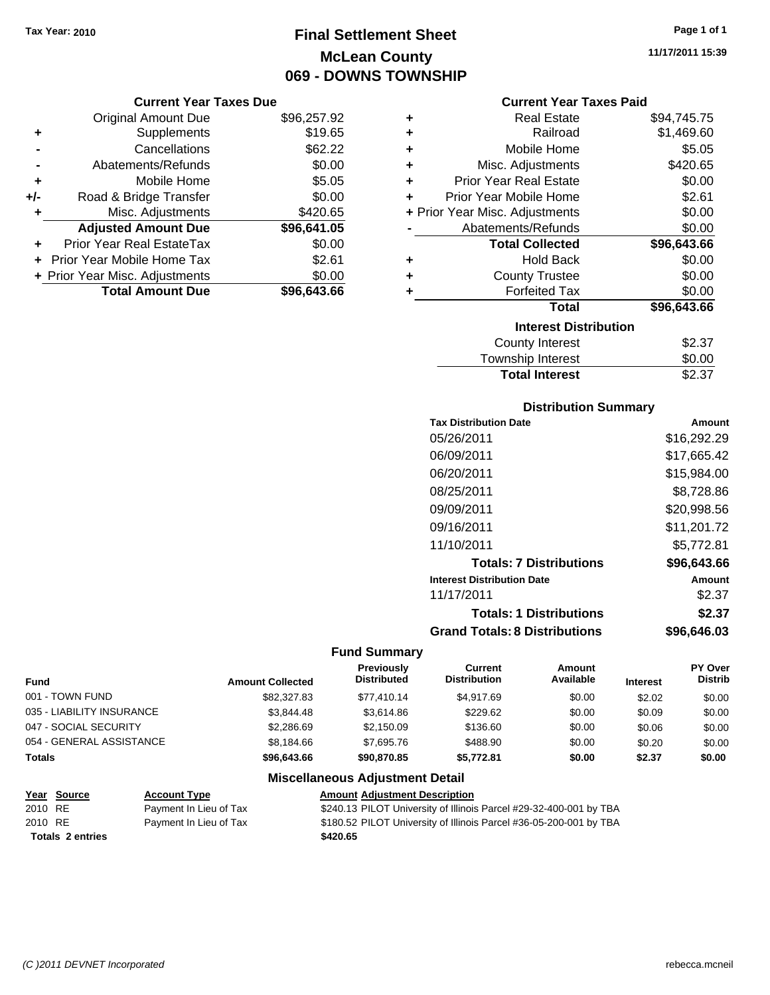# **Final Settlement Sheet Tax Year: 2010 Page 1 of 1 McLean County 069 - DOWNS TOWNSHIP**

# **Current Year Taxes Due**

|       | <b>Original Amount Due</b>     | \$96,257.92 |
|-------|--------------------------------|-------------|
| ٠     | Supplements                    | \$19.65     |
|       | Cancellations                  | \$62.22     |
|       | Abatements/Refunds             | \$0.00      |
| ÷     | Mobile Home                    | \$5.05      |
| $+/-$ | Road & Bridge Transfer         | \$0.00      |
| ٠     | Misc. Adjustments              | \$420.65    |
|       | <b>Adjusted Amount Due</b>     | \$96,641.05 |
|       | Prior Year Real EstateTax      | \$0.00      |
|       | Prior Year Mobile Home Tax     | \$2.61      |
|       | + Prior Year Misc. Adjustments | \$0.00      |
|       | <b>Total Amount Due</b>        | \$96,643.66 |

## **Current Year Taxes Paid**

| ٠ | Real Estate                    | \$94,745.75 |
|---|--------------------------------|-------------|
| ÷ | Railroad                       | \$1,469.60  |
| ÷ | Mobile Home                    | \$5.05      |
| ÷ | Misc. Adjustments              | \$420.65    |
| ÷ | <b>Prior Year Real Estate</b>  | \$0.00      |
| ٠ | Prior Year Mobile Home         | \$2.61      |
|   | + Prior Year Misc. Adjustments | \$0.00      |
|   | Abatements/Refunds             | \$0.00      |
|   | <b>Total Collected</b>         | \$96,643.66 |
| ٠ | <b>Hold Back</b>               | \$0.00      |
| ٠ | <b>County Trustee</b>          | \$0.00      |
| ٠ | <b>Forfeited Tax</b>           | \$0.00      |
|   | Total                          | \$96,643.66 |
|   | <b>Interest Distribution</b>   |             |
|   | County Interest                | \$2.37      |
|   | <b>Township Interest</b>       | \$0.00      |
|   | <b>Total Interest</b>          | \$2.37      |

# **Distribution Summary**

| <b>Tax Distribution Date</b>         | Amount      |
|--------------------------------------|-------------|
| 05/26/2011                           | \$16,292.29 |
| 06/09/2011                           | \$17,665.42 |
| 06/20/2011                           | \$15.984.00 |
| 08/25/2011                           | \$8.728.86  |
| 09/09/2011                           | \$20,998.56 |
| 09/16/2011                           | \$11,201.72 |
| 11/10/2011                           | \$5.772.81  |
| <b>Totals: 7 Distributions</b>       | \$96,643,66 |
| <b>Interest Distribution Date</b>    | Amount      |
| 11/17/2011                           | \$2.37      |
| <b>Totals: 1 Distributions</b>       | \$2.37      |
| <b>Grand Totals: 8 Distributions</b> | \$96,646.03 |

## **Fund Summary**

|                           |                         | Previously<br><b>Distributed</b> | Current<br><b>Distribution</b> | Amount<br>Available |                 | <b>PY Over</b><br><b>Distrib</b> |
|---------------------------|-------------------------|----------------------------------|--------------------------------|---------------------|-----------------|----------------------------------|
| <b>Fund</b>               | <b>Amount Collected</b> |                                  |                                |                     | <b>Interest</b> |                                  |
| 001 - TOWN FUND           | \$82,327.83             | \$77.410.14                      | \$4.917.69                     | \$0.00              | \$2.02          | \$0.00                           |
| 035 - LIABILITY INSURANCE | \$3,844.48              | \$3.614.86                       | \$229.62                       | \$0.00              | \$0.09          | \$0.00                           |
| 047 - SOCIAL SECURITY     | \$2,286.69              | \$2.150.09                       | \$136.60                       | \$0.00              | \$0.06          | \$0.00                           |
| 054 - GENERAL ASSISTANCE  | \$8,184.66              | \$7.695.76                       | \$488.90                       | \$0.00              | \$0.20          | \$0.00                           |
| <b>Totals</b>             | \$96,643,66             | \$90,870.85                      | \$5.772.81                     | \$0.00              | \$2.37          | \$0.00                           |

## **Miscellaneous Adjustment Detail**

|         | <u>Year Source</u>      | <b>Account Type</b>    | <b>Amount Adjustment Description</b>                               |
|---------|-------------------------|------------------------|--------------------------------------------------------------------|
| 2010 RE |                         | Payment In Lieu of Tax | \$240.13 PILOT University of Illinois Parcel #29-32-400-001 by TBA |
| 2010 RE |                         | Payment In Lieu of Tax | \$180.52 PILOT University of Illinois Parcel #36-05-200-001 by TBA |
|         | <b>Totals 2 entries</b> |                        | \$420.65                                                           |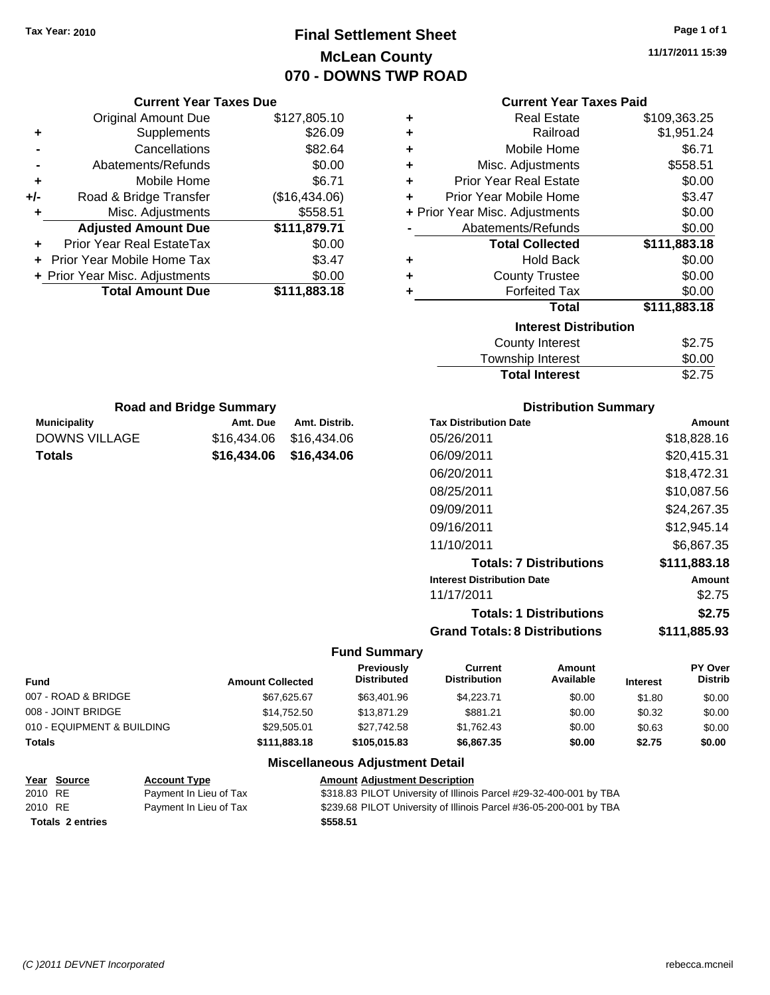# **Final Settlement Sheet Tax Year: 2010 Page 1 of 1 McLean County 070 - DOWNS TWP ROAD**

**11/17/2011 15:39**

| <b>Current Year Taxes Due</b>  |                                | <b>Current Year Taxes Paid</b> |                                |                                      |              |
|--------------------------------|--------------------------------|--------------------------------|--------------------------------|--------------------------------------|--------------|
| <b>Original Amount Due</b>     |                                | \$127,805.10                   | ٠                              | <b>Real Estate</b>                   | \$109,363.25 |
| Supplements<br>٠               |                                | \$26.09                        | ٠                              | Railroad                             | \$1,951.24   |
| Cancellations                  |                                | \$82.64                        | +                              | Mobile Home                          | \$6.71       |
| Abatements/Refunds             |                                | \$0.00                         | ٠                              | Misc. Adjustments                    | \$558.51     |
| Mobile Home                    |                                | \$6.71                         | ٠                              | <b>Prior Year Real Estate</b>        | \$0.00       |
| Road & Bridge Transfer<br>+/-  |                                | (\$16,434.06)                  | ٠                              | Prior Year Mobile Home               | \$3.47       |
| Misc. Adjustments              |                                | \$558.51                       |                                | + Prior Year Misc. Adjustments       | \$0.00       |
| <b>Adjusted Amount Due</b>     |                                | \$111,879.71                   |                                | Abatements/Refunds                   | \$0.00       |
| Prior Year Real EstateTax      |                                | \$0.00                         |                                | <b>Total Collected</b>               | \$111,883.18 |
| Prior Year Mobile Home Tax     |                                | \$3.47                         | ٠                              | <b>Hold Back</b>                     | \$0.00       |
| + Prior Year Misc. Adjustments |                                | \$0.00                         | ٠                              | <b>County Trustee</b>                | \$0.00       |
| <b>Total Amount Due</b>        |                                | \$111,883.18                   | ٠                              | <b>Forfeited Tax</b>                 | \$0.00       |
|                                |                                |                                |                                | <b>Total</b>                         | \$111,883.18 |
|                                |                                |                                |                                | <b>Interest Distribution</b>         |              |
|                                |                                |                                |                                | <b>County Interest</b>               | \$2.75       |
|                                |                                |                                |                                | Township Interest                    | \$0.00       |
|                                |                                |                                |                                | <b>Total Interest</b>                | \$2.75       |
|                                | <b>Road and Bridge Summary</b> |                                |                                | <b>Distribution Summary</b>          |              |
| <b>Municipality</b>            | Amt. Due                       | Amt. Distrib.                  |                                | <b>Tax Distribution Date</b>         | Amount       |
| <b>DOWNS VILLAGE</b>           | \$16,434.06                    | \$16,434.06                    |                                | 05/26/2011                           | \$18,828.16  |
| <b>Totals</b>                  | \$16,434.06                    | \$16,434.06                    |                                | 06/09/2011                           | \$20,415.31  |
|                                |                                |                                |                                | 06/20/2011                           | \$18,472.31  |
|                                |                                |                                |                                | 08/25/2011                           | \$10,087.56  |
|                                |                                |                                |                                | 09/09/2011                           | \$24,267.35  |
|                                |                                |                                |                                | 09/16/2011                           | \$12,945.14  |
|                                |                                |                                |                                | 11/10/2011                           | \$6,867.35   |
|                                |                                |                                |                                | <b>Totals: 7 Distributions</b>       | \$111,883.18 |
|                                |                                |                                |                                | <b>Interest Distribution Date</b>    | Amount       |
|                                |                                |                                |                                | 11/17/2011                           | \$2.75       |
|                                |                                |                                | <b>Totals: 1 Distributions</b> |                                      | \$2.75       |
|                                |                                |                                |                                |                                      |              |
|                                |                                |                                |                                | <b>Grand Totals: 8 Distributions</b> | \$111,885.93 |
|                                |                                | <b>Fund Summary</b>            |                                |                                      |              |

#### **Fund Interest Amount Collected Distributed PY Over Distrib Amount Available Current Distribution Previously** 007 - ROAD & BRIDGE 60.00 \$67,625.67 \$63,401.96 \$4,223.71 \$0.00 \$1.80 \$0.00 008 - JOINT BRIDGE \$14,752.50 \$13,871.29 \$881.21 \$0.00 \$0.32 \$0.00 010 - EQUIPMENT & BUILDING \$29,505.01 \$27,742.58 \$1,762.43 \$0.00 \$0.63 \$0.00 **Totals \$111,883.18 \$105,015.83 \$6,867.35 \$0.00 \$2.75 \$0.00**

#### **Miscellaneous Adjustment Detail**

|         | <u>Year Source</u>      | <b>Account Type</b>    | <b>Amount Adiustment Description</b>                               |
|---------|-------------------------|------------------------|--------------------------------------------------------------------|
| 2010 RE |                         | Payment In Lieu of Tax | \$318.83 PILOT University of Illinois Parcel #29-32-400-001 by TBA |
| 2010 RE |                         | Payment In Lieu of Tax | \$239.68 PILOT University of Illinois Parcel #36-05-200-001 by TBA |
|         | <b>Totals 2 entries</b> |                        | \$558.51                                                           |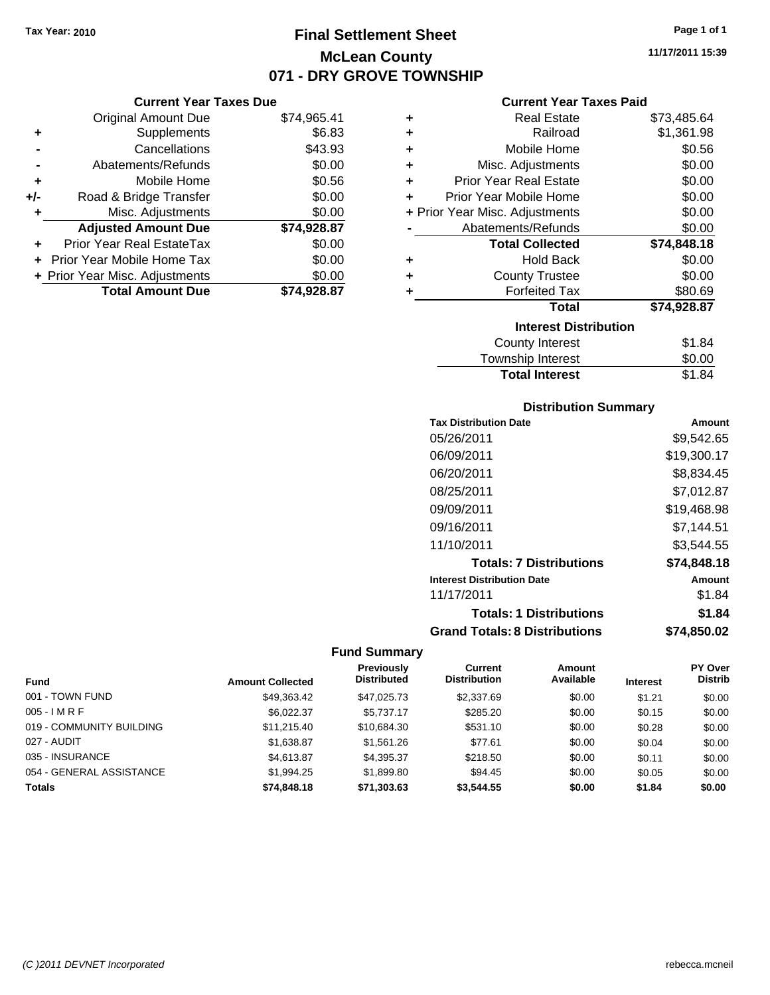# **Final Settlement Sheet Tax Year: 2010 Page 1 of 1 McLean County 071 - DRY GROVE TOWNSHIP**

|     | <b>Current Year Taxes Due</b>    |             |
|-----|----------------------------------|-------------|
|     | <b>Original Amount Due</b>       | \$74,965.41 |
| ٠   | Supplements                      | \$6.83      |
|     | Cancellations                    | \$43.93     |
|     | Abatements/Refunds               | \$0.00      |
| ٠   | Mobile Home                      | \$0.56      |
| +/- | Road & Bridge Transfer           | \$0.00      |
|     | Misc. Adjustments                | \$0.00      |
|     | <b>Adjusted Amount Due</b>       | \$74,928.87 |
|     | <b>Prior Year Real EstateTax</b> | \$0.00      |
|     | Prior Year Mobile Home Tax       | \$0.00      |
|     | + Prior Year Misc. Adjustments   | \$0.00      |
|     | <b>Total Amount Due</b>          | \$74.928.87 |

## **Current Year Taxes Paid**

|   | Real Estate                    |             |
|---|--------------------------------|-------------|
| ٠ |                                | \$73,485.64 |
| ٠ | Railroad                       | \$1,361.98  |
| ٠ | Mobile Home                    | \$0.56      |
| ٠ | Misc. Adjustments              | \$0.00      |
| ٠ | <b>Prior Year Real Estate</b>  | \$0.00      |
| ٠ | Prior Year Mobile Home         | \$0.00      |
|   | + Prior Year Misc. Adjustments | \$0.00      |
|   | Abatements/Refunds             | \$0.00      |
|   | <b>Total Collected</b>         | \$74,848.18 |
| ٠ | <b>Hold Back</b>               | \$0.00      |
| ٠ | <b>County Trustee</b>          | \$0.00      |
| ٠ | <b>Forfeited Tax</b>           | \$80.69     |
|   | Total                          | \$74,928.87 |
|   | <b>Interest Distribution</b>   |             |
|   | County Interest                | \$1.84      |
|   | <b>Township Interest</b>       | \$0.00      |
|   | <b>Total Interest</b>          | \$1.84      |

# **Distribution Summary**

| <b>Tax Distribution Date</b>         | Amount      |
|--------------------------------------|-------------|
| 05/26/2011                           | \$9.542.65  |
| 06/09/2011                           | \$19,300.17 |
| 06/20/2011                           | \$8,834.45  |
| 08/25/2011                           | \$7,012.87  |
| 09/09/2011                           | \$19,468.98 |
| 09/16/2011                           | \$7.144.51  |
| 11/10/2011                           | \$3.544.55  |
| <b>Totals: 7 Distributions</b>       | \$74,848.18 |
| <b>Interest Distribution Date</b>    | Amount      |
| 11/17/2011                           | \$1.84      |
| <b>Totals: 1 Distributions</b>       | \$1.84      |
| <b>Grand Totals: 8 Distributions</b> | \$74,850.02 |

| <b>Fund</b>              | <b>Amount Collected</b> | <b>Previously</b><br><b>Distributed</b> | Current<br><b>Distribution</b> | Amount<br>Available | <b>Interest</b> | <b>PY Over</b><br><b>Distrib</b> |
|--------------------------|-------------------------|-----------------------------------------|--------------------------------|---------------------|-----------------|----------------------------------|
|                          |                         |                                         |                                |                     |                 |                                  |
| 001 - TOWN FUND          | \$49,363.42             | \$47.025.73                             | \$2,337.69                     | \$0.00              | \$1.21          | \$0.00                           |
| $005 - I$ M R F          | \$6,022.37              | \$5,737.17                              | \$285.20                       | \$0.00              | \$0.15          | \$0.00                           |
| 019 - COMMUNITY BUILDING | \$11.215.40             | \$10,684.30                             | \$531.10                       | \$0.00              | \$0.28          | \$0.00                           |
| 027 - AUDIT              | \$1,638.87              | \$1,561.26                              | \$77.61                        | \$0.00              | \$0.04          | \$0.00                           |
| 035 - INSURANCE          | \$4,613.87              | \$4,395.37                              | \$218.50                       | \$0.00              | \$0.11          | \$0.00                           |
| 054 - GENERAL ASSISTANCE | \$1,994.25              | \$1,899.80                              | \$94.45                        | \$0.00              | \$0.05          | \$0.00                           |
| <b>Totals</b>            | \$74,848.18             | \$71,303.63                             | \$3,544.55                     | \$0.00              | \$1.84          | \$0.00                           |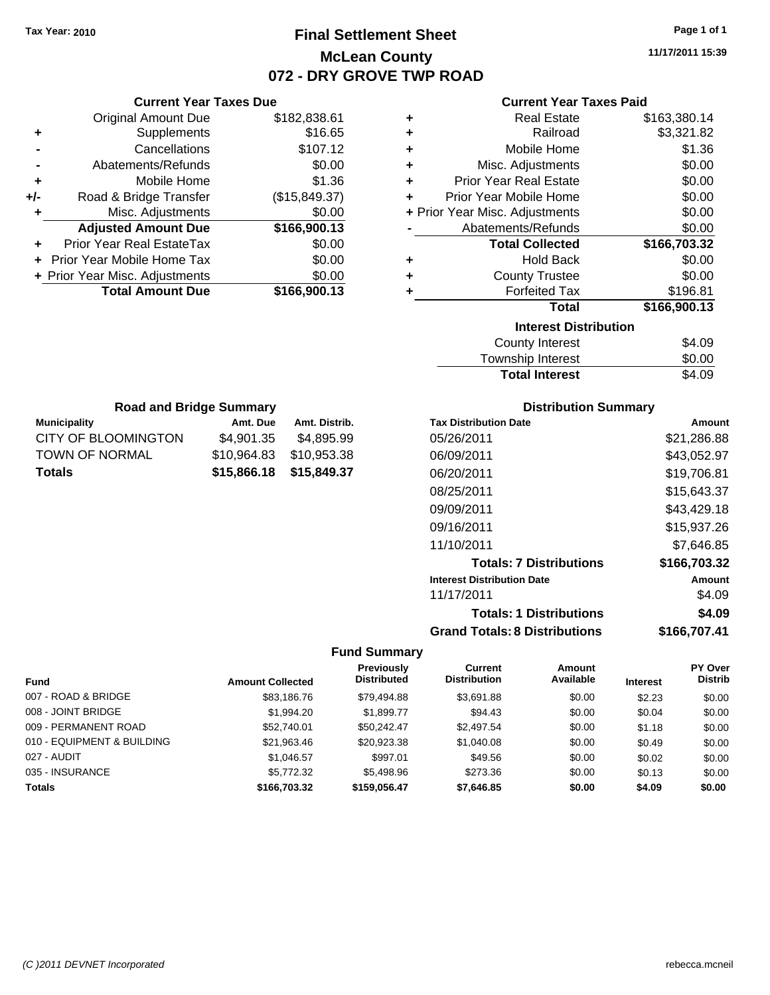# **Final Settlement Sheet Tax Year: 2010 Page 1 of 1 McLean County 072 - DRY GROVE TWP ROAD**

**11/17/2011 15:39**

| <b>Current Year Taxes Paid</b> |  |  |
|--------------------------------|--|--|
|                                |  |  |

| ٠                            | <b>Real Estate</b>             | \$163,380.14 |  |
|------------------------------|--------------------------------|--------------|--|
| ٠                            | Railroad                       | \$3,321.82   |  |
| ٠                            | Mobile Home                    | \$1.36       |  |
| ÷                            | Misc. Adjustments              | \$0.00       |  |
| ÷                            | <b>Prior Year Real Estate</b>  | \$0.00       |  |
| ÷                            | Prior Year Mobile Home         | \$0.00       |  |
|                              | + Prior Year Misc. Adjustments | \$0.00       |  |
|                              | Abatements/Refunds             | \$0.00       |  |
|                              | <b>Total Collected</b>         | \$166,703.32 |  |
| ٠                            | <b>Hold Back</b>               | \$0.00       |  |
| ٠                            | <b>County Trustee</b>          | \$0.00       |  |
| ٠                            | <b>Forfeited Tax</b>           | \$196.81     |  |
|                              | <b>Total</b>                   | \$166,900.13 |  |
| <b>Interest Distribution</b> |                                |              |  |
|                              | County Interest                | \$4.09       |  |
|                              |                                | ີ ລ          |  |

| <b>Total Interest</b> | \$4.09 |
|-----------------------|--------|
| Township Interest     | \$0.00 |
| County Interest       | \$4.09 |

| <b>Road and Bridge Summary</b> |             |               |  |
|--------------------------------|-------------|---------------|--|
| <b>Municipality</b>            | Amt. Due    | Amt. Distrib. |  |
| CITY OF BLOOMINGTON            | \$4,901.35  | \$4,895.99    |  |
| <b>TOWN OF NORMAL</b>          | \$10,964.83 | \$10,953.38   |  |
| <b>Totals</b>                  | \$15,866.18 | \$15,849.37   |  |

**Current Year Taxes Due** Original Amount Due \$182,838.61

**Adjusted Amount Due \$166,900.13**

**Total Amount Due \$166,900.13**

**+** Supplements \$16.65 **-** Cancellations \$107.12 **-** Abatements/Refunds \$0.00 **+** Mobile Home \$1.36 **+/-** Road & Bridge Transfer (\$15,849.37) **+** Misc. Adjustments \$0.00

**+** Prior Year Real EstateTax \$0.00 **+** Prior Year Mobile Home Tax \$0.00 **+ Prior Year Misc. Adjustments**  $$0.00$ 

## **Distribution Summary**

| <b>Tax Distribution Date</b>         | Amount       |
|--------------------------------------|--------------|
| 05/26/2011                           | \$21,286.88  |
| 06/09/2011                           | \$43,052.97  |
| 06/20/2011                           | \$19.706.81  |
| 08/25/2011                           | \$15.643.37  |
| 09/09/2011                           | \$43.429.18  |
| 09/16/2011                           | \$15,937.26  |
| 11/10/2011                           | \$7.646.85   |
| <b>Totals: 7 Distributions</b>       | \$166,703.32 |
| <b>Interest Distribution Date</b>    | Amount       |
| 11/17/2011                           | \$4.09       |
| <b>Totals: 1 Distributions</b>       | \$4.09       |
| <b>Grand Totals: 8 Distributions</b> | \$166,707.41 |

|                            |                         | Previously<br><b>Distributed</b> | Current<br><b>Distribution</b> | Amount<br>Available |                 | <b>PY Over</b><br><b>Distrib</b> |
|----------------------------|-------------------------|----------------------------------|--------------------------------|---------------------|-----------------|----------------------------------|
| <b>Fund</b>                | <b>Amount Collected</b> |                                  |                                |                     | <b>Interest</b> |                                  |
| 007 - ROAD & BRIDGE        | \$83,186.76             | \$79.494.88                      | \$3.691.88                     | \$0.00              | \$2.23          | \$0.00                           |
| 008 - JOINT BRIDGE         | \$1,994.20              | \$1,899.77                       | \$94.43                        | \$0.00              | \$0.04          | \$0.00                           |
| 009 - PERMANENT ROAD       | \$52,740.01             | \$50.242.47                      | \$2,497.54                     | \$0.00              | \$1.18          | \$0.00                           |
| 010 - EQUIPMENT & BUILDING | \$21,963.46             | \$20,923.38                      | \$1,040.08                     | \$0.00              | \$0.49          | \$0.00                           |
| 027 - AUDIT                | \$1,046.57              | \$997.01                         | \$49.56                        | \$0.00              | \$0.02          | \$0.00                           |
| 035 - INSURANCE            | \$5,772.32              | \$5,498.96                       | \$273.36                       | \$0.00              | \$0.13          | \$0.00                           |
| <b>Totals</b>              | \$166,703.32            | \$159,056,47                     | \$7,646.85                     | \$0.00              | \$4.09          | \$0.00                           |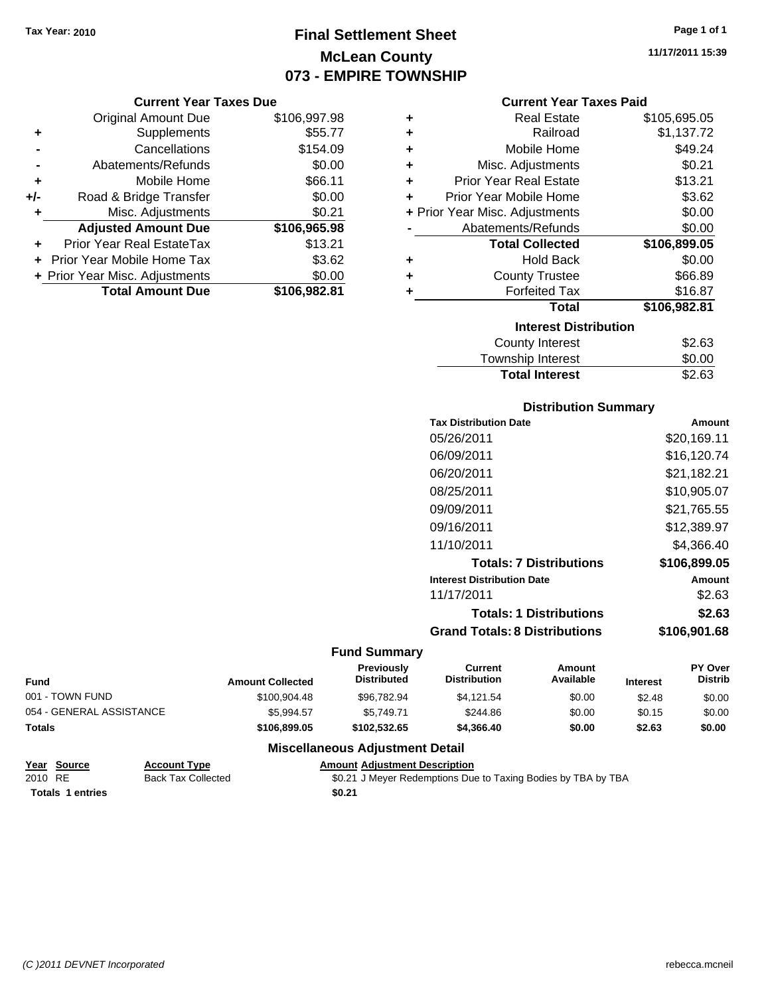# **Final Settlement Sheet Tax Year: 2010 Page 1 of 1 McLean County 073 - EMPIRE TOWNSHIP**

#### **Current Year Taxes Due**

|       | <b>Original Amount Due</b>        | \$106,997.98 |
|-------|-----------------------------------|--------------|
| ٠     | Supplements                       | \$55.77      |
|       | Cancellations                     | \$154.09     |
|       | Abatements/Refunds                | \$0.00       |
| ÷     | Mobile Home                       | \$66.11      |
| $+/-$ | Road & Bridge Transfer            | \$0.00       |
| ٠     | Misc. Adjustments                 | \$0.21       |
|       | <b>Adjusted Amount Due</b>        | \$106,965.98 |
|       | <b>Prior Year Real EstateTax</b>  | \$13.21      |
|       | <b>Prior Year Mobile Home Tax</b> | \$3.62       |
|       | + Prior Year Misc. Adjustments    | \$0.00       |
|       | <b>Total Amount Due</b>           | \$106,982.81 |

#### **Current Year Taxes Paid**

| ٠ | <b>Real Estate</b>             | \$105,695.05 |  |  |  |  |  |  |
|---|--------------------------------|--------------|--|--|--|--|--|--|
| ÷ | Railroad                       | \$1,137.72   |  |  |  |  |  |  |
| ÷ | Mobile Home                    | \$49.24      |  |  |  |  |  |  |
| ÷ | Misc. Adjustments              | \$0.21       |  |  |  |  |  |  |
| ÷ | <b>Prior Year Real Estate</b>  | \$13.21      |  |  |  |  |  |  |
| ٠ | Prior Year Mobile Home         | \$3.62       |  |  |  |  |  |  |
|   | + Prior Year Misc. Adjustments | \$0.00       |  |  |  |  |  |  |
|   | Abatements/Refunds             | \$0.00       |  |  |  |  |  |  |
|   | <b>Total Collected</b>         | \$106,899.05 |  |  |  |  |  |  |
| ٠ | <b>Hold Back</b>               | \$0.00       |  |  |  |  |  |  |
| ٠ | <b>County Trustee</b>          | \$66.89      |  |  |  |  |  |  |
| ٠ | <b>Forfeited Tax</b>           | \$16.87      |  |  |  |  |  |  |
|   | <b>Total</b>                   | \$106,982.81 |  |  |  |  |  |  |
|   | <b>Interest Distribution</b>   |              |  |  |  |  |  |  |
|   |                                |              |  |  |  |  |  |  |
|   | County Interest                | \$2.63       |  |  |  |  |  |  |

# Township Interest 50.00<br>Total Interest \$2.63 **Total Interest**

# **Distribution Summary**

| <b>Tax Distribution Date</b>         | Amount       |
|--------------------------------------|--------------|
| 05/26/2011                           | \$20,169.11  |
| 06/09/2011                           | \$16.120.74  |
| 06/20/2011                           | \$21,182.21  |
| 08/25/2011                           | \$10,905.07  |
| 09/09/2011                           | \$21.765.55  |
| 09/16/2011                           | \$12,389.97  |
| 11/10/2011                           | \$4.366.40   |
| <b>Totals: 7 Distributions</b>       | \$106,899.05 |
| <b>Interest Distribution Date</b>    | Amount       |
| 11/17/2011                           | \$2.63       |
| <b>Totals: 1 Distributions</b>       | \$2.63       |
| <b>Grand Totals: 8 Distributions</b> | \$106,901.68 |

## **Fund Summary**

| <b>Fund</b>              | <b>Amount Collected</b> | <b>Previously</b><br><b>Distributed</b> | Current<br><b>Distribution</b> | Amount<br>Available | <b>Interest</b> | <b>PY Over</b><br><b>Distrib</b> |
|--------------------------|-------------------------|-----------------------------------------|--------------------------------|---------------------|-----------------|----------------------------------|
| 001 - TOWN FUND          | \$100,904.48            | \$96.782.94                             | \$4.121.54                     | \$0.00              | \$2.48          | \$0.00                           |
| 054 - GENERAL ASSISTANCE | \$5.994.57              | \$5.749.71                              | \$244.86                       | \$0.00              | \$0.15          | \$0.00                           |
| <b>Totals</b>            | \$106,899.05            | \$102.532.65                            | \$4,366,40                     | \$0.00              | \$2.63          | \$0.00                           |

# **Miscellaneous Adjustment Detail**

| Year Source             | <b>Account Type</b>       | <b>Amount Adiustment Description</b>                          |
|-------------------------|---------------------------|---------------------------------------------------------------|
| 2010 RE                 | <b>Back Tax Collected</b> | \$0.21 J Meyer Redemptions Due to Taxing Bodies by TBA by TBA |
| <b>Totals 1 entries</b> |                           | \$0.21                                                        |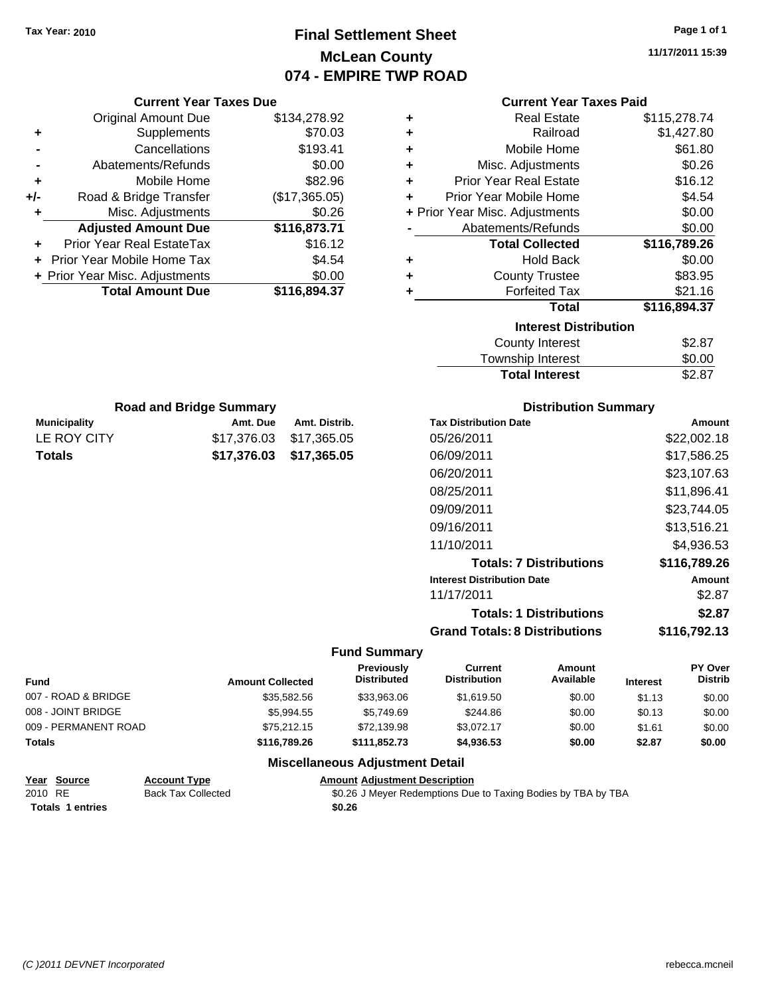# **Final Settlement Sheet Tax Year: 2010 Page 1 of 1 McLean County 074 - EMPIRE TWP ROAD**

**11/17/2011 15:39**

**Paid** 

|                                           | <b>Current Year Taxes Due</b>  |                         |                           |                                                                                |                                      | <b>Current Year Taxes Paid</b> |                  |                  |
|-------------------------------------------|--------------------------------|-------------------------|---------------------------|--------------------------------------------------------------------------------|--------------------------------------|--------------------------------|------------------|------------------|
|                                           | <b>Original Amount Due</b>     |                         | \$134,278.92              | ٠                                                                              |                                      | <b>Real Estate</b>             |                  | \$115,278.74     |
| ٠                                         | Supplements                    |                         | \$70.03                   |                                                                                |                                      | Railroad                       |                  | \$1,427.80       |
|                                           | Cancellations                  |                         | \$193.41                  | ٠                                                                              |                                      | Mobile Home                    |                  | \$61.80          |
|                                           | Abatements/Refunds             |                         | \$0.00                    | ٠                                                                              |                                      | Misc. Adjustments              |                  | \$0.26           |
| ٠                                         | Mobile Home                    |                         | \$82.96                   | ٠                                                                              | <b>Prior Year Real Estate</b>        |                                |                  | \$16.12          |
| +/-                                       | Road & Bridge Transfer         |                         | (\$17,365.05)             | ٠                                                                              | Prior Year Mobile Home               |                                |                  | \$4.54           |
| ٠                                         | Misc. Adjustments              |                         | \$0.26                    |                                                                                | + Prior Year Misc. Adjustments       |                                |                  | \$0.00           |
|                                           | <b>Adjusted Amount Due</b>     |                         | \$116,873.71              |                                                                                | Abatements/Refunds                   |                                |                  | \$0.00           |
|                                           | Prior Year Real EstateTax      |                         | \$16.12                   |                                                                                |                                      | <b>Total Collected</b>         | \$116,789.26     |                  |
|                                           | Prior Year Mobile Home Tax     |                         | \$4.54                    | ٠                                                                              |                                      | <b>Hold Back</b>               |                  | \$0.00           |
|                                           | + Prior Year Misc. Adjustments |                         | \$0.00                    | ٠                                                                              |                                      | <b>County Trustee</b>          |                  | \$83.95          |
|                                           | <b>Total Amount Due</b>        |                         | \$116,894.37              | ٠                                                                              |                                      | <b>Forfeited Tax</b>           |                  | \$21.16          |
|                                           |                                |                         |                           |                                                                                |                                      | <b>Total</b>                   | \$116,894.37     |                  |
|                                           |                                |                         |                           |                                                                                |                                      | <b>Interest Distribution</b>   |                  |                  |
|                                           |                                |                         |                           |                                                                                |                                      | <b>County Interest</b>         |                  | \$2.87           |
|                                           |                                |                         |                           |                                                                                |                                      | Township Interest              |                  | \$0.00           |
|                                           |                                |                         |                           |                                                                                |                                      | <b>Total Interest</b>          |                  | \$2.87           |
|                                           | <b>Road and Bridge Summary</b> |                         |                           |                                                                                |                                      | <b>Distribution Summary</b>    |                  |                  |
| <b>Municipality</b>                       |                                | Amt. Due                | Amt. Distrib.             |                                                                                | <b>Tax Distribution Date</b>         |                                |                  | Amount           |
| LE ROY CITY                               |                                | \$17,376.03             | \$17,365.05               |                                                                                | 05/26/2011                           |                                |                  | \$22,002.18      |
| <b>Totals</b>                             |                                | \$17,376.03             | \$17,365.05               |                                                                                | 06/09/2011                           |                                |                  | \$17,586.25      |
|                                           |                                |                         |                           |                                                                                | 06/20/2011                           |                                |                  | \$23,107.63      |
|                                           |                                |                         |                           |                                                                                | 08/25/2011                           |                                |                  | \$11,896.41      |
|                                           |                                |                         |                           |                                                                                | 09/09/2011                           |                                |                  | \$23,744.05      |
|                                           |                                |                         |                           |                                                                                | 09/16/2011                           |                                |                  | \$13,516.21      |
|                                           |                                |                         |                           |                                                                                |                                      |                                |                  |                  |
|                                           |                                |                         |                           |                                                                                | 11/10/2011                           |                                |                  | \$4,936.53       |
|                                           |                                |                         |                           |                                                                                |                                      | <b>Totals: 7 Distributions</b> |                  | \$116,789.26     |
|                                           |                                |                         |                           |                                                                                | <b>Interest Distribution Date</b>    |                                |                  | Amount           |
|                                           |                                |                         |                           |                                                                                | 11/17/2011                           |                                |                  | \$2.87           |
|                                           |                                |                         |                           |                                                                                |                                      | <b>Totals: 1 Distributions</b> |                  | \$2.87           |
|                                           |                                |                         |                           |                                                                                | <b>Grand Totals: 8 Distributions</b> |                                |                  | \$116,792.13     |
|                                           |                                |                         |                           | <b>Fund Summary</b>                                                            |                                      |                                |                  |                  |
|                                           |                                |                         |                           | <b>Previously</b>                                                              | <b>Current</b>                       | <b>Amount</b>                  |                  | PY Over          |
| Fund                                      |                                | <b>Amount Collected</b> |                           | <b>Distributed</b>                                                             | <b>Distribution</b>                  | Available                      | Interest         | Distrib          |
| 007 - ROAD & BRIDGE<br>008 - JOINT BRIDGE |                                |                         | \$35,582.56               | \$33,963.06                                                                    | \$1,619.50                           | \$0.00                         | \$1.13           | \$0.00           |
| 009 - PERMANENT ROAD                      |                                |                         | \$5,994.55<br>\$75,212.15 | \$5,749.69<br>\$72,139.98                                                      | \$244.86<br>\$3,072.17               | \$0.00<br>\$0.00               | \$0.13           | \$0.00           |
| <b>Totals</b>                             |                                |                         | \$116,789.26              | \$111,852.73                                                                   | \$4,936.53                           | \$0.00                         | \$1.61<br>\$2.87 | \$0.00<br>\$0.00 |
|                                           |                                |                         |                           |                                                                                |                                      |                                |                  |                  |
| Year Source                               | <b>Account Type</b>            |                         |                           | <b>Miscellaneous Adjustment Detail</b><br><b>Amount Adjustment Description</b> |                                      |                                |                  |                  |
|                                           |                                |                         |                           |                                                                                |                                      |                                |                  |                  |

| Year Source             | <b>Account Type</b>       | <b>Amount Adiustment Description</b>                          |  |
|-------------------------|---------------------------|---------------------------------------------------------------|--|
| 2010 RE                 | <b>Back Tax Collected</b> | \$0.26 J Meyer Redemptions Due to Taxing Bodies by TBA by TBA |  |
| <b>Totals 1 entries</b> |                           | \$0.26                                                        |  |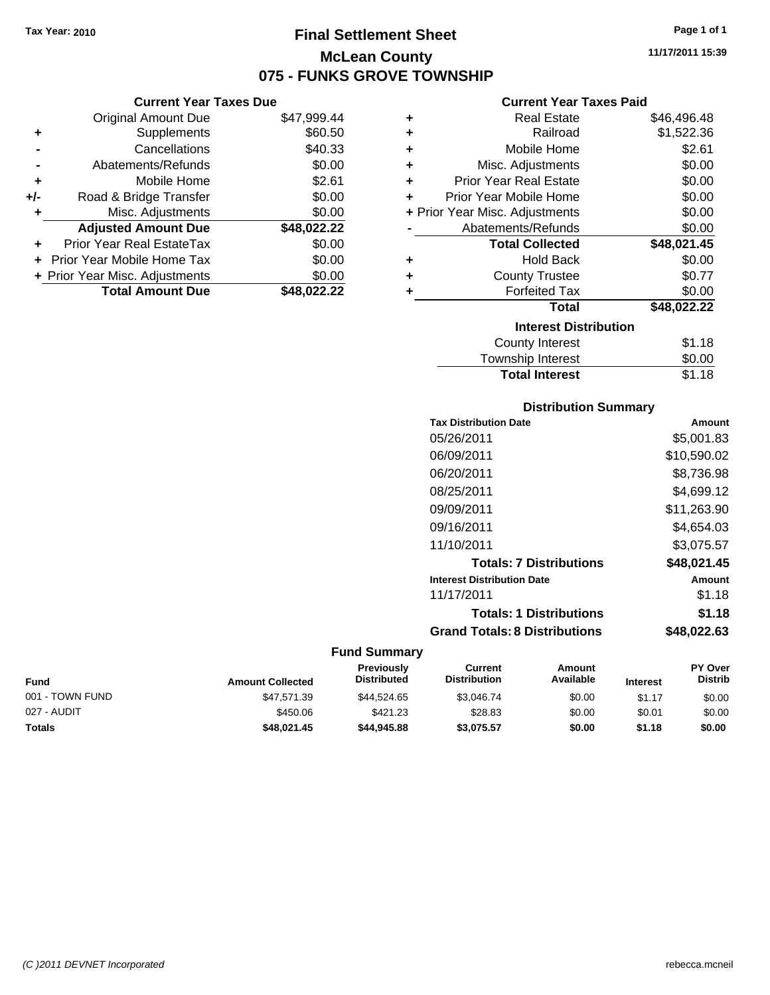**Current Year Taxes Due** Original Amount Due \$47,999.44

**Adjusted Amount Due \$48,022.22**

**Total Amount Due \$48,022.22**

**+** Supplements \$60.50 **-** Cancellations \$40.33 **-** Abatements/Refunds \$0.00 **+** Mobile Home \$2.61 **+/-** Road & Bridge Transfer \$0.00 **+** Misc. Adjustments \$0.00

**+** Prior Year Real EstateTax \$0.00 **+** Prior Year Mobile Home Tax \$0.00 **+ Prior Year Misc. Adjustments**  $$0.00$ 

# **Final Settlement Sheet Tax Year: 2010 Page 1 of 1 McLean County 075 - FUNKS GROVE TOWNSHIP**

**11/17/2011 15:39**

## **Current Year Taxes Paid**

| ٠ | <b>Real Estate</b>             | \$46,496.48 |
|---|--------------------------------|-------------|
| ٠ | Railroad                       | \$1,522.36  |
| ÷ | Mobile Home                    | \$2.61      |
| ÷ | Misc. Adjustments              | \$0.00      |
| ٠ | <b>Prior Year Real Estate</b>  | \$0.00      |
| ÷ | Prior Year Mobile Home         | \$0.00      |
|   | + Prior Year Misc. Adjustments | \$0.00      |
|   | Abatements/Refunds             | \$0.00      |
|   | <b>Total Collected</b>         | \$48,021.45 |
| ٠ | <b>Hold Back</b>               | \$0.00      |
| ÷ | <b>County Trustee</b>          | \$0.77      |
| ٠ | <b>Forfeited Tax</b>           | \$0.00      |
|   | <b>Total</b>                   | \$48,022.22 |
|   | <b>Interest Distribution</b>   |             |
|   | <b>County Interest</b>         | \$1.18      |
|   | Townshin Interest              | ፍሰ ሰበ       |

| <b>Total Interest</b> | \$1.18 |
|-----------------------|--------|
| Township Interest     | \$0.00 |
| County Interest       | \$1.18 |

## **Distribution Summary**

| Amount      |
|-------------|
| \$5,001.83  |
| \$10,590.02 |
| \$8,736.98  |
| \$4,699.12  |
| \$11,263.90 |
| \$4.654.03  |
| \$3,075.57  |
| \$48,021.45 |
| Amount      |
| \$1.18      |
| \$1.18      |
| \$48.022.63 |
|             |

| <b>Fund</b>     | <b>Amount Collected</b> | <b>Previously</b><br>Distributed | Current<br><b>Distribution</b> | Amount<br>Available | <b>Interest</b> | <b>PY Over</b><br><b>Distrib</b> |
|-----------------|-------------------------|----------------------------------|--------------------------------|---------------------|-----------------|----------------------------------|
| 001 - TOWN FUND | \$47.571.39             | \$44.524.65                      | \$3.046.74                     | \$0.00              | \$1.17          | \$0.00                           |
| 027 - AUDIT     | \$450.06                | \$421.23                         | \$28.83                        | \$0.00              | \$0.01          | \$0.00                           |
| <b>Totals</b>   | \$48,021.45             | \$44,945.88                      | \$3,075.57                     | \$0.00              | \$1.18          | \$0.00                           |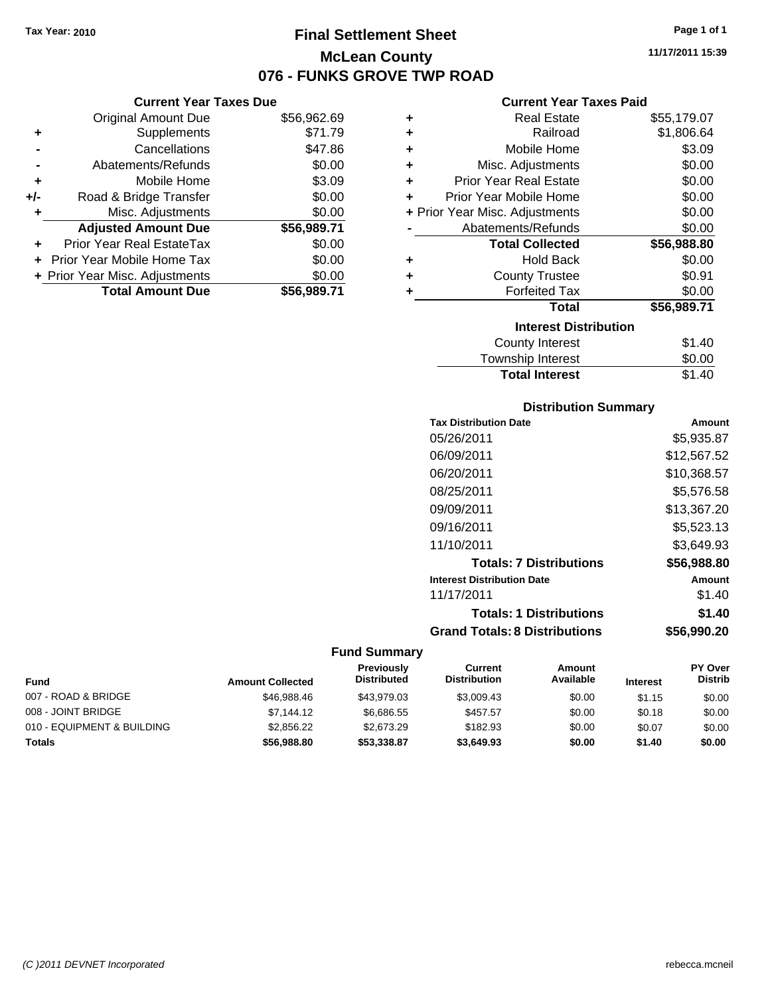# **Final Settlement Sheet Tax Year: 2010 Page 1 of 1 McLean County 076 - FUNKS GROVE TWP ROAD**

**11/17/2011 15:39**

|     | <b>Current Year Taxes Due</b>  |             |
|-----|--------------------------------|-------------|
|     | <b>Original Amount Due</b>     | \$56,962.69 |
| ٠   | Supplements                    | \$71.79     |
|     | Cancellations                  | \$47.86     |
|     | Abatements/Refunds             | \$0.00      |
| ٠   | Mobile Home                    | \$3.09      |
| +/- | Road & Bridge Transfer         | \$0.00      |
|     | Misc. Adjustments              | \$0.00      |
|     | <b>Adjusted Amount Due</b>     | \$56,989.71 |
|     | Prior Year Real EstateTax      | \$0.00      |
|     | Prior Year Mobile Home Tax     | \$0.00      |
|     | + Prior Year Misc. Adjustments | \$0.00      |
|     | <b>Total Amount Due</b>        | \$56,989.71 |

# **Current Year Taxes Paid**

|   | <b>Real Estate</b>             | \$55,179.07 |
|---|--------------------------------|-------------|
| ÷ | Railroad                       | \$1,806.64  |
| ÷ | Mobile Home                    | \$3.09      |
| ÷ | Misc. Adjustments              | \$0.00      |
| ÷ | <b>Prior Year Real Estate</b>  | \$0.00      |
| ÷ | Prior Year Mobile Home         | \$0.00      |
|   | + Prior Year Misc. Adjustments | \$0.00      |
|   | Abatements/Refunds             | \$0.00      |
|   |                                |             |
|   | <b>Total Collected</b>         | \$56,988.80 |
| ٠ | <b>Hold Back</b>               | \$0.00      |
| ÷ | <b>County Trustee</b>          | \$0.91      |
| ٠ | <b>Forfeited Tax</b>           | \$0.00      |
|   | <b>Total</b>                   | \$56,989.71 |
|   | <b>Interest Distribution</b>   |             |
|   | <b>County Interest</b>         | \$1.40      |

# **Distribution Summary**

**Total Interest** \$1.40

| <b>Tax Distribution Date</b>         | Amount      |
|--------------------------------------|-------------|
| 05/26/2011                           | \$5,935.87  |
| 06/09/2011                           | \$12,567.52 |
| 06/20/2011                           | \$10,368.57 |
| 08/25/2011                           | \$5,576.58  |
| 09/09/2011                           | \$13,367.20 |
| 09/16/2011                           | \$5,523.13  |
| 11/10/2011                           | \$3,649.93  |
| <b>Totals: 7 Distributions</b>       | \$56,988.80 |
| <b>Interest Distribution Date</b>    | Amount      |
| 11/17/2011                           | \$1.40      |
| <b>Totals: 1 Distributions</b>       | \$1.40      |
| <b>Grand Totals: 8 Distributions</b> | \$56,990.20 |

|                            |                         | <b>Previously</b>  | Current             | Amount    |                 | <b>PY Over</b> |
|----------------------------|-------------------------|--------------------|---------------------|-----------|-----------------|----------------|
| <b>Fund</b>                | <b>Amount Collected</b> | <b>Distributed</b> | <b>Distribution</b> | Available | <b>Interest</b> | <b>Distrib</b> |
| 007 - ROAD & BRIDGE        | \$46.988.46             | \$43.979.03        | \$3,009.43          | \$0.00    | \$1.15          | \$0.00         |
| 008 - JOINT BRIDGE         | \$7,144.12              | \$6.686.55         | \$457.57            | \$0.00    | \$0.18          | \$0.00         |
| 010 - EQUIPMENT & BUILDING | \$2,856.22              | \$2.673.29         | \$182.93            | \$0.00    | \$0.07          | \$0.00         |
| <b>Totals</b>              | \$56,988,80             | \$53,338,87        | \$3,649.93          | \$0.00    | \$1.40          | \$0.00         |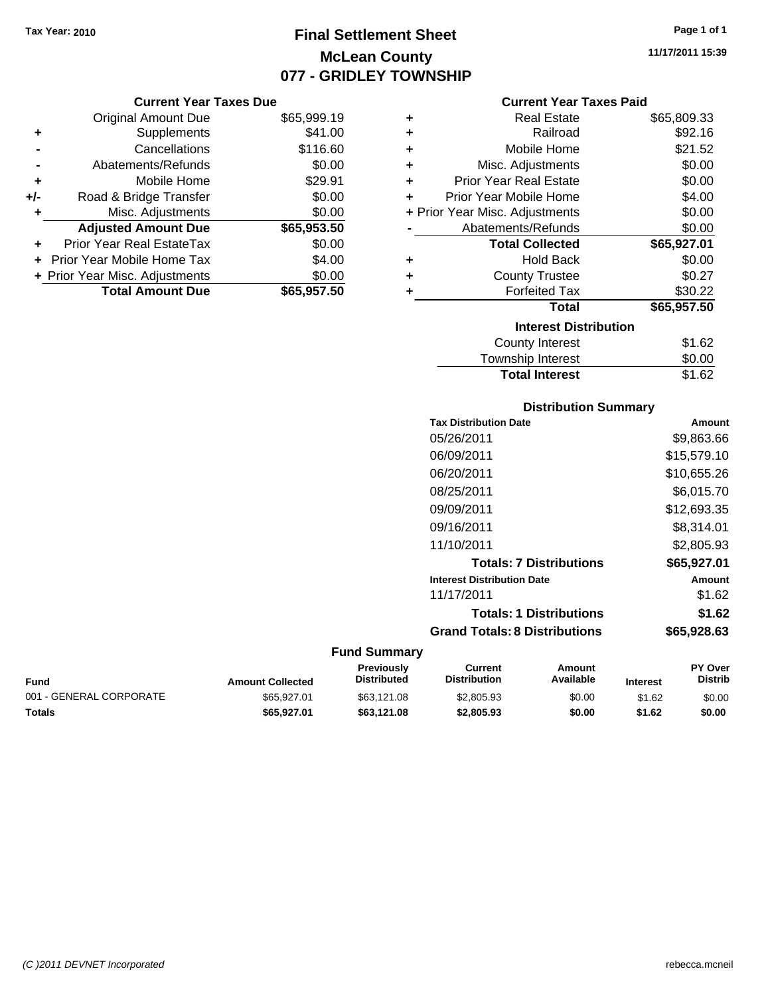# **Final Settlement Sheet Tax Year: 2010 Page 1 of 1 McLean County 077 - GRIDLEY TOWNSHIP**

## **Current Year Taxes Due**

|     | <b>Original Amount Due</b>        | \$65,999.19 |
|-----|-----------------------------------|-------------|
| ٠   | Supplements                       | \$41.00     |
|     | Cancellations                     | \$116.60    |
|     | Abatements/Refunds                | \$0.00      |
| ÷   | Mobile Home                       | \$29.91     |
| +/- | Road & Bridge Transfer            | \$0.00      |
| ٠   | Misc. Adjustments                 | \$0.00      |
|     | <b>Adjusted Amount Due</b>        | \$65,953.50 |
|     | <b>Prior Year Real EstateTax</b>  | \$0.00      |
|     | <b>Prior Year Mobile Home Tax</b> | \$4.00      |
|     | + Prior Year Misc. Adjustments    | \$0.00      |
|     | <b>Total Amount Due</b>           | \$65,957.50 |

## **Current Year Taxes Paid**

| ٠ | Real Estate                    | \$65,809.33 |
|---|--------------------------------|-------------|
| ٠ | Railroad                       | \$92.16     |
| ٠ | Mobile Home                    | \$21.52     |
| ٠ | Misc. Adjustments              | \$0.00      |
| ٠ | Prior Year Real Estate         | \$0.00      |
| ٠ | Prior Year Mobile Home         | \$4.00      |
|   | + Prior Year Misc. Adjustments | \$0.00      |
|   | Abatements/Refunds             | \$0.00      |
|   | <b>Total Collected</b>         | \$65,927.01 |
| ٠ | <b>Hold Back</b>               | \$0.00      |
| ٠ | <b>County Trustee</b>          | \$0.27      |
| ٠ | <b>Forfeited Tax</b>           | \$30.22     |
|   | Total                          | \$65,957.50 |
|   | <b>Interest Distribution</b>   |             |
|   | County Interest                | \$1.62      |
|   | <b>Township Interest</b>       | \$0.00      |
|   | <b>Total Interest</b>          | \$1.62      |

# **Distribution Summary**

| <b>Tax Distribution Date</b>         | Amount      |
|--------------------------------------|-------------|
| 05/26/2011                           | \$9,863.66  |
| 06/09/2011                           | \$15,579.10 |
| 06/20/2011                           | \$10,655.26 |
| 08/25/2011                           | \$6,015.70  |
| 09/09/2011                           | \$12,693.35 |
| 09/16/2011                           | \$8.314.01  |
| 11/10/2011                           | \$2,805.93  |
| <b>Totals: 7 Distributions</b>       | \$65,927.01 |
| <b>Interest Distribution Date</b>    | Amount      |
| 11/17/2011                           | \$1.62      |
| <b>Totals: 1 Distributions</b>       | \$1.62      |
| <b>Grand Totals: 8 Distributions</b> | \$65,928.63 |

| Fund                    | <b>Amount Collected</b> | Previously<br><b>Distributed</b> | Current<br><b>Distribution</b> | Amount<br>Available | <b>Interest</b> | <b>PY Over</b><br><b>Distrib</b> |
|-------------------------|-------------------------|----------------------------------|--------------------------------|---------------------|-----------------|----------------------------------|
| 001 - GENERAL CORPORATE | \$65.927.01             | \$63.121.08                      | \$2,805.93                     | \$0.00              | \$1.62          | \$0.00                           |
| Totals                  | \$65,927.01             | \$63,121,08                      | \$2,805.93                     | \$0.00              | \$1.62          | \$0.00                           |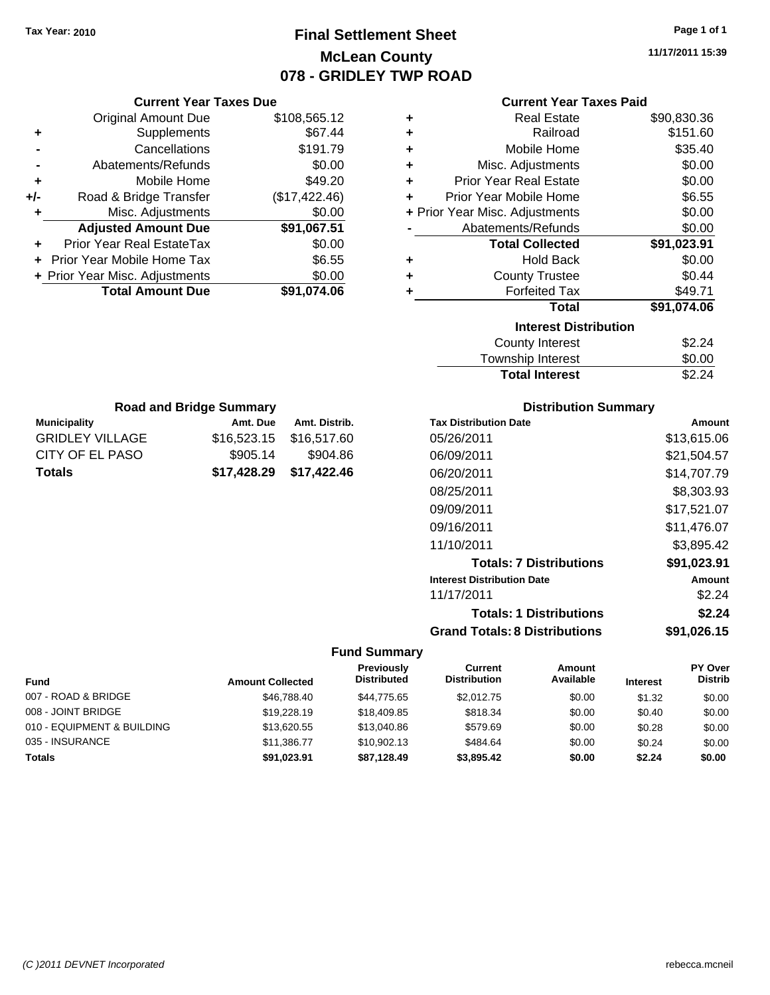# **Final Settlement Sheet Tax Year: 2010 Page 1 of 1 McLean County 078 - GRIDLEY TWP ROAD**

**11/17/2011 15:39**

| <b>Current Year Taxes Paid</b> |  |  |
|--------------------------------|--|--|
|--------------------------------|--|--|

| ٠ | <b>Real Estate</b>             | \$90,830.36 |
|---|--------------------------------|-------------|
| ٠ | Railroad                       | \$151.60    |
| ٠ | Mobile Home                    | \$35.40     |
| ٠ | Misc. Adjustments              | \$0.00      |
| ÷ | Prior Year Real Estate         | \$0.00      |
| ÷ | Prior Year Mobile Home         | \$6.55      |
|   | + Prior Year Misc. Adjustments | \$0.00      |
|   | Abatements/Refunds             | \$0.00      |
|   | <b>Total Collected</b>         | \$91,023.91 |
| ٠ | <b>Hold Back</b>               | \$0.00      |
| ٠ | <b>County Trustee</b>          | \$0.44      |
| ٠ | <b>Forfeited Tax</b>           | \$49.71     |
|   | Total                          | \$91,074.06 |
|   | <b>Interest Distribution</b>   |             |
|   | <b>County Interest</b>         | \$2.24      |
|   | <b>Township Interest</b>       | \$0.00      |
|   | <b>Total Interest</b>          | \$2.24      |

| <b>Road and Bridge Summary</b>                   |             |             |  |  |  |  |
|--------------------------------------------------|-------------|-------------|--|--|--|--|
| <b>Municipality</b><br>Amt. Distrib.<br>Amt. Due |             |             |  |  |  |  |
| <b>GRIDLEY VILLAGE</b>                           | \$16,523.15 | \$16,517.60 |  |  |  |  |
| CITY OF EL PASO<br>\$905.14<br>\$904.86          |             |             |  |  |  |  |
| \$17,428.29<br>\$17,422.46<br>Totals             |             |             |  |  |  |  |

**Current Year Taxes Due** Original Amount Due \$108,565.12

**Adjusted Amount Due \$91,067.51**

**Total Amount Due \$91,074.06**

**+** Supplements \$67.44 **-** Cancellations \$191.79 **-** Abatements/Refunds \$0.00 **+** Mobile Home \$49.20 **+/-** Road & Bridge Transfer (\$17,422.46) **+** Misc. Adjustments \$0.00

**+** Prior Year Real EstateTax \$0.00 **+** Prior Year Mobile Home Tax \$6.55 **+ Prior Year Misc. Adjustments**  $$0.00$ 

## **Distribution Summary**

| <b>Tax Distribution Date</b>         | Amount      |
|--------------------------------------|-------------|
| 05/26/2011                           | \$13,615.06 |
| 06/09/2011                           | \$21,504.57 |
| 06/20/2011                           | \$14.707.79 |
| 08/25/2011                           | \$8,303.93  |
| 09/09/2011                           | \$17,521.07 |
| 09/16/2011                           | \$11,476.07 |
| 11/10/2011                           | \$3.895.42  |
| <b>Totals: 7 Distributions</b>       | \$91,023.91 |
| <b>Interest Distribution Date</b>    | Amount      |
| 11/17/2011                           | \$2.24      |
| <b>Totals: 1 Distributions</b>       | \$2.24      |
| <b>Grand Totals: 8 Distributions</b> | \$91,026.15 |

| Fund                       | <b>Amount Collected</b> | Previously<br><b>Distributed</b> | Current<br><b>Distribution</b> | Amount<br>Available | <b>Interest</b> | PY Over<br><b>Distrib</b> |
|----------------------------|-------------------------|----------------------------------|--------------------------------|---------------------|-----------------|---------------------------|
| 007 - ROAD & BRIDGE        | \$46,788.40             | \$44.775.65                      | \$2,012.75                     | \$0.00              | \$1.32          | \$0.00                    |
| 008 - JOINT BRIDGE         | \$19,228.19             | \$18,409.85                      | \$818.34                       | \$0.00              | \$0.40          | \$0.00                    |
| 010 - EQUIPMENT & BUILDING | \$13,620.55             | \$13,040.86                      | \$579.69                       | \$0.00              | \$0.28          | \$0.00                    |
| 035 - INSURANCE            | \$11,386,77             | \$10,902.13                      | \$484.64                       | \$0.00              | \$0.24          | \$0.00                    |
| <b>Totals</b>              | \$91.023.91             | \$87,128.49                      | \$3,895.42                     | \$0.00              | \$2.24          | \$0.00                    |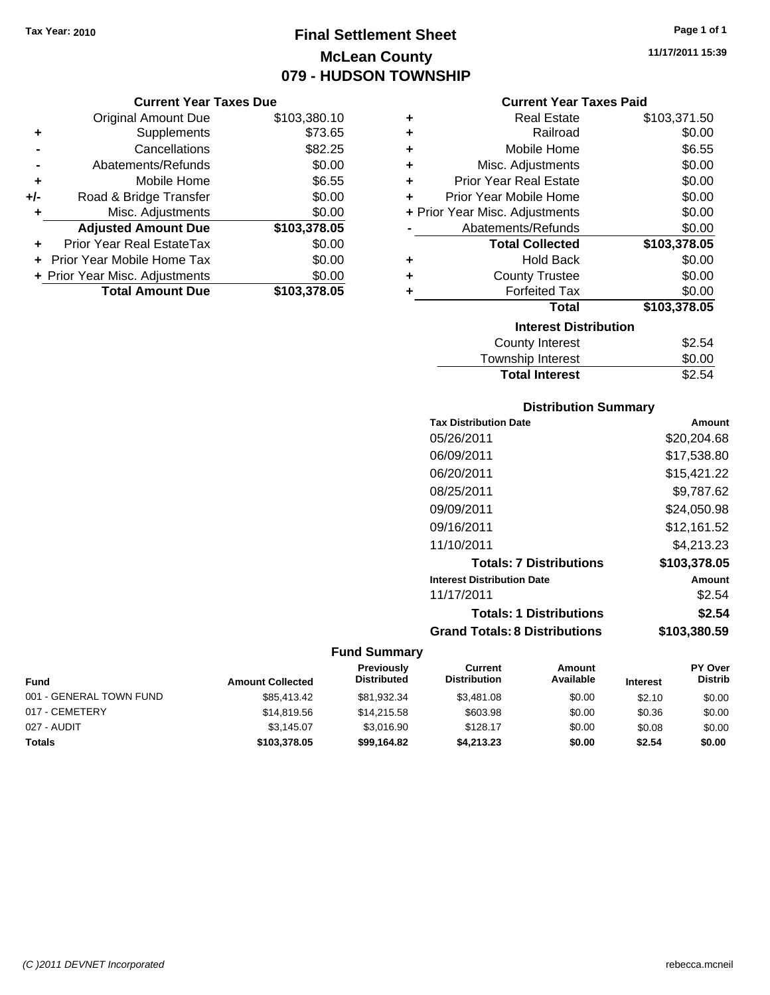# **Final Settlement Sheet Tax Year: 2010 Page 1 of 1 McLean County 079 - HUDSON TOWNSHIP**

**Current Year Taxes Due**

|       | <b>Original Amount Due</b>        | \$103,380.10 |
|-------|-----------------------------------|--------------|
| ٠     | Supplements                       | \$73.65      |
|       | Cancellations                     | \$82.25      |
|       | Abatements/Refunds                | \$0.00       |
| ٠     | Mobile Home                       | \$6.55       |
| $+/-$ | Road & Bridge Transfer            | \$0.00       |
|       | Misc. Adjustments                 | \$0.00       |
|       | <b>Adjusted Amount Due</b>        | \$103,378.05 |
|       | Prior Year Real EstateTax         | \$0.00       |
|       | <b>Prior Year Mobile Home Tax</b> | \$0.00       |
|       | + Prior Year Misc. Adjustments    | \$0.00       |
|       | <b>Total Amount Due</b>           | \$103,378.05 |

## **Current Year Taxes Paid**

| ٠ | <b>Real Estate</b>             | \$103,371.50 |
|---|--------------------------------|--------------|
| ٠ | Railroad                       | \$0.00       |
| ٠ | Mobile Home                    | \$6.55       |
| ٠ | Misc. Adjustments              | \$0.00       |
| ٠ | <b>Prior Year Real Estate</b>  | \$0.00       |
| ٠ | Prior Year Mobile Home         | \$0.00       |
|   | + Prior Year Misc. Adjustments | \$0.00       |
|   | Abatements/Refunds             | \$0.00       |
|   |                                |              |
|   | <b>Total Collected</b>         | \$103,378.05 |
| ٠ | <b>Hold Back</b>               | \$0.00       |
| ٠ | <b>County Trustee</b>          | \$0.00       |
| ٠ | <b>Forfeited Tax</b>           | \$0.00       |
|   | Total                          | \$103,378.05 |
|   | <b>Interest Distribution</b>   |              |
|   | <b>County Interest</b>         | \$2.54       |

| <b>Total Interest</b> | \$2.54 |
|-----------------------|--------|
| Township Interest     | \$0.00 |
| County Interest       | ა∠.54  |

# **Distribution Summary**

| <b>Tax Distribution Date</b>         | Amount       |
|--------------------------------------|--------------|
| 05/26/2011                           | \$20,204.68  |
| 06/09/2011                           | \$17.538.80  |
| 06/20/2011                           | \$15.421.22  |
| 08/25/2011                           | \$9.787.62   |
| 09/09/2011                           | \$24,050.98  |
| 09/16/2011                           | \$12,161.52  |
| 11/10/2011                           | \$4.213.23   |
| <b>Totals: 7 Distributions</b>       | \$103,378.05 |
| <b>Interest Distribution Date</b>    | Amount       |
| 11/17/2011                           | \$2.54       |
| <b>Totals: 1 Distributions</b>       | \$2.54       |
| <b>Grand Totals: 8 Distributions</b> | \$103,380.59 |

# **Fund Summary**

| Fund                    | <b>Amount Collected</b> | <b>Previously</b><br><b>Distributed</b> | Current<br><b>Distribution</b> | Amount<br>Available | <b>Interest</b> | <b>PY Over</b><br><b>Distrib</b> |
|-------------------------|-------------------------|-----------------------------------------|--------------------------------|---------------------|-----------------|----------------------------------|
| 001 - GENERAL TOWN FUND | \$85,413,42             | \$81,932.34                             | \$3,481.08                     | \$0.00              | \$2.10          | \$0.00                           |
| 017 - CEMETERY          | \$14,819.56             | \$14.215.58                             | \$603.98                       | \$0.00              | \$0.36          | \$0.00                           |
| 027 - AUDIT             | \$3.145.07              | \$3.016.90                              | \$128.17                       | \$0.00              | \$0.08          | \$0.00                           |
| <b>Totals</b>           | \$103,378.05            | \$99,164.82                             | \$4,213.23                     | \$0.00              | \$2.54          | \$0.00                           |

**11/17/2011 15:39**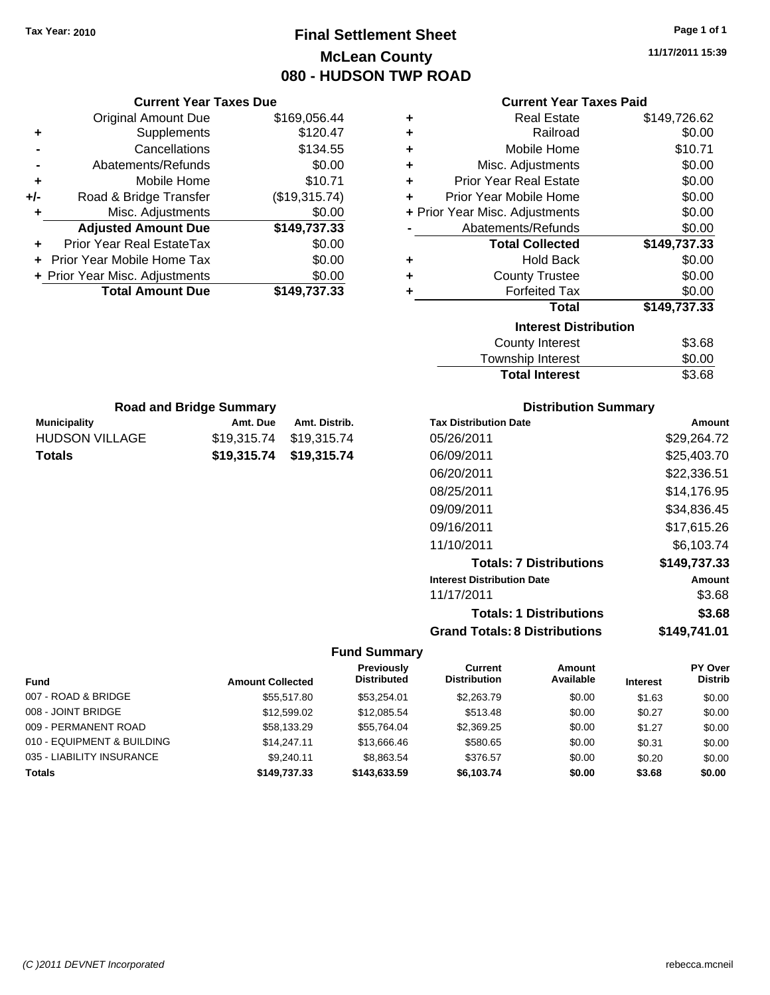# **Final Settlement Sheet Tax Year: 2010 Page 1 of 1 McLean County 080 - HUDSON TWP ROAD**

**11/17/2011 15:39**

## **Current Year Taxes Paid**

|     | <b>Original Amount Due</b>        | \$169,056.44  |
|-----|-----------------------------------|---------------|
| ٠   | Supplements                       | \$120.47      |
|     | Cancellations                     | \$134.55      |
| -   | Abatements/Refunds                | \$0.00        |
| ٠   | Mobile Home                       | \$10.71       |
| +/- | Road & Bridge Transfer            | (\$19,315.74) |
| ٠   | Misc. Adjustments                 | \$0.00        |
|     | <b>Adjusted Amount Due</b>        | \$149,737.33  |
|     | Prior Year Real EstateTax         | \$0.00        |
|     | <b>Prior Year Mobile Home Tax</b> | \$0.00        |
|     | + Prior Year Misc. Adjustments    | \$0.00        |
|     | <b>Total Amount Due</b>           | \$149,737.33  |
|     |                                   |               |

**Municipality Municipality** Amt. Due Amt. Distrib. **Road and Bridge Summary**

HUDSON VILLAGE \$19,315.74 \$19,315.74 **Totals \$19,315.74 \$19,315.74**

**Current Year Taxes Due**

| ٠ | <b>Real Estate</b>             | \$149,726.62 |
|---|--------------------------------|--------------|
| ÷ | Railroad                       | \$0.00       |
| ÷ | Mobile Home                    | \$10.71      |
| ÷ | Misc. Adjustments              | \$0.00       |
| ÷ | <b>Prior Year Real Estate</b>  | \$0.00       |
| ÷ | Prior Year Mobile Home         | \$0.00       |
|   | + Prior Year Misc. Adjustments | \$0.00       |
|   | Abatements/Refunds             | \$0.00       |
|   | <b>Total Collected</b>         | \$149,737.33 |
| ٠ | <b>Hold Back</b>               | \$0.00       |
| ÷ | <b>County Trustee</b>          | \$0.00       |
| ٠ | <b>Forfeited Tax</b>           | \$0.00       |
|   | Total                          | \$149,737.33 |
|   | <b>Interest Distribution</b>   |              |
|   | <b>County Interest</b>         | \$3.68       |
|   |                                | ີ ລ          |

| Township Interest     | \$0.00 |
|-----------------------|--------|
| <b>Total Interest</b> | \$3.68 |

# **Distribution Summary**

| <b>Tax Distribution Date</b>         | Amount       |
|--------------------------------------|--------------|
| 05/26/2011                           | \$29.264.72  |
| 06/09/2011                           | \$25,403.70  |
| 06/20/2011                           | \$22,336.51  |
| 08/25/2011                           | \$14.176.95  |
| 09/09/2011                           | \$34,836.45  |
| 09/16/2011                           | \$17,615.26  |
| 11/10/2011                           | \$6.103.74   |
| <b>Totals: 7 Distributions</b>       | \$149,737.33 |
| <b>Interest Distribution Date</b>    | Amount       |
| 11/17/2011                           | \$3.68       |
| <b>Totals: 1 Distributions</b>       | \$3.68       |
| <b>Grand Totals: 8 Distributions</b> | \$149,741.01 |

|                            |                         | Previously         | Current<br><b>Distribution</b> | Amount    |                 | <b>PY Over</b> |
|----------------------------|-------------------------|--------------------|--------------------------------|-----------|-----------------|----------------|
| <b>Fund</b>                | <b>Amount Collected</b> | <b>Distributed</b> |                                | Available | <b>Interest</b> | <b>Distrib</b> |
| 007 - ROAD & BRIDGE        | \$55,517.80             | \$53.254.01        | \$2,263.79                     | \$0.00    | \$1.63          | \$0.00         |
| 008 - JOINT BRIDGE         | \$12,599.02             | \$12,085.54        | \$513.48                       | \$0.00    | \$0.27          | \$0.00         |
| 009 - PERMANENT ROAD       | \$58,133.29             | \$55.764.04        | \$2,369.25                     | \$0.00    | \$1.27          | \$0.00         |
| 010 - EQUIPMENT & BUILDING | \$14,247.11             | \$13,666,46        | \$580.65                       | \$0.00    | \$0.31          | \$0.00         |
| 035 - LIABILITY INSURANCE  | \$9.240.11              | \$8.863.54         | \$376.57                       | \$0.00    | \$0.20          | \$0.00         |
| <b>Totals</b>              | \$149,737,33            | \$143,633,59       | \$6.103.74                     | \$0.00    | \$3.68          | \$0.00         |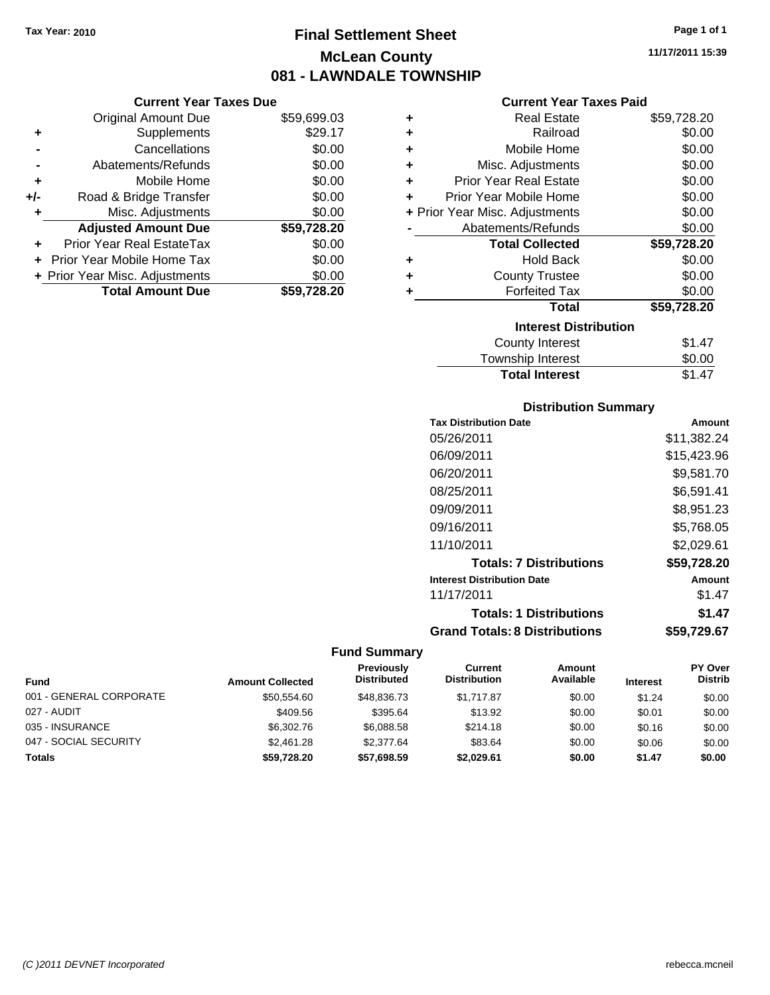# **Final Settlement Sheet Tax Year: 2010 Page 1 of 1 McLean County 081 - LAWNDALE TOWNSHIP**

## **Current Year Taxes Due**

|     | <b>Original Amount Due</b>     | \$59,699.03 |
|-----|--------------------------------|-------------|
| ٠   | Supplements                    | \$29.17     |
|     | Cancellations                  | \$0.00      |
|     | Abatements/Refunds             | \$0.00      |
| ٠   | Mobile Home                    | \$0.00      |
| +/- | Road & Bridge Transfer         | \$0.00      |
| ٠   | Misc. Adjustments              | \$0.00      |
|     | <b>Adjusted Amount Due</b>     | \$59,728.20 |
| ÷   | Prior Year Real EstateTax      | \$0.00      |
|     | Prior Year Mobile Home Tax     | \$0.00      |
|     | + Prior Year Misc. Adjustments | \$0.00      |
|     | <b>Total Amount Due</b>        | \$59,728.20 |

## **Current Year Taxes Paid**

| ٠ | Real Estate                    | \$59,728.20 |
|---|--------------------------------|-------------|
|   |                                |             |
| ÷ | Railroad                       | \$0.00      |
| ÷ | Mobile Home                    | \$0.00      |
| ÷ | Misc. Adjustments              | \$0.00      |
| ÷ | <b>Prior Year Real Estate</b>  | \$0.00      |
| ٠ | Prior Year Mobile Home         | \$0.00      |
|   | + Prior Year Misc. Adjustments | \$0.00      |
|   | Abatements/Refunds             | \$0.00      |
|   | <b>Total Collected</b>         | \$59,728.20 |
| ٠ | <b>Hold Back</b>               | \$0.00      |
| ٠ | <b>County Trustee</b>          | \$0.00      |
| ٠ | <b>Forfeited Tax</b>           | \$0.00      |
|   | Total                          | \$59,728.20 |
|   | <b>Interest Distribution</b>   |             |
|   | County Interest                | \$1.47      |
|   | <b>Township Interest</b>       | \$0.00      |
|   | <b>Total Interest</b>          | \$1.47      |

# **Distribution Summary**

| <b>Tax Distribution Date</b>         | Amount      |
|--------------------------------------|-------------|
| 05/26/2011                           | \$11,382.24 |
| 06/09/2011                           | \$15,423.96 |
| 06/20/2011                           | \$9.581.70  |
| 08/25/2011                           | \$6,591.41  |
| 09/09/2011                           | \$8.951.23  |
| 09/16/2011                           | \$5,768.05  |
| 11/10/2011                           | \$2,029.61  |
| <b>Totals: 7 Distributions</b>       | \$59,728.20 |
| <b>Interest Distribution Date</b>    | Amount      |
| 11/17/2011                           | \$1.47      |
| <b>Totals: 1 Distributions</b>       | \$1.47      |
| <b>Grand Totals: 8 Distributions</b> | \$59,729.67 |

|                         |                         | Previously<br><b>Distributed</b> | Current<br><b>Distribution</b> | Amount<br>Available |                 | <b>PY Over</b><br><b>Distrib</b> |
|-------------------------|-------------------------|----------------------------------|--------------------------------|---------------------|-----------------|----------------------------------|
| <b>Fund</b>             | <b>Amount Collected</b> |                                  |                                |                     | <b>Interest</b> |                                  |
| 001 - GENERAL CORPORATE | \$50.554.60             | \$48,836,73                      | \$1,717.87                     | \$0.00              | \$1.24          | \$0.00                           |
| 027 - AUDIT             | \$409.56                | \$395.64                         | \$13.92                        | \$0.00              | \$0.01          | \$0.00                           |
| 035 - INSURANCE         | \$6,302.76              | \$6,088.58                       | \$214.18                       | \$0.00              | \$0.16          | \$0.00                           |
| 047 - SOCIAL SECURITY   | \$2,461.28              | \$2,377.64                       | \$83.64                        | \$0.00              | \$0.06          | \$0.00                           |
| <b>Totals</b>           | \$59,728,20             | \$57,698.59                      | \$2.029.61                     | \$0.00              | \$1.47          | \$0.00                           |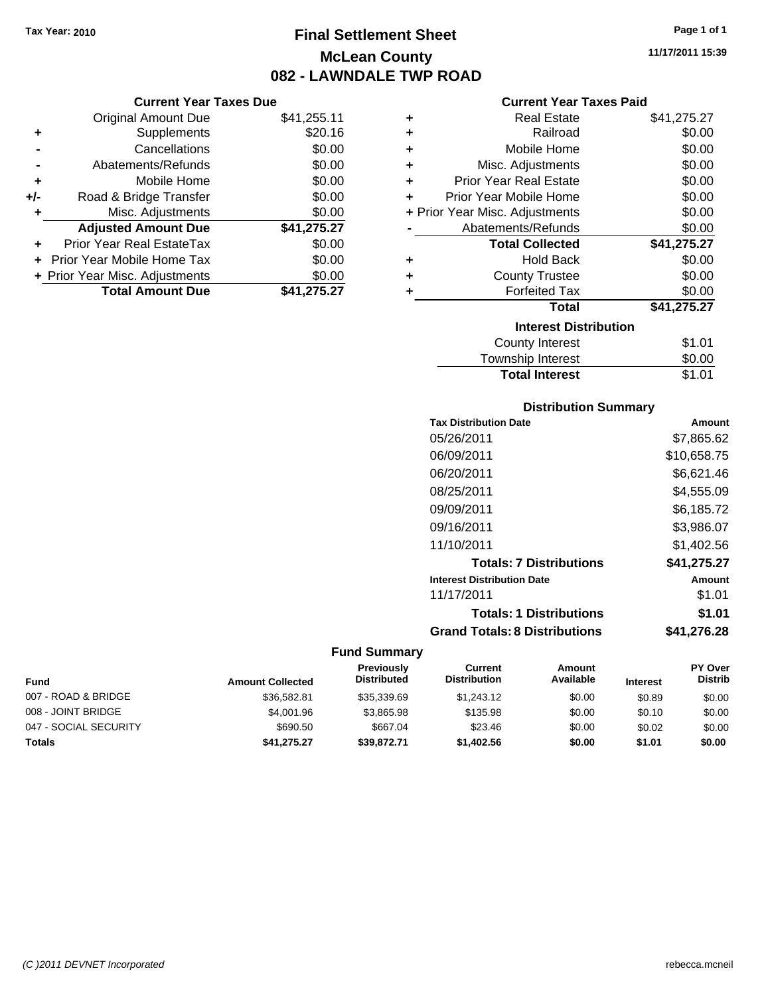# **Final Settlement Sheet Tax Year: 2010 Page 1 of 1 McLean County 082 - LAWNDALE TWP ROAD**

**11/17/2011 15:39**

# **Current Year Taxes Paid**

|     | <b>Current Year Taxes Due</b>  |             |        |
|-----|--------------------------------|-------------|--------|
|     | <b>Original Amount Due</b>     | \$41,255.11 | ٠      |
|     | Supplements                    | \$20.16     | ٠      |
|     | Cancellations                  | \$0.00      | ٠      |
|     | Abatements/Refunds             | \$0.00      | ٠      |
|     | Mobile Home                    | \$0.00      |        |
| +/- | Road & Bridge Transfer         | \$0.00      | ٠      |
|     | Misc. Adjustments              | \$0.00      | + Pric |
|     | <b>Adjusted Amount Due</b>     | \$41,275.27 |        |
|     | Prior Year Real EstateTax      | \$0.00      |        |
|     | Prior Year Mobile Home Tax     | \$0.00      |        |
|     | + Prior Year Misc. Adjustments | \$0.00      |        |
|     | <b>Total Amount Due</b>        | \$41,275.27 |        |
|     |                                |             |        |

| ٠ | Real Estate                    | \$41,275.27 |
|---|--------------------------------|-------------|
| ٠ | Railroad                       | \$0.00      |
| ٠ | Mobile Home                    | \$0.00      |
| ٠ | Misc. Adjustments              | \$0.00      |
| ٠ | <b>Prior Year Real Estate</b>  | \$0.00      |
| ٠ | Prior Year Mobile Home         | \$0.00      |
|   | + Prior Year Misc. Adjustments | \$0.00      |
|   | Abatements/Refunds             | \$0.00      |
|   | <b>Total Collected</b>         | \$41,275.27 |
| ٠ | <b>Hold Back</b>               | \$0.00      |
| ÷ | <b>County Trustee</b>          | \$0.00      |
| ÷ | <b>Forfeited Tax</b>           | \$0.00      |
|   | Total                          | \$41,275.27 |
|   | <b>Interest Distribution</b>   |             |
|   | <b>County Interest</b>         | \$1.01      |
|   | <b>Township Interest</b>       | \$0.00      |
|   | <b>Total Interest</b>          | \$1.01      |

# **Distribution Summary**

| <b>Tax Distribution Date</b>         | Amount      |
|--------------------------------------|-------------|
| 05/26/2011                           | \$7,865.62  |
| 06/09/2011                           | \$10.658.75 |
| 06/20/2011                           | \$6,621.46  |
| 08/25/2011                           | \$4.555.09  |
| 09/09/2011                           | \$6,185.72  |
| 09/16/2011                           | \$3,986.07  |
| 11/10/2011                           | \$1.402.56  |
| <b>Totals: 7 Distributions</b>       | \$41,275.27 |
| <b>Interest Distribution Date</b>    | Amount      |
| 11/17/2011                           | \$1.01      |
| <b>Totals: 1 Distributions</b>       | \$1.01      |
| <b>Grand Totals: 8 Distributions</b> | \$41.276.28 |

| Fund                  | <b>Amount Collected</b> | <b>Previously</b><br><b>Distributed</b> | Current<br><b>Distribution</b> | Amount<br>Available | <b>Interest</b> | <b>PY Over</b><br><b>Distrib</b> |
|-----------------------|-------------------------|-----------------------------------------|--------------------------------|---------------------|-----------------|----------------------------------|
| 007 - ROAD & BRIDGE   | \$36,582.81             | \$35,339.69                             | \$1,243.12                     | \$0.00              | \$0.89          | \$0.00                           |
| 008 - JOINT BRIDGE    | \$4,001.96              | \$3.865.98                              | \$135.98                       | \$0.00              | \$0.10          | \$0.00                           |
| 047 - SOCIAL SECURITY | \$690.50                | \$667.04                                | \$23.46                        | \$0.00              | \$0.02          | \$0.00                           |
| <b>Totals</b>         | \$41,275.27             | \$39,872.71                             | \$1,402.56                     | \$0.00              | \$1.01          | \$0.00                           |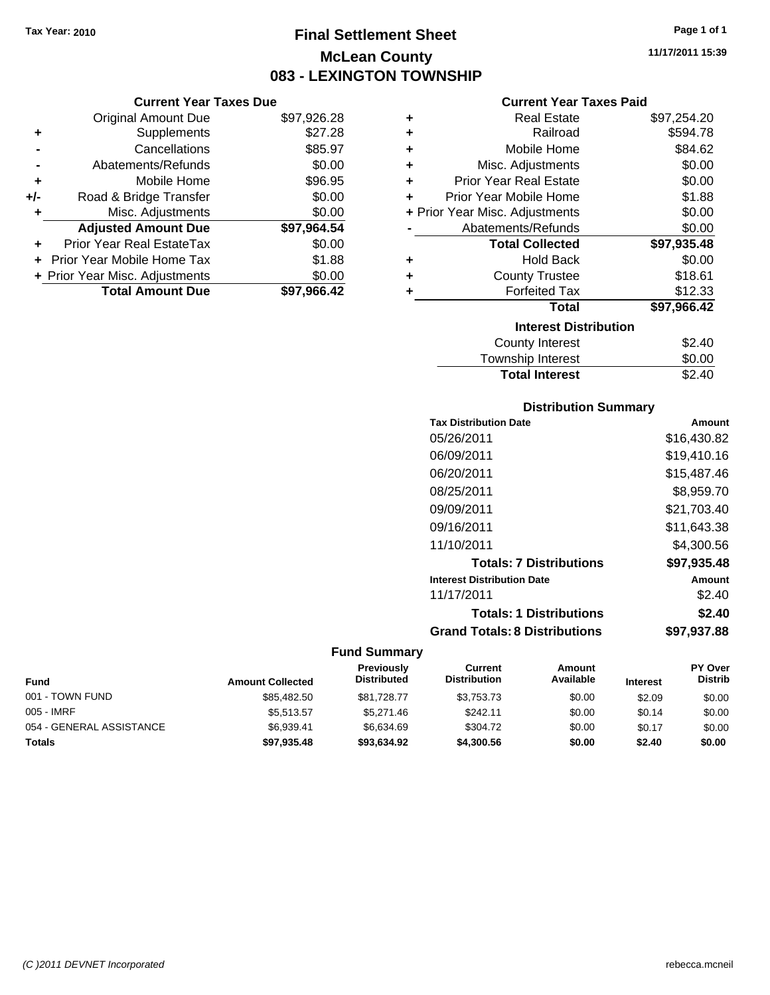# **Final Settlement Sheet Tax Year: 2010 Page 1 of 1 McLean County 083 - LEXINGTON TOWNSHIP**

## **Current Year Taxes Due**

|     | <b>Original Amount Due</b>     | \$97,926.28 |
|-----|--------------------------------|-------------|
| ٠   | Supplements                    | \$27.28     |
|     | Cancellations                  | \$85.97     |
|     | Abatements/Refunds             | \$0.00      |
| ٠   | Mobile Home                    | \$96.95     |
| +/- | Road & Bridge Transfer         | \$0.00      |
| ٠   | Misc. Adjustments              | \$0.00      |
|     | <b>Adjusted Amount Due</b>     | \$97,964.54 |
|     | Prior Year Real EstateTax      | \$0.00      |
|     | Prior Year Mobile Home Tax     | \$1.88      |
|     | + Prior Year Misc. Adjustments | \$0.00      |
|     | <b>Total Amount Due</b>        | \$97.966.42 |

## **Current Year Taxes Paid**

| ٠ | Real Estate                    | \$97,254.20 |
|---|--------------------------------|-------------|
| ٠ | Railroad                       | \$594.78    |
| ÷ | Mobile Home                    | \$84.62     |
| ٠ | Misc. Adjustments              | \$0.00      |
| ٠ | <b>Prior Year Real Estate</b>  | \$0.00      |
| ٠ | Prior Year Mobile Home         | \$1.88      |
|   | + Prior Year Misc. Adjustments | \$0.00      |
|   | Abatements/Refunds             | \$0.00      |
|   | <b>Total Collected</b>         | \$97,935.48 |
| ٠ | <b>Hold Back</b>               | \$0.00      |
| ٠ | <b>County Trustee</b>          | \$18.61     |
|   | <b>Forfeited Tax</b>           | \$12.33     |
|   | Total                          | \$97,966.42 |
|   | <b>Interest Distribution</b>   |             |
|   | County Interest                | \$2.40      |
|   | <b>Township Interest</b>       | \$0.00      |
|   | <b>Total Interest</b>          | \$2.40      |

# **Distribution Summary**

| <b>Tax Distribution Date</b>         | Amount      |
|--------------------------------------|-------------|
| 05/26/2011                           | \$16,430.82 |
| 06/09/2011                           | \$19,410.16 |
| 06/20/2011                           | \$15,487.46 |
| 08/25/2011                           | \$8,959.70  |
| 09/09/2011                           | \$21,703.40 |
| 09/16/2011                           | \$11,643.38 |
| 11/10/2011                           | \$4.300.56  |
| <b>Totals: 7 Distributions</b>       | \$97,935.48 |
| <b>Interest Distribution Date</b>    | Amount      |
| 11/17/2011                           | \$2.40      |
| <b>Totals: 1 Distributions</b>       | \$2.40      |
| <b>Grand Totals: 8 Distributions</b> | \$97.937.88 |

# **Fund Summary**

| <b>Fund</b>              | <b>Amount Collected</b> | Previously<br><b>Distributed</b> | Current<br><b>Distribution</b> | Amount<br>Available | <b>Interest</b> | <b>PY Over</b><br><b>Distrib</b> |
|--------------------------|-------------------------|----------------------------------|--------------------------------|---------------------|-----------------|----------------------------------|
| 001 - TOWN FUND          | \$85,482.50             | \$81.728.77                      | \$3.753.73                     | \$0.00              | \$2.09          | \$0.00                           |
| 005 - IMRF               | \$5.513.57              | \$5.271.46                       | \$242.11                       | \$0.00              | \$0.14          | \$0.00                           |
| 054 - GENERAL ASSISTANCE | \$6.939.41              | \$6.634.69                       | \$304.72                       | \$0.00              | \$0.17          | \$0.00                           |
| <b>Totals</b>            | \$97,935.48             | \$93,634.92                      | \$4,300.56                     | \$0.00              | \$2.40          | \$0.00                           |

**11/17/2011 15:39**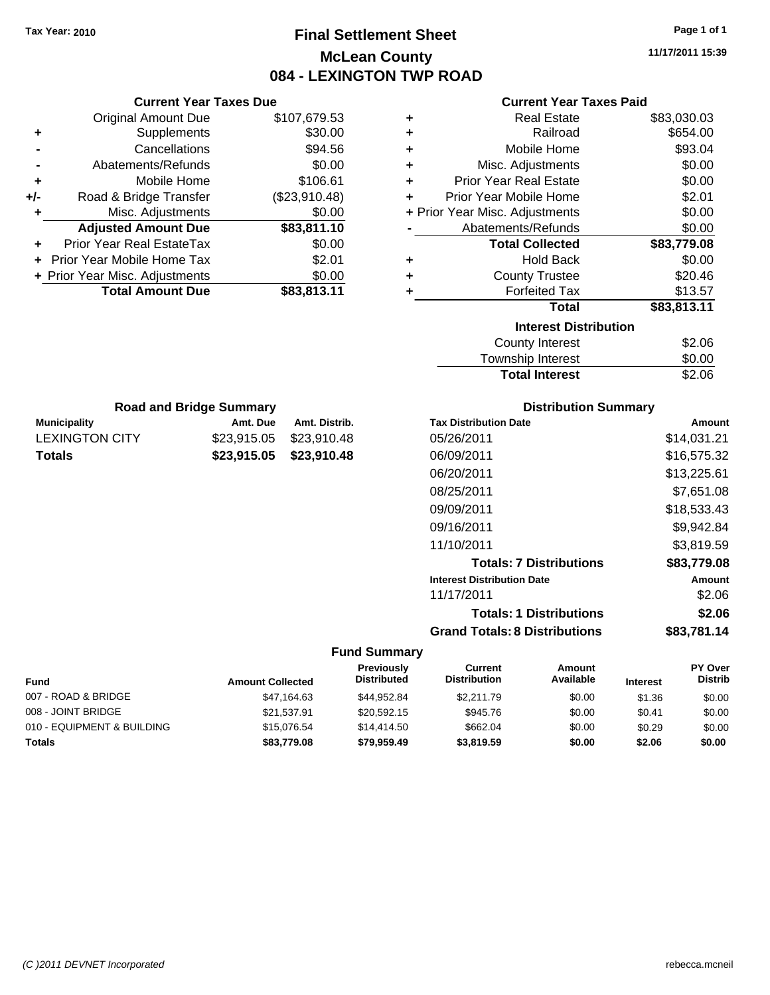# **Final Settlement Sheet Tax Year: 2010 Page 1 of 1 McLean County 084 - LEXINGTON TWP ROAD**

**11/17/2011 15:39**

#### **Current Year Taxes Paid**

|     | <b>Current Year Taxes Due</b>  |               |  |
|-----|--------------------------------|---------------|--|
|     | <b>Original Amount Due</b>     | \$107,679.53  |  |
| ٠   | Supplements                    | \$30.00       |  |
|     | Cancellations                  | \$94.56       |  |
|     | Abatements/Refunds             | \$0.00        |  |
|     | Mobile Home                    | \$106.61      |  |
| +/- | Road & Bridge Transfer         | (\$23,910.48) |  |
| ٠   | Misc. Adjustments              | \$0.00        |  |
|     | <b>Adjusted Amount Due</b>     | \$83,811.10   |  |
| ٠   | Prior Year Real EstateTax      | \$0.00        |  |
|     | Prior Year Mobile Home Tax     | \$2.01        |  |
|     | + Prior Year Misc. Adjustments | \$0.00        |  |
|     | <b>Total Amount Due</b>        | \$83,813.11   |  |
|     |                                |               |  |

**Municipality Municipality** Amt. Due Amt. Distrib. **Road and Bridge Summary**

LEXINGTON CITY \$23,915.05 \$23,910.48 **Totals \$23,915.05 \$23,910.48**

| ٠ | <b>Real Estate</b>             | \$83,030.03 |  |  |
|---|--------------------------------|-------------|--|--|
| ٠ | Railroad                       | \$654.00    |  |  |
| ٠ | Mobile Home                    | \$93.04     |  |  |
| ÷ | Misc. Adjustments              | \$0.00      |  |  |
| ٠ | <b>Prior Year Real Estate</b>  | \$0.00      |  |  |
| ÷ | Prior Year Mobile Home         | \$2.01      |  |  |
|   | + Prior Year Misc. Adjustments | \$0.00      |  |  |
|   | \$0.00<br>Abatements/Refunds   |             |  |  |
|   |                                |             |  |  |
|   | <b>Total Collected</b>         | \$83,779.08 |  |  |
| ٠ | <b>Hold Back</b>               | \$0.00      |  |  |
| ٠ | <b>County Trustee</b>          | \$20.46     |  |  |
| ٠ | <b>Forfeited Tax</b>           | \$13.57     |  |  |
|   | <b>Total</b>                   | \$83,813.11 |  |  |
|   | <b>Interest Distribution</b>   |             |  |  |
|   | County Interest                | \$2.06      |  |  |

| Township Interest     | \$0.00 |
|-----------------------|--------|
| <b>Total Interest</b> | \$2.06 |

| <b>Distribution Summary</b> |  |
|-----------------------------|--|
| . .                         |  |

| <b>Tax Distribution Date</b>         | Amount      |
|--------------------------------------|-------------|
| 05/26/2011                           | \$14,031.21 |
| 06/09/2011                           | \$16,575.32 |
| 06/20/2011                           | \$13,225.61 |
| 08/25/2011                           | \$7,651.08  |
| 09/09/2011                           | \$18.533.43 |
| 09/16/2011                           | \$9,942.84  |
| 11/10/2011                           | \$3,819.59  |
| <b>Totals: 7 Distributions</b>       | \$83,779.08 |
| <b>Interest Distribution Date</b>    | Amount      |
| 11/17/2011                           | \$2.06      |
| <b>Totals: 1 Distributions</b>       | \$2.06      |
| <b>Grand Totals: 8 Distributions</b> | \$83,781.14 |

| Fund                       | <b>Amount Collected</b> | Previously<br><b>Distributed</b> | Current<br><b>Distribution</b> | Amount<br>Available | <b>Interest</b> | <b>PY Over</b><br><b>Distrib</b> |
|----------------------------|-------------------------|----------------------------------|--------------------------------|---------------------|-----------------|----------------------------------|
| 007 - ROAD & BRIDGE        | \$47,164.63             | \$44.952.84                      | \$2,211.79                     | \$0.00              | \$1.36          | \$0.00                           |
| 008 - JOINT BRIDGE         | \$21.537.91             | \$20.592.15                      | \$945.76                       | \$0.00              | \$0.41          | \$0.00                           |
| 010 - EQUIPMENT & BUILDING | \$15,076.54             | \$14,414.50                      | \$662.04                       | \$0.00              | \$0.29          | \$0.00                           |
| Totals                     | \$83,779.08             | \$79,959.49                      | \$3,819.59                     | \$0.00              | \$2.06          | \$0.00                           |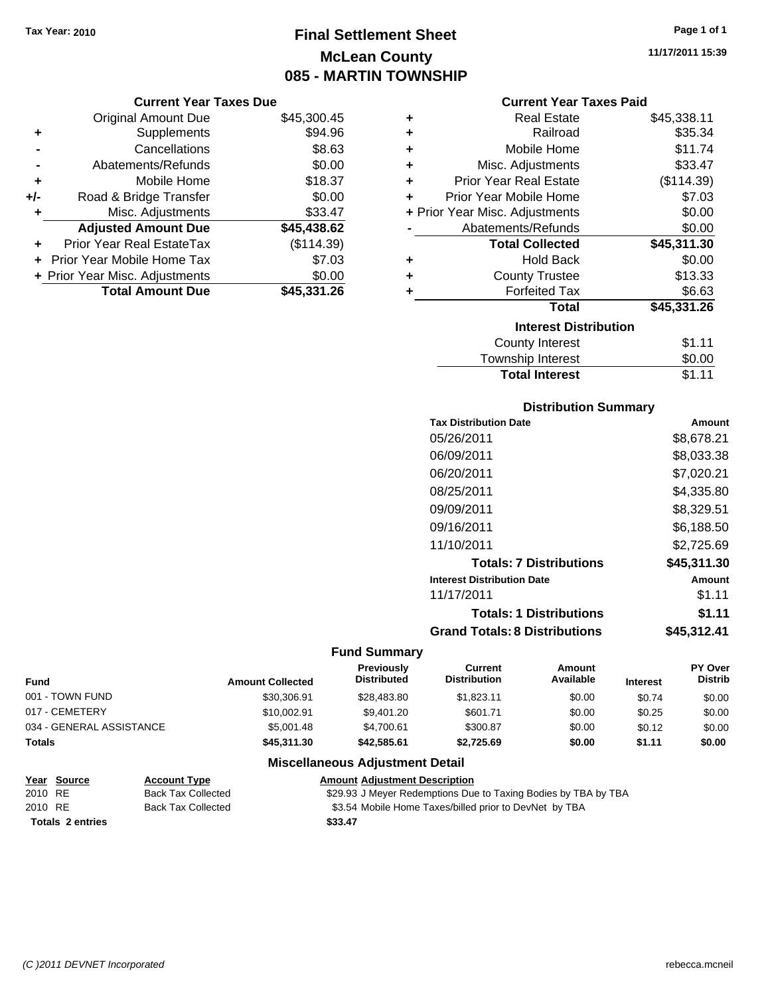# **Final Settlement Sheet Tax Year: 2010 Page 1 of 1 McLean County 085 - MARTIN TOWNSHIP**

#### **Current Year Taxes Due**

|     | <b>Original Amount Due</b>        | \$45,300.45 |
|-----|-----------------------------------|-------------|
| ٠   | Supplements                       | \$94.96     |
|     | Cancellations                     | \$8.63      |
|     | Abatements/Refunds                | \$0.00      |
| ÷   | Mobile Home                       | \$18.37     |
| +/- | Road & Bridge Transfer            | \$0.00      |
| ٠   | Misc. Adjustments                 | \$33.47     |
|     | <b>Adjusted Amount Due</b>        | \$45,438.62 |
|     | Prior Year Real EstateTax         | (\$114.39)  |
|     | <b>Prior Year Mobile Home Tax</b> | \$7.03      |
|     | + Prior Year Misc. Adjustments    | \$0.00      |
|     | <b>Total Amount Due</b>           | \$45,331.26 |

| $\ddot{}$            | <b>Real Estate</b>             | \$45,338.11 |
|----------------------|--------------------------------|-------------|
| $\ddot{}$            | Railroad                       | \$35.34     |
| $\ddot{}$            | Mobile Home                    | \$11.74     |
| $\ddot{}$            | Misc. Adjustments              | \$33.47     |
| $\ddot{}$            | <b>Prior Year Real Estate</b>  | (\$114.39)  |
| $\ddot{\phantom{1}}$ | Prior Year Mobile Home         | \$7.03      |
|                      | + Prior Year Misc. Adjustments | \$0.00      |

|           | Abatements/Refunds           | \$0.00      |  |  |
|-----------|------------------------------|-------------|--|--|
|           | <b>Total Collected</b>       | \$45,311.30 |  |  |
| $\ddot{}$ | <b>Hold Back</b>             | \$0.00      |  |  |
| $\ddot{}$ | <b>County Trustee</b>        | \$13.33     |  |  |
| $\ddot{}$ | <b>Forfeited Tax</b>         | \$6.63      |  |  |
|           | Total                        | \$45,331.26 |  |  |
|           | <b>Interest Distribution</b> |             |  |  |
|           | County Interest              | <b>ድ</b> 11 |  |  |

| <b>Total Interest</b> | \$1.11 |
|-----------------------|--------|
| Township Interest     | \$0.00 |
| County Interest       | \$1.11 |

## **Distribution Summary**

| <b>Tax Distribution Date</b>         | Amount      |
|--------------------------------------|-------------|
| 05/26/2011                           | \$8,678.21  |
| 06/09/2011                           | \$8,033.38  |
| 06/20/2011                           | \$7,020.21  |
| 08/25/2011                           | \$4.335.80  |
| 09/09/2011                           | \$8,329.51  |
| 09/16/2011                           | \$6,188.50  |
| 11/10/2011                           | \$2,725.69  |
| <b>Totals: 7 Distributions</b>       | \$45,311.30 |
| <b>Interest Distribution Date</b>    | Amount      |
| 11/17/2011                           | \$1.11      |
| <b>Totals: 1 Distributions</b>       | \$1.11      |
| <b>Grand Totals: 8 Distributions</b> | \$45,312.41 |

#### **Fund Summary**

| <b>Fund</b>              | <b>Amount Collected</b> | <b>Previously</b><br><b>Distributed</b> | Current<br><b>Distribution</b> | Amount<br>Available | <b>Interest</b> | <b>PY Over</b><br><b>Distrib</b> |
|--------------------------|-------------------------|-----------------------------------------|--------------------------------|---------------------|-----------------|----------------------------------|
| 001 - TOWN FUND          | \$30,306.91             | \$28,483.80                             | \$1.823.11                     | \$0.00              | \$0.74          | \$0.00                           |
| 017 - CEMETERY           | \$10,002.91             | \$9.401.20                              | \$601.71                       | \$0.00              | \$0.25          | \$0.00                           |
| 034 - GENERAL ASSISTANCE | \$5,001.48              | \$4.700.61                              | \$300.87                       | \$0.00              | \$0.12          | \$0.00                           |
| <b>Totals</b>            | \$45,311.30             | \$42,585,61                             | \$2.725.69                     | \$0.00              | \$1.11          | \$0.00                           |

# **Miscellaneous Adjustment Detail**

| <u>Year Source</u>      | <b>Account Type</b> | <b>Amount Adiustment Description</b>                           |
|-------------------------|---------------------|----------------------------------------------------------------|
| 2010 RE                 | Back Tax Collected  | \$29.93 J Meyer Redemptions Due to Taxing Bodies by TBA by TBA |
| 2010 RE                 | Back Tax Collected  | \$3.54 Mobile Home Taxes/billed prior to DevNet by TBA         |
| <b>Totals 2 entries</b> |                     | \$33.47                                                        |

**Current Year Taxes Paid**<br>Real Estate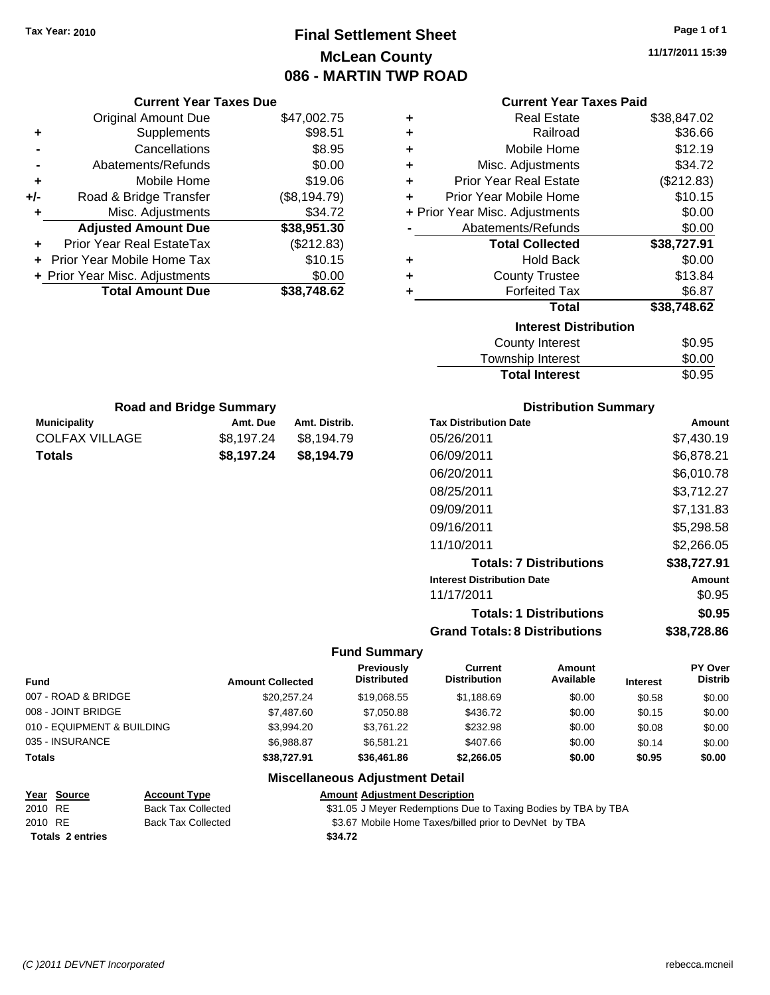**Current Year Taxes Due**

# **Final Settlement Sheet Tax Year: 2010 Page 1 of 1 McLean County 086 - MARTIN TWP ROAD**

**11/17/2011 15:39**

| Current Year Taxes Paid |  |  |
|-------------------------|--|--|

| <b>Original Amount Due</b>           |                         | \$47,002.75                | ٠                                       |                                                                | <b>Real Estate</b>                |                 | \$38,847.02        |
|--------------------------------------|-------------------------|----------------------------|-----------------------------------------|----------------------------------------------------------------|-----------------------------------|-----------------|--------------------|
| Supplements<br>٠                     |                         | \$98.51                    | ٠                                       |                                                                | Railroad                          |                 | \$36.66            |
| Cancellations                        |                         | \$8.95                     | ٠                                       |                                                                | Mobile Home                       |                 | \$12.19            |
| Abatements/Refunds                   |                         | \$0.00                     | ٠                                       |                                                                | Misc. Adjustments                 |                 | \$34.72            |
| Mobile Home<br>٠                     |                         | \$19.06                    | ÷                                       | <b>Prior Year Real Estate</b>                                  |                                   |                 | (\$212.83)         |
| Road & Bridge Transfer<br>+/-        |                         | (\$8,194.79)               | ÷                                       | Prior Year Mobile Home                                         |                                   |                 | \$10.15            |
| Misc. Adjustments                    |                         | \$34.72                    |                                         | + Prior Year Misc. Adjustments                                 |                                   |                 | \$0.00             |
| <b>Adjusted Amount Due</b>           |                         | \$38,951.30                |                                         | Abatements/Refunds                                             |                                   |                 | \$0.00             |
| Prior Year Real EstateTax            |                         | (\$212.83)                 |                                         |                                                                | <b>Total Collected</b>            |                 | \$38,727.91        |
| Prior Year Mobile Home Tax           |                         | \$10.15                    | ٠                                       |                                                                | <b>Hold Back</b>                  |                 | \$0.00             |
| + Prior Year Misc. Adjustments       |                         | \$0.00                     | ٠                                       |                                                                | <b>County Trustee</b>             |                 | \$13.84            |
| <b>Total Amount Due</b>              |                         | \$38,748.62                | ÷                                       |                                                                | <b>Forfeited Tax</b>              |                 | \$6.87             |
|                                      |                         |                            |                                         |                                                                | <b>Total</b>                      |                 | \$38,748.62        |
|                                      |                         |                            |                                         |                                                                | <b>Interest Distribution</b>      |                 |                    |
|                                      |                         |                            |                                         |                                                                | <b>County Interest</b>            |                 | \$0.95             |
|                                      |                         |                            |                                         |                                                                | Township Interest                 |                 | \$0.00             |
|                                      |                         |                            |                                         |                                                                | <b>Total Interest</b>             |                 | \$0.95             |
|                                      |                         |                            |                                         |                                                                |                                   |                 |                    |
| <b>Road and Bridge Summary</b>       |                         |                            |                                         |                                                                | <b>Distribution Summary</b>       |                 |                    |
| <b>Municipality</b>                  | Amt. Due                | Amt. Distrib.              |                                         | <b>Tax Distribution Date</b>                                   |                                   |                 | Amount             |
| <b>COLFAX VILLAGE</b>                | \$8,197.24              | \$8,194.79                 |                                         | 05/26/2011                                                     |                                   |                 | \$7,430.19         |
| <b>Totals</b>                        | \$8,197.24              | \$8,194.79                 |                                         | 06/09/2011                                                     |                                   |                 | \$6,878.21         |
|                                      |                         |                            | 06/20/2011                              |                                                                |                                   | \$6,010.78      |                    |
|                                      |                         |                            |                                         | 08/25/2011                                                     |                                   |                 | \$3,712.27         |
|                                      |                         |                            |                                         |                                                                |                                   |                 |                    |
|                                      |                         |                            |                                         | 09/09/2011                                                     |                                   |                 | \$7,131.83         |
|                                      |                         |                            |                                         | 09/16/2011                                                     |                                   |                 | \$5,298.58         |
|                                      |                         |                            |                                         | 11/10/2011                                                     |                                   |                 | \$2,266.05         |
|                                      |                         |                            |                                         |                                                                | <b>Totals: 7 Distributions</b>    |                 | \$38,727.91        |
|                                      |                         |                            |                                         | <b>Interest Distribution Date</b>                              |                                   |                 | Amount             |
|                                      |                         |                            |                                         | 11/17/2011                                                     |                                   |                 | \$0.95             |
|                                      |                         |                            |                                         |                                                                | <b>Totals: 1 Distributions</b>    |                 | \$0.95             |
|                                      |                         |                            |                                         | <b>Grand Totals: 8 Distributions</b>                           |                                   |                 | \$38,728.86        |
|                                      |                         |                            | <b>Fund Summary</b>                     |                                                                |                                   |                 |                    |
| Fund                                 | <b>Amount Collected</b> |                            | <b>Previously</b><br><b>Distributed</b> | <b>Current</b><br><b>Distribution</b>                          | <b>Amount</b><br><b>Available</b> | <b>Interest</b> | PY Over<br>Distrib |
| 007 - ROAD & BRIDGE                  |                         | \$20,257.24                | \$19,068.55                             | \$1,188.69                                                     | \$0.00                            | \$0.58          | \$0.00             |
| 008 - JOINT BRIDGE                   |                         | \$7,487.60                 | \$7,050.88                              | \$436.72                                                       | \$0.00                            | \$0.15          | \$0.00             |
| 010 - EQUIPMENT & BUILDING           |                         | \$3,994.20                 | \$3,761.22                              | \$232.98                                                       | \$0.00                            | \$0.08          | \$0.00             |
| 035 - INSURANCE                      |                         | \$6,988.87                 | \$6,581.21                              | \$407.66                                                       | \$0.00                            | \$0.14          | \$0.00             |
| <b>Totals</b>                        |                         | \$38,727.91<br>\$36,461.86 |                                         | \$2,266.05                                                     | \$0.00                            | \$0.95          | \$0.00             |
|                                      |                         |                            | <b>Miscellaneous Adjustment Detail</b>  |                                                                |                                   |                 |                    |
| Year Source<br><b>Account Type</b>   |                         |                            | <b>Amount Adjustment Description</b>    |                                                                |                                   |                 |                    |
| 2010 RE<br><b>Back Tax Collected</b> |                         |                            |                                         | \$31.05 J Meyer Redemptions Due to Taxing Bodies by TBA by TBA |                                   |                 |                    |
| 2010 RE<br><b>Back Tax Collected</b> |                         |                            |                                         | \$3.67 Mobile Home Taxes/billed prior to DevNet by TBA         |                                   |                 |                    |
| <b>Totals 2 entries</b>              |                         | \$34.72                    |                                         |                                                                |                                   |                 |                    |
|                                      |                         |                            |                                         |                                                                |                                   |                 |                    |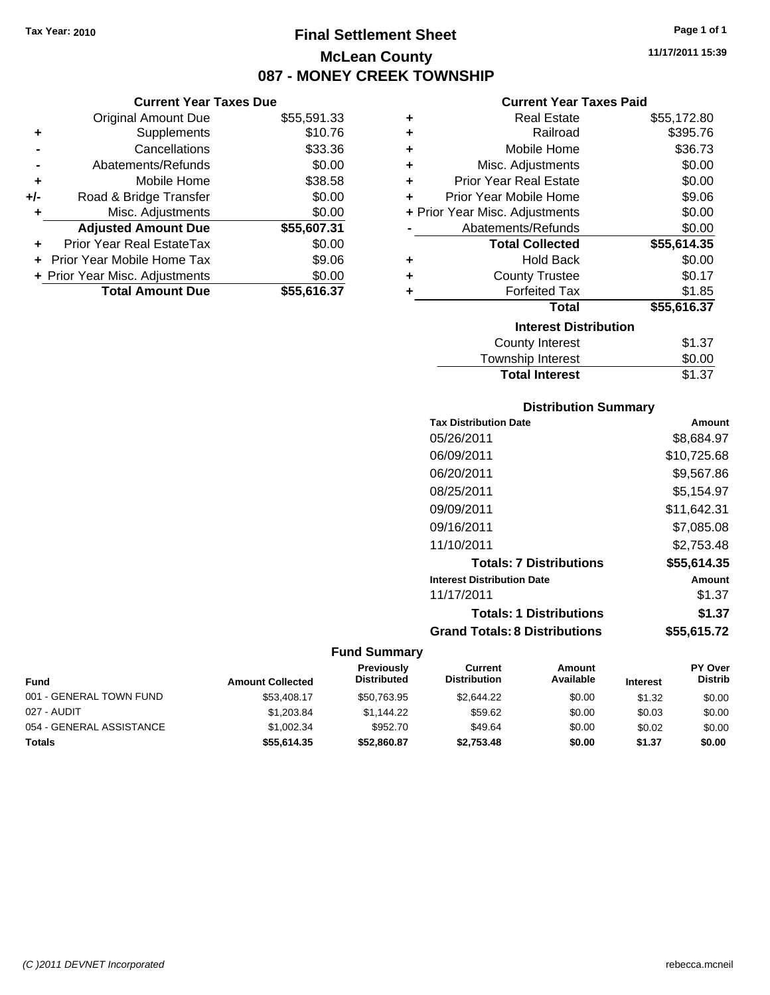# **Final Settlement Sheet Tax Year: 2010 Page 1 of 1 McLean County 087 - MONEY CREEK TOWNSHIP**

**11/17/2011 15:39**

## **Current Year Taxes Due**

|       | <b>Original Amount Due</b>        | \$55,591.33 |
|-------|-----------------------------------|-------------|
| ٠     | Supplements                       | \$10.76     |
|       | Cancellations                     | \$33.36     |
|       | Abatements/Refunds                | \$0.00      |
| ٠     | Mobile Home                       | \$38.58     |
| $+/-$ | Road & Bridge Transfer            | \$0.00      |
|       | Misc. Adjustments                 | \$0.00      |
|       | <b>Adjusted Amount Due</b>        | \$55,607.31 |
|       | <b>Prior Year Real EstateTax</b>  | \$0.00      |
|       | <b>Prior Year Mobile Home Tax</b> | \$9.06      |
|       | + Prior Year Misc. Adjustments    | \$0.00      |
|       | <b>Total Amount Due</b>           | \$55,616.37 |

# **Current Year Taxes Paid**

| ٠ | <b>Real Estate</b>             | \$55,172.80 |
|---|--------------------------------|-------------|
| ÷ | Railroad                       | \$395.76    |
| ٠ | Mobile Home                    | \$36.73     |
| ٠ | Misc. Adjustments              | \$0.00      |
| ÷ | <b>Prior Year Real Estate</b>  | \$0.00      |
| ÷ | Prior Year Mobile Home         | \$9.06      |
|   | + Prior Year Misc. Adjustments | \$0.00      |
|   | Abatements/Refunds             | \$0.00      |
|   |                                |             |
|   | <b>Total Collected</b>         | \$55,614.35 |
| ٠ | <b>Hold Back</b>               | \$0.00      |
| ÷ | <b>County Trustee</b>          | \$0.17      |
| ٠ | <b>Forfeited Tax</b>           | \$1.85      |
|   | <b>Total</b>                   | \$55,616.37 |
|   | <b>Interest Distribution</b>   |             |
|   | <b>County Interest</b>         | \$1.37      |

# **Distribution Summary**

**Total Interest** \$1.37

| <b>Tax Distribution Date</b>         | Amount      |
|--------------------------------------|-------------|
| 05/26/2011                           | \$8,684.97  |
| 06/09/2011                           | \$10,725.68 |
| 06/20/2011                           | \$9,567.86  |
| 08/25/2011                           | \$5,154.97  |
| 09/09/2011                           | \$11,642.31 |
| 09/16/2011                           | \$7.085.08  |
| 11/10/2011                           | \$2.753.48  |
| <b>Totals: 7 Distributions</b>       | \$55,614.35 |
| <b>Interest Distribution Date</b>    | Amount      |
| 11/17/2011                           | \$1.37      |
| <b>Totals: 1 Distributions</b>       | \$1.37      |
| <b>Grand Totals: 8 Distributions</b> | \$55,615.72 |

| <b>Fund</b>              | <b>Amount Collected</b> | Previously<br><b>Distributed</b> | Current<br><b>Distribution</b> | Amount<br>Available | <b>Interest</b> | <b>PY Over</b><br><b>Distrib</b> |
|--------------------------|-------------------------|----------------------------------|--------------------------------|---------------------|-----------------|----------------------------------|
| 001 - GENERAL TOWN FUND  | \$53,408.17             | \$50,763.95                      | \$2,644.22                     | \$0.00              | \$1.32          | \$0.00                           |
| 027 - AUDIT              | \$1,203.84              | \$1.144.22                       | \$59.62                        | \$0.00              | \$0.03          | \$0.00                           |
| 054 - GENERAL ASSISTANCE | \$1,002.34              | \$952.70                         | \$49.64                        | \$0.00              | \$0.02          | \$0.00                           |
| <b>Totals</b>            | \$55.614.35             | \$52.860.87                      | \$2,753.48                     | \$0.00              | \$1.37          | \$0.00                           |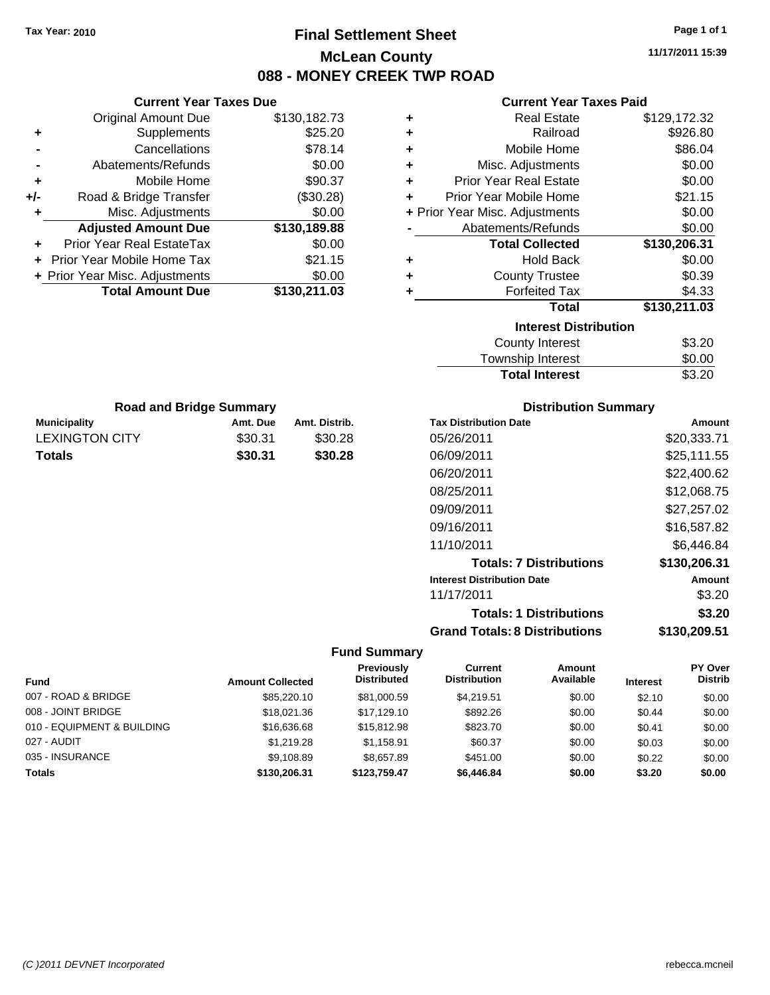# **Final Settlement Sheet Tax Year: 2010 Page 1 of 1 McLean County 088 - MONEY CREEK TWP ROAD**

**11/17/2011 15:39**

## **Current Year Taxes Paid**

| ٠ | <b>Real Estate</b>             | \$129,172.32 |
|---|--------------------------------|--------------|
| ÷ | Railroad                       | \$926.80     |
| ٠ | Mobile Home                    | \$86.04      |
| ٠ | Misc. Adjustments              | \$0.00       |
| ٠ | <b>Prior Year Real Estate</b>  | \$0.00       |
| ÷ | Prior Year Mobile Home         | \$21.15      |
|   | + Prior Year Misc. Adjustments | \$0.00       |
|   | Abatements/Refunds             | \$0.00       |
|   | <b>Total Collected</b>         | \$130,206.31 |
| ٠ | <b>Hold Back</b>               | \$0.00       |
| ٠ | <b>County Trustee</b>          | \$0.39       |
| ٠ | <b>Forfeited Tax</b>           | \$4.33       |
|   | <b>Total</b>                   | \$130,211.03 |
|   | <b>Interest Distribution</b>   |              |
|   | <b>County Interest</b>         | \$3.20       |
|   | Township Interact              | ድስ ስስ        |

| <b>Total Interest</b> | \$3.20 |
|-----------------------|--------|
| Township Interest     | \$0.00 |
| County Interest       | \$3.20 |

| <b>Road and Bridge Summary</b> |          |               |  |  |
|--------------------------------|----------|---------------|--|--|
| <b>Municipality</b>            | Amt. Due | Amt. Distrib. |  |  |
| <b>LEXINGTON CITY</b>          | \$30.31  | \$30.28       |  |  |
| <b>Totals</b>                  | \$30.31  | \$30.28       |  |  |

**Current Year Taxes Due** Original Amount Due \$130,182.73

**Adjusted Amount Due \$130,189.88**

**Total Amount Due \$130,211.03**

**+** Supplements \$25.20 **-** Cancellations \$78.14 **-** Abatements/Refunds \$0.00 **+** Mobile Home \$90.37 **+/-** Road & Bridge Transfer (\$30.28) **+** Misc. Adjustments \$0.00

**+** Prior Year Real EstateTax \$0.00 **+** Prior Year Mobile Home Tax \$21.15 **+ Prior Year Misc. Adjustments**  $$0.00$ 

## **Distribution Summary**

| <b>Tax Distribution Date</b>         | Amount       |
|--------------------------------------|--------------|
| 05/26/2011                           | \$20,333.71  |
| 06/09/2011                           | \$25,111.55  |
| 06/20/2011                           | \$22,400.62  |
| 08/25/2011                           | \$12,068.75  |
| 09/09/2011                           | \$27,257.02  |
| 09/16/2011                           | \$16,587.82  |
| 11/10/2011                           | \$6.446.84   |
| <b>Totals: 7 Distributions</b>       | \$130,206.31 |
| <b>Interest Distribution Date</b>    | Amount       |
| 11/17/2011                           | \$3.20       |
| <b>Totals: 1 Distributions</b>       | \$3.20       |
| <b>Grand Totals: 8 Distributions</b> | \$130,209.51 |

|                            |                         | Previously         | Current             | Amount    |                 | PY Over        |
|----------------------------|-------------------------|--------------------|---------------------|-----------|-----------------|----------------|
| <b>Fund</b>                | <b>Amount Collected</b> | <b>Distributed</b> | <b>Distribution</b> | Available | <b>Interest</b> | <b>Distrib</b> |
| 007 - ROAD & BRIDGE        | \$85,220.10             | \$81,000.59        | \$4.219.51          | \$0.00    | \$2.10          | \$0.00         |
| 008 - JOINT BRIDGE         | \$18,021.36             | \$17.129.10        | \$892.26            | \$0.00    | \$0.44          | \$0.00         |
| 010 - EQUIPMENT & BUILDING | \$16,636.68             | \$15,812.98        | \$823.70            | \$0.00    | \$0.41          | \$0.00         |
| 027 - AUDIT                | \$1,219.28              | \$1,158.91         | \$60.37             | \$0.00    | \$0.03          | \$0.00         |
| 035 - INSURANCE            | \$9,108.89              | \$8.657.89         | \$451.00            | \$0.00    | \$0.22          | \$0.00         |
| <b>Totals</b>              | \$130,206.31            | \$123.759.47       | \$6,446.84          | \$0.00    | \$3.20          | \$0.00         |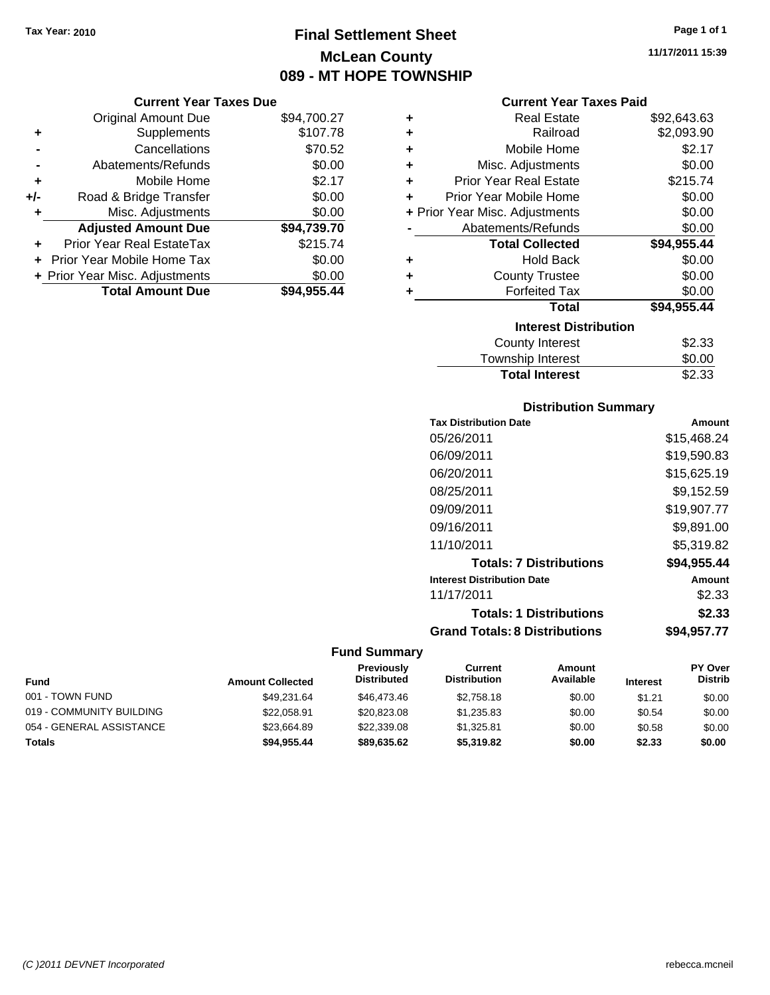# **Final Settlement Sheet Tax Year: 2010 Page 1 of 1 McLean County 089 - MT HOPE TOWNSHIP**

#### **Current Year Taxes Due**

|       | <b>Original Amount Due</b>     | \$94,700.27 |
|-------|--------------------------------|-------------|
| ٠     | Supplements                    | \$107.78    |
|       | Cancellations                  | \$70.52     |
|       | Abatements/Refunds             | \$0.00      |
| ÷     | Mobile Home                    | \$2.17      |
| $+/-$ | Road & Bridge Transfer         | \$0.00      |
| ٠     | Misc. Adjustments              | \$0.00      |
|       | <b>Adjusted Amount Due</b>     | \$94,739.70 |
| ÷     | Prior Year Real EstateTax      | \$215.74    |
|       | Prior Year Mobile Home Tax     | \$0.00      |
|       | + Prior Year Misc. Adjustments | \$0.00      |
|       | <b>Total Amount Due</b>        | \$94,955.44 |

#### **Current Year Taxes Paid**

| ٠ | Real Estate                    | \$92,643.63 |
|---|--------------------------------|-------------|
| ٠ | Railroad                       | \$2,093.90  |
| ٠ | Mobile Home                    | \$2.17      |
| ٠ | Misc. Adjustments              | \$0.00      |
| ٠ | <b>Prior Year Real Estate</b>  | \$215.74    |
| ٠ | Prior Year Mobile Home         | \$0.00      |
|   | + Prior Year Misc. Adjustments | \$0.00      |
|   | Abatements/Refunds             | \$0.00      |
|   | <b>Total Collected</b>         | \$94,955.44 |
| ٠ | <b>Hold Back</b>               | \$0.00      |
| ٠ | <b>County Trustee</b>          | \$0.00      |
| ٠ | <b>Forfeited Tax</b>           | \$0.00      |
|   | Total                          | \$94,955.44 |
|   | <b>Interest Distribution</b>   |             |
|   | County Interest                | \$2.33      |
|   | <b>Township Interest</b>       | \$0.00      |
|   | <b>Total Interest</b>          | \$2.33      |

# **Distribution Summary**

| <b>Tax Distribution Date</b>         | Amount      |
|--------------------------------------|-------------|
| 05/26/2011                           | \$15,468.24 |
| 06/09/2011                           | \$19.590.83 |
| 06/20/2011                           | \$15,625.19 |
| 08/25/2011                           | \$9,152.59  |
| 09/09/2011                           | \$19,907.77 |
| 09/16/2011                           | \$9,891.00  |
| 11/10/2011                           | \$5.319.82  |
| <b>Totals: 7 Distributions</b>       | \$94,955.44 |
| <b>Interest Distribution Date</b>    | Amount      |
| 11/17/2011                           | \$2.33      |
| <b>Totals: 1 Distributions</b>       | \$2.33      |
| <b>Grand Totals: 8 Distributions</b> | \$94,957.77 |

|                          |                         | Previously         | Current             | Amount    |                 | <b>PY Over</b> |
|--------------------------|-------------------------|--------------------|---------------------|-----------|-----------------|----------------|
| <b>Fund</b>              | <b>Amount Collected</b> | <b>Distributed</b> | <b>Distribution</b> | Available | <b>Interest</b> | <b>Distrib</b> |
| 001 - TOWN FUND          | \$49.231.64             | \$46,473,46        | \$2.758.18          | \$0.00    | \$1.21          | \$0.00         |
| 019 - COMMUNITY BUILDING | \$22,058.91             | \$20,823,08        | \$1.235.83          | \$0.00    | \$0.54          | \$0.00         |
| 054 - GENERAL ASSISTANCE | \$23.664.89             | \$22,339.08        | \$1.325.81          | \$0.00    | \$0.58          | \$0.00         |
| <b>Totals</b>            | \$94,955.44             | \$89.635.62        | \$5,319.82          | \$0.00    | \$2.33          | \$0.00         |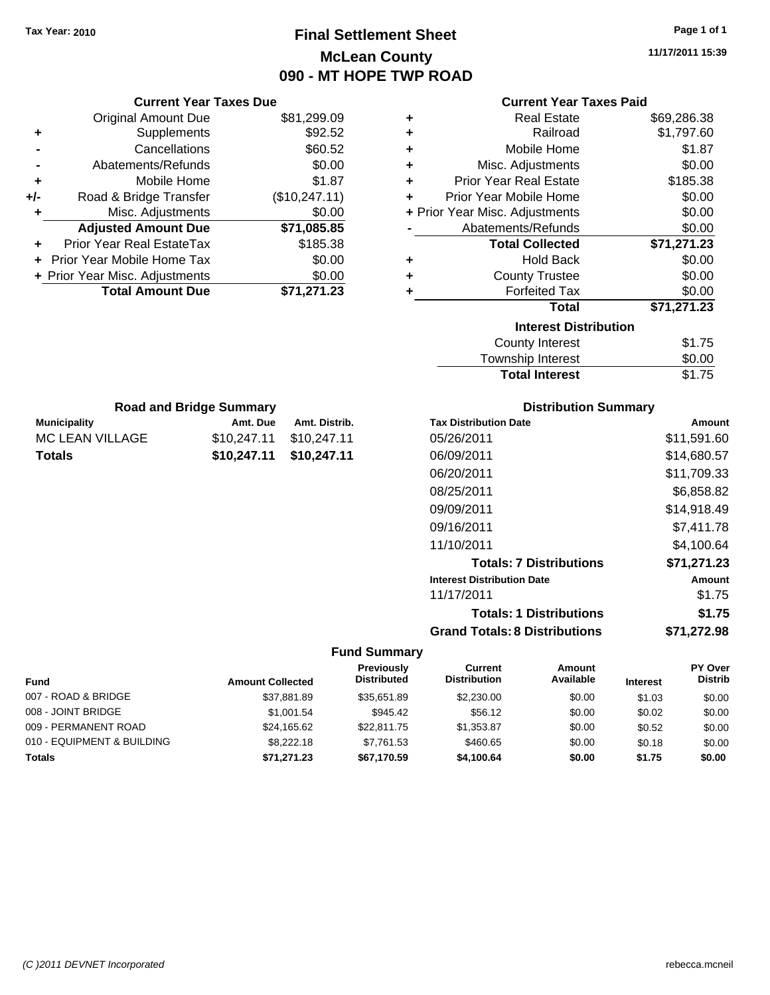# **Final Settlement Sheet Tax Year: 2010 Page 1 of 1 McLean County 090 - MT HOPE TWP ROAD**

**11/17/2011 15:39**

## **Current Year Taxes Paid**

|     | <b>Original Amount Due</b>     | \$81,299.09   | ٠ | <b>Real Estate</b>             | \$69,286.38 |
|-----|--------------------------------|---------------|---|--------------------------------|-------------|
| ٠   | <b>Supplements</b>             | \$92.52       | ٠ | Railroad                       | \$1,797.60  |
|     | Cancellations                  | \$60.52       | ٠ | Mobile Home                    | \$1.87      |
|     | Abatements/Refunds             | \$0.00        | ٠ | Misc. Adjustments              | \$0.00      |
| ٠   | Mobile Home                    | \$1.87        | ÷ | <b>Prior Year Real Estate</b>  | \$185.38    |
| +/- | Road & Bridge Transfer         | (\$10,247.11) | ÷ | Prior Year Mobile Home         | \$0.00      |
|     | Misc. Adjustments              | \$0.00        |   | + Prior Year Misc. Adjustments | \$0.00      |
|     | <b>Adjusted Amount Due</b>     | \$71,085.85   |   | Abatements/Refunds             | \$0.00      |
| ÷.  | Prior Year Real EstateTax      | \$185.38      |   | <b>Total Collected</b>         | \$71,271.23 |
|     | Prior Year Mobile Home Tax     | \$0.00        | ٠ | <b>Hold Back</b>               | \$0.00      |
|     | + Prior Year Misc. Adjustments | \$0.00        | ٠ | <b>County Trustee</b>          | \$0.00      |
|     | <b>Total Amount Due</b>        | \$71,271.23   |   | <b>Forfeited Tax</b>           | \$0.00      |
|     |                                |               |   | <b>Total</b>                   | \$71,271.23 |
|     |                                |               |   | <b>Interest Distribution</b>   |             |
|     |                                |               |   | County Interest                | \$1.75      |
|     |                                |               |   |                                |             |

| Township Interest | \$0.00<br>\$1.75 |
|-------------------|------------------|
|                   |                  |

| <b>Road and Bridge Summary</b> |                         |               |
|--------------------------------|-------------------------|---------------|
| <b>Municipality</b>            | Amt. Due                | Amt. Distrib. |
| MC LEAN VILLAGE                | \$10,247.11 \$10,247.11 |               |
| Totals                         | \$10,247.11 \$10,247.11 |               |

**Current Year Taxes Due**

## **Distribution Summary**

| <b>Tax Distribution Date</b>         | Amount      |
|--------------------------------------|-------------|
| 05/26/2011                           | \$11,591.60 |
| 06/09/2011                           | \$14,680.57 |
| 06/20/2011                           | \$11,709.33 |
| 08/25/2011                           | \$6,858.82  |
| 09/09/2011                           | \$14,918.49 |
| 09/16/2011                           | \$7,411.78  |
| 11/10/2011                           | \$4.100.64  |
| <b>Totals: 7 Distributions</b>       | \$71,271.23 |
| <b>Interest Distribution Date</b>    | Amount      |
| 11/17/2011                           | \$1.75      |
| <b>Totals: 1 Distributions</b>       | \$1.75      |
| <b>Grand Totals: 8 Distributions</b> | \$71,272.98 |

| <b>Fund</b>                | <b>Amount Collected</b> | Previously<br><b>Distributed</b> | Current<br><b>Distribution</b> | Amount<br>Available | <b>Interest</b> | <b>PY Over</b><br><b>Distrib</b> |
|----------------------------|-------------------------|----------------------------------|--------------------------------|---------------------|-----------------|----------------------------------|
| 007 - ROAD & BRIDGE        | \$37,881.89             | \$35.651.89                      | \$2,230.00                     | \$0.00              | \$1.03          | \$0.00                           |
| 008 - JOINT BRIDGE         | \$1,001.54              | \$945.42                         | \$56.12                        | \$0.00              | \$0.02          | \$0.00                           |
| 009 - PERMANENT ROAD       | \$24,165.62             | \$22,811.75                      | \$1,353.87                     | \$0.00              | \$0.52          | \$0.00                           |
| 010 - EQUIPMENT & BUILDING | \$8,222.18              | \$7.761.53                       | \$460.65                       | \$0.00              | \$0.18          | \$0.00                           |
| <b>Totals</b>              | \$71,271.23             | \$67,170.59                      | \$4,100.64                     | \$0.00              | \$1.75          | \$0.00                           |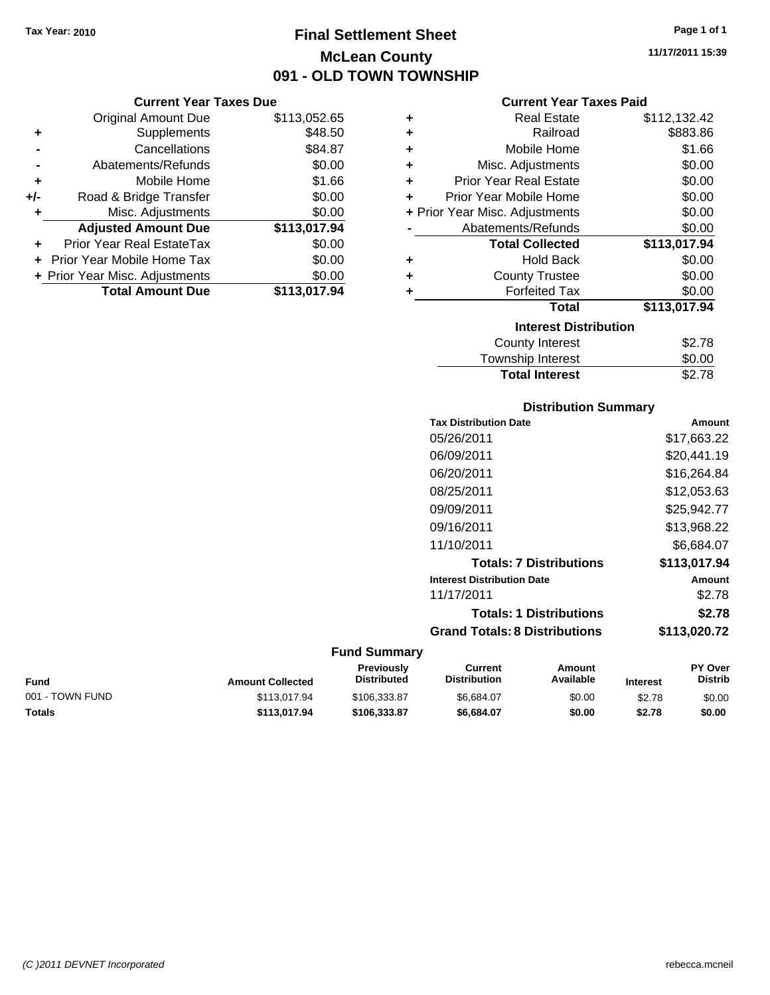# **Final Settlement Sheet Tax Year: 2010 Page 1 of 1 McLean County 091 - OLD TOWN TOWNSHIP**

**11/17/2011 15:39**

## **Current Year Taxes Paid**

|     | <b>Current Year Taxes Due</b>  |              |  |  |  |
|-----|--------------------------------|--------------|--|--|--|
|     | <b>Original Amount Due</b>     | \$113,052.65 |  |  |  |
| ٠   | Supplements                    | \$48.50      |  |  |  |
|     | Cancellations                  | \$84.87      |  |  |  |
|     | Abatements/Refunds             | \$0.00       |  |  |  |
| ٠   | Mobile Home                    | \$1.66       |  |  |  |
| +/- | Road & Bridge Transfer         | \$0.00       |  |  |  |
|     | Misc. Adjustments              | \$0.00       |  |  |  |
|     | <b>Adjusted Amount Due</b>     | \$113,017.94 |  |  |  |
|     | Prior Year Real EstateTax      | \$0.00       |  |  |  |
|     | Prior Year Mobile Home Tax     | \$0.00       |  |  |  |
|     | + Prior Year Misc. Adjustments | \$0.00       |  |  |  |
|     | <b>Total Amount Due</b>        | \$113,017.94 |  |  |  |

| ٠ | Real Estate                    | \$112,132.42 |  |  |  |  |
|---|--------------------------------|--------------|--|--|--|--|
| ٠ | Railroad                       | \$883.86     |  |  |  |  |
| ٠ | Mobile Home                    | \$1.66       |  |  |  |  |
| ÷ | Misc. Adjustments              | \$0.00       |  |  |  |  |
| ÷ | <b>Prior Year Real Estate</b>  | \$0.00       |  |  |  |  |
| ٠ | Prior Year Mobile Home         | \$0.00       |  |  |  |  |
|   | + Prior Year Misc. Adjustments | \$0.00       |  |  |  |  |
|   | Abatements/Refunds             | \$0.00       |  |  |  |  |
|   | <b>Total Collected</b>         | \$113,017.94 |  |  |  |  |
| ٠ | <b>Hold Back</b>               | \$0.00       |  |  |  |  |
| ÷ | <b>County Trustee</b>          | \$0.00       |  |  |  |  |
| ٠ | <b>Forfeited Tax</b>           | \$0.00       |  |  |  |  |
|   | Total                          | \$113,017.94 |  |  |  |  |
|   | <b>Interest Distribution</b>   |              |  |  |  |  |
|   | <b>County Interest</b>         | \$2.78       |  |  |  |  |
|   | <b>Township Interest</b>       | \$0.00       |  |  |  |  |
|   | <b>Total Interest</b>          | \$2.78       |  |  |  |  |

# **Distribution Summary**

| <b>Tax Distribution Date</b>         | Amount       |
|--------------------------------------|--------------|
| 05/26/2011                           | \$17.663.22  |
| 06/09/2011                           | \$20,441.19  |
| 06/20/2011                           | \$16,264.84  |
| 08/25/2011                           | \$12,053.63  |
| 09/09/2011                           | \$25,942.77  |
| 09/16/2011                           | \$13,968.22  |
| 11/10/2011                           | \$6,684.07   |
| <b>Totals: 7 Distributions</b>       | \$113,017.94 |
| <b>Interest Distribution Date</b>    | Amount       |
| 11/17/2011                           | \$2.78       |
| <b>Totals: 1 Distributions</b>       | \$2.78       |
| <b>Grand Totals: 8 Distributions</b> | \$113,020.72 |

| Fund            | <b>Amount Collected</b> | <b>Previously</b><br><b>Distributed</b> | Current<br><b>Distribution</b> | Amount<br>Available | <b>Interest</b> | PY Over<br><b>Distrib</b> |
|-----------------|-------------------------|-----------------------------------------|--------------------------------|---------------------|-----------------|---------------------------|
| 001 - TOWN FUND | \$113,017.94            | \$106,333.87                            | \$6.684.07                     | \$0.00              | \$2.78          | \$0.00                    |
| Totals          | \$113.017.94            | \$106,333,87                            | \$6.684.07                     | \$0.00              | \$2.78          | \$0.00                    |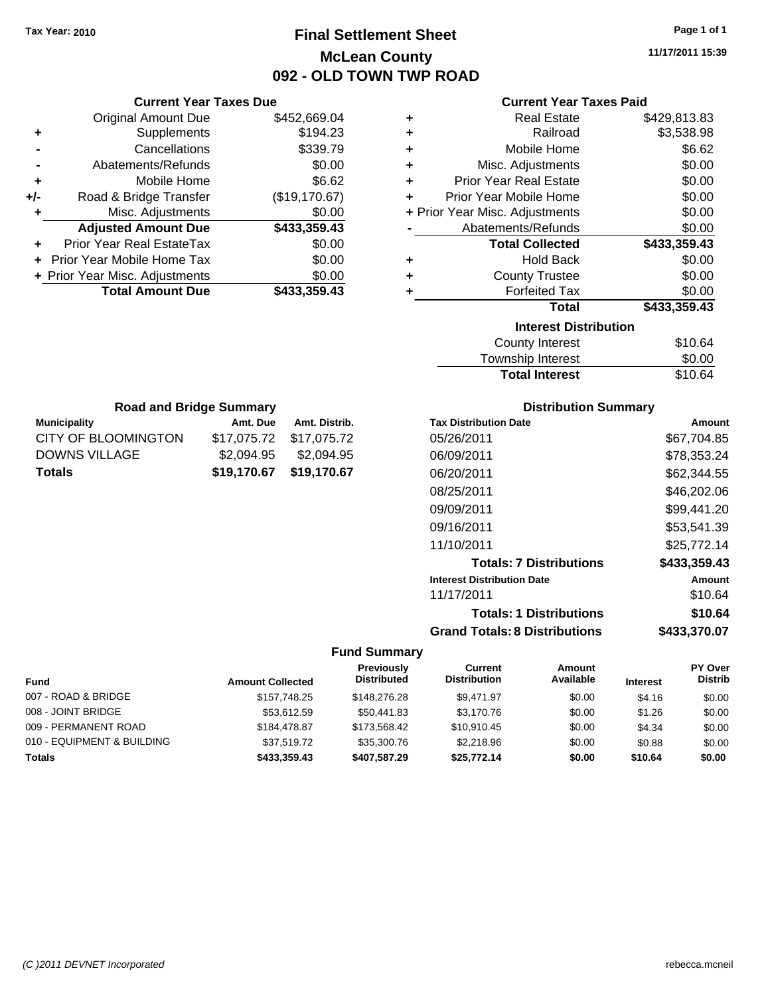# **Final Settlement Sheet Tax Year: 2010 Page 1 of 1 McLean County 092 - OLD TOWN TWP ROAD**

**11/17/2011 15:39**

#### **Current Year Taxes Paid**

|                   |   |               | OUITOIR TOUT TUACO DUC         |     |
|-------------------|---|---------------|--------------------------------|-----|
|                   | ٠ | \$452,669.04  | <b>Original Amount Due</b>     |     |
|                   | ٠ | \$194.23      | <b>Supplements</b>             |     |
|                   | ٠ | \$339.79      | Cancellations                  |     |
| Misc              | ٠ | \$0.00        | Abatements/Refunds             |     |
| Prior Yea         |   | \$6.62        | Mobile Home                    |     |
| <b>Prior Year</b> |   | (\$19,170.67) | Road & Bridge Transfer         | +/- |
| + Prior Year Misc |   | \$0.00        | Misc. Adjustments              |     |
| Abatem            |   | \$433,359.43  | <b>Adjusted Amount Due</b>     |     |
| Τс                |   | \$0.00        | Prior Year Real EstateTax      |     |
|                   | ٠ | \$0.00        | + Prior Year Mobile Home Tax   |     |
| C                 |   | \$0.00        | + Prior Year Misc. Adjustments |     |
|                   |   | \$433,359.43  | <b>Total Amount Due</b>        |     |
|                   |   |               |                                |     |
|                   |   |               |                                |     |

**Current Year Taxes Due**

**Municipality Municipality** Amt. Due Amt. Distrib. **Road and Bridge Summary**

CITY OF BLOOMINGTON \$17,075.72 \$17,075.72 DOWNS VILLAGE \$2,094.95 \$2,094.95 **Totals \$19,170.67 \$19,170.67**

| ٠ | <b>Real Estate</b>             | \$429,813.83 |
|---|--------------------------------|--------------|
| ٠ | Railroad                       | \$3,538.98   |
| ٠ | Mobile Home                    | \$6.62       |
| ٠ | Misc. Adjustments              | \$0.00       |
| ٠ | <b>Prior Year Real Estate</b>  | \$0.00       |
| ÷ | Prior Year Mobile Home         | \$0.00       |
|   | + Prior Year Misc. Adjustments | \$0.00       |
|   | Abatements/Refunds             | \$0.00       |
|   | <b>Total Collected</b>         | \$433,359.43 |
| ٠ | <b>Hold Back</b>               | \$0.00       |
| ٠ | <b>County Trustee</b>          | \$0.00       |
| ٠ | <b>Forfeited Tax</b>           | \$0.00       |
|   | Total                          | \$433,359.43 |
|   |                                |              |
|   | <b>Interest Distribution</b>   |              |

| <b>Total Interest</b> | \$10.64 |
|-----------------------|---------|
| Township Interest     | \$0.00  |
| County Interest       | \$10.64 |

| <b>Distribution Summary</b> |  |
|-----------------------------|--|
|-----------------------------|--|

| <b>Tax Distribution Date</b>         | Amount       |
|--------------------------------------|--------------|
| 05/26/2011                           | \$67.704.85  |
| 06/09/2011                           | \$78,353.24  |
| 06/20/2011                           | \$62.344.55  |
| 08/25/2011                           | \$46,202,06  |
| 09/09/2011                           | \$99.441.20  |
| 09/16/2011                           | \$53.541.39  |
| 11/10/2011                           | \$25.772.14  |
| <b>Totals: 7 Distributions</b>       | \$433,359.43 |
| <b>Interest Distribution Date</b>    | Amount       |
| 11/17/2011                           | \$10.64      |
| <b>Totals: 1 Distributions</b>       | \$10.64      |
| <b>Grand Totals: 8 Distributions</b> | \$433,370.07 |

| <b>Fund</b>                | <b>Amount Collected</b> | Previously<br><b>Distributed</b> | Current<br><b>Distribution</b> | Amount<br>Available | <b>Interest</b> | <b>PY Over</b><br><b>Distrib</b> |
|----------------------------|-------------------------|----------------------------------|--------------------------------|---------------------|-----------------|----------------------------------|
| 007 - ROAD & BRIDGE        | \$157,748.25            | \$148,276.28                     | \$9.471.97                     | \$0.00              | \$4.16          | \$0.00                           |
| 008 - JOINT BRIDGE         | \$53,612.59             | \$50.441.83                      | \$3,170.76                     | \$0.00              | \$1.26          | \$0.00                           |
| 009 - PERMANENT ROAD       | \$184,478.87            | \$173.568.42                     | \$10,910.45                    | \$0.00              | \$4.34          | \$0.00                           |
| 010 - EQUIPMENT & BUILDING | \$37,519,72             | \$35,300.76                      | \$2,218.96                     | \$0.00              | \$0.88          | \$0.00                           |
| <b>Totals</b>              | \$433,359.43            | \$407,587.29                     | \$25,772.14                    | \$0.00              | \$10.64         | \$0.00                           |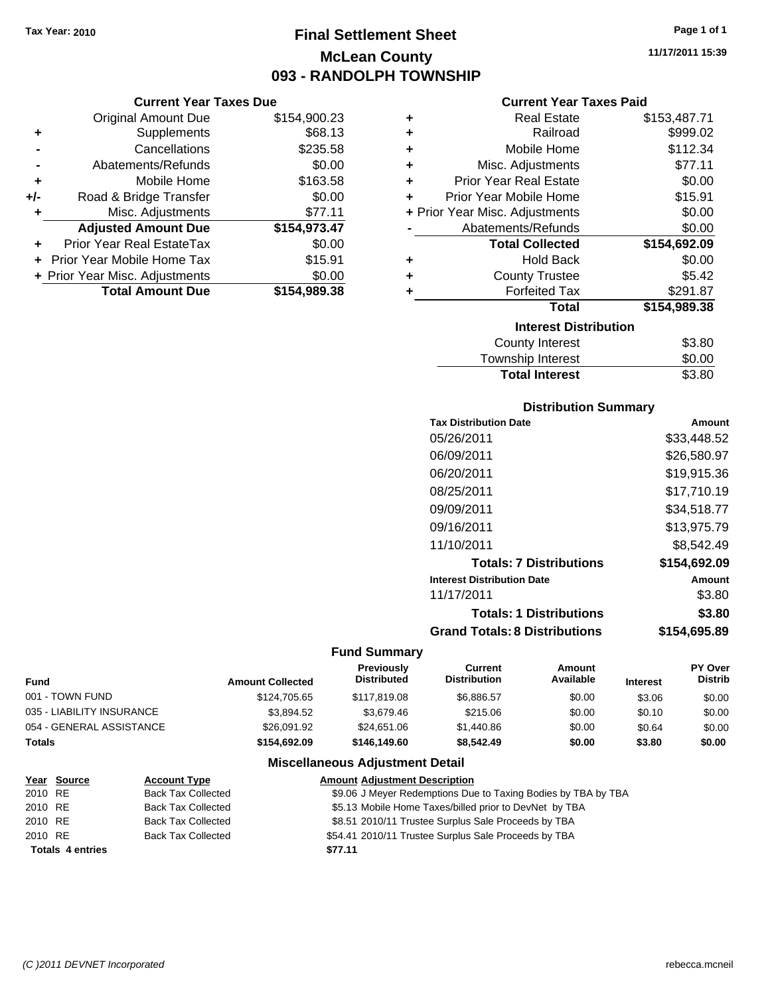# **Final Settlement Sheet Tax Year: 2010 Page 1 of 1 McLean County 093 - RANDOLPH TOWNSHIP**

## **Current Year Taxes Due**

|       | <b>Original Amount Due</b>     | \$154,900.23 |
|-------|--------------------------------|--------------|
| ٠     | Supplements                    | \$68.13      |
|       | Cancellations                  | \$235.58     |
|       | Abatements/Refunds             | \$0.00       |
| ÷     | Mobile Home                    | \$163.58     |
| $+/-$ | Road & Bridge Transfer         | \$0.00       |
| ٠     | Misc. Adjustments              | \$77.11      |
|       | <b>Adjusted Amount Due</b>     | \$154,973.47 |
|       | Prior Year Real EstateTax      | \$0.00       |
|       | Prior Year Mobile Home Tax     | \$15.91      |
|       | + Prior Year Misc. Adjustments | \$0.00       |
|       | <b>Total Amount Due</b>        | \$154,989.38 |

## **Current Year Taxes Paid**

| ٠ | <b>Real Estate</b>             | \$153,487.71 |
|---|--------------------------------|--------------|
| ٠ | Railroad                       | \$999.02     |
| ٠ | Mobile Home                    | \$112.34     |
| ÷ | Misc. Adjustments              | \$77.11      |
| ÷ | <b>Prior Year Real Estate</b>  | \$0.00       |
| ÷ | Prior Year Mobile Home         | \$15.91      |
|   | + Prior Year Misc. Adjustments | \$0.00       |
|   | Abatements/Refunds             | \$0.00       |
|   | <b>Total Collected</b>         | \$154,692.09 |
| ٠ | <b>Hold Back</b>               | \$0.00       |
| ٠ | <b>County Trustee</b>          | \$5.42       |
| ٠ | <b>Forfeited Tax</b>           | \$291.87     |
|   | <b>Total</b>                   | \$154,989.38 |
|   | <b>Interest Distribution</b>   |              |
|   | <b>County Interest</b>         | \$3.80       |
|   |                                | ີົ້          |

# Township Interest \$0.00<br>
Total Interest \$3.80 **Total Interest**

# **Distribution Summary**

| <b>Tax Distribution Date</b>         | Amount       |
|--------------------------------------|--------------|
| 05/26/2011                           | \$33,448.52  |
| 06/09/2011                           | \$26,580.97  |
| 06/20/2011                           | \$19.915.36  |
| 08/25/2011                           | \$17.710.19  |
| 09/09/2011                           | \$34,518.77  |
| 09/16/2011                           | \$13,975.79  |
| 11/10/2011                           | \$8,542.49   |
| <b>Totals: 7 Distributions</b>       | \$154,692.09 |
| <b>Interest Distribution Date</b>    | Amount       |
| 11/17/2011                           | \$3.80       |
| <b>Totals: 1 Distributions</b>       | \$3.80       |
| <b>Grand Totals: 8 Distributions</b> | \$154,695.89 |

# **Fund Summary**

| <b>Fund</b>               | <b>Amount Collected</b> | <b>Previously</b><br><b>Distributed</b> | Current<br><b>Distribution</b> | Amount<br>Available | <b>Interest</b> | <b>PY Over</b><br><b>Distrib</b> |
|---------------------------|-------------------------|-----------------------------------------|--------------------------------|---------------------|-----------------|----------------------------------|
| 001 - TOWN FUND           | \$124,705.65            | \$117,819.08                            | \$6,886.57                     | \$0.00              | \$3.06          | \$0.00                           |
| 035 - LIABILITY INSURANCE | \$3.894.52              | \$3,679.46                              | \$215.06                       | \$0.00              | \$0.10          | \$0.00                           |
| 054 - GENERAL ASSISTANCE  | \$26,091.92             | \$24,651.06                             | \$1,440.86                     | \$0.00              | \$0.64          | \$0.00                           |
| <b>Totals</b>             | \$154,692.09            | \$146,149.60                            | \$8,542.49                     | \$0.00              | \$3.80          | \$0.00                           |

# **Miscellaneous Adjustment Detail**

|         | Year Source             | <b>Account Type</b>       | <b>Amount Adjustment Description</b>                          |
|---------|-------------------------|---------------------------|---------------------------------------------------------------|
| 2010 RE |                         | <b>Back Tax Collected</b> | \$9.06 J Meyer Redemptions Due to Taxing Bodies by TBA by TBA |
| 2010 RE |                         | <b>Back Tax Collected</b> | \$5.13 Mobile Home Taxes/billed prior to DevNet by TBA        |
| 2010 RE |                         | <b>Back Tax Collected</b> | \$8.51 2010/11 Trustee Surplus Sale Proceeds by TBA           |
| 2010 RE |                         | <b>Back Tax Collected</b> | \$54.41 2010/11 Trustee Surplus Sale Proceeds by TBA          |
|         | <b>Totals 4 entries</b> |                           | \$77.11                                                       |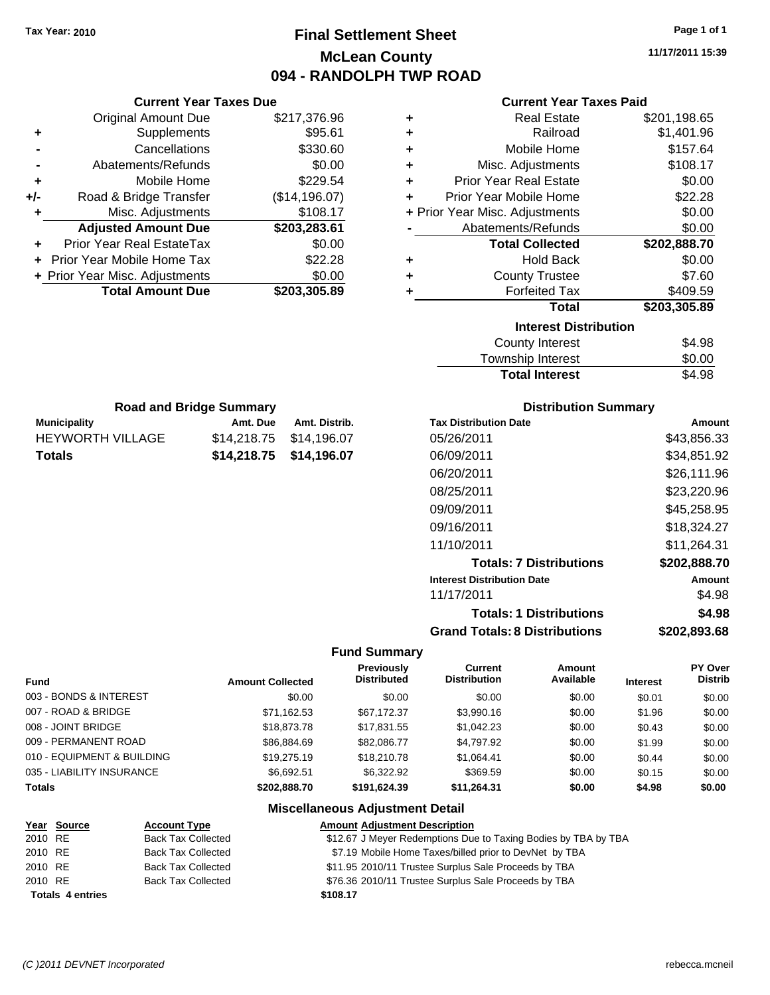**Current Year Taxes Due** Original Amount Due \$217,376.96

**Adjusted Amount Due \$203,283.61**

**Total Amount Due \$203,305.89**

**+** Supplements \$95.61 **-** Cancellations \$330.60 **-** Abatements/Refunds \$0.00 **+** Mobile Home \$229.54 **+/-** Road & Bridge Transfer (\$14,196.07) **+** Misc. Adjustments \$108.17

**+** Prior Year Real EstateTax \$0.00 **+** Prior Year Mobile Home Tax \$22.28 **+ Prior Year Misc. Adjustments**  $$0.00$ 

**Municipality Municipality** Amt. Due Amt. Distrib. **Road and Bridge Summary**

HEYWORTH VILLAGE \$14,218.75 \$14,196.07 **Totals \$14,218.75 \$14,196.07**

# **Final Settlement Sheet Tax Year: 2010 Page 1 of 1 McLean County 094 - RANDOLPH TWP ROAD**

**11/17/2011 15:39**

#### **Current Year Taxes Paid**

| ٠ | <b>Real Estate</b>             | \$201,198.65 |  |  |  |
|---|--------------------------------|--------------|--|--|--|
| ÷ | Railroad                       | \$1,401.96   |  |  |  |
| ÷ | Mobile Home                    | \$157.64     |  |  |  |
| ÷ | Misc. Adjustments              | \$108.17     |  |  |  |
| ÷ | <b>Prior Year Real Estate</b>  | \$0.00       |  |  |  |
| ÷ | Prior Year Mobile Home         | \$22.28      |  |  |  |
|   | + Prior Year Misc. Adjustments | \$0.00       |  |  |  |
|   | Abatements/Refunds             | \$0.00       |  |  |  |
|   | <b>Total Collected</b>         | \$202,888.70 |  |  |  |
| ٠ | <b>Hold Back</b>               | \$0.00       |  |  |  |
| ÷ | <b>County Trustee</b>          | \$7.60       |  |  |  |
| ÷ | <b>Forfeited Tax</b>           | \$409.59     |  |  |  |
|   | <b>Total</b>                   | \$203,305.89 |  |  |  |
|   | <b>Interest Distribution</b>   |              |  |  |  |
|   | <b>County Interest</b>         | \$4.98       |  |  |  |
|   |                                | mn nn        |  |  |  |

| <b>Total Interest</b> | \$4.98 |
|-----------------------|--------|
| Township Interest     | \$0.00 |
| County Interest       | \$4.98 |

## **Distribution Summary**

| <b>Tax Distribution Date</b>         | Amount       |
|--------------------------------------|--------------|
| 05/26/2011                           | \$43,856.33  |
| 06/09/2011                           | \$34,851.92  |
| 06/20/2011                           | \$26,111.96  |
| 08/25/2011                           | \$23,220.96  |
| 09/09/2011                           | \$45.258.95  |
| 09/16/2011                           | \$18.324.27  |
| 11/10/2011                           | \$11.264.31  |
| <b>Totals: 7 Distributions</b>       | \$202,888.70 |
| <b>Interest Distribution Date</b>    | Amount       |
| 11/17/2011                           | \$4.98       |
| <b>Totals: 1 Distributions</b>       | \$4.98       |
| <b>Grand Totals: 8 Distributions</b> | \$202,893.68 |

#### **Fund Summary**

|                            |                         | Previously         | Current             | Amount    |                 | <b>PY Over</b> |
|----------------------------|-------------------------|--------------------|---------------------|-----------|-----------------|----------------|
| <b>Fund</b>                | <b>Amount Collected</b> | <b>Distributed</b> | <b>Distribution</b> | Available | <b>Interest</b> | <b>Distrib</b> |
| 003 - BONDS & INTEREST     | \$0.00                  | \$0.00             | \$0.00              | \$0.00    | \$0.01          | \$0.00         |
| 007 - ROAD & BRIDGE        | \$71,162.53             | \$67.172.37        | \$3,990.16          | \$0.00    | \$1.96          | \$0.00         |
| 008 - JOINT BRIDGE         | \$18,873.78             | \$17.831.55        | \$1,042.23          | \$0.00    | \$0.43          | \$0.00         |
| 009 - PERMANENT ROAD       | \$86.884.69             | \$82,086,77        | \$4.797.92          | \$0.00    | \$1.99          | \$0.00         |
| 010 - EQUIPMENT & BUILDING | \$19,275.19             | \$18,210.78        | \$1.064.41          | \$0.00    | \$0.44          | \$0.00         |
| 035 - LIABILITY INSURANCE  | \$6.692.51              | \$6,322.92         | \$369.59            | \$0.00    | \$0.15          | \$0.00         |
| <b>Totals</b>              | \$202.888.70            | \$191.624.39       | \$11.264.31         | \$0.00    | \$4.98          | \$0.00         |

# **Miscellaneous Adjustment Detail**

|         | Year Source             | <b>Account Type</b>       | <b>Amount Adjustment Description</b>                           |
|---------|-------------------------|---------------------------|----------------------------------------------------------------|
| 2010 RE |                         | <b>Back Tax Collected</b> | \$12.67 J Meyer Redemptions Due to Taxing Bodies by TBA by TBA |
| 2010 RE |                         | <b>Back Tax Collected</b> | \$7.19 Mobile Home Taxes/billed prior to DevNet by TBA         |
| 2010 RE |                         | <b>Back Tax Collected</b> | \$11.95 2010/11 Trustee Surplus Sale Proceeds by TBA           |
| 2010 RE |                         | <b>Back Tax Collected</b> | \$76.36 2010/11 Trustee Surplus Sale Proceeds by TBA           |
|         | <b>Totals 4 entries</b> |                           | \$108.17                                                       |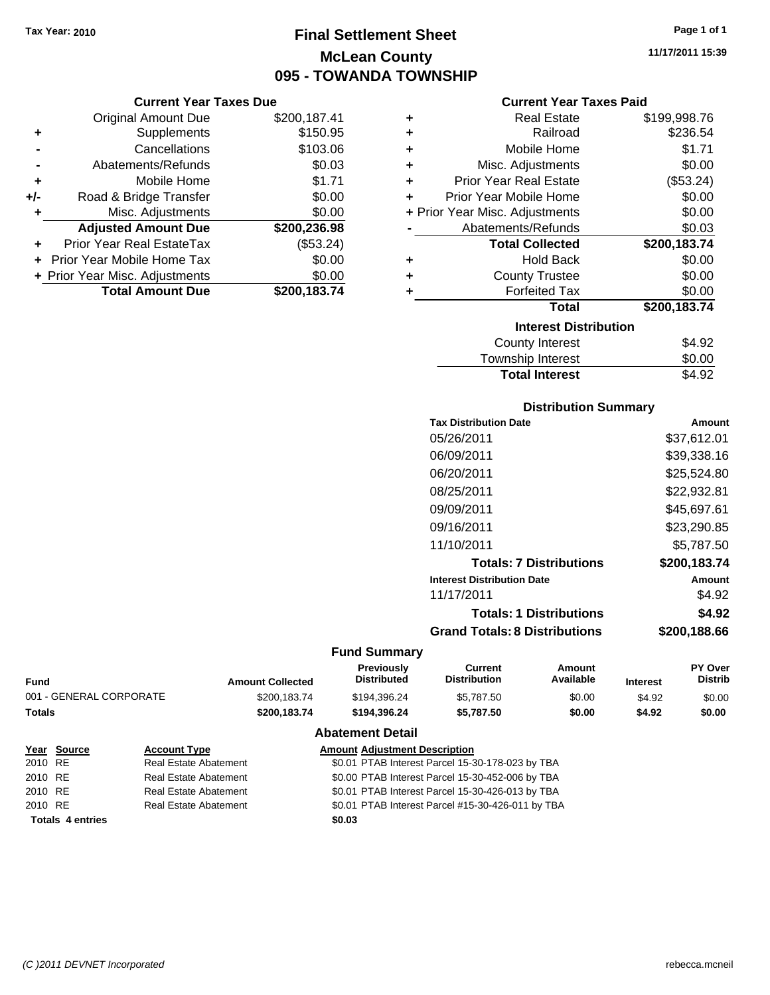# **Final Settlement Sheet Tax Year: 2010 Page 1 of 1 McLean County 095 - TOWANDA TOWNSHIP**

#### **Current Year Taxes Due**

|     | <b>Original Amount Due</b>       | \$200,187.41 |
|-----|----------------------------------|--------------|
| ٠   | Supplements                      | \$150.95     |
|     | Cancellations                    | \$103.06     |
|     | Abatements/Refunds               | \$0.03       |
| ٠   | Mobile Home                      | \$1.71       |
| +/- | Road & Bridge Transfer           | \$0.00       |
| ٠   | Misc. Adjustments                | \$0.00       |
|     | <b>Adjusted Amount Due</b>       | \$200,236.98 |
|     | <b>Prior Year Real EstateTax</b> | (\$53.24)    |
|     | Prior Year Mobile Home Tax       | \$0.00       |
|     | + Prior Year Misc. Adjustments   | \$0.00       |
|     | <b>Total Amount Due</b>          | \$200,183.74 |

#### **Current Year Taxes Paid**

| ٠ | <b>Real Estate</b>             | \$199,998.76 |  |  |  |
|---|--------------------------------|--------------|--|--|--|
| ٠ | Railroad                       | \$236.54     |  |  |  |
| ٠ | Mobile Home                    | \$1.71       |  |  |  |
| ٠ | Misc. Adjustments              | \$0.00       |  |  |  |
| ٠ | <b>Prior Year Real Estate</b>  | (\$53.24)    |  |  |  |
| ٠ | Prior Year Mobile Home         | \$0.00       |  |  |  |
|   | + Prior Year Misc. Adjustments | \$0.00       |  |  |  |
|   | Abatements/Refunds             | \$0.03       |  |  |  |
|   | <b>Total Collected</b>         | \$200,183.74 |  |  |  |
| ٠ | <b>Hold Back</b>               | \$0.00       |  |  |  |
| ٠ | <b>County Trustee</b>          | \$0.00       |  |  |  |
| ٠ | <b>Forfeited Tax</b>           | \$0.00       |  |  |  |
|   | Total                          | \$200,183.74 |  |  |  |
|   | <b>Interest Distribution</b>   |              |  |  |  |
|   | <b>County Interest</b>         | \$4.92       |  |  |  |
|   | <b>Township Interest</b>       | \$0.00       |  |  |  |

# Township Interest  $$0.00$ Total Interest \$4.92

## **Distribution Summary**

| <b>Tax Distribution Date</b>         | Amount       |
|--------------------------------------|--------------|
| 05/26/2011                           | \$37,612.01  |
| 06/09/2011                           | \$39,338.16  |
| 06/20/2011                           | \$25.524.80  |
| 08/25/2011                           | \$22,932.81  |
| 09/09/2011                           | \$45.697.61  |
| 09/16/2011                           | \$23,290.85  |
| 11/10/2011                           | \$5,787.50   |
| <b>Totals: 7 Distributions</b>       | \$200,183.74 |
| <b>Interest Distribution Date</b>    | Amount       |
| 11/17/2011                           | \$4.92       |
| <b>Totals: 1 Distributions</b>       | \$4.92       |
| <b>Grand Totals: 8 Distributions</b> | \$200,188.66 |

#### **Fund Summary**

| Fund                    | <b>Amount Collected</b> | <b>Previously</b><br><b>Distributed</b> | Current<br>Distribution | Amount<br>Available | <b>Interest</b> | <b>PY Over</b><br><b>Distrib</b> |
|-------------------------|-------------------------|-----------------------------------------|-------------------------|---------------------|-----------------|----------------------------------|
| 001 - GENERAL CORPORATE | \$200.183.74            | \$194.396.24                            | \$5.787.50              | \$0.00              | \$4.92          | \$0.00                           |
| Totals                  | \$200.183.74            | \$194.396.24                            | \$5.787.50              | \$0.00              | \$4.92          | \$0.00                           |
|                         |                         | <b>Abatement Detail</b>                 |                         |                     |                 |                                  |

## **Year Source Account Type Amount Adjustment Description** 2010 RE **\$**0.01 PTAB Interest Parcel 15-30-178-023 by TBA 2010 RE **12.000 Real Estate Abatement** 50.00 PTAB Interest Parcel 15-30-452-006 by TBA 2010 RE **12.010 RE** Real Estate Abatement **\$0.01 PTAB Interest Parcel 15-30-426-013 by TBA** 2010 RE **\$0.01 PTAB Interest Parcel #15-30-426-011 by TBA** Real Estate Abatement **Totals \$0.03 4 entries**

**11/17/2011 15:39**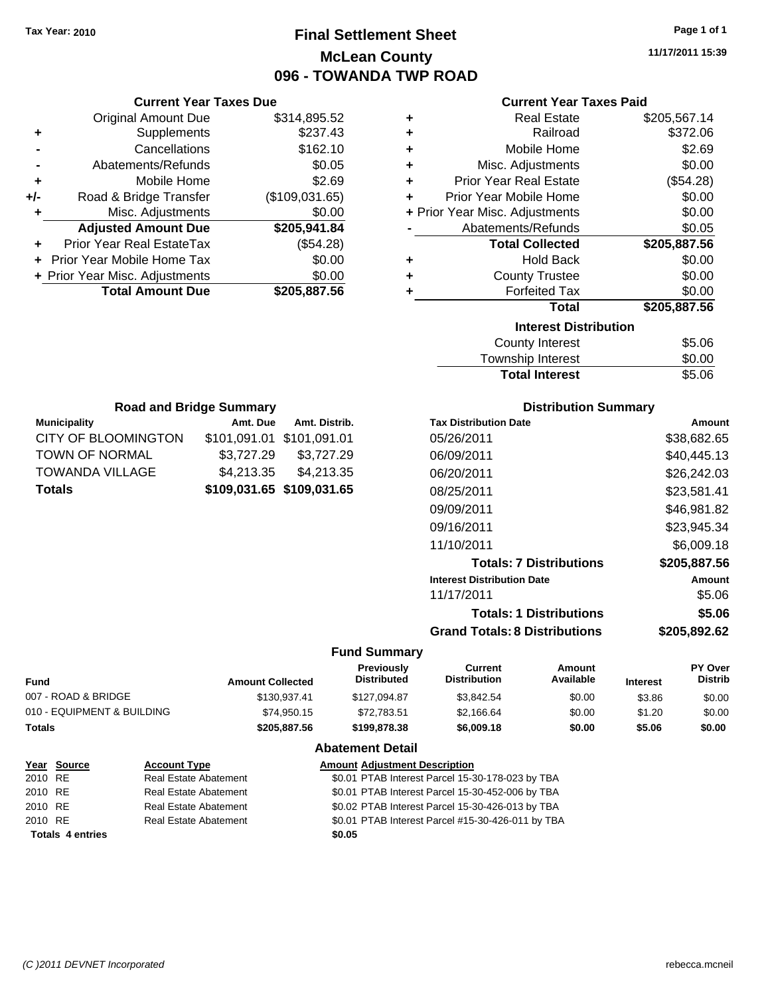# **Final Settlement Sheet Tax Year: 2010 Page 1 of 1 McLean County 096 - TOWANDA TWP ROAD**

**11/17/2011 15:39**

## **Current Year Taxes Paid**

| ٠ | <b>Real Estate</b>             | \$205,567.14 |  |  |  |
|---|--------------------------------|--------------|--|--|--|
| ÷ | Railroad                       | \$372.06     |  |  |  |
| ٠ | Mobile Home                    | \$2.69       |  |  |  |
| ÷ | Misc. Adjustments              | \$0.00       |  |  |  |
| ÷ | <b>Prior Year Real Estate</b>  | (\$54.28)    |  |  |  |
| ÷ | Prior Year Mobile Home         | \$0.00       |  |  |  |
|   | + Prior Year Misc. Adjustments | \$0.00       |  |  |  |
|   | Abatements/Refunds             | \$0.05       |  |  |  |
|   | <b>Total Collected</b>         | \$205,887.56 |  |  |  |
| ٠ | <b>Hold Back</b>               | \$0.00       |  |  |  |
| ٠ | <b>County Trustee</b>          | \$0.00       |  |  |  |
| ٠ | <b>Forfeited Tax</b>           | \$0.00       |  |  |  |
|   | <b>Total</b>                   | \$205,887.56 |  |  |  |
|   | <b>Interest Distribution</b>   |              |  |  |  |
|   | <b>County Interest</b>         | \$5.06       |  |  |  |
|   | Taurachin Internat             | ሮስ ሰሰ        |  |  |  |

| <b>Total Interest</b> | \$5.06 |
|-----------------------|--------|
| Township Interest     | \$0.00 |
| County Interest       | ახ.∪ხ  |

| <b>Road and Bridge Summary</b>      |                           |               |  |  |
|-------------------------------------|---------------------------|---------------|--|--|
| <b>Municipality</b>                 | Amt. Due                  | Amt. Distrib. |  |  |
| CITY OF BLOOMINGTON                 | \$101,091.01 \$101,091.01 |               |  |  |
| TOWN OF NORMAL                      | \$3,727.29                | \$3,727.29    |  |  |
| TOWANDA VILLAGE                     | \$4,213.35                | \$4,213.35    |  |  |
| \$109,031.65 \$109,031.65<br>Totals |                           |               |  |  |

**Current Year Taxes Due** Original Amount Due \$314,895.52

**Adjusted Amount Due \$205,941.84**

**Total Amount Due \$205,887.56**

**+** Supplements \$237.43 **-** Cancellations \$162.10 **-** Abatements/Refunds \$0.05 **+** Mobile Home \$2.69 **+/-** Road & Bridge Transfer (\$109,031.65) **+** Misc. Adjustments \$0.00

**+** Prior Year Real EstateTax (\$54.28) **+** Prior Year Mobile Home Tax \$0.00 **+ Prior Year Misc. Adjustments**  $$0.00$ 

## **Distribution Summary**

| <b>Tax Distribution Date</b>         | Amount       |
|--------------------------------------|--------------|
| 05/26/2011                           | \$38,682.65  |
| 06/09/2011                           | \$40,445.13  |
| 06/20/2011                           | \$26,242.03  |
| 08/25/2011                           | \$23,581.41  |
| 09/09/2011                           | \$46.981.82  |
| 09/16/2011                           | \$23,945.34  |
| 11/10/2011                           | \$6,009.18   |
| <b>Totals: 7 Distributions</b>       | \$205,887.56 |
| <b>Interest Distribution Date</b>    | Amount       |
| 11/17/2011                           | \$5.06       |
| <b>Totals: 1 Distributions</b>       | \$5.06       |
| <b>Grand Totals: 8 Distributions</b> | \$205.892.62 |

| <b>Fund</b>                | <b>Amount Collected</b> | Previously<br><b>Distributed</b> | <b>Current</b><br><b>Distribution</b> | Amount<br>Available | <b>Interest</b> | <b>PY Over</b><br><b>Distrib</b> |
|----------------------------|-------------------------|----------------------------------|---------------------------------------|---------------------|-----------------|----------------------------------|
| 007 - ROAD & BRIDGE        | \$130,937.41            | \$127.094.87                     | \$3.842.54                            | \$0.00              | \$3.86          | \$0.00                           |
| 010 - EQUIPMENT & BUILDING | \$74,950.15             | \$72,783.51                      | \$2,166.64                            | \$0.00              | \$1.20          | \$0.00                           |
| <b>Totals</b>              | \$205.887.56            | \$199,878,38                     | \$6,009.18                            | \$0.00              | \$5.06          | \$0.00                           |
|                            |                         | <b>Abatement Detail</b>          |                                       |                     |                 |                                  |

|         | Year Source             | <b>Account Type</b>          | <b>Amount Adjustment Description</b>              |
|---------|-------------------------|------------------------------|---------------------------------------------------|
| 2010 RE |                         | <b>Real Estate Abatement</b> | \$0.01 PTAB Interest Parcel 15-30-178-023 by TBA  |
| 2010 RE |                         | Real Estate Abatement        | \$0.01 PTAB Interest Parcel 15-30-452-006 by TBA  |
| 2010 RE |                         | Real Estate Abatement        | \$0.02 PTAB Interest Parcel 15-30-426-013 by TBA  |
| 2010 RE |                         | <b>Real Estate Abatement</b> | \$0.01 PTAB Interest Parcel #15-30-426-011 by TBA |
|         | <b>Totals 4 entries</b> |                              | \$0.05                                            |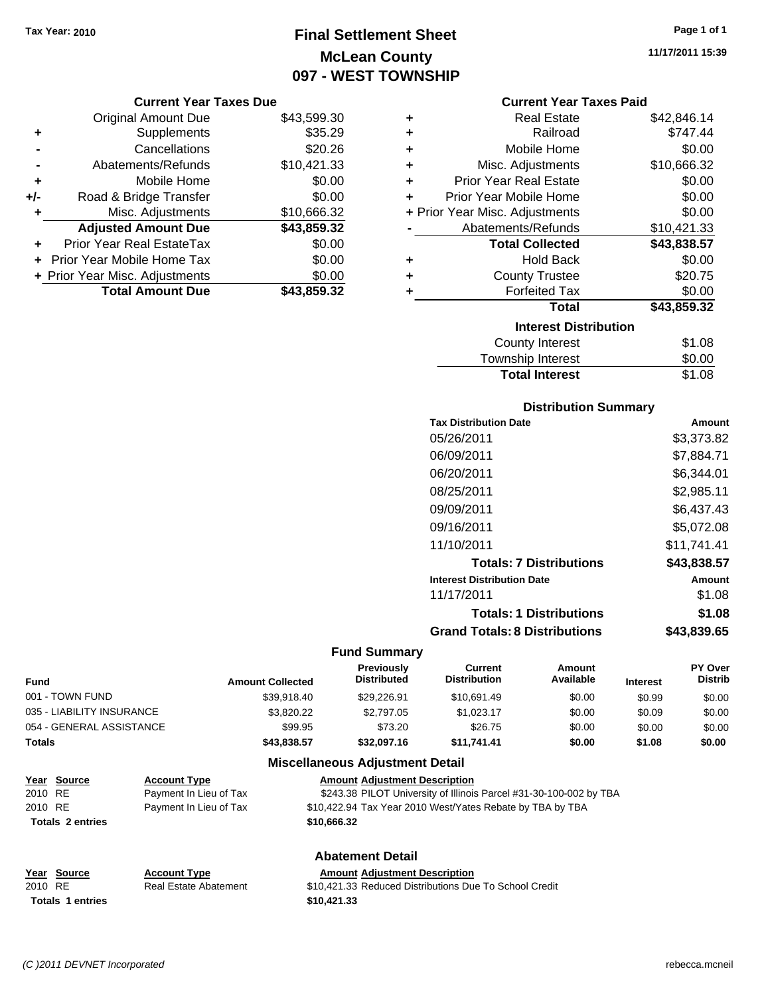# **Final Settlement Sheet Tax Year: 2010 Page 1 of 1 McLean County 097 - WEST TOWNSHIP**

#### **Current Year Taxes Due**

|       | <b>Original Amount Due</b>        | \$43,599.30 |
|-------|-----------------------------------|-------------|
| ٠     | Supplements                       | \$35.29     |
|       | Cancellations                     | \$20.26     |
|       | Abatements/Refunds                | \$10,421.33 |
| ÷     | Mobile Home                       | \$0.00      |
| $+/-$ | Road & Bridge Transfer            | \$0.00      |
| ٠     | Misc. Adjustments                 | \$10,666.32 |
|       | <b>Adjusted Amount Due</b>        | \$43,859.32 |
|       | Prior Year Real EstateTax         | \$0.00      |
|       | <b>Prior Year Mobile Home Tax</b> | \$0.00      |
|       | + Prior Year Misc. Adjustments    | \$0.00      |
|       | <b>Total Amount Due</b>           | \$43,859.32 |

#### **Current Year Taxes Paid**

| ٠ | <b>Real Estate</b>             | \$42,846.14 |
|---|--------------------------------|-------------|
| ٠ | Railroad                       | \$747.44    |
| ÷ | Mobile Home                    | \$0.00      |
| ٠ | Misc. Adjustments              | \$10,666.32 |
| ٠ | <b>Prior Year Real Estate</b>  | \$0.00      |
| ٠ | Prior Year Mobile Home         | \$0.00      |
|   | + Prior Year Misc. Adjustments | \$0.00      |
|   | Abatements/Refunds             | \$10,421.33 |
|   | <b>Total Collected</b>         | \$43,838.57 |
| ٠ | Hold Back                      | \$0.00      |
| ٠ | <b>County Trustee</b>          | \$20.75     |
|   | <b>Forfeited Tax</b>           | \$0.00      |
|   | Total                          | \$43,859.32 |
|   | <b>Interest Distribution</b>   |             |
|   | <b>County Interest</b>         | \$1.08      |
|   | <b>Township Interest</b>       | \$0.00      |
|   | <b>Total Interest</b>          | \$1.08      |

## **Distribution Summary**

| <b>Tax Distribution Date</b>         | Amount      |
|--------------------------------------|-------------|
| 05/26/2011                           | \$3,373.82  |
| 06/09/2011                           | \$7.884.71  |
| 06/20/2011                           | \$6,344.01  |
| 08/25/2011                           | \$2,985.11  |
| 09/09/2011                           | \$6,437.43  |
| 09/16/2011                           | \$5,072.08  |
| 11/10/2011                           | \$11.741.41 |
| <b>Totals: 7 Distributions</b>       | \$43,838.57 |
| <b>Interest Distribution Date</b>    | Amount      |
| 11/17/2011                           | \$1.08      |
| <b>Totals: 1 Distributions</b>       | \$1.08      |
| <b>Grand Totals: 8 Distributions</b> | \$43,839.65 |

## **Fund Summary**

| Fund                      | <b>Amount Collected</b> | <b>Previously</b><br><b>Distributed</b> | Current<br><b>Distribution</b> | Amount<br>Available | <b>Interest</b> | <b>PY Over</b><br><b>Distrib</b> |
|---------------------------|-------------------------|-----------------------------------------|--------------------------------|---------------------|-----------------|----------------------------------|
| 001 - TOWN FUND           | \$39,918.40             | \$29,226.91                             | \$10,691.49                    | \$0.00              | \$0.99          | \$0.00                           |
| 035 - LIABILITY INSURANCE | \$3,820.22              | \$2,797.05                              | \$1.023.17                     | \$0.00              | \$0.09          | \$0.00                           |
| 054 - GENERAL ASSISTANCE  | \$99.95                 | \$73.20                                 | \$26.75                        | \$0.00              | \$0.00          | \$0.00                           |
| <b>Totals</b>             | \$43,838.57             | \$32,097.16                             | \$11.741.41                    | \$0.00              | \$1.08          | \$0.00                           |

## **Miscellaneous Adjustment Detail**

|         | <u>Year Source</u>      | <b>Account Type</b>    | <b>Amount Adjustment Description</b>                               |
|---------|-------------------------|------------------------|--------------------------------------------------------------------|
| 2010 RE |                         | Payment In Lieu of Tax | \$243.38 PILOT University of Illinois Parcel #31-30-100-002 by TBA |
| 2010 RE |                         | Payment In Lieu of Tax | \$10,422.94 Tax Year 2010 West/Yates Rebate by TBA by TBA          |
|         | <b>Totals 2 entries</b> |                        | \$10,666.32                                                        |
|         |                         |                        |                                                                    |

# **Abatement Detail**

#### **Year Source Account Type Amount Adjustment Description** 2010 RE **\$10,421.33 Reduced Distributions Due To School Credit** Real Estate Abatement **Totals \$10,421.33 1 entries**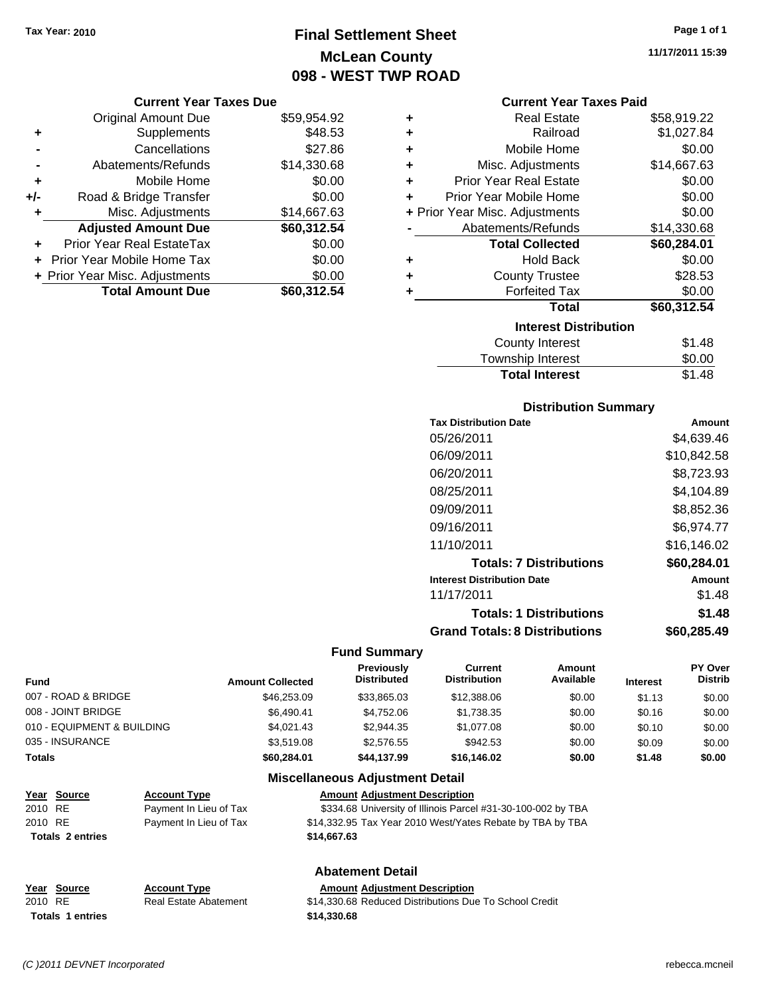# **Final Settlement Sheet Tax Year: 2010 Page 1 of 1 McLean County 098 - WEST TWP ROAD**

#### **Current Year Taxes Due**

|     | <b>Original Amount Due</b>        | \$59,954.92 |
|-----|-----------------------------------|-------------|
| ٠   | Supplements                       | \$48.53     |
|     | Cancellations                     | \$27.86     |
|     | Abatements/Refunds                | \$14,330.68 |
| ÷   | Mobile Home                       | \$0.00      |
| +/- | Road & Bridge Transfer            | \$0.00      |
| ٠   | Misc. Adjustments                 | \$14,667.63 |
|     | <b>Adjusted Amount Due</b>        | \$60,312.54 |
| ÷   | <b>Prior Year Real EstateTax</b>  | \$0.00      |
|     | <b>Prior Year Mobile Home Tax</b> | \$0.00      |
|     | + Prior Year Misc. Adjustments    | \$0.00      |
|     | <b>Total Amount Due</b>           | \$60,312.54 |

#### **Current Year Taxes Paid**

| ٠ | Real Estate                    | \$58,919.22 |  |  |  |  |
|---|--------------------------------|-------------|--|--|--|--|
| ٠ | Railroad                       | \$1,027.84  |  |  |  |  |
| ٠ | Mobile Home                    | \$0.00      |  |  |  |  |
| ٠ | Misc. Adjustments              | \$14,667.63 |  |  |  |  |
| ٠ | <b>Prior Year Real Estate</b>  | \$0.00      |  |  |  |  |
| ٠ | Prior Year Mobile Home         | \$0.00      |  |  |  |  |
|   | + Prior Year Misc. Adjustments | \$0.00      |  |  |  |  |
|   | Abatements/Refunds             | \$14,330.68 |  |  |  |  |
|   | <b>Total Collected</b>         | \$60,284.01 |  |  |  |  |
| ٠ | <b>Hold Back</b>               | \$0.00      |  |  |  |  |
| ÷ | <b>County Trustee</b>          | \$28.53     |  |  |  |  |
| ٠ | <b>Forfeited Tax</b>           | \$0.00      |  |  |  |  |
|   | Total                          | \$60,312.54 |  |  |  |  |
|   | <b>Interest Distribution</b>   |             |  |  |  |  |
|   | <b>County Interest</b>         | \$1.48      |  |  |  |  |
|   | <b>Township Interest</b>       | \$0.00      |  |  |  |  |
|   | <b>Total Interest</b>          | \$1.48      |  |  |  |  |

# **Distribution Summary**

| <b>Tax Distribution Date</b>         | Amount      |
|--------------------------------------|-------------|
| 05/26/2011                           | \$4,639.46  |
| 06/09/2011                           | \$10,842.58 |
| 06/20/2011                           | \$8,723.93  |
| 08/25/2011                           | \$4.104.89  |
| 09/09/2011                           | \$8,852.36  |
| 09/16/2011                           | \$6,974.77  |
| 11/10/2011                           | \$16.146.02 |
| <b>Totals: 7 Distributions</b>       | \$60,284.01 |
| <b>Interest Distribution Date</b>    | Amount      |
| 11/17/2011                           | \$1.48      |
| <b>Totals: 1 Distributions</b>       | \$1.48      |
| <b>Grand Totals: 8 Distributions</b> | \$60,285.49 |

## **Fund Summary**

| <b>Amount Collected</b> | <b>Previously</b><br><b>Distributed</b> | Current<br><b>Distribution</b> | Amount<br>Available | <b>Interest</b> | <b>PY Over</b><br><b>Distrib</b> |
|-------------------------|-----------------------------------------|--------------------------------|---------------------|-----------------|----------------------------------|
| \$46,253,09             | \$33,865.03                             | \$12,388.06                    | \$0.00              | \$1.13          | \$0.00                           |
| \$6.490.41              | \$4.752.06                              | \$1,738.35                     | \$0.00              | \$0.16          | \$0.00                           |
| \$4,021.43              | \$2,944.35                              | \$1,077.08                     | \$0.00              | \$0.10          | \$0.00                           |
| \$3,519.08              | \$2,576.55                              | \$942.53                       | \$0.00              | \$0.09          | \$0.00                           |
| \$60,284.01             | \$44,137.99                             | \$16,146.02                    | \$0.00              | \$1.48          | \$0.00                           |
|                         |                                         |                                |                     |                 |                                  |

## **Miscellaneous Adjustment Detail**

| Year Source             | <b>Account Type</b>    | <b>Amount Adjustment Description</b>                         |
|-------------------------|------------------------|--------------------------------------------------------------|
| 2010 RE                 | Payment In Lieu of Tax | \$334.68 University of Illinois Parcel #31-30-100-002 by TBA |
| 2010 RE                 | Payment In Lieu of Tax | \$14,332.95 Tax Year 2010 West/Yates Rebate by TBA by TBA    |
| <b>Totals 2 entries</b> |                        | \$14,667,63                                                  |
|                         |                        | Ahatamant Natail                                             |

#### **Abatement Detail**

| Year Source             | <b>Account Type</b>   | <b>Amount Adiustment Description</b>                   |
|-------------------------|-----------------------|--------------------------------------------------------|
| 2010 RE                 | Real Estate Abatement | \$14,330.68 Reduced Distributions Due To School Credit |
| <b>Totals 1 entries</b> |                       | \$14.330.68                                            |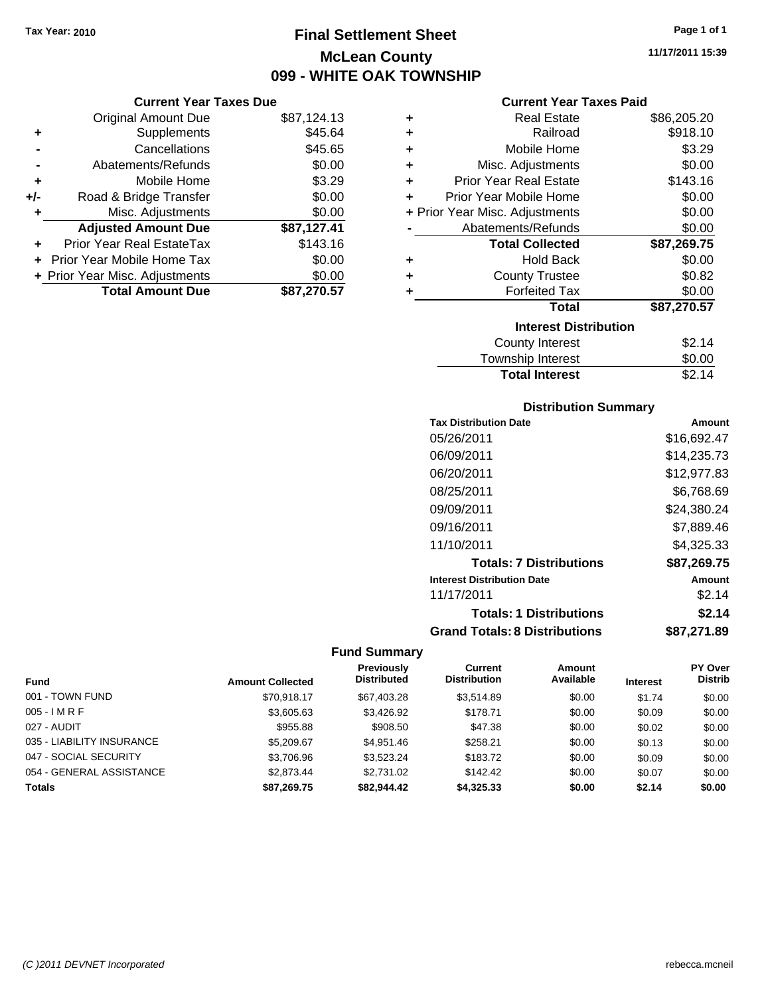# **Final Settlement Sheet Tax Year: 2010 Page 1 of 1 McLean County 099 - WHITE OAK TOWNSHIP**

**11/17/2011 15:39**

| Current Year Taxes Due |  |  |
|------------------------|--|--|

|       | <b>Original Amount Due</b>       | \$87,124.13 |
|-------|----------------------------------|-------------|
| ٠     | Supplements                      | \$45.64     |
|       | Cancellations                    | \$45.65     |
|       | Abatements/Refunds               | \$0.00      |
| ÷     | Mobile Home                      | \$3.29      |
| $+/-$ | Road & Bridge Transfer           | \$0.00      |
|       | Misc. Adjustments                | \$0.00      |
|       | <b>Adjusted Amount Due</b>       | \$87,127.41 |
|       | <b>Prior Year Real EstateTax</b> | \$143.16    |
|       | Prior Year Mobile Home Tax       | \$0.00      |
|       | + Prior Year Misc. Adjustments   | \$0.00      |
|       | <b>Total Amount Due</b>          | \$87,270.57 |
|       |                                  |             |

# **Current Year Taxes Paid**

| ٠ | <b>Real Estate</b>             | \$86,205.20 |
|---|--------------------------------|-------------|
| ÷ | Railroad                       | \$918.10    |
| ٠ | Mobile Home                    | \$3.29      |
| ٠ | Misc. Adjustments              | \$0.00      |
| ÷ | <b>Prior Year Real Estate</b>  | \$143.16    |
| ÷ | Prior Year Mobile Home         | \$0.00      |
|   | + Prior Year Misc. Adjustments | \$0.00      |
|   | Abatements/Refunds             | \$0.00      |
|   |                                |             |
|   | <b>Total Collected</b>         | \$87,269.75 |
| ٠ | <b>Hold Back</b>               | \$0.00      |
| ÷ | <b>County Trustee</b>          | \$0.82      |
| ٠ | <b>Forfeited Tax</b>           | \$0.00      |
|   | <b>Total</b>                   | \$87,270.57 |
|   | <b>Interest Distribution</b>   |             |
|   | <b>County Interest</b>         | \$2.14      |

# **Distribution Summary**

**Total Interest** \$2.14

| <b>Tax Distribution Date</b>         | Amount      |
|--------------------------------------|-------------|
| 05/26/2011                           | \$16,692.47 |
| 06/09/2011                           | \$14,235.73 |
| 06/20/2011                           | \$12,977.83 |
| 08/25/2011                           | \$6,768.69  |
| 09/09/2011                           | \$24,380.24 |
| 09/16/2011                           | \$7.889.46  |
| 11/10/2011                           | \$4.325.33  |
| <b>Totals: 7 Distributions</b>       | \$87,269.75 |
| <b>Interest Distribution Date</b>    | Amount      |
| 11/17/2011                           | \$2.14      |
| <b>Totals: 1 Distributions</b>       | \$2.14      |
| <b>Grand Totals: 8 Distributions</b> | \$87.271.89 |

|                           |                         | <b>Previously</b>  | Current             | Amount    |                 | <b>PY Over</b> |
|---------------------------|-------------------------|--------------------|---------------------|-----------|-----------------|----------------|
| <b>Fund</b>               | <b>Amount Collected</b> | <b>Distributed</b> | <b>Distribution</b> | Available | <b>Interest</b> | <b>Distrib</b> |
| 001 - TOWN FUND           | \$70.918.17             | \$67,403,28        | \$3.514.89          | \$0.00    | \$1.74          | \$0.00         |
| $005 - IMRF$              | \$3,605.63              | \$3,426.92         | \$178.71            | \$0.00    | \$0.09          | \$0.00         |
| 027 - AUDIT               | \$955.88                | \$908.50           | \$47.38             | \$0.00    | \$0.02          | \$0.00         |
| 035 - LIABILITY INSURANCE | \$5,209.67              | \$4,951.46         | \$258.21            | \$0.00    | \$0.13          | \$0.00         |
| 047 - SOCIAL SECURITY     | \$3,706.96              | \$3,523.24         | \$183.72            | \$0.00    | \$0.09          | \$0.00         |
| 054 - GENERAL ASSISTANCE  | \$2,873.44              | \$2,731.02         | \$142.42            | \$0.00    | \$0.07          | \$0.00         |
| <b>Totals</b>             | \$87,269.75             | \$82.944.42        | \$4,325.33          | \$0.00    | \$2.14          | \$0.00         |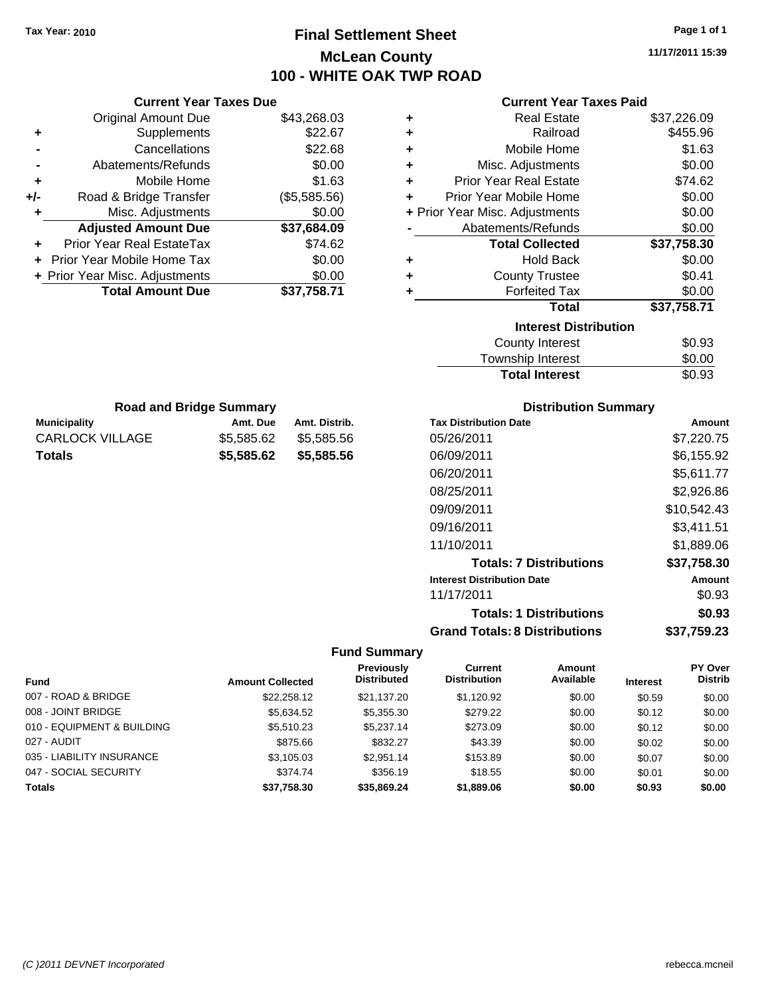# **Final Settlement Sheet Tax Year: 2010 Page 1 of 1 McLean County 100 - WHITE OAK TWP ROAD**

**11/17/2011 15:39**

| <b>Current Year Taxes Paid</b> |  |  |  |
|--------------------------------|--|--|--|
|--------------------------------|--|--|--|

|               | <b>Current Year Taxes Due</b>  |            |               |   |                       |
|---------------|--------------------------------|------------|---------------|---|-----------------------|
|               | <b>Original Amount Due</b>     |            | \$43,268.03   | ٠ |                       |
| ٠             | Supplements                    |            | \$22.67       | ٠ |                       |
|               | Cancellations                  |            | \$22.68       | ٠ |                       |
|               | Abatements/Refunds             |            | \$0.00        | ÷ | Mis                   |
|               | Mobile Home                    |            | \$1.63        | ٠ | Prior Y               |
| +/-           | Road & Bridge Transfer         |            | (\$5,585.56)  | ٠ | Prior Yea             |
| ٠             | Misc. Adjustments              |            | \$0.00        |   | + Prior Year Mis      |
|               | <b>Adjusted Amount Due</b>     |            | \$37,684.09   |   | Abate                 |
| ٠             | Prior Year Real EstateTax      |            | \$74.62       |   |                       |
|               | Prior Year Mobile Home Tax     |            | \$0.00        | ٠ |                       |
|               | + Prior Year Misc. Adjustments |            | \$0.00        | ٠ |                       |
|               | <b>Total Amount Due</b>        |            | \$37,758.71   | ٠ |                       |
|               |                                |            |               |   | To                    |
|               | <b>Road and Bridge Summary</b> |            |               |   |                       |
|               | <b>Municipality</b>            | Amt. Due   | Amt. Distrib. |   | <b>Tax Distributi</b> |
|               | <b>CARLOCK VILLAGE</b>         | \$5,585.62 | \$5,585.56    |   | 05/26/2011            |
| <b>Totals</b> |                                | \$5,585.62 | \$5,585.56    |   | 06/09/2011            |
|               |                                |            |               |   | 06/20/2011            |
|               |                                |            |               |   | 08/25/2011            |
|               |                                |            |               |   | 09/09/2011            |
|               |                                |            |               |   | 09/16/2011            |
|               |                                |            |               |   | 11/10/2011            |

| ٠ | <b>Real Estate</b>             | \$37,226.09 |
|---|--------------------------------|-------------|
| ÷ | Railroad                       | \$455.96    |
| ÷ | Mobile Home                    | \$1.63      |
| ÷ | Misc. Adjustments              | \$0.00      |
| ÷ | Prior Year Real Estate         | \$74.62     |
| ٠ | Prior Year Mobile Home         | \$0.00      |
|   | + Prior Year Misc. Adjustments | \$0.00      |
|   | Abatements/Refunds             | \$0.00      |
|   | <b>Total Collected</b>         | \$37,758.30 |
| ٠ | Hold Back                      | \$0.00      |
| ٠ | <b>County Trustee</b>          | \$0.41      |
| ٠ | <b>Forfeited Tax</b>           | \$0.00      |
|   | Total                          | \$37,758.71 |
|   | <b>Interest Distribution</b>   |             |
|   | <b>County Interest</b>         | \$0.93      |
|   | <b>Township Interest</b>       | \$0.00      |
|   | <b>Total Interest</b>          | \$0.93      |

# **Distribution Summary**

| <b>Tax Distribution Date</b>         | Amount      |
|--------------------------------------|-------------|
| 05/26/2011                           | \$7,220.75  |
| 06/09/2011                           | \$6,155.92  |
| 06/20/2011                           | \$5,611.77  |
| 08/25/2011                           | \$2,926.86  |
| 09/09/2011                           | \$10,542.43 |
| 09/16/2011                           | \$3,411.51  |
| 11/10/2011                           | \$1,889.06  |
| <b>Totals: 7 Distributions</b>       | \$37,758.30 |
| <b>Interest Distribution Date</b>    | Amount      |
| 11/17/2011                           | \$0.93      |
| <b>Totals: 1 Distributions</b>       | \$0.93      |
| <b>Grand Totals: 8 Distributions</b> | \$37,759.23 |

| Fund                       | <b>Amount Collected</b> | Previously<br><b>Distributed</b> | Current<br><b>Distribution</b> | Amount<br>Available | <b>Interest</b> | <b>PY Over</b><br><b>Distrib</b> |
|----------------------------|-------------------------|----------------------------------|--------------------------------|---------------------|-----------------|----------------------------------|
| 007 - ROAD & BRIDGE        | \$22,258.12             | \$21.137.20                      | \$1.120.92                     | \$0.00              | \$0.59          | \$0.00                           |
| 008 - JOINT BRIDGE         | \$5.634.52              | \$5,355.30                       | \$279.22                       | \$0.00              | \$0.12          | \$0.00                           |
| 010 - EQUIPMENT & BUILDING | \$5,510.23              | \$5,237.14                       | \$273.09                       | \$0.00              | \$0.12          | \$0.00                           |
| 027 - AUDIT                | \$875.66                | \$832.27                         | \$43.39                        | \$0.00              | \$0.02          | \$0.00                           |
| 035 - LIABILITY INSURANCE  | \$3,105.03              | \$2.951.14                       | \$153.89                       | \$0.00              | \$0.07          | \$0.00                           |
| 047 - SOCIAL SECURITY      | \$374.74                | \$356.19                         | \$18.55                        | \$0.00              | \$0.01          | \$0.00                           |
| <b>Totals</b>              | \$37,758.30             | \$35.869.24                      | \$1,889.06                     | \$0.00              | \$0.93          | \$0.00                           |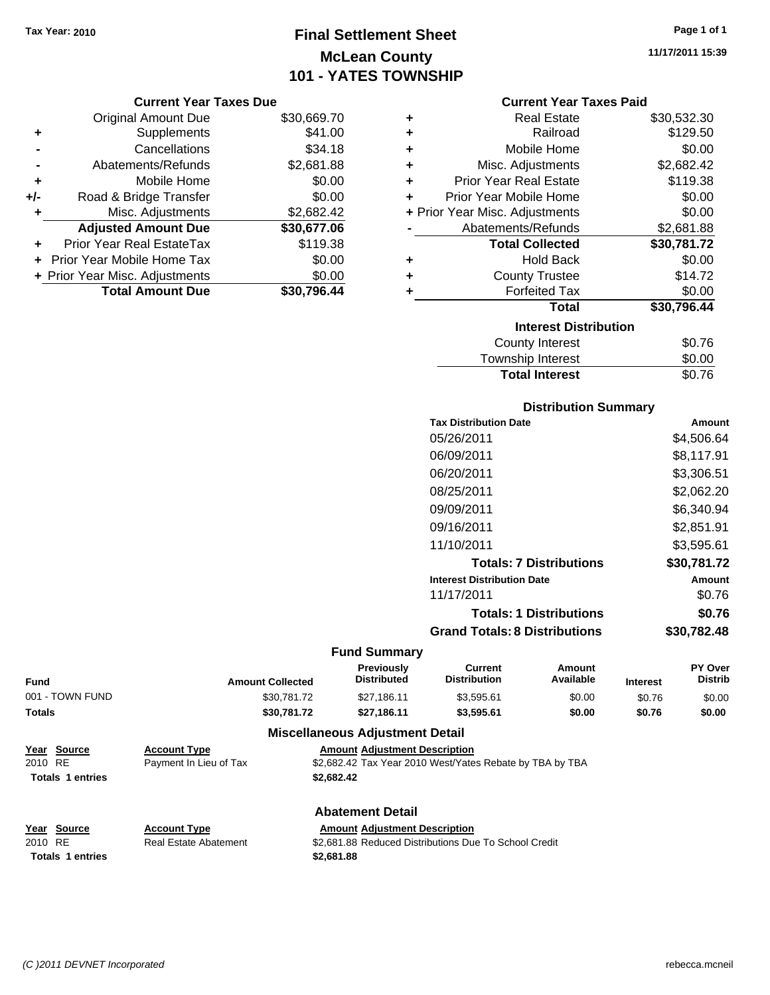# **Final Settlement Sheet Tax Year: 2010 Page 1 of 1 McLean County 101 - YATES TOWNSHIP**

#### **Current Year Taxes Due**

|       | <b>Original Amount Due</b>       | \$30,669.70 |  |
|-------|----------------------------------|-------------|--|
| ٠     | Supplements                      | \$41.00     |  |
|       | \$34.18<br>Cancellations         |             |  |
|       | Abatements/Refunds               | \$2,681.88  |  |
| ÷     | Mobile Home                      | \$0.00      |  |
| $+/-$ | Road & Bridge Transfer           | \$0.00      |  |
| ٠     | Misc. Adjustments                | \$2,682.42  |  |
|       | <b>Adjusted Amount Due</b>       | \$30,677.06 |  |
|       | <b>Prior Year Real EstateTax</b> | \$119.38    |  |
|       | Prior Year Mobile Home Tax       | \$0.00      |  |
|       | + Prior Year Misc. Adjustments   | \$0.00      |  |
|       | <b>Total Amount Due</b>          | \$30,796.44 |  |

#### **Current Year Taxes Paid**

| ٠ | <b>Real Estate</b>             | \$30,532.30 |
|---|--------------------------------|-------------|
| ÷ | Railroad                       | \$129.50    |
| ٠ | Mobile Home                    | \$0.00      |
| ٠ | Misc. Adjustments              | \$2,682.42  |
| ٠ | <b>Prior Year Real Estate</b>  | \$119.38    |
| ٠ | Prior Year Mobile Home         | \$0.00      |
|   | + Prior Year Misc. Adjustments | \$0.00      |
|   | Abatements/Refunds             | \$2,681.88  |
|   | <b>Total Collected</b>         | \$30,781.72 |
| ٠ | Hold Back                      | \$0.00      |
| ÷ | <b>County Trustee</b>          | \$14.72     |
| ٠ | <b>Forfeited Tax</b>           | \$0.00      |
|   | Total                          | \$30,796.44 |
|   | <b>Interest Distribution</b>   |             |
|   | <b>County Interest</b>         | \$0.76      |
|   | <b>Township Interest</b>       | \$0.00      |
|   | <b>Total Interest</b>          | \$0.76      |

## **Distribution Summary**

| <b>Tax Distribution Date</b>         | Amount      |  |  |
|--------------------------------------|-------------|--|--|
| 05/26/2011                           | \$4,506.64  |  |  |
| 06/09/2011                           | \$8,117.91  |  |  |
| 06/20/2011                           | \$3,306.51  |  |  |
| 08/25/2011                           | \$2,062.20  |  |  |
| 09/09/2011                           | \$6.340.94  |  |  |
| 09/16/2011                           | \$2,851.91  |  |  |
| 11/10/2011                           | \$3,595.61  |  |  |
| <b>Totals: 7 Distributions</b>       | \$30,781.72 |  |  |
| <b>Interest Distribution Date</b>    | Amount      |  |  |
| 11/17/2011                           | \$0.76      |  |  |
| <b>Totals: 1 Distributions</b>       | \$0.76      |  |  |
| <b>Grand Totals: 8 Distributions</b> | \$30.782.48 |  |  |

#### **Fund Summary**

| <b>Fund</b>     | <b>Amount Collected</b> | <b>Previously</b><br>Distributed       | Current<br><b>Distribution</b> | Amount<br>Available | <b>Interest</b> | PY Over<br><b>Distrib</b> |
|-----------------|-------------------------|----------------------------------------|--------------------------------|---------------------|-----------------|---------------------------|
| 001 - TOWN FUND | \$30.781.72             | \$27.186.11                            | \$3.595.61                     | \$0.00              | \$0.76          | \$0.00                    |
| <b>Totals</b>   | \$30.781.72             | \$27.186.11                            | \$3.595.61                     | \$0.00              | \$0.76          | \$0.00                    |
|                 |                         | <b>Miscellaneous Adjustment Detail</b> |                                |                     |                 |                           |

## **Year Source Account Type Amount Adjustment Description** 2010 RE Payment In Lieu of Tax \$2,682.42 Tax Year 2010 West/Yates Rebate by TBA by TBA **Totals \$2,682.42 1 entries**

**Totals \$2,681.88 1 entries**

**Year Source Account Type Amount Adjustment Description**

# **Abatement Detail**

2010 RE **\$2,681.88 Reduced Distributions Due To School Credit** Real Estate Abatement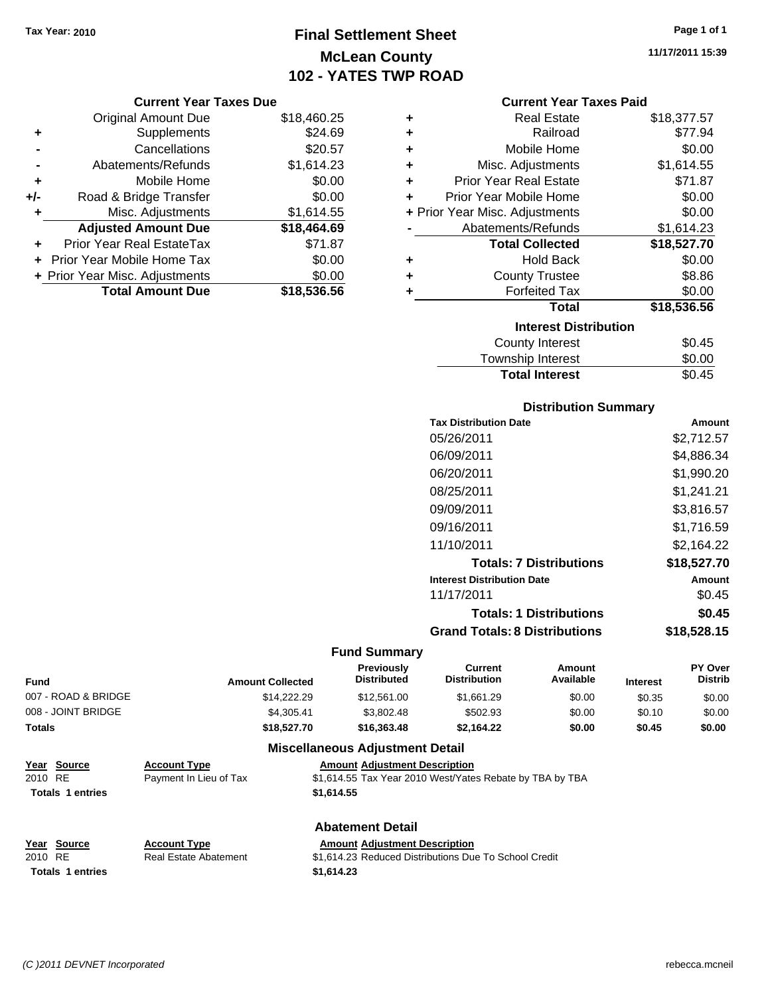# **Final Settlement Sheet Tax Year: 2010 Page 1 of 1 McLean County 102 - YATES TWP ROAD**

## **Current Year Taxes Due**

|       | <b>Original Amount Due</b>     | \$18,460.25 |  |
|-------|--------------------------------|-------------|--|
| ٠     | Supplements                    | \$24.69     |  |
|       | \$20.57<br>Cancellations       |             |  |
|       | Abatements/Refunds             | \$1,614.23  |  |
| ÷     | Mobile Home                    | \$0.00      |  |
| $+/-$ | Road & Bridge Transfer         | \$0.00      |  |
| ٠     | Misc. Adjustments              | \$1,614.55  |  |
|       | <b>Adjusted Amount Due</b>     | \$18,464.69 |  |
|       | Prior Year Real EstateTax      | \$71.87     |  |
|       | Prior Year Mobile Home Tax     | \$0.00      |  |
|       | + Prior Year Misc. Adjustments | \$0.00      |  |
|       | <b>Total Amount Due</b>        | \$18,536.56 |  |

#### **Current Year Taxes Paid**

| ٠ | <b>Real Estate</b>               | \$18,377.57 |  |
|---|----------------------------------|-------------|--|
| ٠ | Railroad                         | \$77.94     |  |
| ÷ | Mobile Home                      | \$0.00      |  |
| ٠ | Misc. Adjustments                | \$1,614.55  |  |
| ٠ | <b>Prior Year Real Estate</b>    | \$71.87     |  |
| ٠ | Prior Year Mobile Home           | \$0.00      |  |
|   | + Prior Year Misc. Adjustments   | \$0.00      |  |
|   | \$1,614.23<br>Abatements/Refunds |             |  |
|   | <b>Total Collected</b>           | \$18,527.70 |  |
| ٠ | <b>Hold Back</b>                 | \$0.00      |  |
| ٠ | <b>County Trustee</b>            | \$8.86      |  |
| ٠ | <b>Forfeited Tax</b>             | \$0.00      |  |
|   | Total                            | \$18,536.56 |  |
|   | <b>Interest Distribution</b>     |             |  |
|   | <b>County Interest</b>           | \$0.45      |  |
|   | <b>Township Interest</b>         | \$0.00      |  |
|   | <b>Total Interest</b>            | \$0.45      |  |

# **Distribution Summary**

| <b>Tax Distribution Date</b>         | Amount      |
|--------------------------------------|-------------|
| 05/26/2011                           | \$2,712.57  |
| 06/09/2011                           | \$4,886.34  |
| 06/20/2011                           | \$1,990.20  |
| 08/25/2011                           | \$1,241.21  |
| 09/09/2011                           | \$3,816.57  |
| 09/16/2011                           | \$1,716.59  |
| 11/10/2011                           | \$2,164.22  |
| <b>Totals: 7 Distributions</b>       | \$18,527.70 |
| <b>Interest Distribution Date</b>    | Amount      |
| 11/17/2011                           | \$0.45      |
| <b>Totals: 1 Distributions</b>       | \$0.45      |
| <b>Grand Totals: 8 Distributions</b> | \$18,528.15 |

# **Fund Summary**

| <b>Fund</b>         | <b>Amount Collected</b> | <b>Previously</b><br><b>Distributed</b> | Current<br><b>Distribution</b> | Amount<br>Available | <b>Interest</b> | <b>PY Over</b><br><b>Distrib</b> |
|---------------------|-------------------------|-----------------------------------------|--------------------------------|---------------------|-----------------|----------------------------------|
| 007 - ROAD & BRIDGE | \$14,222,29             | \$12,561.00                             | \$1.661.29                     | \$0.00              | \$0.35          | \$0.00                           |
| 008 - JOINT BRIDGE  | \$4.305.41              | \$3,802.48                              | \$502.93                       | \$0.00              | \$0.10          | \$0.00                           |
| Totals              | \$18,527.70             | \$16,363,48                             | \$2.164.22                     | \$0.00              | \$0.45          | \$0.00                           |

# **Miscellaneous Adjustment Detail**

| Year Source             | <b>Account Type</b>    | <b>Amount Adiustment Description</b>                     |
|-------------------------|------------------------|----------------------------------------------------------|
| 2010 RE                 | Payment In Lieu of Tax | \$1,614.55 Tax Year 2010 West/Yates Rebate by TBA by TBA |
| <b>Totals 1 entries</b> |                        | \$1.614.55                                               |

#### **Abatement Detail**

| Year Source             | <b>Account Type</b>   | <b>Amount Adiustment Description</b>                  |
|-------------------------|-----------------------|-------------------------------------------------------|
| 2010 RE                 | Real Estate Abatement | \$1.614.23 Reduced Distributions Due To School Credit |
| <b>Totals 1 entries</b> |                       | \$1.614.23                                            |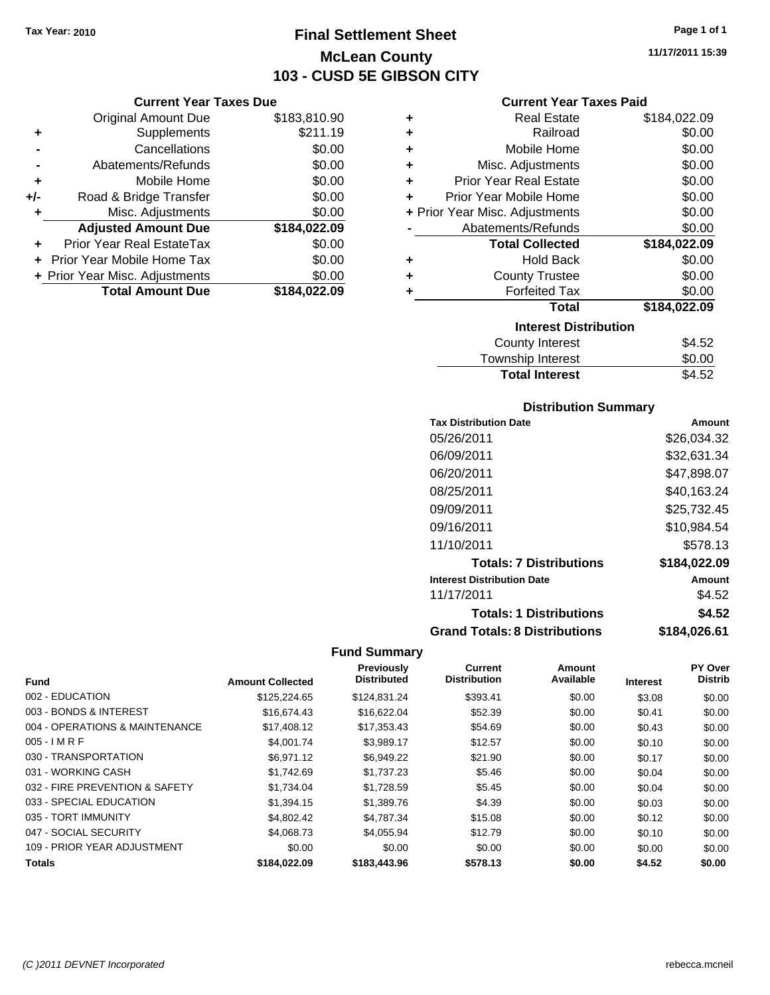# **Final Settlement Sheet Tax Year: 2010 Page 1 of 1 McLean County 103 - CUSD 5E GIBSON CITY**

#### **Current Year Taxes Due**

|       | <b>Original Amount Due</b>     | \$183,810.90 |
|-------|--------------------------------|--------------|
| ٠     | Supplements                    | \$211.19     |
|       | Cancellations                  | \$0.00       |
|       | Abatements/Refunds             | \$0.00       |
| ÷     | Mobile Home                    | \$0.00       |
| $+/-$ | Road & Bridge Transfer         | \$0.00       |
| ٠     | Misc. Adjustments              | \$0.00       |
|       | <b>Adjusted Amount Due</b>     | \$184,022.09 |
|       | Prior Year Real EstateTax      | \$0.00       |
|       | Prior Year Mobile Home Tax     | \$0.00       |
|       | + Prior Year Misc. Adjustments | \$0.00       |
|       | <b>Total Amount Due</b>        | \$184,022.09 |

## **Current Year Taxes Paid**

| \$184,022.09                 |
|------------------------------|
| \$0.00                       |
| \$0.00                       |
| \$0.00                       |
| \$0.00                       |
| \$0.00                       |
| \$0.00                       |
| \$0.00                       |
| \$184,022.09                 |
| \$0.00                       |
| \$0.00                       |
| \$0.00                       |
| \$184,022.09                 |
| <b>Interest Distribution</b> |
| \$4.52                       |
|                              |

# Township Interest \$0.00<br>
Total Interest \$4.52 **Total Interest**

# **Distribution Summary**

| <b>Tax Distribution Date</b>         | Amount       |
|--------------------------------------|--------------|
| 05/26/2011                           | \$26.034.32  |
| 06/09/2011                           | \$32.631.34  |
| 06/20/2011                           | \$47,898.07  |
| 08/25/2011                           | \$40,163.24  |
| 09/09/2011                           | \$25,732.45  |
| 09/16/2011                           | \$10,984.54  |
| 11/10/2011                           | \$578.13     |
| <b>Totals: 7 Distributions</b>       | \$184,022.09 |
| <b>Interest Distribution Date</b>    | Amount       |
| 11/17/2011                           | \$4.52       |
| <b>Totals: 1 Distributions</b>       | \$4.52       |
| <b>Grand Totals: 8 Distributions</b> | \$184,026.61 |

|                                |                         | Previously         | Current             | Amount    |                 | PY Over        |
|--------------------------------|-------------------------|--------------------|---------------------|-----------|-----------------|----------------|
| <b>Fund</b>                    | <b>Amount Collected</b> | <b>Distributed</b> | <b>Distribution</b> | Available | <b>Interest</b> | <b>Distrib</b> |
| 002 - EDUCATION                | \$125,224.65            | \$124,831.24       | \$393.41            | \$0.00    | \$3.08          | \$0.00         |
| 003 - BONDS & INTEREST         | \$16,674.43             | \$16,622,04        | \$52.39             | \$0.00    | \$0.41          | \$0.00         |
| 004 - OPERATIONS & MAINTENANCE | \$17,408.12             | \$17,353.43        | \$54.69             | \$0.00    | \$0.43          | \$0.00         |
| $005 - IMRF$                   | \$4,001.74              | \$3,989.17         | \$12.57             | \$0.00    | \$0.10          | \$0.00         |
| 030 - TRANSPORTATION           | \$6.971.12              | \$6,949.22         | \$21.90             | \$0.00    | \$0.17          | \$0.00         |
| 031 - WORKING CASH             | \$1.742.69              | \$1.737.23         | \$5.46              | \$0.00    | \$0.04          | \$0.00         |
| 032 - FIRE PREVENTION & SAFETY | \$1.734.04              | \$1.728.59         | \$5.45              | \$0.00    | \$0.04          | \$0.00         |
| 033 - SPECIAL EDUCATION        | \$1.394.15              | \$1,389.76         | \$4.39              | \$0.00    | \$0.03          | \$0.00         |
| 035 - TORT IMMUNITY            | \$4,802.42              | \$4.787.34         | \$15.08             | \$0.00    | \$0.12          | \$0.00         |
| 047 - SOCIAL SECURITY          | \$4,068,73              | \$4,055.94         | \$12.79             | \$0.00    | \$0.10          | \$0.00         |
| 109 - PRIOR YEAR ADJUSTMENT    | \$0.00                  | \$0.00             | \$0.00              | \$0.00    | \$0.00          | \$0.00         |
| <b>Totals</b>                  | \$184.022.09            | \$183,443.96       | \$578.13            | \$0.00    | \$4.52          | \$0.00         |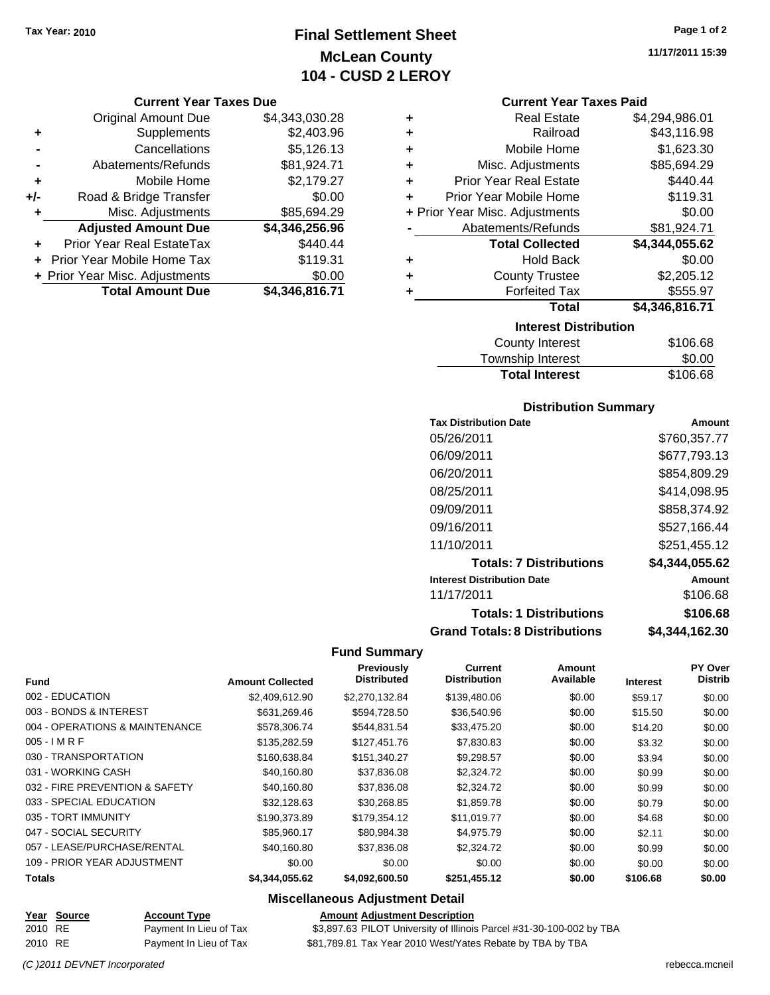# **Final Settlement Sheet Tax Year: 2010 Page 1 of 2 McLean County 104 - CUSD 2 LEROY**

## **Current Year Taxes Due**

|       | <b>Original Amount Due</b>        | \$4,343,030.28 |
|-------|-----------------------------------|----------------|
| ٠     | Supplements                       | \$2,403.96     |
|       | Cancellations                     | \$5,126.13     |
|       | Abatements/Refunds                | \$81,924.71    |
| ٠     | Mobile Home                       | \$2,179.27     |
| $+/-$ | Road & Bridge Transfer            | \$0.00         |
|       | Misc. Adjustments                 | \$85,694.29    |
|       | <b>Adjusted Amount Due</b>        | \$4,346,256.96 |
| ٠     | Prior Year Real EstateTax         | \$440.44       |
|       | <b>Prior Year Mobile Home Tax</b> | \$119.31       |
|       | + Prior Year Misc. Adjustments    | \$0.00         |
|       | <b>Total Amount Due</b>           | \$4,346,816.71 |

| ٠ | <b>Real Estate</b>             | \$4,294,986.01 |
|---|--------------------------------|----------------|
| ٠ | Railroad                       | \$43,116.98    |
| ٠ | Mobile Home                    | \$1,623.30     |
| ٠ | Misc. Adjustments              | \$85,694.29    |
| ÷ | <b>Prior Year Real Estate</b>  | \$440.44       |
| ÷ | Prior Year Mobile Home         | \$119.31       |
|   | + Prior Year Misc. Adjustments | \$0.00         |
|   | Abatements/Refunds             | \$81,924.71    |
|   | <b>Total Collected</b>         | \$4,344,055.62 |
| ٠ | <b>Hold Back</b>               | \$0.00         |
| ٠ | <b>County Trustee</b>          | \$2,205.12     |
| ٠ | <b>Forfeited Tax</b>           | \$555.97       |
|   | Total                          | \$4,346,816.71 |
|   | <b>Interest Distribution</b>   |                |
|   | County Interest                | <b>¢106 68</b> |

| County Interest       | \$106.68 |
|-----------------------|----------|
| Township Interest     | \$0.00   |
| <b>Total Interest</b> | \$106.68 |

# **Distribution Summary**

| <b>Tax Distribution Date</b>         | Amount         |
|--------------------------------------|----------------|
| 05/26/2011                           | \$760,357.77   |
| 06/09/2011                           | \$677,793.13   |
| 06/20/2011                           | \$854,809.29   |
| 08/25/2011                           | \$414,098.95   |
| 09/09/2011                           | \$858,374.92   |
| 09/16/2011                           | \$527,166.44   |
| 11/10/2011                           | \$251.455.12   |
| <b>Totals: 7 Distributions</b>       | \$4,344,055.62 |
| <b>Interest Distribution Date</b>    | Amount         |
| 11/17/2011                           | \$106.68       |
| <b>Totals: 1 Distributions</b>       | \$106.68       |
| <b>Grand Totals: 8 Distributions</b> | \$4,344,162.30 |

## **Fund Summary**

 $\overline{\phantom{0}}$ 

|                                |                         | Previously         | Current             | Amount    |                 | <b>PY Over</b> |
|--------------------------------|-------------------------|--------------------|---------------------|-----------|-----------------|----------------|
| <b>Fund</b>                    | <b>Amount Collected</b> | <b>Distributed</b> | <b>Distribution</b> | Available | <b>Interest</b> | <b>Distrib</b> |
| 002 - EDUCATION                | \$2,409,612.90          | \$2,270,132.84     | \$139,480.06        | \$0.00    | \$59.17         | \$0.00         |
| 003 - BONDS & INTEREST         | \$631,269.46            | \$594,728.50       | \$36,540.96         | \$0.00    | \$15.50         | \$0.00         |
| 004 - OPERATIONS & MAINTENANCE | \$578,306.74            | \$544.831.54       | \$33,475.20         | \$0.00    | \$14.20         | \$0.00         |
| $005 - I$ M R F                | \$135,282.59            | \$127,451.76       | \$7,830.83          | \$0.00    | \$3.32          | \$0.00         |
| 030 - TRANSPORTATION           | \$160,638.84            | \$151.340.27       | \$9,298.57          | \$0.00    | \$3.94          | \$0.00         |
| 031 - WORKING CASH             | \$40,160.80             | \$37,836.08        | \$2,324.72          | \$0.00    | \$0.99          | \$0.00         |
| 032 - FIRE PREVENTION & SAFETY | \$40,160.80             | \$37,836.08        | \$2,324.72          | \$0.00    | \$0.99          | \$0.00         |
| 033 - SPECIAL EDUCATION        | \$32,128.63             | \$30,268.85        | \$1,859.78          | \$0.00    | \$0.79          | \$0.00         |
| 035 - TORT IMMUNITY            | \$190.373.89            | \$179.354.12       | \$11.019.77         | \$0.00    | \$4.68          | \$0.00         |
| 047 - SOCIAL SECURITY          | \$85.960.17             | \$80.984.38        | \$4,975.79          | \$0.00    | \$2.11          | \$0.00         |
| 057 - LEASE/PURCHASE/RENTAL    | \$40,160.80             | \$37,836,08        | \$2,324.72          | \$0.00    | \$0.99          | \$0.00         |
| 109 - PRIOR YEAR ADJUSTMENT    | \$0.00                  | \$0.00             | \$0.00              | \$0.00    | \$0.00          | \$0.00         |
| Totals                         | \$4,344,055.62          | \$4.092.600.50     | \$251,455.12        | \$0.00    | \$106.68        | \$0.00         |

# **Miscellaneous Adjustment Detail**

|         | Year Source | <b>Account Type</b>    | <b>Amount Adjustment Description</b>                                 |
|---------|-------------|------------------------|----------------------------------------------------------------------|
| 2010 RE |             | Payment In Lieu of Tax | \$3,897.63 PILOT University of Illinois Parcel #31-30-100-002 by TBA |
| 2010 RE |             | Payment In Lieu of Tax | \$81,789.81 Tax Year 2010 West/Yates Rebate by TBA by TBA            |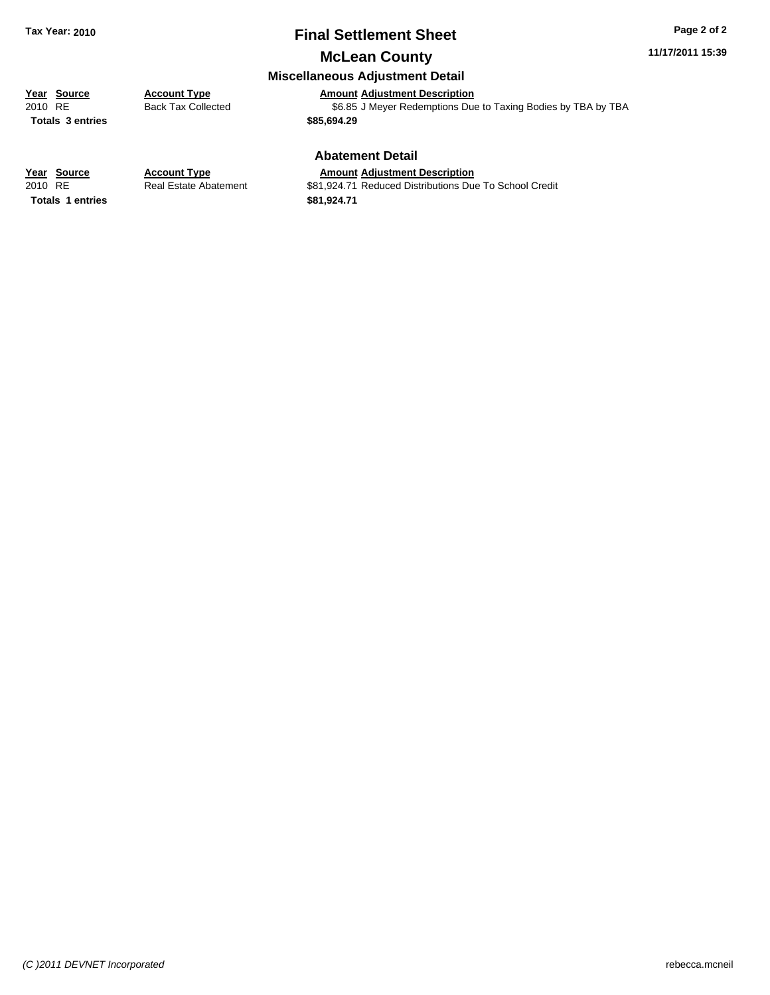# **Final Settlement Sheet Tax Year: 2010 Page 2 of 2**

# **McLean County**

## **Miscellaneous Adjustment Detail**

# **Year Source Account Type Amount Adjustment Description**<br>
2010 RE Back Tax Collected \$6.85 J Meyer Redemptions Due

**Totals \$85,694.29 3 entries**

Back Tax Collected **2010 SEALUM** \$6.85 J Meyer Redemptions Due to Taxing Bodies by TBA by TBA

## **Abatement Detail**

#### **Year Source Account Type Amount Adjustment Description**

**Totals 1 entries** \$81,924.71

2010 RE **1200 Real Estate Abatement** \$81,924.71 Reduced Distributions Due To School Credit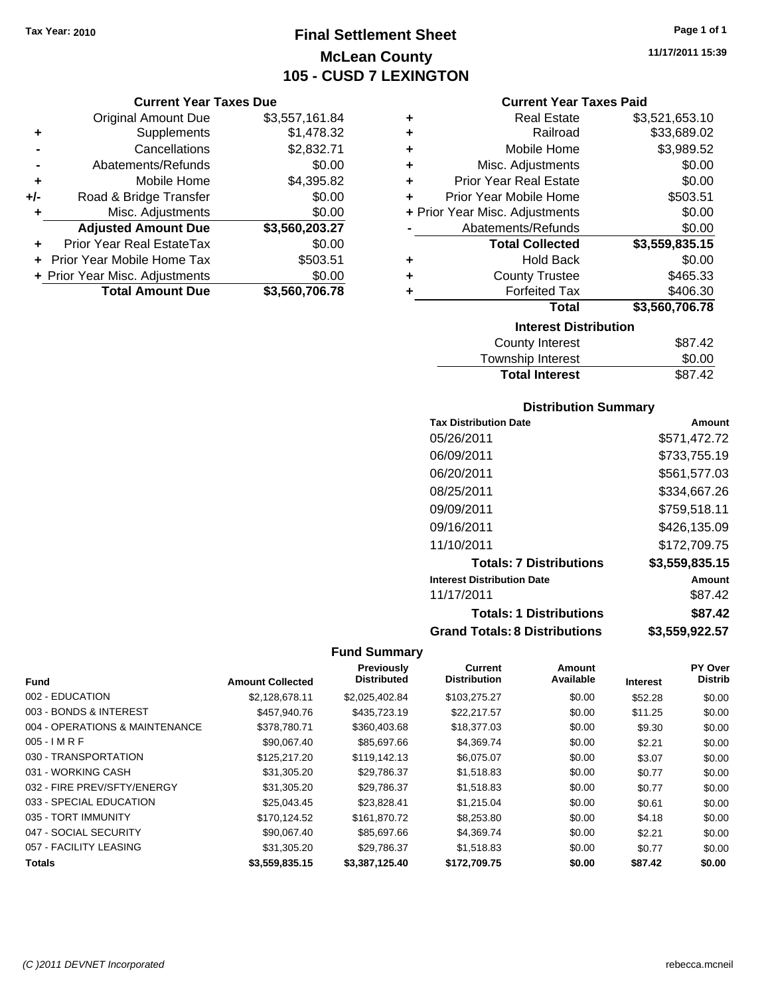# **Final Settlement Sheet Tax Year: 2010 Page 1 of 1 McLean County 105 - CUSD 7 LEXINGTON**

# **Current Year Taxes Paid**

| <b>Current Year Taxes Due</b> |                                |  |  |  |  |
|-------------------------------|--------------------------------|--|--|--|--|
| Original Amount Due           | \$3,557,161.84                 |  |  |  |  |
| Supplements                   | \$1,478.32                     |  |  |  |  |
| Cancellations                 | \$2,832.71                     |  |  |  |  |
| Abatements/Refunds            | \$0.00                         |  |  |  |  |
| Mobile Home                   | \$4,395.82                     |  |  |  |  |
| Road & Bridge Transfer        | \$0.00                         |  |  |  |  |
| Misc. Adjustments             | \$0.00                         |  |  |  |  |
| <b>Adjusted Amount Due</b>    | \$3,560,203.27                 |  |  |  |  |
| Prior Year Real EstateTax     | \$0.00                         |  |  |  |  |
| Prior Year Mobile Home Tax    | \$503.51                       |  |  |  |  |
|                               | \$0.00                         |  |  |  |  |
| <b>Total Amount Due</b>       | \$3,560,706.78                 |  |  |  |  |
|                               | + Prior Year Misc. Adjustments |  |  |  |  |

| ٠ | <b>Real Estate</b>             | \$3,521,653.10 |  |  |  |  |
|---|--------------------------------|----------------|--|--|--|--|
| ÷ | Railroad                       | \$33,689.02    |  |  |  |  |
| ÷ | Mobile Home                    | \$3,989.52     |  |  |  |  |
| ٠ | Misc. Adjustments              | \$0.00         |  |  |  |  |
| ٠ | Prior Year Real Estate         | \$0.00         |  |  |  |  |
| ٠ | Prior Year Mobile Home         | \$503.51       |  |  |  |  |
|   | + Prior Year Misc. Adjustments | \$0.00         |  |  |  |  |
|   | Abatements/Refunds             | \$0.00         |  |  |  |  |
|   | <b>Total Collected</b>         | \$3,559,835.15 |  |  |  |  |
| ٠ | <b>Hold Back</b>               | \$0.00         |  |  |  |  |
| ٠ | <b>County Trustee</b>          | \$465.33       |  |  |  |  |
| ٠ | <b>Forfeited Tax</b>           | \$406.30       |  |  |  |  |
|   | Total                          | \$3,560,706.78 |  |  |  |  |
|   | <b>Interest Distribution</b>   |                |  |  |  |  |
|   | <b>County Interest</b>         | \$87.42        |  |  |  |  |
|   | <b>Township Interest</b>       | \$0.00         |  |  |  |  |
|   | <b>Total Interest</b>          | \$87.42        |  |  |  |  |

# **Distribution Summary**

| <b>Tax Distribution Date</b>         | Amount         |
|--------------------------------------|----------------|
| 05/26/2011                           | \$571,472.72   |
| 06/09/2011                           | \$733,755.19   |
| 06/20/2011                           | \$561,577.03   |
| 08/25/2011                           | \$334,667.26   |
| 09/09/2011                           | \$759,518.11   |
| 09/16/2011                           | \$426,135.09   |
| 11/10/2011                           | \$172,709.75   |
| <b>Totals: 7 Distributions</b>       | \$3,559,835.15 |
| <b>Interest Distribution Date</b>    | Amount         |
| 11/17/2011                           | \$87.42        |
| <b>Totals: 1 Distributions</b>       | \$87.42        |
| <b>Grand Totals: 8 Distributions</b> | \$3,559,922.57 |

|                                |                         | Previously         | <b>Current</b>      | Amount    |                 | <b>PY Over</b> |
|--------------------------------|-------------------------|--------------------|---------------------|-----------|-----------------|----------------|
| Fund                           | <b>Amount Collected</b> | <b>Distributed</b> | <b>Distribution</b> | Available | <b>Interest</b> | <b>Distrib</b> |
| 002 - EDUCATION                | \$2,128,678.11          | \$2,025,402.84     | \$103,275.27        | \$0.00    | \$52.28         | \$0.00         |
| 003 - BONDS & INTEREST         | \$457,940.76            | \$435,723.19       | \$22,217.57         | \$0.00    | \$11.25         | \$0.00         |
| 004 - OPERATIONS & MAINTENANCE | \$378,780.71            | \$360,403.68       | \$18,377.03         | \$0.00    | \$9.30          | \$0.00         |
| $005 - I$ M R F                | \$90,067.40             | \$85,697.66        | \$4,369.74          | \$0.00    | \$2.21          | \$0.00         |
| 030 - TRANSPORTATION           | \$125,217.20            | \$119,142.13       | \$6,075.07          | \$0.00    | \$3.07          | \$0.00         |
| 031 - WORKING CASH             | \$31,305.20             | \$29.786.37        | \$1,518.83          | \$0.00    | \$0.77          | \$0.00         |
| 032 - FIRE PREV/SFTY/ENERGY    | \$31,305.20             | \$29,786.37        | \$1,518.83          | \$0.00    | \$0.77          | \$0.00         |
| 033 - SPECIAL EDUCATION        | \$25,043.45             | \$23.828.41        | \$1,215.04          | \$0.00    | \$0.61          | \$0.00         |
| 035 - TORT IMMUNITY            | \$170.124.52            | \$161.870.72       | \$8,253.80          | \$0.00    | \$4.18          | \$0.00         |
| 047 - SOCIAL SECURITY          | \$90,067.40             | \$85,697.66        | \$4,369.74          | \$0.00    | \$2.21          | \$0.00         |
| 057 - FACILITY LEASING         | \$31,305.20             | \$29.786.37        | \$1,518.83          | \$0.00    | \$0.77          | \$0.00         |
| <b>Totals</b>                  | \$3,559,835,15          | \$3.387.125.40     | \$172,709.75        | \$0.00    | \$87.42         | \$0.00         |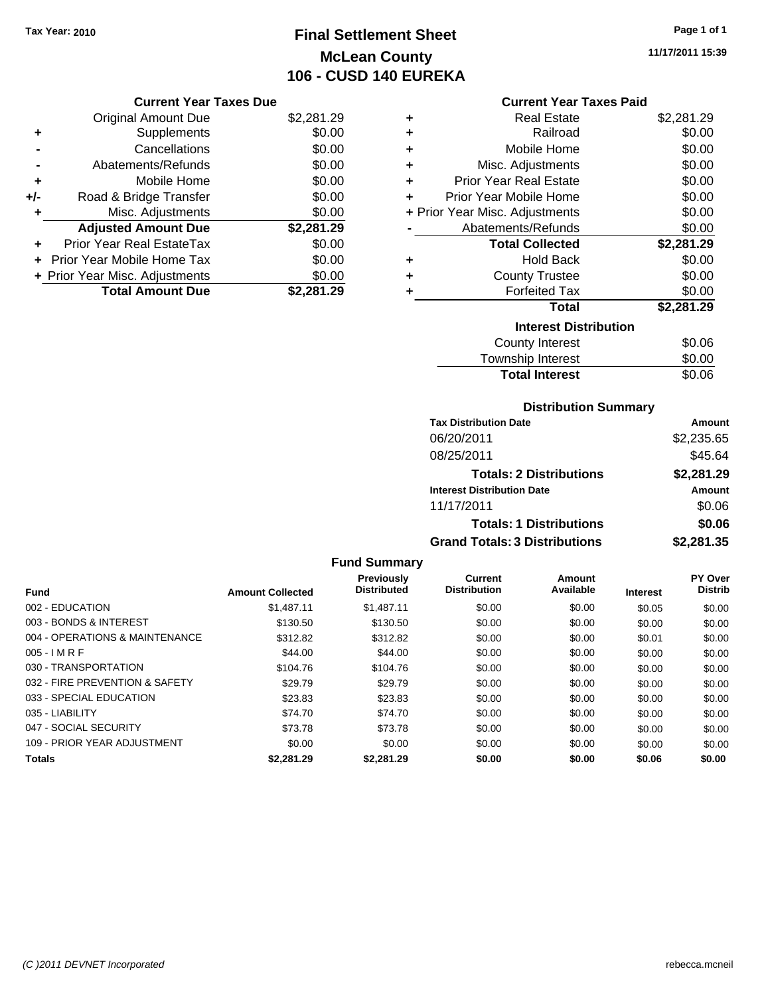# **Final Settlement Sheet Tax Year: 2010 Page 1 of 1 McLean County 106 - CUSD 140 EUREKA**

# **Current Year Taxes Due**

|       | <b>Original Amount Due</b>       | \$2,281.29 |
|-------|----------------------------------|------------|
| ٠     | Supplements                      | \$0.00     |
|       | Cancellations                    | \$0.00     |
|       | Abatements/Refunds               | \$0.00     |
| ÷     | Mobile Home                      | \$0.00     |
| $+/-$ | Road & Bridge Transfer           | \$0.00     |
| ٠     | Misc. Adjustments                | \$0.00     |
|       | <b>Adjusted Amount Due</b>       | \$2,281.29 |
|       | <b>Prior Year Real EstateTax</b> | \$0.00     |
|       | Prior Year Mobile Home Tax       | \$0.00     |
|       | + Prior Year Misc. Adjustments   | \$0.00     |
|       | <b>Total Amount Due</b>          | \$2,281.29 |

## **Current Year Taxes Paid**

| ٠                            | Real Estate                    | \$2,281.29 |  |  |  |
|------------------------------|--------------------------------|------------|--|--|--|
| ٠                            | Railroad                       | \$0.00     |  |  |  |
| ÷                            | Mobile Home                    | \$0.00     |  |  |  |
| ٠                            | Misc. Adjustments              | \$0.00     |  |  |  |
| ٠                            | Prior Year Real Estate         | \$0.00     |  |  |  |
| ٠                            | Prior Year Mobile Home         | \$0.00     |  |  |  |
|                              | + Prior Year Misc. Adjustments | \$0.00     |  |  |  |
|                              | Abatements/Refunds<br>\$0.00   |            |  |  |  |
|                              | <b>Total Collected</b>         | \$2,281.29 |  |  |  |
| ٠                            | <b>Hold Back</b>               | \$0.00     |  |  |  |
| ٠                            | <b>County Trustee</b>          | \$0.00     |  |  |  |
| ٠                            | <b>Forfeited Tax</b>           | \$0.00     |  |  |  |
|                              | Total                          | \$2,281.29 |  |  |  |
| <b>Interest Distribution</b> |                                |            |  |  |  |
|                              | County Interest                | \$0.06     |  |  |  |
|                              | <b>Township Interest</b>       | \$0.00     |  |  |  |
|                              | <b>Total Interest</b>          | \$0.06     |  |  |  |

# **Distribution Summary**

| <b>Tax Distribution Date</b>         | Amount     |
|--------------------------------------|------------|
| 06/20/2011                           | \$2,235.65 |
| 08/25/2011                           | \$45.64    |
| <b>Totals: 2 Distributions</b>       | \$2,281.29 |
| <b>Interest Distribution Date</b>    | Amount     |
| 11/17/2011                           | \$0.06     |
| <b>Totals: 1 Distributions</b>       | \$0.06     |
| <b>Grand Totals: 3 Distributions</b> | \$2,281.35 |

## **Fund Summary**

| <b>Fund</b>                    | <b>Amount Collected</b> | <b>Previously</b><br><b>Distributed</b> | Current<br><b>Distribution</b> | Amount<br>Available | <b>Interest</b> | PY Over<br><b>Distrib</b> |
|--------------------------------|-------------------------|-----------------------------------------|--------------------------------|---------------------|-----------------|---------------------------|
|                                |                         |                                         |                                |                     |                 |                           |
| 002 - EDUCATION                | \$1.487.11              | \$1.487.11                              | \$0.00                         | \$0.00              | \$0.05          | \$0.00                    |
| 003 - BONDS & INTEREST         | \$130.50                | \$130.50                                | \$0.00                         | \$0.00              | \$0.00          | \$0.00                    |
| 004 - OPERATIONS & MAINTENANCE | \$312.82                | \$312.82                                | \$0.00                         | \$0.00              | \$0.01          | \$0.00                    |
| $005 - I$ M R F                | \$44.00                 | \$44.00                                 | \$0.00                         | \$0.00              | \$0.00          | \$0.00                    |
| 030 - TRANSPORTATION           | \$104.76                | \$104.76                                | \$0.00                         | \$0.00              | \$0.00          | \$0.00                    |
| 032 - FIRE PREVENTION & SAFETY | \$29.79                 | \$29.79                                 | \$0.00                         | \$0.00              | \$0.00          | \$0.00                    |
| 033 - SPECIAL EDUCATION        | \$23.83                 | \$23.83                                 | \$0.00                         | \$0.00              | \$0.00          | \$0.00                    |
| 035 - LIABILITY                | \$74.70                 | \$74.70                                 | \$0.00                         | \$0.00              | \$0.00          | \$0.00                    |
| 047 - SOCIAL SECURITY          | \$73.78                 | \$73.78                                 | \$0.00                         | \$0.00              | \$0.00          | \$0.00                    |
| 109 - PRIOR YEAR ADJUSTMENT    | \$0.00                  | \$0.00                                  | \$0.00                         | \$0.00              | \$0.00          | \$0.00                    |
| <b>Totals</b>                  | \$2.281.29              | \$2.281.29                              | \$0.00                         | \$0.00              | \$0.06          | \$0.00                    |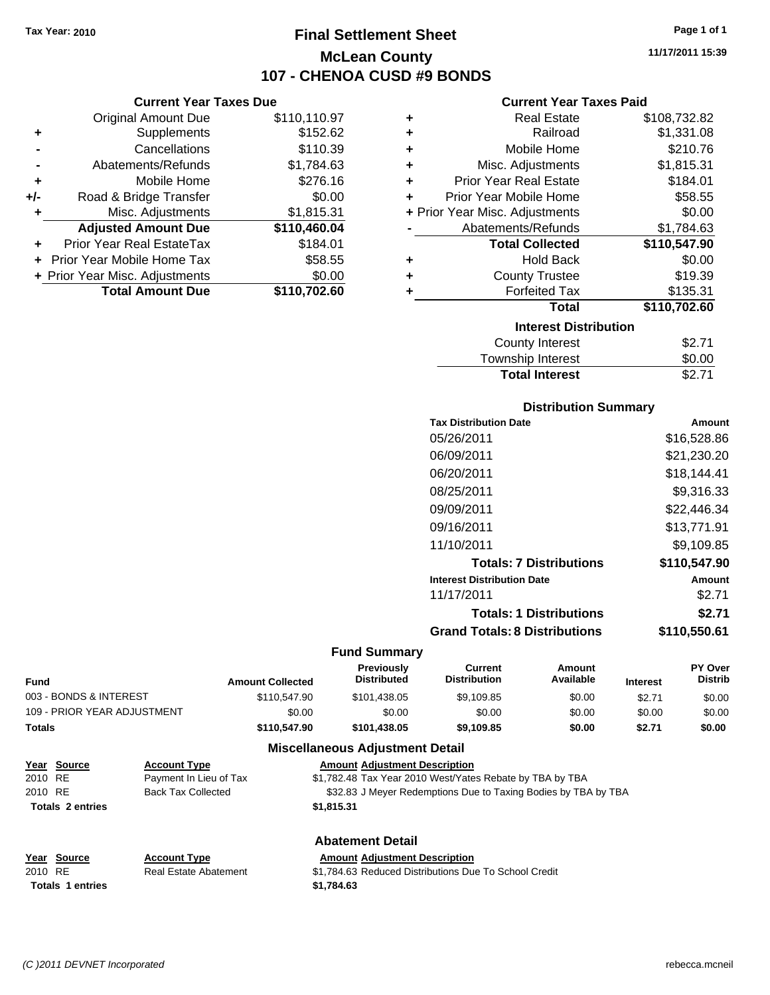**Current Year Taxes Due** Original Amount Due \$110,110.97

**Adjusted Amount Due \$110,460.04**

**Total Amount Due \$110,702.60**

**+** Supplements \$152.62 **-** Cancellations \$110.39 **-** Abatements/Refunds \$1,784.63 **+** Mobile Home \$276.16 **+/-** Road & Bridge Transfer \$0.00 **+** Misc. Adjustments \$1,815.31

**+** Prior Year Real EstateTax \$184.01 **+** Prior Year Mobile Home Tax \$58.55 **+ Prior Year Misc. Adjustments**  $$0.00$ 

# **Final Settlement Sheet Tax Year: 2010 Page 1 of 1 McLean County 107 - CHENOA CUSD #9 BONDS**

**11/17/2011 15:39**

## **Current Year Taxes Paid**

| ٠ | <b>Real Estate</b>             | \$108,732.82 |
|---|--------------------------------|--------------|
| ٠ | Railroad                       | \$1,331.08   |
| ÷ | Mobile Home                    | \$210.76     |
| ÷ | Misc. Adjustments              | \$1,815.31   |
| ÷ | <b>Prior Year Real Estate</b>  | \$184.01     |
| ÷ | Prior Year Mobile Home         | \$58.55      |
|   | + Prior Year Misc. Adjustments | \$0.00       |
|   | Abatements/Refunds             | \$1,784.63   |
|   | <b>Total Collected</b>         | \$110,547.90 |
| ٠ | <b>Hold Back</b>               | \$0.00       |
| ٠ | <b>County Trustee</b>          | \$19.39      |
| ÷ | <b>Forfeited Tax</b>           | \$135.31     |
|   | <b>Total</b>                   | \$110,702.60 |
|   | <b>Interest Distribution</b>   |              |
|   | <b>County Interest</b>         | \$2.71       |
|   | Townehin Interact              | ደስ ሰስ        |

| <b>Total Interest</b>   | \$2.71      |
|-------------------------|-------------|
| Township Interest       | \$0.00      |
| <b>OVAILLY THIGLEST</b> | <b>ULII</b> |

## **Distribution Summary**

| <b>Tax Distribution Date</b>         | Amount       |
|--------------------------------------|--------------|
| 05/26/2011                           | \$16,528.86  |
| 06/09/2011                           | \$21,230.20  |
| 06/20/2011                           | \$18.144.41  |
| 08/25/2011                           | \$9,316.33   |
| 09/09/2011                           | \$22.446.34  |
| 09/16/2011                           | \$13.771.91  |
| 11/10/2011                           | \$9,109.85   |
| <b>Totals: 7 Distributions</b>       | \$110,547.90 |
| <b>Interest Distribution Date</b>    | Amount       |
| 11/17/2011                           | \$2.71       |
| <b>Totals: 1 Distributions</b>       | \$2.71       |
| <b>Grand Totals: 8 Distributions</b> | \$110,550.61 |

#### **Fund Summary**

| <b>Fund</b>                 | <b>Amount Collected</b> | <b>Previously</b><br><b>Distributed</b> | Current<br><b>Distribution</b> | Amount<br>Available | <b>Interest</b> | <b>PY Over</b><br><b>Distrib</b> |
|-----------------------------|-------------------------|-----------------------------------------|--------------------------------|---------------------|-----------------|----------------------------------|
| 003 - BONDS & INTEREST      | \$110,547.90            | \$101.438.05                            | \$9,109.85                     | \$0.00              | \$2.71          | \$0.00                           |
| 109 - PRIOR YEAR ADJUSTMENT | \$0.00                  | \$0.00                                  | \$0.00                         | \$0.00              | \$0.00          | \$0.00                           |
| <b>Totals</b>               | \$110,547.90            | \$101.438.05                            | \$9.109.85                     | \$0.00              | \$2.71          | \$0.00                           |

# **Miscellaneous Adjustment Detail**

| Year Source             | <b>Account Type</b>       | <b>Amount Adjustment Description</b>                           |
|-------------------------|---------------------------|----------------------------------------------------------------|
| 2010 RE                 | Payment In Lieu of Tax    | \$1,782.48 Tax Year 2010 West/Yates Rebate by TBA by TBA       |
| 2010 RE                 | <b>Back Tax Collected</b> | \$32.83 J Meyer Redemptions Due to Taxing Bodies by TBA by TBA |
| <b>Totals 2 entries</b> |                           | \$1.815.31                                                     |
|                         |                           | <b>Abatement Detail</b>                                        |

|         | Year Source      | <b>Account Type</b>   | <b>Amount Adiustment Description</b>                  |
|---------|------------------|-----------------------|-------------------------------------------------------|
| 2010 RE |                  | Real Estate Abatement | \$1.784.63 Reduced Distributions Due To School Credit |
|         | Totals 1 entries |                       | \$1.784.63                                            |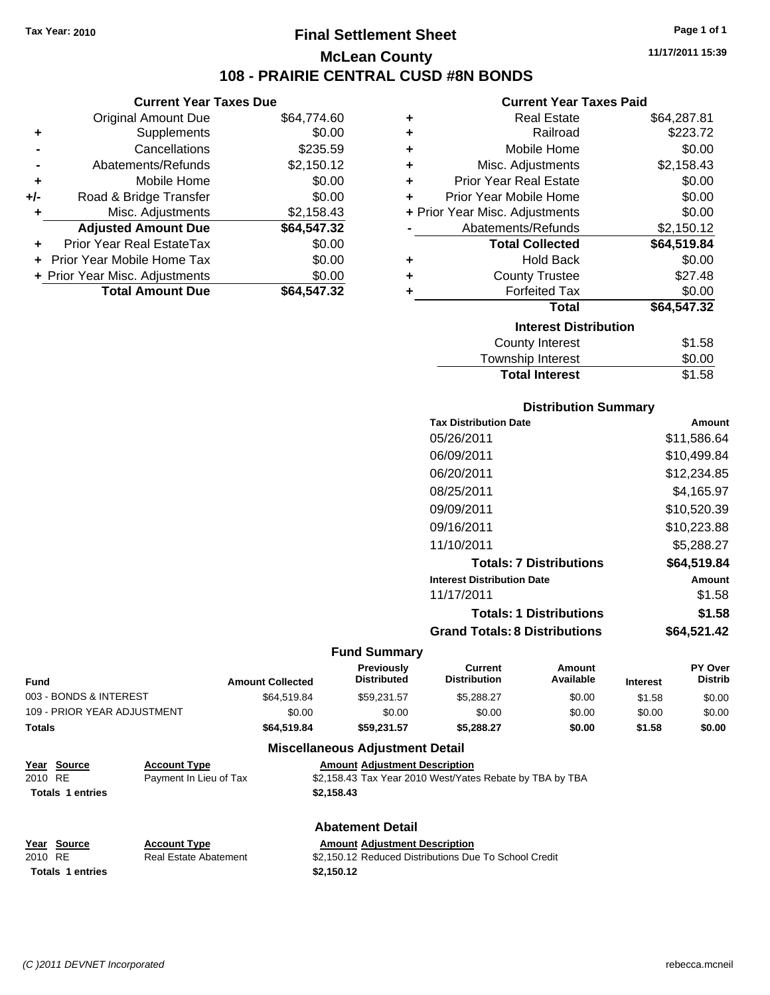# **Final Settlement Sheet Tax Year: 2010 Page 1 of 1 McLean County 108 - PRAIRIE CENTRAL CUSD #8N BONDS**

**Current Year Taxes Due**

|       | <b>Original Amount Due</b>     | \$64,774.60 |
|-------|--------------------------------|-------------|
| ٠     | Supplements                    | \$0.00      |
|       | Cancellations                  | \$235.59    |
|       | Abatements/Refunds             | \$2,150.12  |
| ÷     | Mobile Home                    | \$0.00      |
| $+/-$ | Road & Bridge Transfer         | \$0.00      |
| ٠     | Misc. Adjustments              | \$2,158.43  |
|       | <b>Adjusted Amount Due</b>     | \$64,547.32 |
|       | Prior Year Real EstateTax      | \$0.00      |
|       | Prior Year Mobile Home Tax     | \$0.00      |
|       | + Prior Year Misc. Adjustments | \$0.00      |
|       | <b>Total Amount Due</b>        | \$64,547,32 |

#### **Current Year Taxes Paid**

| ٠ | <b>Real Estate</b>             | \$64,287.81 |
|---|--------------------------------|-------------|
| ٠ | Railroad                       | \$223.72    |
| ٠ | Mobile Home                    | \$0.00      |
| ٠ | Misc. Adjustments              | \$2,158.43  |
| ٠ | <b>Prior Year Real Estate</b>  | \$0.00      |
| ÷ | Prior Year Mobile Home         | \$0.00      |
|   | + Prior Year Misc. Adjustments | \$0.00      |
|   | Abatements/Refunds             | \$2,150.12  |
|   | <b>Total Collected</b>         | \$64,519.84 |
| ٠ | Hold Back                      | \$0.00      |
| ٠ | <b>County Trustee</b>          | \$27.48     |
| ٠ | <b>Forfeited Tax</b>           | \$0.00      |
|   | Total                          | \$64,547.32 |
|   | <b>Interest Distribution</b>   |             |
|   | <b>County Interest</b>         | \$1.58      |
|   | Township Interest              | \$0.00      |
|   | <b>Total Interest</b>          | \$1.58      |

## **Distribution Summary**

| <b>Tax Distribution Date</b>         | Amount      |
|--------------------------------------|-------------|
| 05/26/2011                           | \$11,586.64 |
| 06/09/2011                           | \$10.499.84 |
| 06/20/2011                           | \$12.234.85 |
| 08/25/2011                           | \$4,165.97  |
| 09/09/2011                           | \$10,520.39 |
| 09/16/2011                           | \$10,223.88 |
| 11/10/2011                           | \$5,288.27  |
| <b>Totals: 7 Distributions</b>       | \$64.519.84 |
| <b>Interest Distribution Date</b>    | Amount      |
| 11/17/2011                           | \$1.58      |
| <b>Totals: 1 Distributions</b>       | \$1.58      |
| <b>Grand Totals: 8 Distributions</b> | \$64.521.42 |

#### **Fund Summary**

| <b>Fund</b>                 | <b>Amount Collected</b> | <b>Previously</b><br><b>Distributed</b> | Current<br><b>Distribution</b> | Amount<br>Available | <b>Interest</b> | <b>PY Over</b><br><b>Distrib</b> |
|-----------------------------|-------------------------|-----------------------------------------|--------------------------------|---------------------|-----------------|----------------------------------|
| 003 - BONDS & INTEREST      | \$64,519.84             | \$59.231.57                             | \$5,288,27                     | \$0.00              | \$1.58          | \$0.00                           |
| 109 - PRIOR YEAR ADJUSTMENT | \$0.00                  | \$0.00                                  | \$0.00                         | \$0.00              | \$0.00          | \$0.00                           |
| <b>Totals</b>               | \$64,519.84             | \$59.231.57                             | \$5.288.27                     | \$0.00              | \$1.58          | \$0.00                           |

# **Miscellaneous Adjustment Detail**

| Year Source             | <b>Account Type</b>    | <b>Amount Adiustment Description</b>                     |
|-------------------------|------------------------|----------------------------------------------------------|
| 2010 RE                 | Payment In Lieu of Tax | \$2,158.43 Tax Year 2010 West/Yates Rebate by TBA by TBA |
| <b>Totals 1 entries</b> |                        | \$2.158.43                                               |

|         |        |                       | <b>Abatement Detail</b>              |  |  |
|---------|--------|-----------------------|--------------------------------------|--|--|
| Year    | Source | <b>Account Type</b>   | <b>Amount Adiustment Description</b> |  |  |
| 2010 RE |        | Real Estate Abatement | \$2,150.12 Reduced Distributions Due |  |  |

**Totals 1 entries** \$2,150.12

Real Estate Abatement \$2,150.12 Reduced Distributions Due To School Credit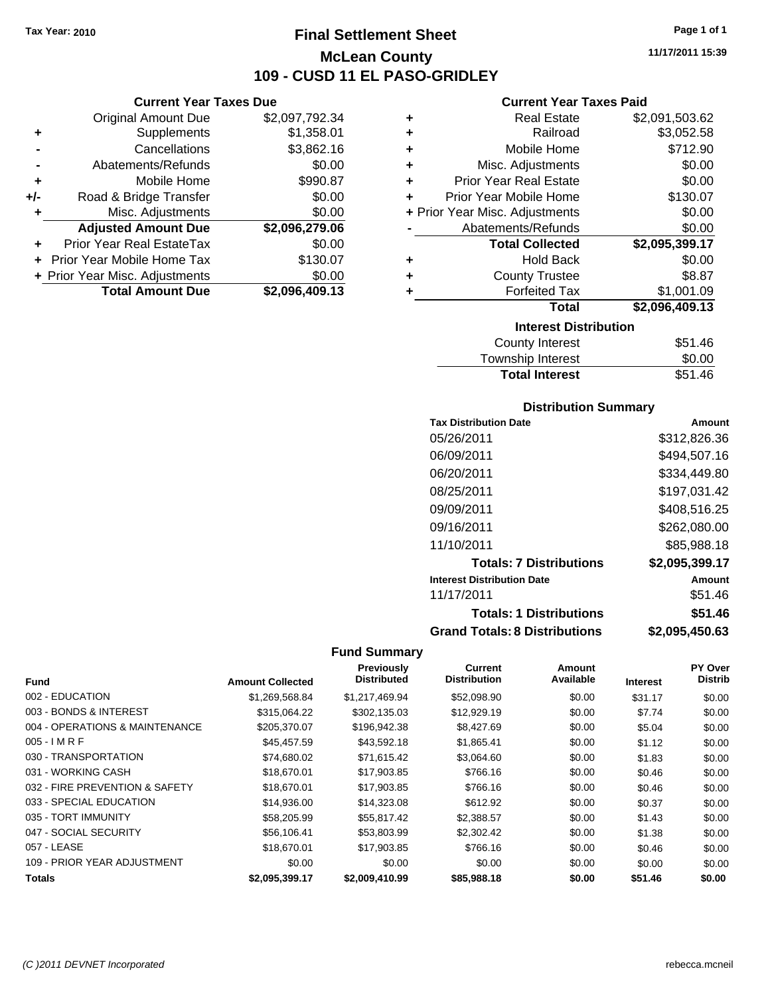**Current Year Taxes Due** Original Amount Due \$2,097,792.34

**Adjusted Amount Due \$2,096,279.06**

**Total Amount Due \$2,096,409.13**

**+** Supplements \$1,358.01 **-** Cancellations \$3,862.16 **-** Abatements/Refunds \$0.00 **+** Mobile Home \$990.87 **+/-** Road & Bridge Transfer \$0.00 **+** Misc. Adjustments \$0.00

**+** Prior Year Real EstateTax \$0.00 **+** Prior Year Mobile Home Tax \$130.07 **+ Prior Year Misc. Adjustments**  $$0.00$ 

# **Final Settlement Sheet Tax Year: 2010 Page 1 of 1 McLean County 109 - CUSD 11 EL PASO-GRIDLEY**

**11/17/2011 15:39**

## **Current Year Taxes Paid**

| ٠ | <b>Real Estate</b>             | \$2,091,503.62 |
|---|--------------------------------|----------------|
| ÷ | Railroad                       | \$3,052.58     |
| ÷ | Mobile Home                    | \$712.90       |
| ÷ | Misc. Adjustments              | \$0.00         |
| ÷ | <b>Prior Year Real Estate</b>  | \$0.00         |
| ÷ | Prior Year Mobile Home         | \$130.07       |
|   | + Prior Year Misc. Adjustments | \$0.00         |
|   | Abatements/Refunds             | \$0.00         |
|   | <b>Total Collected</b>         | \$2,095,399.17 |
| ٠ | <b>Hold Back</b>               | \$0.00         |
| ٠ | <b>County Trustee</b>          | \$8.87         |
| ٠ | <b>Forfeited Tax</b>           | \$1,001.09     |
|   | <b>Total</b>                   | \$2,096,409.13 |
|   | <b>Interest Distribution</b>   |                |
|   | <b>County Interest</b>         | \$51.46        |

| <b>Total Interest</b> | \$51.46 |
|-----------------------|---------|
| Township Interest     | \$0.00  |
| County Interest       | \$51.46 |

## **Distribution Summary**

| <b>Tax Distribution Date</b>         | Amount         |
|--------------------------------------|----------------|
| 05/26/2011                           | \$312,826.36   |
| 06/09/2011                           | \$494,507.16   |
| 06/20/2011                           | \$334,449.80   |
| 08/25/2011                           | \$197,031.42   |
| 09/09/2011                           | \$408,516.25   |
| 09/16/2011                           | \$262,080.00   |
| 11/10/2011                           | \$85,988.18    |
| <b>Totals: 7 Distributions</b>       | \$2,095,399.17 |
| <b>Interest Distribution Date</b>    | Amount         |
| 11/17/2011                           | \$51.46        |
| <b>Totals: 1 Distributions</b>       | \$51.46        |
| <b>Grand Totals: 8 Distributions</b> | \$2,095,450.63 |

|                                |                         | Previously         | Current             | Amount    |                 | <b>PY Over</b> |
|--------------------------------|-------------------------|--------------------|---------------------|-----------|-----------------|----------------|
| <b>Fund</b>                    | <b>Amount Collected</b> | <b>Distributed</b> | <b>Distribution</b> | Available | <b>Interest</b> | <b>Distrib</b> |
| 002 - EDUCATION                | \$1,269,568.84          | \$1,217,469.94     | \$52,098.90         | \$0.00    | \$31.17         | \$0.00         |
| 003 - BONDS & INTEREST         | \$315,064.22            | \$302.135.03       | \$12,929.19         | \$0.00    | \$7.74          | \$0.00         |
| 004 - OPERATIONS & MAINTENANCE | \$205,370.07            | \$196,942.38       | \$8,427.69          | \$0.00    | \$5.04          | \$0.00         |
| $005 - IMRF$                   | \$45,457.59             | \$43,592.18        | \$1,865.41          | \$0.00    | \$1.12          | \$0.00         |
| 030 - TRANSPORTATION           | \$74,680.02             | \$71,615.42        | \$3,064.60          | \$0.00    | \$1.83          | \$0.00         |
| 031 - WORKING CASH             | \$18,670.01             | \$17,903.85        | \$766.16            | \$0.00    | \$0.46          | \$0.00         |
| 032 - FIRE PREVENTION & SAFETY | \$18,670.01             | \$17,903.85        | \$766.16            | \$0.00    | \$0.46          | \$0.00         |
| 033 - SPECIAL EDUCATION        | \$14,936.00             | \$14,323.08        | \$612.92            | \$0.00    | \$0.37          | \$0.00         |
| 035 - TORT IMMUNITY            | \$58,205.99             | \$55.817.42        | \$2.388.57          | \$0.00    | \$1.43          | \$0.00         |
| 047 - SOCIAL SECURITY          | \$56,106.41             | \$53,803.99        | \$2,302.42          | \$0.00    | \$1.38          | \$0.00         |
| 057 - LEASE                    | \$18,670.01             | \$17.903.85        | \$766.16            | \$0.00    | \$0.46          | \$0.00         |
| 109 - PRIOR YEAR ADJUSTMENT    | \$0.00                  | \$0.00             | \$0.00              | \$0.00    | \$0.00          | \$0.00         |
| <b>Totals</b>                  | \$2,095,399.17          | \$2,009,410.99     | \$85,988.18         | \$0.00    | \$51.46         | \$0.00         |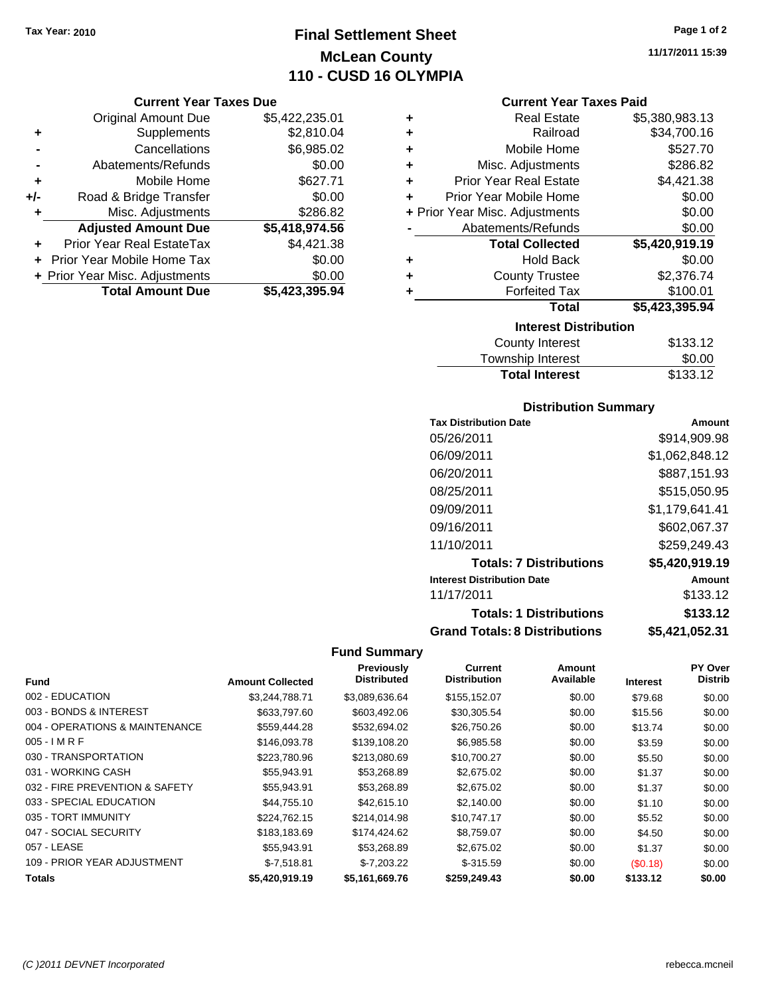# **Final Settlement Sheet Tax Year: 2010 Page 1 of 2 McLean County 110 - CUSD 16 OLYMPIA**

# **Current Year Taxes Due**

|     | <b>Original Amount Due</b>       | \$5,422,235.01 |
|-----|----------------------------------|----------------|
| ٠   | Supplements                      | \$2,810.04     |
|     | Cancellations                    | \$6,985.02     |
|     | Abatements/Refunds               | \$0.00         |
| ٠   | Mobile Home                      | \$627.71       |
| +/- | Road & Bridge Transfer           | \$0.00         |
| ٠   | Misc. Adjustments                | \$286.82       |
|     | <b>Adjusted Amount Due</b>       | \$5,418,974.56 |
|     | <b>Prior Year Real EstateTax</b> | \$4,421.38     |
|     | Prior Year Mobile Home Tax       | \$0.00         |
|     | + Prior Year Misc. Adjustments   | \$0.00         |
|     | <b>Total Amount Due</b>          | \$5,423,395.94 |

| ٠ | <b>Real Estate</b>             | \$5,380,983.13 |  |  |  |
|---|--------------------------------|----------------|--|--|--|
| ٠ | Railroad                       | \$34,700.16    |  |  |  |
| ٠ | Mobile Home                    | \$527.70       |  |  |  |
| ÷ | Misc. Adjustments              | \$286.82       |  |  |  |
| ÷ | <b>Prior Year Real Estate</b>  | \$4,421.38     |  |  |  |
| ÷ | Prior Year Mobile Home         | \$0.00         |  |  |  |
|   | + Prior Year Misc. Adjustments | \$0.00         |  |  |  |
|   | Abatements/Refunds             | \$0.00         |  |  |  |
|   | <b>Total Collected</b>         | \$5,420,919.19 |  |  |  |
| ٠ | <b>Hold Back</b>               | \$0.00         |  |  |  |
| ٠ | <b>County Trustee</b>          | \$2,376.74     |  |  |  |
| ٠ | <b>Forfeited Tax</b>           | \$100.01       |  |  |  |
|   | Total                          | \$5,423,395.94 |  |  |  |
|   | <b>Interest Distribution</b>   |                |  |  |  |
|   | County Interest                | <b>¢12212</b>  |  |  |  |

| County Interest       | \$133.12 |
|-----------------------|----------|
| Township Interest     | \$0.00   |
| <b>Total Interest</b> | \$133.12 |

# **Distribution Summary**

| <b>Tax Distribution Date</b>         | Amount         |
|--------------------------------------|----------------|
| 05/26/2011                           | \$914.909.98   |
| 06/09/2011                           | \$1,062,848.12 |
| 06/20/2011                           | \$887,151.93   |
| 08/25/2011                           | \$515,050.95   |
| 09/09/2011                           | \$1,179,641.41 |
| 09/16/2011                           | \$602,067.37   |
| 11/10/2011                           | \$259,249.43   |
| <b>Totals: 7 Distributions</b>       | \$5,420,919.19 |
| <b>Interest Distribution Date</b>    | Amount         |
| 11/17/2011                           | \$133.12       |
| <b>Totals: 1 Distributions</b>       | \$133.12       |
| <b>Grand Totals: 8 Distributions</b> | \$5,421,052.31 |

# **Fund Summary**

 $\overline{\phantom{0}}$ 

|                                |                         | Previously         | Current             | <b>Amount</b> |                 | <b>PY Over</b> |
|--------------------------------|-------------------------|--------------------|---------------------|---------------|-----------------|----------------|
| <b>Fund</b>                    | <b>Amount Collected</b> | <b>Distributed</b> | <b>Distribution</b> | Available     | <b>Interest</b> | <b>Distrib</b> |
| 002 - EDUCATION                | \$3,244,788.71          | \$3,089,636.64     | \$155,152.07        | \$0.00        | \$79.68         | \$0.00         |
| 003 - BONDS & INTEREST         | \$633,797.60            | \$603,492.06       | \$30,305.54         | \$0.00        | \$15.56         | \$0.00         |
| 004 - OPERATIONS & MAINTENANCE | \$559,444.28            | \$532,694.02       | \$26,750.26         | \$0.00        | \$13.74         | \$0.00         |
| $005 - I$ M R F                | \$146,093.78            | \$139,108.20       | \$6,985.58          | \$0.00        | \$3.59          | \$0.00         |
| 030 - TRANSPORTATION           | \$223,780.96            | \$213,080.69       | \$10,700.27         | \$0.00        | \$5.50          | \$0.00         |
| 031 - WORKING CASH             | \$55,943.91             | \$53,268.89        | \$2,675.02          | \$0.00        | \$1.37          | \$0.00         |
| 032 - FIRE PREVENTION & SAFETY | \$55,943.91             | \$53,268.89        | \$2,675.02          | \$0.00        | \$1.37          | \$0.00         |
| 033 - SPECIAL EDUCATION        | \$44.755.10             | \$42,615.10        | \$2,140.00          | \$0.00        | \$1.10          | \$0.00         |
| 035 - TORT IMMUNITY            | \$224,762.15            | \$214.014.98       | \$10,747.17         | \$0.00        | \$5.52          | \$0.00         |
| 047 - SOCIAL SECURITY          | \$183,183.69            | \$174,424,62       | \$8,759.07          | \$0.00        | \$4.50          | \$0.00         |
| 057 - LEASE                    | \$55,943.91             | \$53.268.89        | \$2,675.02          | \$0.00        | \$1.37          | \$0.00         |
| 109 - PRIOR YEAR ADJUSTMENT    | $$-7,518.81$            | $$-7,203.22$       | $$-315.59$          | \$0.00        | (S0.18)         | \$0.00         |
| <b>Totals</b>                  | \$5.420.919.19          | \$5,161,669.76     | \$259,249.43        | \$0.00        | \$133.12        | \$0.00         |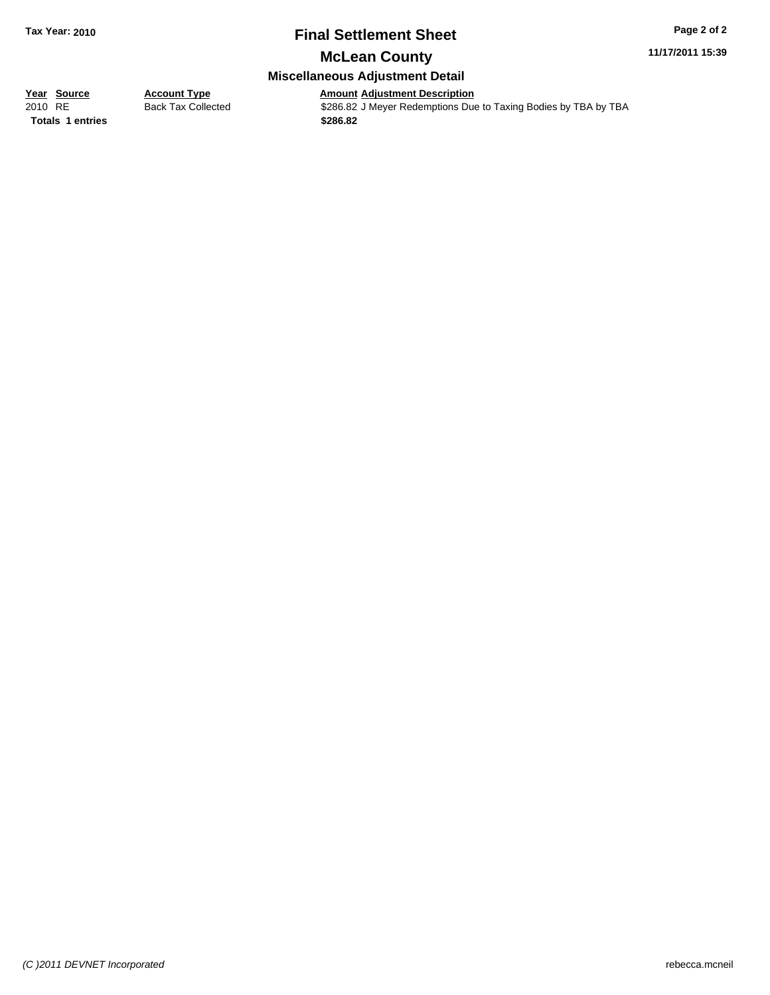# **Final Settlement Sheet Tax Year: 2010 Page 2 of 2**

# **McLean County**

## **Miscellaneous Adjustment Detail**

## **Year Source Account Type Amount Adjustment Description**

**Totals \$286.82 1 entries**

2010 RE Back Tax Collected \$286.82 J Meyer Redemptions Due to Taxing Bodies by TBA by TBA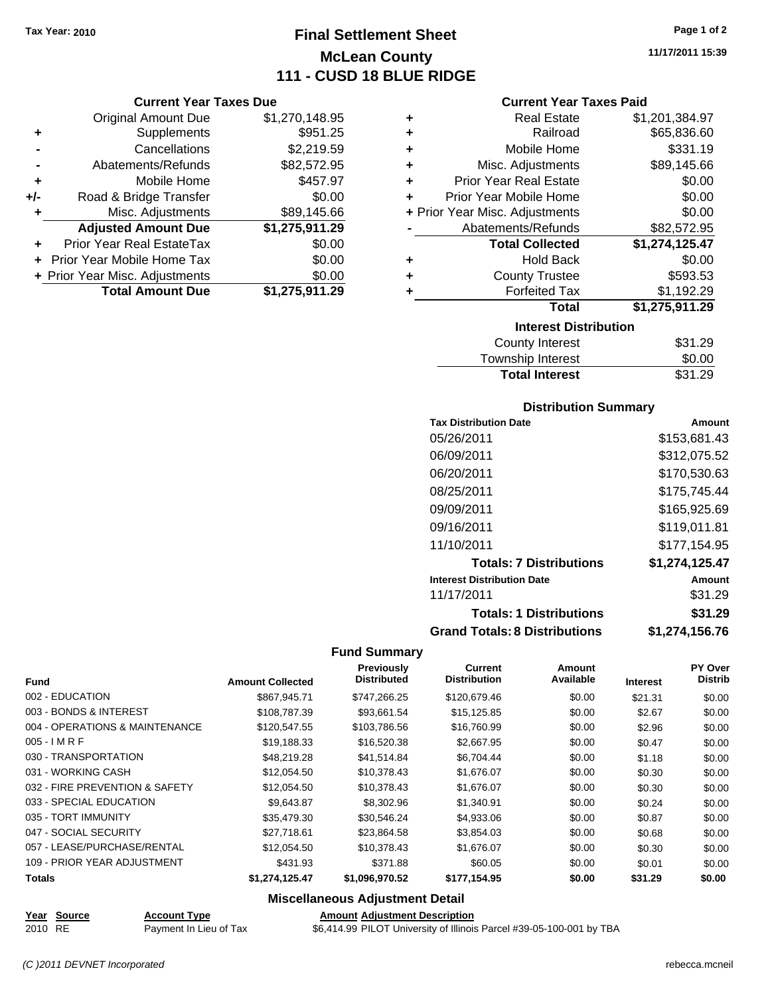# **Final Settlement Sheet Tax Year: 2010 Page 1 of 2 McLean County 111 - CUSD 18 BLUE RIDGE**

**Current Year Taxes Due**

|     | <b>Original Amount Due</b>     | \$1,270,148.95 |
|-----|--------------------------------|----------------|
| ٠   | Supplements                    | \$951.25       |
|     | Cancellations                  | \$2,219.59     |
|     | Abatements/Refunds             | \$82,572.95    |
| ÷   | Mobile Home                    | \$457.97       |
| +/- | Road & Bridge Transfer         | \$0.00         |
| ۰   | Misc. Adjustments              | \$89,145.66    |
|     | <b>Adjusted Amount Due</b>     | \$1,275,911.29 |
|     | Prior Year Real EstateTax      | \$0.00         |
|     | Prior Year Mobile Home Tax     | \$0.00         |
|     | + Prior Year Misc. Adjustments | \$0.00         |
|     | <b>Total Amount Due</b>        | \$1,275,911.29 |

#### **Current Year Taxes Paid**

|   | <b>Real Estate</b>             | \$1,201,384.97 |
|---|--------------------------------|----------------|
| ٠ | Railroad                       | \$65,836.60    |
| ٠ | Mobile Home                    | \$331.19       |
| ٠ | Misc. Adjustments              | \$89,145.66    |
| ٠ | <b>Prior Year Real Estate</b>  | \$0.00         |
| ÷ | Prior Year Mobile Home         | \$0.00         |
|   | + Prior Year Misc. Adjustments | \$0.00         |
|   | Abatements/Refunds             | \$82,572.95    |
|   | <b>Total Collected</b>         | \$1,274,125.47 |
| ٠ | <b>Hold Back</b>               | \$0.00         |
| ٠ | <b>County Trustee</b>          | \$593.53       |
| ٠ | <b>Forfeited Tax</b>           | \$1,192.29     |
|   | Total                          | \$1,275,911.29 |
|   |                                |                |
|   | <b>Interest Distribution</b>   |                |

| <b>Total Interest</b> | \$31.29    |
|-----------------------|------------|
| Township Interest     | \$0.00     |
| County interest       | ີ ⊅ວ । .∠ອ |

## **Distribution Summary**

| <b>Tax Distribution Date</b>         | Amount         |
|--------------------------------------|----------------|
| 05/26/2011                           | \$153,681.43   |
| 06/09/2011                           | \$312.075.52   |
| 06/20/2011                           | \$170,530.63   |
| 08/25/2011                           | \$175,745.44   |
| 09/09/2011                           | \$165,925.69   |
| 09/16/2011                           | \$119,011.81   |
| 11/10/2011                           | \$177,154.95   |
| <b>Totals: 7 Distributions</b>       | \$1,274,125.47 |
| <b>Interest Distribution Date</b>    | Amount         |
| 11/17/2011                           | \$31.29        |
| <b>Totals: 1 Distributions</b>       | \$31.29        |
| <b>Grand Totals: 8 Distributions</b> | \$1,274,156.76 |

## **Fund Summary**

| <b>Fund</b>                    | <b>Amount Collected</b> | Previously<br><b>Distributed</b> | <b>Current</b><br><b>Distribution</b> | <b>Amount</b><br>Available | <b>Interest</b> | <b>PY Over</b><br><b>Distrib</b> |
|--------------------------------|-------------------------|----------------------------------|---------------------------------------|----------------------------|-----------------|----------------------------------|
| 002 - EDUCATION                | \$867.945.71            | \$747,266.25                     | \$120,679.46                          | \$0.00                     | \$21.31         | \$0.00                           |
| 003 - BONDS & INTEREST         | \$108,787.39            | \$93,661.54                      | \$15,125.85                           | \$0.00                     | \$2.67          | \$0.00                           |
| 004 - OPERATIONS & MAINTENANCE | \$120,547.55            | \$103,786.56                     | \$16,760.99                           | \$0.00                     | \$2.96          | \$0.00                           |
| $005 - I$ M R F                | \$19,188.33             | \$16,520.38                      | \$2,667.95                            | \$0.00                     | \$0.47          | \$0.00                           |
| 030 - TRANSPORTATION           | \$48,219.28             | \$41,514.84                      | \$6,704.44                            | \$0.00                     | \$1.18          | \$0.00                           |
| 031 - WORKING CASH             | \$12,054.50             | \$10,378.43                      | \$1,676.07                            | \$0.00                     | \$0.30          | \$0.00                           |
| 032 - FIRE PREVENTION & SAFETY | \$12,054.50             | \$10,378.43                      | \$1,676.07                            | \$0.00                     | \$0.30          | \$0.00                           |
| 033 - SPECIAL EDUCATION        | \$9,643.87              | \$8,302.96                       | \$1,340.91                            | \$0.00                     | \$0.24          | \$0.00                           |
| 035 - TORT IMMUNITY            | \$35,479.30             | \$30,546.24                      | \$4,933.06                            | \$0.00                     | \$0.87          | \$0.00                           |
| 047 - SOCIAL SECURITY          | \$27.718.61             | \$23.864.58                      | \$3,854.03                            | \$0.00                     | \$0.68          | \$0.00                           |
| 057 - LEASE/PURCHASE/RENTAL    | \$12,054.50             | \$10,378.43                      | \$1,676.07                            | \$0.00                     | \$0.30          | \$0.00                           |
| 109 - PRIOR YEAR ADJUSTMENT    | \$431.93                | \$371.88                         | \$60.05                               | \$0.00                     | \$0.01          | \$0.00                           |
| Totals                         | \$1,274,125.47          | \$1,096,970.52                   | \$177,154.95                          | \$0.00                     | \$31.29         | \$0.00                           |

## **Miscellaneous Adjustment Detail**

**Year Source Account Type Amount Adjustment Description** 2010 RE Payment In Lieu of Tax \$6,414.99 PILOT University of Illinois Parcel #39-05-100-001 by TBA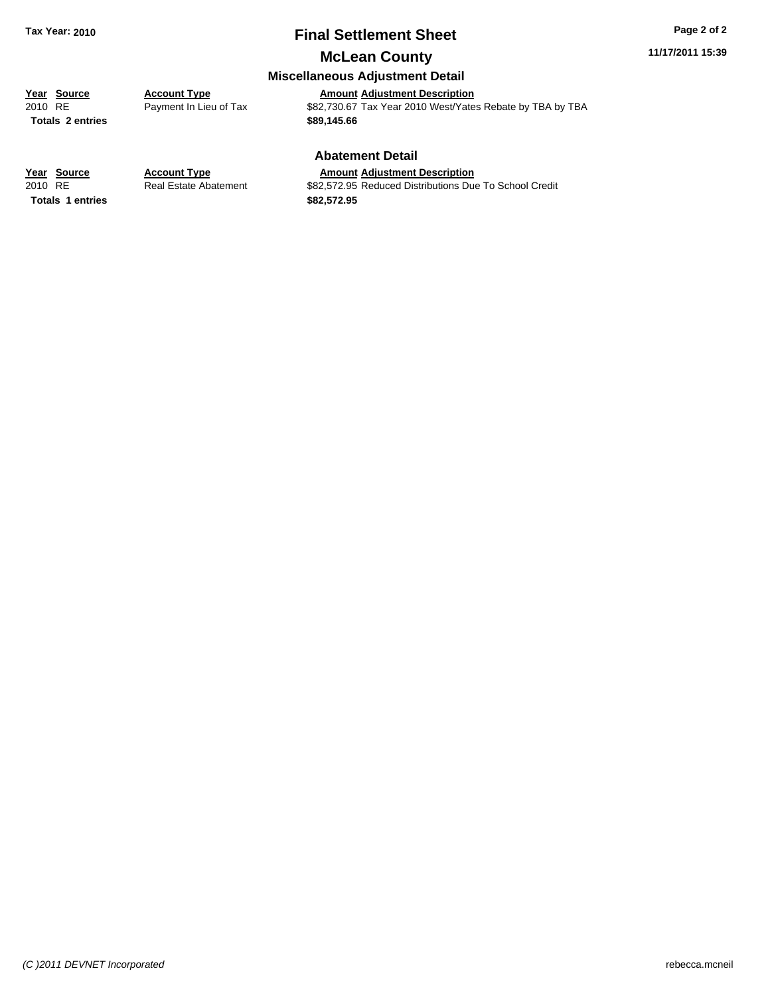# **Final Settlement Sheet Tax Year: 2010 Page 2 of 2**

**11/17/2011 15:39**

# **McLean County**

# **Miscellaneous Adjustment Detail**

**Year Source Account Type Annew Amount Adjustment Description**<br> **Amount Adjustment Description**<br> **Amount Adjustment Description**<br> **Amount Adjustment Description** Payment In Lieu of Tax **\$82,730.67** Tax Year 2010 West/Yates Rebate by TBA by TBA **Totals \$89,145.66 2 entries**

#### **Abatement Detail**

#### **Year Source Account Type Amount Adjustment Description**

**Totals \$82,572.95 1 entries**

2010 RE **\$82,572.95 Reduced Distributions Due To School Credit** Real Estate Abatement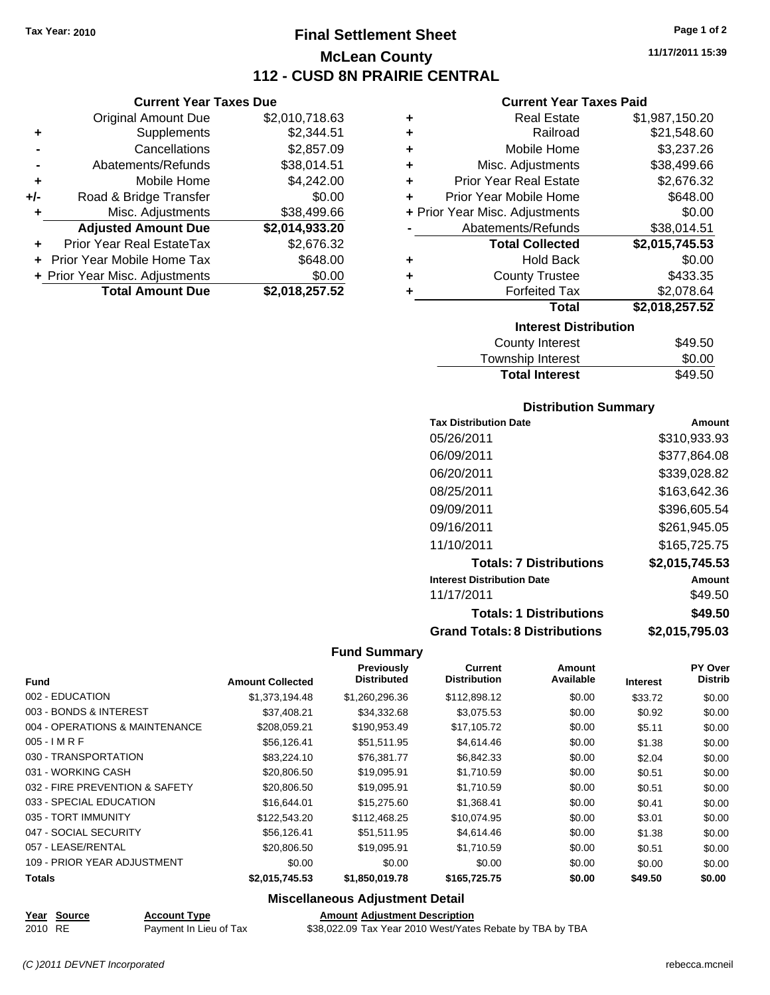**Current Year Taxes Due** Original Amount Due \$2,010,718.63

**Adjusted Amount Due \$2,014,933.20**

**Total Amount Due \$2,018,257.52**

**+** Supplements \$2,344.51 **-** Cancellations \$2,857.09 - Abatements/Refunds \$38,014.51 **+** Mobile Home \$4,242.00 **+/-** Road & Bridge Transfer \$0.00 **+** Misc. Adjustments \$38,499.66

**+** Prior Year Real EstateTax \$2,676.32 **+** Prior Year Mobile Home Tax \$648.00 **+ Prior Year Misc. Adjustments**  $$0.00$ 

# **Final Settlement Sheet Tax Year: 2010 Page 1 of 2 McLean County 112 - CUSD 8N PRAIRIE CENTRAL**

**11/17/2011 15:39**

## **Current Year Taxes Paid**

| ٠ | <b>Real Estate</b>             | \$1,987,150.20 |
|---|--------------------------------|----------------|
| ÷ | Railroad                       | \$21,548.60    |
| ÷ | Mobile Home                    | \$3,237.26     |
| ÷ | Misc. Adjustments              | \$38,499.66    |
| ÷ | <b>Prior Year Real Estate</b>  | \$2,676.32     |
| ٠ | Prior Year Mobile Home         | \$648.00       |
|   | + Prior Year Misc. Adjustments | \$0.00         |
|   | Abatements/Refunds             | \$38,014.51    |
|   | <b>Total Collected</b>         | \$2,015,745.53 |
| ٠ | <b>Hold Back</b>               | \$0.00         |
| ÷ | <b>County Trustee</b>          | \$433.35       |
| ٠ | <b>Forfeited Tax</b>           | \$2,078.64     |
|   | <b>Total</b>                   | \$2,018,257.52 |
|   | <b>Interest Distribution</b>   |                |
|   | <b>County Interest</b>         | \$49.50        |

|  | Township Interest     | \$0.00  |
|--|-----------------------|---------|
|  | <b>Total Interest</b> | \$49.50 |
|  | County Interest       | \$49.50 |

#### **Distribution Summary**

| <b>Tax Distribution Date</b>         | Amount         |
|--------------------------------------|----------------|
| 05/26/2011                           | \$310,933.93   |
| 06/09/2011                           | \$377.864.08   |
| 06/20/2011                           | \$339,028.82   |
| 08/25/2011                           | \$163,642.36   |
| 09/09/2011                           | \$396,605.54   |
| 09/16/2011                           | \$261,945.05   |
| 11/10/2011                           | \$165.725.75   |
| <b>Totals: 7 Distributions</b>       | \$2,015,745.53 |
| <b>Interest Distribution Date</b>    | Amount         |
| 11/17/2011                           | \$49.50        |
| <b>Totals: 1 Distributions</b>       | \$49.50        |
| <b>Grand Totals: 8 Distributions</b> | \$2,015,795.03 |

## **Fund Summary**

|                                |                         | <b>Previously</b>  | <b>Current</b>      | Amount    |                 | PY Over        |
|--------------------------------|-------------------------|--------------------|---------------------|-----------|-----------------|----------------|
| <b>Fund</b>                    | <b>Amount Collected</b> | <b>Distributed</b> | <b>Distribution</b> | Available | <b>Interest</b> | <b>Distrib</b> |
| 002 - EDUCATION                | \$1,373,194,48          | \$1,260,296.36     | \$112.898.12        | \$0.00    | \$33.72         | \$0.00         |
| 003 - BONDS & INTEREST         | \$37,408.21             | \$34,332.68        | \$3,075.53          | \$0.00    | \$0.92          | \$0.00         |
| 004 - OPERATIONS & MAINTENANCE | \$208,059.21            | \$190,953.49       | \$17,105.72         | \$0.00    | \$5.11          | \$0.00         |
| $005 - IMRF$                   | \$56,126.41             | \$51,511.95        | \$4,614.46          | \$0.00    | \$1.38          | \$0.00         |
| 030 - TRANSPORTATION           | \$83,224.10             | \$76.381.77        | \$6,842.33          | \$0.00    | \$2.04          | \$0.00         |
| 031 - WORKING CASH             | \$20,806.50             | \$19,095.91        | \$1,710.59          | \$0.00    | \$0.51          | \$0.00         |
| 032 - FIRE PREVENTION & SAFETY | \$20,806.50             | \$19,095.91        | \$1,710.59          | \$0.00    | \$0.51          | \$0.00         |
| 033 - SPECIAL EDUCATION        | \$16,644.01             | \$15,275.60        | \$1,368.41          | \$0.00    | \$0.41          | \$0.00         |
| 035 - TORT IMMUNITY            | \$122,543.20            | \$112,468.25       | \$10,074.95         | \$0.00    | \$3.01          | \$0.00         |
| 047 - SOCIAL SECURITY          | \$56.126.41             | \$51.511.95        | \$4.614.46          | \$0.00    | \$1.38          | \$0.00         |
| 057 - LEASE/RENTAL             | \$20,806.50             | \$19.095.91        | \$1.710.59          | \$0.00    | \$0.51          | \$0.00         |
| 109 - PRIOR YEAR ADJUSTMENT    | \$0.00                  | \$0.00             | \$0.00              | \$0.00    | \$0.00          | \$0.00         |
| <b>Totals</b>                  | \$2,015,745.53          | \$1,850,019.78     | \$165,725,75        | \$0.00    | \$49.50         | \$0.00         |

## **Miscellaneous Adjustment Detail**

**Year Source Account Type Amount Adjustment Description**

2010 RE Payment In Lieu of Tax \$38,022.09 Tax Year 2010 West/Yates Rebate by TBA by TBA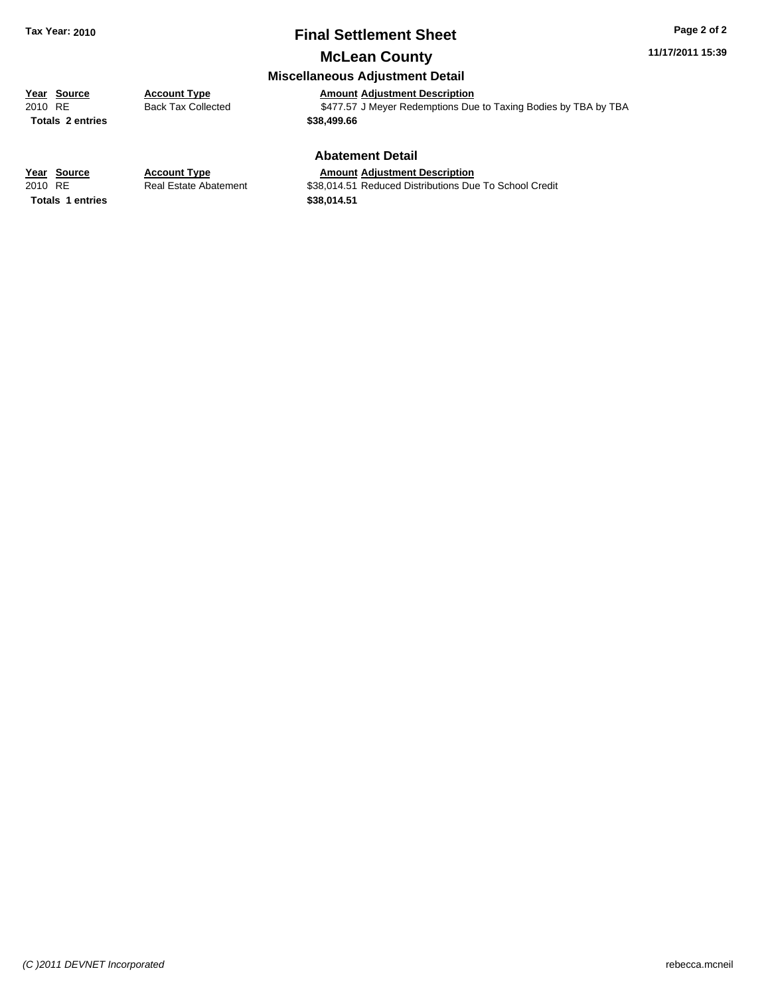# **Final Settlement Sheet Tax Year: 2010 Page 2 of 2**

**11/17/2011 15:39**

# **McLean County Miscellaneous Adjustment Detail**

**Totals \$38,499.66 2 entries**

**Year Source Account Type**<br> **Amount Adjustment Description**<br> **Amount Adjustment Description**<br> **AMOU ADJUSTER**<br> **ACCOUNTER**<br> **ACCOUNTER**<br> **ACCOUNTER**<br> **ACCOUNTER**<br> **ACCOUNTER**<br> **ACCOUNTER** Back Tax Collected **2010 S477.57 J Meyer Redemptions Due to Taxing Bodies by TBA by TBA** 

#### **Abatement Detail**

## **Year Source Account Type Amount Adjustment Description**

**Totals \$38,014.51 1 entries**

2010 RE **\$38,014.51 Real Estate Abatement** \$38,014.51 Reduced Distributions Due To School Credit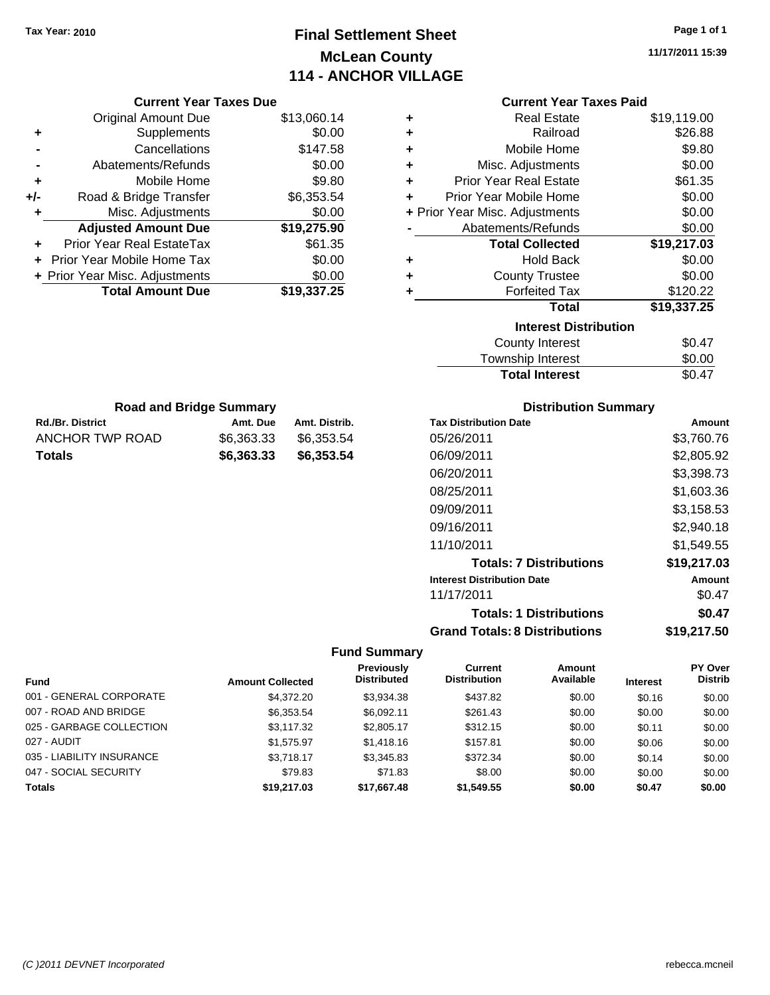# **Final Settlement Sheet Tax Year: 2010 Page 1 of 1 McLean County 114 - ANCHOR VILLAGE**

| <b>Current Year Taxes Due</b>  |                         |               | <b>Current Year Taxes Paid</b> |                                      |                                |                 |             |
|--------------------------------|-------------------------|---------------|--------------------------------|--------------------------------------|--------------------------------|-----------------|-------------|
| <b>Original Amount Due</b>     |                         | \$13,060.14   | ٠                              |                                      | <b>Real Estate</b>             |                 | \$19,119.00 |
| Supplements<br>٠               |                         | \$0.00        | ٠                              |                                      | Railroad                       |                 | \$26.88     |
| Cancellations                  |                         | \$147.58      | ٠                              |                                      | Mobile Home                    |                 | \$9.80      |
| Abatements/Refunds             |                         | \$0.00        | ٠                              |                                      | Misc. Adjustments              |                 | \$0.00      |
| Mobile Home<br>٠               |                         | \$9.80        | ٠                              | <b>Prior Year Real Estate</b>        |                                |                 | \$61.35     |
| Road & Bridge Transfer<br>+/-  |                         | \$6,353.54    | ÷                              | Prior Year Mobile Home               |                                |                 | \$0.00      |
| Misc. Adjustments              |                         | \$0.00        |                                | + Prior Year Misc. Adjustments       |                                |                 | \$0.00      |
| <b>Adjusted Amount Due</b>     |                         | \$19,275.90   |                                | Abatements/Refunds                   |                                |                 | \$0.00      |
| Prior Year Real EstateTax      |                         | \$61.35       |                                |                                      | <b>Total Collected</b>         |                 | \$19,217.03 |
| Prior Year Mobile Home Tax     |                         | \$0.00        | ٠                              |                                      | <b>Hold Back</b>               |                 | \$0.00      |
| + Prior Year Misc. Adjustments |                         | \$0.00        | ٠                              |                                      | <b>County Trustee</b>          |                 | \$0.00      |
| <b>Total Amount Due</b>        |                         | \$19,337.25   | ٠                              |                                      | <b>Forfeited Tax</b>           |                 | \$120.22    |
|                                |                         |               |                                |                                      | <b>Total</b>                   |                 | \$19,337.25 |
|                                |                         |               |                                |                                      | <b>Interest Distribution</b>   |                 |             |
|                                |                         |               |                                |                                      | <b>County Interest</b>         |                 | \$0.47      |
|                                |                         |               |                                |                                      | Township Interest              |                 | \$0.00      |
|                                |                         |               |                                |                                      | <b>Total Interest</b>          |                 | \$0.47      |
| <b>Road and Bridge Summary</b> |                         |               |                                |                                      | <b>Distribution Summary</b>    |                 |             |
| <b>Rd./Br. District</b>        | Amt. Due                | Amt. Distrib. |                                | <b>Tax Distribution Date</b>         |                                |                 | Amount      |
| ANCHOR TWP ROAD                | \$6,363.33              | \$6,353.54    |                                | 05/26/2011                           |                                |                 | \$3,760.76  |
| <b>Totals</b>                  | \$6,363.33              | \$6,353.54    |                                | 06/09/2011                           |                                |                 | \$2,805.92  |
|                                |                         |               |                                | 06/20/2011                           |                                |                 | \$3,398.73  |
|                                |                         |               |                                |                                      |                                |                 |             |
|                                |                         |               |                                | 08/25/2011                           |                                |                 | \$1,603.36  |
|                                |                         |               |                                | 09/09/2011                           |                                |                 | \$3,158.53  |
|                                |                         |               |                                | 09/16/2011                           |                                |                 | \$2,940.18  |
|                                |                         |               |                                | 11/10/2011                           |                                |                 | \$1,549.55  |
|                                |                         |               |                                |                                      | <b>Totals: 7 Distributions</b> |                 | \$19,217.03 |
|                                |                         |               |                                | <b>Interest Distribution Date</b>    |                                |                 | Amount      |
|                                |                         |               |                                | 11/17/2011                           |                                |                 | \$0.47      |
|                                |                         |               |                                |                                      | <b>Totals: 1 Distributions</b> |                 | \$0.47      |
|                                |                         |               |                                | <b>Grand Totals: 8 Distributions</b> |                                |                 | \$19,217.50 |
|                                |                         |               | <b>Fund Summary</b>            |                                      |                                |                 |             |
|                                |                         |               | <b>Previously</b>              | <b>Current</b>                       | Amount                         |                 | PY Over     |
| Fund                           | <b>Amount Collected</b> |               | <b>Distributed</b>             | <b>Distribution</b>                  | Available                      | <b>Interest</b> | Distrib     |
| 001 - GENERAL CORPORATE        |                         | \$4,372.20    | \$3,934.38                     | \$437.82                             | \$0.00                         | \$0.16          | \$0.00      |
| 007 - ROAD AND BRIDGE          |                         | \$6,353.54    | \$6,092.11                     | \$261.43                             | \$0.00                         | \$0.00          | \$0.00      |
| 025 - GARBAGE COLLECTION       |                         | \$3,117.32    | \$2,805.17                     | \$312.15                             | \$0.00                         | \$0.11          | \$0.00      |
| 027 - AUDIT                    |                         | \$1,575.97    | \$1,418.16                     | \$157.81                             | \$0.00                         | \$0.06          | \$0.00      |
| 035 - LIABILITY INSURANCE      |                         | \$3,718.17    | \$3,345.83                     | \$372.34                             | \$0.00                         | \$0.14          | \$0.00      |
| 047 - SOCIAL SECURITY          |                         | \$79.83       | \$71.83                        | \$8.00                               | \$0.00                         | \$0.00          | \$0.00      |
| <b>Totals</b>                  |                         | \$19,217.03   | \$17,667.48                    | \$1,549.55                           | \$0.00                         | \$0.47          | \$0.00      |
|                                |                         |               |                                |                                      |                                |                 |             |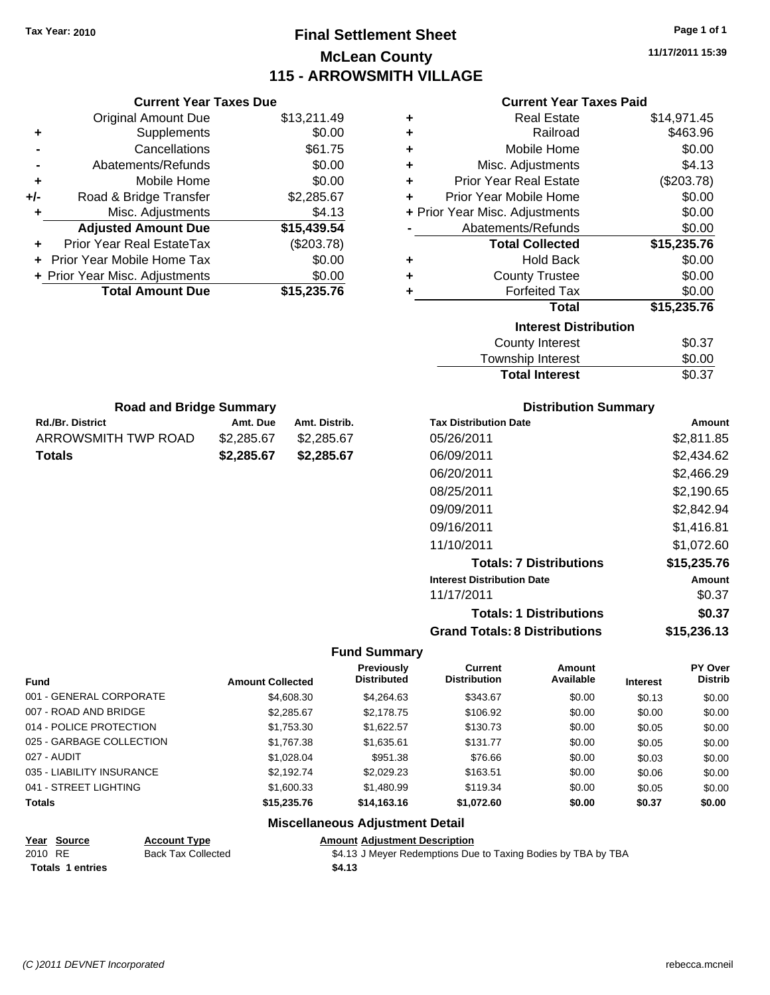# **Final Settlement Sheet Tax Year: 2010 Page 1 of 1 McLean County 115 - ARROWSMITH VILLAGE**

**11/17/2011 15:39**

## **Current Year Taxes Paid**

|     | <b>Current Year Taxes Due</b>  |             |
|-----|--------------------------------|-------------|
|     | <b>Original Amount Due</b>     | \$13,211.49 |
| ٠   | Supplements                    | \$0.00      |
|     | Cancellations                  | \$61.75     |
|     | Abatements/Refunds             | \$0.00      |
| ٠   | Mobile Home                    | \$0.00      |
| +/- | Road & Bridge Transfer         | \$2,285.67  |
|     | Misc. Adjustments              | \$4.13      |
|     | <b>Adjusted Amount Due</b>     | \$15,439.54 |
|     | Prior Year Real EstateTax      | (\$203.78)  |
|     | Prior Year Mobile Home Tax     | \$0.00      |
|     | + Prior Year Misc. Adjustments | \$0.00      |
|     | <b>Total Amount Due</b>        | \$15,235,76 |
|     |                                |             |

Rd./Br. District **Amt. Due** Amt. Distrib. **Road and Bridge Summary**

ARROWSMITH TWP ROAD \$2,285.67 \$2,285.67 **Totals \$2,285.67 \$2,285.67**

|   | Real Estate                    | \$14,971.45 |
|---|--------------------------------|-------------|
| ٠ | Railroad                       | \$463.96    |
| ٠ | Mobile Home                    | \$0.00      |
| ٠ | Misc. Adjustments              | \$4.13      |
| ÷ | <b>Prior Year Real Estate</b>  | (\$203.78)  |
| ٠ | Prior Year Mobile Home         | \$0.00      |
|   | + Prior Year Misc. Adjustments | \$0.00      |
|   | Abatements/Refunds             | \$0.00      |
|   | <b>Total Collected</b>         | \$15,235.76 |
| ٠ | <b>Hold Back</b>               | \$0.00      |
| ÷ | <b>County Trustee</b>          | \$0.00      |
| ٠ | <b>Forfeited Tax</b>           | \$0.00      |
|   | Total                          | \$15,235.76 |
|   | <b>Interest Distribution</b>   |             |
|   | <b>County Interest</b>         | \$0.37      |
|   | Township Interest              | \$0.00      |
|   | <b>Total Interest</b>          | \$0.37      |

| <b>Distribution Summary</b>       |             |
|-----------------------------------|-------------|
| <b>Tax Distribution Date</b>      | Amount      |
| 05/26/2011                        | \$2,811.85  |
| 06/09/2011                        | \$2.434.62  |
| 06/20/2011                        | \$2,466.29  |
| 08/25/2011                        | \$2,190.65  |
| 09/09/2011                        | \$2.842.94  |
| 09/16/2011                        | \$1,416.81  |
| 11/10/2011                        | \$1.072.60  |
| <b>Totals: 7 Distributions</b>    | \$15,235.76 |
| <b>Interest Distribution Date</b> | Amount      |
| 11/17/2011                        | \$0.37      |
| <b>Totals: 1 Distributions</b>    | \$0.37      |

**Grand Totals: 8 Distributions \$15,236.13**

#### **Fund Summary**

|                           |                         | Previously         | Current             | Amount    |                 | <b>PY Over</b> |
|---------------------------|-------------------------|--------------------|---------------------|-----------|-----------------|----------------|
| <b>Fund</b>               | <b>Amount Collected</b> | <b>Distributed</b> | <b>Distribution</b> | Available | <b>Interest</b> | <b>Distrib</b> |
| 001 - GENERAL CORPORATE   | \$4,608.30              | \$4,264.63         | \$343.67            | \$0.00    | \$0.13          | \$0.00         |
| 007 - ROAD AND BRIDGE     | \$2,285.67              | \$2,178.75         | \$106.92            | \$0.00    | \$0.00          | \$0.00         |
| 014 - POLICE PROTECTION   | \$1,753.30              | \$1.622.57         | \$130.73            | \$0.00    | \$0.05          | \$0.00         |
| 025 - GARBAGE COLLECTION  | \$1,767.38              | \$1,635.61         | \$131.77            | \$0.00    | \$0.05          | \$0.00         |
| 027 - AUDIT               | \$1,028.04              | \$951.38           | \$76.66             | \$0.00    | \$0.03          | \$0.00         |
| 035 - LIABILITY INSURANCE | \$2,192.74              | \$2,029.23         | \$163.51            | \$0.00    | \$0.06          | \$0.00         |
| 041 - STREET LIGHTING     | \$1,600.33              | \$1,480.99         | \$119.34            | \$0.00    | \$0.05          | \$0.00         |
| <b>Totals</b>             | \$15,235.76             | \$14,163.16        | \$1,072.60          | \$0.00    | \$0.37          | \$0.00         |

**Miscellaneous Adjustment Detail**

| Year Source      | <b>Account Type</b>       | Amount |
|------------------|---------------------------|--------|
| 2010 RE          | <b>Back Tax Collected</b> | \$4.13 |
| Totals 1 entries |                           | \$4.13 |

**Account Type Amount Adjustment Description** 

Back Tax Collected **34.13 J Meyer Redemptions Due to Taxing Bodies by TBA by TBA**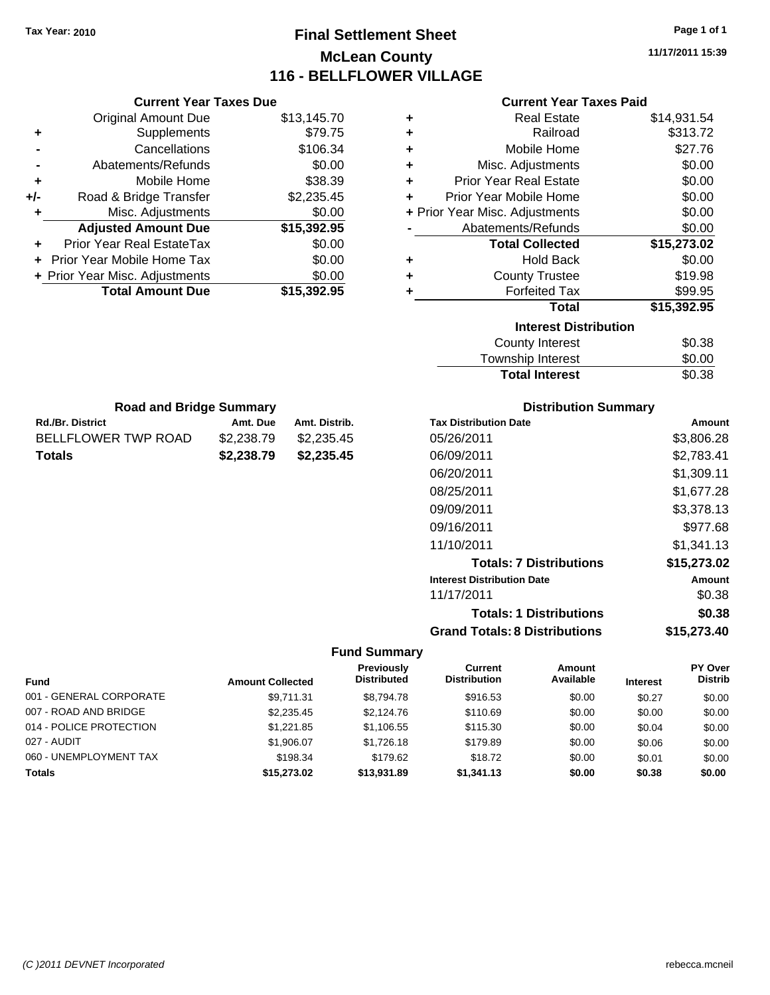# **Final Settlement Sheet Tax Year: 2010 Page 1 of 1 McLean County 116 - BELLFLOWER VILLAGE**

**11/17/2011 15:39**

| <b>Current Year Taxes Paid</b> |  |  |  |
|--------------------------------|--|--|--|
|--------------------------------|--|--|--|

|     | <b>Current Year Taxes Due</b>  |             |
|-----|--------------------------------|-------------|
|     | <b>Original Amount Due</b>     | \$13,145.70 |
| ٠   | Supplements                    | \$79.75     |
|     | Cancellations                  | \$106.34    |
|     | Abatements/Refunds             | \$0.00      |
| ٠   | Mobile Home                    | \$38.39     |
| +/- | Road & Bridge Transfer         | \$2,235.45  |
| ٠   | Misc. Adjustments              | \$0.00      |
|     | <b>Adjusted Amount Due</b>     | \$15,392.95 |
| ٠   | Prior Year Real EstateTax      | \$0.00      |
|     | Prior Year Mobile Home Tax     | \$0.00      |
|     | + Prior Year Misc. Adjustments | \$0.00      |
|     | <b>Total Amount Due</b>        | \$15,392,95 |
|     |                                |             |

**Rd./Br. District Co. 2. Amt. Due Amt. Distrib. Road and Bridge Summary**

BELLFLOWER TWP ROAD \$2,238.79 \$2,235.45 **Totals \$2,238.79 \$2,235.45**

| ٠ | <b>Real Estate</b>             | \$14,931.54 |
|---|--------------------------------|-------------|
| ÷ | Railroad                       | \$313.72    |
| ٠ | Mobile Home                    | \$27.76     |
| ٠ | Misc. Adjustments              | \$0.00      |
| ÷ | <b>Prior Year Real Estate</b>  | \$0.00      |
| ÷ | Prior Year Mobile Home         | \$0.00      |
|   | + Prior Year Misc. Adjustments | \$0.00      |
|   | Abatements/Refunds             | \$0.00      |
|   |                                |             |
|   | <b>Total Collected</b>         | \$15,273.02 |
| ٠ | <b>Hold Back</b>               | \$0.00      |
| ÷ | <b>County Trustee</b>          | \$19.98     |
| ٠ | <b>Forfeited Tax</b>           | \$99.95     |
|   | <b>Total</b>                   | \$15,392.95 |
|   | <b>Interest Distribution</b>   |             |
|   | County Interest                | \$0.38      |

| <b>Distribution Summary</b>  |            |
|------------------------------|------------|
| <b>Tax Distribution Date</b> | Amount     |
| 05/26/2011                   | \$3,806,28 |

Total Interest \$0.38

| 05/26/2011                           | \$3,806.28  |
|--------------------------------------|-------------|
| 06/09/2011                           | \$2,783.41  |
| 06/20/2011                           | \$1,309.11  |
| 08/25/2011                           | \$1,677.28  |
| 09/09/2011                           | \$3,378.13  |
| 09/16/2011                           | \$977.68    |
| 11/10/2011                           | \$1.341.13  |
| <b>Totals: 7 Distributions</b>       | \$15,273.02 |
| <b>Interest Distribution Date</b>    | Amount      |
| 11/17/2011                           | \$0.38      |
| <b>Totals: 1 Distributions</b>       | \$0.38      |
| <b>Grand Totals: 8 Distributions</b> | \$15,273.40 |

| <b>Fund</b>             | <b>Amount Collected</b> | Previously<br><b>Distributed</b> | Current<br><b>Distribution</b> | Amount<br>Available | <b>Interest</b> | PY Over<br><b>Distrib</b> |
|-------------------------|-------------------------|----------------------------------|--------------------------------|---------------------|-----------------|---------------------------|
| 001 - GENERAL CORPORATE | \$9.711.31              | \$8.794.78                       | \$916.53                       | \$0.00              | \$0.27          | \$0.00                    |
| 007 - ROAD AND BRIDGE   | \$2,235.45              | \$2,124.76                       | \$110.69                       | \$0.00              | \$0.00          | \$0.00                    |
| 014 - POLICE PROTECTION | \$1.221.85              | \$1,106.55                       | \$115.30                       | \$0.00              | \$0.04          | \$0.00                    |
| 027 - AUDIT             | \$1,906.07              | \$1.726.18                       | \$179.89                       | \$0.00              | \$0.06          | \$0.00                    |
| 060 - UNEMPLOYMENT TAX  | \$198.34                | \$179.62                         | \$18.72                        | \$0.00              | \$0.01          | \$0.00                    |
| <b>Totals</b>           | \$15,273.02             | \$13,931.89                      | \$1,341.13                     | \$0.00              | \$0.38          | \$0.00                    |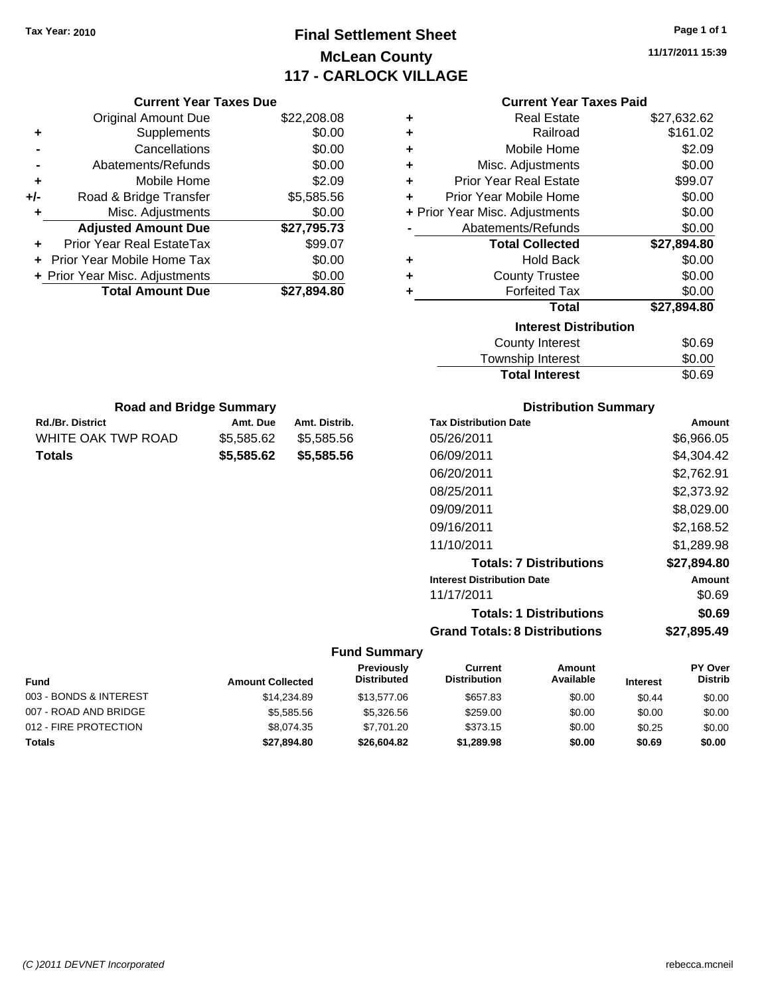# **Final Settlement Sheet Tax Year: 2010 Page 1 of 1 McLean County 117 - CARLOCK VILLAGE**

**11/17/2011 15:39**

|   | <b>Current Year Taxes Paid</b> |             |
|---|--------------------------------|-------------|
| ٠ | Real Estate                    | \$27,632.62 |
| ٠ | Railroad                       | \$161.02    |
| ٠ | Mobile Home                    | \$2.09      |
| ÷ | Misc. Adjustments              | \$0.00      |
| ٠ | Prior Year Real Estate         | \$99.07     |
| ÷ | Prior Year Mobile Home         | \$0.00      |
|   | + Prior Year Misc. Adjustments | \$0.00      |
|   | Abatements/Refunds             | \$0.00      |
|   | <b>Total Collected</b>         | \$27,894.80 |
| ٠ | Hold Back                      | \$0.00      |
|   | <b>County Trustee</b>          | \$0.00      |
|   | <b>Forfeited Tax</b>           | \$0.00      |
|   | Total                          | \$27,894.80 |

## **Interest Distribution**

| County Interest       | \$0.69 |
|-----------------------|--------|
| Township Interest     | \$0.00 |
| <b>Total Interest</b> | \$0.69 |

| <b>Road and Bridge Summary</b> |            |               |  |  |
|--------------------------------|------------|---------------|--|--|
| <b>Rd./Br. District</b>        | Amt. Due   | Amt. Distrib. |  |  |
| WHITE OAK TWP ROAD             | \$5.585.62 | \$5.585.56    |  |  |
| <b>Totals</b>                  | \$5,585.62 | \$5,585.56    |  |  |

**Current Year Taxes Due** Original Amount Due \$22,208.08

**Adjusted Amount Due \$27,795.73**

**Total Amount Due \$27,894.80**

**+** Supplements \$0.00 **-** Cancellations \$0.00 **-** Abatements/Refunds \$0.00 **+** Mobile Home \$2.09 **+/-** Road & Bridge Transfer \$5,585.56 **+** Misc. Adjustments \$0.00

**+** Prior Year Real EstateTax \$99.07 **+** Prior Year Mobile Home Tax \$0.00 **+ Prior Year Misc. Adjustments**  $$0.00$ 

## **Distribution Summary**

| <b>Tax Distribution Date</b>         | Amount      |
|--------------------------------------|-------------|
| 05/26/2011                           | \$6,966.05  |
| 06/09/2011                           | \$4,304.42  |
| 06/20/2011                           | \$2,762.91  |
| 08/25/2011                           | \$2.373.92  |
| 09/09/2011                           | \$8,029.00  |
| 09/16/2011                           | \$2,168.52  |
| 11/10/2011                           | \$1,289.98  |
| <b>Totals: 7 Distributions</b>       | \$27,894.80 |
| <b>Interest Distribution Date</b>    | Amount      |
| 11/17/2011                           | \$0.69      |
| <b>Totals: 1 Distributions</b>       | \$0.69      |
| <b>Grand Totals: 8 Distributions</b> | \$27,895.49 |

| <b>Fund</b>            | <b>Amount Collected</b> | <b>Previously</b><br><b>Distributed</b> | Current<br><b>Distribution</b> | Amount<br>Available | <b>Interest</b> | <b>PY Over</b><br><b>Distrib</b> |
|------------------------|-------------------------|-----------------------------------------|--------------------------------|---------------------|-----------------|----------------------------------|
| 003 - BONDS & INTEREST | \$14,234.89             | \$13,577,06                             | \$657.83                       | \$0.00              | \$0.44          | \$0.00                           |
| 007 - ROAD AND BRIDGE  | \$5,585.56              | \$5.326.56                              | \$259.00                       | \$0.00              | \$0.00          | \$0.00                           |
| 012 - FIRE PROTECTION  | \$8.074.35              | \$7.701.20                              | \$373.15                       | \$0.00              | \$0.25          | \$0.00                           |
| Totals                 | \$27,894.80             | \$26,604.82                             | \$1,289.98                     | \$0.00              | \$0.69          | \$0.00                           |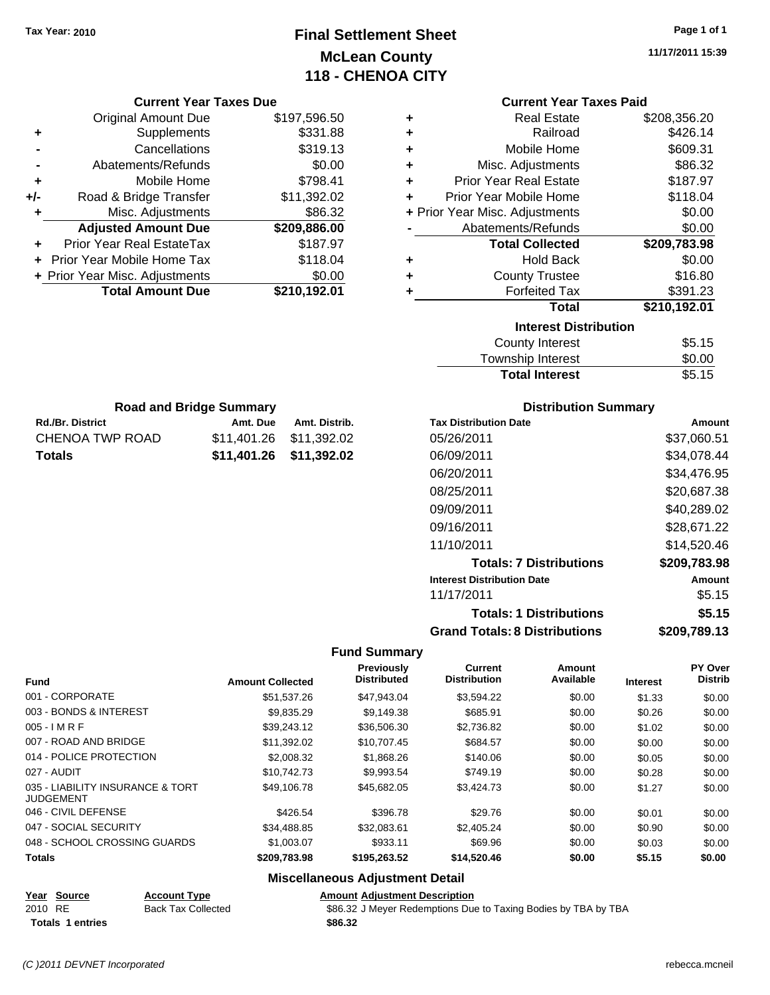**Current Year Taxes Due** Original Amount Due \$197,596.50

**Adjusted Amount Due \$209,886.00**

**Total Amount Due \$210,192.01**

**+** Supplements \$331.88 **-** Cancellations \$319.13 **-** Abatements/Refunds \$0.00 **+** Mobile Home \$798.41 **+/-** Road & Bridge Transfer \$11,392.02 **+** Misc. Adjustments \$86.32

**+** Prior Year Real EstateTax \$187.97 **+** Prior Year Mobile Home Tax \$118.04 **+ Prior Year Misc. Adjustments**  $$0.00$ 

Rd./Br. District **Amt. Due** Amt. Distrib. **Road and Bridge Summary**

CHENOA TWP ROAD \$11,401.26 \$11,392.02 **Totals \$11,401.26 \$11,392.02**

# **Final Settlement Sheet Tax Year: 2010 Page 1 of 1 McLean County 118 - CHENOA CITY**

**11/17/2011 15:39**

#### **Current Year Taxes Paid**

| ٠ | <b>Real Estate</b>             | \$208,356.20 |
|---|--------------------------------|--------------|
| ٠ | Railroad                       | \$426.14     |
| ٠ | Mobile Home                    | \$609.31     |
| ÷ | Misc. Adjustments              | \$86.32      |
| ÷ | <b>Prior Year Real Estate</b>  | \$187.97     |
| ÷ | Prior Year Mobile Home         | \$118.04     |
|   | + Prior Year Misc. Adjustments | \$0.00       |
|   | Abatements/Refunds             | \$0.00       |
|   | <b>Total Collected</b>         | \$209,783.98 |
| ٠ | <b>Hold Back</b>               | \$0.00       |
| ٠ | <b>County Trustee</b>          | \$16.80      |
| ٠ | <b>Forfeited Tax</b>           | \$391.23     |
|   | Total                          | \$210,192.01 |
|   | <b>Interest Distribution</b>   |              |
|   | <b>County Interest</b>         | \$5.15       |
|   | Township Interact              | ድስ ሰሰ        |

| <b>Total Interest</b>     | \$5.15 |
|---------------------------|--------|
| Township Interest         | \$0.00 |
| <b>COUTTLY IFFICITION</b> | ຈວ. ເວ |

| <b>Distribution Summary</b> |  |
|-----------------------------|--|
|-----------------------------|--|

| <b>Tax Distribution Date</b>         | Amount       |
|--------------------------------------|--------------|
| 05/26/2011                           | \$37,060.51  |
| 06/09/2011                           | \$34,078.44  |
| 06/20/2011                           | \$34,476.95  |
| 08/25/2011                           | \$20,687.38  |
| 09/09/2011                           | \$40.289.02  |
| 09/16/2011                           | \$28.671.22  |
| 11/10/2011                           | \$14,520.46  |
| <b>Totals: 7 Distributions</b>       | \$209,783.98 |
| <b>Interest Distribution Date</b>    | Amount       |
| 11/17/2011                           | \$5.15       |
| <b>Totals: 1 Distributions</b>       | \$5.15       |
| <b>Grand Totals: 8 Distributions</b> | \$209,789.13 |

## **Fund Summary**

|                                                      |                         | Previously         | Current             | Amount    |                 | PY Over        |
|------------------------------------------------------|-------------------------|--------------------|---------------------|-----------|-----------------|----------------|
| <b>Fund</b>                                          | <b>Amount Collected</b> | <b>Distributed</b> | <b>Distribution</b> | Available | <b>Interest</b> | <b>Distrib</b> |
| 001 - CORPORATE                                      | \$51,537.26             | \$47,943.04        | \$3,594.22          | \$0.00    | \$1.33          | \$0.00         |
| 003 - BONDS & INTEREST                               | \$9,835.29              | \$9,149.38         | \$685.91            | \$0.00    | \$0.26          | \$0.00         |
| $005 - I$ M R F                                      | \$39,243.12             | \$36,506.30        | \$2,736.82          | \$0.00    | \$1.02          | \$0.00         |
| 007 - ROAD AND BRIDGE                                | \$11,392.02             | \$10,707.45        | \$684.57            | \$0.00    | \$0.00          | \$0.00         |
| 014 - POLICE PROTECTION                              | \$2,008.32              | \$1,868.26         | \$140.06            | \$0.00    | \$0.05          | \$0.00         |
| 027 - AUDIT                                          | \$10.742.73             | \$9,993.54         | \$749.19            | \$0.00    | \$0.28          | \$0.00         |
| 035 - LIABILITY INSURANCE & TORT<br><b>JUDGEMENT</b> | \$49,106.78             | \$45,682.05        | \$3,424.73          | \$0.00    | \$1.27          | \$0.00         |
| 046 - CIVIL DEFENSE                                  | \$426.54                | \$396.78           | \$29.76             | \$0.00    | \$0.01          | \$0.00         |
| 047 - SOCIAL SECURITY                                | \$34,488.85             | \$32.083.61        | \$2,405.24          | \$0.00    | \$0.90          | \$0.00         |
| 048 - SCHOOL CROSSING GUARDS                         | \$1,003.07              | \$933.11           | \$69.96             | \$0.00    | \$0.03          | \$0.00         |
| <b>Totals</b>                                        | \$209,783.98            | \$195,263.52       | \$14,520.46         | \$0.00    | \$5.15          | \$0.00         |

## **Miscellaneous Adjustment Detail**

| Year Source             | <b>Account Type</b>       | <b>Amount Adiustment Description</b>                           |
|-------------------------|---------------------------|----------------------------------------------------------------|
| 2010 RE                 | <b>Back Tax Collected</b> | \$86.32 J Meyer Redemptions Due to Taxing Bodies by TBA by TBA |
| <b>Totals 1 entries</b> |                           | \$86.32                                                        |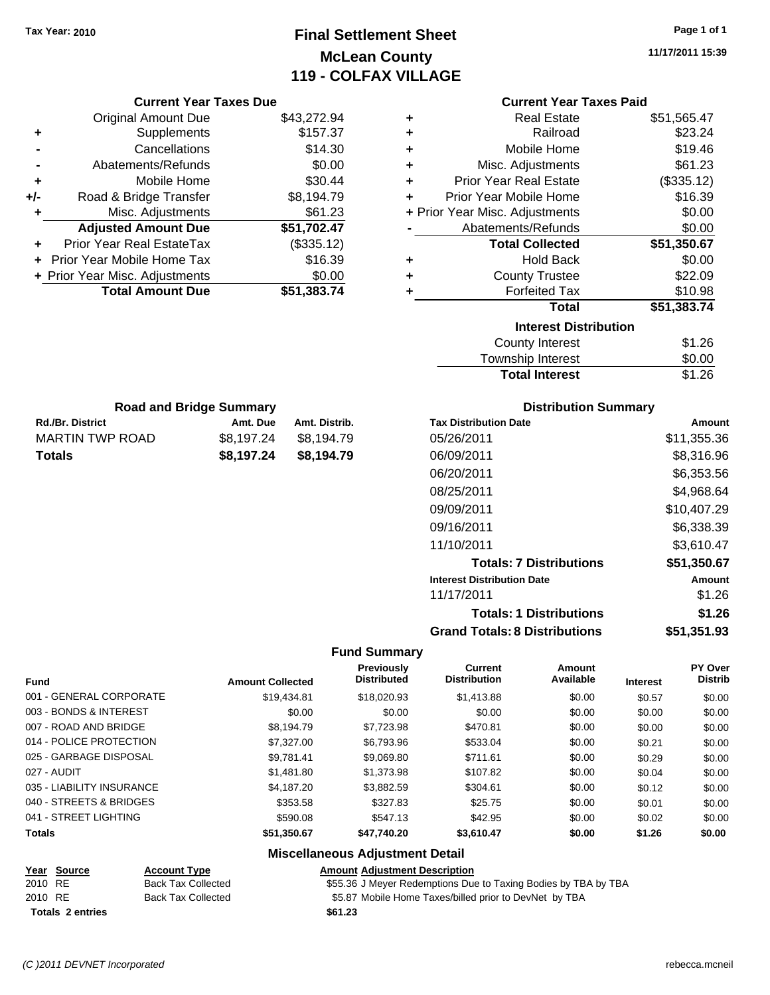**Current Year Taxes Due** Original Amount Due \$43,272.94

**Adjusted Amount Due \$51,702.47**

**Total Amount Due \$51,383.74**

**+** Supplements \$157.37 **-** Cancellations \$14.30 **-** Abatements/Refunds \$0.00 **+** Mobile Home \$30.44 **+/-** Road & Bridge Transfer \$8,194.79 **+** Misc. Adjustments \$61.23

**+** Prior Year Real EstateTax (\$335.12) **+** Prior Year Mobile Home Tax \$16.39 **+ Prior Year Misc. Adjustments**  $$0.00$ 

Rd./Br. District **Amt. Due** Amt. Distrib.

MARTIN TWP ROAD \$8,197.24 \$8,194.79 **Totals \$8,197.24 \$8,194.79**

# **Final Settlement Sheet Tax Year: 2010 Page 1 of 1 McLean County 119 - COLFAX VILLAGE**

**11/17/2011 15:39**

**Total Interest** \$1.26

#### **Current Year Taxes Paid**

| ٠ | <b>Real Estate</b>             | \$51,565.47 |
|---|--------------------------------|-------------|
| ٠ | Railroad                       | \$23.24     |
| ÷ | Mobile Home                    | \$19.46     |
| ÷ | Misc. Adjustments              | \$61.23     |
| ÷ | <b>Prior Year Real Estate</b>  | (\$335.12)  |
| ÷ | Prior Year Mobile Home         | \$16.39     |
|   | + Prior Year Misc. Adjustments | \$0.00      |
|   | Abatements/Refunds             | \$0.00      |
|   |                                |             |
|   | <b>Total Collected</b>         | \$51,350.67 |
| ٠ | <b>Hold Back</b>               | \$0.00      |
| ٠ | <b>County Trustee</b>          | \$22.09     |
| ٠ | <b>Forfeited Tax</b>           | \$10.98     |
|   | <b>Total</b>                   | \$51,383.74 |
|   | <b>Interest Distribution</b>   |             |
|   | <b>County Interest</b>         | \$1.26      |

|                                | ____<br>Township Interest   |
|--------------------------------|-----------------------------|
|                                | <b>Total Interest</b>       |
| <b>Road and Bridge Summary</b> | <b>Distribution Summary</b> |

| <b>Tax Distribution Date</b>         | Amount      |
|--------------------------------------|-------------|
| 05/26/2011                           | \$11,355.36 |
| 06/09/2011                           | \$8,316.96  |
| 06/20/2011                           | \$6,353.56  |
| 08/25/2011                           | \$4,968.64  |
| 09/09/2011                           | \$10,407.29 |
| 09/16/2011                           | \$6,338.39  |
| 11/10/2011                           | \$3,610.47  |
| <b>Totals: 7 Distributions</b>       | \$51,350.67 |
| <b>Interest Distribution Date</b>    | Amount      |
| 11/17/2011                           | \$1.26      |
| <b>Totals: 1 Distributions</b>       | \$1.26      |
| <b>Grand Totals: 8 Distributions</b> | \$51,351.93 |

## **Fund Summary**

| <b>Fund</b>               | <b>Amount Collected</b> | Previously<br><b>Distributed</b> | Current<br><b>Distribution</b> | Amount<br>Available | <b>Interest</b> | PY Over<br><b>Distrib</b> |
|---------------------------|-------------------------|----------------------------------|--------------------------------|---------------------|-----------------|---------------------------|
| 001 - GENERAL CORPORATE   | \$19,434.81             | \$18,020.93                      | \$1,413.88                     | \$0.00              | \$0.57          | \$0.00                    |
| 003 - BONDS & INTEREST    | \$0.00                  | \$0.00                           | \$0.00                         | \$0.00              | \$0.00          | \$0.00                    |
| 007 - ROAD AND BRIDGE     | \$8,194.79              | \$7,723.98                       | \$470.81                       | \$0.00              | \$0.00          | \$0.00                    |
| 014 - POLICE PROTECTION   | \$7,327,00              | \$6,793.96                       | \$533.04                       | \$0.00              | \$0.21          | \$0.00                    |
| 025 - GARBAGE DISPOSAL    | \$9.781.41              | \$9.069.80                       | \$711.61                       | \$0.00              | \$0.29          | \$0.00                    |
| 027 - AUDIT               | \$1,481.80              | \$1,373.98                       | \$107.82                       | \$0.00              | \$0.04          | \$0.00                    |
| 035 - LIABILITY INSURANCE | \$4,187.20              | \$3.882.59                       | \$304.61                       | \$0.00              | \$0.12          | \$0.00                    |
| 040 - STREETS & BRIDGES   | \$353.58                | \$327.83                         | \$25.75                        | \$0.00              | \$0.01          | \$0.00                    |
| 041 - STREET LIGHTING     | \$590.08                | \$547.13                         | \$42.95                        | \$0.00              | \$0.02          | \$0.00                    |
| <b>Totals</b>             | \$51,350.67             | \$47,740.20                      | \$3,610.47                     | \$0.00              | \$1.26          | \$0.00                    |

#### **Miscellaneous Adjustment Detail**

|         | Year Source      | <b>Account Type</b> | <b>Amount Adjustment Description</b>                           |
|---------|------------------|---------------------|----------------------------------------------------------------|
| 2010 RE |                  | Back Tax Collected  | \$55.36 J Meyer Redemptions Due to Taxing Bodies by TBA by TBA |
| 2010 RE |                  | Back Tax Collected  | \$5.87 Mobile Home Taxes/billed prior to DevNet by TBA         |
|         | Totals 2 entries |                     | \$61.23                                                        |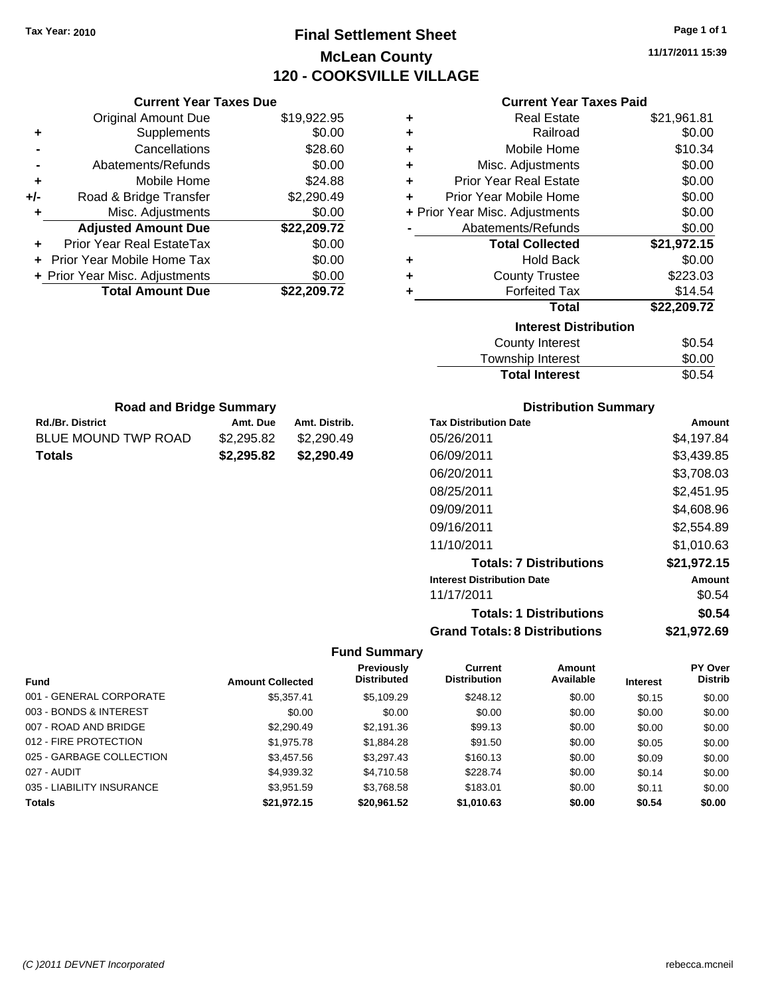# **Final Settlement Sheet Tax Year: 2010 Page 1 of 1 McLean County 120 - COOKSVILLE VILLAGE**

**11/17/2011 15:39**

#### **Current Year Taxes Paid**

|     | <b>Current Year Taxes Due</b>     |             |
|-----|-----------------------------------|-------------|
|     | <b>Original Amount Due</b>        | \$19,922.95 |
| ٠   | Supplements                       | \$0.00      |
|     | Cancellations                     | \$28.60     |
|     | Abatements/Refunds                | \$0.00      |
| ٠   | Mobile Home                       | \$24.88     |
| +/- | Road & Bridge Transfer            | \$2,290.49  |
|     | Misc. Adjustments                 | \$0.00      |
|     | <b>Adjusted Amount Due</b>        | \$22,209.72 |
|     | Prior Year Real EstateTax         | \$0.00      |
|     | <b>Prior Year Mobile Home Tax</b> | \$0.00      |
|     | + Prior Year Misc. Adjustments    | \$0.00      |
|     | <b>Total Amount Due</b>           | \$22.209.72 |

**Rd./Br. District Community Community Rd./Br. Distrib.** Amt. Distrib. **Road and Bridge Summary**

BLUE MOUND TWP ROAD \$2,295.82 \$2,290.49 **Totals \$2,295.82 \$2,290.49**

| ٠ | <b>Real Estate</b>             | \$21,961.81 |
|---|--------------------------------|-------------|
| ٠ | Railroad                       | \$0.00      |
| ٠ | Mobile Home                    | \$10.34     |
| ٠ | Misc. Adjustments              | \$0.00      |
| ÷ | <b>Prior Year Real Estate</b>  | \$0.00      |
| ÷ | Prior Year Mobile Home         | \$0.00      |
|   | + Prior Year Misc. Adjustments | \$0.00      |
|   | Abatements/Refunds             | \$0.00      |
|   |                                |             |
|   | <b>Total Collected</b>         | \$21,972.15 |
| ٠ | <b>Hold Back</b>               | \$0.00      |
| ٠ | <b>County Trustee</b>          | \$223.03    |
| ٠ | <b>Forfeited Tax</b>           | \$14.54     |
|   | Total                          | \$22,209.72 |
|   | <b>Interest Distribution</b>   |             |
|   | County Interest                | \$0.54      |

| Township Interest     | \$0.00 |
|-----------------------|--------|
| <b>Total Interest</b> | \$0.54 |

| <b>Distribution Summary</b> |  |
|-----------------------------|--|
| n+n                         |  |

| <b>Tax Distribution Date</b>         | Amount        |
|--------------------------------------|---------------|
| 05/26/2011                           | \$4,197.84    |
| 06/09/2011                           | \$3,439.85    |
| 06/20/2011                           | \$3,708.03    |
| 08/25/2011                           | \$2.451.95    |
| 09/09/2011                           | \$4.608.96    |
| 09/16/2011                           | \$2,554.89    |
| 11/10/2011                           | \$1.010.63    |
| <b>Totals: 7 Distributions</b>       | \$21,972.15   |
| <b>Interest Distribution Date</b>    | <b>Amount</b> |
| 11/17/2011                           | \$0.54        |
| <b>Totals: 1 Distributions</b>       | \$0.54        |
| <b>Grand Totals: 8 Distributions</b> | \$21,972.69   |

| <b>Fund</b>               | <b>Amount Collected</b> | <b>Previously</b><br><b>Distributed</b> | Current<br><b>Distribution</b> | Amount<br>Available | <b>Interest</b> | <b>PY Over</b><br><b>Distrib</b> |
|---------------------------|-------------------------|-----------------------------------------|--------------------------------|---------------------|-----------------|----------------------------------|
| 001 - GENERAL CORPORATE   | \$5,357.41              | \$5.109.29                              | \$248.12                       | \$0.00              | \$0.15          | \$0.00                           |
| 003 - BONDS & INTEREST    | \$0.00                  | \$0.00                                  | \$0.00                         | \$0.00              | \$0.00          | \$0.00                           |
| 007 - ROAD AND BRIDGE     | \$2,290.49              | \$2,191.36                              | \$99.13                        | \$0.00              | \$0.00          | \$0.00                           |
| 012 - FIRE PROTECTION     | \$1,975.78              | \$1,884.28                              | \$91.50                        | \$0.00              | \$0.05          | \$0.00                           |
| 025 - GARBAGE COLLECTION  | \$3.457.56              | \$3.297.43                              | \$160.13                       | \$0.00              | \$0.09          | \$0.00                           |
| 027 - AUDIT               | \$4,939.32              | \$4.710.58                              | \$228.74                       | \$0.00              | \$0.14          | \$0.00                           |
| 035 - LIABILITY INSURANCE | \$3,951.59              | \$3,768.58                              | \$183.01                       | \$0.00              | \$0.11          | \$0.00                           |
| <b>Totals</b>             | \$21.972.15             | \$20,961.52                             | \$1,010.63                     | \$0.00              | \$0.54          | \$0.00                           |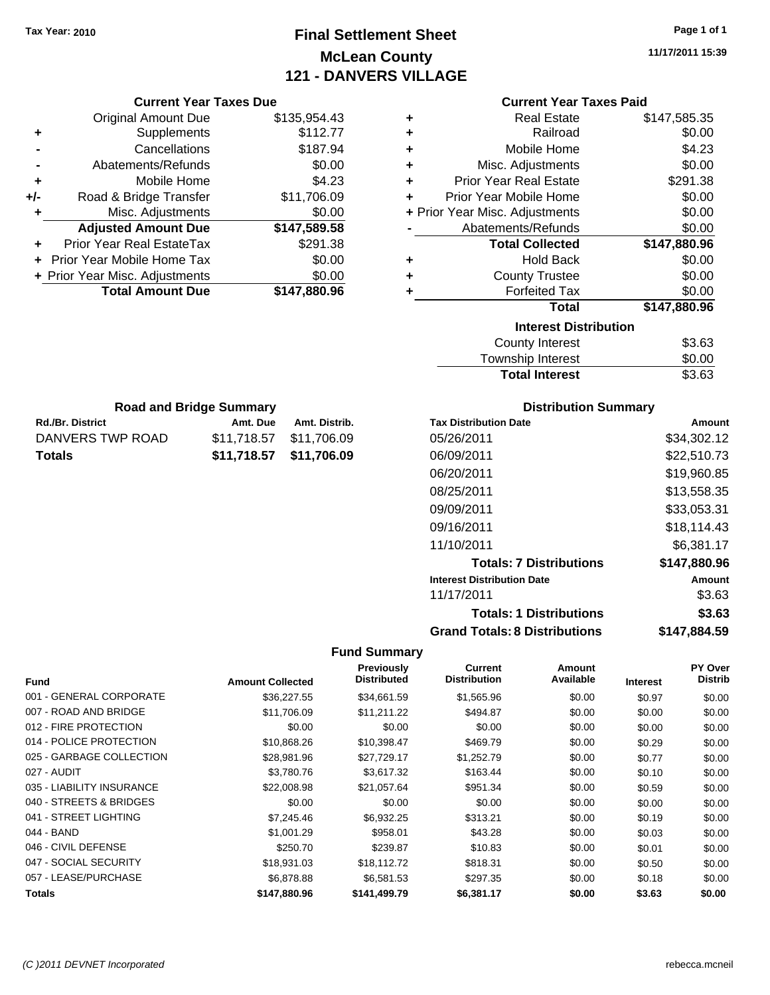Original Amount Due

**Adjusted Amount Due** 

**Total Amount Due** 

Rd./Br. District **Amt. Due** Amt. Distrib. **Road and Bridge Summary**

DANVERS TWP ROAD \$11,718.57 \$11,706.09 **Totals \$11,718.57 \$11,706.09**

**+** Supplements **-** Cancellations **-** Abatements/Refunds **+** Mobile Home **+/-** Road & Bridge Transfer **+** Misc. Adjustments

**+** Prior Year Real EstateTax **+** Prior Year Mobile Home Tax **+ Prior Year Misc. Adjustments** 

# **Final Settlement Sheet Tax Year: 2010 Page 1 of 1 McLean County 121 - DANVERS VILLAGE**

**11/17/2011 15:39**

# **Current Year Taxes Paid**

| <b>Current Year Taxes Due</b> |              |   | <b>Current Year Taxes Paid</b> |              |  |  |
|-------------------------------|--------------|---|--------------------------------|--------------|--|--|
| ıl Amount Due                 | \$135,954.43 | ÷ | <b>Real Estate</b>             | \$147,585.35 |  |  |
| Supplements                   | \$112.77     | ٠ | Railroad                       | \$0.00       |  |  |
| Cancellations                 | \$187.94     | ٠ | Mobile Home                    | \$4.23       |  |  |
| าents/Refunds                 | \$0.00       | ÷ | Misc. Adjustments              | \$0.00       |  |  |
| Mobile Home                   | \$4.23       | ÷ | <b>Prior Year Real Estate</b>  | \$291.38     |  |  |
| ridge Transfer                | \$11,706.09  | ÷ | Prior Year Mobile Home         | \$0.00       |  |  |
| . Adjustments                 | \$0.00       |   | + Prior Year Misc. Adjustments | \$0.00       |  |  |
| <b>Amount Due</b>             | \$147,589.58 |   | Abatements/Refunds             | \$0.00       |  |  |
| eal EstateTax                 | \$291.38     |   | <b>Total Collected</b>         | \$147,880.96 |  |  |
| pile Home Tax                 | \$0.00       | ÷ | <b>Hold Back</b>               | \$0.00       |  |  |
| . Adjustments                 | \$0.00       | ٠ | <b>County Trustee</b>          | \$0.00       |  |  |
| <b>Amount Due</b>             | \$147,880.96 |   | <b>Forfeited Tax</b>           | \$0.00       |  |  |
|                               |              |   | Total                          | \$147,880.96 |  |  |
|                               |              |   | <b>Interest Distribution</b>   |              |  |  |
|                               |              |   |                                |              |  |  |

|                         | nterest Distribution |  |
|-------------------------|----------------------|--|
| المستستر والمداري والمد |                      |  |

| County Interest       | \$3.63 |
|-----------------------|--------|
| Township Interest     | \$0.00 |
| <b>Total Interest</b> | \$3.63 |

| <b>Tax Distribution Date</b>         | Amount       |
|--------------------------------------|--------------|
| 05/26/2011                           | \$34,302.12  |
| 06/09/2011                           | \$22,510.73  |
| 06/20/2011                           | \$19.960.85  |
| 08/25/2011                           | \$13.558.35  |
| 09/09/2011                           | \$33,053.31  |
| 09/16/2011                           | \$18.114.43  |
| 11/10/2011                           | \$6,381.17   |
| <b>Totals: 7 Distributions</b>       | \$147,880.96 |
| <b>Interest Distribution Date</b>    | Amount       |
| 11/17/2011                           | \$3.63       |
| <b>Totals: 1 Distributions</b>       | \$3.63       |
| <b>Grand Totals: 8 Distributions</b> | \$147.884.59 |

| <b>Fund</b>               | <b>Amount Collected</b> | <b>Previously</b><br><b>Distributed</b> | Current<br><b>Distribution</b> | Amount<br>Available | <b>Interest</b> | <b>PY Over</b><br><b>Distrib</b> |
|---------------------------|-------------------------|-----------------------------------------|--------------------------------|---------------------|-----------------|----------------------------------|
| 001 - GENERAL CORPORATE   | \$36,227.55             | \$34,661.59                             | \$1,565.96                     | \$0.00              | \$0.97          | \$0.00                           |
| 007 - ROAD AND BRIDGE     | \$11,706.09             | \$11,211.22                             | \$494.87                       | \$0.00              | \$0.00          | \$0.00                           |
| 012 - FIRE PROTECTION     | \$0.00                  | \$0.00                                  | \$0.00                         | \$0.00              | \$0.00          | \$0.00                           |
| 014 - POLICE PROTECTION   | \$10,868.26             | \$10,398.47                             | \$469.79                       | \$0.00              | \$0.29          | \$0.00                           |
| 025 - GARBAGE COLLECTION  | \$28,981.96             | \$27,729.17                             | \$1,252.79                     | \$0.00              | \$0.77          | \$0.00                           |
| 027 - AUDIT               | \$3,780.76              | \$3,617.32                              | \$163.44                       | \$0.00              | \$0.10          | \$0.00                           |
| 035 - LIABILITY INSURANCE | \$22,008.98             | \$21,057.64                             | \$951.34                       | \$0.00              | \$0.59          | \$0.00                           |
| 040 - STREETS & BRIDGES   | \$0.00                  | \$0.00                                  | \$0.00                         | \$0.00              | \$0.00          | \$0.00                           |
| 041 - STREET LIGHTING     | \$7,245.46              | \$6,932.25                              | \$313.21                       | \$0.00              | \$0.19          | \$0.00                           |
| 044 - BAND                | \$1,001.29              | \$958.01                                | \$43.28                        | \$0.00              | \$0.03          | \$0.00                           |
| 046 - CIVIL DEFENSE       | \$250.70                | \$239.87                                | \$10.83                        | \$0.00              | \$0.01          | \$0.00                           |
| 047 - SOCIAL SECURITY     | \$18,931.03             | \$18,112.72                             | \$818.31                       | \$0.00              | \$0.50          | \$0.00                           |
| 057 - LEASE/PURCHASE      | \$6,878.88              | \$6,581.53                              | \$297.35                       | \$0.00              | \$0.18          | \$0.00                           |
| <b>Totals</b>             | \$147,880.96            | \$141,499.79                            | \$6,381.17                     | \$0.00              | \$3.63          | \$0.00                           |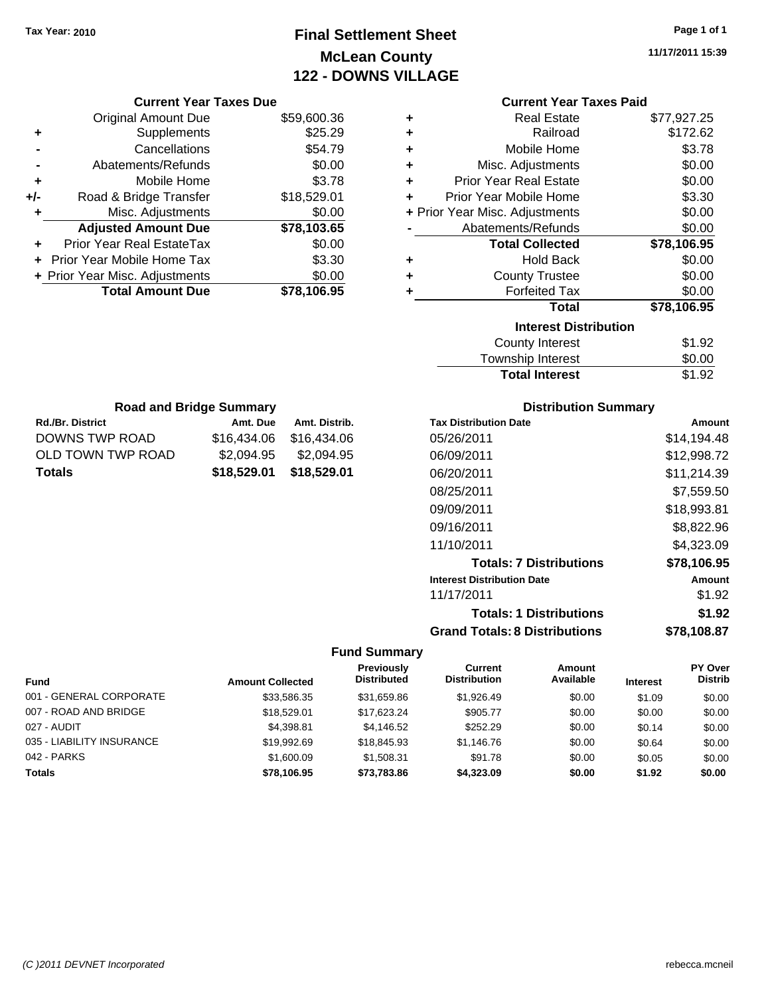# **Final Settlement Sheet Tax Year: 2010 Page 1 of 1 McLean County 122 - DOWNS VILLAGE**

**11/17/2011 15:39**

|     | <b>Current Year Taxes Due</b>     |             |
|-----|-----------------------------------|-------------|
|     | Original Amount Due               | \$59,600.36 |
| ٠   | Supplements                       | \$25.29     |
|     | Cancellations                     | \$54.79     |
|     | Abatements/Refunds                | \$0.00      |
| ٠   | Mobile Home                       | \$3.78      |
| +/- | Road & Bridge Transfer            | \$18,529.01 |
|     | Misc. Adjustments                 | \$0.00      |
|     | <b>Adjusted Amount Due</b>        | \$78,103.65 |
|     | Prior Year Real EstateTax         | \$0.00      |
|     | <b>Prior Year Mobile Home Tax</b> | \$3.30      |
|     | + Prior Year Misc. Adjustments    | \$0.00      |
|     | <b>Total Amount Due</b>           | \$78,106.95 |
|     |                                   |             |

Rd./Br. District **Amt. Due** Amt. Distrib. **Road and Bridge Summary**

DOWNS TWP ROAD \$16,434.06 \$16,434.06 OLD TOWN TWP ROAD \$2,094.95 \$2,094.95 **Totals \$18,529.01 \$18,529.01**

## **Current Year Taxes Paid**

| ٠ | <b>Real Estate</b>             | \$77,927.25 |
|---|--------------------------------|-------------|
| ÷ | Railroad                       | \$172.62    |
| ٠ | Mobile Home                    | \$3.78      |
| ٠ | Misc. Adjustments              | \$0.00      |
| ÷ | <b>Prior Year Real Estate</b>  | \$0.00      |
| ÷ | Prior Year Mobile Home         | \$3.30      |
|   | + Prior Year Misc. Adjustments | \$0.00      |
|   | Abatements/Refunds             | \$0.00      |
|   |                                |             |
|   | <b>Total Collected</b>         | \$78,106.95 |
| ٠ | <b>Hold Back</b>               | \$0.00      |
| ÷ | <b>County Trustee</b>          | \$0.00      |
| ٠ | <b>Forfeited Tax</b>           | \$0.00      |
|   | <b>Total</b>                   | \$78,106.95 |
|   | <b>Interest Distribution</b>   |             |
|   | County Interest                | \$1.92      |

# Township Interest  $$0.00$ **Total Interest** \$1.92

| <b>Distribution Summary</b>          |             |
|--------------------------------------|-------------|
| <b>Tax Distribution Date</b>         | Amount      |
| 05/26/2011                           | \$14,194.48 |
| 06/09/2011                           | \$12,998.72 |
| 06/20/2011                           | \$11,214.39 |
| 08/25/2011                           | \$7.559.50  |
| 09/09/2011                           | \$18,993.81 |
| 09/16/2011                           | \$8,822.96  |
| 11/10/2011                           | \$4,323.09  |
| <b>Totals: 7 Distributions</b>       | \$78,106.95 |
| <b>Interest Distribution Date</b>    | Amount      |
| 11/17/2011                           | \$1.92      |
| <b>Totals: 1 Distributions</b>       | \$1.92      |
| <b>Grand Totals: 8 Distributions</b> | \$78.108.87 |

| <b>Fund</b>               | <b>Amount Collected</b> | <b>Previously</b><br><b>Distributed</b> | Current<br><b>Distribution</b> | <b>Amount</b><br>Available | <b>Interest</b> | PY Over<br><b>Distrib</b> |
|---------------------------|-------------------------|-----------------------------------------|--------------------------------|----------------------------|-----------------|---------------------------|
|                           |                         |                                         |                                |                            |                 |                           |
| 001 - GENERAL CORPORATE   | \$33,586.35             | \$31.659.86                             | \$1.926.49                     | \$0.00                     | \$1.09          | \$0.00                    |
| 007 - ROAD AND BRIDGE     | \$18,529.01             | \$17.623.24                             | \$905.77                       | \$0.00                     | \$0.00          | \$0.00                    |
| 027 - AUDIT               | \$4,398.81              | \$4,146.52                              | \$252.29                       | \$0.00                     | \$0.14          | \$0.00                    |
| 035 - LIABILITY INSURANCE | \$19,992.69             | \$18,845.93                             | \$1,146.76                     | \$0.00                     | \$0.64          | \$0.00                    |
| 042 - PARKS               | \$1,600.09              | \$1.508.31                              | \$91.78                        | \$0.00                     | \$0.05          | \$0.00                    |
| <b>Totals</b>             | \$78,106.95             | \$73,783,86                             | \$4,323,09                     | \$0.00                     | \$1.92          | \$0.00                    |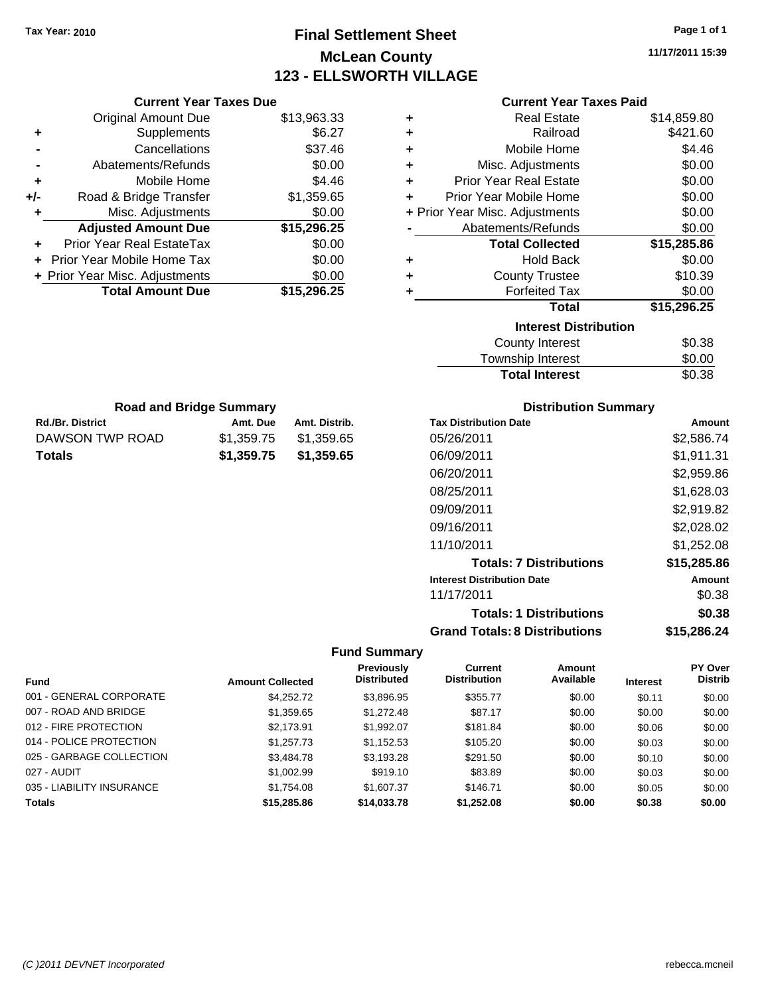# **Final Settlement Sheet Tax Year: 2010 Page 1 of 1 McLean County 123 - ELLSWORTH VILLAGE**

**11/17/2011 15:39**

| <b>Current Year Taxes Paid</b> |  |  |  |
|--------------------------------|--|--|--|
|--------------------------------|--|--|--|

|     | <b>Current Year Taxes Due</b>  |             |
|-----|--------------------------------|-------------|
|     | <b>Original Amount Due</b>     | \$13,963.33 |
| ٠   | Supplements                    | \$6.27      |
|     | Cancellations                  | \$37.46     |
|     | Abatements/Refunds             | \$0.00      |
| ٠   | Mobile Home                    | \$4.46      |
| +/- | Road & Bridge Transfer         | \$1,359.65  |
| ٠   | Misc. Adjustments              | \$0.00      |
|     | <b>Adjusted Amount Due</b>     | \$15,296.25 |
| ٠   | Prior Year Real EstateTax      | \$0.00      |
|     | Prior Year Mobile Home Tax     | \$0.00      |
|     | + Prior Year Misc. Adjustments | \$0.00      |
|     | <b>Total Amount Due</b>        | \$15,296.25 |
|     |                                |             |

| ٠ | <b>Real Estate</b>             | \$14,859.80 |
|---|--------------------------------|-------------|
| ٠ | Railroad                       | \$421.60    |
| ٠ | Mobile Home                    | \$4.46      |
| ٠ | Misc. Adjustments              | \$0.00      |
| ٠ | <b>Prior Year Real Estate</b>  | \$0.00      |
| ٠ | Prior Year Mobile Home         | \$0.00      |
|   | + Prior Year Misc. Adjustments | \$0.00      |
|   | Abatements/Refunds             | \$0.00      |
|   | <b>Total Collected</b>         | \$15,285.86 |
| ٠ | <b>Hold Back</b>               | \$0.00      |
| ٠ | <b>County Trustee</b>          | \$10.39     |
| ٠ | <b>Forfeited Tax</b>           | \$0.00      |
|   | Total                          | \$15,296.25 |
|   | <b>Interest Distribution</b>   |             |
|   | <b>County Interest</b>         | \$0.38      |
|   | <b>Township Interest</b>       | \$0.00      |
|   | <b>Total Interest</b>          | \$0.38      |

| <b>Road and Bridge Summary</b> |            |               |  |  |
|--------------------------------|------------|---------------|--|--|
| <b>Rd./Br. District</b>        | Amt. Due   | Amt. Distrib. |  |  |
| DAWSON TWP ROAD                | \$1.359.75 | \$1,359.65    |  |  |
| <b>Totals</b>                  | \$1,359.75 | \$1,359.65    |  |  |

# **Distribution Summary**

| <b>Tax Distribution Date</b>         | Amount      |
|--------------------------------------|-------------|
| 05/26/2011                           | \$2,586.74  |
| 06/09/2011                           | \$1,911.31  |
| 06/20/2011                           | \$2,959.86  |
| 08/25/2011                           | \$1.628.03  |
| 09/09/2011                           | \$2,919.82  |
| 09/16/2011                           | \$2.028.02  |
| 11/10/2011                           | \$1,252.08  |
| <b>Totals: 7 Distributions</b>       | \$15,285.86 |
| <b>Interest Distribution Date</b>    | Amount      |
| 11/17/2011                           | \$0.38      |
| <b>Totals: 1 Distributions</b>       | \$0.38      |
| <b>Grand Totals: 8 Distributions</b> | \$15,286.24 |

| <b>Fund</b>               | <b>Amount Collected</b> | <b>Previously</b><br><b>Distributed</b> | Current<br><b>Distribution</b> | Amount<br>Available | <b>Interest</b> | <b>PY Over</b><br><b>Distrib</b> |
|---------------------------|-------------------------|-----------------------------------------|--------------------------------|---------------------|-----------------|----------------------------------|
| 001 - GENERAL CORPORATE   | \$4.252.72              | \$3.896.95                              | \$355.77                       | \$0.00              | \$0.11          | \$0.00                           |
| 007 - ROAD AND BRIDGE     | \$1,359.65              | \$1,272.48                              | \$87.17                        | \$0.00              | \$0.00          | \$0.00                           |
| 012 - FIRE PROTECTION     | \$2,173.91              | \$1,992.07                              | \$181.84                       | \$0.00              | \$0.06          | \$0.00                           |
| 014 - POLICE PROTECTION   | \$1,257,73              | \$1,152.53                              | \$105.20                       | \$0.00              | \$0.03          | \$0.00                           |
| 025 - GARBAGE COLLECTION  | \$3,484.78              | \$3.193.28                              | \$291.50                       | \$0.00              | \$0.10          | \$0.00                           |
| 027 - AUDIT               | \$1,002.99              | \$919.10                                | \$83.89                        | \$0.00              | \$0.03          | \$0.00                           |
| 035 - LIABILITY INSURANCE | \$1,754.08              | \$1,607.37                              | \$146.71                       | \$0.00              | \$0.05          | \$0.00                           |
| <b>Totals</b>             | \$15,285.86             | \$14,033,78                             | \$1,252.08                     | \$0.00              | \$0.38          | \$0.00                           |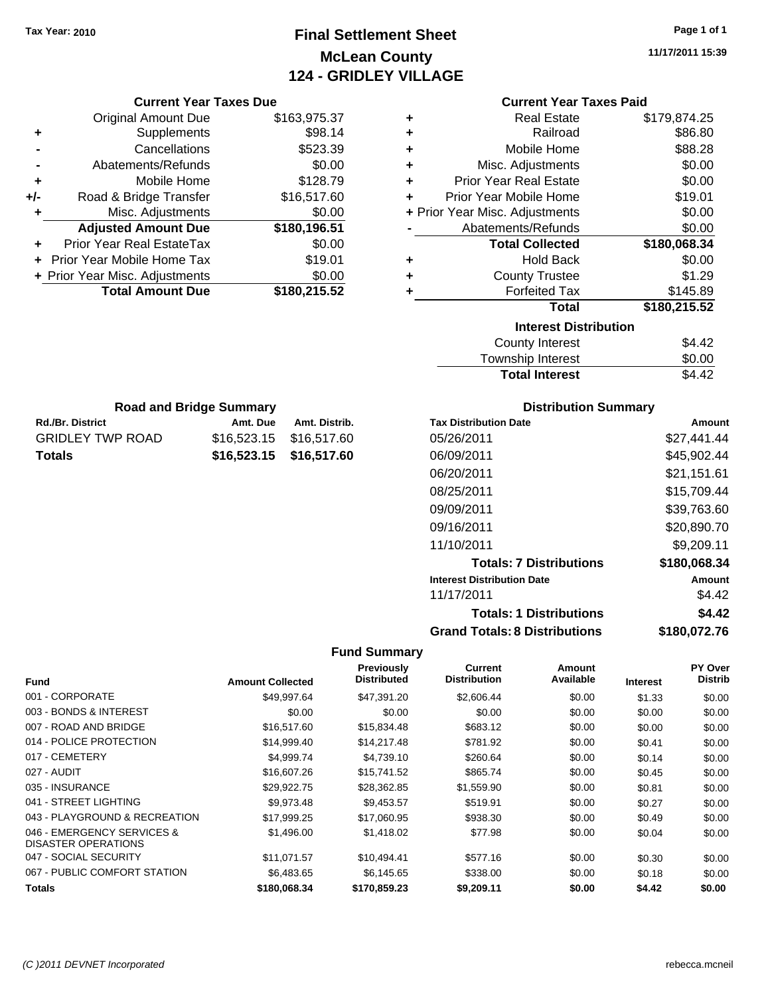# **Final Settlement Sheet Tax Year: 2010 Page 1 of 1 McLean County 124 - GRIDLEY VILLAGE**

**11/17/2011 15:39**

|     | <b>Current Year Taxes Due</b>  |              |
|-----|--------------------------------|--------------|
|     | <b>Original Amount Due</b>     | \$163,975.37 |
| ٠   | Supplements                    | \$98.14      |
|     | Cancellations                  | \$523.39     |
|     | Abatements/Refunds             | \$0.00       |
| ٠   | Mobile Home                    | \$128.79     |
| +/- | Road & Bridge Transfer         | \$16,517.60  |
| ٠   | Misc. Adjustments              | \$0.00       |
|     | <b>Adjusted Amount Due</b>     | \$180,196.51 |
| ÷   | Prior Year Real EstateTax      | \$0.00       |
|     | Prior Year Mobile Home Tax     | \$19.01      |
|     | + Prior Year Misc. Adjustments | \$0.00       |
|     | <b>Total Amount Due</b>        | \$180,215.52 |
|     |                                |              |

**Rd./Br. District Co. Amt. Due Amt. Distrib. Road and Bridge Summary**

GRIDLEY TWP ROAD \$16,523.15 \$16,517.60 **Totals \$16,523.15 \$16,517.60**

# **Current Year Taxes Paid**

|   | <b>Real Estate</b>             | \$179,874.25 |
|---|--------------------------------|--------------|
| ÷ | Railroad                       | \$86.80      |
| ٠ | Mobile Home                    | \$88.28      |
| ٠ | Misc. Adjustments              | \$0.00       |
| ٠ | <b>Prior Year Real Estate</b>  | \$0.00       |
| ÷ | Prior Year Mobile Home         | \$19.01      |
|   | + Prior Year Misc. Adjustments | \$0.00       |
|   | Abatements/Refunds             | \$0.00       |
|   | <b>Total Collected</b>         | \$180,068.34 |
| ٠ | <b>Hold Back</b>               | \$0.00       |
| ٠ | <b>County Trustee</b>          | \$1.29       |
|   | <b>Forfeited Tax</b>           | \$145.89     |
|   | <b>Total</b>                   | \$180,215.52 |
|   |                                |              |
|   | <b>Interest Distribution</b>   |              |
|   | County Interest                | \$4.42       |

| <b>Total Interest</b> | \$4.42 |
|-----------------------|--------|
| Township Interest     | \$0.00 |
| County Interest       | \$4.42 |

# **Distribution Summary**

| <b>Tax Distribution Date</b>         | Amount       |
|--------------------------------------|--------------|
| 05/26/2011                           | \$27.441.44  |
| 06/09/2011                           | \$45,902.44  |
| 06/20/2011                           | \$21,151.61  |
| 08/25/2011                           | \$15,709.44  |
| 09/09/2011                           | \$39,763.60  |
| 09/16/2011                           | \$20,890.70  |
| 11/10/2011                           | \$9,209.11   |
| <b>Totals: 7 Distributions</b>       | \$180,068.34 |
| <b>Interest Distribution Date</b>    | Amount       |
| 11/17/2011                           | \$4.42       |
| <b>Totals: 1 Distributions</b>       | \$4.42       |
| <b>Grand Totals: 8 Distributions</b> | \$180,072.76 |

| <b>Fund</b>                                       | <b>Amount Collected</b> | Previously<br><b>Distributed</b> | <b>Current</b><br><b>Distribution</b> | Amount<br>Available | <b>Interest</b> | <b>PY Over</b><br><b>Distrib</b> |
|---------------------------------------------------|-------------------------|----------------------------------|---------------------------------------|---------------------|-----------------|----------------------------------|
|                                                   |                         |                                  |                                       |                     |                 |                                  |
| 001 - CORPORATE                                   | \$49.997.64             | \$47.391.20                      | \$2,606.44                            | \$0.00              | \$1.33          | \$0.00                           |
| 003 - BONDS & INTEREST                            | \$0.00                  | \$0.00                           | \$0.00                                | \$0.00              | \$0.00          | \$0.00                           |
| 007 - ROAD AND BRIDGE                             | \$16,517.60             | \$15,834.48                      | \$683.12                              | \$0.00              | \$0.00          | \$0.00                           |
| 014 - POLICE PROTECTION                           | \$14,999.40             | \$14,217.48                      | \$781.92                              | \$0.00              | \$0.41          | \$0.00                           |
| 017 - CEMETERY                                    | \$4,999.74              | \$4,739.10                       | \$260.64                              | \$0.00              | \$0.14          | \$0.00                           |
| 027 - AUDIT                                       | \$16,607.26             | \$15,741.52                      | \$865.74                              | \$0.00              | \$0.45          | \$0.00                           |
| 035 - INSURANCE                                   | \$29,922.75             | \$28,362.85                      | \$1,559.90                            | \$0.00              | \$0.81          | \$0.00                           |
| 041 - STREET LIGHTING                             | \$9,973.48              | \$9,453.57                       | \$519.91                              | \$0.00              | \$0.27          | \$0.00                           |
| 043 - PLAYGROUND & RECREATION                     | \$17,999.25             | \$17,060.95                      | \$938.30                              | \$0.00              | \$0.49          | \$0.00                           |
| 046 - EMERGENCY SERVICES &<br>DISASTER OPERATIONS | \$1,496.00              | \$1,418.02                       | \$77.98                               | \$0.00              | \$0.04          | \$0.00                           |
| 047 - SOCIAL SECURITY                             | \$11,071.57             | \$10,494.41                      | \$577.16                              | \$0.00              | \$0.30          | \$0.00                           |
| 067 - PUBLIC COMFORT STATION                      | \$6,483.65              | \$6.145.65                       | \$338.00                              | \$0.00              | \$0.18          | \$0.00                           |
| Totals                                            | \$180,068.34            | \$170,859.23                     | \$9,209.11                            | \$0.00              | \$4.42          | \$0.00                           |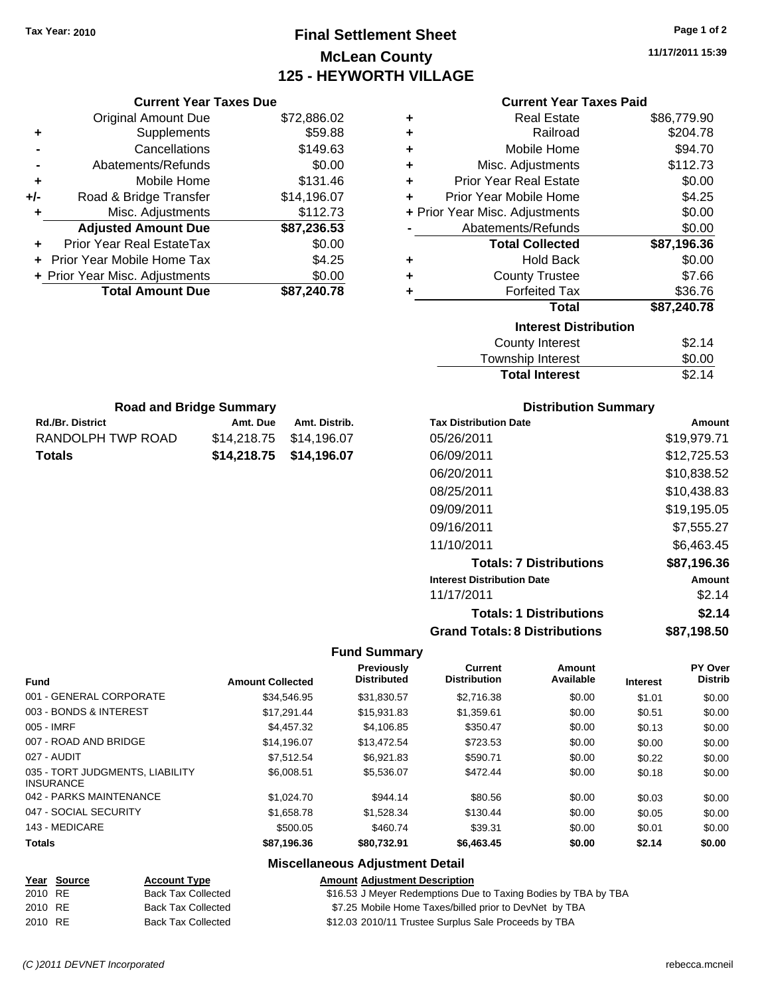**Current Year Taxes Due** Original Amount Due \$72,886.02

**Adjusted Amount Due \$87,236.53**

**Total Amount Due \$87,240.78**

**+** Supplements \$59.88 **-** Cancellations \$149.63 **-** Abatements/Refunds \$0.00 **+** Mobile Home \$131.46 **+/-** Road & Bridge Transfer \$14,196.07 **+** Misc. Adjustments \$112.73

**+** Prior Year Real EstateTax \$0.00 **+** Prior Year Mobile Home Tax \$4.25 **+ Prior Year Misc. Adjustments**  $$0.00$ 

Rd./Br. District **Amt. Due** Amt. Distrib. **Road and Bridge Summary**

RANDOLPH TWP ROAD \$14,218.75 \$14,196.07 **Totals \$14,218.75 \$14,196.07**

# **Final Settlement Sheet Tax Year: 2010 Page 1 of 2 McLean County 125 - HEYWORTH VILLAGE**

**11/17/2011 15:39**

| <b>Current Year Taxes Paid</b> |  |  |  |
|--------------------------------|--|--|--|
|--------------------------------|--|--|--|

| ÷ | <b>Real Estate</b>             | \$86,779.90 |
|---|--------------------------------|-------------|
| ÷ | Railroad                       | \$204.78    |
| ÷ | Mobile Home                    | \$94.70     |
| ٠ | Misc. Adjustments              | \$112.73    |
| ÷ | <b>Prior Year Real Estate</b>  | \$0.00      |
| ÷ | Prior Year Mobile Home         | \$4.25      |
|   | + Prior Year Misc. Adjustments | \$0.00      |
|   | Abatements/Refunds             | \$0.00      |
|   |                                |             |
|   | <b>Total Collected</b>         | \$87,196.36 |
| ÷ | <b>Hold Back</b>               | \$0.00      |
| ٠ | <b>County Trustee</b>          | \$7.66      |
| ÷ | <b>Forfeited Tax</b>           | \$36.76     |
|   | Total                          | \$87,240.78 |
|   | <b>Interest Distribution</b>   |             |
|   | <b>County Interest</b>         | \$2.14      |

| <b>Total Interest</b> | \$2.14 |
|-----------------------|--------|
| Township Interest     | \$0.00 |
| County Interest       | \$2.14 |

| <b>Distribution Summary</b> |  |
|-----------------------------|--|
|-----------------------------|--|

| <b>Tax Distribution Date</b>         | Amount      |
|--------------------------------------|-------------|
| 05/26/2011                           | \$19,979.71 |
| 06/09/2011                           | \$12,725.53 |
| 06/20/2011                           | \$10.838.52 |
| 08/25/2011                           | \$10.438.83 |
| 09/09/2011                           | \$19,195.05 |
| 09/16/2011                           | \$7,555.27  |
| 11/10/2011                           | \$6.463.45  |
| <b>Totals: 7 Distributions</b>       | \$87,196.36 |
| <b>Interest Distribution Date</b>    | Amount      |
| 11/17/2011                           | \$2.14      |
| <b>Totals: 1 Distributions</b>       | \$2.14      |
| <b>Grand Totals: 8 Distributions</b> | \$87,198.50 |

#### **Fund Summary**

| <b>Fund</b>                                         | <b>Amount Collected</b> | <b>Previously</b><br><b>Distributed</b> | <b>Current</b><br><b>Distribution</b> | Amount<br>Available | <b>Interest</b> | PY Over<br><b>Distrib</b> |
|-----------------------------------------------------|-------------------------|-----------------------------------------|---------------------------------------|---------------------|-----------------|---------------------------|
| 001 - GENERAL CORPORATE                             | \$34.546.95             | \$31,830.57                             | \$2,716.38                            | \$0.00              | \$1.01          | \$0.00                    |
| 003 - BONDS & INTEREST                              | \$17.291.44             | \$15.931.83                             | \$1,359.61                            | \$0.00              | \$0.51          | \$0.00                    |
| 005 - IMRF                                          | \$4,457.32              | \$4,106.85                              | \$350.47                              | \$0.00              | \$0.13          | \$0.00                    |
| 007 - ROAD AND BRIDGE                               | \$14.196.07             | \$13,472.54                             | \$723.53                              | \$0.00              | \$0.00          | \$0.00                    |
| 027 - AUDIT                                         | \$7.512.54              | \$6.921.83                              | \$590.71                              | \$0.00              | \$0.22          | \$0.00                    |
| 035 - TORT JUDGMENTS, LIABILITY<br><b>INSURANCE</b> | \$6,008.51              | \$5.536.07                              | \$472.44                              | \$0.00              | \$0.18          | \$0.00                    |
| 042 - PARKS MAINTENANCE                             | \$1,024.70              | \$944.14                                | \$80.56                               | \$0.00              | \$0.03          | \$0.00                    |
| 047 - SOCIAL SECURITY                               | \$1,658.78              | \$1,528.34                              | \$130.44                              | \$0.00              | \$0.05          | \$0.00                    |
| 143 - MEDICARE                                      | \$500.05                | \$460.74                                | \$39.31                               | \$0.00              | \$0.01          | \$0.00                    |
| <b>Totals</b>                                       | \$87,196.36             | \$80,732.91                             | \$6,463.45                            | \$0.00              | \$2.14          | \$0.00                    |

#### **Miscellaneous Adjustment Detail**

|         | Year Source | <b>Account Type</b>       | <b>Amount Adiustment Description</b>                           |
|---------|-------------|---------------------------|----------------------------------------------------------------|
| 2010 RE |             | <b>Back Tax Collected</b> | \$16.53 J Meyer Redemptions Due to Taxing Bodies by TBA by TBA |
| 2010 RE |             | <b>Back Tax Collected</b> | \$7.25 Mobile Home Taxes/billed prior to DevNet by TBA         |
| 2010 RE |             | <b>Back Tax Collected</b> | \$12.03 2010/11 Trustee Surplus Sale Proceeds by TBA           |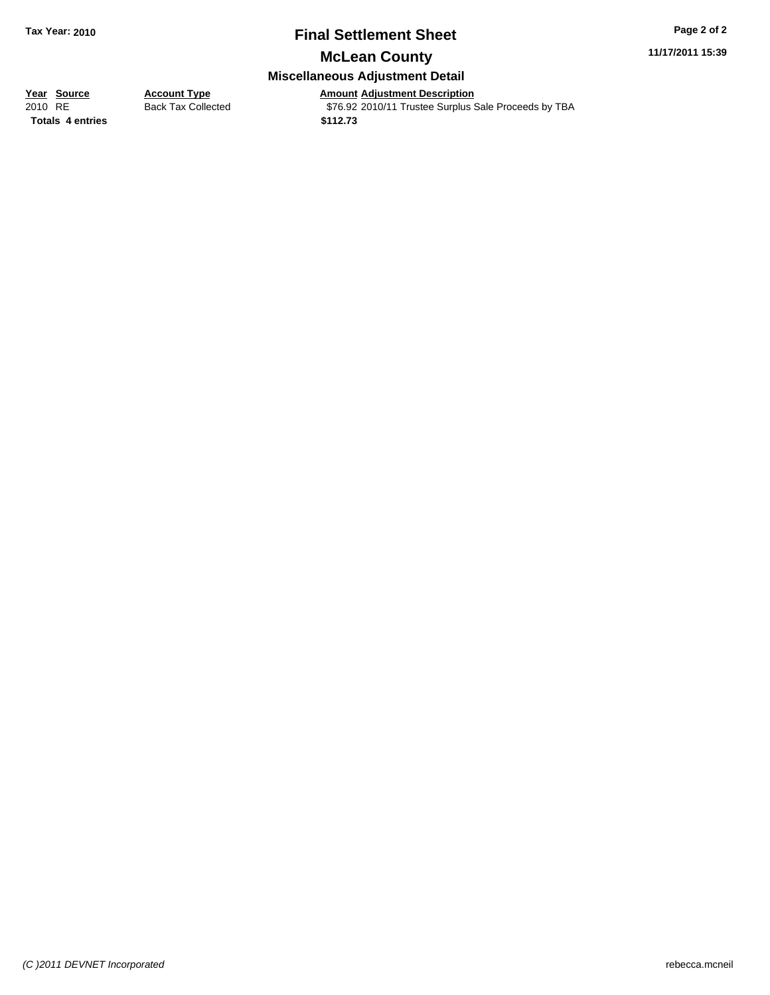# **Final Settlement Sheet Tax Year: 2010 Page 2 of 2**

**11/17/2011 15:39**

# **McLean County Miscellaneous Adjustment Detail**

**Totals \$112.73 4 entries**

**Year Source Account Type**<br> **Amount Adjustment Description**<br>
2010 RE **Back Tax Collected** \$76.92 2010/11 Trustee Surplus \$ Back Tax Collected **376.92** 2010/11 Trustee Surplus Sale Proceeds by TBA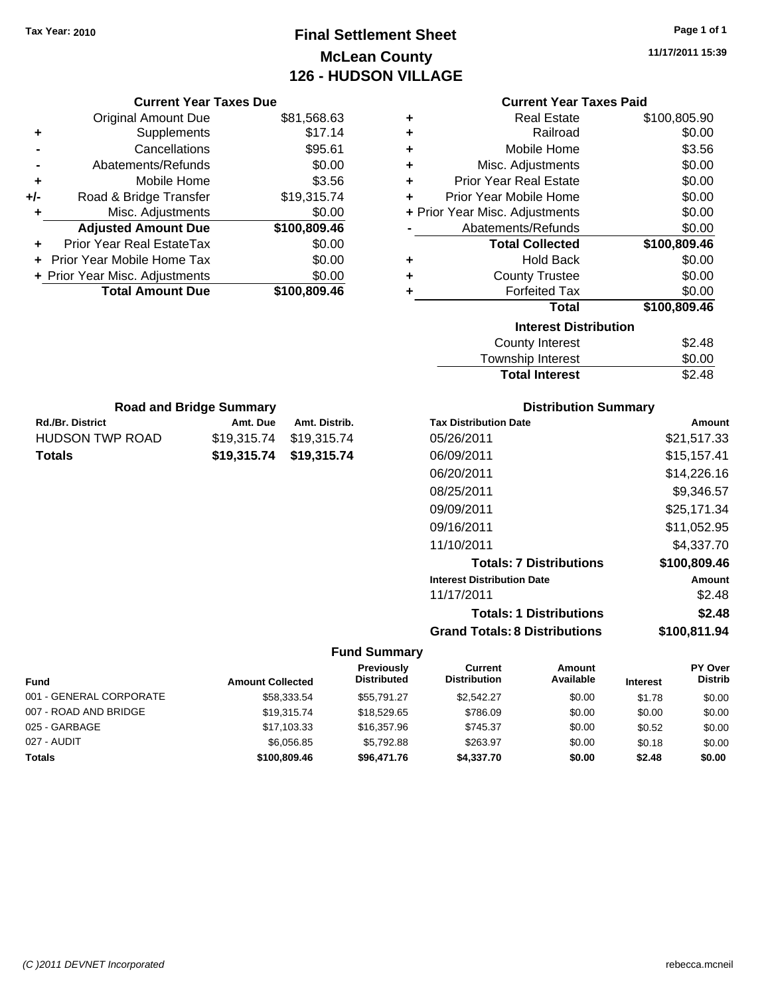# **Final Settlement Sheet Tax Year: 2010 Page 1 of 1 McLean County 126 - HUDSON VILLAGE**

**11/17/2011 15:39**

|     | <b>Current Year Taxes Due</b>  |              |
|-----|--------------------------------|--------------|
|     | <b>Original Amount Due</b>     | \$81,568.63  |
| ٠   | Supplements                    | \$17.14      |
|     | Cancellations                  | \$95.61      |
|     | Abatements/Refunds             | \$0.00       |
| ٠   | Mobile Home                    | \$3.56       |
| +/- | Road & Bridge Transfer         | \$19,315.74  |
| ٠   | Misc. Adjustments              | \$0.00       |
|     | <b>Adjusted Amount Due</b>     | \$100,809.46 |
| ٠   | Prior Year Real EstateTax      | \$0.00       |
|     | Prior Year Mobile Home Tax     | \$0.00       |
|     | + Prior Year Misc. Adjustments | \$0.00       |
|     | <b>Total Amount Due</b>        | \$100,809.46 |
|     |                                |              |

**Rd./Br. District Community Community Rd./Br. Distrib.** Amt. Distrib. **Road and Bridge Summary**

HUDSON TWP ROAD \$19,315.74 \$19,315.74 **Totals \$19,315.74 \$19,315.74**

# **Current Year Taxes Paid**

| ٠ | <b>Real Estate</b>             | \$100,805.90 |
|---|--------------------------------|--------------|
| ÷ | Railroad                       | \$0.00       |
| ÷ | Mobile Home                    | \$3.56       |
| ÷ | Misc. Adjustments              | \$0.00       |
| ÷ | <b>Prior Year Real Estate</b>  | \$0.00       |
| ٠ | Prior Year Mobile Home         | \$0.00       |
|   | + Prior Year Misc. Adjustments | \$0.00       |
|   | Abatements/Refunds             | \$0.00       |
|   | <b>Total Collected</b>         | \$100,809.46 |
| ٠ | <b>Hold Back</b>               | \$0.00       |
| ٠ | <b>County Trustee</b>          | \$0.00       |
| ٠ | <b>Forfeited Tax</b>           | \$0.00       |
|   | Total                          | \$100,809.46 |
|   | <b>Interest Distribution</b>   |              |
|   | County Intoract                | ድኃ 40        |

| <b>Total Interest</b> | \$2.48 |
|-----------------------|--------|
| Township Interest     | \$0.00 |
| County Interest       | \$2.48 |

# **Distribution Summary**

| <b>Tax Distribution Date</b>         | Amount       |
|--------------------------------------|--------------|
| 05/26/2011                           | \$21.517.33  |
| 06/09/2011                           | \$15,157.41  |
| 06/20/2011                           | \$14.226.16  |
| 08/25/2011                           | \$9,346.57   |
| 09/09/2011                           | \$25,171.34  |
| 09/16/2011                           | \$11,052.95  |
| 11/10/2011                           | \$4.337.70   |
| <b>Totals: 7 Distributions</b>       | \$100,809.46 |
| <b>Interest Distribution Date</b>    | Amount       |
| 11/17/2011                           | \$2.48       |
| <b>Totals: 1 Distributions</b>       | \$2.48       |
| <b>Grand Totals: 8 Distributions</b> | \$100,811.94 |

| <b>Fund</b>             | <b>Amount Collected</b> | Previously<br><b>Distributed</b> | Current<br><b>Distribution</b> | Amount<br>Available | <b>Interest</b> | <b>PY Over</b><br><b>Distrib</b> |
|-------------------------|-------------------------|----------------------------------|--------------------------------|---------------------|-----------------|----------------------------------|
| 001 - GENERAL CORPORATE | \$58,333.54             | \$55.791.27                      | \$2.542.27                     | \$0.00              | \$1.78          | \$0.00                           |
| 007 - ROAD AND BRIDGE   | \$19,315,74             | \$18,529.65                      | \$786.09                       | \$0.00              | \$0.00          | \$0.00                           |
| 025 - GARBAGE           | \$17,103.33             | \$16,357.96                      | \$745.37                       | \$0.00              | \$0.52          | \$0.00                           |
| 027 - AUDIT             | \$6.056.85              | \$5.792.88                       | \$263.97                       | \$0.00              | \$0.18          | \$0.00                           |
| <b>Totals</b>           | \$100,809,46            | \$96,471.76                      | \$4,337.70                     | \$0.00              | \$2.48          | \$0.00                           |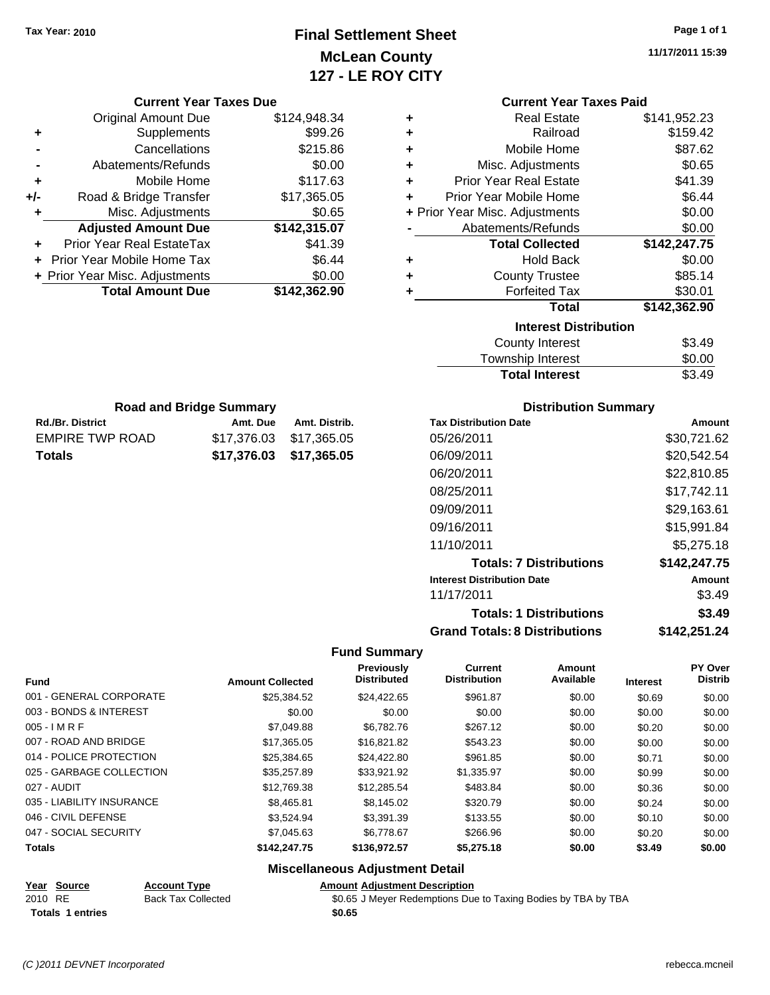# **Final Settlement Sheet Tax Year: 2010 Page 1 of 1 McLean County 127 - LE ROY CITY**

**11/17/2011 15:39**

|  | <b>Current Year Taxes Due</b> |  |  |  |
|--|-------------------------------|--|--|--|
|--|-------------------------------|--|--|--|

|       | <b>Original Amount Due</b>     | \$124,948.34 |
|-------|--------------------------------|--------------|
| ٠     | Supplements                    | \$99.26      |
|       | Cancellations                  | \$215.86     |
|       | Abatements/Refunds             | \$0.00       |
| ٠     | Mobile Home                    | \$117.63     |
| $+/-$ | Road & Bridge Transfer         | \$17,365.05  |
| ٠     | Misc. Adjustments              | \$0.65       |
|       | <b>Adjusted Amount Due</b>     | \$142,315.07 |
|       | Prior Year Real EstateTax      | \$41.39      |
|       | Prior Year Mobile Home Tax     | \$6.44       |
|       | + Prior Year Misc. Adjustments | \$0.00       |
|       | <b>Total Amount Due</b>        | \$142,362.90 |
|       |                                |              |

Rd./Br. District **Amt. Due** Amt. Distrib. **Road and Bridge Summary**

EMPIRE TWP ROAD \$17,376.03 \$17,365.05 **Totals \$17,376.03 \$17,365.05**

#### **Current Year Taxes Paid**

| ٠ | <b>Real Estate</b>             | \$141,952.23 |
|---|--------------------------------|--------------|
| ٠ | Railroad                       | \$159.42     |
| ÷ | Mobile Home                    | \$87.62      |
| ٠ | Misc. Adjustments              | \$0.65       |
| ٠ | <b>Prior Year Real Estate</b>  | \$41.39      |
| ÷ | Prior Year Mobile Home         | \$6.44       |
|   | + Prior Year Misc. Adjustments | \$0.00       |
|   | Abatements/Refunds             | \$0.00       |
|   | <b>Total Collected</b>         | \$142,247.75 |
| ٠ | <b>Hold Back</b>               | \$0.00       |
| ٠ | <b>County Trustee</b>          | \$85.14      |
| ٠ | <b>Forfeited Tax</b>           | \$30.01      |
|   | Total                          | \$142,362.90 |
|   |                                |              |
|   | <b>Interest Distribution</b>   |              |

| <b>Total Interest</b> | \$3.49 |
|-----------------------|--------|
| Township Interest     | \$0.00 |
| County Interest       | \$3.49 |

| <b>Distribution Summary</b> |  |
|-----------------------------|--|
|-----------------------------|--|

| <b>Tax Distribution Date</b>         | Amount       |
|--------------------------------------|--------------|
| 05/26/2011                           | \$30,721.62  |
| 06/09/2011                           | \$20.542.54  |
| 06/20/2011                           | \$22.810.85  |
| 08/25/2011                           | \$17,742.11  |
| 09/09/2011                           | \$29,163.61  |
| 09/16/2011                           | \$15,991.84  |
| 11/10/2011                           | \$5,275.18   |
| <b>Totals: 7 Distributions</b>       | \$142,247.75 |
| <b>Interest Distribution Date</b>    | Amount       |
| 11/17/2011                           | \$3.49       |
| <b>Totals: 1 Distributions</b>       | \$3.49       |
| <b>Grand Totals: 8 Distributions</b> | \$142,251.24 |

## **Fund Summary**

| <b>Fund</b>               | <b>Amount Collected</b> | <b>Previously</b><br><b>Distributed</b> | <b>Current</b><br><b>Distribution</b> | Amount<br>Available | <b>Interest</b> | PY Over<br><b>Distrib</b> |
|---------------------------|-------------------------|-----------------------------------------|---------------------------------------|---------------------|-----------------|---------------------------|
| 001 - GENERAL CORPORATE   | \$25.384.52             | \$24.422.65                             | \$961.87                              | \$0.00              | \$0.69          | \$0.00                    |
| 003 - BONDS & INTEREST    | \$0.00                  | \$0.00                                  | \$0.00                                | \$0.00              | \$0.00          | \$0.00                    |
| $005 - I$ M R F           | \$7,049.88              | \$6,782,76                              | \$267.12                              | \$0.00              | \$0.20          | \$0.00                    |
| 007 - ROAD AND BRIDGE     | \$17,365,05             | \$16,821.82                             | \$543.23                              | \$0.00              | \$0.00          | \$0.00                    |
| 014 - POLICE PROTECTION   | \$25,384.65             | \$24,422.80                             | \$961.85                              | \$0.00              | \$0.71          | \$0.00                    |
| 025 - GARBAGE COLLECTION  | \$35,257.89             | \$33.921.92                             | \$1,335.97                            | \$0.00              | \$0.99          | \$0.00                    |
| 027 - AUDIT               | \$12,769.38             | \$12.285.54                             | \$483.84                              | \$0.00              | \$0.36          | \$0.00                    |
| 035 - LIABILITY INSURANCE | \$8,465.81              | \$8,145,02                              | \$320.79                              | \$0.00              | \$0.24          | \$0.00                    |
| 046 - CIVIL DEFENSE       | \$3.524.94              | \$3.391.39                              | \$133.55                              | \$0.00              | \$0.10          | \$0.00                    |
| 047 - SOCIAL SECURITY     | \$7,045.63              | \$6,778,67                              | \$266.96                              | \$0.00              | \$0.20          | \$0.00                    |
| <b>Totals</b>             | \$142,247.75            | \$136,972.57                            | \$5,275.18                            | \$0.00              | \$3.49          | \$0.00                    |

#### **Miscellaneous Adjustment Detail**

#### **Year Source Account Type Amount Adjustment Description**

| rear source             | ACCOUNT TVDE       | Alliount Adiustment Describtion                               |
|-------------------------|--------------------|---------------------------------------------------------------|
| 2010 RE                 | Back Tax Collected | \$0.65 J Meyer Redemptions Due to Taxing Bodies by TBA by TBA |
| <b>Totals 1 entries</b> |                    | \$0.65                                                        |

 $\overline{\phantom{0}}$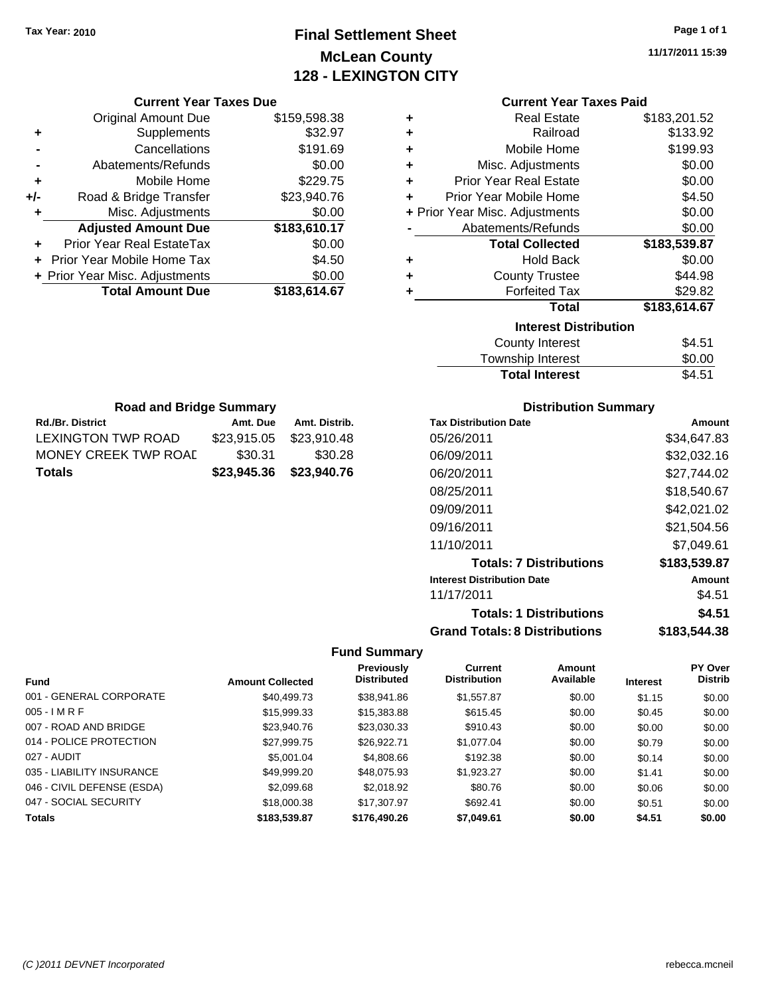# **Final Settlement Sheet Tax Year: 2010 Page 1 of 1 McLean County 128 - LEXINGTON CITY**

**11/17/2011 15:39**

|     | <b>Original Amount Due</b>        | \$159,598.38 |
|-----|-----------------------------------|--------------|
| ٠   | Supplements                       | \$32.97      |
|     | Cancellations                     | \$191.69     |
|     | Abatements/Refunds                | \$0.00       |
| ٠   | Mobile Home                       | \$229.75     |
| +/- | Road & Bridge Transfer            | \$23,940.76  |
| ٠   | Misc. Adjustments                 | \$0.00       |
|     | <b>Adjusted Amount Due</b>        | \$183,610.17 |
|     | <b>Prior Year Real EstateTax</b>  | \$0.00       |
|     | <b>Prior Year Mobile Home Tax</b> | \$4.50       |
|     | + Prior Year Misc. Adjustments    | \$0.00       |
|     | <b>Total Amount Due</b>           | \$183,614.67 |
|     |                                   |              |

**Rd./Br. District Co. Amt. Due Amt. Distrib. Road and Bridge Summary**

LEXINGTON TWP ROAD \$23,915.05 \$23,910.48 MONEY CREEK TWP ROAL \$30.31 \$30.28 **Totals \$23,945.36 \$23,940.76**

| <b>Current Year Taxes Paid</b> |  |  |  |
|--------------------------------|--|--|--|
|--------------------------------|--|--|--|

| ٠ | <b>Real Estate</b>             | \$183,201.52 |
|---|--------------------------------|--------------|
| ÷ | Railroad                       | \$133.92     |
| ٠ | Mobile Home                    | \$199.93     |
| ٠ | Misc. Adjustments              | \$0.00       |
| ÷ | <b>Prior Year Real Estate</b>  | \$0.00       |
| ÷ | Prior Year Mobile Home         | \$4.50       |
|   | + Prior Year Misc. Adjustments | \$0.00       |
|   | Abatements/Refunds             | \$0.00       |
|   | <b>Total Collected</b>         |              |
|   |                                | \$183,539.87 |
| ٠ | <b>Hold Back</b>               | \$0.00       |
| ٠ | <b>County Trustee</b>          | \$44.98      |
| ٠ | <b>Forfeited Tax</b>           | \$29.82      |
|   | Total                          | \$183,614.67 |
|   | <b>Interest Distribution</b>   |              |

| <b>Total Interest</b> | \$4.51 |
|-----------------------|--------|
| Township Interest     | \$0.00 |
| County Interest       | \$4.51 |

| <b>Distribution Summary</b> |  |
|-----------------------------|--|
|-----------------------------|--|

| <b>Tax Distribution Date</b>         | Amount       |
|--------------------------------------|--------------|
| 05/26/2011                           | \$34.647.83  |
| 06/09/2011                           | \$32,032.16  |
| 06/20/2011                           | \$27.744.02  |
| 08/25/2011                           | \$18.540.67  |
| 09/09/2011                           | \$42.021.02  |
| 09/16/2011                           | \$21,504.56  |
| 11/10/2011                           | \$7.049.61   |
| <b>Totals: 7 Distributions</b>       | \$183,539.87 |
| <b>Interest Distribution Date</b>    | Amount       |
| 11/17/2011                           | \$4.51       |
| <b>Totals: 1 Distributions</b>       | \$4.51       |
| <b>Grand Totals: 8 Distributions</b> | \$183,544.38 |

|                            |                         | Previously         | Current             | Amount    |                 | <b>PY Over</b> |
|----------------------------|-------------------------|--------------------|---------------------|-----------|-----------------|----------------|
| <b>Fund</b>                | <b>Amount Collected</b> | <b>Distributed</b> | <b>Distribution</b> | Available | <b>Interest</b> | <b>Distrib</b> |
| 001 - GENERAL CORPORATE    | \$40,499.73             | \$38,941.86        | \$1,557.87          | \$0.00    | \$1.15          | \$0.00         |
| $005 - I$ M R F            | \$15,999.33             | \$15,383.88        | \$615.45            | \$0.00    | \$0.45          | \$0.00         |
| 007 - ROAD AND BRIDGE      | \$23,940.76             | \$23,030.33        | \$910.43            | \$0.00    | \$0.00          | \$0.00         |
| 014 - POLICE PROTECTION    | \$27,999.75             | \$26,922.71        | \$1,077.04          | \$0.00    | \$0.79          | \$0.00         |
| 027 - AUDIT                | \$5,001.04              | \$4,808.66         | \$192.38            | \$0.00    | \$0.14          | \$0.00         |
| 035 - LIABILITY INSURANCE  | \$49.999.20             | \$48,075.93        | \$1,923.27          | \$0.00    | \$1.41          | \$0.00         |
| 046 - CIVIL DEFENSE (ESDA) | \$2,099.68              | \$2.018.92         | \$80.76             | \$0.00    | \$0.06          | \$0.00         |
| 047 - SOCIAL SECURITY      | \$18,000.38             | \$17,307.97        | \$692.41            | \$0.00    | \$0.51          | \$0.00         |
| <b>Totals</b>              | \$183,539.87            | \$176,490.26       | \$7,049.61          | \$0.00    | \$4.51          | \$0.00         |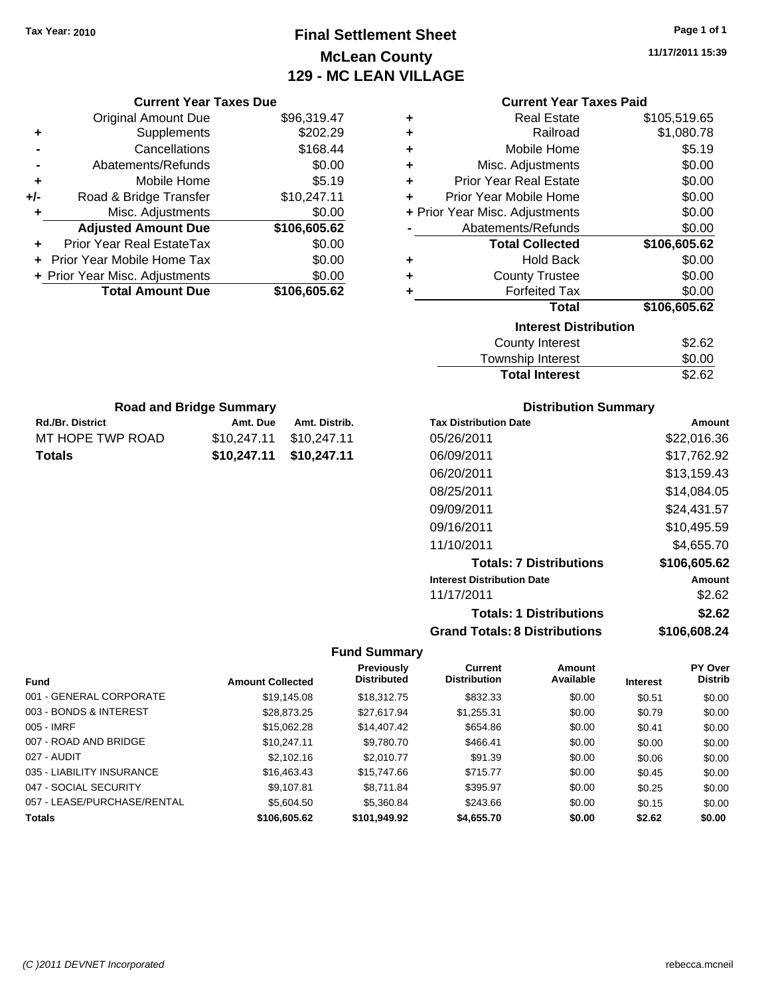**Current Year Taxes Due** Original Amount Due \$96,319.47

**Adjusted Amount Due \$106,605.62**

**Total Amount Due \$106,605.62**

**+** Supplements \$202.29 **-** Cancellations \$168.44 **-** Abatements/Refunds \$0.00 **+** Mobile Home \$5.19 **+/-** Road & Bridge Transfer \$10,247.11 **+** Misc. Adjustments \$0.00

**+** Prior Year Real EstateTax \$0.00 **+** Prior Year Mobile Home Tax \$0.00 **+ Prior Year Misc. Adjustments**  $$0.00$ 

Rd./Br. District **Amt. Due** Amt. Distrib. **Road and Bridge Summary**

MT HOPE TWP ROAD \$10,247.11 \$10,247.11 **Totals \$10,247.11 \$10,247.11**

# **Final Settlement Sheet Tax Year: 2010 Page 1 of 1 McLean County 129 - MC LEAN VILLAGE**

**11/17/2011 15:39**

### **Current Year Taxes Paid**

| ٠ | <b>Real Estate</b>             | \$105,519.65 |
|---|--------------------------------|--------------|
| ٠ | Railroad                       | \$1,080.78   |
| ٠ | Mobile Home                    | \$5.19       |
| ÷ | Misc. Adjustments              | \$0.00       |
| ÷ | <b>Prior Year Real Estate</b>  | \$0.00       |
| ÷ | Prior Year Mobile Home         | \$0.00       |
|   | + Prior Year Misc. Adjustments | \$0.00       |
|   | Abatements/Refunds             | \$0.00       |
|   | <b>Total Collected</b>         | \$106,605.62 |
| ٠ | <b>Hold Back</b>               | \$0.00       |
| ٠ | <b>County Trustee</b>          | \$0.00       |
| ٠ | <b>Forfeited Tax</b>           | \$0.00       |
|   | <b>Total</b>                   | \$106,605.62 |
|   | <b>Interest Distribution</b>   |              |
|   | <b>County Interest</b>         | \$2.62       |
|   |                                |              |

| <b>Total Interest</b> | \$2.62 |
|-----------------------|--------|
| Township Interest     | \$0.00 |
| County Interest       | \$2.62 |

### **Distribution Summary**

| <b>Tax Distribution Date</b>         | Amount       |
|--------------------------------------|--------------|
| 05/26/2011                           | \$22,016.36  |
| 06/09/2011                           | \$17,762.92  |
| 06/20/2011                           | \$13,159.43  |
| 08/25/2011                           | \$14.084.05  |
| 09/09/2011                           | \$24.431.57  |
| 09/16/2011                           | \$10,495.59  |
| 11/10/2011                           | \$4.655.70   |
| <b>Totals: 7 Distributions</b>       | \$106,605.62 |
| <b>Interest Distribution Date</b>    | Amount       |
| 11/17/2011                           | \$2.62       |
| <b>Totals: 1 Distributions</b>       | \$2.62       |
| <b>Grand Totals: 8 Distributions</b> | \$106,608.24 |

|                             |                         | <b>Previously</b>  | Current             | Amount    |                 | <b>PY Over</b> |
|-----------------------------|-------------------------|--------------------|---------------------|-----------|-----------------|----------------|
| <b>Fund</b>                 | <b>Amount Collected</b> | <b>Distributed</b> | <b>Distribution</b> | Available | <b>Interest</b> | <b>Distrib</b> |
| 001 - GENERAL CORPORATE     | \$19,145.08             | \$18,312.75        | \$832.33            | \$0.00    | \$0.51          | \$0.00         |
| 003 - BONDS & INTEREST      | \$28.873.25             | \$27.617.94        | \$1,255.31          | \$0.00    | \$0.79          | \$0.00         |
| 005 - IMRF                  | \$15,062.28             | \$14,407.42        | \$654.86            | \$0.00    | \$0.41          | \$0.00         |
| 007 - ROAD AND BRIDGE       | \$10,247.11             | \$9,780.70         | \$466.41            | \$0.00    | \$0.00          | \$0.00         |
| 027 - AUDIT                 | \$2,102.16              | \$2,010.77         | \$91.39             | \$0.00    | \$0.06          | \$0.00         |
| 035 - LIABILITY INSURANCE   | \$16,463.43             | \$15,747.66        | \$715.77            | \$0.00    | \$0.45          | \$0.00         |
| 047 - SOCIAL SECURITY       | \$9.107.81              | \$8.711.84         | \$395.97            | \$0.00    | \$0.25          | \$0.00         |
| 057 - LEASE/PURCHASE/RENTAL | \$5,604.50              | \$5,360.84         | \$243.66            | \$0.00    | \$0.15          | \$0.00         |
| <b>Totals</b>               | \$106,605.62            | \$101.949.92       | \$4,655.70          | \$0.00    | \$2.62          | \$0.00         |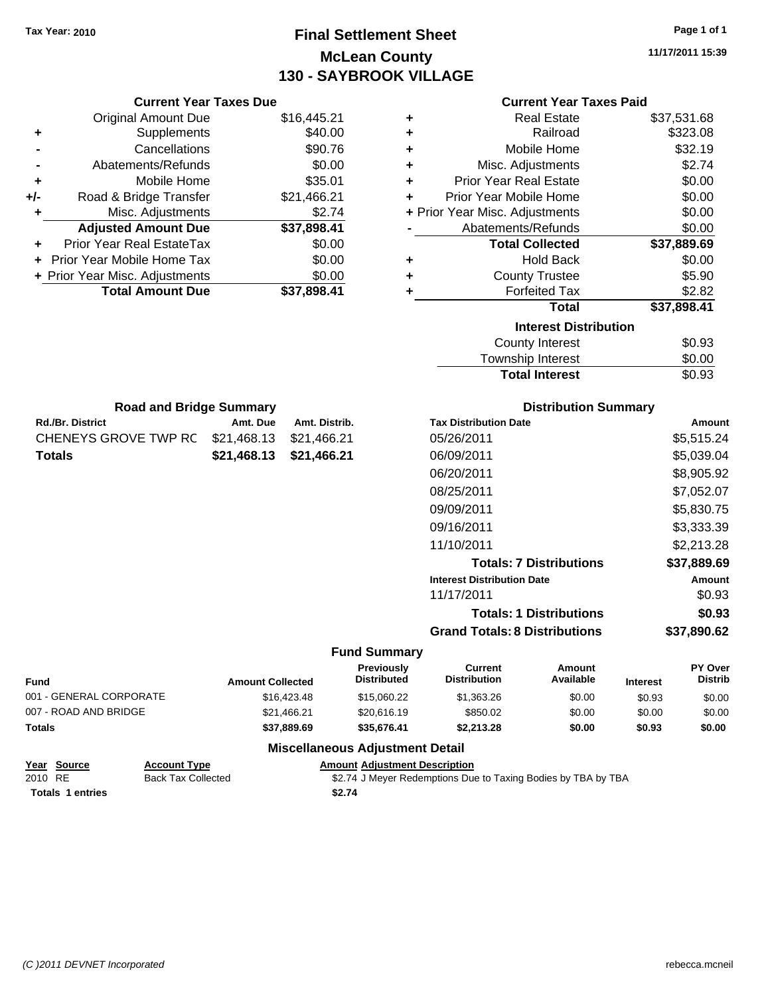# **Final Settlement Sheet Tax Year: 2010 Page 1 of 1 McLean County 130 - SAYBROOK VILLAGE**

**11/17/2011 15:39**

| <b>Current Year Taxes Paid</b> |  |  |  |
|--------------------------------|--|--|--|
|--------------------------------|--|--|--|

|     | <b>Current Year Taxes Due</b>    |                           |       |
|-----|----------------------------------|---------------------------|-------|
|     | <b>Original Amount Due</b>       | \$16,445.21               | ٠     |
|     | Supplements                      | \$40.00                   | ٠     |
|     | Cancellations                    | \$90.76                   | ٠     |
|     | Abatements/Refunds               | \$0.00                    | ٠     |
|     | Mobile Home                      | \$35.01                   | ÷     |
| +/- | Road & Bridge Transfer           | \$21,466.21               | ٠     |
| ٠   | Misc. Adjustments                | \$2.74                    | + Pri |
|     | <b>Adjusted Amount Due</b>       | \$37,898.41               |       |
|     | <b>Prior Year Real EstateTax</b> | \$0.00                    |       |
|     | Prior Year Mobile Home Tax       | \$0.00                    |       |
|     | + Prior Year Misc. Adjustments   | \$0.00                    |       |
|     | <b>Total Amount Due</b>          | \$37,898.41               | ٠     |
|     |                                  |                           |       |
|     | <b>Road and Bridge Summary</b>   |                           |       |
|     | <b>Rd./Br. District</b>          | Amt. Due<br>Amt. Distrib. |       |

CHENEYS GROVE TWP RC \$21,468.13 \$21,466.21 **Totals \$21,468.13 \$21,466.21**

|   | OUITUR TUUT TUACS TURU         |             |
|---|--------------------------------|-------------|
| ÷ | <b>Real Estate</b>             | \$37,531.68 |
| ÷ | Railroad                       | \$323.08    |
| ÷ | Mobile Home                    | \$32.19     |
| ٠ | Misc. Adjustments              | \$2.74      |
| ÷ | <b>Prior Year Real Estate</b>  | \$0.00      |
| ÷ | Prior Year Mobile Home         | \$0.00      |
|   | + Prior Year Misc. Adjustments | \$0.00      |
|   | Abatements/Refunds             | \$0.00      |
|   | <b>Total Collected</b>         | \$37,889.69 |
| ٠ | <b>Hold Back</b>               | \$0.00      |
| ÷ | <b>County Trustee</b>          | \$5.90      |
| ٠ | <b>Forfeited Tax</b>           | \$2.82      |
|   | Total                          | \$37,898.41 |
|   | <b>Interest Distribution</b>   |             |
|   | <b>County Interest</b>         | \$0.93      |
|   | <b>Township Interest</b>       | \$0.00      |
|   | <b>Total Interest</b>          | \$0.93      |

| <b>Distribution Summary</b>          |             |
|--------------------------------------|-------------|
| <b>Tax Distribution Date</b>         | Amount      |
| 05/26/2011                           | \$5,515.24  |
| 06/09/2011                           | \$5,039.04  |
| 06/20/2011                           | \$8,905.92  |
| 08/25/2011                           | \$7,052.07  |
| 09/09/2011                           | \$5,830.75  |
| 09/16/2011                           | \$3,333.39  |
| 11/10/2011                           | \$2,213.28  |
| <b>Totals: 7 Distributions</b>       | \$37,889.69 |
| <b>Interest Distribution Date</b>    | Amount      |
| 11/17/2011                           | \$0.93      |
| <b>Totals: 1 Distributions</b>       | \$0.93      |
| <b>Grand Totals: 8 Distributions</b> | \$37,890.62 |

### **Fund Summary**

| <b>Fund</b>             | <b>Amount Collected</b> | Previously<br><b>Distributed</b> | Current<br><b>Distribution</b> | Amount<br>Available | <b>Interest</b> | <b>PY Over</b><br><b>Distrib</b> |
|-------------------------|-------------------------|----------------------------------|--------------------------------|---------------------|-----------------|----------------------------------|
| 001 - GENERAL CORPORATE | \$16,423.48             | \$15,060.22                      | \$1,363.26                     | \$0.00              | \$0.93          | \$0.00                           |
| 007 - ROAD AND BRIDGE   | \$21,466.21             | \$20,616.19                      | \$850.02                       | \$0.00              | \$0.00          | \$0.00                           |
| Totals                  | \$37,889.69             | \$35.676.41                      | \$2,213.28                     | \$0.00              | \$0.93          | \$0.00                           |
|                         | - --                    |                                  |                                |                     |                 |                                  |

### **Miscellaneous Adjustment Detail Year Source Account Type Amount Adjustment Description**

| Year Source             | <b>Account Type</b>       | <b>Amount Adjustment Description</b>                          |
|-------------------------|---------------------------|---------------------------------------------------------------|
| 2010 RE                 | <b>Back Tax Collected</b> | \$2.74 J Meyer Redemptions Due to Taxing Bodies by TBA by TBA |
| <b>Totals 1 entries</b> |                           | \$2.74                                                        |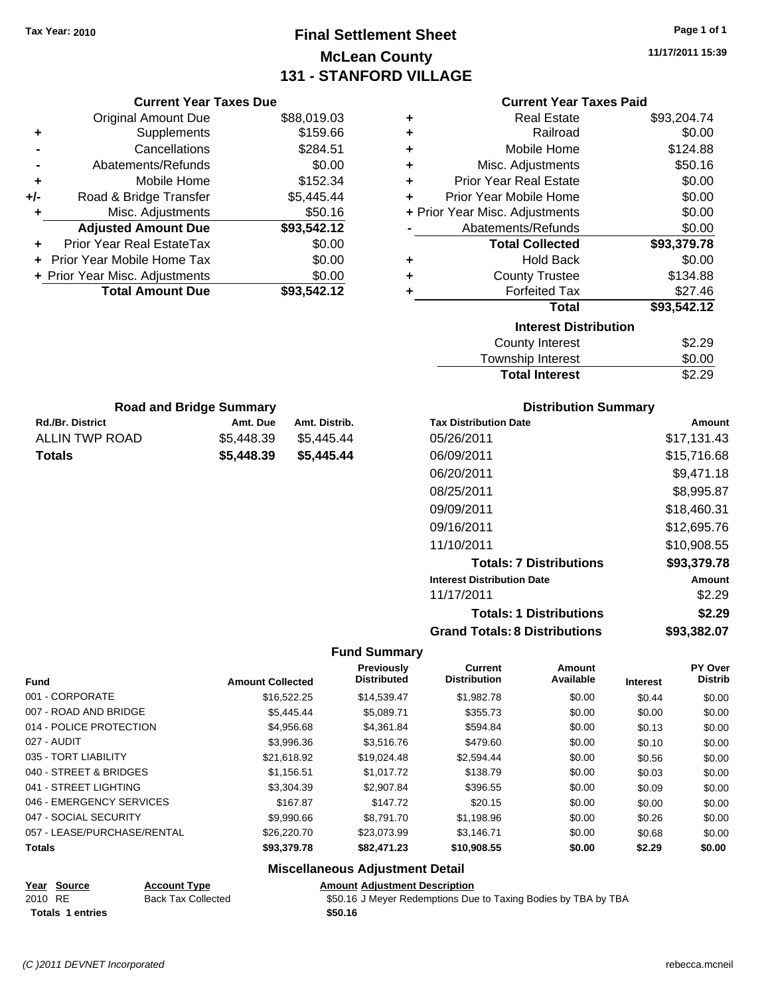# **Final Settlement Sheet Tax Year: 2010 Page 1 of 1 McLean County 131 - STANFORD VILLAGE**

**11/17/2011 15:39**

| <b>Current Year Taxes Paid</b> |  |  |  |
|--------------------------------|--|--|--|
|--------------------------------|--|--|--|

|     | <b>Current Year Taxes Due</b>  |             |   | <b>Current Year Taxes Paid</b> |             |
|-----|--------------------------------|-------------|---|--------------------------------|-------------|
|     | <b>Original Amount Due</b>     | \$88,019.03 | ٠ | <b>Real Estate</b>             | \$93,204.74 |
| ٠   | <b>Supplements</b>             | \$159.66    | ٠ | Railroad                       | \$0.00      |
|     | Cancellations                  | \$284.51    |   | Mobile Home                    | \$124.88    |
|     | Abatements/Refunds             | \$0.00      | ٠ | Misc. Adjustments              | \$50.16     |
| ٠   | Mobile Home                    | \$152.34    | ÷ | <b>Prior Year Real Estate</b>  | \$0.00      |
| +/- | Road & Bridge Transfer         | \$5,445.44  | ÷ | Prior Year Mobile Home         | \$0.00      |
|     | Misc. Adjustments              | \$50.16     |   | + Prior Year Misc. Adjustments | \$0.00      |
|     | <b>Adjusted Amount Due</b>     | \$93,542.12 |   | Abatements/Refunds             | \$0.00      |
| ÷.  | Prior Year Real EstateTax      | \$0.00      |   | <b>Total Collected</b>         | \$93,379.78 |
|     | + Prior Year Mobile Home Tax   | \$0.00      | ٠ | <b>Hold Back</b>               | \$0.00      |
|     | + Prior Year Misc. Adjustments | \$0.00      | ÷ | <b>County Trustee</b>          | \$134.88    |
|     | <b>Total Amount Due</b>        | \$93,542.12 |   | <b>Forfeited Tax</b>           | \$27.46     |
|     |                                |             |   | <b>Total</b>                   | \$93,542.12 |

| ÷ | Railroad                       | \$0.00      |
|---|--------------------------------|-------------|
| ÷ | Mobile Home                    | \$124.88    |
| ÷ | Misc. Adjustments              | \$50.16     |
| ÷ | <b>Prior Year Real Estate</b>  | \$0.00      |
| ÷ | Prior Year Mobile Home         | \$0.00      |
|   | + Prior Year Misc. Adjustments | \$0.00      |
|   | Abatements/Refunds             | \$0.00      |
|   | <b>Total Collected</b>         | \$93,379.78 |
| ÷ | <b>Hold Back</b>               | \$0.00      |
| ÷ | <b>County Trustee</b>          | \$134.88    |
| ٠ | <b>Forfeited Tax</b>           | \$27.46     |
|   | Total                          | \$93,542.12 |
|   | <b>Interest Distribution</b>   |             |
|   | County Interest                | \$2.29      |
|   | Townshin Interest              | ፍሰ ሰበ       |

|                       | -----  |
|-----------------------|--------|
| Township Interest     | \$0.00 |
| <b>Total Interest</b> | \$2.29 |
|                       |        |

| <b>Road and Bridge Summary</b> |            |               |  |
|--------------------------------|------------|---------------|--|
| <b>Rd./Br. District</b>        | Amt. Due   | Amt. Distrib. |  |
| ALLIN TWP ROAD                 | \$5.448.39 | \$5.445.44    |  |
| Totals                         | \$5,448.39 | \$5,445,44    |  |

### **Distribution Summary**

| <b>Tax Distribution Date</b>         | Amount      |
|--------------------------------------|-------------|
| 05/26/2011                           | \$17.131.43 |
| 06/09/2011                           | \$15.716.68 |
| 06/20/2011                           | \$9,471.18  |
| 08/25/2011                           | \$8,995.87  |
| 09/09/2011                           | \$18,460.31 |
| 09/16/2011                           | \$12,695.76 |
| 11/10/2011                           | \$10,908.55 |
| <b>Totals: 7 Distributions</b>       | \$93,379.78 |
| <b>Interest Distribution Date</b>    | Amount      |
| 11/17/2011                           | \$2.29      |
| <b>Totals: 1 Distributions</b>       | \$2.29      |
| <b>Grand Totals: 8 Distributions</b> | \$93,382.07 |

### **Fund Summary**

| <b>Fund</b>                 | <b>Amount Collected</b> | Previously<br><b>Distributed</b> | <b>Current</b><br><b>Distribution</b> | Amount<br>Available | <b>Interest</b> | PY Over<br><b>Distrib</b> |
|-----------------------------|-------------------------|----------------------------------|---------------------------------------|---------------------|-----------------|---------------------------|
| 001 - CORPORATE             | \$16.522.25             | \$14.539.47                      | \$1,982.78                            | \$0.00              | \$0.44          | \$0.00                    |
| 007 - ROAD AND BRIDGE       | \$5,445.44              | \$5.089.71                       | \$355.73                              | \$0.00              | \$0.00          | \$0.00                    |
| 014 - POLICE PROTECTION     | \$4,956.68              | \$4.361.84                       | \$594.84                              | \$0.00              | \$0.13          | \$0.00                    |
| 027 - AUDIT                 | \$3,996.36              | \$3,516,76                       | \$479.60                              | \$0.00              | \$0.10          | \$0.00                    |
| 035 - TORT LIABILITY        | \$21.618.92             | \$19.024.48                      | \$2,594.44                            | \$0.00              | \$0.56          | \$0.00                    |
| 040 - STREET & BRIDGES      | \$1,156.51              | \$1,017.72                       | \$138.79                              | \$0.00              | \$0.03          | \$0.00                    |
| 041 - STREET LIGHTING       | \$3,304.39              | \$2,907.84                       | \$396.55                              | \$0.00              | \$0.09          | \$0.00                    |
| 046 - EMERGENCY SERVICES    | \$167.87                | \$147.72                         | \$20.15                               | \$0.00              | \$0.00          | \$0.00                    |
| 047 - SOCIAL SECURITY       | \$9,990.66              | \$8.791.70                       | \$1,198.96                            | \$0.00              | \$0.26          | \$0.00                    |
| 057 - LEASE/PURCHASE/RENTAL | \$26,220.70             | \$23.073.99                      | \$3.146.71                            | \$0.00              | \$0.68          | \$0.00                    |
| <b>Totals</b>               | \$93,379.78             | \$82,471.23                      | \$10,908.55                           | \$0.00              | \$2.29          | \$0.00                    |

### **Miscellaneous Adjustment Detail**

# **Year Source Account Type Amount Adjustment Description**

2010 RE Back Tax Collected \$50.16 J Meyer Redemptions Due to Taxing Bodies by TBA by TBA **Totals \$50.16 1 entries**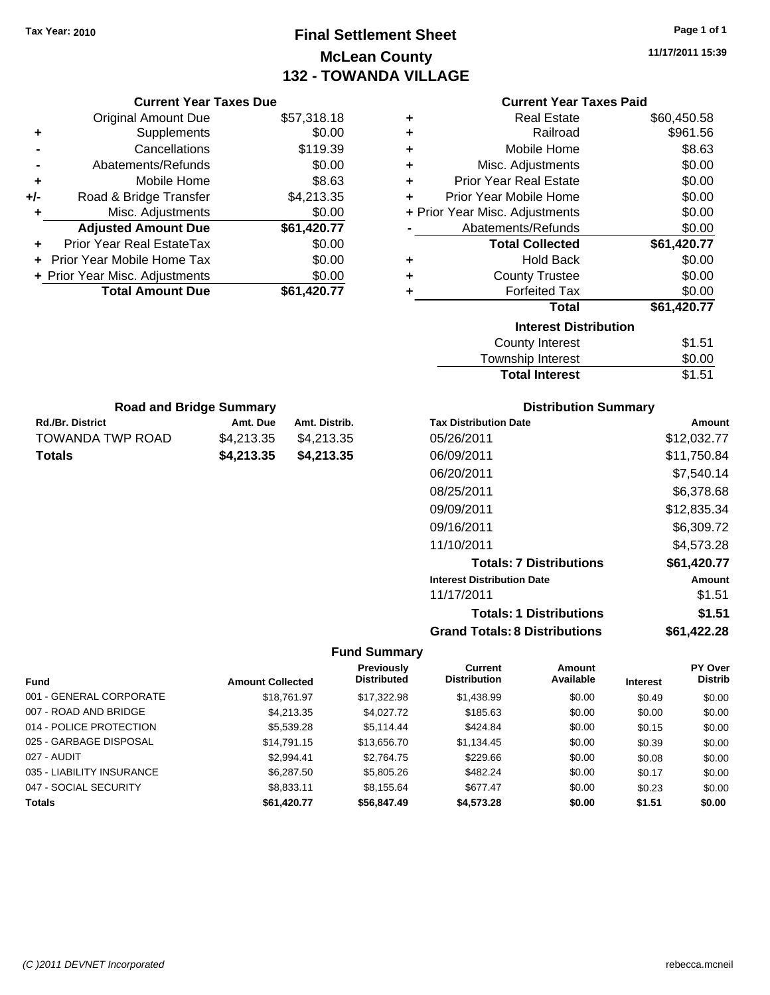# **Final Settlement Sheet Tax Year: 2010 Page 1 of 1 McLean County 132 - TOWANDA VILLAGE**

**11/17/2011 15:39**

| <b>Current Year Taxes Paid</b> |
|--------------------------------|
|--------------------------------|

| <b>Current Year Taxes Due</b>  |             |  |  |  |  |
|--------------------------------|-------------|--|--|--|--|
| <b>Original Amount Due</b>     | \$57,318.18 |  |  |  |  |
| Supplements                    | \$0.00      |  |  |  |  |
| Cancellations                  | \$119.39    |  |  |  |  |
| Abatements/Refunds             | \$0.00      |  |  |  |  |
| Mobile Home                    | \$8.63      |  |  |  |  |
| Road & Bridge Transfer         | \$4,213.35  |  |  |  |  |
| Misc. Adjustments              | \$0.00      |  |  |  |  |
| <b>Adjusted Amount Due</b>     | \$61,420.77 |  |  |  |  |
| Prior Year Real EstateTax      | \$0.00      |  |  |  |  |
| Prior Year Mobile Home Tax     | \$0.00      |  |  |  |  |
| + Prior Year Misc. Adjustments | \$0.00      |  |  |  |  |
|                                |             |  |  |  |  |
|                                |             |  |  |  |  |

| ٠ | <b>Real Estate</b>             | \$60,450.58 |
|---|--------------------------------|-------------|
| ٠ | Railroad                       | \$961.56    |
| ٠ | Mobile Home                    | \$8.63      |
| ٠ | Misc. Adjustments              | \$0.00      |
| ٠ | <b>Prior Year Real Estate</b>  | \$0.00      |
| ٠ | Prior Year Mobile Home         | \$0.00      |
|   | + Prior Year Misc. Adjustments | \$0.00      |
|   | Abatements/Refunds             | \$0.00      |
|   | <b>Total Collected</b>         | \$61,420.77 |
| ٠ | <b>Hold Back</b>               | \$0.00      |
| ٠ | <b>County Trustee</b>          | \$0.00      |
| ٠ | <b>Forfeited Tax</b>           | \$0.00      |
|   | Total                          | \$61,420.77 |
|   | <b>Interest Distribution</b>   |             |
|   | County Interest                | \$1.51      |
|   | <b>Township Interest</b>       | \$0.00      |
|   | <b>Total Interest</b>          | \$1.51      |

| <b>Road and Bridge Summary</b> |            |               |  |  |
|--------------------------------|------------|---------------|--|--|
| <b>Rd./Br. District</b>        | Amt. Due   | Amt. Distrib. |  |  |
| TOWANDA TWP ROAD               | \$4.213.35 | \$4.213.35    |  |  |
| Totals                         | \$4,213,35 | \$4,213.35    |  |  |

### **Distribution Summary**

| <b>Tax Distribution Date</b>         | Amount      |
|--------------------------------------|-------------|
| 05/26/2011                           | \$12,032.77 |
| 06/09/2011                           | \$11,750.84 |
| 06/20/2011                           | \$7.540.14  |
| 08/25/2011                           | \$6.378.68  |
| 09/09/2011                           | \$12,835.34 |
| 09/16/2011                           | \$6,309.72  |
| 11/10/2011                           | \$4,573.28  |
| <b>Totals: 7 Distributions</b>       | \$61,420.77 |
| <b>Interest Distribution Date</b>    | Amount      |
| 11/17/2011                           | \$1.51      |
| <b>Totals: 1 Distributions</b>       | \$1.51      |
| <b>Grand Totals: 8 Distributions</b> | \$61,422.28 |

| <b>Fund</b>               | <b>Amount Collected</b> | Previously<br><b>Distributed</b> | Current<br><b>Distribution</b> | Amount<br>Available | <b>Interest</b> | PY Over<br><b>Distrib</b> |
|---------------------------|-------------------------|----------------------------------|--------------------------------|---------------------|-----------------|---------------------------|
| 001 - GENERAL CORPORATE   | \$18.761.97             | \$17,322.98                      | \$1,438.99                     | \$0.00              | \$0.49          | \$0.00                    |
| 007 - ROAD AND BRIDGE     | \$4,213.35              | \$4,027,72                       | \$185.63                       | \$0.00              | \$0.00          | \$0.00                    |
| 014 - POLICE PROTECTION   | \$5,539.28              | \$5.114.44                       | \$424.84                       | \$0.00              | \$0.15          | \$0.00                    |
| 025 - GARBAGE DISPOSAL    | \$14,791.15             | \$13,656.70                      | \$1,134.45                     | \$0.00              | \$0.39          | \$0.00                    |
| 027 - AUDIT               | \$2.994.41              | \$2,764.75                       | \$229.66                       | \$0.00              | \$0.08          | \$0.00                    |
| 035 - LIABILITY INSURANCE | \$6,287.50              | \$5,805.26                       | \$482.24                       | \$0.00              | \$0.17          | \$0.00                    |
| 047 - SOCIAL SECURITY     | \$8,833.11              | \$8,155.64                       | \$677.47                       | \$0.00              | \$0.23          | \$0.00                    |
| <b>Totals</b>             | \$61,420,77             | \$56,847.49                      | \$4,573,28                     | \$0.00              | \$1.51          | \$0.00                    |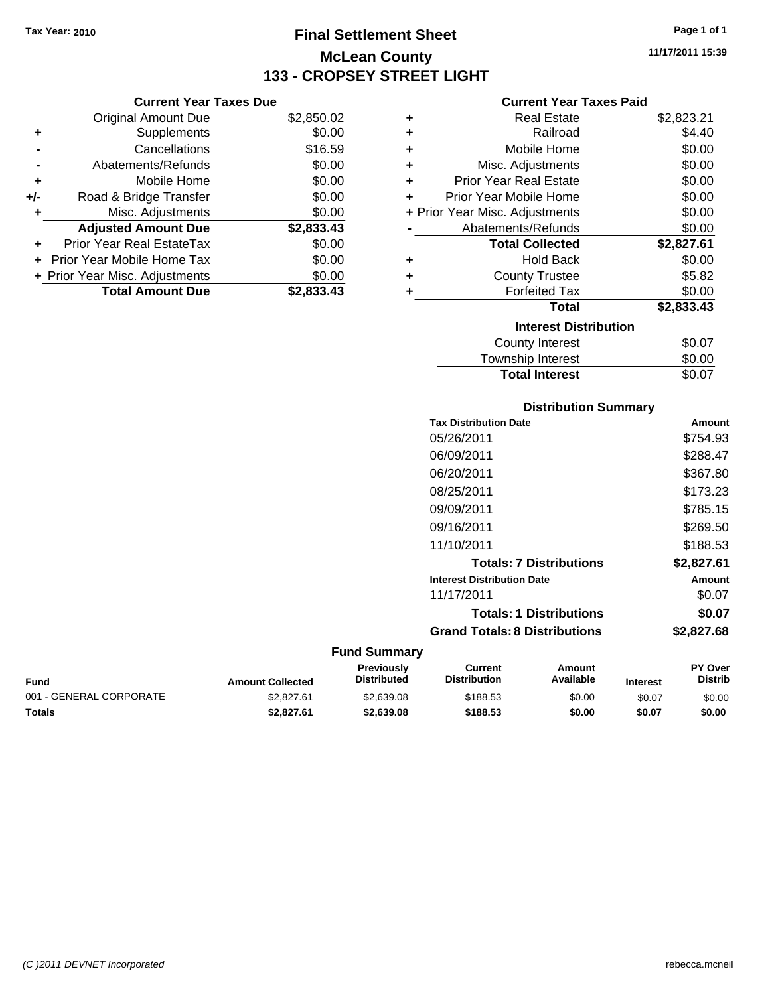**Current Year Taxes Due** Original Amount Due \$2,850.02

**Adjusted Amount Due \$2,833.43**

**Total Amount Due \$2,833.43**

**+** Supplements \$0.00 **-** Cancellations \$16.59 **-** Abatements/Refunds \$0.00 **+** Mobile Home \$0.00 **+/-** Road & Bridge Transfer \$0.00 **+** Misc. Adjustments \$0.00

**+** Prior Year Real EstateTax \$0.00 **+** Prior Year Mobile Home Tax \$0.00 **+ Prior Year Misc. Adjustments**  $$0.00$ 

# **Final Settlement Sheet Tax Year: 2010 Page 1 of 1 McLean County 133 - CROPSEY STREET LIGHT**

**11/17/2011 15:39**

### **Current Year Taxes Paid**

| ٠ | <b>Real Estate</b>             | \$2,823.21 |
|---|--------------------------------|------------|
| ٠ | Railroad                       | \$4.40     |
| ٠ | Mobile Home                    | \$0.00     |
| ٠ | Misc. Adjustments              | \$0.00     |
| ÷ | <b>Prior Year Real Estate</b>  | \$0.00     |
| ÷ | Prior Year Mobile Home         | \$0.00     |
|   | + Prior Year Misc. Adjustments | \$0.00     |
|   | Abatements/Refunds             | \$0.00     |
|   | <b>Total Collected</b>         | \$2,827.61 |
| ٠ | <b>Hold Back</b>               | \$0.00     |
| ٠ | <b>County Trustee</b>          | \$5.82     |
| ٠ | <b>Forfeited Tax</b>           | \$0.00     |
|   | <b>Total</b>                   | \$2,833.43 |
|   | <b>Interest Distribution</b>   |            |
|   | <b>County Interest</b>         | \$0.07     |
|   | Township Interact              | ድስ ሰስ      |

### Township Interest  $$0.00$ Total Interest \$0.07

| <b>Distribution Summary</b>          |            |
|--------------------------------------|------------|
| <b>Tax Distribution Date</b>         | Amount     |
| 05/26/2011                           | \$754.93   |
| 06/09/2011                           | \$288.47   |
| 06/20/2011                           | \$367.80   |
| 08/25/2011                           | \$173.23   |
| 09/09/2011                           | \$785.15   |
| 09/16/2011                           | \$269.50   |
| 11/10/2011                           | \$188.53   |
| <b>Totals: 7 Distributions</b>       | \$2,827.61 |
| <b>Interest Distribution Date</b>    | Amount     |
| 11/17/2011                           | \$0.07     |
| <b>Totals: 1 Distributions</b>       | \$0.07     |
| <b>Grand Totals: 8 Distributions</b> | \$2,827.68 |

| Fund                    | <b>Amount Collected</b> | <b>Previously</b><br><b>Distributed</b> | Current<br><b>Distribution</b> | Amount<br>Available | <b>Interest</b> | <b>PY Over</b><br><b>Distrib</b> |
|-------------------------|-------------------------|-----------------------------------------|--------------------------------|---------------------|-----------------|----------------------------------|
| 001 - GENERAL CORPORATE | \$2,827.61              | \$2,639.08                              | \$188.53                       | \$0.00              | \$0.07          | \$0.00                           |
| Totals                  | \$2.827.61              | \$2,639.08                              | \$188.53                       | \$0.00              | \$0.07          | \$0.00                           |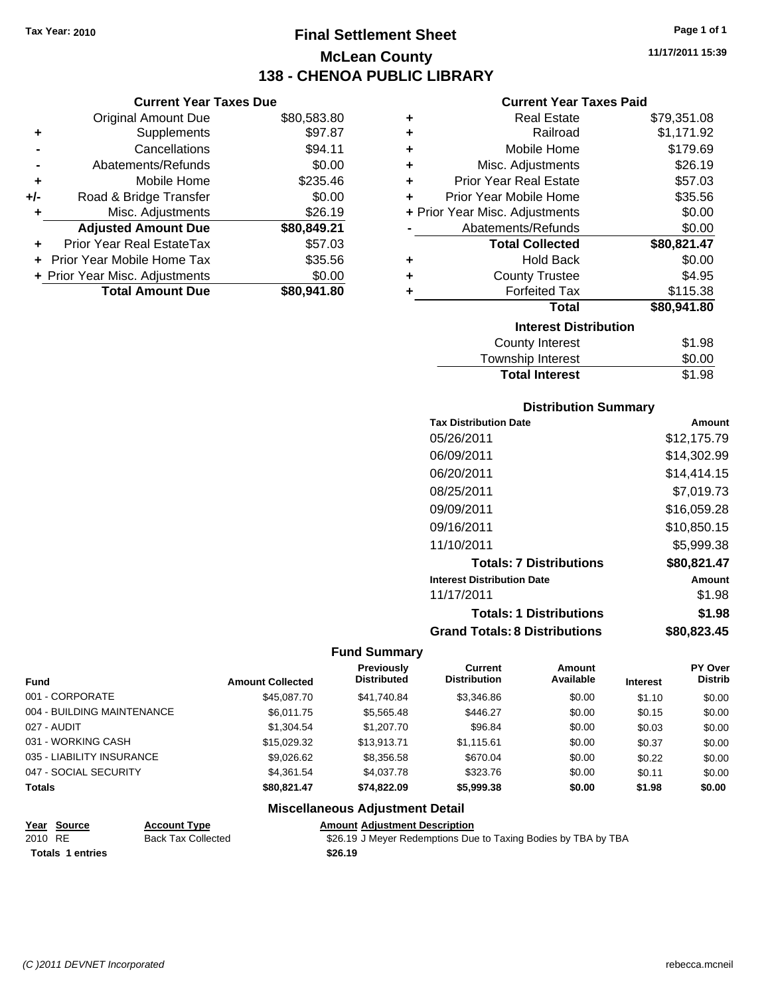# **Final Settlement Sheet Tax Year: 2010 Page 1 of 1 McLean County 138 - CHENOA PUBLIC LIBRARY**

**11/17/2011 15:39**

| r Tavos Duo |  |  |
|-------------|--|--|

|     | <b>Current Year Taxes Due</b>     |             |
|-----|-----------------------------------|-------------|
|     | <b>Original Amount Due</b>        | \$80,583.80 |
| ٠   | Supplements                       | \$97.87     |
|     | Cancellations                     | \$94.11     |
|     | Abatements/Refunds                | \$0.00      |
| ٠   | Mobile Home                       | \$235.46    |
| +/- | Road & Bridge Transfer            | \$0.00      |
|     | Misc. Adjustments                 | \$26.19     |
|     | <b>Adjusted Amount Due</b>        | \$80,849.21 |
|     | <b>Prior Year Real EstateTax</b>  | \$57.03     |
|     | <b>Prior Year Mobile Home Tax</b> | \$35.56     |
|     | + Prior Year Misc. Adjustments    | \$0.00      |
|     | <b>Total Amount Due</b>           | \$80.941.80 |

### **Current Year Taxes Paid**

| ٠ | <b>Real Estate</b>             | \$79,351.08 |
|---|--------------------------------|-------------|
| ÷ | Railroad                       | \$1,171.92  |
| ٠ | Mobile Home                    | \$179.69    |
| ٠ | Misc. Adjustments              | \$26.19     |
| ÷ | <b>Prior Year Real Estate</b>  | \$57.03     |
| ÷ | Prior Year Mobile Home         | \$35.56     |
|   | + Prior Year Misc. Adjustments | \$0.00      |
|   | Abatements/Refunds             | \$0.00      |
|   |                                |             |
|   | <b>Total Collected</b>         | \$80,821.47 |
| ٠ | <b>Hold Back</b>               | \$0.00      |
| ÷ | <b>County Trustee</b>          | \$4.95      |
| ٠ | <b>Forfeited Tax</b>           | \$115.38    |
|   | <b>Total</b>                   | \$80,941.80 |
|   | <b>Interest Distribution</b>   |             |
|   | <b>County Interest</b>         | \$1.98      |

### **Distribution Summary**

**Total Interest** \$1.98

| <b>Tax Distribution Date</b>         | Amount      |
|--------------------------------------|-------------|
| 05/26/2011                           | \$12,175.79 |
| 06/09/2011                           | \$14,302.99 |
| 06/20/2011                           | \$14,414.15 |
| 08/25/2011                           | \$7.019.73  |
| 09/09/2011                           | \$16,059.28 |
| 09/16/2011                           | \$10,850.15 |
| 11/10/2011                           | \$5,999.38  |
| <b>Totals: 7 Distributions</b>       | \$80,821.47 |
| <b>Interest Distribution Date</b>    | Amount      |
| 11/17/2011                           | \$1.98      |
| <b>Totals: 1 Distributions</b>       | \$1.98      |
| <b>Grand Totals: 8 Distributions</b> | \$80,823.45 |

### **Fund Summary**

|                            |                         | Previously         | Current             | Amount    |                 | <b>PY Over</b> |
|----------------------------|-------------------------|--------------------|---------------------|-----------|-----------------|----------------|
| <b>Fund</b>                | <b>Amount Collected</b> | <b>Distributed</b> | <b>Distribution</b> | Available | <b>Interest</b> | <b>Distrib</b> |
| 001 - CORPORATE            | \$45,087.70             | \$41,740.84        | \$3,346.86          | \$0.00    | \$1.10          | \$0.00         |
| 004 - BUILDING MAINTENANCE | \$6.011.75              | \$5,565.48         | \$446.27            | \$0.00    | \$0.15          | \$0.00         |
| 027 - AUDIT                | \$1,304.54              | \$1,207.70         | \$96.84             | \$0.00    | \$0.03          | \$0.00         |
| 031 - WORKING CASH         | \$15,029.32             | \$13,913.71        | \$1.115.61          | \$0.00    | \$0.37          | \$0.00         |
| 035 - LIABILITY INSURANCE  | \$9,026.62              | \$8,356.58         | \$670.04            | \$0.00    | \$0.22          | \$0.00         |
| 047 - SOCIAL SECURITY      | \$4,361.54              | \$4,037.78         | \$323.76            | \$0.00    | \$0.11          | \$0.00         |
| <b>Totals</b>              | \$80.821.47             | \$74,822.09        | \$5,999.38          | \$0.00    | \$1.98          | \$0.00         |

# Totals 1 entries **126.19 126.19**

### **Miscellaneous Adjustment Detail Year Source Account Type Amount Adjustment Description**

2010 RE Back Tax Collected \$26.19 J Meyer Redemptions Due to Taxing Bodies by TBA by TBA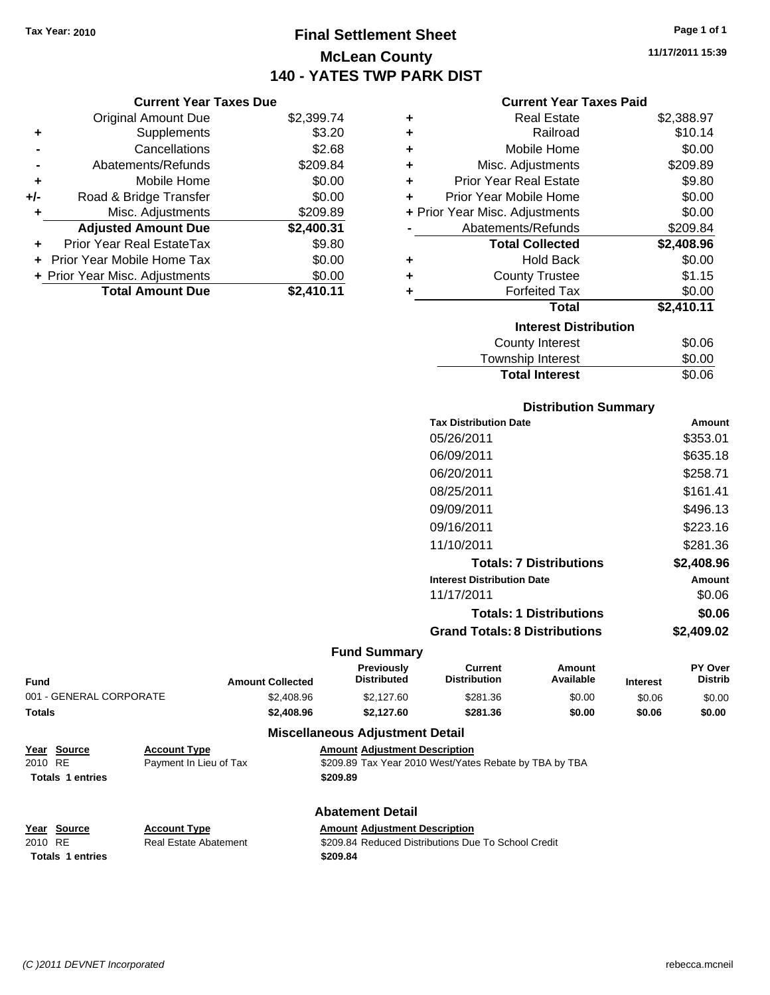# **Final Settlement Sheet Tax Year: 2010 Page 1 of 1 McLean County 140 - YATES TWP PARK DIST**

**11/17/2011 15:39**

| C <sub>1</sub> |  |  |  |  |
|----------------|--|--|--|--|
|                |  |  |  |  |
|                |  |  |  |  |
|                |  |  |  |  |

|   | <b>Current Year Taxes Paid</b> |            |
|---|--------------------------------|------------|
| ٠ | <b>Real Estate</b>             | \$2,388.97 |
| ٠ | Railroad                       | \$10.14    |
| ٠ | Mobile Home                    | \$0.00     |
| ٠ | Misc. Adjustments              | \$209.89   |
| ٠ | <b>Prior Year Real Estate</b>  | \$9.80     |
| ÷ | Prior Year Mobile Home         | \$0.00     |
|   | + Prior Year Misc. Adjustments | \$0.00     |
|   | Abatements/Refunds             | \$209.84   |
|   | <b>Total Collected</b>         | \$2,408.96 |
| ٠ | <b>Hold Back</b>               | \$0.00     |
| ٠ | <b>County Trustee</b>          | \$1.15     |
| ٠ | <b>Forfeited Tax</b>           | \$0.00     |
|   | Total                          | \$2,410.11 |
|   | <b>Interest Distribution</b>   |            |
|   | County Interest                | \$0.06     |
|   | <b>Township Interest</b>       | \$0.00     |

### **Distribution Summary**

**Total Interest** \$0.06

| <b>Tax Distribution Date</b>         | Amount     |
|--------------------------------------|------------|
| 05/26/2011                           | \$353.01   |
| 06/09/2011                           | \$635.18   |
| 06/20/2011                           | \$258.71   |
| 08/25/2011                           | \$161.41   |
| 09/09/2011                           | \$496.13   |
| 09/16/2011                           | \$223.16   |
| 11/10/2011                           | \$281.36   |
| <b>Totals: 7 Distributions</b>       | \$2,408.96 |
| <b>Interest Distribution Date</b>    | Amount     |
| 11/17/2011                           | \$0.06     |
| <b>Totals: 1 Distributions</b>       | \$0.06     |
| <b>Grand Totals: 8 Distributions</b> | \$2,409.02 |

### **Fund Summary**

| Fund                    | <b>Amount Collected</b> | <b>Previously</b><br><b>Distributed</b>                | Current<br><b>Distribution</b> | Amount<br>Available | <b>Interest</b> | PY Over<br><b>Distrib</b> |
|-------------------------|-------------------------|--------------------------------------------------------|--------------------------------|---------------------|-----------------|---------------------------|
| 001 - GENERAL CORPORATE | \$2,408.96              | \$2.127.60                                             | \$281.36                       | \$0.00              | \$0.06          | \$0.00                    |
| Totals                  | \$2,408.96              | \$2.127.60                                             | \$281.36                       | \$0.00              | \$0.06          | \$0.00                    |
|                         |                         | <b>Address Hotel College Address and College Hotel</b> |                                |                     |                 |                           |

# **Miscellaneous Adjustment Detail**

| Year Source             | <b>Account Type</b>    | <b>Amount Adiustment Description</b>                   |
|-------------------------|------------------------|--------------------------------------------------------|
| 2010 RE                 | Payment In Lieu of Tax | \$209.89 Tax Year 2010 West/Yates Rebate by TBA by TBA |
| <b>Totals 1 entries</b> |                        | \$209.89                                               |
|                         |                        |                                                        |

# **Totals \$209.84 1 entries**

**Current Year Taxes Due** Original Amount Due \$2,399.74

**Adjusted Amount Due \$2,400.31**

**Total Amount Due \$2,410.11**

**+** Supplements \$3.20 **-** Cancellations \$2.68 **-** Abatements/Refunds \$209.84 **+** Mobile Home \$0.00 **+/-** Road & Bridge Transfer \$0.00 **+** Misc. Adjustments \$209.89

**+** Prior Year Real EstateTax \$9.80 **+** Prior Year Mobile Home Tax \$0.00 **+ Prior Year Misc. Adjustments**  $$0.00$ 

## **Abatement Detail**

**Year Source Account Type Amount Adjustment Description**

2010 RE **\$209.84 Reduced Distributions Due To School Credit** Real Estate Abatement \$209.84 Reduced Distributions Due To School Credit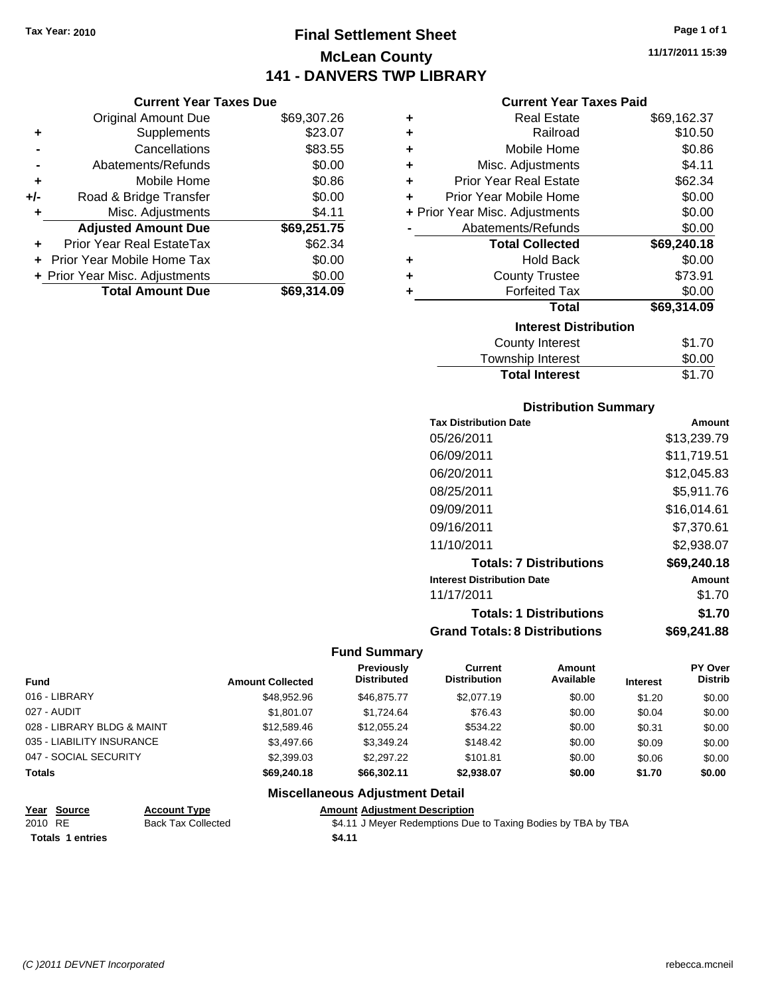**Current Year Taxes Due** Original Amount Due \$69,307.26

**Adjusted Amount Due \$69,251.75**

**Total Amount Due \$69,314.09**

**+** Supplements \$23.07 **-** Cancellations \$83.55 **-** Abatements/Refunds \$0.00 **+** Mobile Home \$0.86 **+/-** Road & Bridge Transfer \$0.00 **+** Misc. Adjustments \$4.11

**+** Prior Year Real EstateTax \$62.34 **+** Prior Year Mobile Home Tax \$0.00 **+ Prior Year Misc. Adjustments**  $$0.00$ 

# **Final Settlement Sheet Tax Year: 2010 Page 1 of 1 McLean County 141 - DANVERS TWP LIBRARY**

**11/17/2011 15:39**

### **Current Year Taxes Paid**

| ٠ | <b>Real Estate</b>             | \$69,162.37 |
|---|--------------------------------|-------------|
| ٠ | Railroad                       | \$10.50     |
| ÷ | Mobile Home                    | \$0.86      |
| ٠ | Misc. Adjustments              | \$4.11      |
| ٠ | <b>Prior Year Real Estate</b>  | \$62.34     |
| ÷ | Prior Year Mobile Home         | \$0.00      |
|   | + Prior Year Misc. Adjustments | \$0.00      |
|   | Abatements/Refunds             | \$0.00      |
|   | <b>Total Collected</b>         | \$69,240.18 |
| ٠ | <b>Hold Back</b>               | \$0.00      |
| ٠ | <b>County Trustee</b>          | \$73.91     |
| ٠ | <b>Forfeited Tax</b>           | \$0.00      |
|   | <b>Total</b>                   | \$69,314.09 |
|   | <b>Interest Distribution</b>   |             |
|   | <b>County Interest</b>         | \$1.70      |
|   | <b>Township Interest</b>       | \$0.00      |

### **Distribution Summary**

**Total Interest** \$1.70

| <b>Tax Distribution Date</b>         | Amount      |
|--------------------------------------|-------------|
| 05/26/2011                           | \$13,239.79 |
| 06/09/2011                           | \$11,719.51 |
| 06/20/2011                           | \$12,045.83 |
| 08/25/2011                           | \$5,911.76  |
| 09/09/2011                           | \$16.014.61 |
| 09/16/2011                           | \$7,370.61  |
| 11/10/2011                           | \$2.938.07  |
| <b>Totals: 7 Distributions</b>       | \$69,240.18 |
| <b>Interest Distribution Date</b>    | Amount      |
| 11/17/2011                           | \$1.70      |
| <b>Totals: 1 Distributions</b>       | \$1.70      |
| <b>Grand Totals: 8 Distributions</b> | \$69,241.88 |

### **Fund Summary**

|                            |                         | Previously<br><b>Distributed</b> | Current<br><b>Distribution</b> | Amount<br>Available |                 | <b>PY Over</b><br><b>Distrib</b> |
|----------------------------|-------------------------|----------------------------------|--------------------------------|---------------------|-----------------|----------------------------------|
| <b>Fund</b>                | <b>Amount Collected</b> |                                  |                                |                     | <b>Interest</b> |                                  |
| 016 - LIBRARY              | \$48.952.96             | \$46,875,77                      | \$2,077.19                     | \$0.00              | \$1.20          | \$0.00                           |
| 027 - AUDIT                | \$1,801.07              | \$1.724.64                       | \$76.43                        | \$0.00              | \$0.04          | \$0.00                           |
| 028 - LIBRARY BLDG & MAINT | \$12,589.46             | \$12.055.24                      | \$534.22                       | \$0.00              | \$0.31          | \$0.00                           |
| 035 - LIABILITY INSURANCE  | \$3,497.66              | \$3.349.24                       | \$148.42                       | \$0.00              | \$0.09          | \$0.00                           |
| 047 - SOCIAL SECURITY      | \$2,399.03              | \$2.297.22                       | \$101.81                       | \$0.00              | \$0.06          | \$0.00                           |
| <b>Totals</b>              | \$69,240,18             | \$66,302.11                      | \$2.938.07                     | \$0.00              | \$1.70          | \$0.00                           |

| Year Source             | <b>Account Type</b>       | <b>Amount Adiustment Description</b>                          |
|-------------------------|---------------------------|---------------------------------------------------------------|
| 2010 RE                 | <b>Back Tax Collected</b> | \$4.11 J Meyer Redemptions Due to Taxing Bodies by TBA by TBA |
| <b>Totals 1 entries</b> |                           | \$4.11                                                        |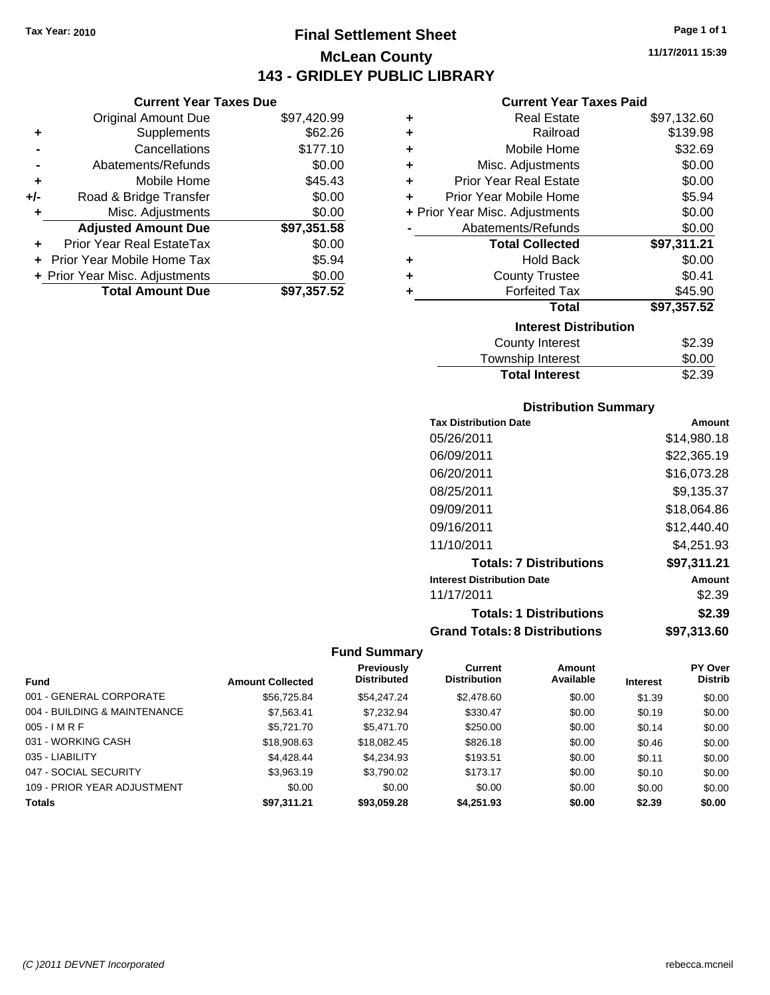**Current Year Taxes Due** Original Amount Due \$97,420.99

**Adjusted Amount Due \$97,351.58**

**Total Amount Due \$97,357.52**

**+** Supplements \$62.26 **-** Cancellations \$177.10 **-** Abatements/Refunds \$0.00 **+** Mobile Home \$45.43 **+/-** Road & Bridge Transfer \$0.00 **+** Misc. Adjustments \$0.00

**+** Prior Year Real EstateTax \$0.00 **+** Prior Year Mobile Home Tax \$5.94 **+ Prior Year Misc. Adjustments**  $$0.00$ 

# **Final Settlement Sheet Tax Year: 2010 Page 1 of 1 McLean County 143 - GRIDLEY PUBLIC LIBRARY**

**11/17/2011 15:39**

### **Current Year Taxes Paid**

| ٠ | <b>Real Estate</b>             | \$97,132.60 |
|---|--------------------------------|-------------|
| ٠ | Railroad                       | \$139.98    |
| ٠ | Mobile Home                    | \$32.69     |
| ٠ | Misc. Adjustments              | \$0.00      |
| ٠ | <b>Prior Year Real Estate</b>  | \$0.00      |
| ٠ | Prior Year Mobile Home         | \$5.94      |
|   | + Prior Year Misc. Adjustments | \$0.00      |
|   | Abatements/Refunds             | \$0.00      |
|   | <b>Total Collected</b>         | \$97,311.21 |
| ٠ | <b>Hold Back</b>               | \$0.00      |
| ٠ | <b>County Trustee</b>          | \$0.41      |
| ٠ | <b>Forfeited Tax</b>           | \$45.90     |
|   | <b>Total</b>                   | \$97,357.52 |
|   | <b>Interest Distribution</b>   |             |
|   | <b>County Interest</b>         | \$2.39      |
|   |                                |             |

### **Distribution Summary**

Total Interest \$2.39

| <b>Tax Distribution Date</b>         | Amount      |
|--------------------------------------|-------------|
| 05/26/2011                           | \$14,980.18 |
| 06/09/2011                           | \$22,365.19 |
| 06/20/2011                           | \$16,073.28 |
| 08/25/2011                           | \$9,135.37  |
| 09/09/2011                           | \$18,064.86 |
| 09/16/2011                           | \$12,440.40 |
| 11/10/2011                           | \$4.251.93  |
| <b>Totals: 7 Distributions</b>       | \$97,311.21 |
| <b>Interest Distribution Date</b>    | Amount      |
| 11/17/2011                           | \$2.39      |
| <b>Totals: 1 Distributions</b>       | \$2.39      |
| <b>Grand Totals: 8 Distributions</b> | \$97,313.60 |

|                              |                         | <b>Previously</b>  | Current             | Amount    |                 | <b>PY Over</b> |
|------------------------------|-------------------------|--------------------|---------------------|-----------|-----------------|----------------|
| <b>Fund</b>                  | <b>Amount Collected</b> | <b>Distributed</b> | <b>Distribution</b> | Available | <b>Interest</b> | <b>Distrib</b> |
| 001 - GENERAL CORPORATE      | \$56,725.84             | \$54.247.24        | \$2,478.60          | \$0.00    | \$1.39          | \$0.00         |
| 004 - BUILDING & MAINTENANCE | \$7,563.41              | \$7,232.94         | \$330.47            | \$0.00    | \$0.19          | \$0.00         |
| $005 - IMRF$                 | \$5,721.70              | \$5,471.70         | \$250.00            | \$0.00    | \$0.14          | \$0.00         |
| 031 - WORKING CASH           | \$18,908.63             | \$18,082.45        | \$826.18            | \$0.00    | \$0.46          | \$0.00         |
| 035 - LIABILITY              | \$4,428,44              | \$4.234.93         | \$193.51            | \$0.00    | \$0.11          | \$0.00         |
| 047 - SOCIAL SECURITY        | \$3,963.19              | \$3,790.02         | \$173.17            | \$0.00    | \$0.10          | \$0.00         |
| 109 - PRIOR YEAR ADJUSTMENT  | \$0.00                  | \$0.00             | \$0.00              | \$0.00    | \$0.00          | \$0.00         |
| <b>Totals</b>                | \$97.311.21             | \$93,059.28        | \$4,251.93          | \$0.00    | \$2.39          | \$0.00         |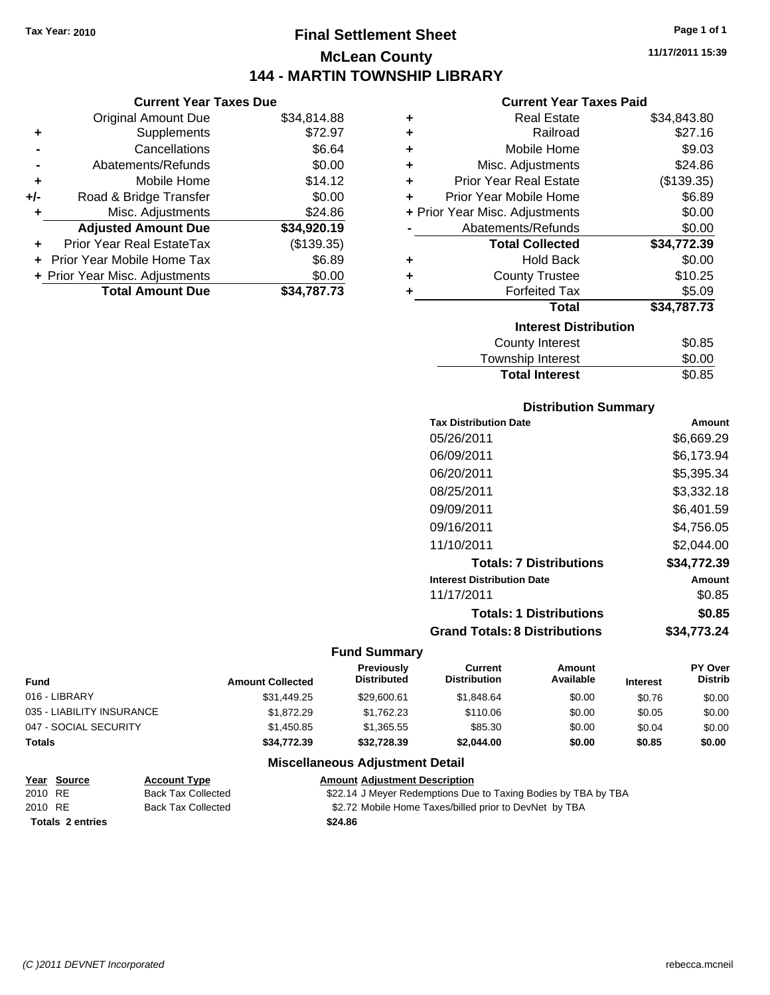Original Amount Due

**Adjusted Amount Due** 

**Total Amount Due** 

**+** Supplements **-** Cancellations **-** Abatements/Refunds **+** Mobile Home **+/-** Road & Bridge Transfer **+** Misc. Adjustments

**+** Prior Year Real EstateTax **+** Prior Year Mobile Home Tax \$6.89 **+ Prior Year Misc. Adjustments** 

# **Final Settlement Sheet Tax Year: 2010 Page 1 of 1 McLean County 144 - MARTIN TOWNSHIP LIBRARY**

**11/17/2011 15:39**

# **Current Year Taxes Paid**

| <b>Current Year Taxes Due</b> |             |   | <b>Current Year Taxes Paid</b> |             |
|-------------------------------|-------------|---|--------------------------------|-------------|
| ll Amount Due                 | \$34,814.88 | ٠ | <b>Real Estate</b>             | \$34,843.80 |
| Supplements                   | \$72.97     | ٠ | Railroad                       | \$27.16     |
| Cancellations                 | \$6.64      | ٠ | Mobile Home                    | \$9.03      |
| าents/Refunds                 | \$0.00      | ÷ | Misc. Adjustments              | \$24.86     |
| Mobile Home                   | \$14.12     | ÷ | <b>Prior Year Real Estate</b>  | (\$139.35)  |
| ridge Transfer                | \$0.00      | ÷ | Prior Year Mobile Home         | \$6.89      |
| . Adjustments                 | \$24.86     |   | + Prior Year Misc. Adjustments | \$0.00      |
| <b>Amount Due</b>             | \$34,920.19 |   | Abatements/Refunds             | \$0.00      |
| eal EstateTax                 | (\$139.35)  |   | <b>Total Collected</b>         | \$34,772.39 |
| pile Home Tax                 | \$6.89      | ÷ | <b>Hold Back</b>               | \$0.00      |
| . Adjustments                 | \$0.00      | ÷ | <b>County Trustee</b>          | \$10.25     |
| <b>Amount Due</b>             | \$34,787.73 |   | <b>Forfeited Tax</b>           | \$5.09      |
|                               |             |   | <b>Total</b>                   | \$34,787.73 |
|                               |             |   | <b>Interest Distribution</b>   |             |
|                               |             |   | County Interest                | ቁስ Ջዳ       |

| <b>Total Interest</b> | \$0.85 |
|-----------------------|--------|
| Township Interest     | \$0.00 |
| County Interest       | \$0.85 |
|                       |        |

### **Distribution Summary**

| <b>Tax Distribution Date</b>         | Amount      |
|--------------------------------------|-------------|
| 05/26/2011                           | \$6,669.29  |
| 06/09/2011                           | \$6.173.94  |
| 06/20/2011                           | \$5,395.34  |
| 08/25/2011                           | \$3,332.18  |
| 09/09/2011                           | \$6,401.59  |
| 09/16/2011                           | \$4,756.05  |
| 11/10/2011                           | \$2.044.00  |
| <b>Totals: 7 Distributions</b>       | \$34,772.39 |
| <b>Interest Distribution Date</b>    | Amount      |
| 11/17/2011                           | \$0.85      |
| <b>Totals: 1 Distributions</b>       | \$0.85      |
| <b>Grand Totals: 8 Distributions</b> | \$34.773.24 |

### **Fund Summary**

| <b>Fund</b>               | <b>Amount Collected</b> | <b>Previously</b><br><b>Distributed</b> | Current<br><b>Distribution</b> | Amount<br>Available | <b>Interest</b> | <b>PY Over</b><br><b>Distrib</b> |
|---------------------------|-------------------------|-----------------------------------------|--------------------------------|---------------------|-----------------|----------------------------------|
| 016 - LIBRARY             | \$31,449.25             | \$29,600.61                             | \$1.848.64                     | \$0.00              | \$0.76          | \$0.00                           |
| 035 - LIABILITY INSURANCE | \$1,872.29              | \$1.762.23                              | \$110.06                       | \$0.00              | \$0.05          | \$0.00                           |
| 047 - SOCIAL SECURITY     | \$1,450.85              | \$1.365.55                              | \$85.30                        | \$0.00              | \$0.04          | \$0.00                           |
| Totals                    | \$34.772.39             | \$32.728.39                             | \$2,044,00                     | \$0.00              | \$0.85          | \$0.00                           |

| Year Source             | <b>Account Type</b>       | <b>Amount Adjustment Description</b>                           |
|-------------------------|---------------------------|----------------------------------------------------------------|
| 2010 RE                 | <b>Back Tax Collected</b> | \$22.14 J Meyer Redemptions Due to Taxing Bodies by TBA by TBA |
| 2010 RE                 | <b>Back Tax Collected</b> | \$2.72 Mobile Home Taxes/billed prior to DevNet by TBA         |
| <b>Totals 2 entries</b> |                           | \$24.86                                                        |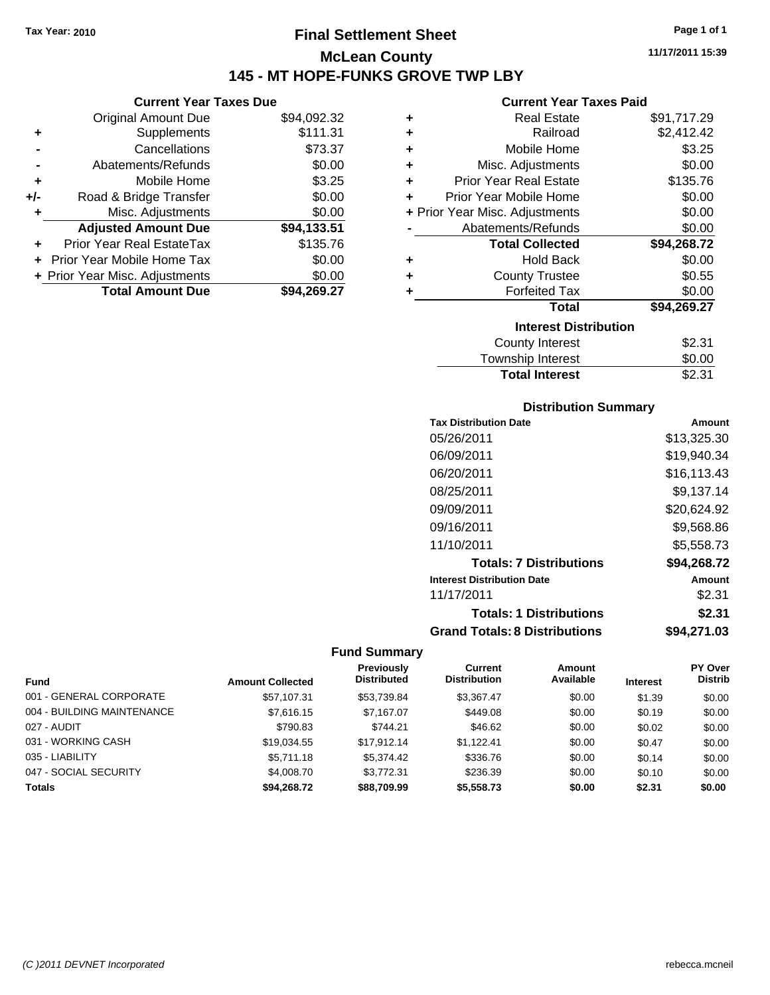# **Final Settlement Sheet Tax Year: 2010 Page 1 of 1 McLean County 145 - MT HOPE-FUNKS GROVE TWP LBY**

### **Current Year Taxes Due**

|       | <b>Total Amount Due</b>           | \$94.269.27 |
|-------|-----------------------------------|-------------|
|       | + Prior Year Misc. Adjustments    | \$0.00      |
|       | <b>Prior Year Mobile Home Tax</b> | \$0.00      |
|       | Prior Year Real EstateTax         | \$135.76    |
|       | <b>Adjusted Amount Due</b>        | \$94,133.51 |
| ٠     | Misc. Adjustments                 | \$0.00      |
| $+/-$ | Road & Bridge Transfer            | \$0.00      |
| ٠     | Mobile Home                       | \$3.25      |
|       | Abatements/Refunds                | \$0.00      |
|       | Cancellations                     | \$73.37     |
| ٠     | Supplements                       | \$111.31    |
|       | <b>Original Amount Due</b>        | \$94,092.32 |
|       |                                   |             |

### **Current Year Taxes Paid**

| ٠ | <b>Real Estate</b>             | \$91,717.29 |
|---|--------------------------------|-------------|
| ÷ | Railroad                       | \$2,412.42  |
| ٠ | Mobile Home                    | \$3.25      |
| ٠ | Misc. Adjustments              | \$0.00      |
| ٠ | <b>Prior Year Real Estate</b>  | \$135.76    |
| ٠ | Prior Year Mobile Home         | \$0.00      |
|   | + Prior Year Misc. Adjustments | \$0.00      |
|   | Abatements/Refunds             | \$0.00      |
|   | <b>Total Collected</b>         | \$94,268.72 |
| ٠ | <b>Hold Back</b>               | \$0.00      |
| ٠ | <b>County Trustee</b>          | \$0.55      |
| ٠ | <b>Forfeited Tax</b>           | \$0.00      |
|   | Total                          | \$94,269.27 |
|   | <b>Interest Distribution</b>   |             |
|   | <b>County Interest</b>         | \$2.31      |
|   | <b>Township Interest</b>       | \$0.00      |
|   | <b>Total Interest</b>          | \$2.31      |

### **Distribution Summary**

| <b>Tax Distribution Date</b>         | Amount      |
|--------------------------------------|-------------|
| 05/26/2011                           | \$13,325.30 |
| 06/09/2011                           | \$19,940.34 |
| 06/20/2011                           | \$16.113.43 |
| 08/25/2011                           | \$9.137.14  |
| 09/09/2011                           | \$20.624.92 |
| 09/16/2011                           | \$9,568.86  |
| 11/10/2011                           | \$5,558.73  |
| <b>Totals: 7 Distributions</b>       | \$94,268.72 |
| <b>Interest Distribution Date</b>    | Amount      |
| 11/17/2011                           | \$2.31      |
| <b>Totals: 1 Distributions</b>       | \$2.31      |
| <b>Grand Totals: 8 Distributions</b> | \$94,271.03 |

| <b>Fund</b>                | <b>Amount Collected</b> | <b>Previously</b><br><b>Distributed</b> | Current<br><b>Distribution</b> | <b>Amount</b><br>Available | <b>Interest</b> | <b>PY Over</b><br><b>Distrib</b> |
|----------------------------|-------------------------|-----------------------------------------|--------------------------------|----------------------------|-----------------|----------------------------------|
| 001 - GENERAL CORPORATE    | \$57.107.31             | \$53,739.84                             | \$3.367.47                     | \$0.00                     | \$1.39          | \$0.00                           |
| 004 - BUILDING MAINTENANCE | \$7,616.15              | \$7.167.07                              | \$449.08                       | \$0.00                     | \$0.19          | \$0.00                           |
| 027 - AUDIT                | \$790.83                | \$744.21                                | \$46.62                        | \$0.00                     | \$0.02          | \$0.00                           |
| 031 - WORKING CASH         | \$19,034.55             | \$17.912.14                             | \$1.122.41                     | \$0.00                     | \$0.47          | \$0.00                           |
| 035 - LIABILITY            | \$5,711.18              | \$5,374.42                              | \$336.76                       | \$0.00                     | \$0.14          | \$0.00                           |
| 047 - SOCIAL SECURITY      | \$4,008.70              | \$3,772.31                              | \$236.39                       | \$0.00                     | \$0.10          | \$0.00                           |
| <b>Totals</b>              | \$94,268.72             | \$88,709.99                             | \$5,558.73                     | \$0.00                     | \$2.31          | \$0.00                           |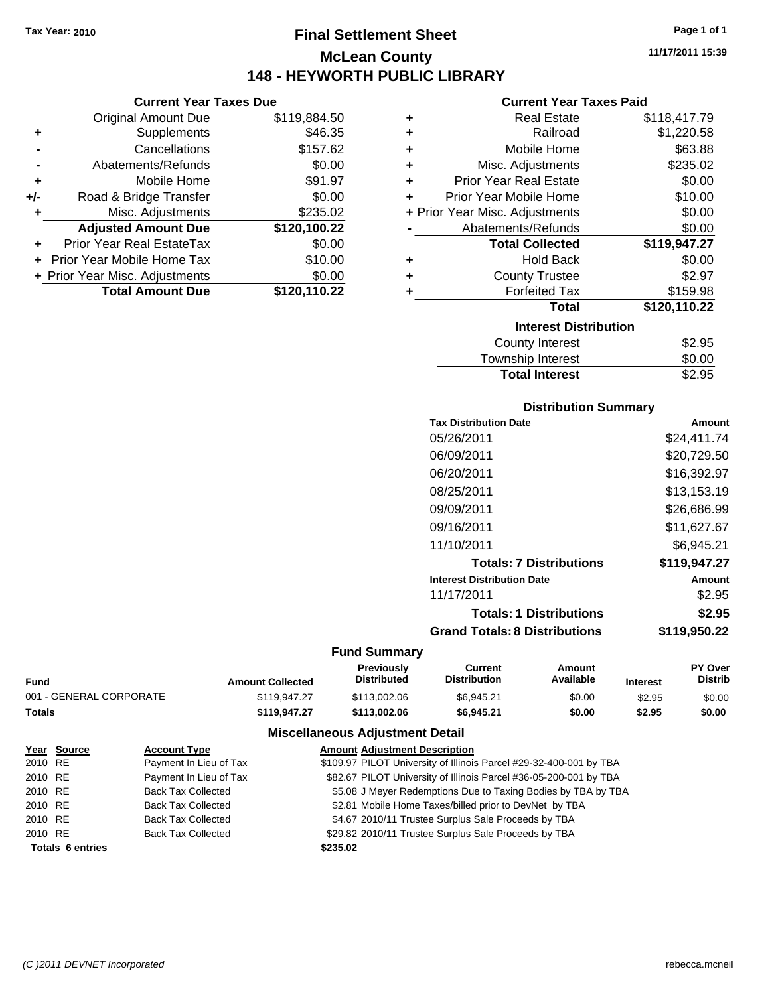# **Final Settlement Sheet Tax Year: 2010 Page 1 of 1 McLean County 148 - HEYWORTH PUBLIC LIBRARY**

**11/17/2011 15:39**

### **Current Year Taxes Paid**

|     | <b>Current Year Taxes Due</b>  |              |   |             |
|-----|--------------------------------|--------------|---|-------------|
|     | <b>Original Amount Due</b>     | \$119,884.50 | ٠ |             |
|     | <b>Supplements</b>             | \$46.35      | ٠ |             |
|     | Cancellations                  | \$157.62     | ٠ |             |
|     | Abatements/Refunds             | \$0.00       | ٠ |             |
|     | Mobile Home                    | \$91.97      |   | Pri         |
| +/- | Road & Bridge Transfer         | \$0.00       |   | Prio        |
|     | Misc. Adjustments              | \$235.02     |   | + Prior Yea |
|     | <b>Adjusted Amount Due</b>     | \$120,100.22 |   | А           |
|     | Prior Year Real EstateTax      | \$0.00       |   |             |
|     | Prior Year Mobile Home Tax     | \$10.00      | ٠ |             |
|     | + Prior Year Misc. Adjustments | \$0.00       |   |             |
|     | <b>Total Amount Due</b>        | \$120,110.22 |   |             |
|     |                                |              |   |             |

| ٠ | Real Estate                    | \$118,417.79 |
|---|--------------------------------|--------------|
| ÷ | Railroad                       | \$1,220.58   |
| ÷ | Mobile Home                    | \$63.88      |
| ٠ | Misc. Adjustments              | \$235.02     |
| ٠ | <b>Prior Year Real Estate</b>  | \$0.00       |
| ٠ | Prior Year Mobile Home         | \$10.00      |
|   | + Prior Year Misc. Adjustments | \$0.00       |
|   | Abatements/Refunds             | \$0.00       |
|   | <b>Total Collected</b>         | \$119,947.27 |
| ٠ | <b>Hold Back</b>               | \$0.00       |
| ÷ | <b>County Trustee</b>          | \$2.97       |
|   | <b>Forfeited Tax</b>           | \$159.98     |
|   | Total                          | \$120,110.22 |
|   | <b>Interest Distribution</b>   |              |
|   | <b>County Interest</b>         | \$2.95       |
|   | <b>Township Interest</b>       | \$0.00       |
|   | <b>Total Interest</b>          | \$2.95       |

### **Distribution Summary**

| <b>Tax Distribution Date</b>         | Amount       |
|--------------------------------------|--------------|
| 05/26/2011                           | \$24,411.74  |
| 06/09/2011                           | \$20.729.50  |
| 06/20/2011                           | \$16,392.97  |
| 08/25/2011                           | \$13,153.19  |
| 09/09/2011                           | \$26,686.99  |
| 09/16/2011                           | \$11,627.67  |
| 11/10/2011                           | \$6.945.21   |
| <b>Totals: 7 Distributions</b>       | \$119.947.27 |
| <b>Interest Distribution Date</b>    | Amount       |
| 11/17/2011                           | \$2.95       |
| <b>Totals: 1 Distributions</b>       | \$2.95       |
| <b>Grand Totals: 8 Distributions</b> | \$119,950.22 |

### **Fund Summary**

| Fund                    | <b>Amount Collected</b> | <b>Previously</b><br><b>Distributed</b> | Current<br>Distribution | Amount<br>Available | <b>Interest</b> | <b>PY Over</b><br><b>Distrib</b> |
|-------------------------|-------------------------|-----------------------------------------|-------------------------|---------------------|-----------------|----------------------------------|
| 001 - GENERAL CORPORATE | \$119,947.27            | \$113,002.06                            | \$6.945.21              | \$0.00              | \$2.95          | \$0.00                           |
| Totals                  | \$119.947.27            | \$113.002.06                            | \$6,945.21              | \$0.00              | \$2.95          | \$0.00                           |
|                         |                         |                                         |                         |                     |                 |                                  |

|         | Year Source             | <b>Account Type</b>       | <b>Amount Adjustment Description</b>                               |
|---------|-------------------------|---------------------------|--------------------------------------------------------------------|
| 2010 RE |                         | Payment In Lieu of Tax    | \$109.97 PILOT University of Illinois Parcel #29-32-400-001 by TBA |
| 2010 RE |                         | Payment In Lieu of Tax    | \$82.67 PILOT University of Illinois Parcel #36-05-200-001 by TBA  |
| 2010 RE |                         | <b>Back Tax Collected</b> | \$5.08 J Meyer Redemptions Due to Taxing Bodies by TBA by TBA      |
| 2010 RE |                         | <b>Back Tax Collected</b> | \$2.81 Mobile Home Taxes/billed prior to DevNet by TBA             |
| 2010 RE |                         | <b>Back Tax Collected</b> | \$4.67 2010/11 Trustee Surplus Sale Proceeds by TBA                |
| 2010 RE |                         | <b>Back Tax Collected</b> | \$29.82 2010/11 Trustee Surplus Sale Proceeds by TBA               |
|         | <b>Totals 6 entries</b> |                           | \$235.02                                                           |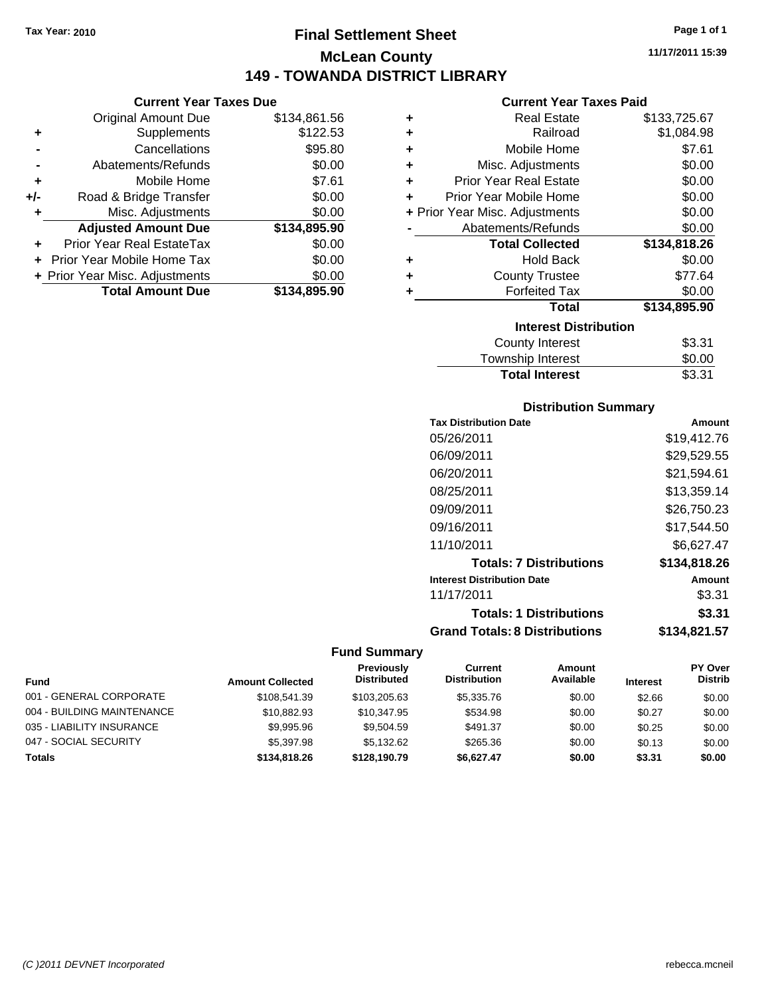# **Final Settlement Sheet Tax Year: 2010 Page 1 of 1 McLean County 149 - TOWANDA DISTRICT LIBRARY**

**11/17/2011 15:39**

|     | <b>Current Year Taxes Due</b>     |              |  |  |  |
|-----|-----------------------------------|--------------|--|--|--|
|     | <b>Original Amount Due</b>        | \$134,861.56 |  |  |  |
| ٠   | Supplements                       | \$122.53     |  |  |  |
|     | Cancellations                     | \$95.80      |  |  |  |
|     | Abatements/Refunds                | \$0.00       |  |  |  |
| ٠   | Mobile Home                       | \$7.61       |  |  |  |
| +/- | Road & Bridge Transfer            | \$0.00       |  |  |  |
| ٠   | Misc. Adjustments                 | \$0.00       |  |  |  |
|     | <b>Adjusted Amount Due</b>        | \$134,895.90 |  |  |  |
| ٠   | Prior Year Real EstateTax         | \$0.00       |  |  |  |
|     | <b>Prior Year Mobile Home Tax</b> | \$0.00       |  |  |  |
|     | + Prior Year Misc. Adjustments    | \$0.00       |  |  |  |
|     | <b>Total Amount Due</b>           | \$134,895.90 |  |  |  |
|     |                                   |              |  |  |  |

| ٠ | <b>Real Estate</b>             | \$133,725.67 |
|---|--------------------------------|--------------|
| ÷ | Railroad                       | \$1,084.98   |
| ÷ | Mobile Home                    | \$7.61       |
| ٠ | Misc. Adjustments              | \$0.00       |
| ÷ | <b>Prior Year Real Estate</b>  | \$0.00       |
| ٠ | Prior Year Mobile Home         | \$0.00       |
|   | + Prior Year Misc. Adjustments | \$0.00       |
|   | Abatements/Refunds             | \$0.00       |
|   | <b>Total Collected</b>         | \$134,818.26 |
| ٠ | <b>Hold Back</b>               | \$0.00       |
| ÷ | <b>County Trustee</b>          | \$77.64      |
| ٠ | <b>Forfeited Tax</b>           | \$0.00       |
|   | Total                          | \$134,895.90 |
|   | <b>Interest Distribution</b>   |              |
|   |                                |              |
|   | <b>County Interest</b>         | \$3.31       |

### Township Interest 50.00<br>Total Interest 53.31 **Total Interest**

| <b>Distribution Summary</b>          |              |
|--------------------------------------|--------------|
| <b>Tax Distribution Date</b>         | Amount       |
| 05/26/2011                           | \$19,412.76  |
| 06/09/2011                           | \$29,529.55  |
| 06/20/2011                           | \$21,594.61  |
| 08/25/2011                           | \$13,359.14  |
| 09/09/2011                           | \$26.750.23  |
| 09/16/2011                           | \$17.544.50  |
| 11/10/2011                           | \$6,627.47   |
| <b>Totals: 7 Distributions</b>       | \$134,818.26 |
| <b>Interest Distribution Date</b>    | Amount       |
| 11/17/2011                           | \$3.31       |
| <b>Totals: 1 Distributions</b>       | \$3.31       |
| <b>Grand Totals: 8 Distributions</b> | \$134,821.57 |

| Fund                       | <b>Amount Collected</b> | <b>Previously</b><br><b>Distributed</b> | Current<br><b>Distribution</b> | Amount<br>Available | <b>Interest</b> | <b>PY Over</b><br><b>Distrib</b> |
|----------------------------|-------------------------|-----------------------------------------|--------------------------------|---------------------|-----------------|----------------------------------|
| 001 - GENERAL CORPORATE    | \$108,541,39            | \$103.205.63                            | \$5,335,76                     | \$0.00              | \$2.66          | \$0.00                           |
| 004 - BUILDING MAINTENANCE | \$10,882.93             | \$10,347.95                             | \$534.98                       | \$0.00              | \$0.27          | \$0.00                           |
| 035 - LIABILITY INSURANCE  | \$9,995.96              | \$9.504.59                              | \$491.37                       | \$0.00              | \$0.25          | \$0.00                           |
| 047 - SOCIAL SECURITY      | \$5,397.98              | \$5.132.62                              | \$265.36                       | \$0.00              | \$0.13          | \$0.00                           |
| <b>Totals</b>              | \$134,818,26            | \$128,190.79                            | \$6.627.47                     | \$0.00              | \$3.31          | \$0.00                           |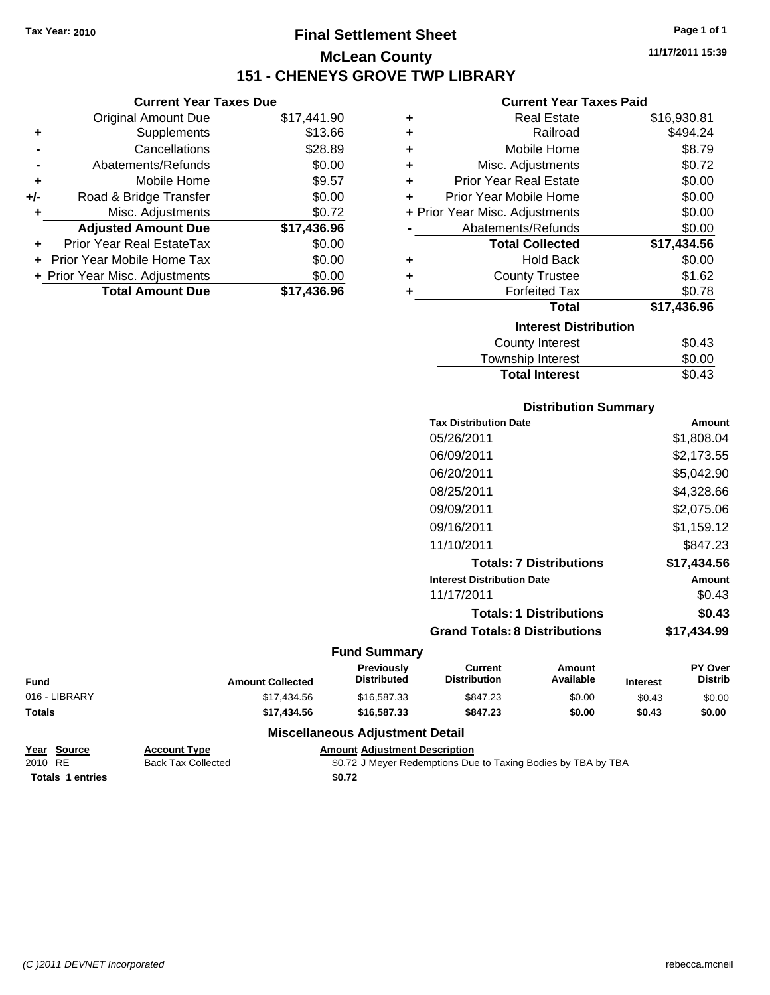**Current Year Taxes Due** Original Amount Due \$17,441.90

**Adjusted Amount Due \$17,436.96**

**Total Amount Due \$17,436.96**

**+** Supplements \$13.66 **-** Cancellations \$28.89 **-** Abatements/Refunds \$0.00 **+** Mobile Home \$9.57 **+/-** Road & Bridge Transfer \$0.00 **+** Misc. Adjustments \$0.72

**+** Prior Year Real EstateTax \$0.00 **+** Prior Year Mobile Home Tax \$0.00 **+ Prior Year Misc. Adjustments**  $$0.00$ 

# **Final Settlement Sheet Tax Year: 2010 Page 1 of 1 McLean County 151 - CHENEYS GROVE TWP LIBRARY**

**11/17/2011 15:39**

### **Current Year Taxes Paid**

| ٠ | <b>Real Estate</b>             | \$16,930.81 |
|---|--------------------------------|-------------|
| ÷ | Railroad                       | \$494.24    |
| ÷ | Mobile Home                    | \$8.79      |
| ٠ | Misc. Adjustments              | \$0.72      |
| ÷ | <b>Prior Year Real Estate</b>  | \$0.00      |
| ÷ | Prior Year Mobile Home         | \$0.00      |
|   | + Prior Year Misc. Adjustments | \$0.00      |
|   | Abatements/Refunds             | \$0.00      |
|   | <b>Total Collected</b>         | \$17,434.56 |
| ٠ | <b>Hold Back</b>               | \$0.00      |
| ٠ | <b>County Trustee</b>          | \$1.62      |
| ٠ | <b>Forfeited Tax</b>           | \$0.78      |
|   | Total                          | \$17,436.96 |
|   | <b>Interest Distribution</b>   |             |
|   | <b>County Interest</b>         | \$0.43      |
|   | Townshin Interest              | ደ0 00       |

| <b>Total Interest</b> | \$0.43 |
|-----------------------|--------|
| Township Interest     | \$0.00 |
| County Interest       | \$0.43 |

### **Distribution Summary**

| <b>Tax Distribution Date</b>         | Amount      |
|--------------------------------------|-------------|
| 05/26/2011                           | \$1,808.04  |
| 06/09/2011                           | \$2,173.55  |
| 06/20/2011                           | \$5,042.90  |
| 08/25/2011                           | \$4,328.66  |
| 09/09/2011                           | \$2,075.06  |
| 09/16/2011                           | \$1,159.12  |
| 11/10/2011                           | \$847.23    |
| <b>Totals: 7 Distributions</b>       | \$17.434.56 |
| <b>Interest Distribution Date</b>    | Amount      |
| 11/17/2011                           | \$0.43      |
| <b>Totals: 1 Distributions</b>       | \$0.43      |
| <b>Grand Totals: 8 Distributions</b> | \$17.434.99 |
|                                      |             |

### **Fund Summary**

| <b>Fund</b>   | <b>Amount Collected</b> | <b>Previously</b><br><b>Distributed</b> | Current<br><b>Distribution</b> | Amount<br>Available | <b>Interest</b> | PY Over<br><b>Distrib</b> |
|---------------|-------------------------|-----------------------------------------|--------------------------------|---------------------|-----------------|---------------------------|
| 016 - LIBRARY | \$17.434.56             | \$16,587,33                             | \$847.23                       | \$0.00              | \$0.43          | \$0.00                    |
| Totals        | \$17.434.56             | \$16,587,33                             | \$847.23                       | \$0.00              | \$0.43          | \$0.00                    |
|               |                         |                                         |                                |                     |                 |                           |

| Year Source             | <b>Account Type</b>       | <b>Amount Adiustment Description</b>                          |  |
|-------------------------|---------------------------|---------------------------------------------------------------|--|
| 2010 RE                 | <b>Back Tax Collected</b> | \$0.72 J Meyer Redemptions Due to Taxing Bodies by TBA by TBA |  |
| <b>Totals 1 entries</b> |                           | \$0.72                                                        |  |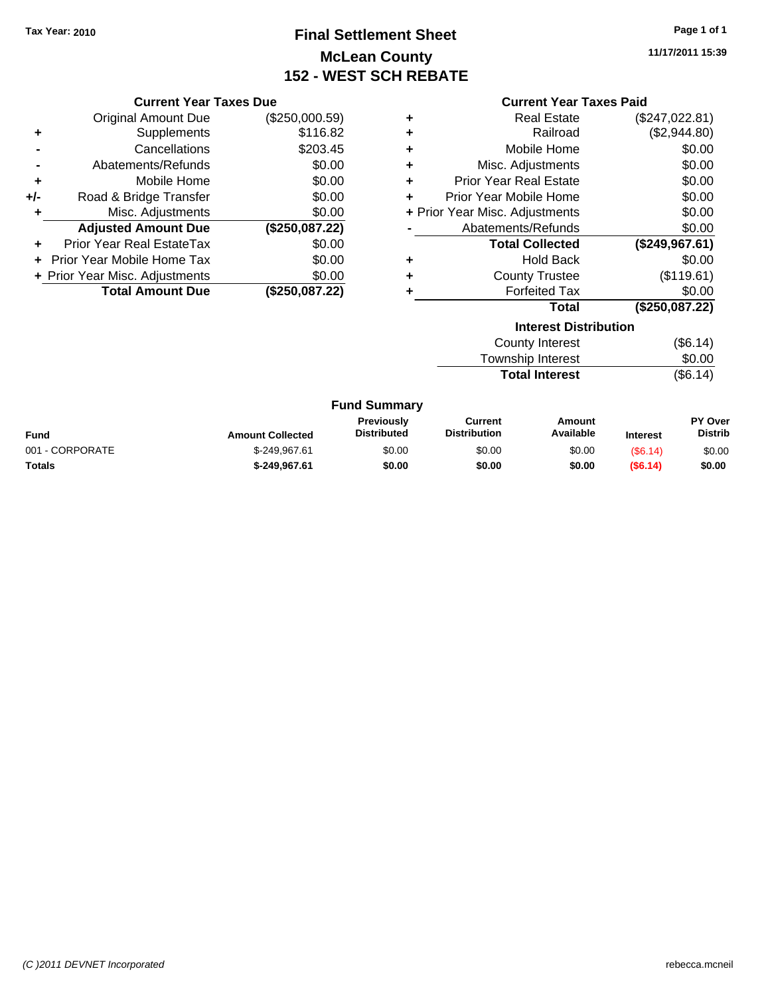# **Final Settlement Sheet Tax Year: 2010 Page 1 of 1 McLean County 152 - WEST SCH REBATE**

**11/17/2011 15:39**

| <b>Current Year Taxes Due</b> |                                |                         |                                         | <b>Current Year Taxes Paid</b> |                                       |                              |                 |                           |
|-------------------------------|--------------------------------|-------------------------|-----------------------------------------|--------------------------------|---------------------------------------|------------------------------|-----------------|---------------------------|
|                               | <b>Original Amount Due</b>     | (\$250,000.59)          |                                         | ٠                              |                                       | <b>Real Estate</b>           |                 | (\$247,022.81)            |
| ٠                             | <b>Supplements</b>             | \$116.82                |                                         | ٠                              |                                       | Railroad                     |                 | (\$2,944.80)              |
|                               | Cancellations                  | \$203.45                |                                         | ٠                              |                                       | Mobile Home                  |                 | \$0.00                    |
|                               | Abatements/Refunds             | \$0.00                  |                                         | ٠                              | Misc. Adjustments                     |                              |                 | \$0.00                    |
| ٠                             | Mobile Home                    | \$0.00                  |                                         | ٠                              | <b>Prior Year Real Estate</b>         |                              |                 | \$0.00                    |
| +/-                           | Road & Bridge Transfer         | \$0.00                  |                                         | ٠                              | Prior Year Mobile Home                |                              |                 | \$0.00                    |
|                               | Misc. Adjustments              | \$0.00                  |                                         |                                | + Prior Year Misc. Adjustments        |                              |                 | \$0.00                    |
|                               | <b>Adjusted Amount Due</b>     | (\$250,087.22)          |                                         |                                | Abatements/Refunds                    |                              |                 | \$0.00                    |
| ٠                             | Prior Year Real EstateTax      | \$0.00                  |                                         |                                |                                       | <b>Total Collected</b>       |                 | (\$249,967.61)            |
|                               | Prior Year Mobile Home Tax     | \$0.00                  |                                         | ٠                              |                                       | <b>Hold Back</b>             |                 | \$0.00                    |
|                               | + Prior Year Misc. Adjustments | \$0.00                  |                                         | ٠                              |                                       | <b>County Trustee</b>        |                 | (\$119.61)                |
|                               | <b>Total Amount Due</b>        | (\$250,087.22)          |                                         |                                |                                       | <b>Forfeited Tax</b>         |                 | \$0.00                    |
|                               |                                |                         |                                         |                                |                                       | <b>Total</b>                 |                 | (\$250,087.22)            |
|                               |                                |                         |                                         |                                |                                       | <b>Interest Distribution</b> |                 |                           |
|                               |                                |                         |                                         |                                |                                       | <b>County Interest</b>       |                 | (\$6.14)                  |
|                               |                                |                         |                                         |                                | Township Interest                     |                              |                 | \$0.00                    |
|                               |                                |                         |                                         |                                |                                       | <b>Total Interest</b>        |                 | (\$6.14)                  |
|                               |                                |                         | <b>Fund Summary</b>                     |                                |                                       |                              |                 |                           |
| Fund                          |                                | <b>Amount Collected</b> | <b>Previously</b><br><b>Distributed</b> |                                | <b>Current</b><br><b>Distribution</b> | Amount<br>Available          | <b>Interest</b> | PY Over<br><b>Distrib</b> |

| <b>Fund</b>     | <b>Amount Collected</b> | .<br>Distributed | <b>VALLVIIL</b><br><b>Distribution</b> | <u>AUDUCTIO</u><br>Available | <b>Interest</b> | .<br>Distrib |
|-----------------|-------------------------|------------------|----------------------------------------|------------------------------|-----------------|--------------|
| 001 - CORPORATE | \$-249.967.61           | \$0.00           | \$0.00                                 | \$0.00                       | (S6.14)         | \$0.00       |
| <b>Totals</b>   | \$-249.967.61           | \$0.00           | \$0.00                                 | \$0.00                       | (S6.14)         | \$0.00       |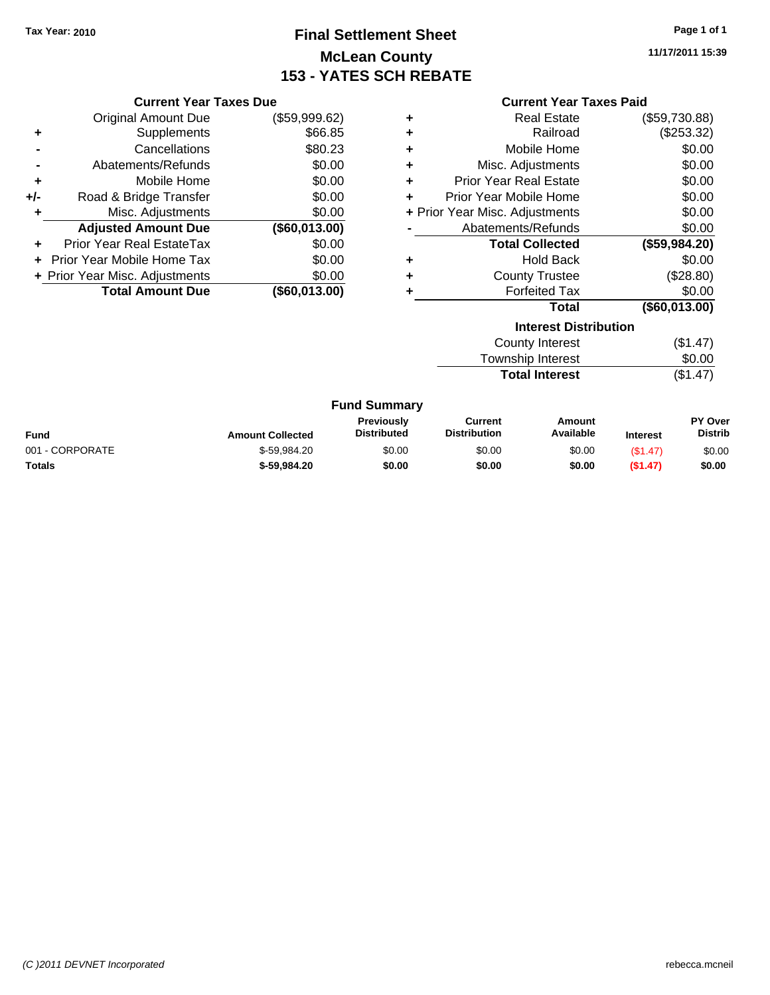# **Final Settlement Sheet Tax Year: 2010 Page 1 of 1 McLean County 153 - YATES SCH REBATE**

**11/17/2011 15:39**

|       | <b>Current Year Taxes Due</b>    |               |                     | <b>Current Year Taxes Paid</b> |                              |               |
|-------|----------------------------------|---------------|---------------------|--------------------------------|------------------------------|---------------|
|       | <b>Original Amount Due</b>       | (\$59,999.62) | ٠                   |                                | <b>Real Estate</b>           | (\$59,730.88) |
| ٠     | Supplements                      | \$66.85       | ٠                   |                                | Railroad                     | (\$253.32)    |
|       | Cancellations                    | \$80.23       | ٠                   |                                | Mobile Home                  | \$0.00        |
|       | Abatements/Refunds               | \$0.00        | ٠                   | Misc. Adjustments              |                              | \$0.00        |
| ٠     | Mobile Home                      | \$0.00        | ٠                   | <b>Prior Year Real Estate</b>  |                              | \$0.00        |
| $+/-$ | Road & Bridge Transfer           | \$0.00        | ٠                   | Prior Year Mobile Home         |                              | \$0.00        |
|       | Misc. Adjustments                | \$0.00        |                     | + Prior Year Misc. Adjustments |                              | \$0.00        |
|       | <b>Adjusted Amount Due</b>       | (\$60,013.00) |                     | Abatements/Refunds             |                              | \$0.00        |
|       | <b>Prior Year Real EstateTax</b> | \$0.00        |                     | <b>Total Collected</b>         |                              | (\$59,984.20) |
|       | Prior Year Mobile Home Tax       | \$0.00        | ٠                   |                                | <b>Hold Back</b>             | \$0.00        |
|       | + Prior Year Misc. Adjustments   | \$0.00        | ÷                   | <b>County Trustee</b>          |                              | (\$28.80)     |
|       | <b>Total Amount Due</b>          | (\$60,013.00) |                     |                                | <b>Forfeited Tax</b>         | \$0.00        |
|       |                                  |               |                     |                                | <b>Total</b>                 | (\$60,013.00) |
|       |                                  |               |                     |                                | <b>Interest Distribution</b> |               |
|       |                                  |               |                     |                                | County Interest              | (\$1.47)      |
|       |                                  |               |                     | <b>Township Interest</b>       |                              | \$0.00        |
|       |                                  |               |                     |                                | <b>Total Interest</b>        | (\$1.47)      |
|       |                                  |               | <b>Fund Summary</b> |                                |                              |               |
|       |                                  |               | <b>Previously</b>   | <b>Current</b>                 | Amount                       | PY Ov         |

| <b>Fund</b>     | <b>Amount Collected</b> | <b>Previously</b><br><b>Distributed</b> | Current<br><b>Distribution</b> | Amount<br>Available | <b>Interest</b> | <b>PY Over</b><br>Distrib |
|-----------------|-------------------------|-----------------------------------------|--------------------------------|---------------------|-----------------|---------------------------|
| 001 - CORPORATE | \$-59.984.20            | \$0.00                                  | \$0.00                         | \$0.00              | (S1.47)         | \$0.00                    |
| <b>Totals</b>   | \$-59.984.20            | \$0.00                                  | \$0.00                         | \$0.00              | (\$1.47)        | \$0.00                    |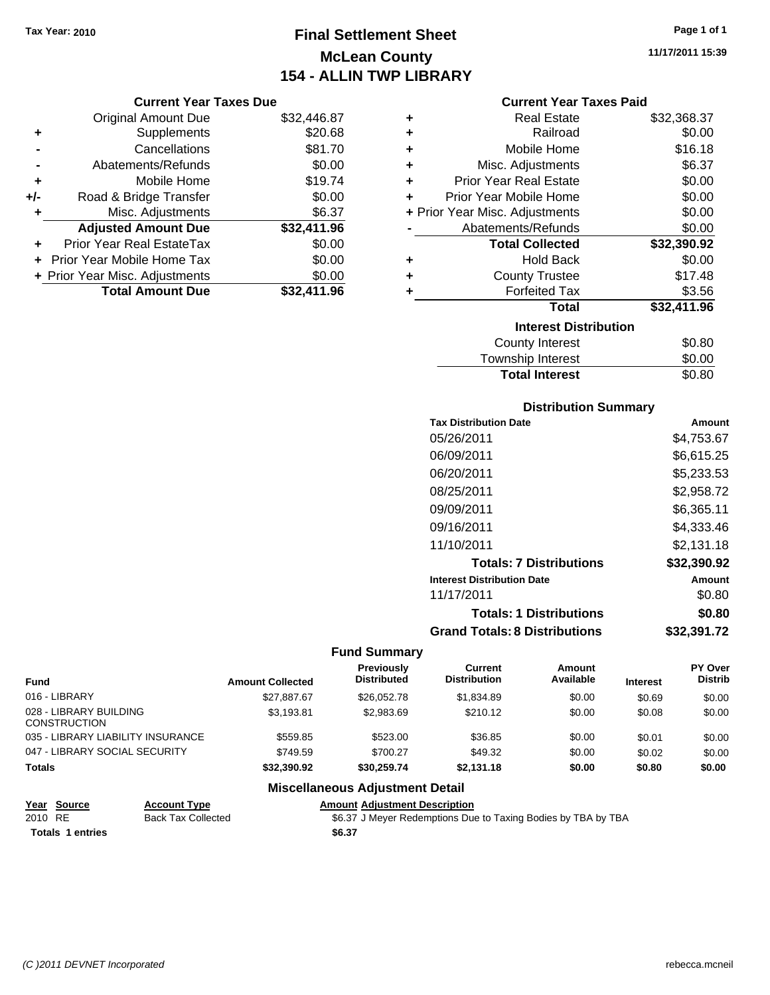# **Final Settlement Sheet Tax Year: 2010 Page 1 of 1 McLean County 154 - ALLIN TWP LIBRARY**

**11/17/2011 15:39**

### **Current Year Taxes Paid**

|     | <b>Current Year Taxes Due</b>     |             |
|-----|-----------------------------------|-------------|
|     | <b>Original Amount Due</b>        | \$32,446.87 |
| ٠   | Supplements                       | \$20.68     |
|     | Cancellations                     | \$81.70     |
|     | Abatements/Refunds                | \$0.00      |
| ٠   | Mobile Home                       | \$19.74     |
| +/- | Road & Bridge Transfer            | \$0.00      |
| ٠   | Misc. Adjustments                 | \$6.37      |
|     | <b>Adjusted Amount Due</b>        | \$32,411.96 |
|     | Prior Year Real EstateTax         | \$0.00      |
|     | <b>Prior Year Mobile Home Tax</b> | \$0.00      |
|     | + Prior Year Misc. Adjustments    | \$0.00      |
|     | <b>Total Amount Due</b>           | \$32,411.96 |

| ٠                            | <b>Real Estate</b>             | \$32,368.37 |  |  |
|------------------------------|--------------------------------|-------------|--|--|
| ٠                            | Railroad                       | \$0.00      |  |  |
| ٠                            | Mobile Home                    | \$16.18     |  |  |
| ٠                            | Misc. Adjustments              | \$6.37      |  |  |
| ٠                            | <b>Prior Year Real Estate</b>  | \$0.00      |  |  |
| ٠                            | Prior Year Mobile Home         | \$0.00      |  |  |
|                              | + Prior Year Misc. Adjustments | \$0.00      |  |  |
|                              | Abatements/Refunds             | \$0.00      |  |  |
|                              | <b>Total Collected</b>         | \$32,390.92 |  |  |
| ٠                            | <b>Hold Back</b>               | \$0.00      |  |  |
| ÷                            | <b>County Trustee</b>          | \$17.48     |  |  |
| ٠                            | <b>Forfeited Tax</b>           | \$3.56      |  |  |
|                              | Total                          | \$32,411.96 |  |  |
| <b>Interest Distribution</b> |                                |             |  |  |
|                              | County Interest                | \$0.80      |  |  |
|                              | <b>Township Interest</b>       | \$0.00      |  |  |
|                              | <b>Total Interest</b>          | \$0.80      |  |  |

### **Distribution Summary**

| <b>Tax Distribution Date</b>         | Amount      |
|--------------------------------------|-------------|
| 05/26/2011                           | \$4,753.67  |
| 06/09/2011                           | \$6,615.25  |
| 06/20/2011                           | \$5,233.53  |
| 08/25/2011                           | \$2.958.72  |
| 09/09/2011                           | \$6,365.11  |
| 09/16/2011                           | \$4,333.46  |
| 11/10/2011                           | \$2.131.18  |
| <b>Totals: 7 Distributions</b>       | \$32,390.92 |
| <b>Interest Distribution Date</b>    | Amount      |
| 11/17/2011                           | \$0.80      |
| <b>Totals: 1 Distributions</b>       | \$0.80      |
| <b>Grand Totals: 8 Distributions</b> | \$32,391.72 |

### **Fund Summary**

| <b>Fund</b>                                   | <b>Amount Collected</b> | Previously<br><b>Distributed</b> | Current<br><b>Distribution</b> | Amount<br>Available | <b>Interest</b> | <b>PY Over</b><br><b>Distrib</b> |
|-----------------------------------------------|-------------------------|----------------------------------|--------------------------------|---------------------|-----------------|----------------------------------|
| 016 - LIBRARY                                 | \$27.887.67             | \$26,052.78                      | \$1,834.89                     | \$0.00              | \$0.69          | \$0.00                           |
| 028 - LIBRARY BUILDING<br><b>CONSTRUCTION</b> | \$3,193.81              | \$2,983.69                       | \$210.12                       | \$0.00              | \$0.08          | \$0.00                           |
| 035 - LIBRARY LIABILITY INSURANCE             | \$559.85                | \$523.00                         | \$36.85                        | \$0.00              | \$0.01          | \$0.00                           |
| 047 - LIBRARY SOCIAL SECURITY                 | \$749.59                | \$700.27                         | \$49.32                        | \$0.00              | \$0.02          | \$0.00                           |
| <b>Totals</b>                                 | \$32,390.92             | \$30.259.74                      | \$2.131.18                     | \$0.00              | \$0.80          | \$0.00                           |

# **Miscellaneous Adjustment Detail**

| Year Source             | <b>Account Type</b> | Amount |
|-------------------------|---------------------|--------|
| 2010 RE                 | Back Tax Collected  | \$6.37 |
| <b>Totals 1 entries</b> |                     | \$6.37 |

**<u>Amount Adjustment Description</u><br>Type** S6.37 J Meyer Redemptions Due \$6.37 J Meyer Redemptions Due to Taxing Bodies by TBA by TBA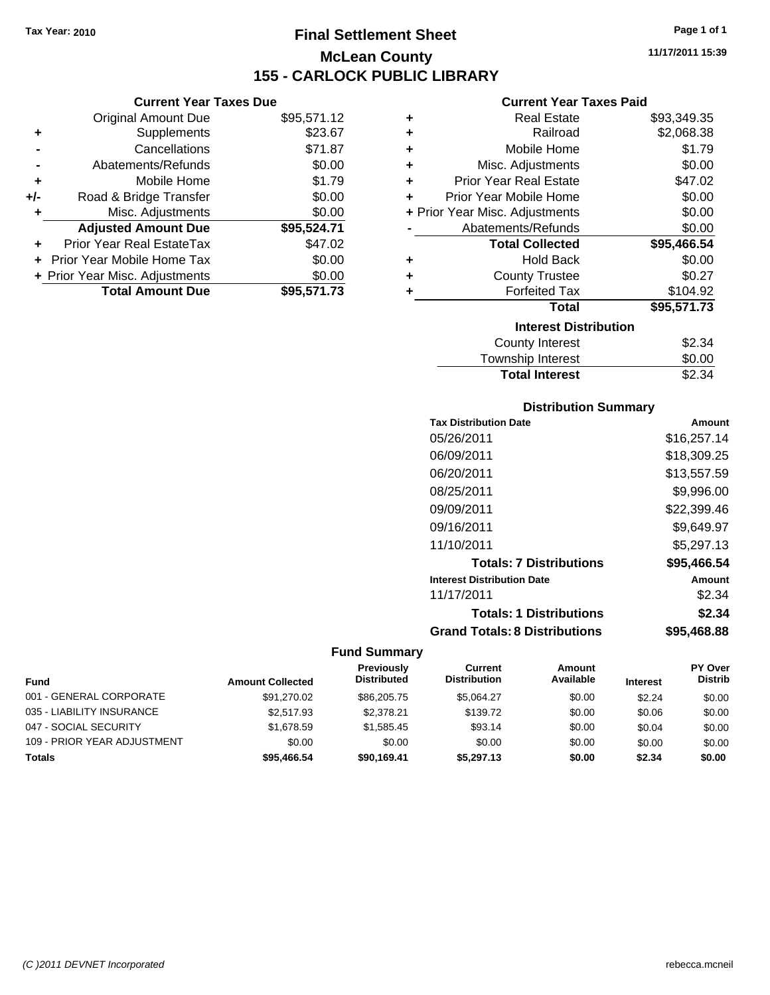**Current Year Taxes Due** Original Amount Due \$95,571.12

**Adjusted Amount Due \$95,524.71**

**Total Amount Due \$95,571.73**

**+** Supplements \$23.67 **-** Cancellations \$71.87 **-** Abatements/Refunds \$0.00 **+** Mobile Home \$1.79 **+/-** Road & Bridge Transfer \$0.00 **+** Misc. Adjustments \$0.00

**+** Prior Year Real EstateTax \$47.02 **+** Prior Year Mobile Home Tax \$0.00 **+ Prior Year Misc. Adjustments**  $$0.00$ 

# **Final Settlement Sheet Tax Year: 2010 Page 1 of 1 McLean County 155 - CARLOCK PUBLIC LIBRARY**

**11/17/2011 15:39**

### **Current Year Taxes Paid**

| ٠ | <b>Real Estate</b>             | \$93,349.35 |
|---|--------------------------------|-------------|
| ٠ | Railroad                       | \$2,068.38  |
| ٠ | Mobile Home                    | \$1.79      |
| ÷ | Misc. Adjustments              | \$0.00      |
| ٠ | <b>Prior Year Real Estate</b>  | \$47.02     |
| ÷ | Prior Year Mobile Home         | \$0.00      |
|   | + Prior Year Misc. Adjustments | \$0.00      |
|   | Abatements/Refunds             | \$0.00      |
|   | <b>Total Collected</b>         | \$95,466.54 |
| ٠ | <b>Hold Back</b>               | \$0.00      |
| ٠ | <b>County Trustee</b>          | \$0.27      |
| ٠ | <b>Forfeited Tax</b>           | \$104.92    |
|   | <b>Total</b>                   | \$95,571.73 |
|   | <b>Interest Distribution</b>   |             |
|   | <b>County Interest</b>         | \$2.34      |
|   | <b>Township Interest</b>       | \$0.00      |
|   |                                |             |

# **Distribution Summary**

**Total Interest** \$2.34

| <b>Tax Distribution Date</b>         | Amount      |
|--------------------------------------|-------------|
| 05/26/2011                           | \$16,257.14 |
| 06/09/2011                           | \$18,309.25 |
| 06/20/2011                           | \$13,557.59 |
| 08/25/2011                           | \$9,996.00  |
| 09/09/2011                           | \$22,399.46 |
| 09/16/2011                           | \$9.649.97  |
| 11/10/2011                           | \$5,297.13  |
| <b>Totals: 7 Distributions</b>       | \$95.466.54 |
| <b>Interest Distribution Date</b>    | Amount      |
| 11/17/2011                           | \$2.34      |
| <b>Totals: 1 Distributions</b>       | \$2.34      |
| <b>Grand Totals: 8 Distributions</b> | \$95.468.88 |

| <b>Fund</b>                 | <b>Amount Collected</b> | Previously<br><b>Distributed</b> | Current<br><b>Distribution</b> | Amount<br>Available | <b>Interest</b> | <b>PY Over</b><br><b>Distrib</b> |
|-----------------------------|-------------------------|----------------------------------|--------------------------------|---------------------|-----------------|----------------------------------|
| 001 - GENERAL CORPORATE     | \$91,270.02             | \$86,205.75                      | \$5.064.27                     | \$0.00              | \$2.24          | \$0.00                           |
| 035 - LIABILITY INSURANCE   | \$2,517.93              | \$2,378,21                       | \$139.72                       | \$0.00              | \$0.06          | \$0.00                           |
| 047 - SOCIAL SECURITY       | \$1,678.59              | \$1,585.45                       | \$93.14                        | \$0.00              | \$0.04          | \$0.00                           |
| 109 - PRIOR YEAR ADJUSTMENT | \$0.00                  | \$0.00                           | \$0.00                         | \$0.00              | \$0.00          | \$0.00                           |
| Totals                      | \$95,466.54             | \$90.169.41                      | \$5,297.13                     | \$0.00              | \$2.34          | \$0.00                           |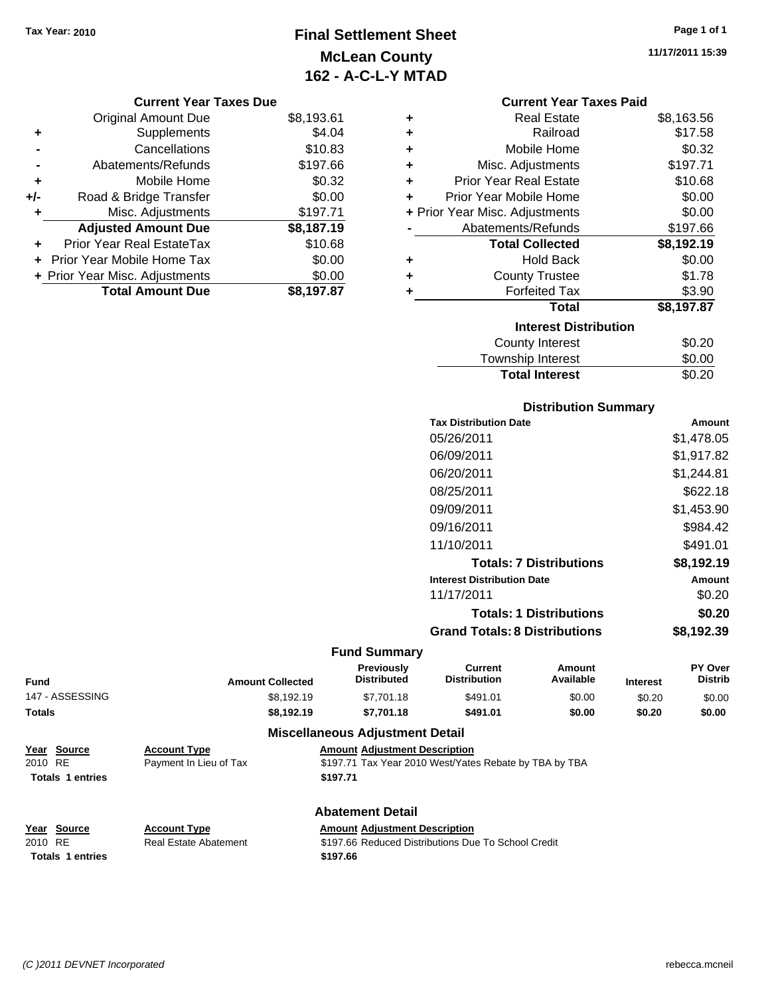# **Final Settlement Sheet Tax Year: 2010 Page 1 of 1 McLean County 162 - A-C-L-Y MTAD**

**11/17/2011 15:39**

| <b>Current Year Taxes Due</b> |  |  |  |
|-------------------------------|--|--|--|
|-------------------------------|--|--|--|

|     | <b>Original Amount Due</b>     | \$8,193.61 |
|-----|--------------------------------|------------|
| ٠   | Supplements                    | \$4.04     |
|     | Cancellations                  | \$10.83    |
|     | Abatements/Refunds             | \$197.66   |
| ٠   | Mobile Home                    | \$0.32     |
| +/- | Road & Bridge Transfer         | \$0.00     |
| ٠   | Misc. Adjustments              | \$197.71   |
|     | <b>Adjusted Amount Due</b>     | \$8,187.19 |
|     | Prior Year Real EstateTax      | \$10.68    |
|     | Prior Year Mobile Home Tax     | \$0.00     |
|     | + Prior Year Misc. Adjustments | \$0.00     |
|     | <b>Total Amount Due</b>        | \$8,197.87 |

### **Current Year Taxes Paid**

| ٠ | <b>Real Estate</b>             | \$8,163.56 |
|---|--------------------------------|------------|
| ٠ | Railroad                       | \$17.58    |
| ٠ | Mobile Home                    | \$0.32     |
| ٠ | Misc. Adjustments              | \$197.71   |
| ÷ | <b>Prior Year Real Estate</b>  | \$10.68    |
| ÷ | Prior Year Mobile Home         | \$0.00     |
|   | + Prior Year Misc. Adjustments | \$0.00     |
|   | Abatements/Refunds             | \$197.66   |
|   |                                |            |
|   | <b>Total Collected</b>         | \$8,192.19 |
| ٠ | <b>Hold Back</b>               | \$0.00     |
| ÷ | <b>County Trustee</b>          | \$1.78     |
| ٠ | <b>Forfeited Tax</b>           | \$3.90     |
|   | Total                          | \$8,197.87 |
|   | <b>Interest Distribution</b>   |            |
|   | County Interest                | \$0.20     |

# **Distribution Summary**

**Total Interest** \$0.20

| <b>Tax Distribution Date</b>         | Amount     |
|--------------------------------------|------------|
| 05/26/2011                           | \$1,478.05 |
| 06/09/2011                           | \$1,917.82 |
| 06/20/2011                           | \$1,244.81 |
| 08/25/2011                           | \$622.18   |
| 09/09/2011                           | \$1,453.90 |
| 09/16/2011                           | \$984.42   |
| 11/10/2011                           | \$491.01   |
| <b>Totals: 7 Distributions</b>       | \$8,192.19 |
| <b>Interest Distribution Date</b>    | Amount     |
| 11/17/2011                           | \$0.20     |
| <b>Totals: 1 Distributions</b>       | \$0.20     |
| <b>Grand Totals: 8 Distributions</b> | \$8,192.39 |

### **Fund Summary**

| Fund            | <b>Amount Collected</b> | <b>Previously</b><br><b>Distributed</b> | Current<br><b>Distribution</b> | Amount<br>Available | <b>Interest</b> | PY Over<br><b>Distrib</b> |
|-----------------|-------------------------|-----------------------------------------|--------------------------------|---------------------|-----------------|---------------------------|
| 147 - ASSESSING | \$8.192.19              | \$7,701.18                              | \$491.01                       | \$0.00              | \$0.20          | \$0.00                    |
| Totals          | \$8.192.19              | \$7.701.18                              | \$491.01                       | \$0.00              | \$0.20          | \$0.00                    |
|                 | - - -<br>$ -$           | - --                                    |                                |                     |                 |                           |

## **Miscellaneous Adjustment Detail**

|         | Year Source             | <b>Account Type</b>    | <b>Amount Adiustment Description</b>                   |
|---------|-------------------------|------------------------|--------------------------------------------------------|
| 2010 RE |                         | Payment In Lieu of Tax | \$197.71 Tax Year 2010 West/Yates Rebate by TBA by TBA |
|         | <b>Totals 1 entries</b> |                        | \$197.71                                               |

**Totals \$197.66 1 entries**

**Year Source Account Type Amount Adjustment Description**

# **Abatement Detail**

2010 RE **\$197.66 Reduced Distributions Due To School Credit Real Estate Abatement** \$197.66 Reduced Distributions Due To School Credit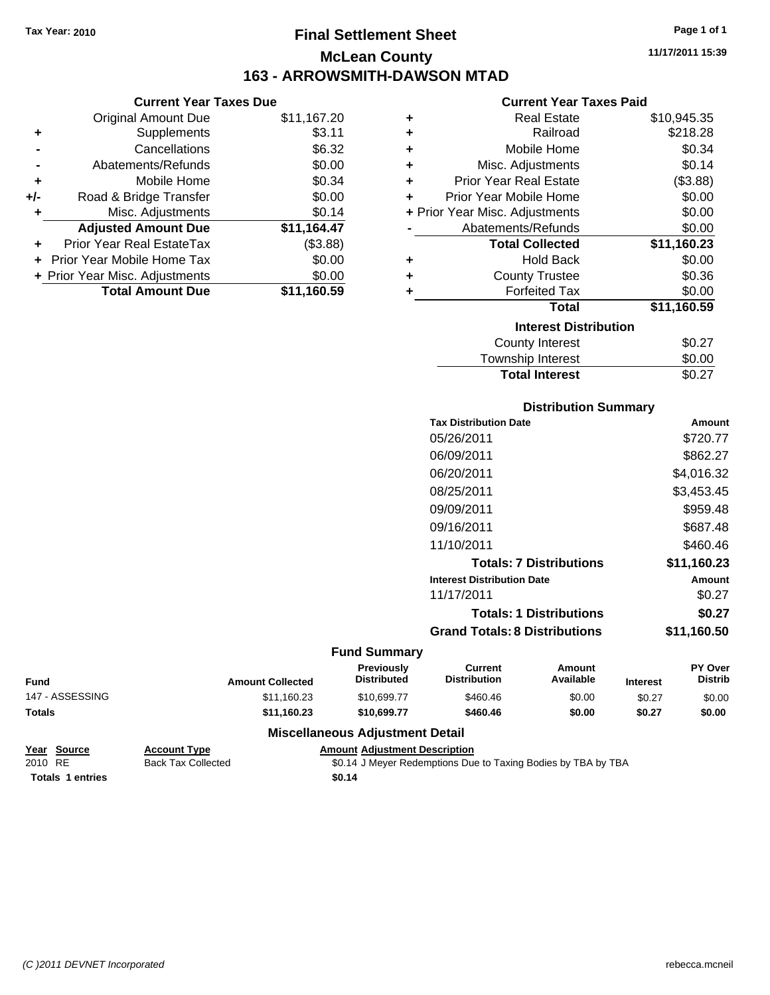**Current Year Taxes Due** Original Amount Due \$11,167.20

**Adjusted Amount Due \$11,164.47**

**Total Amount Due \$11,160.59**

**+** Supplements \$3.11 **-** Cancellations \$6.32 **-** Abatements/Refunds \$0.00 **+** Mobile Home \$0.34 **+/-** Road & Bridge Transfer \$0.00 **+** Misc. Adjustments \$0.14

**+** Prior Year Real EstateTax (\$3.88) **+** Prior Year Mobile Home Tax \$0.00 **+ Prior Year Misc. Adjustments**  $$0.00$ 

# **Final Settlement Sheet Tax Year: 2010 Page 1 of 1 McLean County 163 - ARROWSMITH-DAWSON MTAD**

**11/17/2011 15:39**

### **Current Year Taxes Paid**

| ٠ | <b>Real Estate</b>             | \$10,945.35 |
|---|--------------------------------|-------------|
| ٠ | Railroad                       | \$218.28    |
| ÷ | Mobile Home                    | \$0.34      |
| ٠ | Misc. Adjustments              | \$0.14      |
| ÷ | <b>Prior Year Real Estate</b>  | (\$3.88)    |
| ٠ | Prior Year Mobile Home         | \$0.00      |
|   | + Prior Year Misc. Adjustments | \$0.00      |
|   | Abatements/Refunds             | \$0.00      |
|   | <b>Total Collected</b>         | \$11,160.23 |
| ÷ | <b>Hold Back</b>               | \$0.00      |
| ÷ | <b>County Trustee</b>          | \$0.36      |
| ÷ | <b>Forfeited Tax</b>           | \$0.00      |
|   | <b>Total</b>                   | \$11,160.59 |
|   | <b>Interest Distribution</b>   |             |
|   | <b>County Interest</b>         | \$0.27      |
|   | <b>Township Interest</b>       | \$0.00      |

# Township Interest  $$0.00$ Total Interest \$0.27

| <b>Distribution Summary</b>          |             |
|--------------------------------------|-------------|
| <b>Tax Distribution Date</b>         | Amount      |
| 05/26/2011                           | \$720.77    |
| 06/09/2011                           | \$862.27    |
| 06/20/2011                           | \$4,016.32  |
| 08/25/2011                           | \$3,453.45  |
| 09/09/2011                           | \$959.48    |
| 09/16/2011                           | \$687.48    |
| 11/10/2011                           | \$460.46    |
| <b>Totals: 7 Distributions</b>       | \$11,160.23 |
| <b>Interest Distribution Date</b>    | Amount      |
| 11/17/2011                           | \$0.27      |
| <b>Totals: 1 Distributions</b>       | \$0.27      |
| <b>Grand Totals: 8 Distributions</b> | \$11,160.50 |

### **Fund Summary**

| <b>Fund</b>     | <b>Amount Collected</b> | <b>Previously</b><br><b>Distributed</b> | Current<br><b>Distribution</b> | Amount<br>Available | <b>Interest</b> | <b>PY Over</b><br><b>Distrib</b> |
|-----------------|-------------------------|-----------------------------------------|--------------------------------|---------------------|-----------------|----------------------------------|
| 147 - ASSESSING | \$11,160.23             | \$10,699.77                             | \$460.46                       | \$0.00              | \$0.27          | \$0.00                           |
| Totals          | \$11.160.23             | \$10,699.77                             | \$460.46                       | \$0.00              | \$0.27          | \$0.00                           |
|                 |                         |                                         |                                |                     |                 |                                  |

### **Miscellaneous Adjustment Detail**

**Year Source Account Type Amount Adjustment Description** 2010 RE Back Tax Collected \$0.14 J Meyer Redemptions Due to Taxing Bodies by TBA by TBA **Totals \$0.14 1 entries**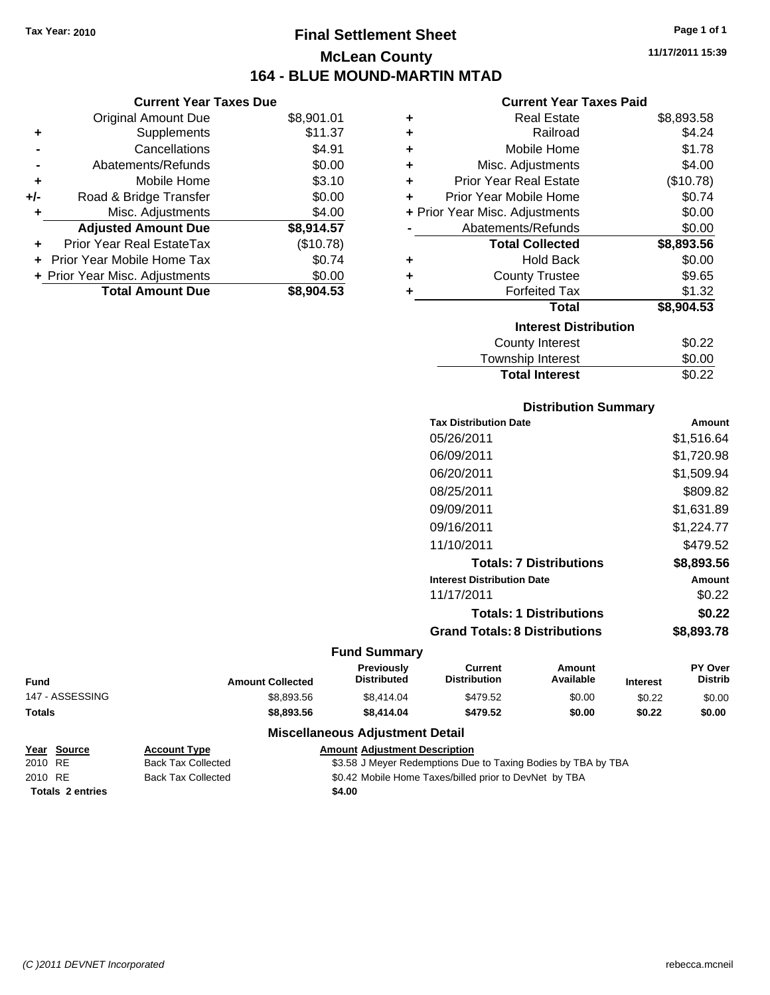# **Final Settlement Sheet Tax Year: 2010 Page 1 of 1 McLean County 164 - BLUE MOUND-MARTIN MTAD**

|     | <b>Current Year Taxes Due</b>  |            |
|-----|--------------------------------|------------|
|     | <b>Original Amount Due</b>     | \$8,901.01 |
| ٠   | Supplements                    | \$11.37    |
|     | Cancellations                  | \$4.91     |
|     | Abatements/Refunds             | \$0.00     |
| ٠   | Mobile Home                    | \$3.10     |
| +/- | Road & Bridge Transfer         | \$0.00     |
|     | Misc. Adjustments              | \$4.00     |
|     | <b>Adjusted Amount Due</b>     | \$8,914.57 |
|     | Prior Year Real EstateTax      | (\$10.78)  |
|     | Prior Year Mobile Home Tax     | \$0.74     |
|     | + Prior Year Misc. Adjustments | \$0.00     |
|     | <b>Total Amount Due</b>        | \$8,904.53 |

### **Current Year Taxes Paid**

| ٠ | <b>Real Estate</b>             | \$8,893.58 |
|---|--------------------------------|------------|
| ÷ | Railroad                       | \$4.24     |
| ٠ | Mobile Home                    | \$1.78     |
| ٠ | Misc. Adjustments              | \$4.00     |
| ٠ | <b>Prior Year Real Estate</b>  | (\$10.78)  |
| ٠ | Prior Year Mobile Home         | \$0.74     |
|   | + Prior Year Misc. Adjustments | \$0.00     |
|   | Abatements/Refunds             | \$0.00     |
|   | <b>Total Collected</b>         | \$8,893.56 |
|   |                                |            |
| ٠ | <b>Hold Back</b>               | \$0.00     |
| ÷ | <b>County Trustee</b>          | \$9.65     |
| ٠ | <b>Forfeited Tax</b>           | \$1.32     |
|   | <b>Total</b>                   | \$8,904.53 |
|   | <b>Interest Distribution</b>   |            |
|   | County Interest                | \$0.22     |

# **Distribution Summary**

**Total Interest** \$0.22

| <b>Tax Distribution Date</b>         | Amount        |
|--------------------------------------|---------------|
| 05/26/2011                           | \$1,516.64    |
| 06/09/2011                           | \$1,720.98    |
| 06/20/2011                           | \$1,509.94    |
| 08/25/2011                           | \$809.82      |
| 09/09/2011                           | \$1,631.89    |
| 09/16/2011                           | \$1.224.77    |
| 11/10/2011                           | \$479.52      |
| <b>Totals: 7 Distributions</b>       | \$8,893.56    |
| <b>Interest Distribution Date</b>    | <b>Amount</b> |
| 11/17/2011                           | \$0.22        |
| <b>Totals: 1 Distributions</b>       | \$0.22        |
| <b>Grand Totals: 8 Distributions</b> | \$8,893.78    |
|                                      |               |

### **Fund Summary**

| <b>Fund</b>     | <b>Amount Collected</b> | <b>Previously</b><br><b>Distributed</b> | Current<br><b>Distribution</b> | Amount<br>Available | <b>Interest</b> | <b>PY Over</b><br><b>Distrib</b> |
|-----------------|-------------------------|-----------------------------------------|--------------------------------|---------------------|-----------------|----------------------------------|
| 147 - ASSESSING | \$8,893.56              | \$8,414.04                              | \$479.52                       | \$0.00              | \$0.22          | \$0.00                           |
| <b>Totals</b>   | \$8,893,56              | \$8.414.04                              | \$479.52                       | \$0.00              | \$0.22          | \$0.00                           |
|                 | ---                     |                                         | .                              |                     |                 |                                  |

|         | Year Source             | <b>Account Type</b>       | <b>Amount Adiustment Description</b>                          |
|---------|-------------------------|---------------------------|---------------------------------------------------------------|
| 2010 RE |                         | <b>Back Tax Collected</b> | \$3.58 J Meyer Redemptions Due to Taxing Bodies by TBA by TBA |
| 2010 RE |                         | <b>Back Tax Collected</b> | \$0.42 Mobile Home Taxes/billed prior to DevNet by TBA        |
|         | <b>Totals 2 entries</b> |                           | \$4.00                                                        |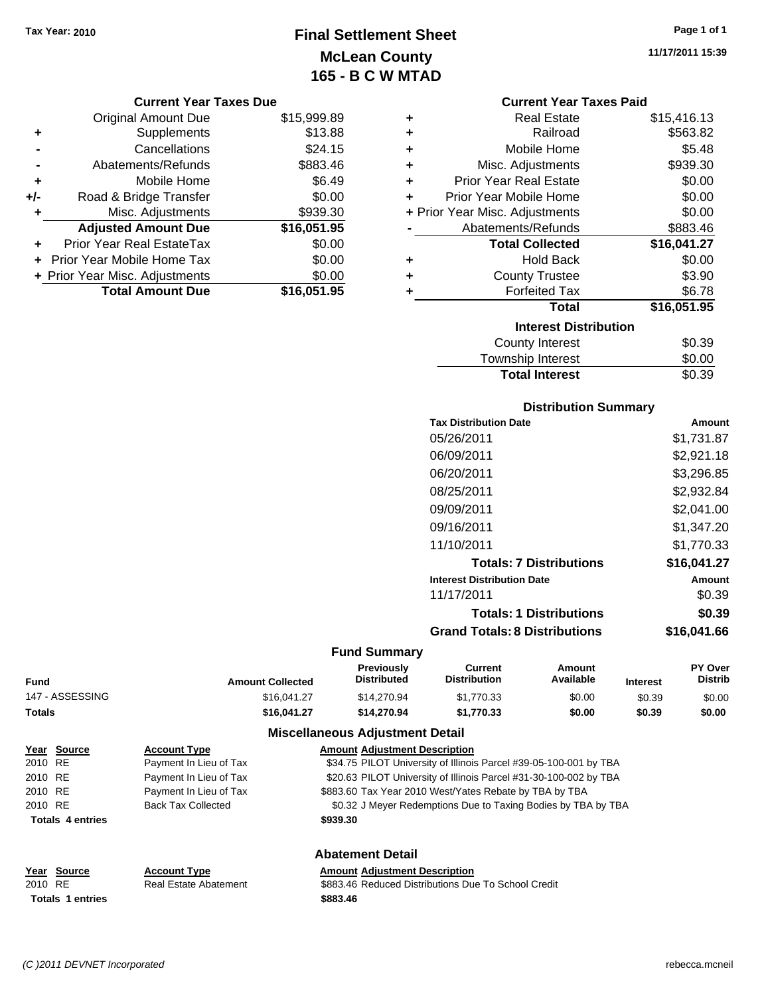**Current Year Taxes Due** Original Amount Due \$15,999.89

**Adjusted Amount Due \$16,051.95**

**Total Amount Due \$16,051.95**

**+** Supplements \$13.88 **-** Cancellations \$24.15 **-** Abatements/Refunds \$883.46 **+** Mobile Home \$6.49 **+/-** Road & Bridge Transfer \$0.00 **+** Misc. Adjustments \$939.30

**+** Prior Year Real EstateTax \$0.00 **+** Prior Year Mobile Home Tax \$0.00 **+ Prior Year Misc. Adjustments**  $$0.00$ 

# **Final Settlement Sheet Tax Year: 2010 Page 1 of 1 McLean County 165 - B C W MTAD**

**11/17/2011 15:39**

### **Current Year Taxes Paid**

| ٠ | <b>Real Estate</b>             | \$15,416.13 |
|---|--------------------------------|-------------|
| ٠ | Railroad                       | \$563.82    |
| ÷ | Mobile Home                    | \$5.48      |
| ÷ | Misc. Adjustments              | \$939.30    |
| ÷ | <b>Prior Year Real Estate</b>  | \$0.00      |
| ÷ | Prior Year Mobile Home         | \$0.00      |
|   | + Prior Year Misc. Adjustments | \$0.00      |
|   | Abatements/Refunds             | \$883.46    |
|   | <b>Total Collected</b>         | \$16,041.27 |
| ٠ | <b>Hold Back</b>               | \$0.00      |
| ÷ | <b>County Trustee</b>          | \$3.90      |
| ÷ | <b>Forfeited Tax</b>           | \$6.78      |
|   | Total                          | \$16,051.95 |
|   | <b>Interest Distribution</b>   |             |
|   | <b>County Interest</b>         | \$0.39      |
|   | Township Interest              | \$0.00      |
|   | <b>Total Interest</b>          | \$0.39      |

### **Distribution Summary**

| <b>Tax Distribution Date</b>         | Amount      |
|--------------------------------------|-------------|
| 05/26/2011                           | \$1,731.87  |
| 06/09/2011                           | \$2,921.18  |
| 06/20/2011                           | \$3,296.85  |
| 08/25/2011                           | \$2,932.84  |
| 09/09/2011                           | \$2,041.00  |
| 09/16/2011                           | \$1,347.20  |
| 11/10/2011                           | \$1,770.33  |
| <b>Totals: 7 Distributions</b>       | \$16,041.27 |
| <b>Interest Distribution Date</b>    | Amount      |
| 11/17/2011                           | \$0.39      |
| <b>Totals: 1 Distributions</b>       | \$0.39      |
| <b>Grand Totals: 8 Distributions</b> | \$16,041.66 |

### **Fund Summary**

| Fund            | <b>Amount Collected</b> | <b>Previously</b><br><b>Distributed</b> | Current<br>Distribution | Amount<br>Available | <b>Interest</b> | <b>PY Over</b><br><b>Distrib</b> |
|-----------------|-------------------------|-----------------------------------------|-------------------------|---------------------|-----------------|----------------------------------|
| 147 - ASSESSING | \$16,041.27             | \$14,270.94                             | \$1.770.33              | \$0.00              | \$0.39          | \$0.00                           |
| Totals          | \$16,041.27             | \$14,270.94                             | \$1,770,33              | \$0.00              | \$0.39          | \$0.00                           |

|         | Year Source             | <b>Account Type</b>       | <b>Amount Adjustment Description</b>                              |
|---------|-------------------------|---------------------------|-------------------------------------------------------------------|
| 2010 RE |                         | Payment In Lieu of Tax    | \$34.75 PILOT University of Illinois Parcel #39-05-100-001 by TBA |
| 2010 RE |                         | Payment In Lieu of Tax    | \$20.63 PILOT University of Illinois Parcel #31-30-100-002 by TBA |
| 2010 RE |                         | Payment In Lieu of Tax    | \$883.60 Tax Year 2010 West/Yates Rebate by TBA by TBA            |
| 2010 RE |                         | <b>Back Tax Collected</b> | \$0.32 J Meyer Redemptions Due to Taxing Bodies by TBA by TBA     |
|         | <b>Totals 4 entries</b> |                           | \$939.30                                                          |
|         |                         |                           | <b>Abatement Detail</b>                                           |

| Year Source      | <b>Account Type</b>          | <b>Amount Adiustment Description</b>                |
|------------------|------------------------------|-----------------------------------------------------|
| 2010 RE          | <b>Real Estate Abatement</b> | \$883.46 Reduced Distributions Due To School Credit |
| Totals 1 entries |                              | \$883.46                                            |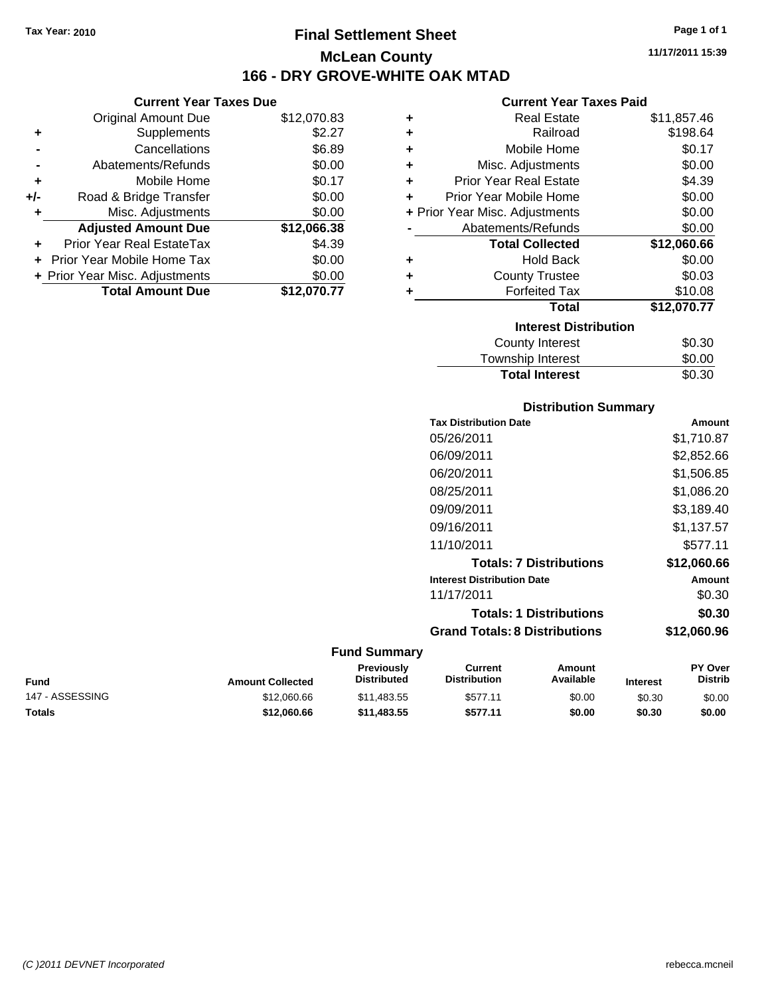# **Final Settlement Sheet Tax Year: 2010 Page 1 of 1 McLean County 166 - DRY GROVE-WHITE OAK MTAD**

**11/17/2011 15:39**

### **Current Year Taxes Paid**

|     | <b>Current Year Taxes Due</b>  |             |  |  |
|-----|--------------------------------|-------------|--|--|
|     | <b>Original Amount Due</b>     | \$12,070.83 |  |  |
| ٠   | Supplements                    | \$2.27      |  |  |
|     | Cancellations                  | \$6.89      |  |  |
|     | Abatements/Refunds             | \$0.00      |  |  |
| ٠   | Mobile Home                    | \$0.17      |  |  |
| +/- | Road & Bridge Transfer         | \$0.00      |  |  |
| ٠   | Misc. Adjustments              | \$0.00      |  |  |
|     | <b>Adjusted Amount Due</b>     | \$12,066.38 |  |  |
|     | Prior Year Real EstateTax      | \$4.39      |  |  |
|     | Prior Year Mobile Home Tax     | \$0.00      |  |  |
|     | + Prior Year Misc. Adjustments | \$0.00      |  |  |
|     | <b>Total Amount Due</b>        | \$12,070.77 |  |  |

| ٠ | <b>Real Estate</b>             | \$11,857.46 |
|---|--------------------------------|-------------|
| ٠ | Railroad                       | \$198.64    |
| ٠ | Mobile Home                    | \$0.17      |
| ٠ | Misc. Adjustments              | \$0.00      |
| ٠ | Prior Year Real Estate         | \$4.39      |
| ٠ | Prior Year Mobile Home         | \$0.00      |
|   | + Prior Year Misc. Adjustments | \$0.00      |
|   | Abatements/Refunds             | \$0.00      |
|   | <b>Total Collected</b>         | \$12,060.66 |
| ٠ | <b>Hold Back</b>               | \$0.00      |
| ÷ | <b>County Trustee</b>          | \$0.03      |
| ٠ | <b>Forfeited Tax</b>           | \$10.08     |
|   | <b>Total</b>                   | \$12,070.77 |
|   | <b>Interest Distribution</b>   |             |
|   | County Interest                | \$0.30      |
|   | <b>Township Interest</b>       | \$0.00      |
|   | <b>Total Interest</b>          | \$0.30      |

### **Distribution Summary**

| <b>Tax Distribution Date</b>         | Amount      |
|--------------------------------------|-------------|
| 05/26/2011                           | \$1,710.87  |
| 06/09/2011                           | \$2,852.66  |
| 06/20/2011                           | \$1,506.85  |
| 08/25/2011                           | \$1,086.20  |
| 09/09/2011                           | \$3.189.40  |
| 09/16/2011                           | \$1.137.57  |
| 11/10/2011                           | \$577.11    |
| <b>Totals: 7 Distributions</b>       | \$12,060.66 |
| <b>Interest Distribution Date</b>    | Amount      |
| 11/17/2011                           | \$0.30      |
| <b>Totals: 1 Distributions</b>       | \$0.30      |
| <b>Grand Totals: 8 Distributions</b> | \$12,060.96 |
|                                      |             |

| Fund            | <b>Amount Collected</b> | <b>Previously</b><br><b>Distributed</b> | Current<br><b>Distribution</b> | Amount<br>Available | <b>Interest</b> | <b>PY Over</b><br><b>Distrib</b> |
|-----------------|-------------------------|-----------------------------------------|--------------------------------|---------------------|-----------------|----------------------------------|
| 147 - ASSESSING | \$12,060.66             | \$11.483.55                             | \$577.11                       | \$0.00              | \$0.30          | \$0.00                           |
| Totals          | \$12,060,66             | \$11.483.55                             | \$577.11                       | \$0.00              | \$0.30          | \$0.00                           |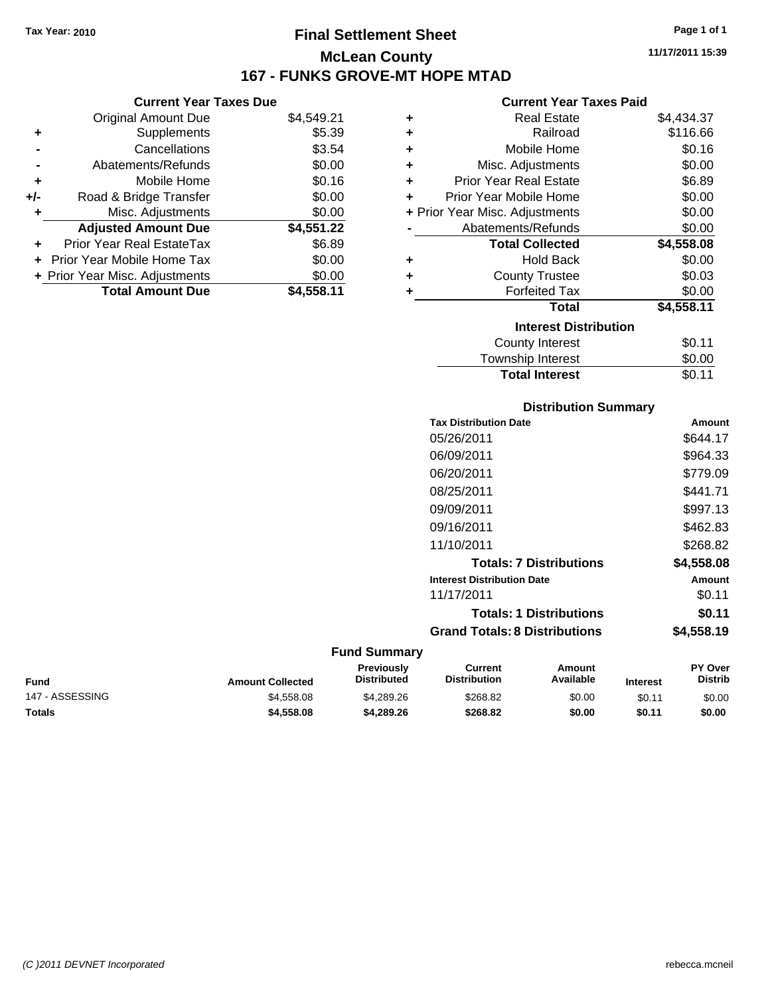# **Final Settlement Sheet Tax Year: 2010 Page 1 of 1 McLean County 167 - FUNKS GROVE-MT HOPE MTAD**

**11/17/2011 15:39**

### **Current Year Taxes Paid**

| <b>Current Year Taxes Due</b> |                                  |            |  |
|-------------------------------|----------------------------------|------------|--|
|                               | <b>Original Amount Due</b>       | \$4,549.21 |  |
| ٠                             | Supplements                      | \$5.39     |  |
|                               | Cancellations                    | \$3.54     |  |
|                               | Abatements/Refunds               | \$0.00     |  |
| ٠                             | Mobile Home                      | \$0.16     |  |
| +/-                           | Road & Bridge Transfer           | \$0.00     |  |
|                               | Misc. Adjustments                | \$0.00     |  |
|                               | <b>Adjusted Amount Due</b>       | \$4,551.22 |  |
|                               | <b>Prior Year Real EstateTax</b> | \$6.89     |  |
|                               | Prior Year Mobile Home Tax       | \$0.00     |  |
|                               | + Prior Year Misc. Adjustments   | \$0.00     |  |
|                               | <b>Total Amount Due</b>          | \$4.558.11 |  |

| ٠ | <b>Real Estate</b>             | \$4,434.37 |
|---|--------------------------------|------------|
| ÷ | Railroad                       | \$116.66   |
| ÷ | Mobile Home                    | \$0.16     |
| ÷ | Misc. Adjustments              | \$0.00     |
| ٠ | <b>Prior Year Real Estate</b>  | \$6.89     |
| ٠ | Prior Year Mobile Home         | \$0.00     |
|   | + Prior Year Misc. Adjustments | \$0.00     |
|   | Abatements/Refunds             | \$0.00     |
|   | <b>Total Collected</b>         | \$4,558.08 |
| ٠ | <b>Hold Back</b>               | \$0.00     |
| ٠ | <b>County Trustee</b>          | \$0.03     |
| ٠ | <b>Forfeited Tax</b>           | \$0.00     |
|   | Total                          | \$4,558.11 |
|   | <b>Interest Distribution</b>   |            |
|   | <b>County Interest</b>         | \$0.11     |
|   | <b>Township Interest</b>       | \$0.00     |
|   | <b>Total Interest</b>          | \$0.11     |

### **Distribution Summary**

| <b>Tax Distribution Date</b>         | Amount     |
|--------------------------------------|------------|
| 05/26/2011                           | \$644.17   |
| 06/09/2011                           | \$964.33   |
| 06/20/2011                           | \$779.09   |
| 08/25/2011                           | \$441.71   |
| 09/09/2011                           | \$997.13   |
| 09/16/2011                           | \$462.83   |
| 11/10/2011                           | \$268.82   |
| <b>Totals: 7 Distributions</b>       | \$4,558.08 |
| <b>Interest Distribution Date</b>    | Amount     |
| 11/17/2011                           | \$0.11     |
| <b>Totals: 1 Distributions</b>       | \$0.11     |
| <b>Grand Totals: 8 Distributions</b> | \$4,558.19 |

| <b>Fund</b>     | <b>Amount Collected</b> | <b>Previously</b><br>Distributed | Current<br><b>Distribution</b> | Amount<br>Available | <b>Interest</b> | <b>PY Over</b><br><b>Distrib</b> |
|-----------------|-------------------------|----------------------------------|--------------------------------|---------------------|-----------------|----------------------------------|
| 147 - ASSESSING | \$4,558,08              | \$4,289.26                       | \$268.82                       | \$0.00              | \$0.11          | \$0.00                           |
| <b>Totals</b>   | \$4,558,08              | \$4,289,26                       | \$268.82                       | \$0.00              | \$0.11          | \$0.00                           |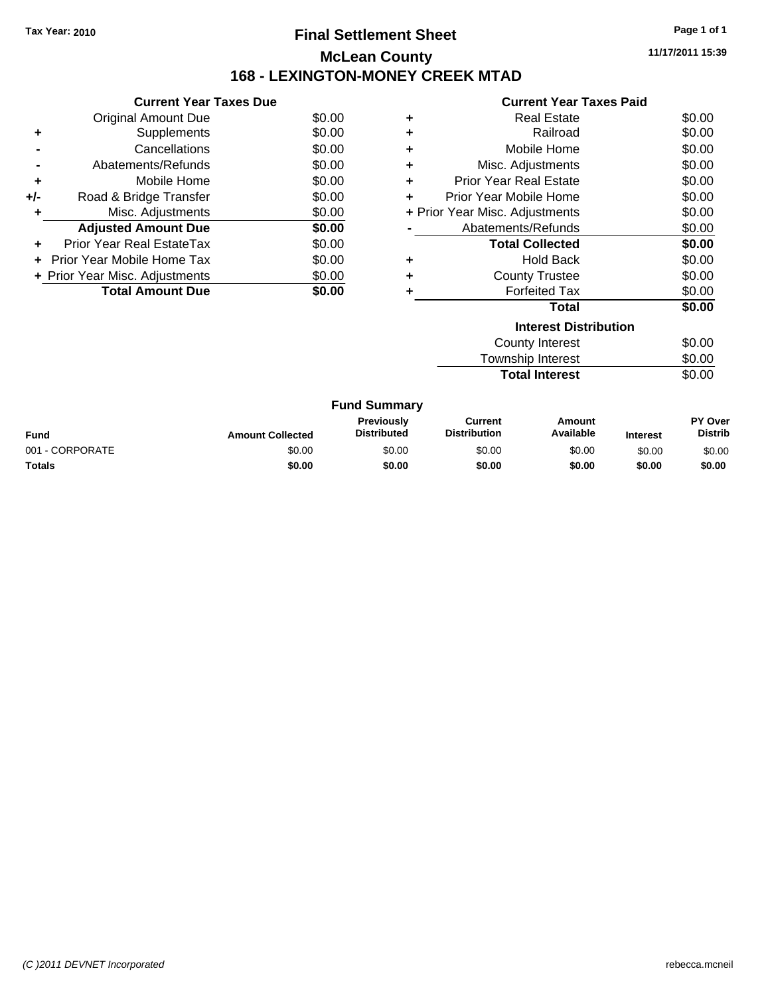# **Final Settlement Sheet Tax Year: 2010 Page 1 of 1 McLean County 168 - LEXINGTON-MONEY CREEK MTAD**

**11/17/2011 15:39**

|       | <b>Current Year Taxes Due</b>  |        |
|-------|--------------------------------|--------|
|       | Original Amount Due            | \$0.00 |
|       | Supplements                    | \$0.00 |
|       | Cancellations                  | \$0.00 |
|       | Abatements/Refunds             | \$0.00 |
| ٠     | Mobile Home                    | \$0.00 |
| $+/-$ | Road & Bridge Transfer         | \$0.00 |
|       | Misc. Adjustments              | \$0.00 |
|       | <b>Adjusted Amount Due</b>     | \$0.00 |
|       | Prior Year Real EstateTax      | \$0.00 |
|       | Prior Year Mobile Home Tax     | \$0.00 |
|       | + Prior Year Misc. Adjustments | \$0.00 |
|       | <b>Total Amount Due</b>        |        |

|   | <b>Current Year Taxes Paid</b> |        |
|---|--------------------------------|--------|
| ٠ | <b>Real Estate</b>             | \$0.00 |
| ÷ | Railroad                       | \$0.00 |
| ٠ | Mobile Home                    | \$0.00 |
| ٠ | Misc. Adjustments              | \$0.00 |
| ÷ | Prior Year Real Estate         | \$0.00 |
| ÷ | Prior Year Mobile Home         | \$0.00 |
|   | + Prior Year Misc. Adjustments | \$0.00 |
|   | Abatements/Refunds             | \$0.00 |
|   | <b>Total Collected</b>         | \$0.00 |
| ٠ | Hold Back                      | \$0.00 |
|   | <b>County Trustee</b>          | \$0.00 |
|   | <b>Forfeited Tax</b>           | \$0.00 |
|   | Total                          | \$0.00 |
|   | <b>Interest Distribution</b>   |        |

| \$0.00 |
|--------|
| \$0.00 |
| \$0.00 |
|        |

|                 |                         | <b>Fund Summary</b>                     |                                |                     |                 |                                  |
|-----------------|-------------------------|-----------------------------------------|--------------------------------|---------------------|-----------------|----------------------------------|
| Fund            | <b>Amount Collected</b> | <b>Previously</b><br><b>Distributed</b> | Current<br><b>Distribution</b> | Amount<br>Available | <b>Interest</b> | <b>PY Over</b><br><b>Distrib</b> |
| 001 - CORPORATE | \$0.00                  | \$0.00                                  | \$0.00                         | \$0.00              | \$0.00          | \$0.00                           |
| Totals          | \$0.00                  | \$0.00                                  | \$0.00                         | \$0.00              | \$0.00          | \$0.00                           |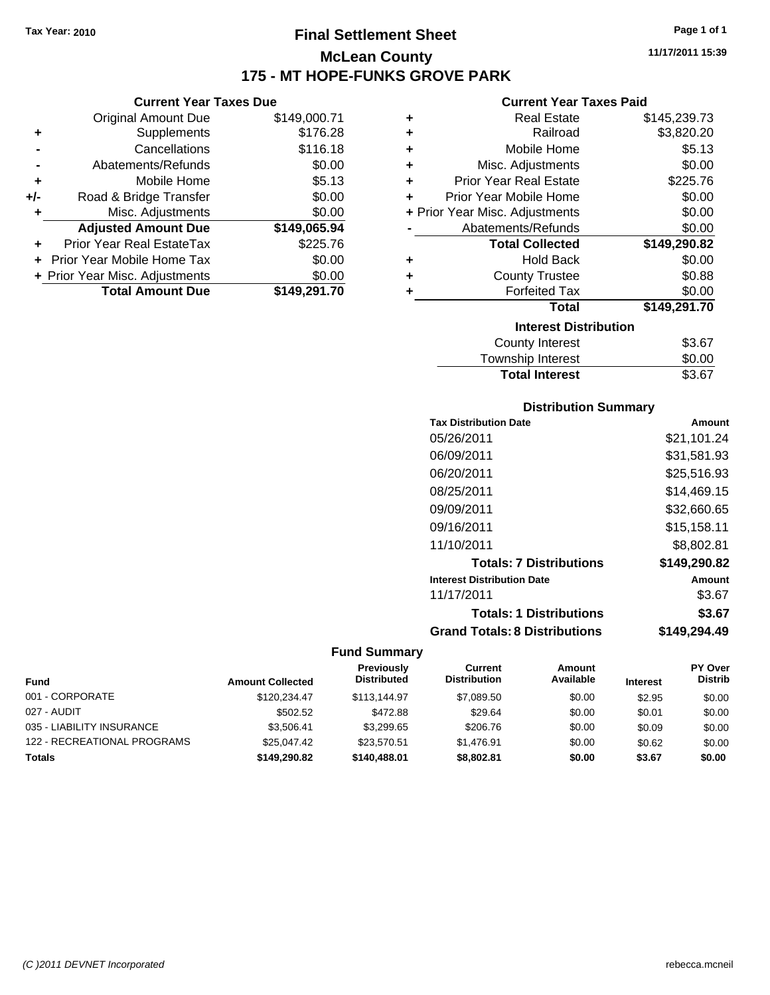**Original Amount Due** 

**Adjusted Amount Due** 

**Total Amount Due** 

**+** Supplements **-** Cancellations **-** Abatements/Refunds **+** Mobile Home **+/-** Road & Bridge Transfer **+** Misc. Adjustments

**+** Prior Year Real EstateTax **+** Prior Year Mobile Home Tax **+ Prior Year Misc. Adjustments** 

# **Final Settlement Sheet Tax Year: 2010 Page 1 of 1 McLean County 175 - MT HOPE-FUNKS GROVE PARK**

**11/17/2011 15:39**

### **Current Year Taxes Paid**

| <b>Current Year Taxes Due</b> |              |           | <b>Current Year Taxes Paid</b> |              |
|-------------------------------|--------------|-----------|--------------------------------|--------------|
| ่<br>al Amount Due            | \$149,000.71 | ÷         | <b>Real Estate</b>             | \$145,239.73 |
| Supplements                   | \$176.28     | ÷         | Railroad                       | \$3,820.20   |
| Cancellations                 | \$116.18     | ÷         | Mobile Home                    | \$5.13       |
| nents/Refunds                 | \$0.00       | ÷         | Misc. Adjustments              | \$0.00       |
| Mobile Home                   | \$5.13       | ÷         | <b>Prior Year Real Estate</b>  | \$225.76     |
| ridge Transfer                | \$0.00       | $\ddot{}$ | Prior Year Mobile Home         | \$0.00       |
| . Adjustments                 | \$0.00       |           | + Prior Year Misc. Adjustments | \$0.00       |
| <b>Amount Due</b>             | \$149,065.94 |           | Abatements/Refunds             | \$0.00       |
| leal EstateTax:               | \$225.76     |           | <b>Total Collected</b>         | \$149,290.82 |
| pile Home Tax                 | \$0.00       | ÷         | <b>Hold Back</b>               | \$0.00       |
| . Adjustments                 | \$0.00       | $\ddot{}$ | <b>County Trustee</b>          | \$0.88       |
| <b>Amount Due</b>             | \$149,291.70 |           | <b>Forfeited Tax</b>           | \$0.00       |
|                               |              |           | <b>Total</b>                   | \$149,291.70 |
|                               |              |           | <b>Interest Distribution</b>   |              |

| Interest Distribution |        |  |  |
|-----------------------|--------|--|--|
| County Interest       | \$3.67 |  |  |
| Township Interest     | \$0.00 |  |  |
| <b>Total Interest</b> | \$3.67 |  |  |

### **Distribution Summary**

| <b>Tax Distribution Date</b>         | Amount       |
|--------------------------------------|--------------|
| 05/26/2011                           | \$21,101.24  |
| 06/09/2011                           | \$31.581.93  |
| 06/20/2011                           | \$25,516.93  |
| 08/25/2011                           | \$14.469.15  |
| 09/09/2011                           | \$32,660.65  |
| 09/16/2011                           | \$15,158.11  |
| 11/10/2011                           | \$8,802.81   |
| <b>Totals: 7 Distributions</b>       | \$149,290.82 |
| <b>Interest Distribution Date</b>    | Amount       |
| 11/17/2011                           | \$3.67       |
| <b>Totals: 1 Distributions</b>       | \$3.67       |
| <b>Grand Totals: 8 Distributions</b> | \$149,294.49 |

| <b>Fund</b>                 | <b>Amount Collected</b> | Previously<br><b>Distributed</b> | Current<br><b>Distribution</b> | Amount<br>Available | <b>Interest</b> | <b>PY Over</b><br><b>Distrib</b> |
|-----------------------------|-------------------------|----------------------------------|--------------------------------|---------------------|-----------------|----------------------------------|
| 001 - CORPORATE             | \$120.234.47            | \$113,144.97                     | \$7,089.50                     | \$0.00              | \$2.95          | \$0.00                           |
| 027 - AUDIT                 | \$502.52                | \$472.88                         | \$29.64                        | \$0.00              | \$0.01          | \$0.00                           |
| 035 - LIABILITY INSURANCE   | \$3.506.41              | \$3.299.65                       | \$206.76                       | \$0.00              | \$0.09          | \$0.00                           |
| 122 - RECREATIONAL PROGRAMS | \$25,047.42             | \$23,570.51                      | \$1.476.91                     | \$0.00              | \$0.62          | \$0.00                           |
| <b>Totals</b>               | \$149,290.82            | \$140,488.01                     | \$8,802.81                     | \$0.00              | \$3.67          | \$0.00                           |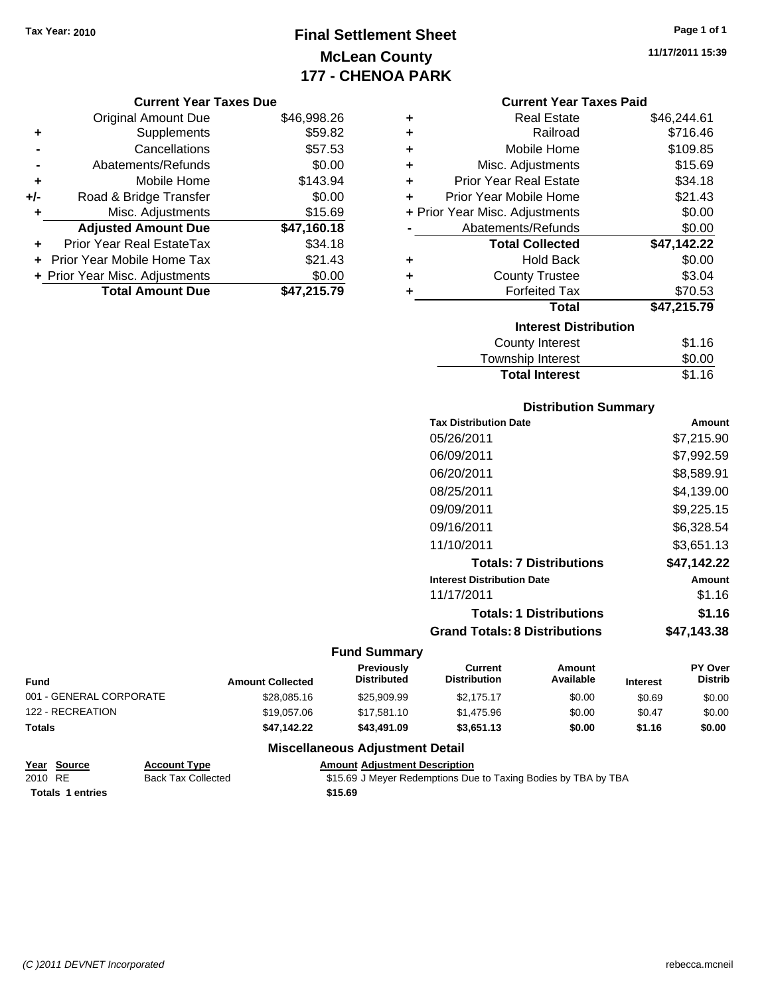# **Final Settlement Sheet Tax Year: 2010 Page 1 of 1 McLean County 177 - CHENOA PARK**

### **Current Year Taxes Due**

|     | <b>Original Amount Due</b>       | \$46,998.26 |
|-----|----------------------------------|-------------|
| ٠   | Supplements                      | \$59.82     |
|     | Cancellations                    | \$57.53     |
|     | Abatements/Refunds               | \$0.00      |
| ٠   | Mobile Home                      | \$143.94    |
| +/- | Road & Bridge Transfer           | \$0.00      |
| ٠   | Misc. Adjustments                | \$15.69     |
|     | <b>Adjusted Amount Due</b>       | \$47,160.18 |
|     | <b>Prior Year Real EstateTax</b> | \$34.18     |
|     | Prior Year Mobile Home Tax       | \$21.43     |
|     | + Prior Year Misc. Adjustments   | \$0.00      |
|     | <b>Total Amount Due</b>          | \$47,215.79 |

|   | <b>Current Year Taxes Paid</b> |             |
|---|--------------------------------|-------------|
| ÷ | <b>Real Estate</b>             | \$46,244.61 |
| ÷ | Railroad                       | \$716.46    |
|   | Mobile Home                    | \$109.85    |
| ٠ | Misc. Adjustments              | \$15.69     |
|   | <b>Prior Year Real Estate</b>  | \$34.18     |
|   | Prior Year Mobile Home         | \$21.43     |
|   | + Prior Year Misc. Adjustments | \$0.00      |
|   | Abatements/Refunds             | \$0.00      |
|   | <b>Total Collected</b>         | \$47,142.22 |
|   | <b>Hold Back</b>               | \$0.00      |
|   | <b>County Trustee</b>          | \$3.04      |
|   | <b>Forfeited Tax</b>           | \$70.53     |
|   | Total                          | \$47,215.79 |
|   | <b>Interest Distribution</b>   |             |
|   |                                |             |

| County Interest       | \$1.16 |
|-----------------------|--------|
| Township Interest     | \$0.00 |
| <b>Total Interest</b> | \$1.16 |

### **Distribution Summary**

| <b>Tax Distribution Date</b>         | Amount      |
|--------------------------------------|-------------|
| 05/26/2011                           | \$7,215.90  |
| 06/09/2011                           | \$7,992.59  |
| 06/20/2011                           | \$8,589.91  |
| 08/25/2011                           | \$4.139.00  |
| 09/09/2011                           | \$9,225.15  |
| 09/16/2011                           | \$6,328.54  |
| 11/10/2011                           | \$3.651.13  |
| <b>Totals: 7 Distributions</b>       | \$47.142.22 |
| <b>Interest Distribution Date</b>    | Amount      |
| 11/17/2011                           | \$1.16      |
| <b>Totals: 1 Distributions</b>       | \$1.16      |
| <b>Grand Totals: 8 Distributions</b> | \$47.143.38 |

### **Fund Summary**

 $\overline{\phantom{0}}$ 

| <b>Fund</b>             | <b>Amount Collected</b> | Previously<br><b>Distributed</b> | Current<br><b>Distribution</b> | Amount<br>Available | <b>Interest</b> | <b>PY Over</b><br><b>Distrib</b> |
|-------------------------|-------------------------|----------------------------------|--------------------------------|---------------------|-----------------|----------------------------------|
| 001 - GENERAL CORPORATE | \$28,085.16             | \$25,909.99                      | \$2.175.17                     | \$0.00              | \$0.69          | \$0.00                           |
| 122 - RECREATION        | \$19,057.06             | \$17.581.10                      | \$1,475.96                     | \$0.00              | \$0.47          | \$0.00                           |
| <b>Totals</b>           | \$47.142.22             | \$43,491.09                      | \$3,651.13                     | \$0.00              | \$1.16          | \$0.00                           |

### **Miscellaneous Adjustment Detail**

| Year Source             | <b>Account Type</b>       | <b>Amount Adiustment Description</b>                           |
|-------------------------|---------------------------|----------------------------------------------------------------|
| 2010 RE                 | <b>Back Tax Collected</b> | \$15.69 J Meyer Redemptions Due to Taxing Bodies by TBA by TBA |
| <b>Totals 1 entries</b> |                           | \$15.69                                                        |

**11/17/2011 15:39**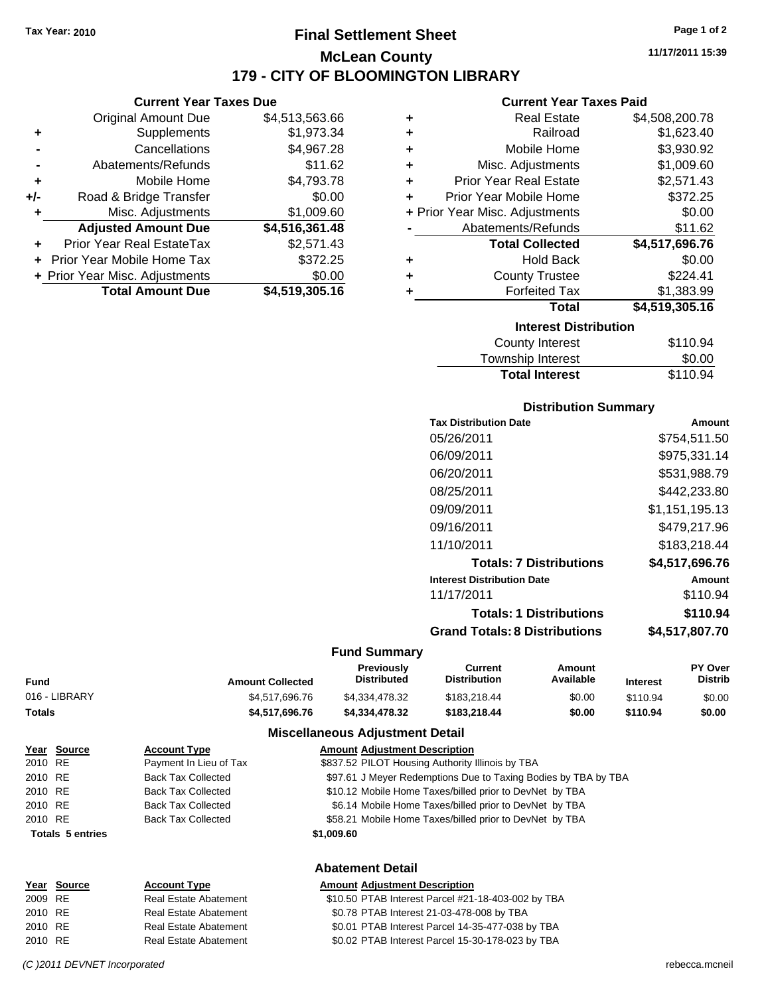**Current Year Taxes Due** Original Amount Due \$4,513,563.66

**Adjusted Amount Due \$4,516,361.48**

**Total Amount Due \$4,519,305.16**

**+** Supplements \$1,973.34 **-** Cancellations \$4,967.28 **-** Abatements/Refunds \$11.62 **+** Mobile Home \$4,793.78 **+/-** Road & Bridge Transfer \$0.00 **+** Misc. Adjustments \$1,009.60

**+** Prior Year Real EstateTax \$2,571.43 **+** Prior Year Mobile Home Tax \$372.25 **+ Prior Year Misc. Adjustments**  $$0.00$ 

# **Final Settlement Sheet Tax Year: 2010 Page 1 of 2 McLean County 179 - CITY OF BLOOMINGTON LIBRARY**

**11/17/2011 15:39**

### **Current Year Taxes Paid**

| ٠ | <b>Real Estate</b>             | \$4,508,200.78 |
|---|--------------------------------|----------------|
| ٠ | Railroad                       | \$1,623.40     |
| ٠ | Mobile Home                    | \$3,930.92     |
| ٠ | Misc. Adjustments              | \$1,009.60     |
| ÷ | <b>Prior Year Real Estate</b>  | \$2,571.43     |
| ÷ | Prior Year Mobile Home         | \$372.25       |
|   | + Prior Year Misc. Adjustments | \$0.00         |
|   | Abatements/Refunds             | \$11.62        |
|   | <b>Total Collected</b>         | \$4,517,696.76 |
| ٠ | <b>Hold Back</b>               | \$0.00         |
| ٠ | <b>County Trustee</b>          | \$224.41       |
| ٠ | <b>Forfeited Tax</b>           | \$1,383.99     |
|   | Total                          | \$4,519,305.16 |
|   | <b>Interest Distribution</b>   |                |
|   | County Interest                | \$110.94       |

| <b>Total Interest</b> | \$110.94 |
|-----------------------|----------|
| Township Interest     | \$0.00   |
| County Interest       | \$110.94 |

### **Distribution Summary**

| <b>Tax Distribution Date</b>         | Amount         |
|--------------------------------------|----------------|
| 05/26/2011                           | \$754.511.50   |
| 06/09/2011                           | \$975,331.14   |
| 06/20/2011                           | \$531,988.79   |
| 08/25/2011                           | \$442,233.80   |
| 09/09/2011                           | \$1,151,195.13 |
| 09/16/2011                           | \$479.217.96   |
| 11/10/2011                           | \$183.218.44   |
| <b>Totals: 7 Distributions</b>       | \$4,517,696.76 |
| <b>Interest Distribution Date</b>    | Amount         |
| 11/17/2011                           | \$110.94       |
| <b>Totals: 1 Distributions</b>       | \$110.94       |
| <b>Grand Totals: 8 Distributions</b> | \$4,517,807.70 |
|                                      |                |

### **Fund Summary**

| Fund          | <b>Amount Collected</b> | Previously<br><b>Distributed</b> | Current<br><b>Distribution</b> | Amount<br>Available | <b>Interest</b> | <b>PY Over</b><br><b>Distrib</b> |
|---------------|-------------------------|----------------------------------|--------------------------------|---------------------|-----------------|----------------------------------|
| 016 - LIBRARY | \$4.517.696.76          | \$4.334.478.32                   | \$183.218.44                   | \$0.00              | \$110.94        | \$0.00                           |
| Totals        | \$4,517,696,76          | \$4,334,478,32                   | \$183,218,44                   | \$0.00              | \$110.94        | \$0.00                           |

|         | Year Source             | <b>Account Type</b>       | <b>Amount Adjustment Description</b>                           |
|---------|-------------------------|---------------------------|----------------------------------------------------------------|
| 2010 RE |                         | Payment In Lieu of Tax    | \$837.52 PILOT Housing Authority Illinois by TBA               |
| 2010 RE |                         | <b>Back Tax Collected</b> | \$97.61 J Meyer Redemptions Due to Taxing Bodies by TBA by TBA |
| 2010 RE |                         | <b>Back Tax Collected</b> | \$10.12 Mobile Home Taxes/billed prior to DevNet by TBA        |
| 2010 RE |                         | <b>Back Tax Collected</b> | \$6.14 Mobile Home Taxes/billed prior to DevNet by TBA         |
| 2010 RE |                         | <b>Back Tax Collected</b> | \$58.21 Mobile Home Taxes/billed prior to DevNet by TBA        |
|         | <b>Totals 5 entries</b> |                           | \$1,009.60                                                     |
|         |                         |                           | <b>Abatement Detail</b>                                        |

|         | Year Source | <b>Account Type</b>          | <b>Amount Adjustment Description</b>               |
|---------|-------------|------------------------------|----------------------------------------------------|
| 2009 RE |             | <b>Real Estate Abatement</b> | \$10.50 PTAB Interest Parcel #21-18-403-002 by TBA |
| 2010 RE |             | <b>Real Estate Abatement</b> | \$0.78 PTAB Interest 21-03-478-008 by TBA          |
| 2010 RE |             | <b>Real Estate Abatement</b> | \$0.01 PTAB Interest Parcel 14-35-477-038 by TBA   |
| 2010 RE |             | <b>Real Estate Abatement</b> | \$0.02 PTAB Interest Parcel 15-30-178-023 by TBA   |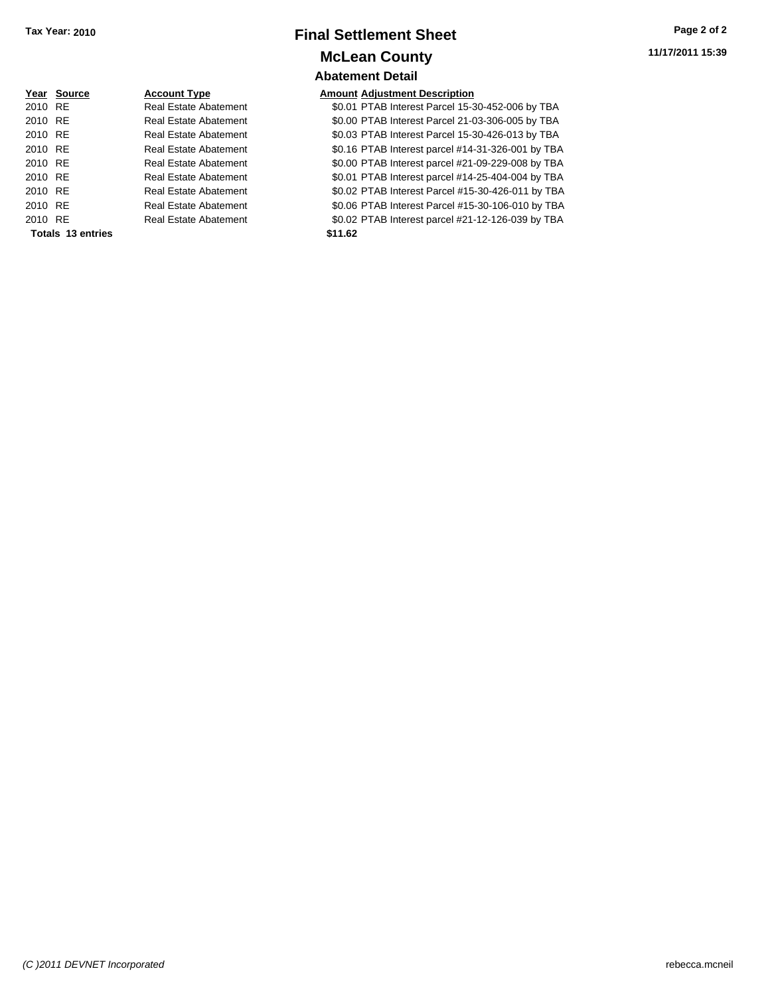## **Final Settlement Sheet Tax Year: 2010 Page 2 of 2 McLean County Abatement Detail**

**11/17/2011 15:39**

|         | Year Source       | <b>Account Type</b>          | Amount  |
|---------|-------------------|------------------------------|---------|
| 2010 RE |                   | <b>Real Estate Abatement</b> | \$0.01  |
| 2010 RE |                   | Real Estate Abatement        | \$0.00  |
| 2010 RE |                   | Real Estate Abatement        | \$0.03  |
| 2010 RE |                   | <b>Real Estate Abatement</b> | \$0.16  |
| 2010 RE |                   | Real Estate Abatement        | \$0.00  |
| 2010 RE |                   | Real Estate Abatement        | \$0.01  |
| 2010 RE |                   | <b>Real Estate Abatement</b> | \$0.02  |
| 2010 RE |                   | <b>Real Estate Abatement</b> | \$0.06  |
| 2010 RE |                   | Real Estate Abatement        | \$0.02  |
|         | Totals 13 entries |                              | \$11.62 |

### **Amount Adjustment Description**

20.01 PTAB Interest Parcel 15-30-452-006 by TBA 2010 PTAB Interest Parcel 21-03-306-005 by TBA 20.03 PTAB Interest Parcel 15-30-426-013 by TBA ent 20.16 PTAB Interest parcel #14-31-326-001 by TBA ent 30.00 PTAB Interest parcel #21-09-229-008 by TBA 20.01 PTAB Interest parcel #14-25-404-004 by TBA ent 30.02 PTAB Interest Parcel #15-30-426-011 by TBA ent 30.06 PTAB Interest Parcel #15-30-106-010 by TBA ent 2010 80.02 PTAB Interest parcel #21-12-126-039 by TBA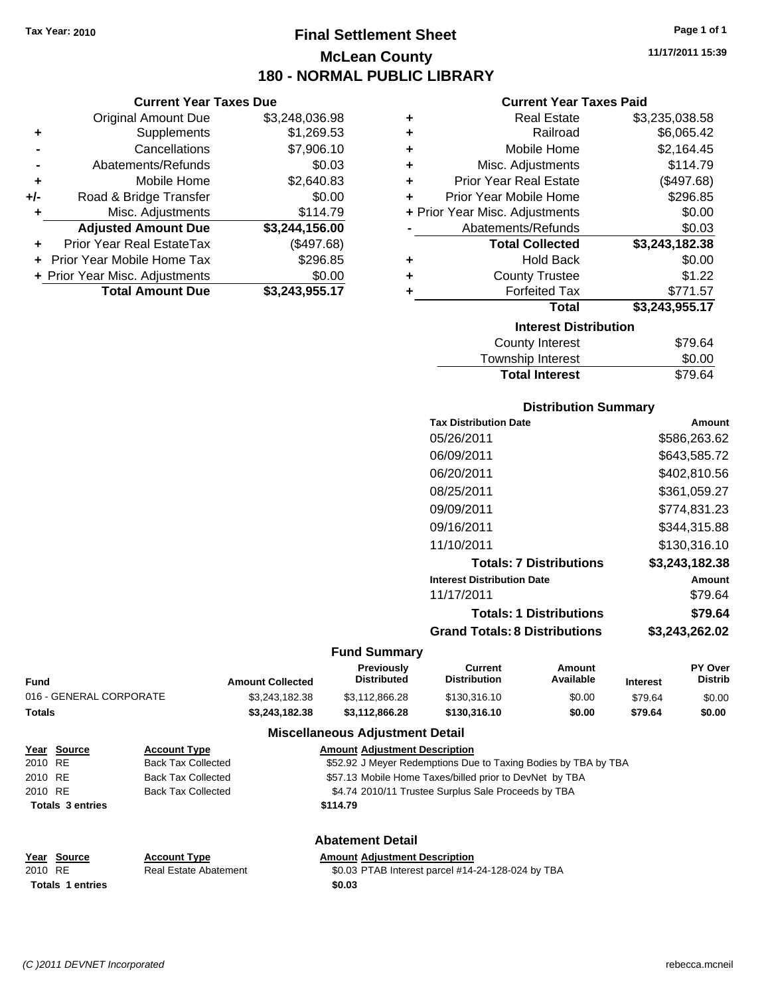**Current Year Taxes Due** Original Amount Due \$3,248,036.98

**Adjusted Amount Due \$3,244,156.00**

**Total Amount Due \$3,243,955.17**

**+** Supplements \$1,269.53 **-** Cancellations \$7,906.10 **-** Abatements/Refunds \$0.03 **+** Mobile Home \$2,640.83 **+/-** Road & Bridge Transfer \$0.00 **+** Misc. Adjustments \$114.79

**+** Prior Year Real EstateTax (\$497.68) **+** Prior Year Mobile Home Tax \$296.85 **+ Prior Year Misc. Adjustments**  $$0.00$ 

# **Final Settlement Sheet Tax Year: 2010 Page 1 of 1 McLean County 180 - NORMAL PUBLIC LIBRARY**

**11/17/2011 15:39**

### **Current Year Taxes Paid**

| ٠ | <b>Real Estate</b>             | \$3,235,038.58 |
|---|--------------------------------|----------------|
| ٠ | Railroad                       | \$6,065.42     |
| ٠ | Mobile Home                    | \$2,164.45     |
| ÷ | Misc. Adjustments              | \$114.79       |
| ÷ | <b>Prior Year Real Estate</b>  | (\$497.68)     |
| ٠ | Prior Year Mobile Home         | \$296.85       |
|   | + Prior Year Misc. Adjustments | \$0.00         |
|   | Abatements/Refunds             | \$0.03         |
|   | <b>Total Collected</b>         | \$3,243,182.38 |
| ٠ | <b>Hold Back</b>               | \$0.00         |
| ٠ | <b>County Trustee</b>          | \$1.22         |
| ٠ | <b>Forfeited Tax</b>           | \$771.57       |
|   | Total                          | \$3,243,955.17 |
|   | <b>Interest Distribution</b>   |                |
|   | <b>County Interest</b>         | \$79.64        |

| <b>Total Interest</b> | \$79.64 |
|-----------------------|---------|
| Township Interest     | \$0.00  |
| County interest       | ৬/৬.০৭  |

### **Distribution Summary**

| <b>Tax Distribution Date</b>         | Amount         |
|--------------------------------------|----------------|
| 05/26/2011                           | \$586,263.62   |
| 06/09/2011                           | \$643,585.72   |
| 06/20/2011                           | \$402.810.56   |
| 08/25/2011                           | \$361,059.27   |
| 09/09/2011                           | \$774,831.23   |
| 09/16/2011                           | \$344.315.88   |
| 11/10/2011                           | \$130.316.10   |
| <b>Totals: 7 Distributions</b>       | \$3.243.182.38 |
| <b>Interest Distribution Date</b>    | Amount         |
| 11/17/2011                           | \$79.64        |
| <b>Totals: 1 Distributions</b>       | \$79.64        |
| <b>Grand Totals: 8 Distributions</b> | \$3,243,262.02 |
|                                      |                |

### **Fund Summary**

| Fund                    | <b>Amount Collected</b> | Previously<br><b>Distributed</b>       | Current<br><b>Distribution</b> | Amount<br>Available | <b>Interest</b> | <b>PY Over</b><br><b>Distrib</b> |
|-------------------------|-------------------------|----------------------------------------|--------------------------------|---------------------|-----------------|----------------------------------|
| 016 - GENERAL CORPORATE | \$3.243.182.38          | \$3.112.866.28                         | \$130,316.10                   | \$0.00              | \$79.64         | \$0.00                           |
| Totals                  | \$3,243,182,38          | \$3.112.866.28                         | \$130,316,10                   | \$0.00              | \$79.64         | \$0.00                           |
|                         |                         | <b>Miscellaneous Adiustment Detail</b> |                                |                     |                 |                                  |

| Year Source             | <b>Account Type</b>          | <b>Amount Adjustment Description</b>                           |
|-------------------------|------------------------------|----------------------------------------------------------------|
| 2010 RE                 | <b>Back Tax Collected</b>    | \$52.92 J Meyer Redemptions Due to Taxing Bodies by TBA by TBA |
| 2010 RE                 | <b>Back Tax Collected</b>    | \$57.13 Mobile Home Taxes/billed prior to DevNet by TBA        |
| 2010 RE                 | <b>Back Tax Collected</b>    | \$4.74 2010/11 Trustee Surplus Sale Proceeds by TBA            |
| <b>Totals 3 entries</b> |                              | \$114.79                                                       |
|                         |                              | <b>Abatement Detail</b>                                        |
| Year Source             | <b>Account Type</b>          | <b>Amount Adjustment Description</b>                           |
| 2010 RE                 | <b>Real Estate Abatement</b> | \$0.03 PTAB Interest parcel #14-24-128-024 by TBA              |
| <b>Totals 1 entries</b> |                              | \$0.03                                                         |

*(C )2011 DEVNET Incorporated* rebecca.mcneil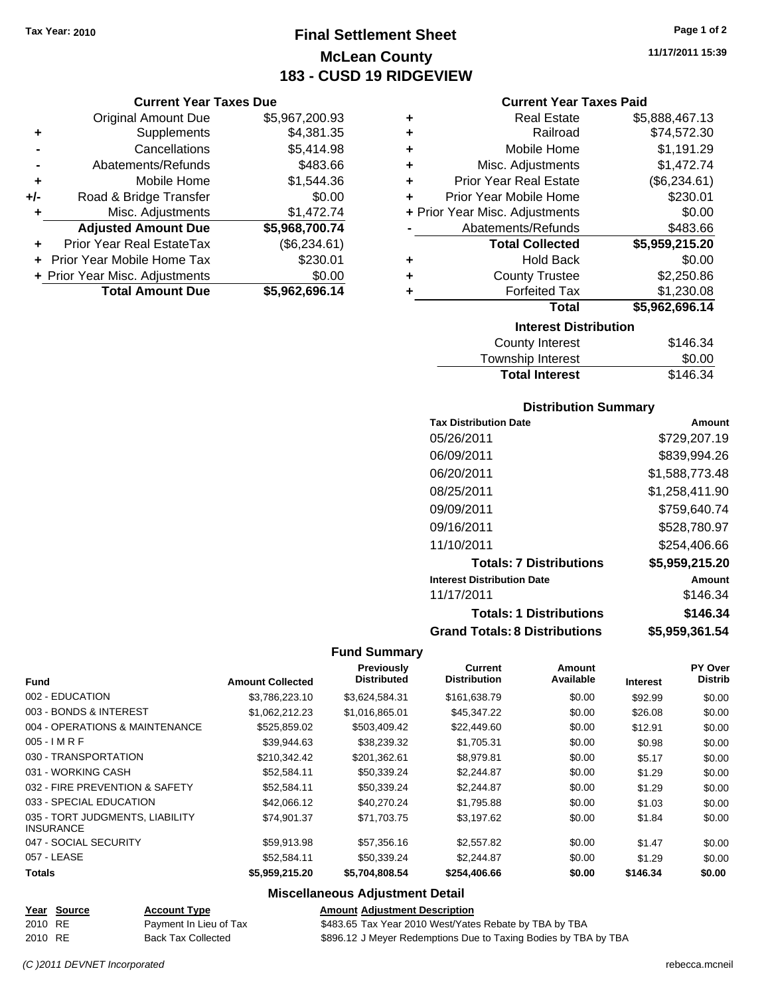**Current Year Taxes Due** Original Amount Due \$5,967,200.93

**Adjusted Amount Due \$5,968,700.74**

**Total Amount Due \$5,962,696.14**

**+** Supplements \$4,381.35 **-** Cancellations \$5,414.98 **-** Abatements/Refunds \$483.66 **+** Mobile Home \$1,544.36 **+/-** Road & Bridge Transfer \$0.00 **+** Misc. Adjustments \$1,472.74

**+** Prior Year Real EstateTax (\$6,234.61) **+** Prior Year Mobile Home Tax \$230.01 **+ Prior Year Misc. Adjustments**  $$0.00$ 

# **Final Settlement Sheet Tax Year: 2010 Page 1 of 2 McLean County 183 - CUSD 19 RIDGEVIEW**

**11/17/2011 15:39**

### **Current Year Taxes Paid**

| ٠ | <b>Real Estate</b>                 | \$5,888,467.13 |  |  |
|---|------------------------------------|----------------|--|--|
| ÷ | Railroad                           | \$74,572.30    |  |  |
| ÷ | Mobile Home                        | \$1,191.29     |  |  |
| ÷ | Misc. Adjustments                  | \$1,472.74     |  |  |
| ÷ | <b>Prior Year Real Estate</b>      | (\$6,234.61)   |  |  |
| ÷ | Prior Year Mobile Home             | \$230.01       |  |  |
|   | + Prior Year Misc. Adjustments     | \$0.00         |  |  |
|   | Abatements/Refunds                 | \$483.66       |  |  |
|   | <b>Total Collected</b>             | \$5,959,215.20 |  |  |
| ٠ | <b>Hold Back</b>                   | \$0.00         |  |  |
| ٠ | <b>County Trustee</b>              | \$2,250.86     |  |  |
| ٠ | <b>Forfeited Tax</b><br>\$1,230.08 |                |  |  |
|   | <b>Total</b>                       | \$5,962,696.14 |  |  |
|   | <b>Interest Distribution</b>       |                |  |  |
|   | County Interest                    | \$146.34       |  |  |

| <b>Total Interest</b> | \$146.34 |
|-----------------------|----------|
| Township Interest     | \$0.00   |
| County Interest       | \$146.34 |

### **Distribution Summary**

| <b>Tax Distribution Date</b>         | Amount         |
|--------------------------------------|----------------|
| 05/26/2011                           | \$729,207.19   |
| 06/09/2011                           | \$839,994.26   |
| 06/20/2011                           | \$1,588,773.48 |
| 08/25/2011                           | \$1,258,411.90 |
| 09/09/2011                           | \$759.640.74   |
| 09/16/2011                           | \$528,780.97   |
| 11/10/2011                           | \$254,406.66   |
| <b>Totals: 7 Distributions</b>       | \$5,959,215.20 |
| <b>Interest Distribution Date</b>    | Amount         |
| 11/17/2011                           | \$146.34       |
| <b>Totals: 1 Distributions</b>       | \$146.34       |
| <b>Grand Totals: 8 Distributions</b> | \$5,959,361.54 |

### **Fund Summary**

| <b>Fund</b>                                         | <b>Amount Collected</b> | Previously<br><b>Distributed</b> | <b>Current</b><br><b>Distribution</b> | Amount<br>Available | <b>Interest</b> | PY Over<br><b>Distrib</b> |
|-----------------------------------------------------|-------------------------|----------------------------------|---------------------------------------|---------------------|-----------------|---------------------------|
|                                                     |                         |                                  |                                       |                     |                 |                           |
| 002 - EDUCATION                                     | \$3,786,223.10          | \$3,624,584.31                   | \$161,638.79                          | \$0.00              | \$92.99         | \$0.00                    |
| 003 - BONDS & INTEREST                              | \$1,062,212.23          | \$1,016,865.01                   | \$45,347.22                           | \$0.00              | \$26.08         | \$0.00                    |
| 004 - OPERATIONS & MAINTENANCE                      | \$525,859.02            | \$503,409.42                     | \$22,449.60                           | \$0.00              | \$12.91         | \$0.00                    |
| $005 - I$ M R F                                     | \$39,944.63             | \$38.239.32                      | \$1,705.31                            | \$0.00              | \$0.98          | \$0.00                    |
| 030 - TRANSPORTATION                                | \$210,342.42            | \$201,362.61                     | \$8,979.81                            | \$0.00              | \$5.17          | \$0.00                    |
| 031 - WORKING CASH                                  | \$52,584.11             | \$50.339.24                      | \$2.244.87                            | \$0.00              | \$1.29          | \$0.00                    |
| 032 - FIRE PREVENTION & SAFETY                      | \$52,584.11             | \$50.339.24                      | \$2,244.87                            | \$0.00              | \$1.29          | \$0.00                    |
| 033 - SPECIAL EDUCATION                             | \$42,066.12             | \$40.270.24                      | \$1,795.88                            | \$0.00              | \$1.03          | \$0.00                    |
| 035 - TORT JUDGMENTS, LIABILITY<br><b>INSURANCE</b> | \$74.901.37             | \$71,703.75                      | \$3,197.62                            | \$0.00              | \$1.84          | \$0.00                    |
| 047 - SOCIAL SECURITY                               | \$59,913.98             | \$57,356.16                      | \$2,557.82                            | \$0.00              | \$1.47          | \$0.00                    |
| 057 - LEASE                                         | \$52,584.11             | \$50.339.24                      | \$2,244.87                            | \$0.00              | \$1.29          | \$0.00                    |
| <b>Totals</b>                                       | \$5,959,215.20          | \$5,704,808.54                   | \$254,406.66                          | \$0.00              | \$146.34        | \$0.00                    |

|         | Year Source | <b>Account Type</b>       | <b>Amount Adiustment Description</b>                            |
|---------|-------------|---------------------------|-----------------------------------------------------------------|
| 2010 RE |             | Payment In Lieu of Tax    | \$483.65 Tax Year 2010 West/Yates Rebate by TBA by TBA          |
| 2010 RE |             | <b>Back Tax Collected</b> | \$896.12 J Meyer Redemptions Due to Taxing Bodies by TBA by TBA |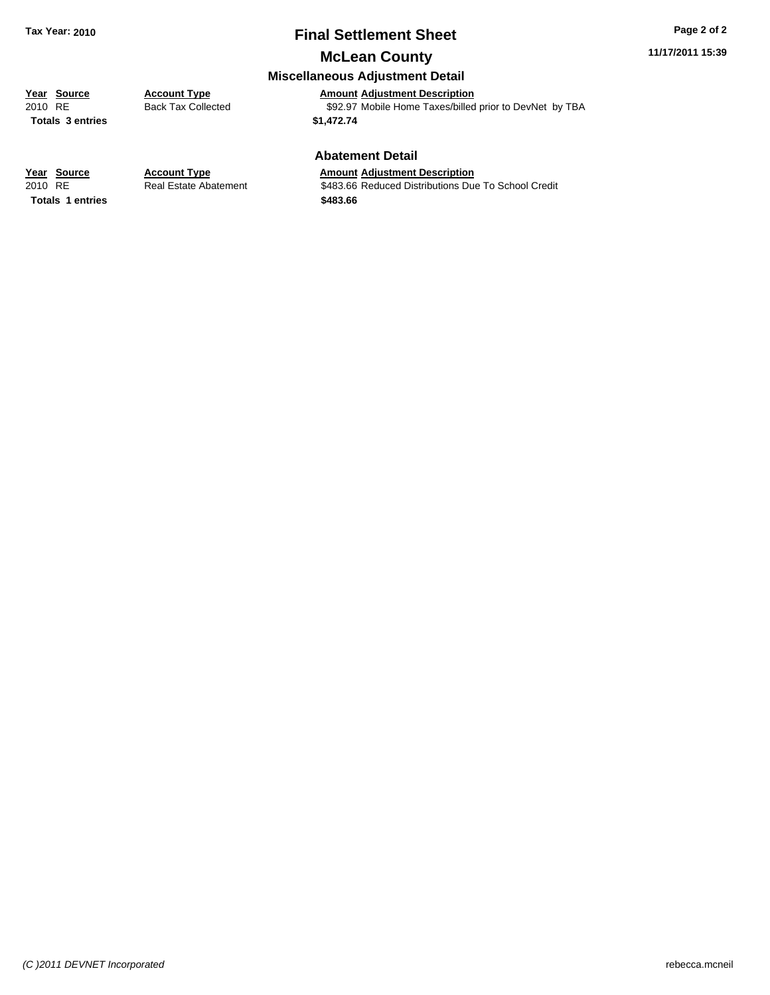# **Final Settlement Sheet Tax Year: 2010 Page 2 of 2**

## **McLean County**

### **Miscellaneous Adjustment Detail**

**Year Source Account Type**<br> **Amount Adjustment Description**<br>
2010 RE **Back Tax Collected** \$92.97 Mobile Home Taxes/billed Back Tax Collected **392.97** Mobile Home Taxes/billed prior to DevNet by TBA **Totals \$1,472.74 3 entries**

### **Abatement Detail**

**Totals \$483.66 1 entries**

**Year Source Account Type Amount Adjustment Description** 2010 RE **\$483.66 Reduced Distributions Due To School Credit Real Estate Abatement** \$483.66 Reduced Distributions Due To School Credit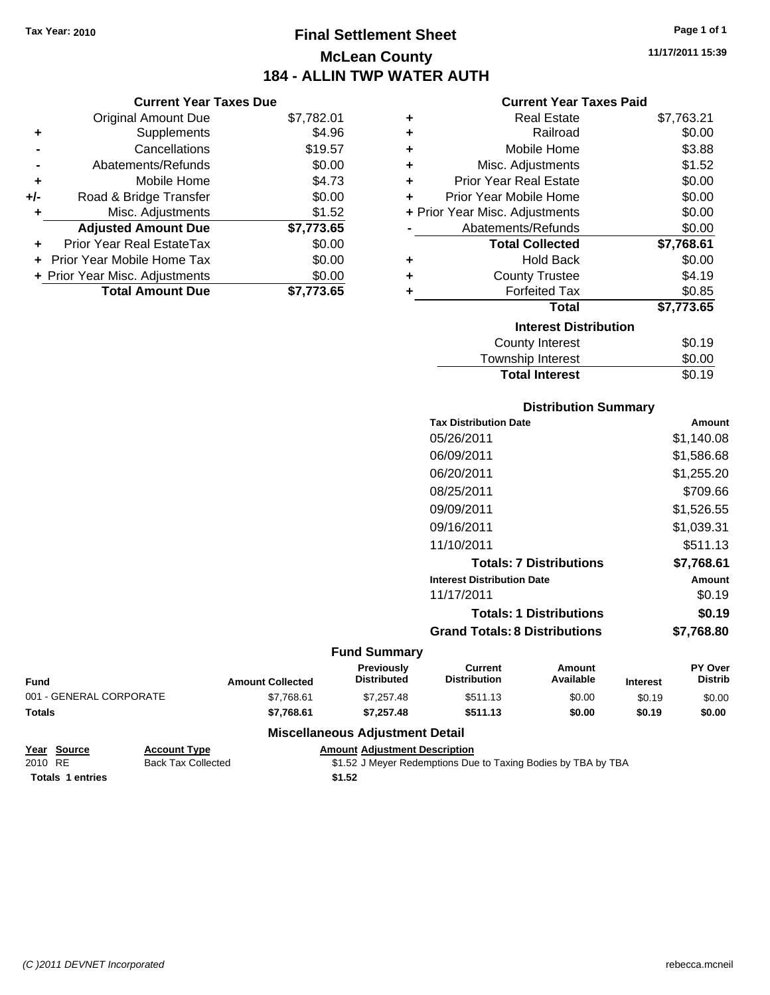**Current Year Taxes Due** Original Amount Due \$7,782.01

**Adjusted Amount Due \$7,773.65**

**Total Amount Due \$7,773.65**

**+** Supplements \$4.96 **-** Cancellations \$19.57 **-** Abatements/Refunds \$0.00 **+** Mobile Home \$4.73 **+/-** Road & Bridge Transfer \$0.00 **+** Misc. Adjustments \$1.52

**+** Prior Year Real EstateTax \$0.00 **+** Prior Year Mobile Home Tax \$0.00 **+ Prior Year Misc. Adjustments**  $$0.00$ 

# **Final Settlement Sheet Tax Year: 2010 Page 1 of 1 McLean County 184 - ALLIN TWP WATER AUTH**

**11/17/2011 15:39**

### **Current Year Taxes Paid**

| ٠ | <b>Real Estate</b>             | \$7,763.21 |
|---|--------------------------------|------------|
| ٠ | Railroad                       | \$0.00     |
| ٠ | Mobile Home                    | \$3.88     |
| ٠ | Misc. Adjustments              | \$1.52     |
| ٠ | <b>Prior Year Real Estate</b>  | \$0.00     |
|   | Prior Year Mobile Home         | \$0.00     |
|   | + Prior Year Misc. Adjustments | \$0.00     |
|   | Abatements/Refunds             | \$0.00     |
|   | <b>Total Collected</b>         | \$7,768.61 |
| ٠ | <b>Hold Back</b>               | \$0.00     |
| ٠ | <b>County Trustee</b>          | \$4.19     |
| ٠ | <b>Forfeited Tax</b>           | \$0.85     |
|   | <b>Total</b>                   | \$7,773.65 |
|   | <b>Interest Distribution</b>   |            |
|   | <b>County Interest</b>         | \$0.19     |
|   |                                |            |

| <b>Total Interest</b> | \$0.19 |
|-----------------------|--------|
| Township Interest     | \$0.00 |
| County Interest       | 90. IY |

### **Distribution Summary**

| <b>Tax Distribution Date</b>         | Amount     |
|--------------------------------------|------------|
| 05/26/2011                           | \$1,140.08 |
| 06/09/2011                           | \$1,586.68 |
| 06/20/2011                           | \$1,255.20 |
| 08/25/2011                           | \$709.66   |
| 09/09/2011                           | \$1,526.55 |
| 09/16/2011                           | \$1.039.31 |
| 11/10/2011                           | \$511.13   |
| <b>Totals: 7 Distributions</b>       | \$7,768.61 |
| <b>Interest Distribution Date</b>    | Amount     |
| 11/17/2011                           | \$0.19     |
| <b>Totals: 1 Distributions</b>       | \$0.19     |
| <b>Grand Totals: 8 Distributions</b> | \$7.768.80 |

### **Fund Summary**

| <b>Fund</b>             | <b>Amount Collected</b> | <b>Previously</b><br><b>Distributed</b> | Current<br><b>Distribution</b> | Amount<br>Available | <b>Interest</b> | <b>PY Over</b><br><b>Distrib</b> |
|-------------------------|-------------------------|-----------------------------------------|--------------------------------|---------------------|-----------------|----------------------------------|
| 001 - GENERAL CORPORATE | \$7.768.61              | \$7,257.48                              | \$511.13                       | \$0.00              | \$0.19          | \$0.00                           |
| <b>Totals</b>           | \$7.768.61              | \$7.257.48                              | \$511.13                       | \$0.00              | \$0.19          | \$0.00                           |

| Year Source             | <b>Account Type</b> | <b>Amount Adiustment Description</b>                          |
|-------------------------|---------------------|---------------------------------------------------------------|
| 2010 RE                 | Back Tax Collected  | \$1.52 J Meyer Redemptions Due to Taxing Bodies by TBA by TBA |
| <b>Totals 1 entries</b> |                     | \$1.52                                                        |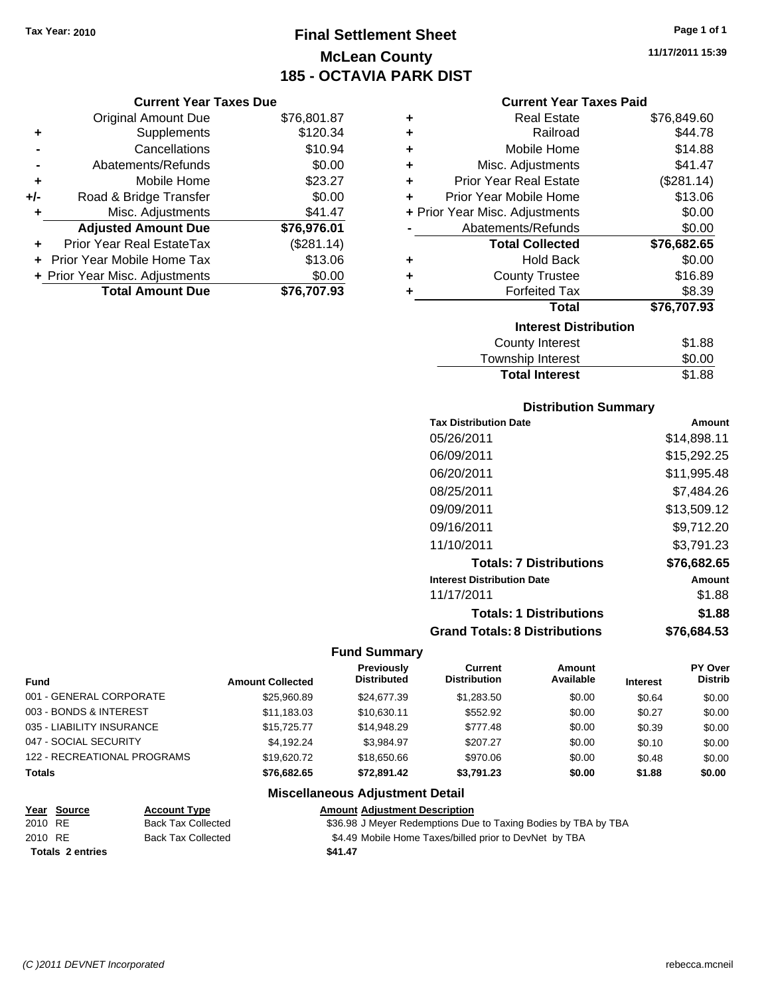# **Final Settlement Sheet Tax Year: 2010 Page 1 of 1 McLean County 185 - OCTAVIA PARK DIST**

### **Current Year Taxes Due**

|       | <b>Total Amount Due</b>           | \$76,707.93 |
|-------|-----------------------------------|-------------|
|       | + Prior Year Misc. Adjustments    | \$0.00      |
|       | <b>Prior Year Mobile Home Tax</b> | \$13.06     |
|       | <b>Prior Year Real EstateTax</b>  | (\$281.14)  |
|       | <b>Adjusted Amount Due</b>        | \$76,976.01 |
|       | Misc. Adjustments                 | \$41.47     |
| $+/-$ | Road & Bridge Transfer            | \$0.00      |
| ÷     | Mobile Home                       | \$23.27     |
|       | Abatements/Refunds                | \$0.00      |
|       | Cancellations                     | \$10.94     |
| ٠     | Supplements                       | \$120.34    |
|       | <b>Original Amount Due</b>        | \$76,801.87 |
|       |                                   |             |

### **Current Year Taxes Paid**

| ٠                            | <b>Real Estate</b>             | \$76,849.60 |  |  |
|------------------------------|--------------------------------|-------------|--|--|
| ÷                            | Railroad                       | \$44.78     |  |  |
| ÷                            | Mobile Home                    | \$14.88     |  |  |
| ٠                            | Misc. Adjustments              | \$41.47     |  |  |
| ٠                            | <b>Prior Year Real Estate</b>  | (\$281.14)  |  |  |
| ٠                            | Prior Year Mobile Home         | \$13.06     |  |  |
|                              | + Prior Year Misc. Adjustments | \$0.00      |  |  |
|                              | Abatements/Refunds             | \$0.00      |  |  |
|                              | <b>Total Collected</b>         | \$76,682.65 |  |  |
| ٠                            | <b>Hold Back</b>               | \$0.00      |  |  |
| ٠                            | <b>County Trustee</b>          | \$16.89     |  |  |
| ٠                            | <b>Forfeited Tax</b>           | \$8.39      |  |  |
|                              | Total                          | \$76,707.93 |  |  |
| <b>Interest Distribution</b> |                                |             |  |  |
|                              | <b>County Interest</b>         | \$1.88      |  |  |
|                              | <b>Township Interest</b>       | \$0.00      |  |  |
|                              | <b>Total Interest</b>          | \$1.88      |  |  |

### **Distribution Summary**

| <b>Tax Distribution Date</b>         | Amount      |
|--------------------------------------|-------------|
| 05/26/2011                           | \$14,898.11 |
| 06/09/2011                           | \$15.292.25 |
| 06/20/2011                           | \$11,995.48 |
| 08/25/2011                           | \$7,484.26  |
| 09/09/2011                           | \$13,509.12 |
| 09/16/2011                           | \$9,712.20  |
| 11/10/2011                           | \$3,791.23  |
| <b>Totals: 7 Distributions</b>       | \$76,682.65 |
| <b>Interest Distribution Date</b>    | Amount      |
| 11/17/2011                           | \$1.88      |
| <b>Totals: 1 Distributions</b>       | \$1.88      |
| <b>Grand Totals: 8 Distributions</b> | \$76,684.53 |

### **Fund Summary**

|                             |                         | Previously<br><b>Distributed</b> | Current<br><b>Distribution</b> | Amount<br>Available |                 | <b>PY Over</b><br><b>Distrib</b> |
|-----------------------------|-------------------------|----------------------------------|--------------------------------|---------------------|-----------------|----------------------------------|
| <b>Fund</b>                 | <b>Amount Collected</b> |                                  |                                |                     | <b>Interest</b> |                                  |
| 001 - GENERAL CORPORATE     | \$25,960.89             | \$24,677.39                      | \$1,283.50                     | \$0.00              | \$0.64          | \$0.00                           |
| 003 - BONDS & INTEREST      | \$11.183.03             | \$10.630.11                      | \$552.92                       | \$0.00              | \$0.27          | \$0.00                           |
| 035 - LIABILITY INSURANCE   | \$15,725,77             | \$14,948.29                      | \$777.48                       | \$0.00              | \$0.39          | \$0.00                           |
| 047 - SOCIAL SECURITY       | \$4.192.24              | \$3.984.97                       | \$207.27                       | \$0.00              | \$0.10          | \$0.00                           |
| 122 - RECREATIONAL PROGRAMS | \$19,620.72             | \$18,650,66                      | \$970.06                       | \$0.00              | \$0.48          | \$0.00                           |
| <b>Totals</b>               | \$76,682,65             | \$72.891.42                      | \$3.791.23                     | \$0.00              | \$1.88          | \$0.00                           |

| Year Source             | <b>Account Type</b>       | <b>Amount Adjustment Description</b>                           |
|-------------------------|---------------------------|----------------------------------------------------------------|
| 2010 RE                 | <b>Back Tax Collected</b> | \$36.98 J Meyer Redemptions Due to Taxing Bodies by TBA by TBA |
| 2010 RE                 | <b>Back Tax Collected</b> | \$4.49 Mobile Home Taxes/billed prior to DevNet by TBA         |
| <b>Totals 2 entries</b> |                           | \$41.47                                                        |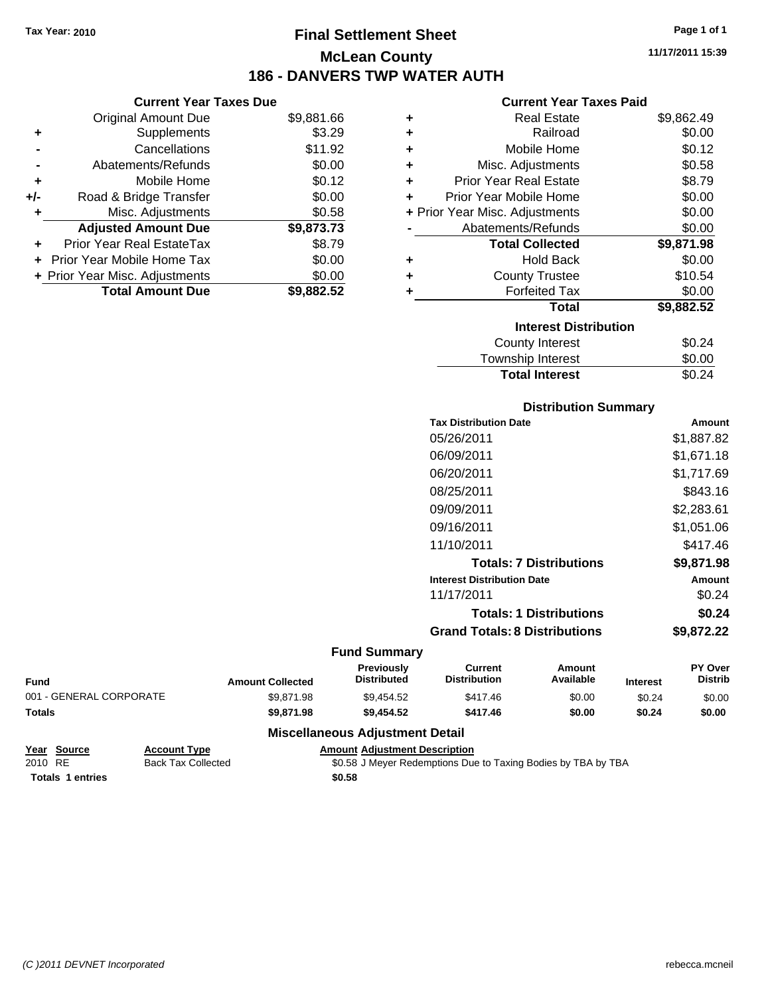**Current Year Taxes Due** Original Amount Due \$9,881.66

**Adjusted Amount Due \$9,873.73**

**Total Amount Due \$9,882.52**

**+** Supplements \$3.29 **-** Cancellations \$11.92 **-** Abatements/Refunds \$0.00 **+** Mobile Home \$0.12 **+/-** Road & Bridge Transfer \$0.00 **+** Misc. Adjustments \$0.58

**+** Prior Year Real EstateTax \$8.79 **+** Prior Year Mobile Home Tax \$0.00 **+ Prior Year Misc. Adjustments**  $$0.00$ 

# **Final Settlement Sheet Tax Year: 2010 Page 1 of 1 McLean County 186 - DANVERS TWP WATER AUTH**

**11/17/2011 15:39**

### **Current Year Taxes Paid**

|   | <b>Real Estate</b>             | \$9,862.49 |
|---|--------------------------------|------------|
| ٠ |                                |            |
| ٠ | Railroad                       | \$0.00     |
| ٠ | Mobile Home                    | \$0.12     |
| ٠ | Misc. Adjustments              | \$0.58     |
| ÷ | <b>Prior Year Real Estate</b>  | \$8.79     |
| ٠ | Prior Year Mobile Home         | \$0.00     |
|   | + Prior Year Misc. Adjustments | \$0.00     |
|   | Abatements/Refunds             | \$0.00     |
|   | <b>Total Collected</b>         | \$9,871.98 |
| ٠ | <b>Hold Back</b>               | \$0.00     |
| ٠ | <b>County Trustee</b>          | \$10.54    |
| ٠ | <b>Forfeited Tax</b>           | \$0.00     |
|   | <b>Total</b>                   | \$9,882.52 |
|   | <b>Interest Distribution</b>   |            |
|   | <b>County Interest</b>         | \$0.24     |
|   | Townehin Interest              | ቁስ ሰስ      |

| Township Interest     | \$0.00 |
|-----------------------|--------|
| <b>Total Interest</b> | \$0.24 |

### **Distribution Summary**

| <b>Tax Distribution Date</b>         | Amount     |
|--------------------------------------|------------|
| 05/26/2011                           | \$1,887.82 |
| 06/09/2011                           | \$1,671.18 |
| 06/20/2011                           | \$1,717.69 |
| 08/25/2011                           | \$843.16   |
| 09/09/2011                           | \$2,283.61 |
| 09/16/2011                           | \$1.051.06 |
| 11/10/2011                           | \$417.46   |
| <b>Totals: 7 Distributions</b>       | \$9,871.98 |
| <b>Interest Distribution Date</b>    | Amount     |
| 11/17/2011                           | \$0.24     |
| <b>Totals: 1 Distributions</b>       | \$0.24     |
| <b>Grand Totals: 8 Distributions</b> | \$9.872.22 |
|                                      |            |

### **Fund Summary**

| <b>Fund</b>             | <b>Amount Collected</b> | <b>Previously</b><br><b>Distributed</b> | Current<br><b>Distribution</b> | Amount<br>Available | <b>Interest</b> | <b>PY Over</b><br><b>Distrib</b> |
|-------------------------|-------------------------|-----------------------------------------|--------------------------------|---------------------|-----------------|----------------------------------|
| 001 - GENERAL CORPORATE | \$9.871.98              | \$9.454.52                              | \$417.46                       | \$0.00              | \$0.24          | \$0.00                           |
| <b>Totals</b>           | \$9,871.98              | \$9,454.52                              | \$417.46                       | \$0.00              | \$0.24          | \$0.00                           |

| Year Source             | <b>Account Type</b>       | <b>Amount Adjustment Description</b>                          |
|-------------------------|---------------------------|---------------------------------------------------------------|
| 2010 RE                 | <b>Back Tax Collected</b> | \$0.58 J Meyer Redemptions Due to Taxing Bodies by TBA by TBA |
| <b>Totals 1 entries</b> |                           | \$0.58                                                        |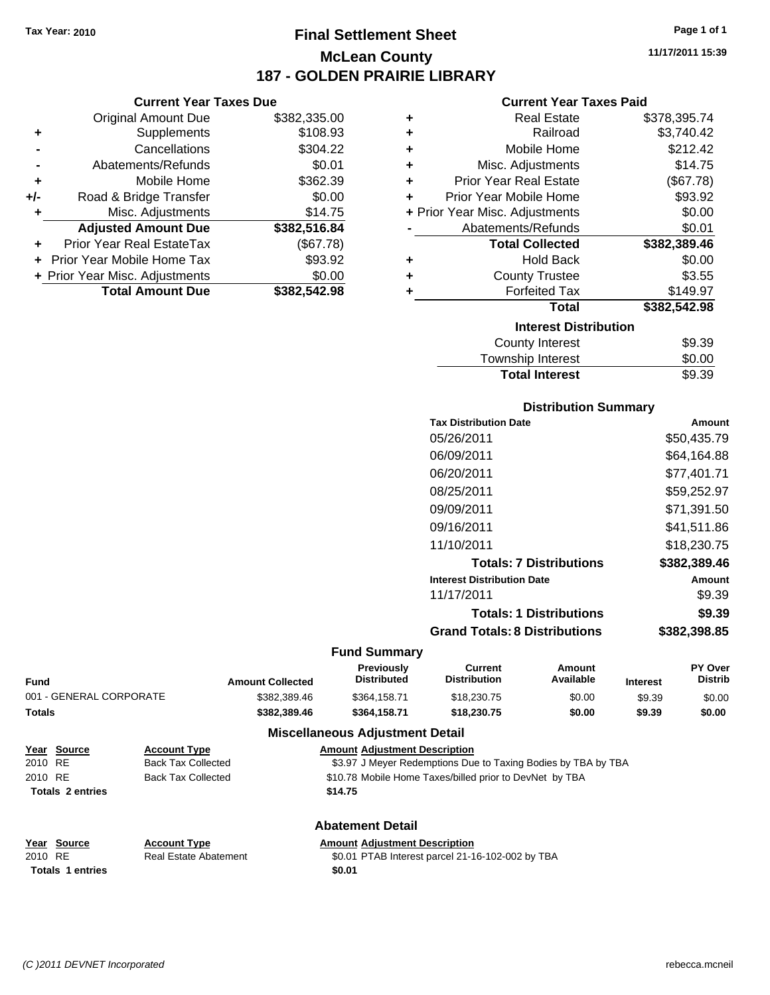**Current Year Taxes Due** Original Amount Due \$382,335.00

**Adjusted Amount Due \$382,516.84**

**Total Amount Due \$382,542.98**

**+** Supplements \$108.93 **-** Cancellations \$304.22 **-** Abatements/Refunds \$0.01 **+** Mobile Home \$362.39 **+/-** Road & Bridge Transfer \$0.00 **+** Misc. Adjustments \$14.75

**+** Prior Year Real EstateTax (\$67.78) **+** Prior Year Mobile Home Tax \$93.92 **+ Prior Year Misc. Adjustments**  $$0.00$ 

### **Final Settlement Sheet Tax Year: 2010 Page 1 of 1 McLean County 187 - GOLDEN PRAIRIE LIBRARY**

**11/17/2011 15:39**

#### **Current Year Taxes Paid**

| ٠                                | <b>Real Estate</b>             | \$378,395.74 |  |  |
|----------------------------------|--------------------------------|--------------|--|--|
| ٠                                | Railroad                       | \$3,740.42   |  |  |
| ٠                                | Mobile Home                    | \$212.42     |  |  |
| ٠                                | Misc. Adjustments              | \$14.75      |  |  |
| ٠                                | <b>Prior Year Real Estate</b>  | (\$67.78)    |  |  |
| ٠                                | Prior Year Mobile Home         | \$93.92      |  |  |
|                                  | + Prior Year Misc. Adjustments | \$0.00       |  |  |
|                                  | Abatements/Refunds             | \$0.01       |  |  |
|                                  | <b>Total Collected</b>         | \$382,389.46 |  |  |
| ٠                                | <b>Hold Back</b>               | \$0.00       |  |  |
| ٠                                | <b>County Trustee</b>          | \$3.55       |  |  |
| ٠                                | <b>Forfeited Tax</b>           | \$149.97     |  |  |
|                                  | Total                          | \$382,542.98 |  |  |
| <b>Interest Distribution</b>     |                                |              |  |  |
| <b>County Interest</b><br>\$9.39 |                                |              |  |  |
|                                  | Taurachin Internat             | ሮስ ሰሰ        |  |  |

#### Township Interest  $$0.00$ **Total Interest** \$9.39

| <b>Distribution Summary</b>          |              |
|--------------------------------------|--------------|
| <b>Tax Distribution Date</b>         | Amount       |
| 05/26/2011                           | \$50,435.79  |
| 06/09/2011                           | \$64.164.88  |
| 06/20/2011                           | \$77,401.71  |
| 08/25/2011                           | \$59,252.97  |
| 09/09/2011                           | \$71,391.50  |
| 09/16/2011                           | \$41.511.86  |
| 11/10/2011                           | \$18,230.75  |
| <b>Totals: 7 Distributions</b>       | \$382,389.46 |
| <b>Interest Distribution Date</b>    | Amount       |
| 11/17/2011                           | \$9.39       |
| <b>Totals: 1 Distributions</b>       | \$9.39       |
| <b>Grand Totals: 8 Distributions</b> | \$382,398.85 |

#### **Fund Summary**

| Fund                    | <b>Amount Collected</b> | <b>Previously</b><br><b>Distributed</b> | Current<br><b>Distribution</b> | Amount<br>Available | <b>Interest</b> | <b>PY Over</b><br><b>Distrib</b> |
|-------------------------|-------------------------|-----------------------------------------|--------------------------------|---------------------|-----------------|----------------------------------|
| 001 - GENERAL CORPORATE | \$382,389.46            | \$364.158.71                            | \$18,230,75                    | \$0.00              | \$9.39          | \$0.00                           |
| Totals                  | \$382.389.46            | \$364.158.71                            | \$18,230,75                    | \$0.00              | \$9.39          | \$0.00                           |
|                         | ---                     |                                         |                                |                     |                 |                                  |

#### **Miscellaneous Adjustment Detail**

|         | Year Source             | <b>Account Type</b> | <b>Amount Adjustment Description</b>                          |
|---------|-------------------------|---------------------|---------------------------------------------------------------|
| 2010 RE |                         | Back Tax Collected  | \$3.97 J Meyer Redemptions Due to Taxing Bodies by TBA by TBA |
| 2010 RE |                         | Back Tax Collected  | \$10.78 Mobile Home Taxes/billed prior to DevNet by TBA       |
|         | <b>Totals 2 entries</b> |                     | \$14.75                                                       |
|         |                         |                     |                                                               |

#### **Abatement Detail**

#### **Year Source Account Type Amount Adjustment Description** 2010 RE **\$**0.01 PTAB Interest parcel 21-16-102-002 by TBA **Totals 1 entries** \$0.01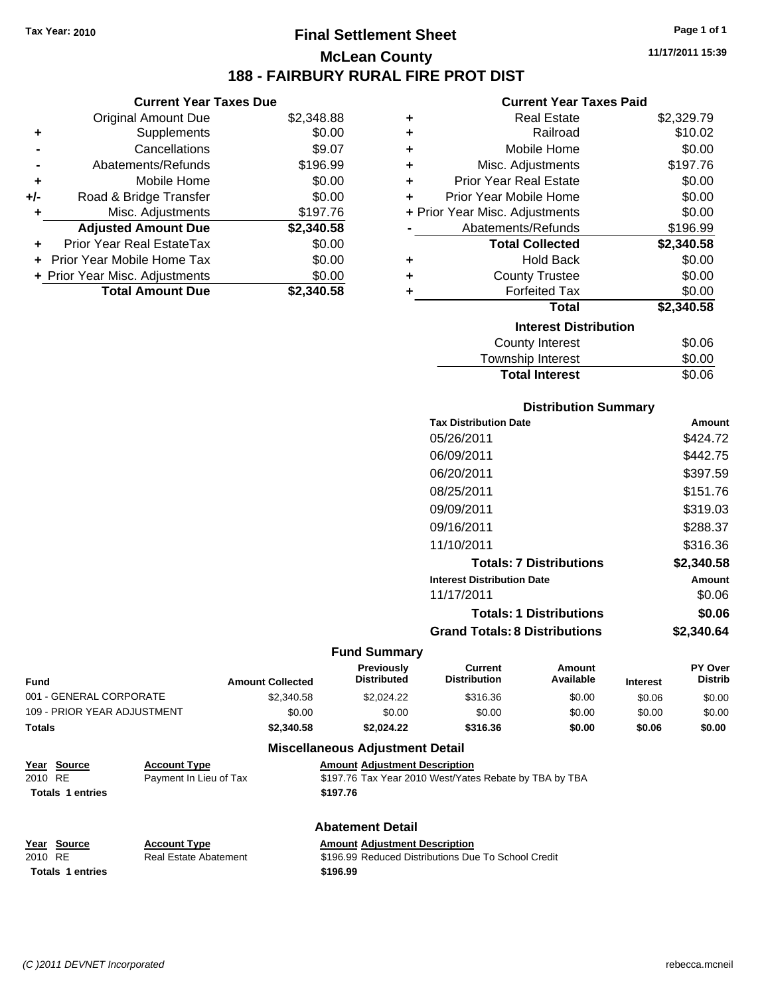### **Final Settlement Sheet Tax Year: 2010 Page 1 of 1 McLean County 188 - FAIRBURY RURAL FIRE PROT DIST**

#### **Current Year Taxes Due**

|       | <b>Original Amount Due</b>       | \$2,348.88 |
|-------|----------------------------------|------------|
| ٠     | Supplements                      | \$0.00     |
|       | Cancellations                    | \$9.07     |
|       | Abatements/Refunds               | \$196.99   |
| ÷     | Mobile Home                      | \$0.00     |
| $+/-$ | Road & Bridge Transfer           | \$0.00     |
| ٠     | Misc. Adjustments                | \$197.76   |
|       | <b>Adjusted Amount Due</b>       | \$2,340.58 |
|       | <b>Prior Year Real EstateTax</b> | \$0.00     |
|       | Prior Year Mobile Home Tax       | \$0.00     |
|       | + Prior Year Misc. Adjustments   | \$0.00     |
|       | <b>Total Amount Due</b>          | \$2.340.58 |

#### **Current Year Taxes Paid**

| ٠ | <b>Real Estate</b>             | \$2,329.79 |  |  |  |
|---|--------------------------------|------------|--|--|--|
| ٠ | Railroad                       | \$10.02    |  |  |  |
| ٠ | Mobile Home                    | \$0.00     |  |  |  |
| ÷ | Misc. Adjustments              | \$197.76   |  |  |  |
| ٠ | <b>Prior Year Real Estate</b>  | \$0.00     |  |  |  |
| ٠ | Prior Year Mobile Home         | \$0.00     |  |  |  |
|   | + Prior Year Misc. Adjustments | \$0.00     |  |  |  |
|   | Abatements/Refunds             | \$196.99   |  |  |  |
|   | <b>Total Collected</b>         | \$2,340.58 |  |  |  |
| ٠ | <b>Hold Back</b>               | \$0.00     |  |  |  |
| ٠ | <b>County Trustee</b>          | \$0.00     |  |  |  |
| ٠ | <b>Forfeited Tax</b>           | \$0.00     |  |  |  |
|   | Total                          | \$2,340.58 |  |  |  |
|   | <b>Interest Distribution</b>   |            |  |  |  |
|   | <b>County Interest</b>         | \$0.06     |  |  |  |
|   | Taunaalaha hatasaat            | ጦ ለለ       |  |  |  |

| <b>Total Interest</b> | \$0.06 |
|-----------------------|--------|
| ovaniy mivivor        | vv.vv  |
| Township Interest     | \$0.00 |

#### **Distribution Summary**

| <b>Tax Distribution Date</b>         | Amount     |
|--------------------------------------|------------|
| 05/26/2011                           | \$424.72   |
| 06/09/2011                           | \$442.75   |
| 06/20/2011                           | \$397.59   |
| 08/25/2011                           | \$151.76   |
| 09/09/2011                           | \$319.03   |
| 09/16/2011                           | \$288.37   |
| 11/10/2011                           | \$316.36   |
| <b>Totals: 7 Distributions</b>       | \$2,340.58 |
| <b>Interest Distribution Date</b>    | Amount     |
| 11/17/2011                           | \$0.06     |
| <b>Totals: 1 Distributions</b>       | \$0.06     |
| <b>Grand Totals: 8 Distributions</b> | \$2,340.64 |

#### **Fund Summary**

|                             |                         | <b>Previously</b>  | Current             | Amount    |                 | <b>PY Over</b> |
|-----------------------------|-------------------------|--------------------|---------------------|-----------|-----------------|----------------|
| <b>Fund</b>                 | <b>Amount Collected</b> | <b>Distributed</b> | <b>Distribution</b> | Available | <b>Interest</b> | <b>Distrib</b> |
| 001 - GENERAL CORPORATE     | \$2,340.58              | \$2,024.22         | \$316.36            | \$0.00    | \$0.06          | \$0.00         |
| 109 - PRIOR YEAR ADJUSTMENT | \$0.00                  | \$0.00             | \$0.00              | \$0.00    | \$0.00          | \$0.00         |
| Totals                      | \$2,340.58              | \$2.024.22         | \$316.36            | \$0.00    | \$0.06          | \$0.00         |
|                             |                         |                    |                     |           |                 |                |

#### **Miscellaneous Adjustment Detail <u>Ment Description</u>**

| Year Source             | <b>Account Type</b>    | <b>Amount Adiustment Description</b>                   |
|-------------------------|------------------------|--------------------------------------------------------|
| 2010 RE                 | Payment In Lieu of Tax | \$197.76 Tax Year 2010 West/Yates Rebate by TBA by TBA |
| <b>Totals 1 entries</b> |                        | \$197.76                                               |

### **Abatement Detail Year Source Account Type Annew Amount Adjustment Description**<br>
2010 RE **Real Estate Abatement** \$196.99 Reduced Distributions Due **Totals 1 entries** \$196.99

\$196.99 Reduced Distributions Due To School Credit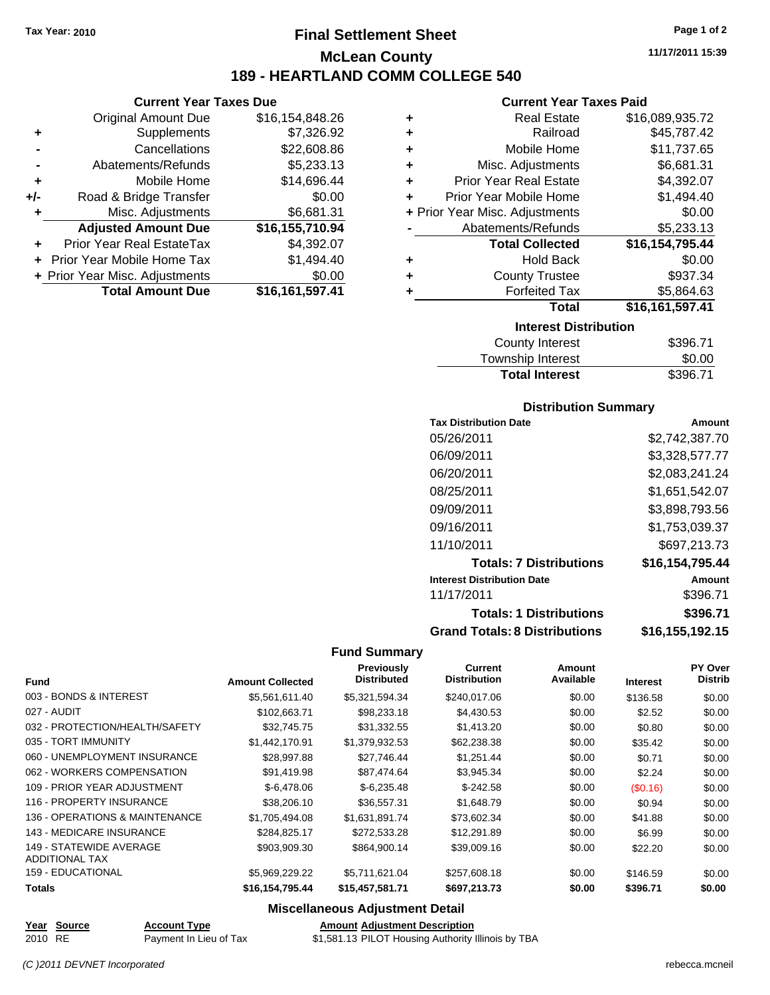### **Final Settlement Sheet Tax Year: 2010 Page 1 of 2 McLean County 189 - HEARTLAND COMM COLLEGE 540**

**Current Year Taxes Due**

|     | <b>Original Amount Due</b>       | \$16,154,848.26 |
|-----|----------------------------------|-----------------|
| ٠   | Supplements                      | \$7,326.92      |
|     | Cancellations                    | \$22,608.86     |
|     | Abatements/Refunds               | \$5,233.13      |
| ÷   | Mobile Home                      | \$14,696.44     |
| +/- | Road & Bridge Transfer           | \$0.00          |
| ٠   | Misc. Adjustments                | \$6,681.31      |
|     | <b>Adjusted Amount Due</b>       | \$16,155,710.94 |
|     | <b>Prior Year Real EstateTax</b> | \$4,392.07      |
|     | Prior Year Mobile Home Tax       | \$1,494.40      |
|     | + Prior Year Misc. Adjustments   | \$0.00          |
|     | <b>Total Amount Due</b>          | \$16,161,597.41 |

#### **Current Year Taxes Paid**

| ٠                              | <b>Real Estate</b>            | \$16,089,935.72 |
|--------------------------------|-------------------------------|-----------------|
| ٠                              | Railroad                      | \$45,787.42     |
| ٠                              | Mobile Home                   | \$11,737.65     |
| ٠                              | Misc. Adjustments             | \$6,681.31      |
| ٠                              | <b>Prior Year Real Estate</b> | \$4,392.07      |
| ÷                              | Prior Year Mobile Home        | \$1,494.40      |
| + Prior Year Misc. Adjustments |                               | \$0.00          |
|                                | Abatements/Refunds            | \$5,233.13      |
|                                | <b>Total Collected</b>        | \$16,154,795.44 |
| ٠                              | Hold Back                     | \$0.00          |
| ٠                              | <b>County Trustee</b>         | \$937.34        |
| ٠                              | <b>Forfeited Tax</b>          | \$5,864.63      |
|                                | Total                         | \$16,161,597.41 |
|                                | <b>Interest Distribution</b>  |                 |
|                                |                               |                 |

| County Interest       | \$396.71 |
|-----------------------|----------|
| Township Interest     | \$0.00   |
| <b>Total Interest</b> | \$396.71 |

#### **Distribution Summary**

| <b>Tax Distribution Date</b>         | Amount          |
|--------------------------------------|-----------------|
| 05/26/2011                           | \$2,742,387.70  |
| 06/09/2011                           | \$3,328,577.77  |
| 06/20/2011                           | \$2,083,241.24  |
| 08/25/2011                           | \$1,651,542.07  |
| 09/09/2011                           | \$3,898,793.56  |
| 09/16/2011                           | \$1,753,039.37  |
| 11/10/2011                           | \$697.213.73    |
| <b>Totals: 7 Distributions</b>       | \$16,154,795.44 |
| <b>Interest Distribution Date</b>    | Amount          |
| 11/17/2011                           | \$396.71        |
| <b>Totals: 1 Distributions</b>       | \$396.71        |
| <b>Grand Totals: 8 Distributions</b> | \$16,155,192.15 |

#### **Fund Summary**

|                                 |                         | <b>Previously</b>  | Current             | Amount    |                 | PY Over        |
|---------------------------------|-------------------------|--------------------|---------------------|-----------|-----------------|----------------|
| <b>Fund</b>                     | <b>Amount Collected</b> | <b>Distributed</b> | <b>Distribution</b> | Available | <b>Interest</b> | <b>Distrib</b> |
| 003 - BONDS & INTEREST          | \$5,561,611.40          | \$5,321,594.34     | \$240,017.06        | \$0.00    | \$136.58        | \$0.00         |
| 027 - AUDIT                     | \$102,663.71            | \$98,233.18        | \$4,430.53          | \$0.00    | \$2.52          | \$0.00         |
| 032 - PROTECTION/HEALTH/SAFETY  | \$32.745.75             | \$31,332.55        | \$1,413.20          | \$0.00    | \$0.80          | \$0.00         |
| 035 - TORT IMMUNITY             | \$1,442,170.91          | \$1,379,932.53     | \$62,238.38         | \$0.00    | \$35.42         | \$0.00         |
| 060 - UNEMPLOYMENT INSURANCE    | \$28,997.88             | \$27,746.44        | \$1,251.44          | \$0.00    | \$0.71          | \$0.00         |
| 062 - WORKERS COMPENSATION      | \$91,419.98             | \$87,474.64        | \$3,945.34          | \$0.00    | \$2.24          | \$0.00         |
| 109 - PRIOR YEAR ADJUSTMENT     | $$-6,478.06$            | $$-6,235.48$       | $$-242.58$          | \$0.00    | (S0.16)         | \$0.00         |
| 116 - PROPERTY INSURANCE        | \$38,206.10             | \$36,557.31        | \$1,648.79          | \$0.00    | \$0.94          | \$0.00         |
| 136 - OPERATIONS & MAINTENANCE  | \$1,705,494.08          | \$1,631,891.74     | \$73,602.34         | \$0.00    | \$41.88         | \$0.00         |
| <b>143 - MEDICARE INSURANCE</b> | \$284,825.17            | \$272,533.28       | \$12,291.89         | \$0.00    | \$6.99          | \$0.00         |
| 149 - STATEWIDE AVERAGE         | \$903,909.30            | \$864,900.14       | \$39,009.16         | \$0.00    | \$22.20         | \$0.00         |
| <b>ADDITIONAL TAX</b>           |                         |                    |                     |           |                 |                |
| <b>159 - EDUCATIONAL</b>        | \$5,969,229.22          | \$5,711,621.04     | \$257,608.18        | \$0.00    | \$146.59        | \$0.00         |
| <b>Totals</b>                   | \$16,154,795.44         | \$15,457,581.71    | \$697,213.73        | \$0.00    | \$396.71        | \$0.00         |

#### **Miscellaneous Adjustment Detail**

**Year Source Account Type Amount Adjustment Description**

2010 RE Payment In Lieu of Tax  $$1,581.13$  PILOT Housing Authority Illinois by TBA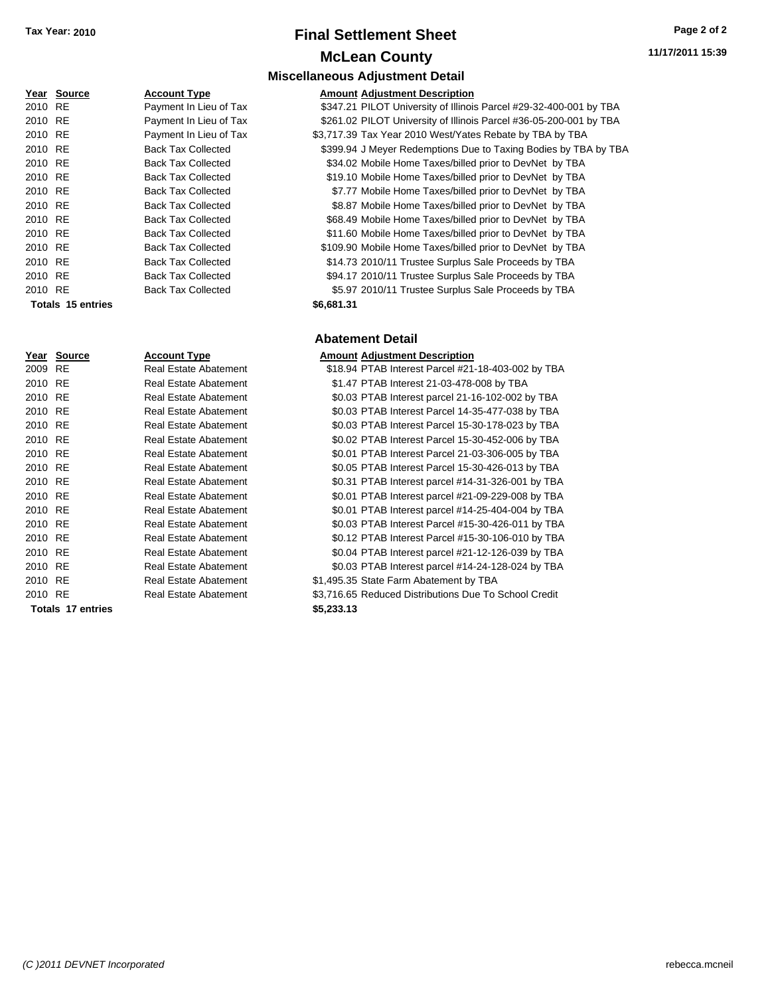### **Final Settlement Sheet Tax Year: 2010 Page 2 of 2 McLean County**

**Miscellaneous Adjustment Detail**

|         | Year Source | <b>Account Type</b>       | <b>Amount Adjustment Description</b> |
|---------|-------------|---------------------------|--------------------------------------|
| 2010 RE |             | Payment In Lieu of Tax    | \$347.21 PILOT University of Illinoi |
| 2010 RE |             | Payment In Lieu of Tax    | \$261.02 PILOT University of Illinoi |
| 2010 RE |             | Payment In Lieu of Tax    | \$3,717.39 Tax Year 2010 West/Yate   |
| 2010 RE |             | <b>Back Tax Collected</b> | \$399.94 J Meyer Redemptions Du      |
| 2010 RE |             | <b>Back Tax Collected</b> | \$34.02 Mobile Home Taxes/billed     |
| 2010 RE |             | <b>Back Tax Collected</b> | \$19.10 Mobile Home Taxes/billed     |
| 2010 RE |             | <b>Back Tax Collected</b> | \$7.77 Mobile Home Taxes/billed      |
| 2010 RE |             | <b>Back Tax Collected</b> | \$8.87 Mobile Home Taxes/billed      |
| 2010 RE |             | <b>Back Tax Collected</b> | \$68.49 Mobile Home Taxes/billed     |
| 2010 RE |             | <b>Back Tax Collected</b> | \$11.60 Mobile Home Taxes/billed     |
| 2010 RE |             | <b>Back Tax Collected</b> | \$109.90 Mobile Home Taxes/billed    |
| 2010 RE |             | <b>Back Tax Collected</b> | \$14.73 2010/11 Trustee Surplus      |
| 2010 RE |             | <b>Back Tax Collected</b> | \$94.17 2010/11 Trustee Surplus      |
| 2010 RE |             | <b>Back Tax Collected</b> | \$5.97 2010/11 Trustee Surplus       |
|         |             |                           |                                      |

|         | rear source       | ACCOUNT TYPE              | AINQUIN AQJUSTMENT DESCRIPTION                                     |
|---------|-------------------|---------------------------|--------------------------------------------------------------------|
| 2010 RE |                   | Payment In Lieu of Tax    | \$347.21 PILOT University of Illinois Parcel #29-32-400-001 by TBA |
| 2010 RE |                   | Payment In Lieu of Tax    | \$261.02 PILOT University of Illinois Parcel #36-05-200-001 by TBA |
| 2010 RE |                   | Payment In Lieu of Tax    | \$3,717.39 Tax Year 2010 West/Yates Rebate by TBA by TBA           |
| 2010 RE |                   | <b>Back Tax Collected</b> | \$399.94 J Meyer Redemptions Due to Taxing Bodies by TBA by TBA    |
| 2010 RE |                   | <b>Back Tax Collected</b> | \$34.02 Mobile Home Taxes/billed prior to DevNet by TBA            |
| 2010 RE |                   | <b>Back Tax Collected</b> | \$19.10 Mobile Home Taxes/billed prior to DevNet by TBA            |
| 2010 RE |                   | <b>Back Tax Collected</b> | \$7.77 Mobile Home Taxes/billed prior to DevNet by TBA             |
| 2010 RE |                   | <b>Back Tax Collected</b> | \$8.87 Mobile Home Taxes/billed prior to DevNet by TBA             |
| 2010 RE |                   | <b>Back Tax Collected</b> | \$68.49 Mobile Home Taxes/billed prior to DevNet by TBA            |
| 2010 RE |                   | <b>Back Tax Collected</b> | \$11.60 Mobile Home Taxes/billed prior to DevNet by TBA            |
| 2010 RE |                   | <b>Back Tax Collected</b> | \$109.90 Mobile Home Taxes/billed prior to DevNet by TBA           |
| 2010 RE |                   | <b>Back Tax Collected</b> | \$14.73 2010/11 Trustee Surplus Sale Proceeds by TBA               |
| 2010 RE |                   | <b>Back Tax Collected</b> | \$94.17 2010/11 Trustee Surplus Sale Proceeds by TBA               |
| 2010 RE |                   | <b>Back Tax Collected</b> | \$5.97 2010/11 Trustee Surplus Sale Proceeds by TBA                |
|         | Totals 15 entries |                           | \$6,681.31                                                         |
|         |                   |                           |                                                                    |

#### **Abatement Detail**

|         | Year Source              | <b>Account Type</b>          |            | <b>Amount Adjustment Description</b>                  |
|---------|--------------------------|------------------------------|------------|-------------------------------------------------------|
| 2009    | <b>RE</b>                | Real Estate Abatement        |            | \$18.94 PTAB Interest Parcel #21-18-403-002 by TBA    |
| 2010 RE |                          | <b>Real Estate Abatement</b> |            | \$1.47 PTAB Interest 21-03-478-008 by TBA             |
| 2010 RE |                          | <b>Real Estate Abatement</b> |            | \$0.03 PTAB Interest parcel 21-16-102-002 by TBA      |
| 2010 RE |                          | Real Estate Abatement        |            | \$0.03 PTAB Interest Parcel 14-35-477-038 by TBA      |
| 2010 RE |                          | <b>Real Estate Abatement</b> |            | \$0.03 PTAB Interest Parcel 15-30-178-023 by TBA      |
| 2010 RE |                          | <b>Real Estate Abatement</b> |            | \$0.02 PTAB Interest Parcel 15-30-452-006 by TBA      |
| 2010 RE |                          | <b>Real Estate Abatement</b> |            | \$0.01 PTAB Interest Parcel 21-03-306-005 by TBA      |
| 2010 RE |                          | <b>Real Estate Abatement</b> |            | \$0.05 PTAB Interest Parcel 15-30-426-013 by TBA      |
| 2010 RE |                          | Real Estate Abatement        |            | \$0.31 PTAB Interest parcel #14-31-326-001 by TBA     |
| 2010 RE |                          | <b>Real Estate Abatement</b> |            | \$0.01 PTAB Interest parcel #21-09-229-008 by TBA     |
| 2010 RE |                          | <b>Real Estate Abatement</b> |            | \$0.01 PTAB Interest parcel #14-25-404-004 by TBA     |
| 2010 RE |                          | Real Estate Abatement        |            | \$0.03 PTAB Interest Parcel #15-30-426-011 by TBA     |
| 2010 RE |                          | <b>Real Estate Abatement</b> |            | \$0.12 PTAB Interest Parcel #15-30-106-010 by TBA     |
| 2010 RE |                          | <b>Real Estate Abatement</b> |            | \$0.04 PTAB Interest parcel #21-12-126-039 by TBA     |
| 2010 RE |                          | <b>Real Estate Abatement</b> |            | \$0.03 PTAB Interest parcel #14-24-128-024 by TBA     |
| 2010 RE |                          | Real Estate Abatement        |            | \$1,495.35 State Farm Abatement by TBA                |
| 2010 RE |                          | Real Estate Abatement        |            | \$3,716.65 Reduced Distributions Due To School Credit |
|         | <b>Totals 17 entries</b> |                              | \$5,233.13 |                                                       |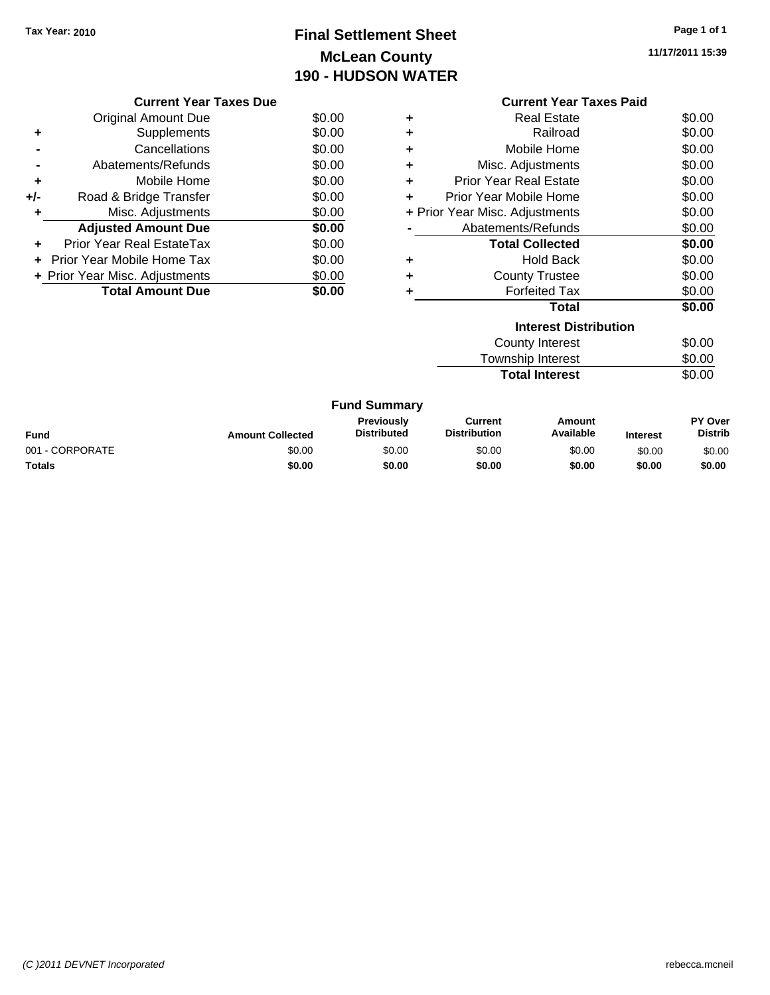## **Final Settlement Sheet Tax Year: 2010 Page 1 of 1 McLean County 190 - HUDSON WATER**

**11/17/2011 15:39**

|     | <b>Current Year Taxes Due</b>  |        |
|-----|--------------------------------|--------|
|     | Original Amount Due            | \$0.00 |
| ٠   | Supplements                    | \$0.00 |
|     | Cancellations                  | \$0.00 |
|     | Abatements/Refunds             | \$0.00 |
| ٠   | Mobile Home                    | \$0.00 |
| +/- | Road & Bridge Transfer         | \$0.00 |
| ٠   | Misc. Adjustments              | \$0.00 |
|     | <b>Adjusted Amount Due</b>     | \$0.00 |
|     | Prior Year Real EstateTax      | \$0.00 |
|     | Prior Year Mobile Home Tax     | \$0.00 |
|     | + Prior Year Misc. Adjustments | \$0.00 |
|     | <b>Total Amount Due</b>        | \$0.00 |
|     |                                |        |

|   | <b>Current Year Taxes Paid</b> |        |  |  |
|---|--------------------------------|--------|--|--|
| ٠ | Real Estate                    | \$0.00 |  |  |
| ٠ | Railroad                       | \$0.00 |  |  |
| ٠ | Mobile Home                    | \$0.00 |  |  |
| ٠ | Misc. Adjustments              | \$0.00 |  |  |
| ÷ | <b>Prior Year Real Estate</b>  | \$0.00 |  |  |
| ÷ | Prior Year Mobile Home         | \$0.00 |  |  |
|   | + Prior Year Misc. Adjustments | \$0.00 |  |  |
|   | Abatements/Refunds             | \$0.00 |  |  |
|   | <b>Total Collected</b>         | \$0.00 |  |  |
| ٠ | <b>Hold Back</b>               | \$0.00 |  |  |
| ٠ | <b>County Trustee</b>          | \$0.00 |  |  |
|   | <b>Forfeited Tax</b>           | \$0.00 |  |  |
|   | <b>Total</b>                   | \$0.00 |  |  |
|   | <b>Interest Distribution</b>   |        |  |  |
|   | <b>County Interest</b>         | \$0.00 |  |  |
|   | <b>Township Interest</b>       | \$0.00 |  |  |

**Total Interest** \$0.00

|                 |                         | <b>Fund Summary</b>                     |                                |                     |                 |                                  |
|-----------------|-------------------------|-----------------------------------------|--------------------------------|---------------------|-----------------|----------------------------------|
| <b>Fund</b>     | <b>Amount Collected</b> | <b>Previously</b><br><b>Distributed</b> | Current<br><b>Distribution</b> | Amount<br>Available | <b>Interest</b> | <b>PY Over</b><br><b>Distrib</b> |
| 001 - CORPORATE | \$0.00                  | \$0.00                                  | \$0.00                         | \$0.00              | \$0.00          | \$0.00                           |
| <b>Totals</b>   | \$0.00                  | \$0.00                                  | \$0.00                         | \$0.00              | \$0.00          | \$0.00                           |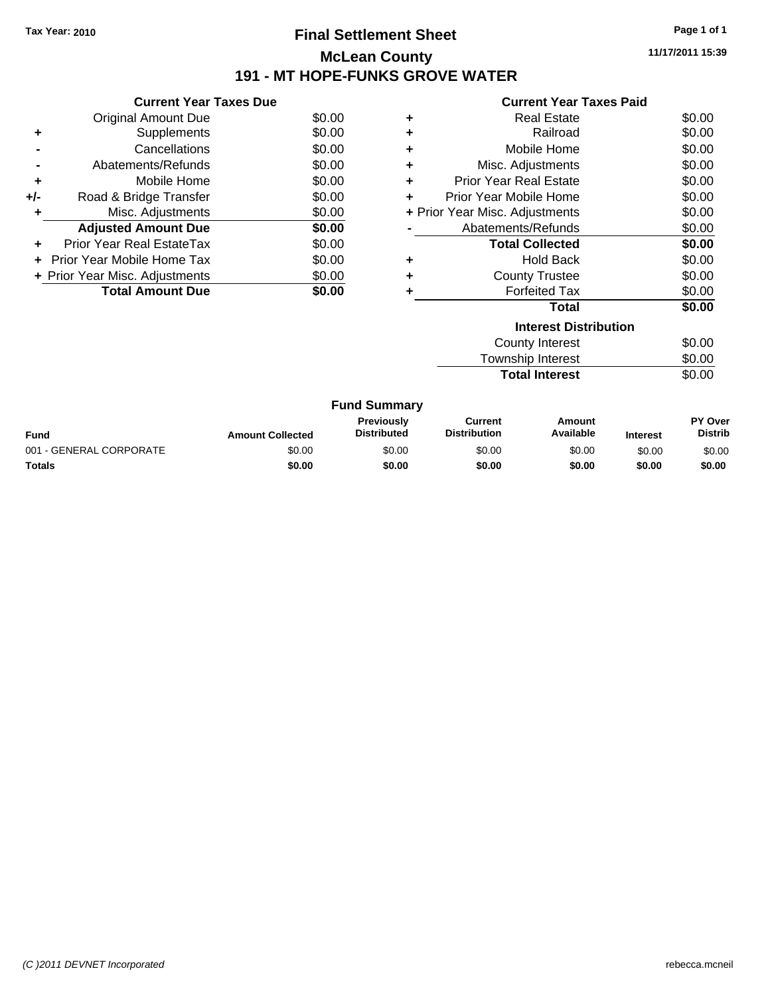### **Final Settlement Sheet Tax Year: 2010 Page 1 of 1 McLean County 191 - MT HOPE-FUNKS GROVE WATER**

**11/17/2011 15:39**

## **Current Year Taxes Paid**

|     | <b>Current Year Taxes Due</b>  |        |
|-----|--------------------------------|--------|
|     | Original Amount Due            | \$0.00 |
|     | Supplements                    | \$0.00 |
|     | Cancellations                  | \$0.00 |
|     | Abatements/Refunds             | \$0.00 |
| ٠   | Mobile Home                    | \$0.00 |
| +/- | Road & Bridge Transfer         | \$0.00 |
|     | Misc. Adjustments              | \$0.00 |
|     | <b>Adjusted Amount Due</b>     | \$0.00 |
| ÷   | Prior Year Real EstateTax      | \$0.00 |
|     | - Prior Year Mobile Home Tax   | \$0.00 |
|     | + Prior Year Misc. Adjustments | \$0.00 |
|     | <b>Total Amount Due</b>        | SO 00  |
|     |                                |        |

|   | <b>Interest Distribution</b>   |        |
|---|--------------------------------|--------|
|   | Total                          | \$0.00 |
|   | <b>Forfeited Tax</b>           | \$0.00 |
| ٠ | <b>County Trustee</b>          | \$0.00 |
| ٠ | <b>Hold Back</b>               | \$0.00 |
|   | <b>Total Collected</b>         | \$0.00 |
|   | Abatements/Refunds             | \$0.00 |
|   | + Prior Year Misc. Adjustments | \$0.00 |
|   | Prior Year Mobile Home         | \$0.00 |
| ٠ | <b>Prior Year Real Estate</b>  | \$0.00 |
| ٠ | Misc. Adjustments              | \$0.00 |
| ٠ | Mobile Home                    | \$0.00 |
| ÷ | Railroad                       | \$0.00 |
| ٠ | <b>Real Estate</b>             | \$0.00 |
|   |                                |        |

| County Interest       | \$0.00 |
|-----------------------|--------|
| Township Interest     | \$0.00 |
| <b>Total Interest</b> | \$0.00 |

|                         |                         | <b>Fund Summary</b>                     |                                |                     |                 |                                  |
|-------------------------|-------------------------|-----------------------------------------|--------------------------------|---------------------|-----------------|----------------------------------|
| Fund                    | <b>Amount Collected</b> | <b>Previously</b><br><b>Distributed</b> | Current<br><b>Distribution</b> | Amount<br>Available | <b>Interest</b> | <b>PY Over</b><br><b>Distrib</b> |
| 001 - GENERAL CORPORATE | \$0.00                  | \$0.00                                  | \$0.00                         | \$0.00              | \$0.00          | \$0.00                           |
| Totals                  | \$0.00                  | \$0.00                                  | \$0.00                         | \$0.00              | \$0.00          | \$0.00                           |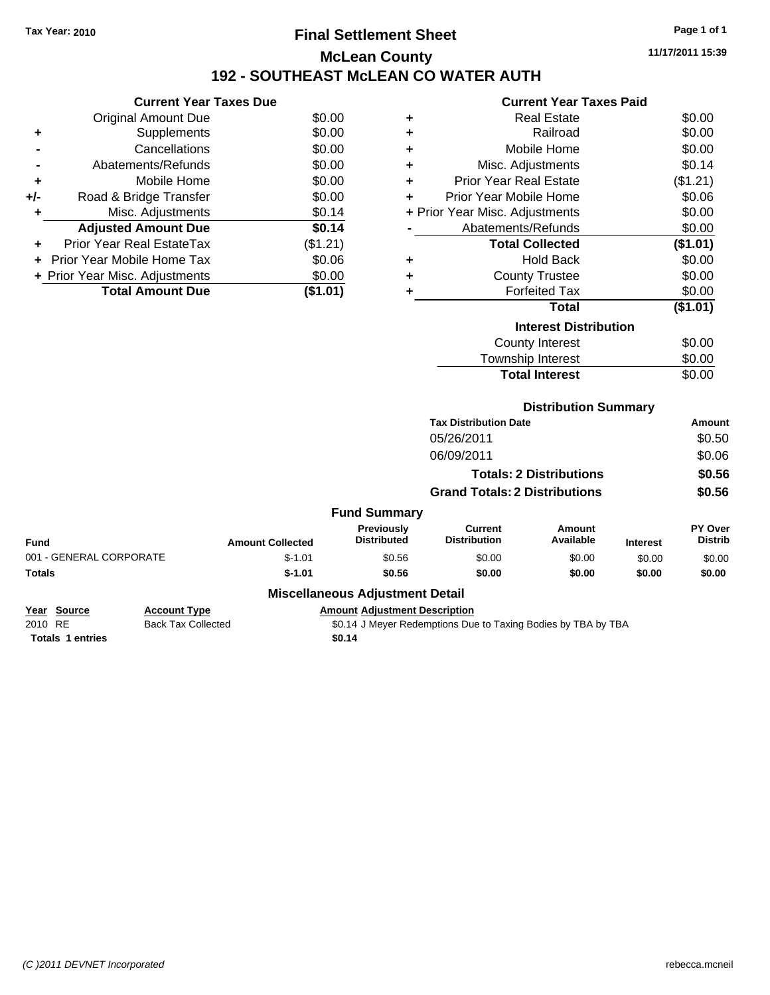### **Final Settlement Sheet Tax Year: 2010 Page 1 of 1 McLean County 192 - SOUTHEAST McLEAN CO WATER AUTH**

**11/17/2011 15:39**

# **Current Year Taxes Paid**

|     | <b>Current Year Taxes Due</b>  |          |  |  |  |
|-----|--------------------------------|----------|--|--|--|
|     | <b>Original Amount Due</b>     | \$0.00   |  |  |  |
|     | Supplements                    | \$0.00   |  |  |  |
|     | Cancellations                  | \$0.00   |  |  |  |
|     | Abatements/Refunds             | \$0.00   |  |  |  |
| ٠   | Mobile Home                    | \$0.00   |  |  |  |
| +/- | Road & Bridge Transfer         | \$0.00   |  |  |  |
|     | Misc. Adjustments              | \$0.14   |  |  |  |
|     | <b>Adjusted Amount Due</b>     | \$0.14   |  |  |  |
|     | Prior Year Real EstateTax      | (\$1.21) |  |  |  |
|     | Prior Year Mobile Home Tax     | \$0.06   |  |  |  |
|     | + Prior Year Misc. Adjustments | \$0.00   |  |  |  |
|     | <b>Total Amount Due</b>        | (\$1.01) |  |  |  |
|     |                                |          |  |  |  |

| ٠ | Real Estate                    | \$0.00   |
|---|--------------------------------|----------|
| ٠ | Railroad                       | \$0.00   |
| ٠ | Mobile Home                    | \$0.00   |
| ٠ | Misc. Adjustments              | \$0.14   |
| ٠ | Prior Year Real Estate         | (\$1.21) |
| ٠ | Prior Year Mobile Home         | \$0.06   |
|   | + Prior Year Misc. Adjustments | \$0.00   |
|   | Abatements/Refunds             | \$0.00   |
|   | <b>Total Collected</b>         | (\$1.01) |
| ٠ | <b>Hold Back</b>               | \$0.00   |
| ٠ | <b>County Trustee</b>          | \$0.00   |
| ٠ | Forfeited Tax                  | \$0.00   |
|   | Total                          | (\$1.01) |
|   | <b>Interest Distribution</b>   |          |
|   | County Interest                | \$0.00   |
|   | Township Interest              | \$0.00   |
|   | <b>Total Interest</b>          | \$0.00   |

#### **Distribution Summary**

|                         |                           |                         |                                        | <b>Tax Distribution Date</b>                                  |                                |                 | <b>Amount</b>                    |
|-------------------------|---------------------------|-------------------------|----------------------------------------|---------------------------------------------------------------|--------------------------------|-----------------|----------------------------------|
|                         |                           |                         |                                        | 05/26/2011                                                    |                                |                 | \$0.50                           |
|                         |                           |                         |                                        | 06/09/2011                                                    |                                |                 | \$0.06                           |
|                         |                           |                         |                                        |                                                               | <b>Totals: 2 Distributions</b> |                 | \$0.56                           |
|                         |                           |                         |                                        | <b>Grand Totals: 2 Distributions</b>                          |                                |                 | \$0.56                           |
|                         |                           |                         | <b>Fund Summary</b>                    |                                                               |                                |                 |                                  |
| <b>Fund</b>             |                           | <b>Amount Collected</b> | Previously<br><b>Distributed</b>       | Current<br><b>Distribution</b>                                | Amount<br>Available            | <b>Interest</b> | <b>PY Over</b><br><b>Distrib</b> |
| 001 - GENERAL CORPORATE |                           | $$-1.01$                | \$0.56                                 | \$0.00                                                        | \$0.00                         | \$0.00          | \$0.00                           |
| Totals                  |                           | $$-1.01$                | \$0.56                                 | \$0.00                                                        | \$0.00                         | \$0.00          | \$0.00                           |
|                         |                           |                         | <b>Miscellaneous Adjustment Detail</b> |                                                               |                                |                 |                                  |
| Year Source             | <b>Account Type</b>       |                         | <b>Amount Adjustment Description</b>   |                                                               |                                |                 |                                  |
| 2010 RE                 | <b>Back Tax Collected</b> |                         |                                        | \$0.14 J Meyer Redemptions Due to Taxing Bodies by TBA by TBA |                                |                 |                                  |

Totals 1 entries \$0.14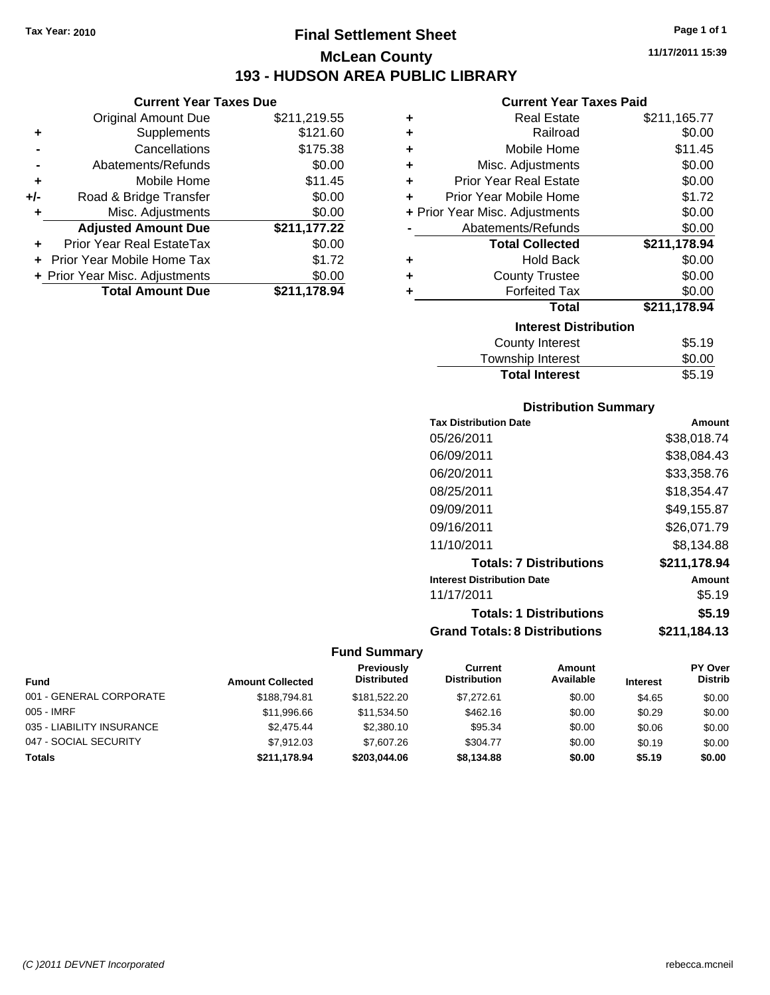### **Final Settlement Sheet Tax Year: 2010 Page 1 of 1 McLean County 193 - HUDSON AREA PUBLIC LIBRARY**

**Current Year Taxes Due**

|     | <b>Original Amount Due</b>     | \$211,219.55 |
|-----|--------------------------------|--------------|
| ٠   | Supplements                    | \$121.60     |
|     | Cancellations                  | \$175.38     |
|     | Abatements/Refunds             | \$0.00       |
| ÷   | Mobile Home                    | \$11.45      |
| +/- | Road & Bridge Transfer         | \$0.00       |
| ٠   | Misc. Adjustments              | \$0.00       |
|     | <b>Adjusted Amount Due</b>     | \$211,177.22 |
|     | Prior Year Real EstateTax      | \$0.00       |
|     | Prior Year Mobile Home Tax     | \$1.72       |
|     | + Prior Year Misc. Adjustments | \$0.00       |
|     | <b>Total Amount Due</b>        | \$211,178.94 |
|     |                                |              |

#### **Current Year Taxes Paid**

| ٠ | <b>Real Estate</b>             | \$211,165.77 |
|---|--------------------------------|--------------|
| ÷ | Railroad                       | \$0.00       |
| ÷ | Mobile Home                    | \$11.45      |
| ÷ | Misc. Adjustments              | \$0.00       |
| ÷ | <b>Prior Year Real Estate</b>  | \$0.00       |
| ÷ | Prior Year Mobile Home         | \$1.72       |
|   | + Prior Year Misc. Adjustments | \$0.00       |
|   | Abatements/Refunds             | \$0.00       |
|   | <b>Total Collected</b>         | \$211,178.94 |
| ٠ | <b>Hold Back</b>               | \$0.00       |
| ÷ | <b>County Trustee</b>          | \$0.00       |
| ٠ | <b>Forfeited Tax</b>           | \$0.00       |
|   | <b>Total</b>                   | \$211,178.94 |
|   | <b>Interest Distribution</b>   |              |
|   | County Interest                | \$5.19       |
|   | Taunaakin lataraat             | ጦ ለለ         |

| <b>Total Interest</b> | \$5.19 |
|-----------------------|--------|
| Township Interest     | \$0.00 |
| County interest       | JU.IY  |

#### **Distribution Summary**

| <b>Tax Distribution Date</b>         | Amount       |
|--------------------------------------|--------------|
| 05/26/2011                           | \$38,018.74  |
| 06/09/2011                           | \$38,084.43  |
| 06/20/2011                           | \$33,358.76  |
| 08/25/2011                           | \$18.354.47  |
| 09/09/2011                           | \$49,155.87  |
| 09/16/2011                           | \$26.071.79  |
| 11/10/2011                           | \$8.134.88   |
| <b>Totals: 7 Distributions</b>       | \$211,178.94 |
| <b>Interest Distribution Date</b>    | Amount       |
| 11/17/2011                           | \$5.19       |
| <b>Totals: 1 Distributions</b>       | \$5.19       |
| <b>Grand Totals: 8 Distributions</b> | \$211,184.13 |

| Fund                      | <b>Amount Collected</b> | Previously<br><b>Distributed</b> | Current<br><b>Distribution</b> | Amount<br>Available | <b>Interest</b> | PY Over<br><b>Distrib</b> |
|---------------------------|-------------------------|----------------------------------|--------------------------------|---------------------|-----------------|---------------------------|
| 001 - GENERAL CORPORATE   | \$188,794.81            | \$181.522.20                     | \$7.272.61                     | \$0.00              | \$4.65          | \$0.00                    |
| 005 - IMRF                | \$11,996.66             | \$11.534.50                      | \$462.16                       | \$0.00              | \$0.29          | \$0.00                    |
| 035 - LIABILITY INSURANCE | \$2.475.44              | \$2,380.10                       | \$95.34                        | \$0.00              | \$0.06          | \$0.00                    |
| 047 - SOCIAL SECURITY     | \$7.912.03              | \$7,607.26                       | \$304.77                       | \$0.00              | \$0.19          | \$0.00                    |
| <b>Totals</b>             | \$211.178.94            | \$203.044.06                     | \$8,134,88                     | \$0.00              | \$5.19          | \$0.00                    |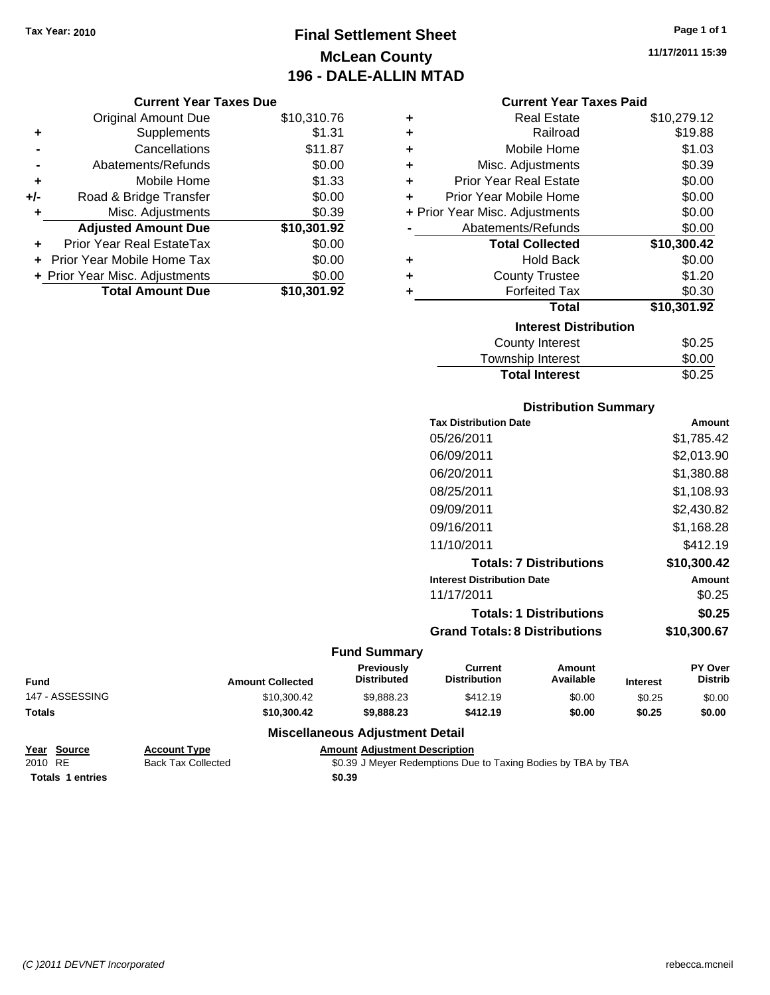## **Final Settlement Sheet Tax Year: 2010 Page 1 of 1 McLean County 196 - DALE-ALLIN MTAD**

**11/17/2011 15:39**

#### **Current Year Taxes Paid**

| <b>Current Year Taxes Due</b> |                                |             |   | <b>Current Year Taxes Paid</b>                                                                                                                                                                                                 |             |
|-------------------------------|--------------------------------|-------------|---|--------------------------------------------------------------------------------------------------------------------------------------------------------------------------------------------------------------------------------|-------------|
|                               | <b>Original Amount Due</b>     | \$10,310.76 | ٠ | <b>Real Estate</b>                                                                                                                                                                                                             | \$10,279.12 |
| ٠                             | Supplements                    | \$1.31      | ٠ | Railroad                                                                                                                                                                                                                       | \$19.88     |
|                               | Cancellations                  | \$11.87     | ٠ | Mobile Home                                                                                                                                                                                                                    | \$1.03      |
|                               | Abatements/Refunds             | \$0.00      | ٠ | Misc. Adjustments                                                                                                                                                                                                              | \$0.39      |
| ٠                             | Mobile Home                    | \$1.33      | ٠ | <b>Prior Year Real Estate</b>                                                                                                                                                                                                  | \$0.00      |
| $+/-$                         | Road & Bridge Transfer         | \$0.00      | ÷ | Prior Year Mobile Home                                                                                                                                                                                                         | \$0.00      |
|                               | Misc. Adjustments              | \$0.39      |   | + Prior Year Misc. Adjustments                                                                                                                                                                                                 | \$0.00      |
|                               | <b>Adjusted Amount Due</b>     | \$10,301.92 |   | Abatements/Refunds                                                                                                                                                                                                             | \$0.00      |
| ٠                             | Prior Year Real EstateTax      | \$0.00      |   | <b>Total Collected</b>                                                                                                                                                                                                         | \$10,300.42 |
|                               | + Prior Year Mobile Home Tax   | \$0.00      | ٠ | <b>Hold Back</b>                                                                                                                                                                                                               | \$0.00      |
|                               | + Prior Year Misc. Adjustments | \$0.00      | ٠ | <b>County Trustee</b>                                                                                                                                                                                                          | \$1.20      |
|                               | <b>Total Amount Due</b>        | \$10,301.92 |   | <b>Forfeited Tax</b>                                                                                                                                                                                                           | \$0.30      |
|                               |                                |             |   | <b>Total</b>                                                                                                                                                                                                                   | \$10,301.92 |
|                               |                                |             |   | the common contract of the contract of the contract of the contract of the contract of the contract of the contract of the contract of the contract of the contract of the contract of the contract of the contract of the con |             |

 $\overline{a}$ 

| <b>Total</b>                 | \$10,301.92 |
|------------------------------|-------------|
| <b>Interest Distribution</b> |             |
| <b>County Interest</b>       | \$0.25      |
| Township Interest            | \$0.00      |
| <b>Total Interest</b>        | \$0.25      |

#### **Distribution Summary**

| Amount      |
|-------------|
| \$1,785.42  |
| \$2,013.90  |
| \$1,380.88  |
| \$1,108.93  |
| \$2,430.82  |
| \$1,168.28  |
| \$412.19    |
| \$10,300.42 |
| Amount      |
| \$0.25      |
| \$0.25      |
| \$10.300.67 |
|             |

#### **Fund Summary**

| Fund            | <b>Amount Collected</b> | <b>Previously</b><br><b>Distributed</b> | Current<br><b>Distribution</b> | Amount<br>Available | <b>Interest</b> | <b>PY Over</b><br><b>Distrib</b> |
|-----------------|-------------------------|-----------------------------------------|--------------------------------|---------------------|-----------------|----------------------------------|
| 147 - ASSESSING | \$10,300.42             | \$9.888.23                              | \$412.19                       | \$0.00              | \$0.25          | \$0.00                           |
| <b>Totals</b>   | \$10,300,42             | \$9,888,23                              | \$412.19                       | \$0.00              | \$0.25          | \$0.00                           |

#### **Miscellaneous Adjustment Detail**

| Year Source             | <b>Account Type</b>       | <b>Amount Adiustment Description</b>                          |  |
|-------------------------|---------------------------|---------------------------------------------------------------|--|
| 2010 RE                 | <b>Back Tax Collected</b> | \$0.39 J Meyer Redemptions Due to Taxing Bodies by TBA by TBA |  |
| <b>Totals 1 entries</b> |                           | \$0.39                                                        |  |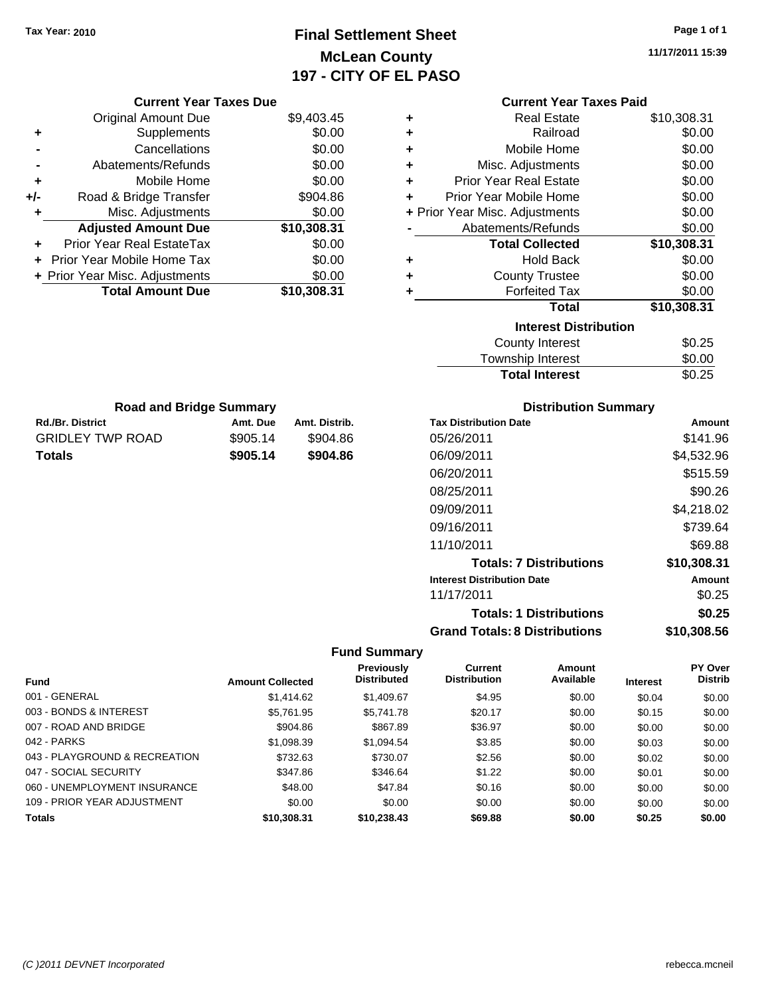## **Final Settlement Sheet Tax Year: 2010 Page 1 of 1 McLean County 197 - CITY OF EL PASO**

**11/17/2011 15:39**

|                                | <b>Current Year Taxes Due</b> |               |                                         |                                       | <b>Current Year Taxes Paid</b> |            |                    |
|--------------------------------|-------------------------------|---------------|-----------------------------------------|---------------------------------------|--------------------------------|------------|--------------------|
| <b>Original Amount Due</b>     |                               | \$9,403.45    | ٠                                       |                                       | <b>Real Estate</b>             |            | \$10,308.31        |
| Supplements<br>٠               |                               | \$0.00        |                                         |                                       | Railroad                       |            | \$0.00             |
| Cancellations                  |                               | \$0.00        | ٠                                       |                                       | Mobile Home                    |            | \$0.00             |
| Abatements/Refunds             |                               | \$0.00        | ٠                                       |                                       | Misc. Adjustments              |            | \$0.00             |
| Mobile Home<br>٠               |                               | \$0.00        | ٠                                       | <b>Prior Year Real Estate</b>         |                                |            | \$0.00             |
| Road & Bridge Transfer<br>+/-  |                               | \$904.86      | ٠                                       | Prior Year Mobile Home                |                                |            | \$0.00             |
| Misc. Adjustments<br>٠         |                               | \$0.00        |                                         | + Prior Year Misc. Adjustments        |                                |            | \$0.00             |
| <b>Adjusted Amount Due</b>     |                               | \$10,308.31   |                                         | Abatements/Refunds                    |                                |            | \$0.00             |
| Prior Year Real EstateTax      |                               | \$0.00        |                                         |                                       | <b>Total Collected</b>         |            | \$10,308.31        |
| Prior Year Mobile Home Tax     |                               | \$0.00        | ٠                                       |                                       | <b>Hold Back</b>               |            | \$0.00             |
| + Prior Year Misc. Adjustments |                               | \$0.00        | ٠                                       |                                       | <b>County Trustee</b>          |            | \$0.00             |
| <b>Total Amount Due</b>        |                               | \$10,308.31   | ٠                                       |                                       | <b>Forfeited Tax</b>           |            | \$0.00             |
|                                |                               |               |                                         |                                       | <b>Total</b>                   |            | \$10,308.31        |
|                                |                               |               |                                         |                                       | <b>Interest Distribution</b>   |            |                    |
|                                |                               |               |                                         |                                       | <b>County Interest</b>         |            | \$0.25             |
|                                |                               |               |                                         |                                       | <b>Township Interest</b>       |            | \$0.00             |
|                                |                               |               |                                         |                                       | <b>Total Interest</b>          |            | \$0.25             |
| <b>Road and Bridge Summary</b> |                               |               |                                         |                                       | <b>Distribution Summary</b>    |            |                    |
| Rd./Br. District               | Amt. Due                      | Amt. Distrib. |                                         | <b>Tax Distribution Date</b>          |                                |            | Amount             |
| <b>GRIDLEY TWP ROAD</b>        | \$905.14                      | \$904.86      |                                         | 05/26/2011                            |                                |            | \$141.96           |
| <b>Totals</b>                  | \$905.14                      | \$904.86      |                                         | 06/09/2011                            |                                | \$4,532.96 |                    |
|                                |                               |               |                                         | 06/20/2011                            |                                |            |                    |
|                                |                               |               |                                         |                                       |                                |            | \$515.59           |
|                                |                               |               |                                         | 08/25/2011                            |                                |            | \$90.26            |
|                                |                               |               |                                         | 09/09/2011                            |                                |            | \$4,218.02         |
|                                |                               |               |                                         | 09/16/2011                            |                                |            | \$739.64           |
|                                |                               |               |                                         | 11/10/2011                            |                                |            | \$69.88            |
|                                |                               |               |                                         |                                       | <b>Totals: 7 Distributions</b> |            | \$10,308.31        |
|                                |                               |               |                                         | <b>Interest Distribution Date</b>     |                                |            | Amount             |
|                                |                               |               |                                         | 11/17/2011                            |                                |            | \$0.25             |
|                                |                               |               |                                         |                                       | <b>Totals: 1 Distributions</b> |            | \$0.25             |
|                                |                               |               |                                         | <b>Grand Totals: 8 Distributions</b>  |                                |            | \$10,308.56        |
|                                |                               |               | <b>Fund Summary</b>                     |                                       |                                |            |                    |
| Fund                           | <b>Amount Collected</b>       |               | <b>Previously</b><br><b>Distributed</b> | <b>Current</b><br><b>Distribution</b> | <b>Amount</b><br>Available     | Interest   | PY Over<br>Distrib |
| 001 - GENERAL                  |                               | \$1,414.62    | \$1,409.67                              | \$4.95                                | \$0.00                         | \$0.04     | \$0.00             |
| 003 - BONDS & INTEREST         |                               | \$5,761.95    | \$5,741.78                              | \$20.17                               | \$0.00                         | \$0.15     | \$0.00             |
| 007 - ROAD AND BRIDGE          |                               | \$904.86      | \$867.89                                | \$36.97                               | \$0.00                         | \$0.00     | \$0.00             |
| 042 - PARKS                    |                               | \$1,098.39    | \$1,094.54                              | \$3.85                                | \$0.00                         | \$0.03     | \$0.00             |
| 043 - PLAYGROUND & RECREATION  |                               | \$732.63      | \$730.07                                | \$2.56                                | \$0.00                         | \$0.02     | \$0.00             |
| 047 - SOCIAL SECURITY          |                               | \$347.86      | \$346.64                                | \$1.22                                | \$0.00                         | \$0.01     | \$0.00             |
| 060 - UNEMPLOYMENT INSURANCE   |                               | \$48.00       | \$47.84                                 | \$0.16                                | \$0.00                         | \$0.00     | \$0.00             |
|                                |                               |               |                                         |                                       |                                |            |                    |
| 109 - PRIOR YEAR ADJUSTMENT    |                               | \$0.00        | \$0.00                                  | \$0.00                                | \$0.00                         | \$0.00     | \$0.00             |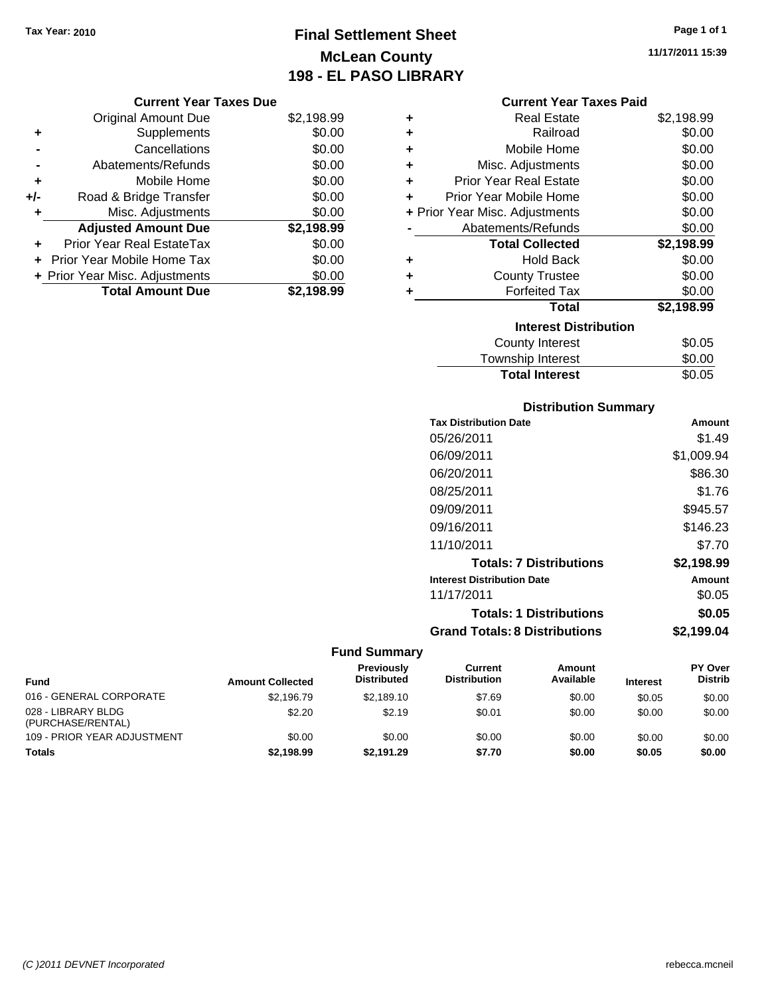## **Final Settlement Sheet Tax Year: 2010 Page 1 of 1 McLean County 198 - EL PASO LIBRARY**

**11/17/2011 15:39**

#### **Current Year Taxes Due**

|       | <b>Original Amount Due</b>       | \$2,198.99 |
|-------|----------------------------------|------------|
| ٠     | Supplements                      | \$0.00     |
|       | Cancellations                    | \$0.00     |
|       | Abatements/Refunds               | \$0.00     |
| ÷     | Mobile Home                      | \$0.00     |
| $+/-$ | Road & Bridge Transfer           | \$0.00     |
| ۰     | Misc. Adjustments                | \$0.00     |
|       | <b>Adjusted Amount Due</b>       | \$2,198.99 |
|       | <b>Prior Year Real EstateTax</b> | \$0.00     |
|       | Prior Year Mobile Home Tax       | \$0.00     |
|       | + Prior Year Misc. Adjustments   | \$0.00     |
|       | <b>Total Amount Due</b>          | \$2,198.99 |

#### **Current Year Taxes Paid**

| ٠ | <b>Real Estate</b>             | \$2,198.99 |
|---|--------------------------------|------------|
| ÷ | Railroad                       | \$0.00     |
| ٠ | Mobile Home                    | \$0.00     |
| ٠ | Misc. Adjustments              | \$0.00     |
| ÷ | <b>Prior Year Real Estate</b>  | \$0.00     |
| ÷ | Prior Year Mobile Home         | \$0.00     |
|   | + Prior Year Misc. Adjustments | \$0.00     |
|   | Abatements/Refunds             | \$0.00     |
|   |                                |            |
|   | <b>Total Collected</b>         | \$2,198.99 |
| ٠ | <b>Hold Back</b>               | \$0.00     |
| ÷ | <b>County Trustee</b>          | \$0.00     |
| ٠ | <b>Forfeited Tax</b>           | \$0.00     |
|   | Total                          | \$2,198.99 |
|   | <b>Interest Distribution</b>   |            |
|   | County Interest                | \$0.05     |

### Township Interest  $\frac{$0.00}{0.05}$ **Total Interest**

| <b>Distribution Summary</b>          |            |
|--------------------------------------|------------|
| <b>Tax Distribution Date</b>         | Amount     |
| 05/26/2011                           | \$1.49     |
| 06/09/2011                           | \$1,009.94 |
| 06/20/2011                           | \$86.30    |
| 08/25/2011                           | \$1.76     |
| 09/09/2011                           | \$945.57   |
| 09/16/2011                           | \$146.23   |
| 11/10/2011                           | \$7.70     |
| <b>Totals: 7 Distributions</b>       | \$2,198.99 |
| <b>Interest Distribution Date</b>    | Amount     |
| 11/17/2011                           | \$0.05     |
| <b>Totals: 1 Distributions</b>       | \$0.05     |
| <b>Grand Totals: 8 Distributions</b> | \$2,199.04 |

| <b>Fund</b>                             | <b>Amount Collected</b> | Previously<br><b>Distributed</b> | Current<br><b>Distribution</b> | Amount<br>Available | <b>Interest</b> | <b>PY Over</b><br><b>Distrib</b> |
|-----------------------------------------|-------------------------|----------------------------------|--------------------------------|---------------------|-----------------|----------------------------------|
| 016 - GENERAL CORPORATE                 | \$2.196.79              | \$2.189.10                       | \$7.69                         | \$0.00              | \$0.05          | \$0.00                           |
| 028 - LIBRARY BLDG<br>(PURCHASE/RENTAL) | \$2.20                  | \$2.19                           | \$0.01                         | \$0.00              | \$0.00          | \$0.00                           |
| 109 - PRIOR YEAR ADJUSTMENT             | \$0.00                  | \$0.00                           | \$0.00                         | \$0.00              | \$0.00          | \$0.00                           |
| <b>Totals</b>                           | \$2.198.99              | \$2.191.29                       | \$7.70                         | \$0.00              | \$0.05          | \$0.00                           |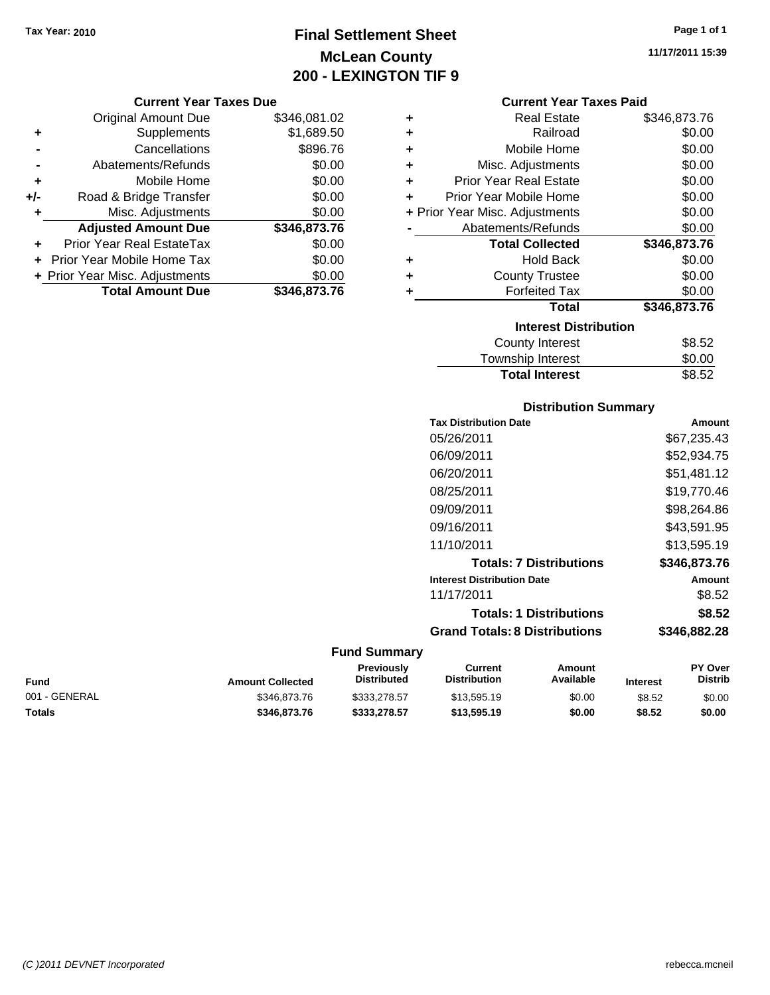## **Final Settlement Sheet Tax Year: 2010 Page 1 of 1 McLean County 200 - LEXINGTON TIF 9**

#### **Current Year Taxes Due**

|       | <b>Original Amount Due</b>     | \$346,081.02 |
|-------|--------------------------------|--------------|
| ٠     | Supplements                    | \$1,689.50   |
|       | Cancellations                  | \$896.76     |
|       | Abatements/Refunds             | \$0.00       |
| ٠     | Mobile Home                    | \$0.00       |
| $+/-$ | Road & Bridge Transfer         | \$0.00       |
|       | Misc. Adjustments              | \$0.00       |
|       | <b>Adjusted Amount Due</b>     | \$346,873.76 |
|       | Prior Year Real EstateTax      | \$0.00       |
|       | Prior Year Mobile Home Tax     | \$0.00       |
|       | + Prior Year Misc. Adjustments | \$0.00       |
|       | <b>Total Amount Due</b>        | \$346,873.76 |

#### **Current Year Taxes Paid**

| ٠ | <b>Real Estate</b>             | \$346,873.76 |
|---|--------------------------------|--------------|
| ÷ | Railroad                       | \$0.00       |
| ÷ | Mobile Home                    | \$0.00       |
| ٠ | Misc. Adjustments              | \$0.00       |
| ÷ | <b>Prior Year Real Estate</b>  | \$0.00       |
| ÷ | Prior Year Mobile Home         | \$0.00       |
|   | + Prior Year Misc. Adjustments | \$0.00       |
|   | Abatements/Refunds             | \$0.00       |
|   | <b>Total Collected</b>         | \$346,873.76 |
|   | <b>Hold Back</b>               |              |
| ٠ |                                | \$0.00       |
| ٠ | <b>County Trustee</b>          | \$0.00       |
| ٠ | <b>Forfeited Tax</b>           | \$0.00       |
|   | <b>Total</b>                   | \$346,873.76 |
|   | <b>Interest Distribution</b>   |              |
|   | <b>County Interest</b>         | \$8.52       |

| <b>Total Interest</b> | \$8.52 |
|-----------------------|--------|
| <b>OVAIRY INVIVOL</b> | ⊽⊙.ບ∠  |
| Township Interest     | \$0.00 |

#### **Distribution Summary**

| Amount       |
|--------------|
| \$67.235.43  |
| \$52.934.75  |
| \$51.481.12  |
| \$19.770.46  |
| \$98.264.86  |
| \$43.591.95  |
| \$13,595.19  |
| \$346.873.76 |
| Amount       |
| \$8.52       |
| \$8.52       |
| \$346.882.28 |
|              |

### **Fund Summary**

|               |                         | <b>Previously</b> | Current             | Amount    |                 | <b>PY Over</b> |
|---------------|-------------------------|-------------------|---------------------|-----------|-----------------|----------------|
| <b>Fund</b>   | <b>Amount Collected</b> | Distributed       | <b>Distribution</b> | Available | <b>Interest</b> | Distrib        |
| 001 - GENERAL | \$346,873.76            | \$333.278.57      | \$13,595.19         | \$0.00    | \$8.52          | \$0.00         |
| Totals        | \$346,873,76            | \$333,278.57      | \$13,595.19         | \$0.00    | \$8.52          | \$0.00         |

**11/17/2011 15:39**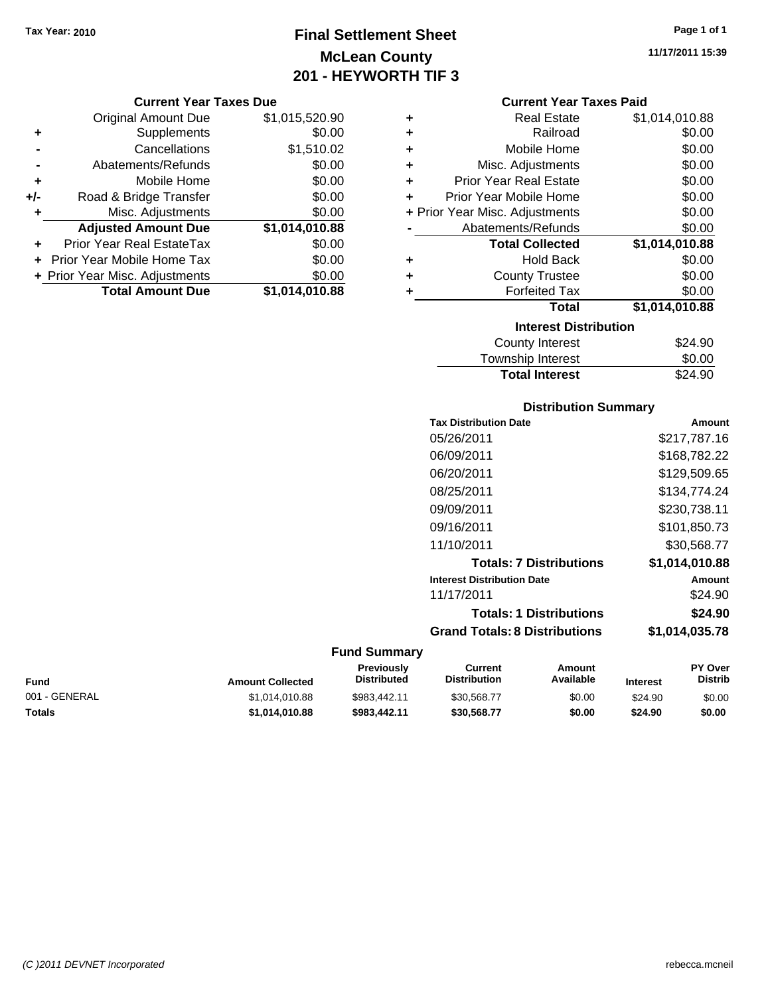## **Final Settlement Sheet Tax Year: 2010 Page 1 of 1 McLean County 201 - HEYWORTH TIF 3**

|     | <b>Current Year Taxes Due</b>  |                |  |  |
|-----|--------------------------------|----------------|--|--|
|     | <b>Original Amount Due</b>     | \$1,015,520.90 |  |  |
| ٠   | Supplements                    | \$0.00         |  |  |
|     | Cancellations                  | \$1,510.02     |  |  |
|     | Abatements/Refunds             | \$0.00         |  |  |
| ٠   | Mobile Home                    | \$0.00         |  |  |
| +/- | Road & Bridge Transfer         | \$0.00         |  |  |
|     | Misc. Adjustments              | \$0.00         |  |  |
|     | <b>Adjusted Amount Due</b>     | \$1,014,010.88 |  |  |
| ٠   | Prior Year Real EstateTax      | \$0.00         |  |  |
|     | Prior Year Mobile Home Tax     | \$0.00         |  |  |
|     | + Prior Year Misc. Adjustments | \$0.00         |  |  |
|     | <b>Total Amount Due</b>        | \$1.014.010.88 |  |  |

|   | <b>Current Year Taxes Paid</b>           |                |  |  |  |
|---|------------------------------------------|----------------|--|--|--|
| ٠ | Real Estate                              | \$1,014,010.88 |  |  |  |
| ٠ | Railroad                                 | \$0.00         |  |  |  |
| ٠ | Mobile Home                              | \$0.00         |  |  |  |
| ٠ | Misc. Adjustments                        | \$0.00         |  |  |  |
| ٠ | <b>Prior Year Real Estate</b>            | \$0.00         |  |  |  |
| ÷ | Prior Year Mobile Home                   | \$0.00         |  |  |  |
|   | \$0.00<br>+ Prior Year Misc. Adjustments |                |  |  |  |
|   | Abatements/Refunds                       | \$0.00         |  |  |  |
|   | <b>Total Collected</b>                   | \$1,014,010.88 |  |  |  |
| ٠ | Hold Back                                | \$0.00         |  |  |  |
| ٠ | <b>County Trustee</b>                    | \$0.00         |  |  |  |
| ٠ | <b>Forfeited Tax</b>                     | \$0.00         |  |  |  |
|   | Total                                    | \$1,014,010.88 |  |  |  |
|   | <b>Interest Distribution</b>             |                |  |  |  |
|   |                                          |                |  |  |  |
|   | <b>County Interest</b>                   | \$24.90        |  |  |  |
|   | <b>Township Interest</b>                 | \$0.00         |  |  |  |

#### **Distribution Summary**

| Amount         |
|----------------|
| \$217.787.16   |
| \$168,782.22   |
| \$129,509.65   |
| \$134,774.24   |
| \$230,738.11   |
| \$101,850.73   |
| \$30,568.77    |
| \$1,014,010.88 |
| Amount         |
| \$24.90        |
| \$24.90        |
| \$1,014,035.78 |
|                |

| Fund          | <b>Amount Collected</b> | <b>Previously</b><br><b>Distributed</b> | Current<br><b>Distribution</b> | Amount<br>Available | <b>Interest</b> | <b>PY Over</b><br><b>Distrib</b> |
|---------------|-------------------------|-----------------------------------------|--------------------------------|---------------------|-----------------|----------------------------------|
| 001 - GENERAL | \$1.014.010.88          | \$983,442.11                            | \$30.568.77                    | \$0.00              | \$24.90         | \$0.00                           |
| Totals        | \$1.014.010.88          | \$983,442.11                            | \$30.568.77                    | \$0.00              | \$24.90         | \$0.00                           |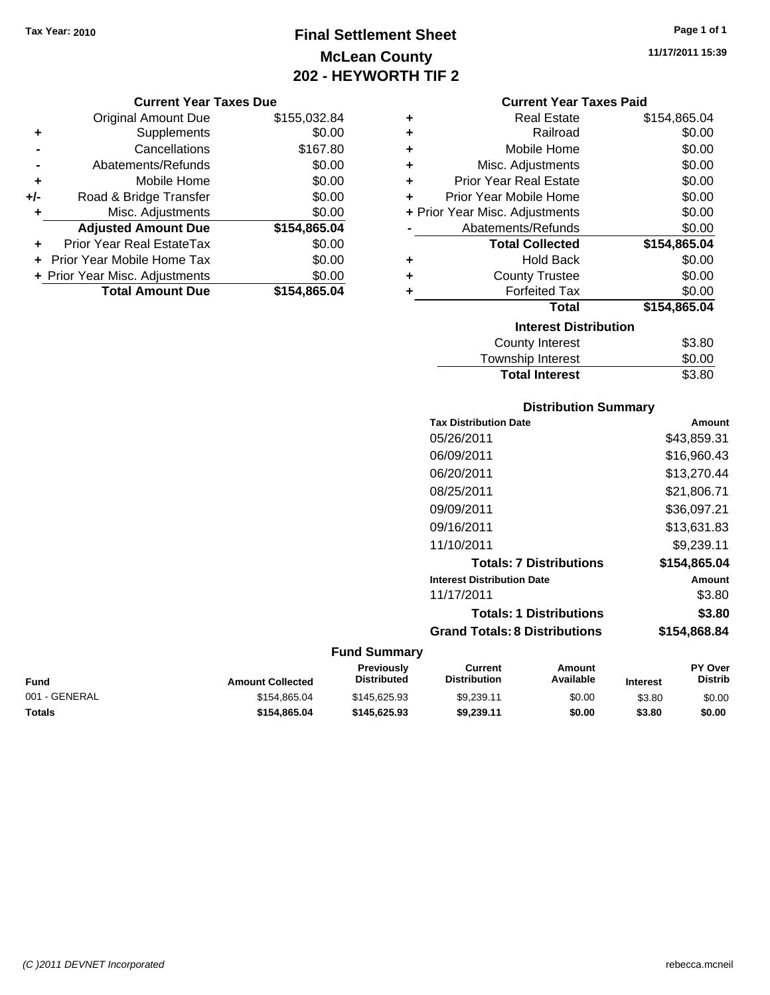## **Final Settlement Sheet Tax Year: 2010 Page 1 of 1 McLean County 202 - HEYWORTH TIF 2**

#### **11/17/2011 15:39**

| <b>Current Year Taxes Due</b> |  |  |  |
|-------------------------------|--|--|--|
|-------------------------------|--|--|--|

|     | <b>Original Amount Due</b>     | \$155,032.84 |
|-----|--------------------------------|--------------|
| ٠   | Supplements                    | \$0.00       |
|     | Cancellations                  | \$167.80     |
|     | Abatements/Refunds             | \$0.00       |
| ÷   | Mobile Home                    | \$0.00       |
| +/- | Road & Bridge Transfer         | \$0.00       |
| ٠   | Misc. Adjustments              | \$0.00       |
|     | <b>Adjusted Amount Due</b>     | \$154,865.04 |
|     | Prior Year Real EstateTax      | \$0.00       |
|     | Prior Year Mobile Home Tax     | \$0.00       |
|     | + Prior Year Misc. Adjustments | \$0.00       |
|     | <b>Total Amount Due</b>        | \$154,865.04 |

#### **Current Year Taxes Paid**

| ٠ | <b>Real Estate</b>             | \$154,865.04 |
|---|--------------------------------|--------------|
| ٠ | Railroad                       | \$0.00       |
| ٠ | Mobile Home                    | \$0.00       |
| ٠ | Misc. Adjustments              | \$0.00       |
| ٠ | <b>Prior Year Real Estate</b>  | \$0.00       |
| ٠ | Prior Year Mobile Home         | \$0.00       |
|   | + Prior Year Misc. Adjustments | \$0.00       |
|   | Abatements/Refunds             | \$0.00       |
|   | <b>Total Collected</b>         | \$154,865.04 |
| ٠ | <b>Hold Back</b>               | \$0.00       |
| ٠ | <b>County Trustee</b>          | \$0.00       |
| ٠ | <b>Forfeited Tax</b>           | \$0.00       |
|   | Total                          | \$154,865.04 |
|   | <b>Interest Distribution</b>   |              |
|   | Osuntu bataraat                | ሱ  ሰ         |

| County Interest       | \$3.80 |
|-----------------------|--------|
| Township Interest     | \$0.00 |
| <b>Total Interest</b> | \$3.80 |

#### **Distribution Summary**

| <b>Tax Distribution Date</b>         | Amount       |
|--------------------------------------|--------------|
| 05/26/2011                           | \$43,859.31  |
| 06/09/2011                           | \$16.960.43  |
| 06/20/2011                           | \$13,270.44  |
| 08/25/2011                           | \$21,806.71  |
| 09/09/2011                           | \$36,097.21  |
| 09/16/2011                           | \$13.631.83  |
| 11/10/2011                           | \$9.239.11   |
| <b>Totals: 7 Distributions</b>       | \$154,865,04 |
| <b>Interest Distribution Date</b>    | Amount       |
| 11/17/2011                           | \$3.80       |
| <b>Totals: 1 Distributions</b>       | \$3.80       |
| <b>Grand Totals: 8 Distributions</b> | \$154,868.84 |
|                                      |              |

| Fund          | <b>Amount Collected</b> | <b>Previously</b><br>Distributed | Current<br><b>Distribution</b> | Amount<br>Available | <b>Interest</b> | <b>PY Over</b><br><b>Distrib</b> |
|---------------|-------------------------|----------------------------------|--------------------------------|---------------------|-----------------|----------------------------------|
| 001 - GENERAL | \$154,865,04            | \$145,625.93                     | \$9.239.11                     | \$0.00              | \$3.80          | \$0.00                           |
| <b>Totals</b> | \$154.865.04            | \$145.625.93                     | \$9.239.11                     | \$0.00              | \$3.80          | \$0.00                           |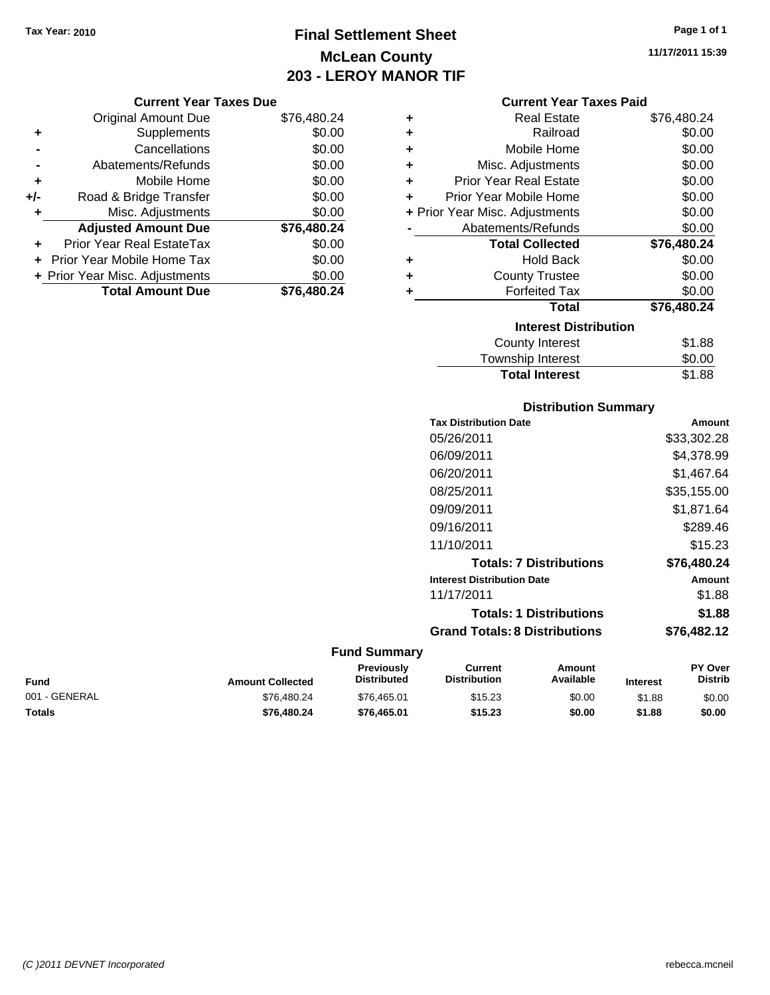**Current Year Taxes Due** Original Amount Due \$76,480.24

**Adjusted Amount Due \$76,480.24**

**Total Amount Due \$76,480.24**

**+** Supplements \$0.00 **-** Cancellations \$0.00 **-** Abatements/Refunds \$0.00 **+** Mobile Home \$0.00 **+/-** Road & Bridge Transfer \$0.00 **+** Misc. Adjustments \$0.00

**+** Prior Year Real EstateTax \$0.00 **+** Prior Year Mobile Home Tax \$0.00 **+ Prior Year Misc. Adjustments**  $$0.00$ 

## **Final Settlement Sheet Tax Year: 2010 Page 1 of 1 McLean County 203 - LEROY MANOR TIF**

|                  | Page 1 of 1 |
|------------------|-------------|
| 11/17/2011 15:39 |             |

**Current Year Taxes Paid +** Real Estate \$76,480.24 **+** Railroad \$0.00 **+** Mobile Home \$0.00 **+** Misc. Adjustments \$0.00 **+** Prior Year Real Estate \$0.00 **+** Prior Year Mobile Home \$0.00 **+** Prior Year Misc. Adjustments  $$0.00$ **-** Abatements/Refunds \$0.00 **Total Collected \$76,480.24 +** Hold Back \$0.00 **+** County Trustee **+** Forfeited Tax \$0.00 \$0.00

## **Total \$76,480.24**

| <b>Interest Distribution</b> |        |
|------------------------------|--------|
| <b>County Interest</b>       | \$1.88 |
| Township Interest            | \$0.00 |
| <b>Total Interest</b>        | \$1.88 |

#### **Distribution Summary**

| <b>Tax Distribution Date</b>         | Amount      |
|--------------------------------------|-------------|
| 05/26/2011                           | \$33,302.28 |
| 06/09/2011                           | \$4,378.99  |
| 06/20/2011                           | \$1.467.64  |
| 08/25/2011                           | \$35,155.00 |
| 09/09/2011                           | \$1.871.64  |
| 09/16/2011                           | \$289.46    |
| 11/10/2011                           | \$15.23     |
| <b>Totals: 7 Distributions</b>       | \$76,480.24 |
| <b>Interest Distribution Date</b>    | Amount      |
| 11/17/2011                           | \$1.88      |
| <b>Totals: 1 Distributions</b>       | \$1.88      |
| <b>Grand Totals: 8 Distributions</b> | \$76,482.12 |
|                                      |             |

| Fund          | <b>Amount Collected</b> | <b>Previously</b><br><b>Distributed</b> | Current<br><b>Distribution</b> | Amount<br>Available | <b>Interest</b> | PY Over<br><b>Distrib</b> |
|---------------|-------------------------|-----------------------------------------|--------------------------------|---------------------|-----------------|---------------------------|
| 001 - GENERAL | \$76,480.24             | \$76,465.01                             | \$15.23                        | \$0.00              | \$1.88          | \$0.00                    |
| <b>Totals</b> | \$76,480,24             | \$76,465.01                             | \$15.23                        | \$0.00              | \$1.88          | \$0.00                    |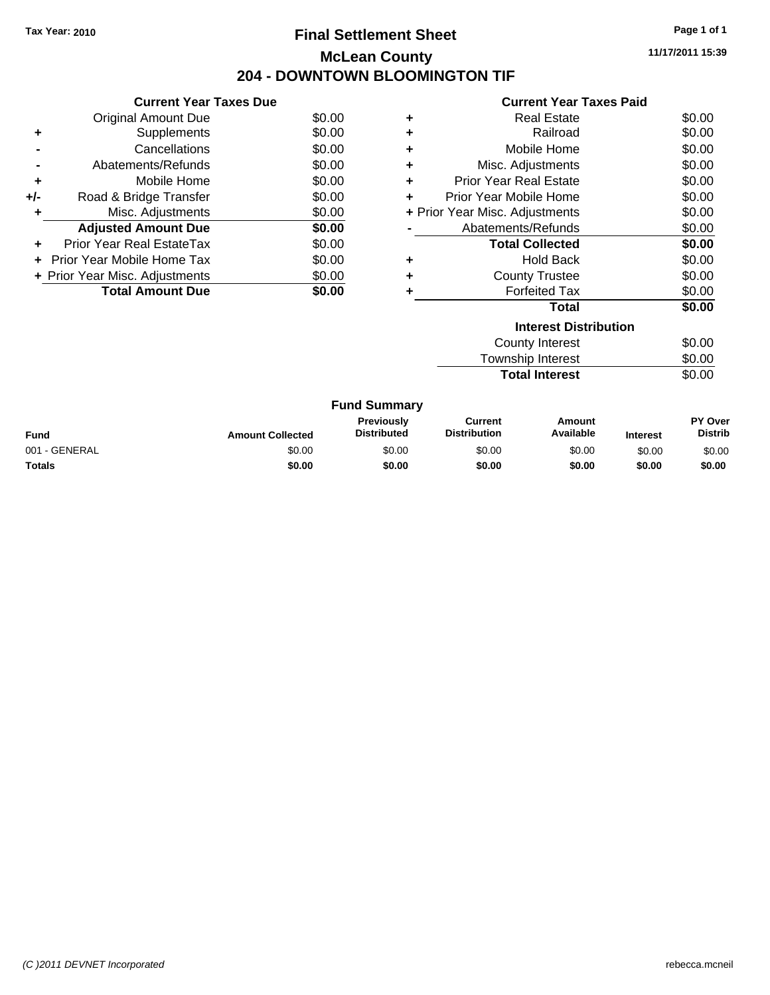### **Final Settlement Sheet Tax Year: 2010 Page 1 of 1 McLean County 204 - DOWNTOWN BLOOMINGTON TIF**

**11/17/2011 15:39**

# **Current Year Taxes Paid**

|                | <b>Current Year Taxes Due</b>  |        |
|----------------|--------------------------------|--------|
|                | Original Amount Due            | \$0.00 |
| ٠              | Supplements                    | \$0.00 |
|                | Cancellations                  | \$0.00 |
| $\blacksquare$ | Abatements/Refunds             | \$0.00 |
| ٠              | Mobile Home                    | \$0.00 |
| +/-            | Road & Bridge Transfer         | \$0.00 |
|                | Misc. Adjustments              | \$0.00 |
|                | <b>Adjusted Amount Due</b>     | \$0.00 |
| ÷              | Prior Year Real EstateTax      | \$0.00 |
|                | Prior Year Mobile Home Tax     | \$0.00 |
|                | + Prior Year Misc. Adjustments | \$0.00 |
|                | <b>Total Amount Due</b>        | SO.OO  |
|                |                                |        |

|   | OUITGIIL I GAI TAAGS FAIU      |               |
|---|--------------------------------|---------------|
| ٠ | <b>Real Estate</b>             | \$0.00        |
| ٠ | Railroad                       | \$0.00        |
| ٠ | Mobile Home                    | \$0.00        |
| ٠ | Misc. Adjustments              | \$0.00        |
| ٠ | <b>Prior Year Real Estate</b>  | \$0.00        |
|   | Prior Year Mobile Home         | \$0.00        |
|   | + Prior Year Misc. Adjustments | \$0.00        |
|   | Abatements/Refunds             | \$0.00        |
|   | <b>Total Collected</b>         | \$0.00        |
| ٠ | <b>Hold Back</b>               | \$0.00        |
| ٠ | <b>County Trustee</b>          | \$0.00        |
|   | <b>Forfeited Tax</b>           | \$0.00        |
|   | Total                          | \$0.00        |
|   | <b>Interest Distribution</b>   |               |
|   |                                | $\sim$ $\sim$ |

| <b>Total Interest</b> | \$0.00 |
|-----------------------|--------|
| Township Interest     | \$0.00 |
| County Interest       | \$0.00 |

|               |                         | <b>Fund Summary</b>                     |                                |                     |                 |                                  |
|---------------|-------------------------|-----------------------------------------|--------------------------------|---------------------|-----------------|----------------------------------|
| Fund          | <b>Amount Collected</b> | <b>Previously</b><br><b>Distributed</b> | Current<br><b>Distribution</b> | Amount<br>Available | <b>Interest</b> | <b>PY Over</b><br><b>Distrib</b> |
| 001 - GENERAL | \$0.00                  | \$0.00                                  | \$0.00                         | \$0.00              | \$0.00          | \$0.00                           |
| Totals        | \$0.00                  | \$0.00                                  | \$0.00                         | \$0.00              | \$0.00          | \$0.00                           |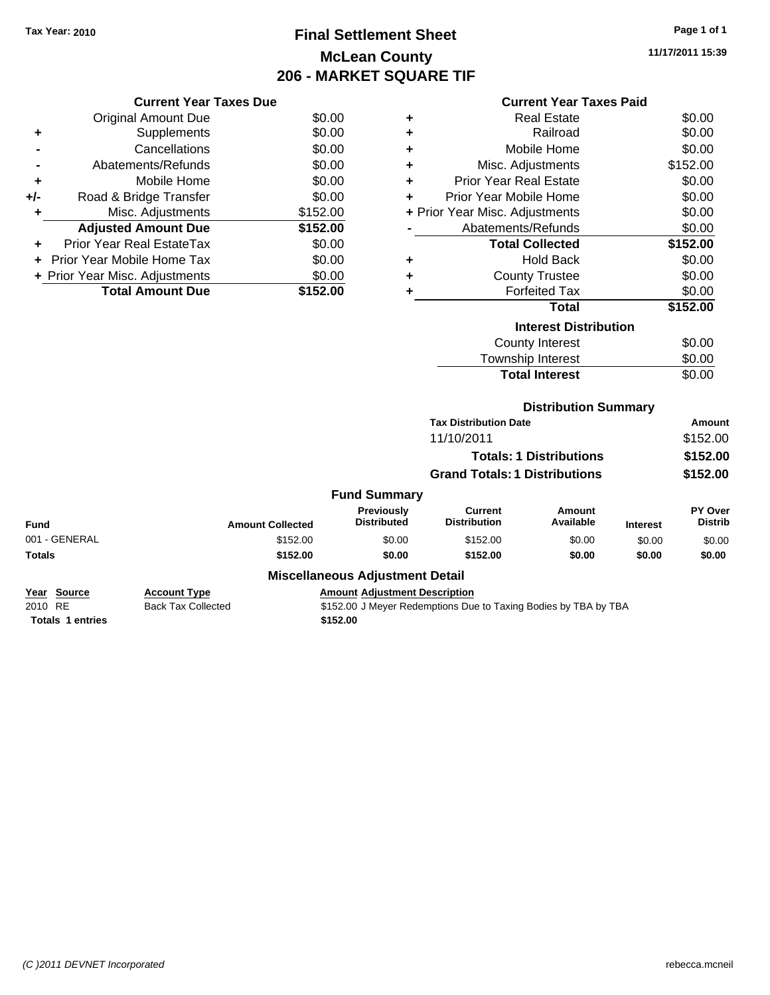### **Final Settlement Sheet Tax Year: 2010 Page 1 of 1 McLean County 206 - MARKET SQUARE TIF**

**11/17/2011 15:39**

#### **Current Year Taxes Paid**

|     | <b>Current Year Taxes Due</b>  |          |
|-----|--------------------------------|----------|
|     | <b>Original Amount Due</b>     | \$0.00   |
| ٠   | Supplements                    | \$0.00   |
|     | Cancellations                  | \$0.00   |
|     | Abatements/Refunds             | \$0.00   |
| ٠   | Mobile Home                    | \$0.00   |
| +/- | Road & Bridge Transfer         | \$0.00   |
| ٠   | Misc. Adjustments              | \$152.00 |
|     | <b>Adjusted Amount Due</b>     | \$152.00 |
|     | Prior Year Real EstateTax      | \$0.00   |
|     | Prior Year Mobile Home Tax     | \$0.00   |
|     | + Prior Year Misc. Adjustments | \$0.00   |
|     | <b>Total Amount Due</b>        | \$152.00 |

| ٠ | Real Estate                    | \$0.00   |
|---|--------------------------------|----------|
| ٠ | Railroad                       | \$0.00   |
| ٠ | Mobile Home                    | \$0.00   |
| ٠ | Misc. Adjustments              | \$152.00 |
| ٠ | <b>Prior Year Real Estate</b>  | \$0.00   |
| ÷ | Prior Year Mobile Home         | \$0.00   |
|   | + Prior Year Misc. Adjustments | \$0.00   |
|   | Abatements/Refunds             | \$0.00   |
|   | <b>Total Collected</b>         | \$152.00 |
| ٠ | Hold Back                      | \$0.00   |
| ٠ | <b>County Trustee</b>          | \$0.00   |
| ٠ | <b>Forfeited Tax</b>           | \$0.00   |
|   | <b>Total</b>                   | \$152.00 |
|   | <b>Interest Distribution</b>   |          |
|   | County Interest                | \$0.00   |
|   | <b>Township Interest</b>       | \$0.00   |
|   | <b>Total Interest</b>          | \$0.00   |

#### **Distribution Summary**

|                     | <b>Tax Distribution Date</b>         | Amount   |
|---------------------|--------------------------------------|----------|
|                     | 11/10/2011                           | \$152.00 |
|                     | <b>Totals: 1 Distributions</b>       | \$152.00 |
|                     | <b>Grand Totals: 1 Distributions</b> | \$152.00 |
| <b>Fund Summary</b> |                                      |          |

#### **Fund Interest Amount Collected Distributed PY Over Distrib Amount Available Current Distribution Previously** 001 - GENERAL \$152.00 \$0.00 \$152.00 \$0.00 \$0.00 \$0.00 **Totals \$152.00 \$0.00 \$152.00 \$0.00 \$0.00 \$0.00**

#### **Miscellaneous Adjustment Detail**

**Year Source Account Type Amount Adjustment Description**<br>
2010 RE **Back Tax Collected** \$152.00 J Meyer Redemptions Due 2010 RE Back Tax Collected \$152.00 J Meyer Redemptions Due to Taxing Bodies by TBA by TBA **Totals 1 entries** \$152.00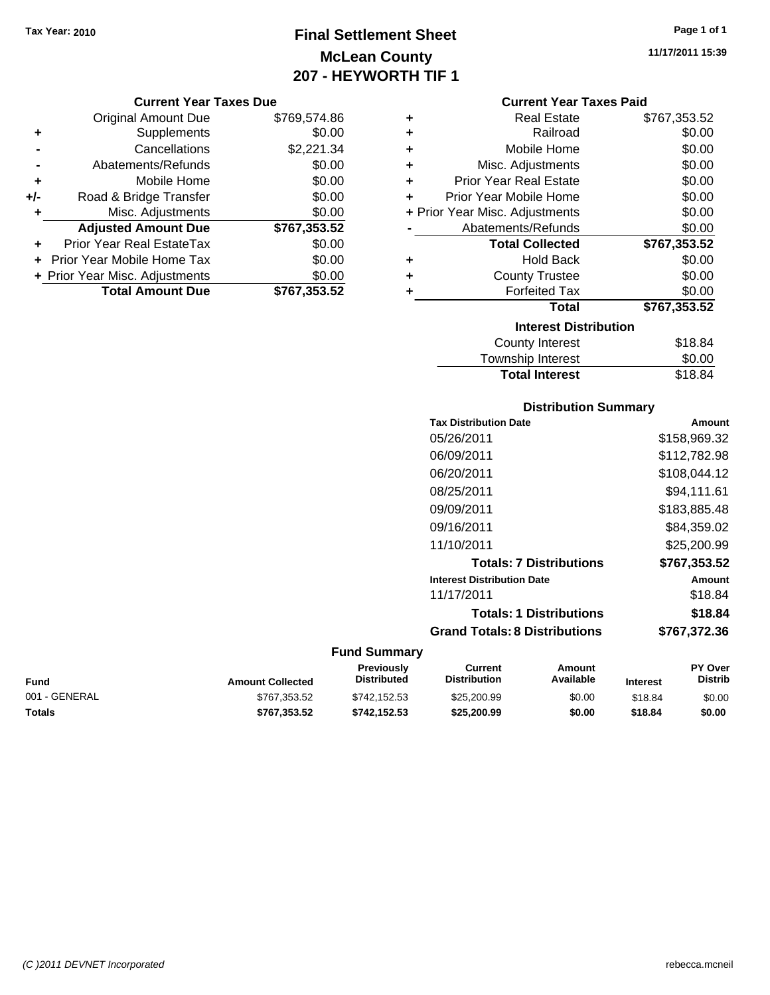## **Final Settlement Sheet Tax Year: 2010 Page 1 of 1 McLean County 207 - HEYWORTH TIF 1**

#### **Current Year Taxes Due**

|       | <b>Original Amount Due</b>     | \$769,574.86 |
|-------|--------------------------------|--------------|
| ٠     | Supplements                    | \$0.00       |
|       | Cancellations                  | \$2,221.34   |
|       | Abatements/Refunds             | \$0.00       |
| ÷     | Mobile Home                    | \$0.00       |
| $+/-$ | Road & Bridge Transfer         | \$0.00       |
| ٠     | Misc. Adjustments              | \$0.00       |
|       | <b>Adjusted Amount Due</b>     | \$767,353.52 |
|       | Prior Year Real EstateTax      | \$0.00       |
|       | Prior Year Mobile Home Tax     | \$0.00       |
|       | + Prior Year Misc. Adjustments | \$0.00       |
|       | <b>Total Amount Due</b>        | \$767,353.52 |

| <b>Real Estate</b>             | \$767,353.52 |
|--------------------------------|--------------|
| Railroad                       | \$0.00       |
| Mobile Home                    | \$0.00       |
| Misc. Adjustments              | \$0.00       |
| <b>Prior Year Real Estate</b>  | \$0.00       |
| Prior Year Mobile Home         | \$0.00       |
| + Prior Year Misc. Adjustments | \$0.00       |
| Abatements/Refunds             | \$0.00       |
| <b>Total Collected</b>         | \$767,353.52 |
| <b>Hold Back</b>               | \$0.00       |
| <b>County Trustee</b>          | \$0.00       |
| <b>Forfeited Tax</b>           | \$0.00       |
| Total                          | \$767,353.52 |
| <b>Interest Distribution</b>   |              |
| <b>County Interest</b>         | \$18.84      |
|                                |              |

| <b>Total Interest</b>     | \$18.84       |
|---------------------------|---------------|
| Township Interest         | \$0.00        |
| <b>COUTTLY IFFICITION</b> | <b>JIO.04</b> |

#### **Distribution Summary**

| <b>Tax Distribution Date</b>         | Amount       |
|--------------------------------------|--------------|
| 05/26/2011                           | \$158,969.32 |
| 06/09/2011                           | \$112,782.98 |
| 06/20/2011                           | \$108,044.12 |
| 08/25/2011                           | \$94.111.61  |
| 09/09/2011                           | \$183.885.48 |
| 09/16/2011                           | \$84.359.02  |
| 11/10/2011                           | \$25,200.99  |
| <b>Totals: 7 Distributions</b>       | \$767,353.52 |
| <b>Interest Distribution Date</b>    | Amount       |
| 11/17/2011                           | \$18.84      |
| <b>Totals: 1 Distributions</b>       | \$18.84      |
| <b>Grand Totals: 8 Distributions</b> | \$767,372.36 |

| Fund          | <b>Amount Collected</b> | <b>Previously</b><br><b>Distributed</b> | Current<br><b>Distribution</b> | Amount<br>Available | <b>Interest</b> | <b>PY Over</b><br><b>Distrib</b> |
|---------------|-------------------------|-----------------------------------------|--------------------------------|---------------------|-----------------|----------------------------------|
| 001 - GENERAL | \$767,353.52            | \$742.152.53                            | \$25,200.99                    | \$0.00              | \$18.84         | \$0.00                           |
| Totals        | \$767.353.52            | \$742.152.53                            | \$25,200.99                    | \$0.00              | \$18.84         | \$0.00                           |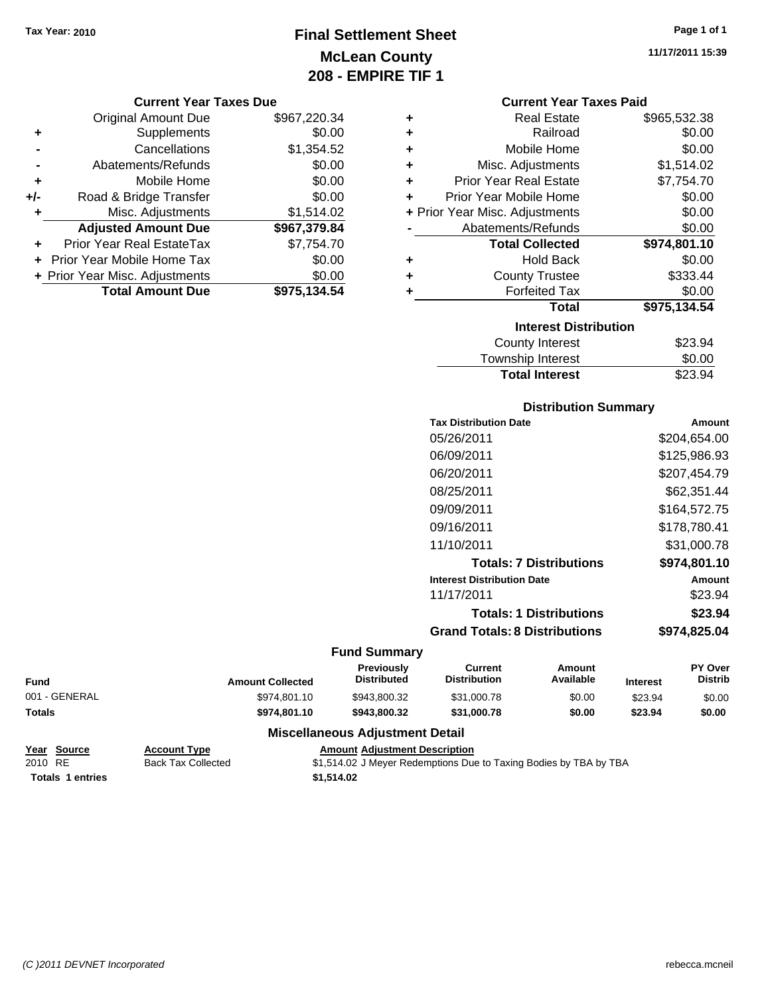### **Final Settlement Sheet Tax Year: 2010 Page 1 of 1 McLean County 208 - EMPIRE TIF 1**

**11/17/2011 15:39**

#### **Current Year Taxes Due**

|     | <b>Original Amount Due</b>     | \$967,220.34 |
|-----|--------------------------------|--------------|
| ٠   | Supplements                    | \$0.00       |
|     | Cancellations                  | \$1,354.52   |
|     | Abatements/Refunds             | \$0.00       |
| ÷   | Mobile Home                    | \$0.00       |
| +/- | Road & Bridge Transfer         | \$0.00       |
| ٠   | Misc. Adjustments              | \$1,514.02   |
|     | <b>Adjusted Amount Due</b>     | \$967,379.84 |
|     | Prior Year Real EstateTax      | \$7,754.70   |
|     | Prior Year Mobile Home Tax     | \$0.00       |
|     | + Prior Year Misc. Adjustments | \$0.00       |
|     | <b>Total Amount Due</b>        | \$975,134.54 |

| <b>Current Year Taxes Paid</b> |  |  |  |
|--------------------------------|--|--|--|
|--------------------------------|--|--|--|

|   | <b>Real Estate</b>             | \$965,532.38 |
|---|--------------------------------|--------------|
| ٠ | Railroad                       | \$0.00       |
| ÷ | Mobile Home                    | \$0.00       |
| ٠ | Misc. Adjustments              | \$1,514.02   |
| ÷ | <b>Prior Year Real Estate</b>  | \$7,754.70   |
| ٠ | Prior Year Mobile Home         | \$0.00       |
|   | + Prior Year Misc. Adjustments | \$0.00       |
|   | Abatements/Refunds             | \$0.00       |
|   | <b>Total Collected</b>         | \$974,801.10 |
| ٠ | <b>Hold Back</b>               | \$0.00       |
| ÷ | <b>County Trustee</b>          | \$333.44     |
| ٠ | <b>Forfeited Tax</b>           | \$0.00       |
|   | Total                          | \$975,134.54 |
|   | <b>Interest Distribution</b>   |              |
|   | <b>County Interest</b>         | \$23.94      |
|   | Township Interest              | \$0.00       |
|   | <b>Total Interest</b>          | \$23.94      |

# **Distribution Summary**

| Amount       |
|--------------|
| \$204,654.00 |
| \$125,986.93 |
| \$207,454.79 |
| \$62.351.44  |
| \$164,572.75 |
| \$178,780.41 |
| \$31,000.78  |
| \$974.801.10 |
| Amount       |
| \$23.94      |
| \$23.94      |
| \$974,825.04 |
|              |

### **Fund Summary**

|               |                         | <b>Previously</b>  | Current             | Amount    |                 | <b>PY Over</b> |
|---------------|-------------------------|--------------------|---------------------|-----------|-----------------|----------------|
| Fund          | <b>Amount Collected</b> | <b>Distributed</b> | <b>Distribution</b> | Available | <b>Interest</b> | <b>Distrib</b> |
| 001 - GENERAL | \$974,801.10            | \$943,800.32       | \$31,000.78         | \$0.00    | \$23.94         | \$0.00         |
| Totals        | \$974.801.10            | \$943,800.32       | \$31,000.78         | \$0.00    | \$23.94         | \$0.00         |
|               | - - -<br>---            |                    |                     |           |                 |                |

#### **Miscellaneous Adjustment Detail**

| Year Source             | <b>Account Type</b>       | <b>Amount Adiustment Description</b>                              |
|-------------------------|---------------------------|-------------------------------------------------------------------|
| 2010 RE                 | <b>Back Tax Collected</b> | \$1,514.02 J Meyer Redemptions Due to Taxing Bodies by TBA by TBA |
| <b>Totals 1 entries</b> |                           | \$1,514.02                                                        |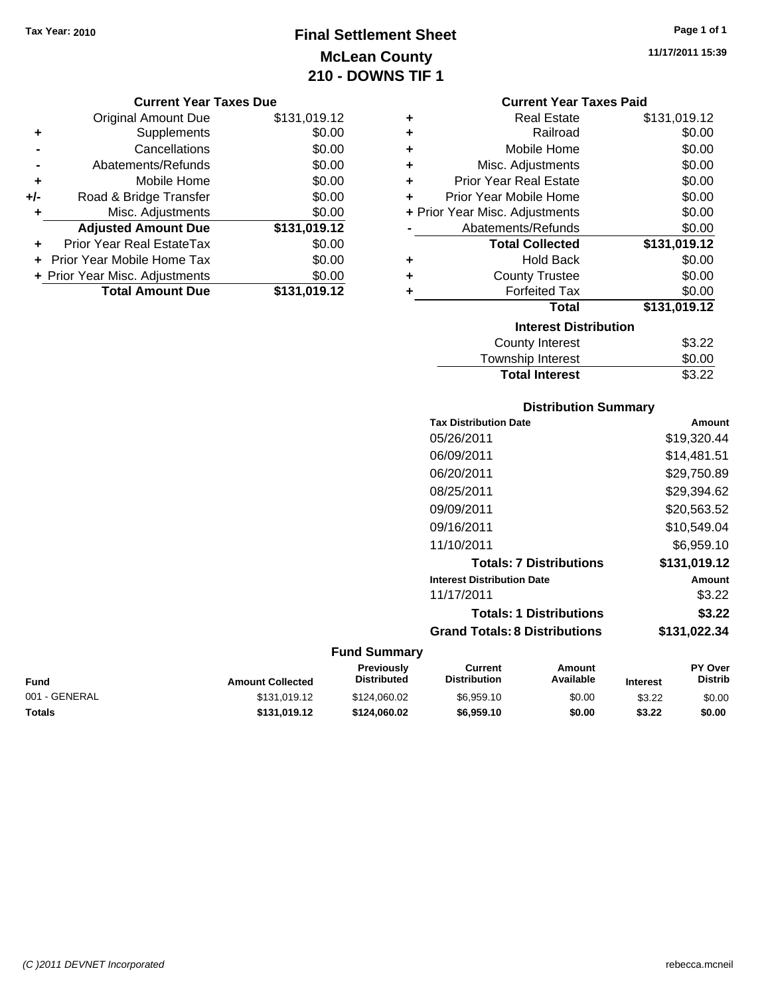### **Final Settlement Sheet Tax Year: 2010 Page 1 of 1 McLean County 210 - DOWNS TIF 1**

**11/17/2011 15:39**

#### **Current Year Taxes Due**

|       | <b>Original Amount Due</b>       | \$131,019.12 |
|-------|----------------------------------|--------------|
| ٠     | Supplements                      | \$0.00       |
|       | Cancellations                    | \$0.00       |
|       | Abatements/Refunds               | \$0.00       |
| ٠     | Mobile Home                      | \$0.00       |
| $+/-$ | Road & Bridge Transfer           | \$0.00       |
| ٠     | Misc. Adjustments                | \$0.00       |
|       | <b>Adjusted Amount Due</b>       | \$131,019.12 |
|       | <b>Prior Year Real EstateTax</b> | \$0.00       |
|       | Prior Year Mobile Home Tax       | \$0.00       |
|       | + Prior Year Misc. Adjustments   | \$0.00       |
|       | <b>Total Amount Due</b>          | \$131,019.12 |

#### **Current Year Taxes Paid**

| <b>Real Estate</b>             | \$131,019.12 |
|--------------------------------|--------------|
| Railroad                       | \$0.00       |
| Mobile Home                    | \$0.00       |
| Misc. Adjustments              | \$0.00       |
| <b>Prior Year Real Estate</b>  | \$0.00       |
| Prior Year Mobile Home         | \$0.00       |
| + Prior Year Misc. Adjustments | \$0.00       |
| Abatements/Refunds             | \$0.00       |
| <b>Total Collected</b>         | \$131,019.12 |
| <b>Hold Back</b>               | \$0.00       |
| <b>County Trustee</b>          | \$0.00       |
| <b>Forfeited Tax</b>           | \$0.00       |
| <b>Total</b>                   | \$131,019.12 |
| <b>Interest Distribution</b>   |              |
| <b>County Interest</b>         | \$3.22       |
|                                |              |

| Township Interest     | \$0.00 |
|-----------------------|--------|
| <b>Total Interest</b> | \$3.22 |

#### **Distribution Summary**

| <b>Tax Distribution Date</b>         | Amount       |
|--------------------------------------|--------------|
| 05/26/2011                           | \$19,320.44  |
| 06/09/2011                           | \$14,481.51  |
| 06/20/2011                           | \$29,750.89  |
| 08/25/2011                           | \$29.394.62  |
| 09/09/2011                           | \$20,563,52  |
| 09/16/2011                           | \$10,549.04  |
| 11/10/2011                           | \$6.959.10   |
| <b>Totals: 7 Distributions</b>       | \$131,019.12 |
| <b>Interest Distribution Date</b>    | Amount       |
| 11/17/2011                           | \$3.22       |
| <b>Totals: 1 Distributions</b>       | \$3.22       |
| <b>Grand Totals: 8 Distributions</b> | \$131.022.34 |
|                                      |              |

| Fund          | <b>Amount Collected</b> | <b>Previously</b><br><b>Distributed</b> | Current<br><b>Distribution</b> | Amount<br>Available | <b>Interest</b> | <b>PY Over</b><br><b>Distrib</b> |
|---------------|-------------------------|-----------------------------------------|--------------------------------|---------------------|-----------------|----------------------------------|
| 001 - GENERAL | \$131.019.12            | \$124.060.02                            | \$6,959.10                     | \$0.00              | \$3.22          | \$0.00                           |
| Totals        | \$131.019.12            | \$124.060.02                            | \$6.959.10                     | \$0.00              | \$3.22          | \$0.00                           |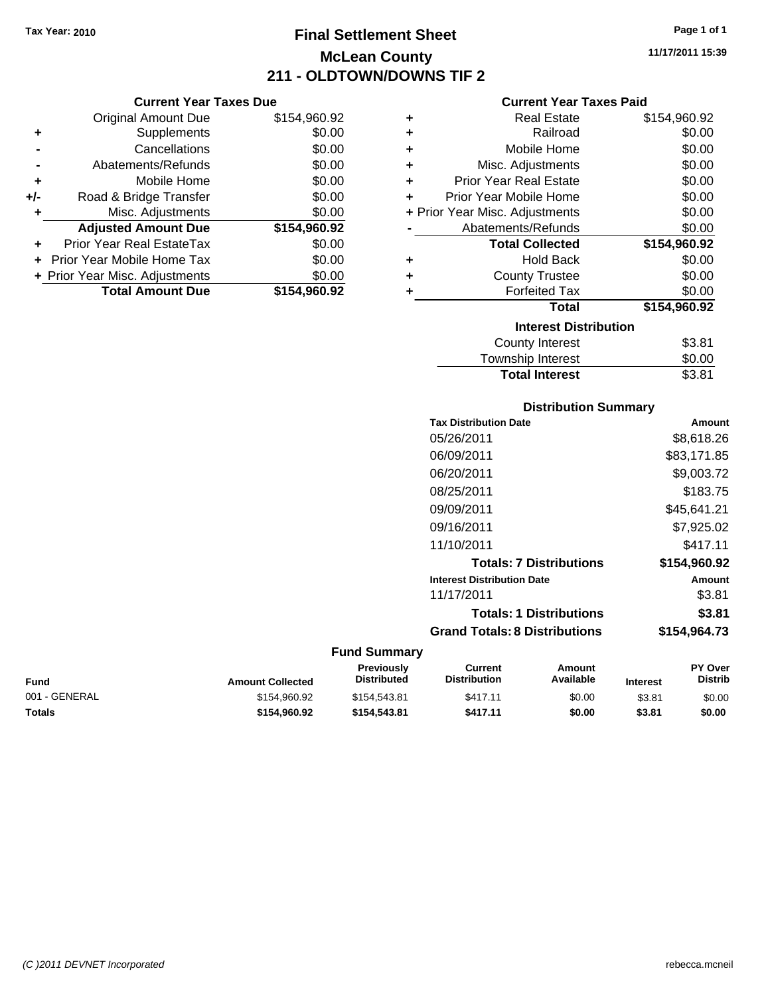### **Final Settlement Sheet Tax Year: 2010 Page 1 of 1 McLean County 211 - OLDTOWN/DOWNS TIF 2**

**11/17/2011 15:39**

#### **Current Year Taxes Paid**

| ٠ | <b>Real Estate</b>             | \$154,960.92 |
|---|--------------------------------|--------------|
| ٠ | Railroad                       | \$0.00       |
| ÷ | Mobile Home                    | \$0.00       |
| ٠ | Misc. Adjustments              | \$0.00       |
| ÷ | <b>Prior Year Real Estate</b>  | \$0.00       |
| ÷ | Prior Year Mobile Home         | \$0.00       |
|   | + Prior Year Misc. Adjustments | \$0.00       |
|   | Abatements/Refunds             | \$0.00       |
|   | <b>Total Collected</b>         | \$154,960.92 |
| ٠ | <b>Hold Back</b>               | \$0.00       |
| ٠ | <b>County Trustee</b>          | \$0.00       |
| ٠ | <b>Forfeited Tax</b>           | \$0.00       |
|   | <b>Total</b>                   | \$154,960.92 |
|   | <b>Interest Distribution</b>   |              |
|   | <b>County Interest</b>         | \$3.81       |
|   |                                |              |

| <b>Total Interest</b> | \$3.81 |
|-----------------------|--------|
| Township Interest     | \$0.00 |
| County Interest       | \$3.81 |

#### **Distribution Summary**

| <b>Tax Distribution Date</b>         | Amount       |
|--------------------------------------|--------------|
| 05/26/2011                           | \$8,618.26   |
| 06/09/2011                           | \$83,171.85  |
| 06/20/2011                           | \$9,003.72   |
| 08/25/2011                           | \$183.75     |
| 09/09/2011                           | \$45,641.21  |
| 09/16/2011                           | \$7,925.02   |
| 11/10/2011                           | \$417.11     |
| <b>Totals: 7 Distributions</b>       | \$154,960.92 |
| <b>Interest Distribution Date</b>    | Amount       |
| 11/17/2011                           | \$3.81       |
| <b>Totals: 1 Distributions</b>       | \$3.81       |
|                                      |              |
| <b>Grand Totals: 8 Distributions</b> | \$154,964.73 |

#### **Fund Summary**

| Fund          | <b>Amount Collected</b> | <b>Previously</b><br><b>Distributed</b> | Current<br><b>Distribution</b> | Amount<br>Available | <b>Interest</b> | <b>PY Over</b><br><b>Distrib</b> |
|---------------|-------------------------|-----------------------------------------|--------------------------------|---------------------|-----------------|----------------------------------|
| 001 - GENERAL | \$154,960.92            | \$154,543.81                            | \$417.11                       | \$0.00              | \$3.81          | \$0.00                           |
| Totals        | \$154.960.92            | \$154.543.81                            | \$417.11                       | \$0.00              | \$3.81          | \$0.00                           |

| . .   | Mobile Home            | \$0.00 |
|-------|------------------------|--------|
| $+/-$ | Road & Bridge Transfer | \$0.00 |

| <b>Total Amount Due</b>        | \$154,960.92 |
|--------------------------------|--------------|
| + Prior Year Misc. Adjustments | \$0.00       |
| + Prior Year Mobile Home Tax   | \$0.00       |
| Prior Year Real EstateTax      | \$0.00       |
| <b>Adjusted Amount Due</b>     | \$154,960.92 |
| Misc. Adjustments              | \$0.00       |
|                                |              |

**Current Year Taxes Due** Original Amount Due \$154,960.92

**+** Supplements \$0.00 **-** Cancellations \$0.00 **-** Abatements/Refunds \$0.00

| (C) 2011 DEVNET Incorporated | rebecca.mcneil |
|------------------------------|----------------|
|------------------------------|----------------|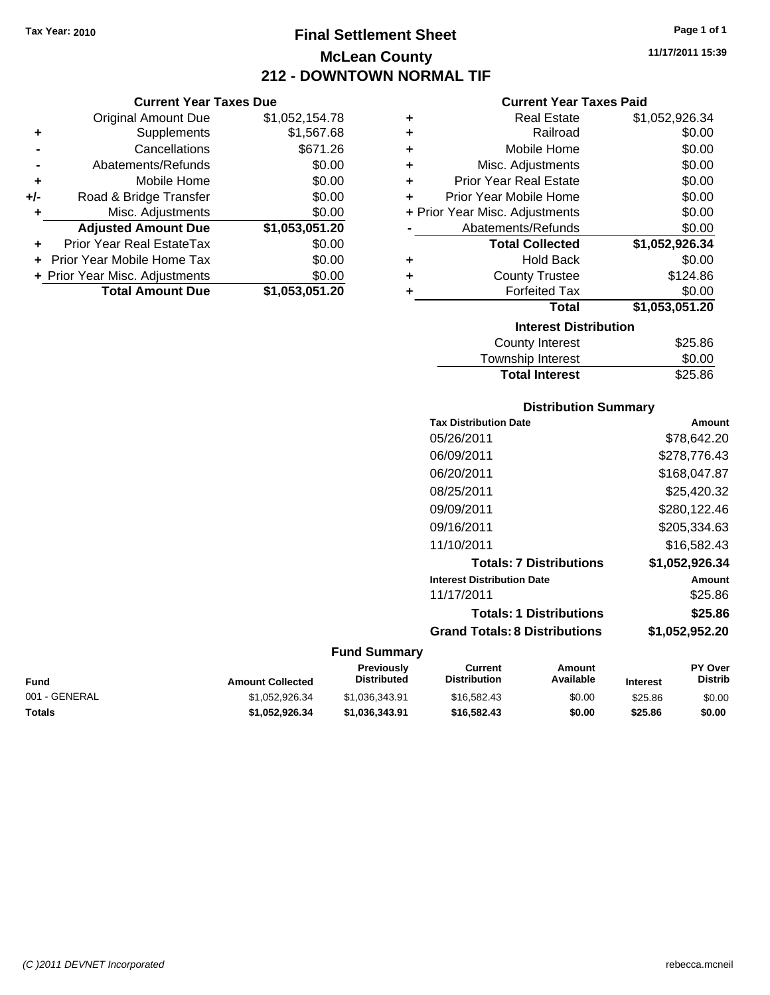### **Final Settlement Sheet Tax Year: 2010 Page 1 of 1 McLean County 212 - DOWNTOWN NORMAL TIF**

|     | <b>Current Year Taxes Due</b>     |                |
|-----|-----------------------------------|----------------|
|     | <b>Original Amount Due</b>        | \$1,052,154.78 |
| ٠   | Supplements                       | \$1,567.68     |
|     | Cancellations                     | \$671.26       |
|     | Abatements/Refunds                | \$0.00         |
| ٠   | Mobile Home                       | \$0.00         |
| +/- | Road & Bridge Transfer            | \$0.00         |
| ٠   | Misc. Adjustments                 | \$0.00         |
|     | <b>Adjusted Amount Due</b>        | \$1,053,051.20 |
|     | Prior Year Real EstateTax         | \$0.00         |
|     | <b>Prior Year Mobile Home Tax</b> | \$0.00         |
|     | + Prior Year Misc. Adjustments    | \$0.00         |
|     | <b>Total Amount Due</b>           | \$1,053,051.20 |

### **+** Real Estate \$1,052,926.34 **+** Railroad \$0.00 **+** Mobile Home \$0.00 **+** Misc. Adjustments \$0.00 **+** Prior Year Real Estate \$0.00<br> **+** Prior Year Mobile Home \$0.00

**Current Year Taxes Paid**

|           | + Prior Year Misc. Adjustments | \$0.00         |  |  |
|-----------|--------------------------------|----------------|--|--|
|           | Abatements/Refunds             | \$0.00         |  |  |
|           | <b>Total Collected</b>         | \$1,052,926.34 |  |  |
| ÷         | <b>Hold Back</b>               | \$0.00         |  |  |
| $\ddot{}$ | <b>County Trustee</b>          | \$124.86       |  |  |
| ٠         | <b>Forfeited Tax</b>           | \$0.00         |  |  |
|           | Total                          | \$1,053,051.20 |  |  |
|           | <b>Interest Distribution</b>   |                |  |  |

| iliterest Distribution |         |
|------------------------|---------|
| County Interest        | \$25.86 |
| Township Interest      | \$0.00  |
| <b>Total Interest</b>  | \$25.86 |

#### **Distribution Summary**

| <b>Tax Distribution Date</b>         | Amount         |
|--------------------------------------|----------------|
| 05/26/2011                           | \$78.642.20    |
| 06/09/2011                           | \$278.776.43   |
| 06/20/2011                           | \$168,047.87   |
| 08/25/2011                           | \$25,420.32    |
| 09/09/2011                           | \$280,122.46   |
| 09/16/2011                           | \$205,334.63   |
| 11/10/2011                           | \$16.582.43    |
| <b>Totals: 7 Distributions</b>       | \$1,052,926.34 |
| <b>Interest Distribution Date</b>    | Amount         |
| 11/17/2011                           | \$25.86        |
| <b>Totals: 1 Distributions</b>       | \$25.86        |
| <b>Grand Totals: 8 Distributions</b> | \$1,052,952.20 |

#### **Fund Summary**

| Fund          | <b>Amount Collected</b> | <b>Previously</b><br><b>Distributed</b> | Current<br><b>Distribution</b> | Amount<br>Available | <b>Interest</b> | <b>PY Over</b><br><b>Distrib</b> |
|---------------|-------------------------|-----------------------------------------|--------------------------------|---------------------|-----------------|----------------------------------|
| 001 - GENERAL | \$1.052.926.34          | \$1,036,343.91                          | \$16,582.43                    | \$0.00              | \$25.86         | \$0.00                           |
| Totals        | \$1.052.926.34          | \$1.036.343.91                          | \$16,582,43                    | \$0.00              | \$25.86         | \$0.00                           |

**11/17/2011 15:39**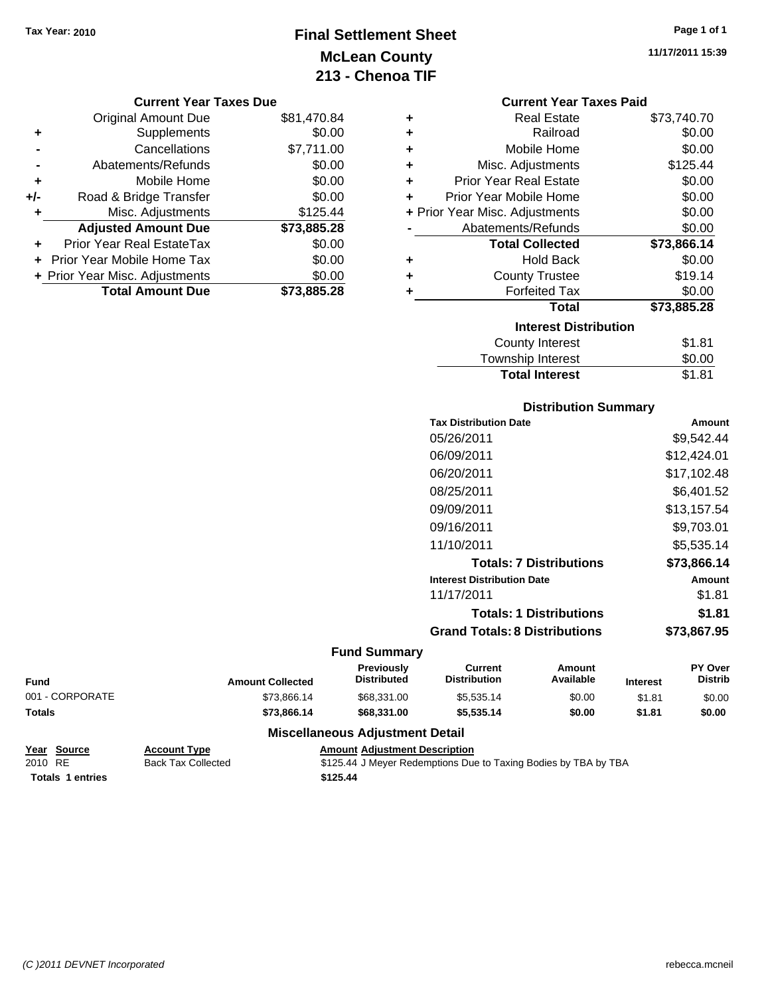### **Final Settlement Sheet Tax Year: 2010 Page 1 of 1 McLean County 213 - Chenoa TIF**

**11/17/2011 15:39**

#### **Current Year Taxes Due**

|     | <b>Original Amount Due</b>        | \$81,470.84 |
|-----|-----------------------------------|-------------|
| ٠   | Supplements                       | \$0.00      |
|     | Cancellations                     | \$7,711.00  |
|     | Abatements/Refunds                | \$0.00      |
| ÷   | Mobile Home                       | \$0.00      |
| +/- | Road & Bridge Transfer            | \$0.00      |
|     | Misc. Adjustments                 | \$125.44    |
|     | <b>Adjusted Amount Due</b>        | \$73,885.28 |
| ٠   | <b>Prior Year Real EstateTax</b>  | \$0.00      |
|     | <b>Prior Year Mobile Home Tax</b> | \$0.00      |
|     | + Prior Year Misc. Adjustments    | \$0.00      |
|     | <b>Total Amount Due</b>           | \$73,885.28 |

|   | <b>Current Year Taxes Paid</b> |             |
|---|--------------------------------|-------------|
| ٠ | <b>Real Estate</b>             | \$73,740.70 |
| ٠ | Railroad                       | \$0.00      |
| ٠ | Mobile Home                    | \$0.00      |
| ٠ | Misc. Adjustments              | \$125.44    |
| ٠ | Prior Year Real Estate         | \$0.00      |
| ٠ | Prior Year Mobile Home         | \$0.00      |
|   | + Prior Year Misc. Adjustments | \$0.00      |
|   | Abatements/Refunds             | \$0.00      |
|   | <b>Total Collected</b>         | \$73,866.14 |
| ٠ | <b>Hold Back</b>               | \$0.00      |
| ٠ | <b>County Trustee</b>          | \$19.14     |
| ٠ | <b>Forfeited Tax</b>           | \$0.00      |
|   | Total                          | \$73,885.28 |
|   | <b>Interest Distribution</b>   |             |
|   | <b>County Interest</b>         | \$1.81      |
|   | <b>Township Interest</b>       | \$0.00      |

#### **Distribution Summary**

**Total Interest** \$1.81

| <b>Tax Distribution Date</b>         | Amount      |
|--------------------------------------|-------------|
| 05/26/2011                           | \$9,542.44  |
| 06/09/2011                           | \$12,424.01 |
| 06/20/2011                           | \$17.102.48 |
| 08/25/2011                           | \$6,401.52  |
| 09/09/2011                           | \$13,157.54 |
| 09/16/2011                           | \$9,703.01  |
| 11/10/2011                           | \$5.535.14  |
| <b>Totals: 7 Distributions</b>       | \$73,866.14 |
| <b>Interest Distribution Date</b>    | Amount      |
| 11/17/2011                           | \$1.81      |
| <b>Totals: 1 Distributions</b>       | \$1.81      |
| <b>Grand Totals: 8 Distributions</b> | \$73.867.95 |
|                                      |             |

### **Fund Summary**

| Fund            | <b>Amount Collected</b> | <b>Previously</b><br><b>Distributed</b> | Current<br><b>Distribution</b> | Amount<br>Available | <b>Interest</b> | <b>PY Over</b><br><b>Distrib</b> |
|-----------------|-------------------------|-----------------------------------------|--------------------------------|---------------------|-----------------|----------------------------------|
| 001 - CORPORATE | \$73.866.14             | \$68,331,00                             | \$5,535.14                     | \$0.00              | \$1.81          | \$0.00                           |
| Totals          | \$73.866.14             | \$68,331,00                             | \$5.535.14                     | \$0.00              | \$1.81          | \$0.00                           |

#### **Miscellaneous Adjustment Detail**

|         | Year Source             | <b>Account Type</b> | <b>Amount Adiustment Description</b>                            |
|---------|-------------------------|---------------------|-----------------------------------------------------------------|
| 2010 RE |                         | Back Tax Collected  | \$125.44 J Meyer Redemptions Due to Taxing Bodies by TBA by TBA |
|         | <b>Totals 1 entries</b> |                     | \$125.44                                                        |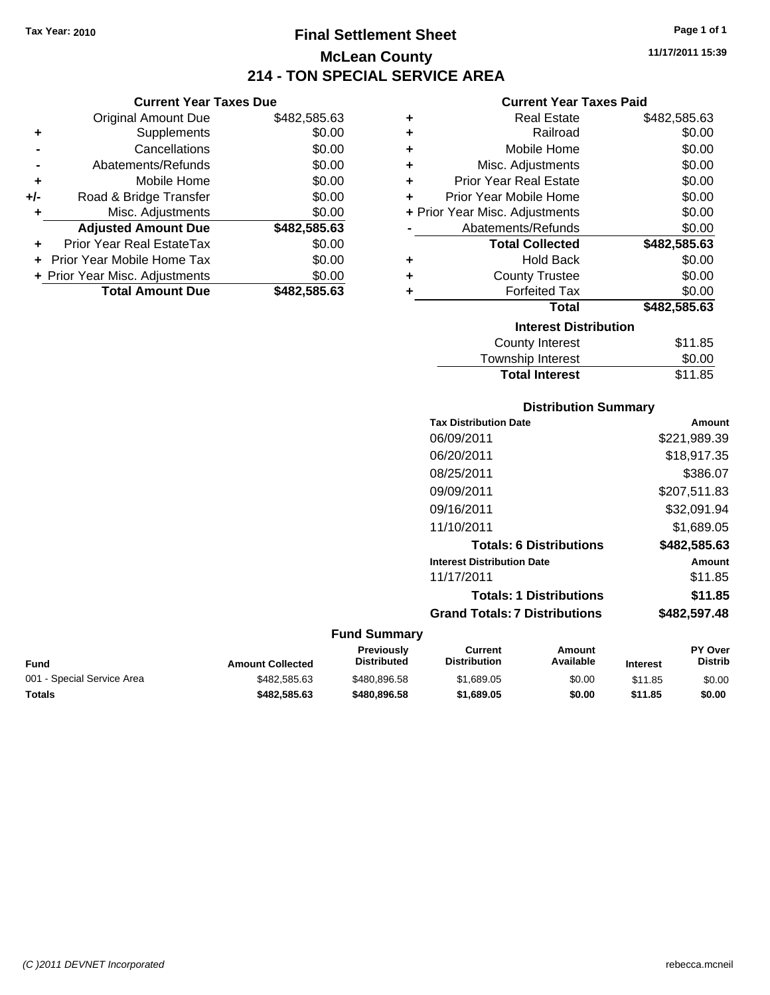### **Final Settlement Sheet Tax Year: 2010 Page 1 of 1 McLean County 214 - TON SPECIAL SERVICE AREA**

**Current Year Taxes Due**

|       | <b>Original Amount Due</b>       | \$482,585.63 |
|-------|----------------------------------|--------------|
| ٠     | Supplements                      | \$0.00       |
|       | Cancellations                    | \$0.00       |
|       | Abatements/Refunds               | \$0.00       |
| ٠     | Mobile Home                      | \$0.00       |
| $+/-$ | Road & Bridge Transfer           | \$0.00       |
| ٠     | Misc. Adjustments                | \$0.00       |
|       | <b>Adjusted Amount Due</b>       | \$482,585.63 |
|       | <b>Prior Year Real EstateTax</b> | \$0.00       |
|       | Prior Year Mobile Home Tax       | \$0.00       |
|       | + Prior Year Misc. Adjustments   | \$0.00       |
|       | <b>Total Amount Due</b>          | \$482,585.63 |
|       |                                  |              |

#### **Current Year Taxes Paid**

| ٠ | <b>Real Estate</b>             | \$482,585.63 |
|---|--------------------------------|--------------|
| ٠ | Railroad                       | \$0.00       |
| ٠ | Mobile Home                    | \$0.00       |
| ٠ | Misc. Adjustments              | \$0.00       |
| ٠ | <b>Prior Year Real Estate</b>  | \$0.00       |
| ٠ | Prior Year Mobile Home         | \$0.00       |
|   | + Prior Year Misc. Adjustments | \$0.00       |
|   | Abatements/Refunds             | \$0.00       |
|   | <b>Total Collected</b>         | \$482,585.63 |
| ٠ | <b>Hold Back</b>               | \$0.00       |
| ٠ | <b>County Trustee</b>          | \$0.00       |
| ٠ | <b>Forfeited Tax</b>           | \$0.00       |
|   | <b>Total</b>                   | \$482,585.63 |
|   | <b>Interest Distribution</b>   |              |
|   | <b>County Interest</b>         | \$11.85      |
|   | <b>Townebin Interact</b>       | ደስ ሰስ        |

| <b>Total Interest</b> | \$11.85 |
|-----------------------|---------|
| Township Interest     | \$0.00  |
| County interest       | 311.85  |

#### **Distribution Summary**

| <b>Tax Distribution Date</b>         | Amount       |
|--------------------------------------|--------------|
| 06/09/2011                           | \$221,989.39 |
| 06/20/2011                           | \$18,917.35  |
| 08/25/2011                           | \$386.07     |
| 09/09/2011                           | \$207,511.83 |
| 09/16/2011                           | \$32,091.94  |
| 11/10/2011                           | \$1,689.05   |
| <b>Totals: 6 Distributions</b>       | \$482,585.63 |
| <b>Interest Distribution Date</b>    | Amount       |
| 11/17/2011                           | \$11.85      |
| <b>Totals: 1 Distributions</b>       | \$11.85      |
| <b>Grand Totals: 7 Distributions</b> | \$482,597.48 |
|                                      |              |

| Fund                       | <b>Amount Collected</b> | Previouslv<br><b>Distributed</b> | Current<br>Distribution | Amount<br>Available | <b>Interest</b> | <b>PY Over</b><br><b>Distrib</b> |
|----------------------------|-------------------------|----------------------------------|-------------------------|---------------------|-----------------|----------------------------------|
| 001 - Special Service Area | \$482.585.63            | \$480.896.58                     | \$1.689.05              | \$0.00              | \$11.85         | \$0.00                           |
| Totals                     | \$482.585.63            | \$480,896,58                     | \$1,689.05              | \$0.00              | \$11.85         | \$0.00                           |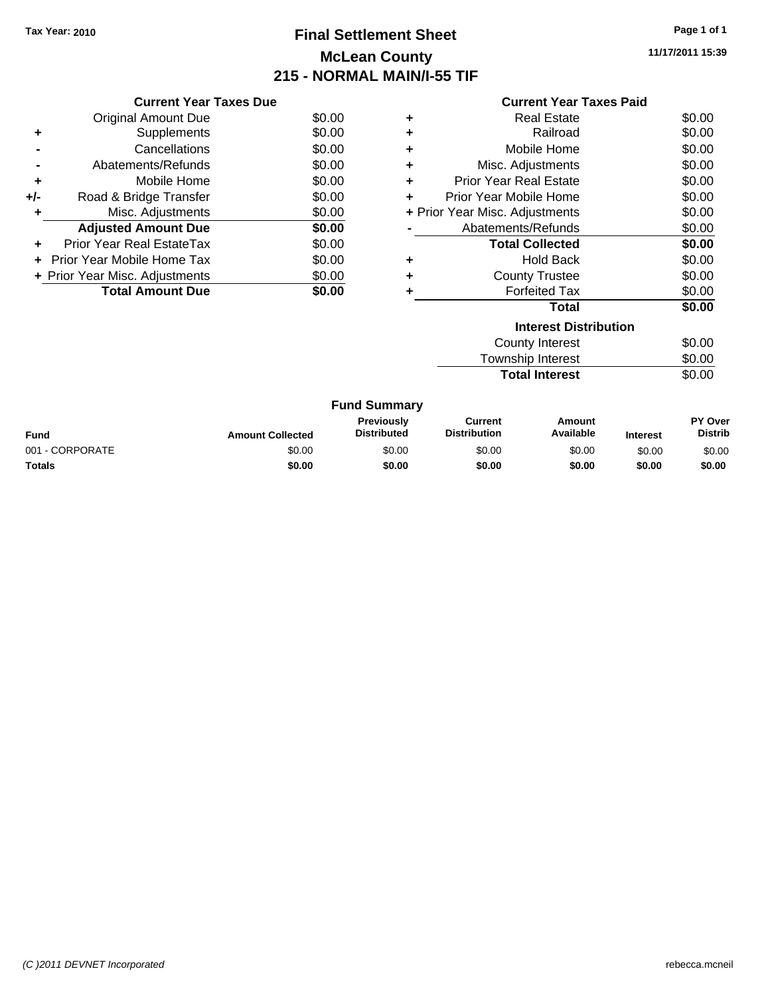### **Final Settlement Sheet Tax Year: 2010 Page 1 of 1 McLean County 215 - NORMAL MAIN/I-55 TIF**

**11/17/2011 15:39**

|     | <b>Current Year Taxes Due</b>  |        |
|-----|--------------------------------|--------|
|     | <b>Original Amount Due</b>     | \$0.00 |
| ٠   | Supplements                    | \$0.00 |
|     | Cancellations                  | \$0.00 |
|     | Abatements/Refunds             | \$0.00 |
| ٠   | Mobile Home                    | \$0.00 |
| +/- | Road & Bridge Transfer         | \$0.00 |
|     | Misc. Adjustments              | \$0.00 |
|     | <b>Adjusted Amount Due</b>     | \$0.00 |
|     | Prior Year Real EstateTax      | \$0.00 |
|     | Prior Year Mobile Home Tax     | \$0.00 |
|     | + Prior Year Misc. Adjustments | \$0.00 |
|     | <b>Total Amount Due</b>        | \$0.00 |
|     |                                |        |

|   | <b>Current Year Taxes Paid</b>   |        |  |  |  |  |  |
|---|----------------------------------|--------|--|--|--|--|--|
| ٠ | <b>Real Estate</b>               | \$0.00 |  |  |  |  |  |
| ٠ | Railroad                         | \$0.00 |  |  |  |  |  |
| ٠ | Mobile Home                      | \$0.00 |  |  |  |  |  |
| ٠ | Misc. Adjustments                | \$0.00 |  |  |  |  |  |
| ٠ | <b>Prior Year Real Estate</b>    | \$0.00 |  |  |  |  |  |
|   | Prior Year Mobile Home           | \$0.00 |  |  |  |  |  |
|   | + Prior Year Misc. Adjustments   | \$0.00 |  |  |  |  |  |
|   | Abatements/Refunds               | \$0.00 |  |  |  |  |  |
|   | <b>Total Collected</b>           | \$0.00 |  |  |  |  |  |
| ٠ | <b>Hold Back</b>                 | \$0.00 |  |  |  |  |  |
| ٠ | <b>County Trustee</b>            | \$0.00 |  |  |  |  |  |
| ٠ | <b>Forfeited Tax</b>             | \$0.00 |  |  |  |  |  |
|   | <b>Total</b>                     | \$0.00 |  |  |  |  |  |
|   | <b>Interest Distribution</b>     |        |  |  |  |  |  |
|   | <b>County Interest</b><br>\$0.00 |        |  |  |  |  |  |

Township Interest  $$0.00$ **Total Interest** \$0.00

| <b>Fund Summary</b> |                         |                                         |                                |                     |                 |                                  |
|---------------------|-------------------------|-----------------------------------------|--------------------------------|---------------------|-----------------|----------------------------------|
| <b>Fund</b>         | <b>Amount Collected</b> | <b>Previously</b><br><b>Distributed</b> | Current<br><b>Distribution</b> | Amount<br>Available | <b>Interest</b> | <b>PY Over</b><br><b>Distrib</b> |
| 001 - CORPORATE     | \$0.00                  | \$0.00                                  | \$0.00                         | \$0.00              | \$0.00          | \$0.00                           |
| <b>Totals</b>       | \$0.00                  | \$0.00                                  | \$0.00                         | \$0.00              | \$0.00          | \$0.00                           |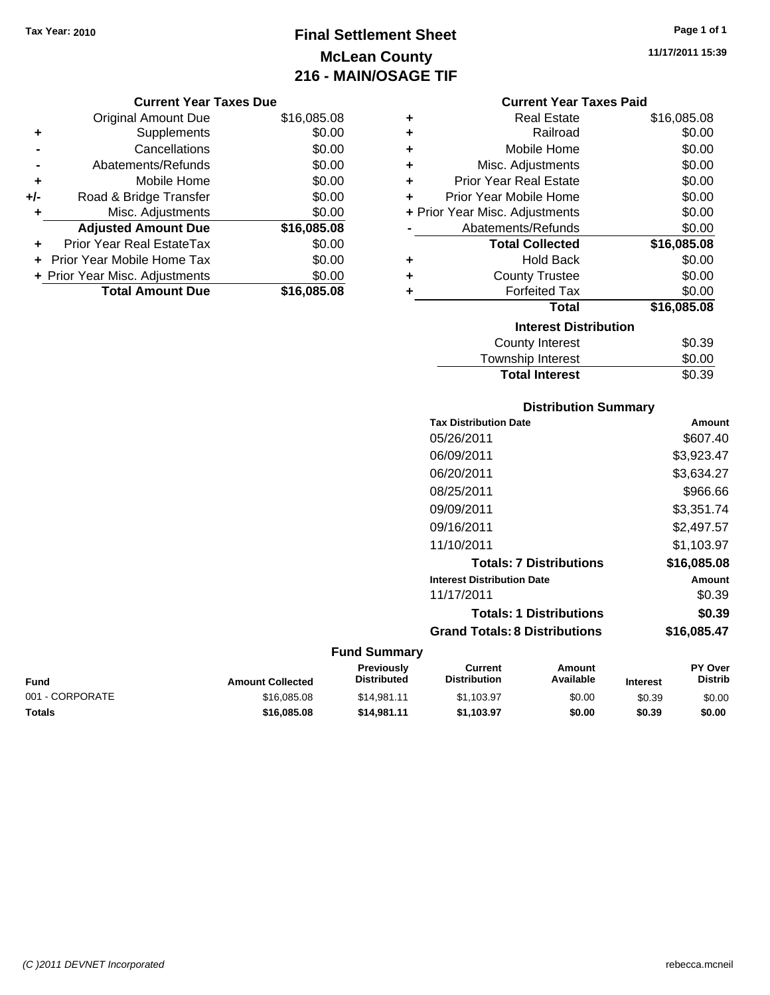## **Final Settlement Sheet Tax Year: 2010 Page 1 of 1 McLean County 216 - MAIN/OSAGE TIF**

**11/17/2011 15:39**

|       | <b>Original Amount Due</b>       | \$16,085.08 |
|-------|----------------------------------|-------------|
| ٠     | Supplements                      | \$0.00      |
|       | Cancellations                    | \$0.00      |
|       | Abatements/Refunds               | \$0.00      |
| ÷     | Mobile Home                      | \$0.00      |
| $+/-$ | Road & Bridge Transfer           | \$0.00      |
| ۰     | Misc. Adjustments                | \$0.00      |
|       | <b>Adjusted Amount Due</b>       | \$16,085.08 |
|       | <b>Prior Year Real EstateTax</b> | \$0.00      |
|       | + Prior Year Mobile Home Tax     | \$0.00      |
|       | + Prior Year Misc. Adjustments   | \$0.00      |
|       | <b>Total Amount Due</b>          | \$16,085,08 |

| <b>Current Year Taxes Paid</b> |  |  |  |
|--------------------------------|--|--|--|
|--------------------------------|--|--|--|

| ٠ | <b>Real Estate</b>             | \$16,085.08 |
|---|--------------------------------|-------------|
| ÷ | Railroad                       | \$0.00      |
| ÷ | Mobile Home                    | \$0.00      |
| ٠ | Misc. Adjustments              | \$0.00      |
| ÷ | <b>Prior Year Real Estate</b>  | \$0.00      |
| ÷ | Prior Year Mobile Home         | \$0.00      |
|   | + Prior Year Misc. Adjustments | \$0.00      |
|   | Abatements/Refunds             | \$0.00      |
|   |                                |             |
|   | <b>Total Collected</b>         | \$16,085.08 |
| ٠ | <b>Hold Back</b>               | \$0.00      |
| ÷ | <b>County Trustee</b>          | \$0.00      |
| ٠ | <b>Forfeited Tax</b>           | \$0.00      |
|   | <b>Total</b>                   | \$16,085.08 |
|   | <b>Interest Distribution</b>   |             |
|   | <b>County Interest</b>         | \$0.39      |

# **Distribution Summary**

**Total Interest** \$0.39

| <b>Tax Distribution Date</b>         | Amount      |
|--------------------------------------|-------------|
| 05/26/2011                           | \$607.40    |
| 06/09/2011                           | \$3,923.47  |
| 06/20/2011                           | \$3,634.27  |
| 08/25/2011                           | \$966.66    |
| 09/09/2011                           | \$3,351.74  |
| 09/16/2011                           | \$2,497.57  |
| 11/10/2011                           | \$1,103.97  |
| <b>Totals: 7 Distributions</b>       | \$16,085.08 |
| <b>Interest Distribution Date</b>    | Amount      |
| 11/17/2011                           | \$0.39      |
| <b>Totals: 1 Distributions</b>       | \$0.39      |
| <b>Grand Totals: 8 Distributions</b> | \$16,085.47 |
|                                      |             |

| Fund            | <b>Amount Collected</b> | <b>Previously</b><br><b>Distributed</b> | Current<br><b>Distribution</b> | Amount<br>Available | <b>Interest</b> | <b>PY Over</b><br><b>Distrib</b> |
|-----------------|-------------------------|-----------------------------------------|--------------------------------|---------------------|-----------------|----------------------------------|
| 001 - CORPORATE | \$16,085,08             | \$14.981.11                             | \$1.103.97                     | \$0.00              | \$0.39          | \$0.00                           |
| <b>Totals</b>   | \$16,085,08             | \$14,981,11                             | \$1.103.97                     | \$0.00              | \$0.39          | \$0.00                           |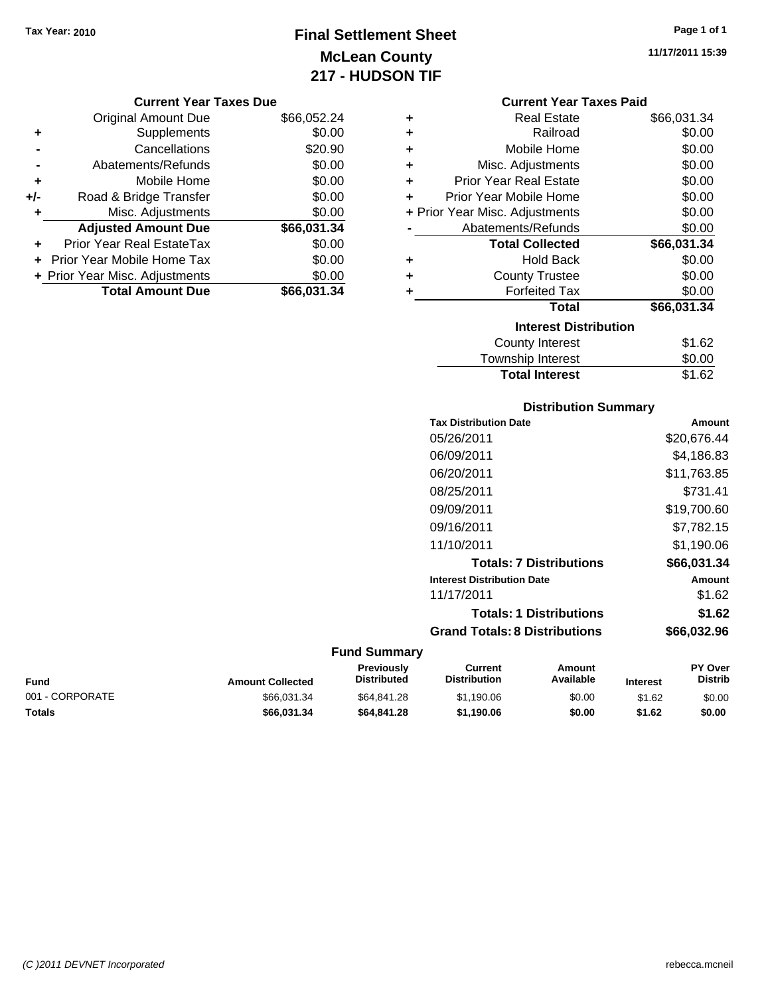### **Final Settlement Sheet Tax Year: 2010 Page 1 of 1 McLean County 217 - HUDSON TIF**

**11/17/2011 15:39**

#### **Current Year Taxes Due**

|       | <b>Original Amount Due</b>     | \$66,052.24 |
|-------|--------------------------------|-------------|
| ٠     | Supplements                    | \$0.00      |
|       | Cancellations                  | \$20.90     |
|       | Abatements/Refunds             | \$0.00      |
| ÷     | Mobile Home                    | \$0.00      |
| $+/-$ | Road & Bridge Transfer         | \$0.00      |
| ٠     | Misc. Adjustments              | \$0.00      |
|       | <b>Adjusted Amount Due</b>     | \$66,031.34 |
|       | Prior Year Real EstateTax      | \$0.00      |
|       | Prior Year Mobile Home Tax     | \$0.00      |
|       | + Prior Year Misc. Adjustments | \$0.00      |
|       | <b>Total Amount Due</b>        | \$66,031.34 |

#### **Current Year Taxes Paid**

| ٠                            | <b>Real Estate</b>             | \$66,031.34 |  |  |
|------------------------------|--------------------------------|-------------|--|--|
| ÷                            | Railroad                       | \$0.00      |  |  |
| ÷                            | Mobile Home                    | \$0.00      |  |  |
| ÷                            | Misc. Adjustments              | \$0.00      |  |  |
| ٠                            | <b>Prior Year Real Estate</b>  | \$0.00      |  |  |
| ٠                            | Prior Year Mobile Home         | \$0.00      |  |  |
|                              | + Prior Year Misc. Adjustments | \$0.00      |  |  |
|                              | Abatements/Refunds             | \$0.00      |  |  |
|                              | <b>Total Collected</b>         | \$66,031.34 |  |  |
| ٠                            | <b>Hold Back</b>               | \$0.00      |  |  |
| ÷                            | <b>County Trustee</b>          | \$0.00      |  |  |
| ٠                            | <b>Forfeited Tax</b>           | \$0.00      |  |  |
|                              | Total                          | \$66,031.34 |  |  |
| <b>Interest Distribution</b> |                                |             |  |  |
|                              | County Interest                | \$1.62      |  |  |
|                              | <b>Township Interest</b>       | \$0.00      |  |  |
|                              | <b>Total Interest</b>          | \$1.62      |  |  |

#### **Distribution Summary**

| <b>Tax Distribution Date</b>         | Amount      |
|--------------------------------------|-------------|
| 05/26/2011                           | \$20,676.44 |
| 06/09/2011                           | \$4,186.83  |
| 06/20/2011                           | \$11,763.85 |
| 08/25/2011                           | \$731.41    |
| 09/09/2011                           | \$19,700.60 |
| 09/16/2011                           | \$7.782.15  |
| 11/10/2011                           | \$1.190.06  |
| <b>Totals: 7 Distributions</b>       | \$66,031.34 |
| <b>Interest Distribution Date</b>    | Amount      |
| 11/17/2011                           | \$1.62      |
| <b>Totals: 1 Distributions</b>       | \$1.62      |
| <b>Grand Totals: 8 Distributions</b> | \$66.032.96 |
|                                      |             |

| <b>Fund</b>     | <b>Amount Collected</b> | <b>Previously</b><br><b>Distributed</b> | Current<br><b>Distribution</b> | Amount<br>Available | <b>Interest</b> | <b>PY Over</b><br><b>Distrib</b> |
|-----------------|-------------------------|-----------------------------------------|--------------------------------|---------------------|-----------------|----------------------------------|
| 001 - CORPORATE | \$66.031.34             | \$64.841.28                             | \$1.190.06                     | \$0.00              | \$1.62          | \$0.00                           |
| Totals          | \$66.031.34             | \$64,841,28                             | \$1.190.06                     | \$0.00              | \$1.62          | \$0.00                           |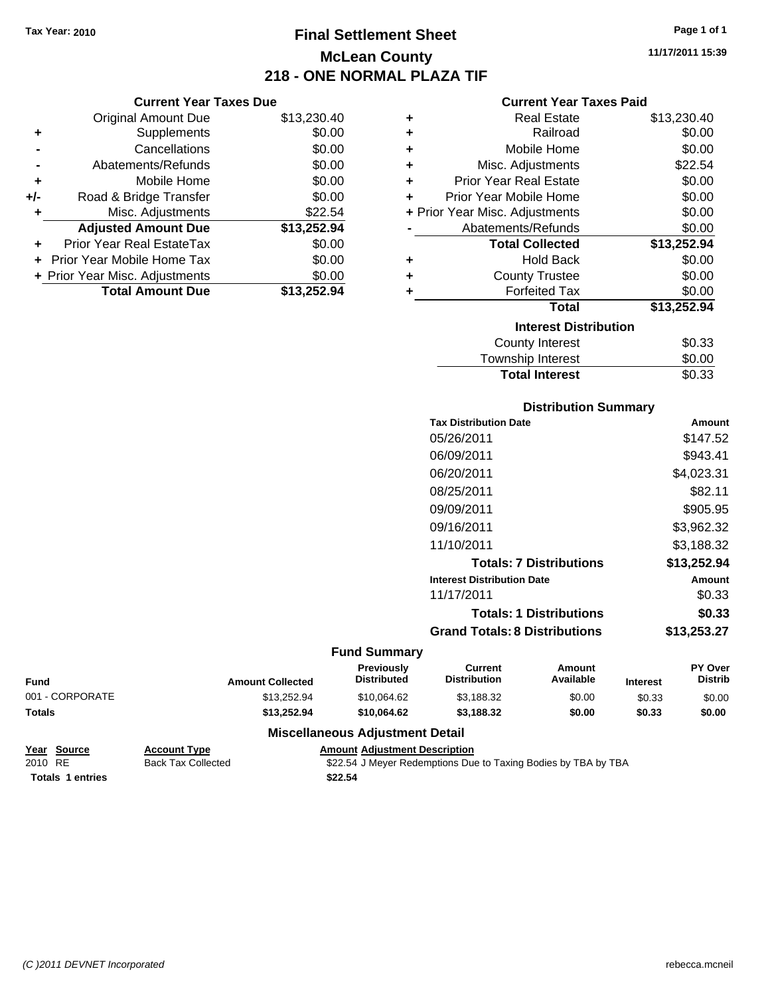**Current Year Taxes Due** Original Amount Due \$13,230.40

**Adjusted Amount Due \$13,252.94**

**Total Amount Due \$13,252.94**

**+** Supplements \$0.00 **-** Cancellations \$0.00 **-** Abatements/Refunds \$0.00 **+** Mobile Home \$0.00 **+/-** Road & Bridge Transfer \$0.00 **+** Misc. Adjustments \$22.54

**+** Prior Year Real EstateTax \$0.00 **+** Prior Year Mobile Home Tax \$0.00 **+ Prior Year Misc. Adjustments**  $$0.00$ 

### **Final Settlement Sheet Tax Year: 2010 Page 1 of 1 McLean County 218 - ONE NORMAL PLAZA TIF**

**11/17/2011 15:39**

#### **Current Year Taxes Paid**

| ٠ | <b>Real Estate</b>             | \$13,230.40 |
|---|--------------------------------|-------------|
| ٠ | Railroad                       | \$0.00      |
| ٠ | Mobile Home                    | \$0.00      |
| ٠ | Misc. Adjustments              | \$22.54     |
| ÷ | <b>Prior Year Real Estate</b>  | \$0.00      |
| ÷ | Prior Year Mobile Home         | \$0.00      |
|   | + Prior Year Misc. Adjustments | \$0.00      |
|   | Abatements/Refunds             | \$0.00      |
|   | <b>Total Collected</b>         | \$13,252.94 |
| ٠ | <b>Hold Back</b>               | \$0.00      |
| ÷ | <b>County Trustee</b>          | \$0.00      |
| ٠ | <b>Forfeited Tax</b>           | \$0.00      |
|   | Total                          | \$13,252.94 |
|   | <b>Interest Distribution</b>   |             |
|   | County Interest                | \$0.33      |
|   | Townshin Interest              | ደ0 00       |

# Township Interest  $$0.00$ Total Interest \$0.33

| <b>Distribution Summary</b> |  |
|-----------------------------|--|
|                             |  |

| <b>Tax Distribution Date</b>         | Amount      |
|--------------------------------------|-------------|
| 05/26/2011                           | \$147.52    |
| 06/09/2011                           | \$943.41    |
| 06/20/2011                           | \$4,023.31  |
| 08/25/2011                           | \$82.11     |
| 09/09/2011                           | \$905.95    |
| 09/16/2011                           | \$3,962.32  |
| 11/10/2011                           | \$3.188.32  |
| <b>Totals: 7 Distributions</b>       | \$13,252.94 |
| <b>Interest Distribution Date</b>    | Amount      |
| 11/17/2011                           | \$0.33      |
| <b>Totals: 1 Distributions</b>       | \$0.33      |
| <b>Grand Totals: 8 Distributions</b> | \$13,253.27 |
|                                      |             |

#### **Fund Summary**

| Fund            | <b>Amount Collected</b> | <b>Previously</b><br><b>Distributed</b> | Current<br><b>Distribution</b> | Amount<br>Available | <b>Interest</b> | <b>PY Over</b><br><b>Distrib</b> |
|-----------------|-------------------------|-----------------------------------------|--------------------------------|---------------------|-----------------|----------------------------------|
| 001 - CORPORATE | \$13.252.94             | \$10.064.62                             | \$3,188.32                     | \$0.00              | \$0.33          | \$0.00                           |
| <b>Totals</b>   | \$13.252.94             | \$10,064.62                             | \$3.188.32                     | \$0.00              | \$0.33          | \$0.00                           |

#### **Miscellaneous Adjustment Detail**

| Year Source             | <b>Account Type</b> | <b>Amount Adiustment Description</b>                           |
|-------------------------|---------------------|----------------------------------------------------------------|
| 2010 RE                 | Back Tax Collected  | \$22.54 J Meyer Redemptions Due to Taxing Bodies by TBA by TBA |
| <b>Totals 1 entries</b> |                     | \$22.54                                                        |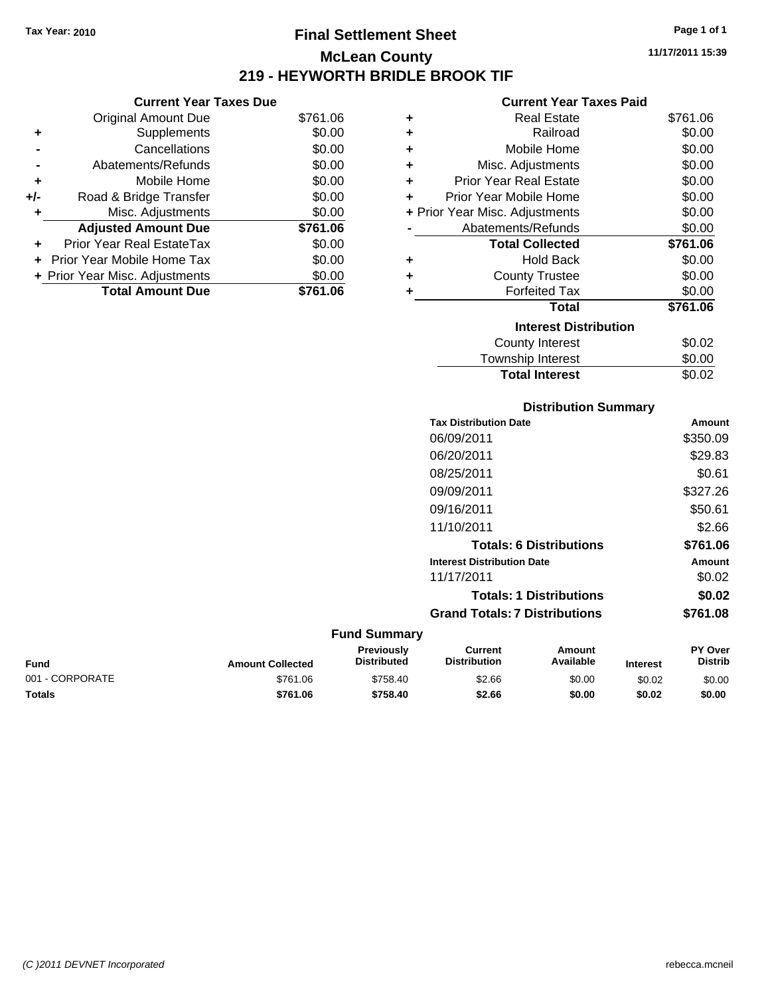### **Final Settlement Sheet Tax Year: 2010 Page 1 of 1 McLean County 219 - HEYWORTH BRIDLE BROOK TIF**

**Current Year Taxes Due**

|       | <b>Total Amount Due</b>        | \$761.06 |
|-------|--------------------------------|----------|
|       | + Prior Year Misc. Adjustments | \$0.00   |
|       | Prior Year Mobile Home Tax     | \$0.00   |
|       | Prior Year Real EstateTax      | \$0.00   |
|       | <b>Adjusted Amount Due</b>     | \$761.06 |
|       | Misc. Adjustments              | \$0.00   |
| $+/-$ | Road & Bridge Transfer         | \$0.00   |
| ÷     | Mobile Home                    | \$0.00   |
|       | Abatements/Refunds             | \$0.00   |
|       | Cancellations                  | \$0.00   |
| ٠     | Supplements                    | \$0.00   |
|       | <b>Original Amount Due</b>     | \$761.06 |
|       |                                |          |

#### **Current Year Taxes Paid**

| ٠ | Real Estate                    | \$761.06 |
|---|--------------------------------|----------|
| ٠ | Railroad                       | \$0.00   |
| ٠ | Mobile Home                    | \$0.00   |
| ٠ | Misc. Adjustments              | \$0.00   |
| ٠ | <b>Prior Year Real Estate</b>  | \$0.00   |
| ٠ | Prior Year Mobile Home         | \$0.00   |
|   | + Prior Year Misc. Adjustments | \$0.00   |
|   | Abatements/Refunds             | \$0.00   |
|   | <b>Total Collected</b>         | \$761.06 |
| ٠ | Hold Back                      | \$0.00   |
| ٠ | <b>County Trustee</b>          | \$0.00   |
| ٠ | <b>Forfeited Tax</b>           | \$0.00   |
|   | Total                          | \$761.06 |
|   | <b>Interest Distribution</b>   |          |
|   | County Interest                | \$0.02   |
|   | <b>Township Interest</b>       | \$0.00   |
|   | <b>Total Interest</b>          | \$0.02   |

### **Distribution Summary**

|   | <b>Tax Distribution Date</b>         |                                | Amount         |
|---|--------------------------------------|--------------------------------|----------------|
|   | 06/09/2011                           |                                | \$350.09       |
|   | 06/20/2011                           |                                | \$29.83        |
|   | 08/25/2011                           |                                | \$0.61         |
|   | 09/09/2011                           |                                | \$327.26       |
|   | 09/16/2011                           |                                | \$50.61        |
|   | 11/10/2011                           |                                | \$2.66         |
|   |                                      | <b>Totals: 6 Distributions</b> | \$761.06       |
|   | <b>Interest Distribution Date</b>    |                                | Amount         |
|   | 11/17/2011                           |                                | \$0.02         |
|   |                                      | <b>Totals: 1 Distributions</b> | \$0.02         |
|   | <b>Grand Totals: 7 Distributions</b> |                                | \$761.08       |
| γ |                                      |                                |                |
|   | Current                              | Amount                         | <b>PY Over</b> |

| <b>Fund Summary</b> |                         |                                         |                                |                     |                 |                    |
|---------------------|-------------------------|-----------------------------------------|--------------------------------|---------------------|-----------------|--------------------|
| Fund                | <b>Amount Collected</b> | <b>Previously</b><br><b>Distributed</b> | Current<br><b>Distribution</b> | Amount<br>Available | <b>Interest</b> | PY Over<br>Distrib |
| 001 - CORPORATE     | \$761.06                | \$758.40                                | \$2.66                         | \$0.00              | \$0.02          | \$0.00             |
| Totals              | \$761.06                | \$758.40                                | \$2.66                         | \$0.00              | \$0.02          | \$0.00             |

**Distrib**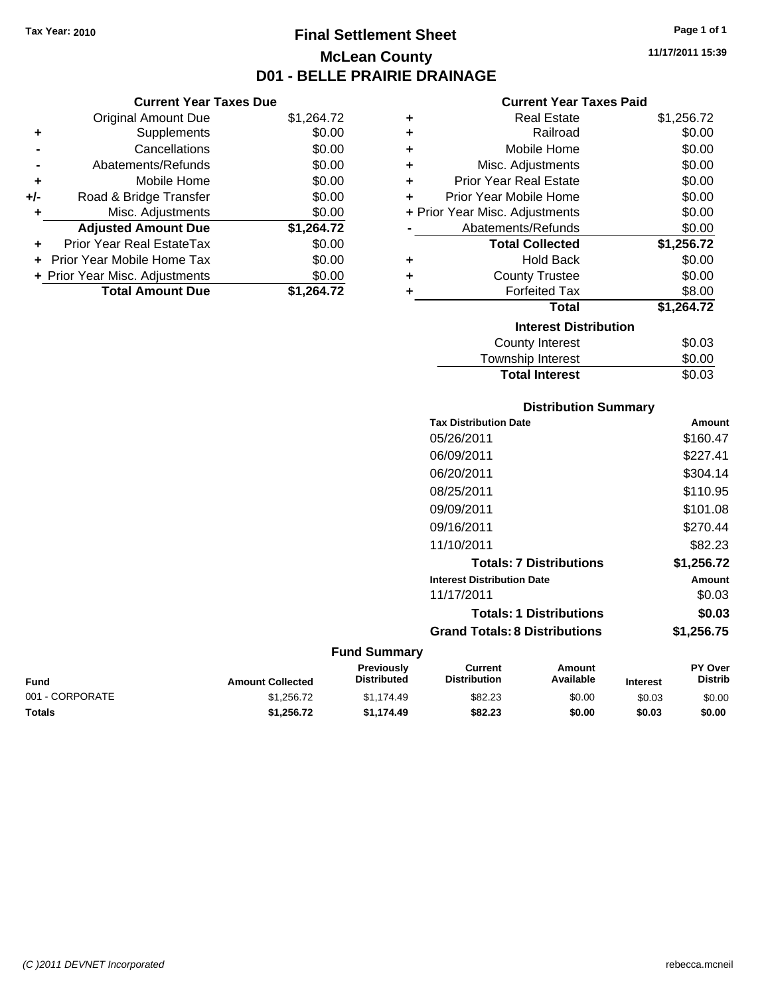### **Final Settlement Sheet Tax Year: 2010 Page 1 of 1 McLean County D01 - BELLE PRAIRIE DRAINAGE**

**11/17/2011 15:39**

|     | <b>Current Year Taxes Due</b>  |            |
|-----|--------------------------------|------------|
|     | <b>Original Amount Due</b>     | \$1,264.72 |
|     | Supplements                    | \$0.00     |
|     | Cancellations                  | \$0.00     |
|     | Abatements/Refunds             | \$0.00     |
| ÷   | Mobile Home                    | \$0.00     |
| +/- | Road & Bridge Transfer         | \$0.00     |
| ٠   | Misc. Adjustments              | \$0.00     |
|     | <b>Adjusted Amount Due</b>     | \$1,264.72 |
|     | Prior Year Real EstateTax      | \$0.00     |
|     | Prior Year Mobile Home Tax     | \$0.00     |
|     | + Prior Year Misc. Adjustments | \$0.00     |
|     | <b>Total Amount Due</b>        | \$1.264.72 |

|   | <b>Current Year Taxes Paid</b> |            |
|---|--------------------------------|------------|
| ٠ | Real Estate                    | \$1,256.72 |
| ٠ | Railroad                       | \$0.00     |
| ٠ | Mobile Home                    | \$0.00     |
| ÷ | Misc. Adjustments              | \$0.00     |
| ÷ | Prior Year Real Estate         | \$0.00     |
| ÷ | Prior Year Mobile Home         | \$0.00     |
|   | + Prior Year Misc. Adjustments | \$0.00     |
|   | Abatements/Refunds             | \$0.00     |
|   | <b>Total Collected</b>         |            |
|   |                                | \$1,256.72 |
| ٠ | <b>Hold Back</b>               | \$0.00     |
| ٠ | <b>County Trustee</b>          | \$0.00     |
| ٠ | <b>Forfeited Tax</b>           | \$8.00     |
|   | <b>Total</b>                   | \$1,264.72 |
|   | <b>Interest Distribution</b>   |            |
|   | <b>County Interest</b>         | \$0.03     |
|   | <b>Township Interest</b>       | \$0.00     |

#### **Distribution Summary**

| Amount     |
|------------|
| \$160.47   |
| \$227.41   |
| \$304.14   |
| \$110.95   |
| \$101.08   |
| \$270.44   |
| \$82.23    |
| \$1,256.72 |
| Amount     |
| \$0.03     |
| \$0.03     |
| \$1,256.75 |
|            |

| <b>Fund</b>     | <b>Amount Collected</b> | <b>Previously</b><br><b>Distributed</b> | Current<br><b>Distribution</b> | Amount<br>Available | <b>Interest</b> | <b>PY Over</b><br><b>Distrib</b> |
|-----------------|-------------------------|-----------------------------------------|--------------------------------|---------------------|-----------------|----------------------------------|
| 001 - CORPORATE | \$1.256.72              | \$1.174.49                              | \$82.23                        | \$0.00              | \$0.03          | \$0.00                           |
| Totals          | \$1.256.72              | \$1.174.49                              | \$82.23                        | \$0.00              | \$0.03          | \$0.00                           |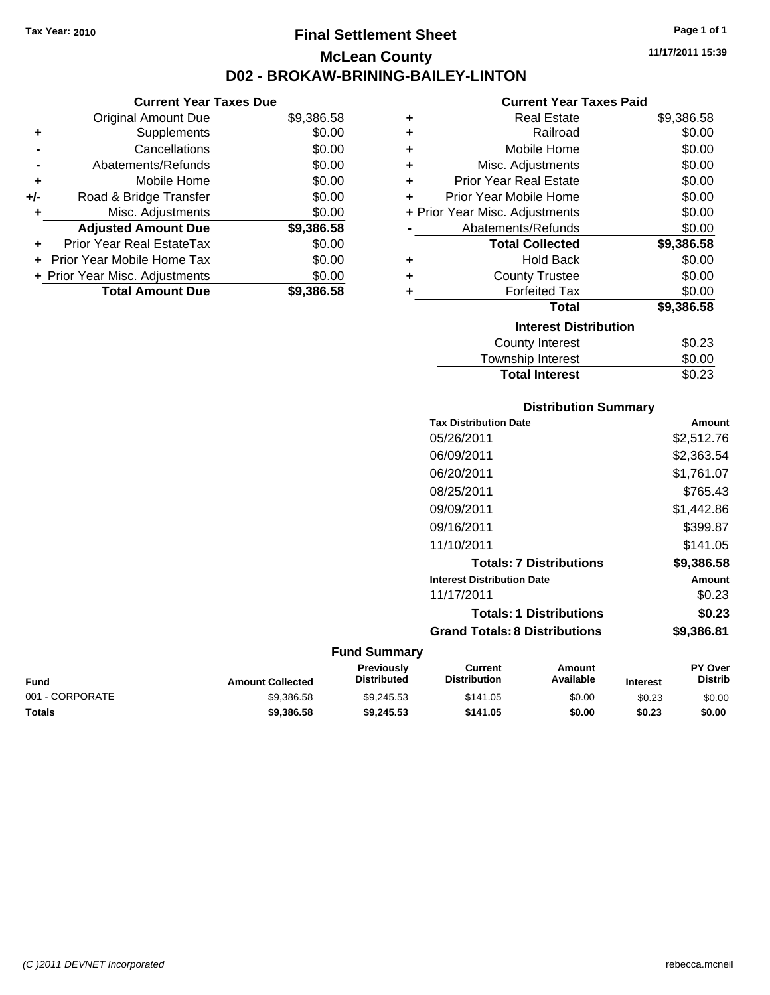### **Final Settlement Sheet Tax Year: 2010 Page 1 of 1 McLean County D02 - BROKAW-BRINING-BAILEY-LINTON**

#### **Current Year Taxes Due**

|       | <b>Original Amount Due</b>        | \$9,386.58 |
|-------|-----------------------------------|------------|
| ٠     | Supplements                       | \$0.00     |
|       | Cancellations                     | \$0.00     |
|       | Abatements/Refunds                | \$0.00     |
| ÷     | Mobile Home                       | \$0.00     |
| $+/-$ | Road & Bridge Transfer            | \$0.00     |
|       | Misc. Adjustments                 | \$0.00     |
|       | <b>Adjusted Amount Due</b>        | \$9,386.58 |
|       | Prior Year Real EstateTax         | \$0.00     |
|       | <b>Prior Year Mobile Home Tax</b> | \$0.00     |
|       | + Prior Year Misc. Adjustments    | \$0.00     |
|       | <b>Total Amount Due</b>           | \$9,386.58 |
|       |                                   |            |

#### **Current Year Taxes Paid**

| ٠ | <b>Real Estate</b>             | \$9,386.58 |
|---|--------------------------------|------------|
| ÷ | Railroad                       | \$0.00     |
| ÷ | Mobile Home                    | \$0.00     |
| ٠ | Misc. Adjustments              | \$0.00     |
| ÷ | <b>Prior Year Real Estate</b>  | \$0.00     |
| ٠ | Prior Year Mobile Home         | \$0.00     |
|   | + Prior Year Misc. Adjustments | \$0.00     |
|   | Abatements/Refunds             | \$0.00     |
|   |                                |            |
|   | <b>Total Collected</b>         | \$9,386.58 |
|   | <b>Hold Back</b>               | \$0.00     |
| ٠ | <b>County Trustee</b>          | \$0.00     |
| ٠ | <b>Forfeited Tax</b>           | \$0.00     |
|   | <b>Total</b>                   | \$9,386.58 |
|   | <b>Interest Distribution</b>   |            |
|   | County Interest                | \$0.23     |

### **Distribution Summary**

**Total Interest** \$0.23

| <b>Tax Distribution Date</b>         | Amount     |
|--------------------------------------|------------|
| 05/26/2011                           | \$2,512.76 |
| 06/09/2011                           | \$2,363.54 |
| 06/20/2011                           | \$1.761.07 |
| 08/25/2011                           | \$765.43   |
| 09/09/2011                           | \$1,442.86 |
| 09/16/2011                           | \$399.87   |
| 11/10/2011                           | \$141.05   |
| <b>Totals: 7 Distributions</b>       | \$9,386.58 |
| <b>Interest Distribution Date</b>    | Amount     |
| 11/17/2011                           | \$0.23     |
| <b>Totals: 1 Distributions</b>       | \$0.23     |
| <b>Grand Totals: 8 Distributions</b> | \$9,386.81 |

| <b>Fund</b>     | <b>Amount Collected</b> | <b>Previously</b><br><b>Distributed</b> | Current<br><b>Distribution</b> | Amount<br>Available | <b>Interest</b> | <b>PY Over</b><br><b>Distrib</b> |
|-----------------|-------------------------|-----------------------------------------|--------------------------------|---------------------|-----------------|----------------------------------|
| 001 - CORPORATE | \$9.386.58              | \$9.245.53                              | \$141.05                       | \$0.00              | \$0.23          | \$0.00                           |
| <b>Totals</b>   | \$9,386,58              | \$9.245.53                              | \$141.05                       | \$0.00              | \$0.23          | \$0.00                           |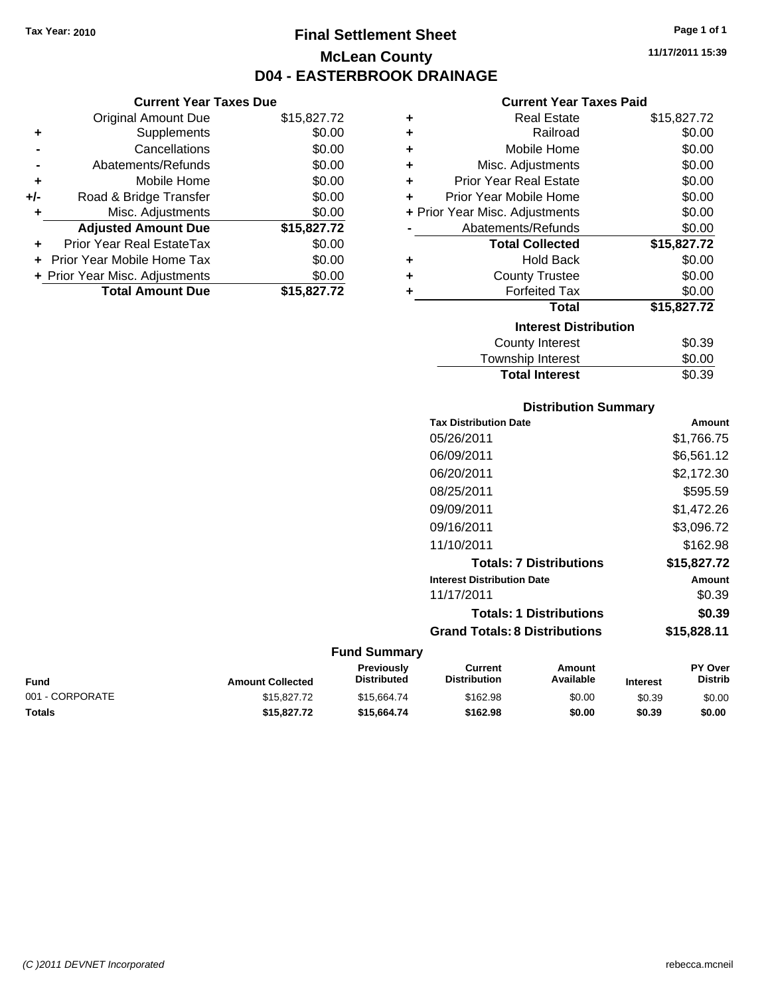**Current Year Taxes Due** Original Amount Due \$15,827.72

**Adjusted Amount Due \$15,827.72**

**Total Amount Due \$15,827.72**

**+** Supplements \$0.00 **-** Cancellations \$0.00 **-** Abatements/Refunds \$0.00 **+** Mobile Home \$0.00 **+/-** Road & Bridge Transfer \$0.00 **+** Misc. Adjustments \$0.00

**+** Prior Year Real EstateTax \$0.00 **+** Prior Year Mobile Home Tax \$0.00 **+ Prior Year Misc. Adjustments**  $$0.00$ 

### **Final Settlement Sheet Tax Year: 2010 Page 1 of 1 McLean County D04 - EASTERBROOK DRAINAGE**

**11/17/2011 15:39**

#### **Current Year Taxes Paid**

| ÷ | <b>Real Estate</b>             | \$15,827.72 |
|---|--------------------------------|-------------|
| ٠ | Railroad                       | \$0.00      |
| ٠ | Mobile Home                    | \$0.00      |
| ٠ | Misc. Adjustments              | \$0.00      |
| ٠ | <b>Prior Year Real Estate</b>  | \$0.00      |
| ÷ | Prior Year Mobile Home         | \$0.00      |
|   | + Prior Year Misc. Adjustments | \$0.00      |
|   | Abatements/Refunds             | \$0.00      |
|   | <b>Total Collected</b>         | \$15,827.72 |
| ٠ | <b>Hold Back</b>               | \$0.00      |
| ÷ | <b>County Trustee</b>          | \$0.00      |
|   | <b>Forfeited Tax</b>           | \$0.00      |
|   | <b>Total</b>                   | \$15,827.72 |
|   | <b>Interest Distribution</b>   |             |
|   | <b>County Interest</b>         | \$0.39      |
|   | Taurachin Internat             | ሮስ ሰሰ       |

| \$0.39 |
|--------|
| \$0.00 |
| \$0.39 |
|        |

| <b>Distribution Summary</b> |  |
|-----------------------------|--|
|-----------------------------|--|

| <b>Tax Distribution Date</b>         | Amount      |
|--------------------------------------|-------------|
| 05/26/2011                           | \$1,766.75  |
| 06/09/2011                           | \$6,561.12  |
| 06/20/2011                           | \$2,172.30  |
| 08/25/2011                           | \$595.59    |
| 09/09/2011                           | \$1.472.26  |
| 09/16/2011                           | \$3,096.72  |
| 11/10/2011                           | \$162.98    |
| <b>Totals: 7 Distributions</b>       | \$15,827.72 |
| <b>Interest Distribution Date</b>    | Amount      |
| 11/17/2011                           | \$0.39      |
| <b>Totals: 1 Distributions</b>       | \$0.39      |
| <b>Grand Totals: 8 Distributions</b> | \$15,828.11 |
|                                      |             |

| Fund            | <b>Amount Collected</b> | <b>Previously</b><br><b>Distributed</b> | Current<br><b>Distribution</b> | Amount<br>Available | <b>Interest</b> | <b>PY Over</b><br><b>Distrib</b> |
|-----------------|-------------------------|-----------------------------------------|--------------------------------|---------------------|-----------------|----------------------------------|
| 001 - CORPORATE | \$15,827.72             | \$15,664,74                             | \$162.98                       | \$0.00              | \$0.39          | \$0.00                           |
| Totals          | \$15,827.72             | \$15,664.74                             | \$162.98                       | \$0.00              | \$0.39          | \$0.00                           |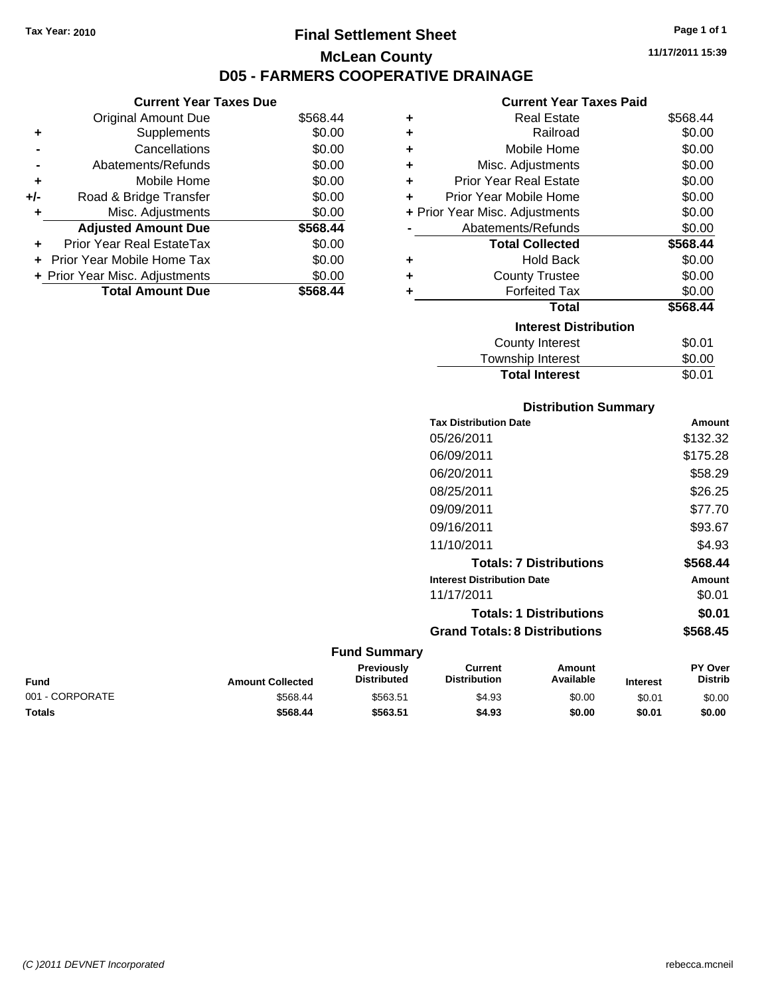### **Final Settlement Sheet Tax Year: 2010 Page 1 of 1 McLean County D05 - FARMERS COOPERATIVE DRAINAGE**

#### **Current Year Taxes Due**

| <b>Original Amount Due</b> | \$568.44                       |
|----------------------------|--------------------------------|
| Supplements                | \$0.00                         |
| Cancellations              | \$0.00                         |
| Abatements/Refunds         | \$0.00                         |
| Mobile Home                | \$0.00                         |
| Road & Bridge Transfer     | \$0.00                         |
| Misc. Adjustments          | \$0.00                         |
| <b>Adjusted Amount Due</b> | \$568.44                       |
| Prior Year Real EstateTax  | \$0.00                         |
| Prior Year Mobile Home Tax | \$0.00                         |
|                            | \$0.00                         |
| <b>Total Amount Due</b>    | \$568.44                       |
|                            | + Prior Year Misc. Adjustments |

#### **Current Year Taxes Paid**

| ٠ | <b>Real Estate</b>             | \$568.44 |
|---|--------------------------------|----------|
| ٠ | Railroad                       | \$0.00   |
| ٠ | Mobile Home                    | \$0.00   |
| ٠ | Misc. Adjustments              | \$0.00   |
| ÷ | <b>Prior Year Real Estate</b>  | \$0.00   |
| ÷ | Prior Year Mobile Home         | \$0.00   |
|   | + Prior Year Misc. Adjustments | \$0.00   |
|   | Abatements/Refunds             | \$0.00   |
|   | <b>Total Collected</b>         | \$568.44 |
| ٠ | <b>Hold Back</b>               | \$0.00   |
| ÷ | <b>County Trustee</b>          | \$0.00   |
| ٠ | <b>Forfeited Tax</b>           | \$0.00   |
|   | Total                          | \$568.44 |
|   | <b>Interest Distribution</b>   |          |
|   | <b>County Interest</b>         | \$0.01   |
|   | <b>Township Interest</b>       | \$0.00   |
|   | <b>Total Interest</b>          | \$0.01   |

#### **Distribution Summary**

| <b>Tax Distribution Date</b>         | Amount   |
|--------------------------------------|----------|
| 05/26/2011                           | \$132.32 |
| 06/09/2011                           | \$175.28 |
| 06/20/2011                           | \$58.29  |
| 08/25/2011                           | \$26.25  |
| 09/09/2011                           | \$77.70  |
| 09/16/2011                           | \$93.67  |
| 11/10/2011                           | \$4.93   |
| <b>Totals: 7 Distributions</b>       | \$568.44 |
| <b>Interest Distribution Date</b>    | Amount   |
| 11/17/2011                           | \$0.01   |
| <b>Totals: 1 Distributions</b>       | \$0.01   |
| <b>Grand Totals: 8 Distributions</b> | \$568.45 |

| <b>Fund</b>     | <b>Amount Collected</b> | <b>Previously</b><br><b>Distributed</b> | Current<br><b>Distribution</b> | Amount<br>Available | <b>Interest</b> | <b>PY Over</b><br><b>Distrib</b> |
|-----------------|-------------------------|-----------------------------------------|--------------------------------|---------------------|-----------------|----------------------------------|
| 001 - CORPORATE | \$568.44                | \$563.51                                | \$4.93                         | \$0.00              | \$0.01          | \$0.00                           |
| <b>Totals</b>   | \$568.44                | \$563.51                                | \$4.93                         | \$0.00              | \$0.01          | \$0.00                           |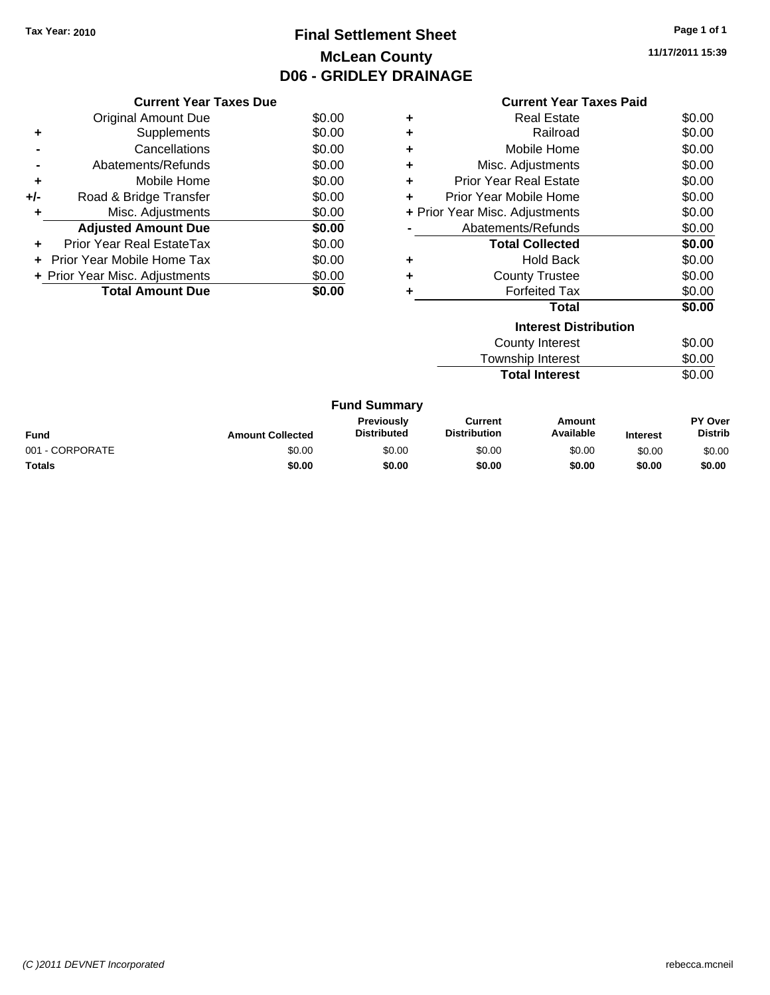### **Final Settlement Sheet Tax Year: 2010 Page 1 of 1 McLean County D06 - GRIDLEY DRAINAGE**

**11/17/2011 15:39**

|     | <b>Current Year Taxes Due</b>     |        |
|-----|-----------------------------------|--------|
|     | <b>Original Amount Due</b>        | \$0.00 |
| ٠   | Supplements                       | \$0.00 |
|     | Cancellations                     | \$0.00 |
|     | Abatements/Refunds                | \$0.00 |
| ٠   | Mobile Home                       | \$0.00 |
| +/- | Road & Bridge Transfer            | \$0.00 |
| ٠   | Misc. Adjustments                 | \$0.00 |
|     | <b>Adjusted Amount Due</b>        | \$0.00 |
| ÷   | Prior Year Real EstateTax         | \$0.00 |
|     | <b>Prior Year Mobile Home Tax</b> | \$0.00 |
|     | + Prior Year Misc. Adjustments    | \$0.00 |
|     | <b>Total Amount Due</b>           | \$0.00 |
|     |                                   |        |

|   | <b>Current Year Taxes Paid</b> |        |
|---|--------------------------------|--------|
| ٠ | Real Estate                    | \$0.00 |
| ٠ | Railroad                       | \$0.00 |
| ٠ | Mobile Home                    | \$0.00 |
| ٠ | Misc. Adjustments              | \$0.00 |
| ٠ | <b>Prior Year Real Estate</b>  | \$0.00 |
| ÷ | Prior Year Mobile Home         | \$0.00 |
|   | + Prior Year Misc. Adjustments | \$0.00 |
|   | Abatements/Refunds             | \$0.00 |
|   | <b>Total Collected</b>         | \$0.00 |
| ٠ | <b>Hold Back</b>               | \$0.00 |
| ٠ | <b>County Trustee</b>          | \$0.00 |
| ٠ | <b>Forfeited Tax</b>           | \$0.00 |
|   | Total                          | \$0.00 |
|   | <b>Interest Distribution</b>   |        |
|   | <b>County Interest</b>         | \$0.00 |
|   | <b>Township Interest</b>       | \$0.00 |

| .                     |        |
|-----------------------|--------|
| <b>Total Interest</b> | \$0.00 |

|                 |                         | <b>Fund Summary</b>                     |                                |                     |                 |                           |
|-----------------|-------------------------|-----------------------------------------|--------------------------------|---------------------|-----------------|---------------------------|
| Fund            | <b>Amount Collected</b> | <b>Previously</b><br><b>Distributed</b> | Current<br><b>Distribution</b> | Amount<br>Available | <b>Interest</b> | PY Over<br><b>Distrib</b> |
| 001 - CORPORATE | \$0.00                  | \$0.00                                  | \$0.00                         | \$0.00              | \$0.00          | \$0.00                    |
| Totals          | \$0.00                  | \$0.00                                  | \$0.00                         | \$0.00              | \$0.00          | \$0.00                    |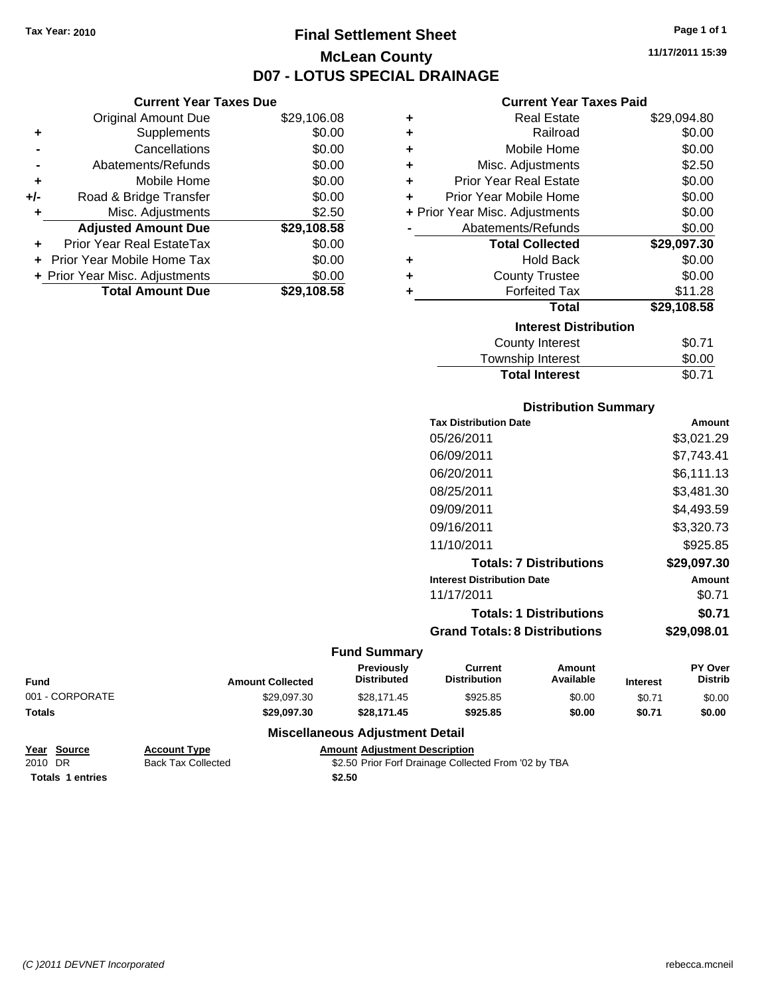**Current Year Taxes Due** Original Amount Due \$29,106.08

**Adjusted Amount Due \$29,108.58**

**Total Amount Due \$29,108.58**

**+** Supplements \$0.00 **-** Cancellations \$0.00 **-** Abatements/Refunds \$0.00 **+** Mobile Home \$0.00 **+/-** Road & Bridge Transfer \$0.00 **+** Misc. Adjustments \$2.50

**+** Prior Year Real EstateTax \$0.00 **+** Prior Year Mobile Home Tax \$0.00 **+ Prior Year Misc. Adjustments**  $$0.00$ 

### **Final Settlement Sheet Tax Year: 2010 Page 1 of 1 McLean County D07 - LOTUS SPECIAL DRAINAGE**

**11/17/2011 15:39**

#### **Current Year Taxes Paid**

| ٠ | <b>Real Estate</b>             | \$29,094.80 |
|---|--------------------------------|-------------|
| ٠ | Railroad                       | \$0.00      |
| ٠ | Mobile Home                    | \$0.00      |
| ٠ | Misc. Adjustments              | \$2.50      |
| ٠ | <b>Prior Year Real Estate</b>  | \$0.00      |
| ٠ | Prior Year Mobile Home         | \$0.00      |
|   | + Prior Year Misc. Adjustments | \$0.00      |
|   | Abatements/Refunds             | \$0.00      |
|   | <b>Total Collected</b>         | \$29,097.30 |
| ٠ | <b>Hold Back</b>               | \$0.00      |
| ٠ | <b>County Trustee</b>          | \$0.00      |
| ٠ | <b>Forfeited Tax</b>           | \$11.28     |
|   | Total                          | \$29,108.58 |
|   | <b>Interest Distribution</b>   |             |
|   | County Interest                | \$0.71      |
|   | <b>Township Interest</b>       | \$0.00      |

|                       | .      |
|-----------------------|--------|
| Township Interest     | \$0.00 |
| <b>Total Interest</b> | \$0.71 |
|                       |        |

#### **Distribution Summary**

| <b>Tax Distribution Date</b>         | Amount      |
|--------------------------------------|-------------|
| 05/26/2011                           | \$3,021.29  |
| 06/09/2011                           | \$7,743.41  |
| 06/20/2011                           | \$6,111.13  |
| 08/25/2011                           | \$3,481.30  |
| 09/09/2011                           | \$4,493.59  |
| 09/16/2011                           | \$3,320.73  |
| 11/10/2011                           | \$925.85    |
| <b>Totals: 7 Distributions</b>       | \$29,097.30 |
| <b>Interest Distribution Date</b>    | Amount      |
| 11/17/2011                           | \$0.71      |
| <b>Totals: 1 Distributions</b>       | \$0.71      |
| <b>Grand Totals: 8 Distributions</b> | \$29.098.01 |
|                                      |             |

#### **Fund Summary**

| <b>Fund</b>     | <b>Amount Collected</b> | <b>Previously</b><br><b>Distributed</b> | Current<br><b>Distribution</b> | Amount<br>Available | <b>Interest</b> | <b>PY Over</b><br><b>Distrib</b> |
|-----------------|-------------------------|-----------------------------------------|--------------------------------|---------------------|-----------------|----------------------------------|
| 001 - CORPORATE | \$29.097.30             | \$28.171.45                             | \$925.85                       | \$0.00              | \$0.71          | \$0.00                           |
| <b>Totals</b>   | \$29.097.30             | \$28.171.45                             | \$925.85                       | \$0.00              | \$0.71          | \$0.00                           |

#### **Miscellaneous Adjustment Detail**

|         | Year Source             | <b>Account Type</b>       | <b>Amount Adiustment Description</b>                 |
|---------|-------------------------|---------------------------|------------------------------------------------------|
| 2010 DR |                         | <b>Back Tax Collected</b> | \$2.50 Prior Forf Drainage Collected From '02 by TBA |
|         | <b>Totals 1 entries</b> |                           | \$2.50                                               |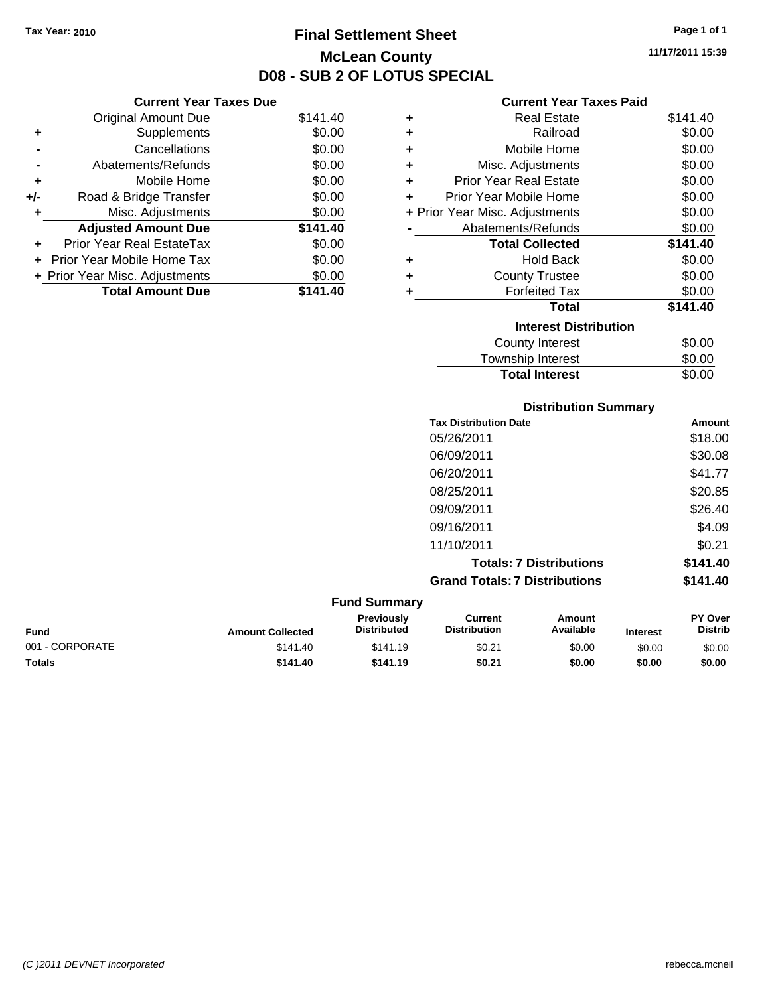**Current Year Taxes Due** Original Amount Due \$141.40

**Adjusted Amount Due \$141.40**

**Total Amount Due \$141.40**

**+** Supplements \$0.00 **-** Cancellations \$0.00 **-** Abatements/Refunds \$0.00 **+** Mobile Home \$0.00 **+/-** Road & Bridge Transfer \$0.00 **+** Misc. Adjustments \$0.00

**+** Prior Year Real EstateTax \$0.00 **+** Prior Year Mobile Home Tax \$0.00 **+ Prior Year Misc. Adjustments**  $$0.00$ 

### **Final Settlement Sheet Tax Year: 2010 Page 1 of 1 McLean County D08 - SUB 2 OF LOTUS SPECIAL**

**11/17/2011 15:39**

### **Current Year Taxes Paid**

|   | GUITEIIL TEAL TAXES FAIU       |          |
|---|--------------------------------|----------|
| ٠ | <b>Real Estate</b>             | \$141.40 |
| ٠ | Railroad                       | \$0.00   |
| ٠ | Mobile Home                    | \$0.00   |
| ÷ | Misc. Adjustments              | \$0.00   |
| ÷ | <b>Prior Year Real Estate</b>  | \$0.00   |
| ÷ | Prior Year Mobile Home         | \$0.00   |
|   | + Prior Year Misc. Adjustments | \$0.00   |
|   | Abatements/Refunds             | \$0.00   |
|   | <b>Total Collected</b>         | \$141.40 |
| ٠ | <b>Hold Back</b>               | \$0.00   |
| ٠ | <b>County Trustee</b>          | \$0.00   |
| ٠ | <b>Forfeited Tax</b>           | \$0.00   |
|   | Total                          | \$141.40 |
|   | <b>Interest Distribution</b>   |          |
|   | County Interest                | \$0.00   |
|   | <b>Township Interest</b>       | \$0.00   |
|   | <b>Total Interest</b>          | \$0.00   |

#### **Distribution Summary**

| <b>Tax Distribution Date</b>         | Amount   |
|--------------------------------------|----------|
| 05/26/2011                           | \$18.00  |
| 06/09/2011                           | \$30.08  |
| 06/20/2011                           | \$41.77  |
| 08/25/2011                           | \$20.85  |
| 09/09/2011                           | \$26.40  |
| 09/16/2011                           | \$4.09   |
| 11/10/2011                           | \$0.21   |
| <b>Totals: 7 Distributions</b>       | \$141.40 |
| <b>Grand Totals: 7 Distributions</b> | \$141.40 |

**Fund Summary Fund Interest Amount Collected Distributed PY Over Distrib Amount Available Current Distribution Previously** 001 - CORPORATE \$141.40 \$141.19 \$0.21 \$0.00 \$0.00 \$0.00 **Totals \$141.40 \$141.19 \$0.21 \$0.00 \$0.00 \$0.00**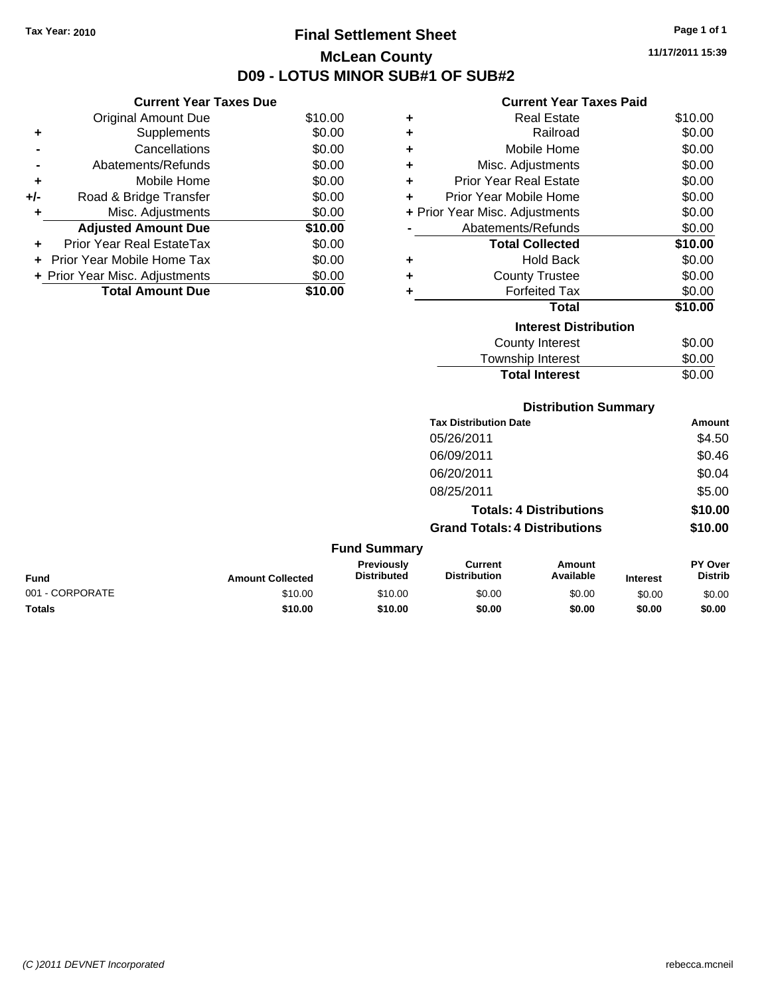## **Final Settlement Sheet Tax Year: 2010 Page 1 of 1 McLean County D09 - LOTUS MINOR SUB#1 OF SUB#2**

**11/17/2011 15:39**

## **Current Year Taxes Paid**

|     | <b>Current Year Taxes Due</b>  |         |
|-----|--------------------------------|---------|
|     | <b>Original Amount Due</b>     | \$10.00 |
| ٠   | Supplements                    | \$0.00  |
|     | Cancellations                  | \$0.00  |
|     | Abatements/Refunds             | \$0.00  |
| ٠   | Mobile Home                    | \$0.00  |
| +/- | Road & Bridge Transfer         | \$0.00  |
|     | Misc. Adjustments              | \$0.00  |
|     | <b>Adjusted Amount Due</b>     | \$10.00 |
|     | Prior Year Real EstateTax      | \$0.00  |
|     | Prior Year Mobile Home Tax     | \$0.00  |
|     | + Prior Year Misc. Adjustments | \$0.00  |
|     | <b>Total Amount Due</b>        | \$10.00 |

| ٠ | <b>Real Estate</b>             | \$10.00 |
|---|--------------------------------|---------|
| ٠ | Railroad                       | \$0.00  |
| ÷ | Mobile Home                    | \$0.00  |
| ٠ | Misc. Adjustments              | \$0.00  |
| ÷ | Prior Year Real Estate         | \$0.00  |
| ÷ | Prior Year Mobile Home         | \$0.00  |
|   | + Prior Year Misc. Adjustments | \$0.00  |
|   | Abatements/Refunds             | \$0.00  |
|   | <b>Total Collected</b>         | \$10.00 |
| ٠ | Hold Back                      | \$0.00  |
| ٠ | <b>County Trustee</b>          | \$0.00  |
| ٠ | <b>Forfeited Tax</b>           | \$0.00  |
|   | Total                          | \$10.00 |
|   | <b>Interest Distribution</b>   |         |
|   | <b>County Interest</b>         | \$0.00  |
|   | <b>Township Interest</b>       | \$0.00  |
|   | <b>Total Interest</b>          | \$0.00  |

## **Distribution Summary**

| <b>Tax Distribution Date</b>         | Amount  |
|--------------------------------------|---------|
| 05/26/2011                           | \$4.50  |
| 06/09/2011                           | \$0.46  |
| 06/20/2011                           | \$0.04  |
| 08/25/2011                           | \$5.00  |
| <b>Totals: 4 Distributions</b>       | \$10.00 |
| <b>Grand Totals: 4 Distributions</b> | \$10.00 |
|                                      |         |

| <b>Fund Summary</b> |                         |                                         |                                |                     |                 |                                  |
|---------------------|-------------------------|-----------------------------------------|--------------------------------|---------------------|-----------------|----------------------------------|
| <b>Fund</b>         | <b>Amount Collected</b> | <b>Previously</b><br><b>Distributed</b> | Current<br><b>Distribution</b> | Amount<br>Available | <b>Interest</b> | <b>PY Over</b><br><b>Distrib</b> |
| 001 - CORPORATE     | \$10.00                 | \$10.00                                 | \$0.00                         | \$0.00              | \$0.00          | \$0.00                           |
| <b>Totals</b>       | \$10.00                 | \$10.00                                 | \$0.00                         | \$0.00              | \$0.00          | \$0.00                           |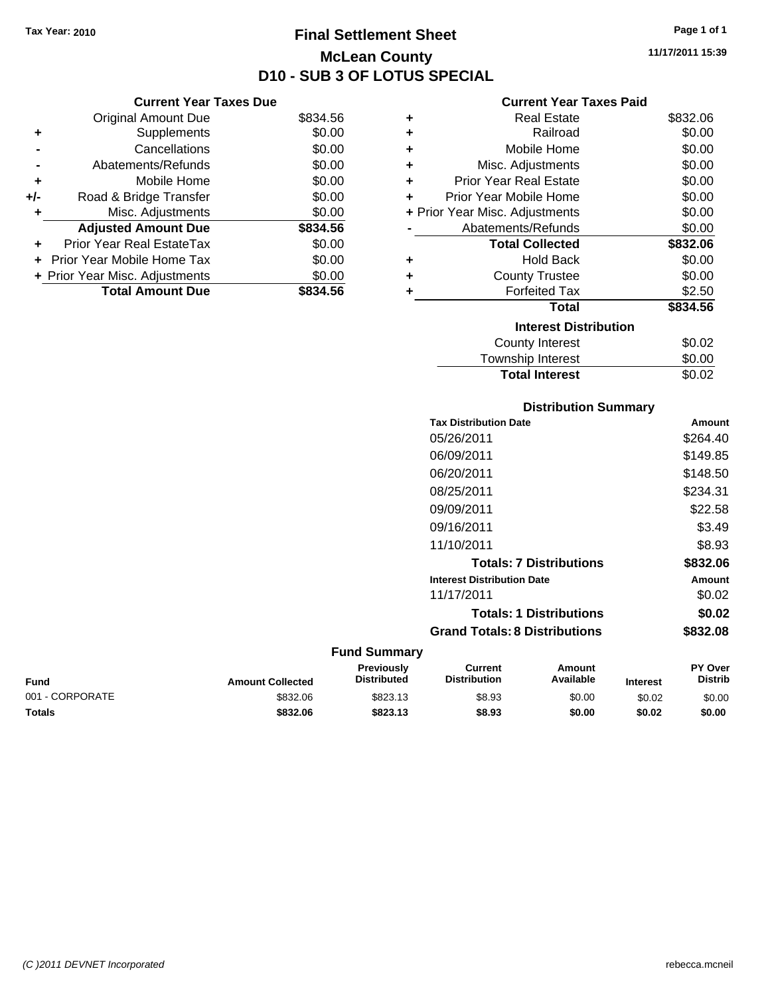## **Final Settlement Sheet Tax Year: 2010 Page 1 of 1 McLean County D10 - SUB 3 OF LOTUS SPECIAL**

**11/17/2011 15:39**

| $\sim$ $\sim$ $\sim$ |  |  |  |
|----------------------|--|--|--|

|     | <b>Current Year Taxes Due</b>  |          |
|-----|--------------------------------|----------|
|     | <b>Original Amount Due</b>     | \$834.56 |
| ٠   | Supplements                    | \$0.00   |
|     | Cancellations                  | \$0.00   |
|     | Abatements/Refunds             | \$0.00   |
| ٠   | Mobile Home                    | \$0.00   |
| +/- | Road & Bridge Transfer         | \$0.00   |
|     | Misc. Adjustments              | \$0.00   |
|     | <b>Adjusted Amount Due</b>     | \$834.56 |
|     | Prior Year Real EstateTax      | \$0.00   |
|     | Prior Year Mobile Home Tax     | \$0.00   |
|     | + Prior Year Misc. Adjustments | \$0.00   |
|     | <b>Total Amount Due</b>        | \$834.56 |

### **Current Year Taxes Paid**

| ٠ | <b>Real Estate</b>             | \$832.06 |
|---|--------------------------------|----------|
| ٠ | Railroad                       | \$0.00   |
| ٠ | Mobile Home                    | \$0.00   |
| ٠ | Misc. Adjustments              | \$0.00   |
| ٠ | Prior Year Real Estate         | \$0.00   |
| ÷ | Prior Year Mobile Home         | \$0.00   |
|   | + Prior Year Misc. Adjustments | \$0.00   |
|   | Abatements/Refunds             | \$0.00   |
|   | <b>Total Collected</b>         | \$832.06 |
| ٠ | <b>Hold Back</b>               | \$0.00   |
| ٠ | <b>County Trustee</b>          | \$0.00   |
|   | <b>Forfeited Tax</b>           | \$2.50   |
|   | Total                          | \$834.56 |
|   | <b>Interest Distribution</b>   |          |
|   | <b>County Interest</b>         | \$0.02   |
|   | <b>Township Interest</b>       | \$0.00   |
|   | <b>Total Interest</b>          | \$0.02   |

## **Distribution Summary**

| <b>Tax Distribution Date</b>         | Amount   |
|--------------------------------------|----------|
| 05/26/2011                           | \$264.40 |
| 06/09/2011                           | \$149.85 |
| 06/20/2011                           | \$148.50 |
| 08/25/2011                           | \$234.31 |
| 09/09/2011                           | \$22.58  |
| 09/16/2011                           | \$3.49   |
| 11/10/2011                           | \$8.93   |
| <b>Totals: 7 Distributions</b>       | \$832.06 |
| <b>Interest Distribution Date</b>    | Amount   |
| 11/17/2011                           | \$0.02   |
| <b>Totals: 1 Distributions</b>       | \$0.02   |
| <b>Grand Totals: 8 Distributions</b> | \$832.08 |

| Fund            | <b>Amount Collected</b> | <b>Previously</b><br><b>Distributed</b> | Current<br><b>Distribution</b> | Amount<br>Available | <b>Interest</b> | <b>PY Over</b><br><b>Distrib</b> |
|-----------------|-------------------------|-----------------------------------------|--------------------------------|---------------------|-----------------|----------------------------------|
| 001 - CORPORATE | \$832.06                | \$823.13                                | \$8.93                         | \$0.00              | \$0.02          | \$0.00                           |
| <b>Totals</b>   | \$832.06                | \$823.13                                | \$8.93                         | \$0.00              | \$0.02          | \$0.00                           |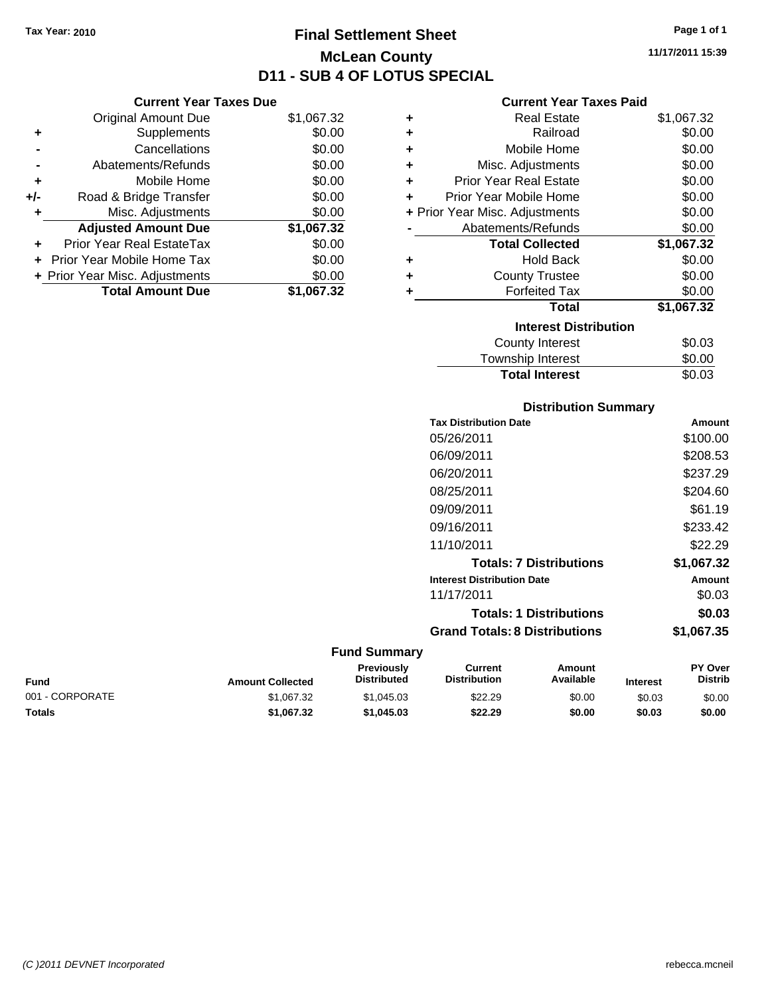## **Final Settlement Sheet Tax Year: 2010 Page 1 of 1 McLean County D11 - SUB 4 OF LOTUS SPECIAL**

**11/17/2011 15:39**

## **Current Year Taxes Due**

|     | <b>Total Amount Due</b>        | \$1,067.32 |
|-----|--------------------------------|------------|
|     | + Prior Year Misc. Adjustments | \$0.00     |
|     | Prior Year Mobile Home Tax     | \$0.00     |
| ÷   | Prior Year Real EstateTax      | \$0.00     |
|     | <b>Adjusted Amount Due</b>     | \$1,067.32 |
|     | Misc. Adjustments              | \$0.00     |
| +/- | Road & Bridge Transfer         | \$0.00     |
| ٠   | Mobile Home                    | \$0.00     |
|     | Abatements/Refunds             | \$0.00     |
|     | Cancellations                  | \$0.00     |
| ٠   | Supplements                    | \$0.00     |
|     | <b>Original Amount Due</b>     | \$1,067.32 |
|     |                                |            |

## **Current Year Taxes Paid**

|   | <b>Real Estate</b>             | \$1,067.32 |
|---|--------------------------------|------------|
| ÷ | Railroad                       | \$0.00     |
| ÷ | Mobile Home                    | \$0.00     |
| ÷ | Misc. Adjustments              | \$0.00     |
| ٠ | <b>Prior Year Real Estate</b>  | \$0.00     |
| ٠ | Prior Year Mobile Home         | \$0.00     |
|   | + Prior Year Misc. Adjustments | \$0.00     |
|   | Abatements/Refunds             | \$0.00     |
|   |                                |            |
|   | <b>Total Collected</b>         | \$1,067.32 |
| ٠ | <b>Hold Back</b>               | \$0.00     |
| ٠ | <b>County Trustee</b>          | \$0.00     |
| ٠ | <b>Forfeited Tax</b>           | \$0.00     |
|   | <b>Total</b>                   | \$1,067.32 |
|   | <b>Interest Distribution</b>   |            |
|   | <b>County Interest</b>         | \$0.03     |

#### Township Interest \$0.00<br>
Total Interest \$0.03 **Total Interest**

| <b>Distribution Summary</b>          |            |  |  |  |
|--------------------------------------|------------|--|--|--|
| <b>Tax Distribution Date</b>         | Amount     |  |  |  |
| 05/26/2011                           | \$100.00   |  |  |  |
| 06/09/2011                           | \$208.53   |  |  |  |
| 06/20/2011                           | \$237.29   |  |  |  |
| 08/25/2011                           | \$204.60   |  |  |  |
| 09/09/2011                           | \$61.19    |  |  |  |
| 09/16/2011                           | \$233.42   |  |  |  |
| 11/10/2011                           | \$22.29    |  |  |  |
| <b>Totals: 7 Distributions</b>       | \$1,067.32 |  |  |  |
| <b>Interest Distribution Date</b>    | Amount     |  |  |  |
| 11/17/2011                           | \$0.03     |  |  |  |
| <b>Totals: 1 Distributions</b>       | \$0.03     |  |  |  |
| <b>Grand Totals: 8 Distributions</b> | \$1.067.35 |  |  |  |

| Fund            | <b>Amount Collected</b> | <b>Previously</b><br><b>Distributed</b> | Current<br><b>Distribution</b> | Amount<br>Available | <b>Interest</b> | <b>PY Over</b><br><b>Distrib</b> |
|-----------------|-------------------------|-----------------------------------------|--------------------------------|---------------------|-----------------|----------------------------------|
| 001 - CORPORATE | \$1.067.32              | \$1.045.03                              | \$22.29                        | \$0.00              | \$0.03          | \$0.00                           |
| <b>Totals</b>   | \$1,067.32              | \$1,045.03                              | \$22.29                        | \$0.00              | \$0.03          | \$0.00                           |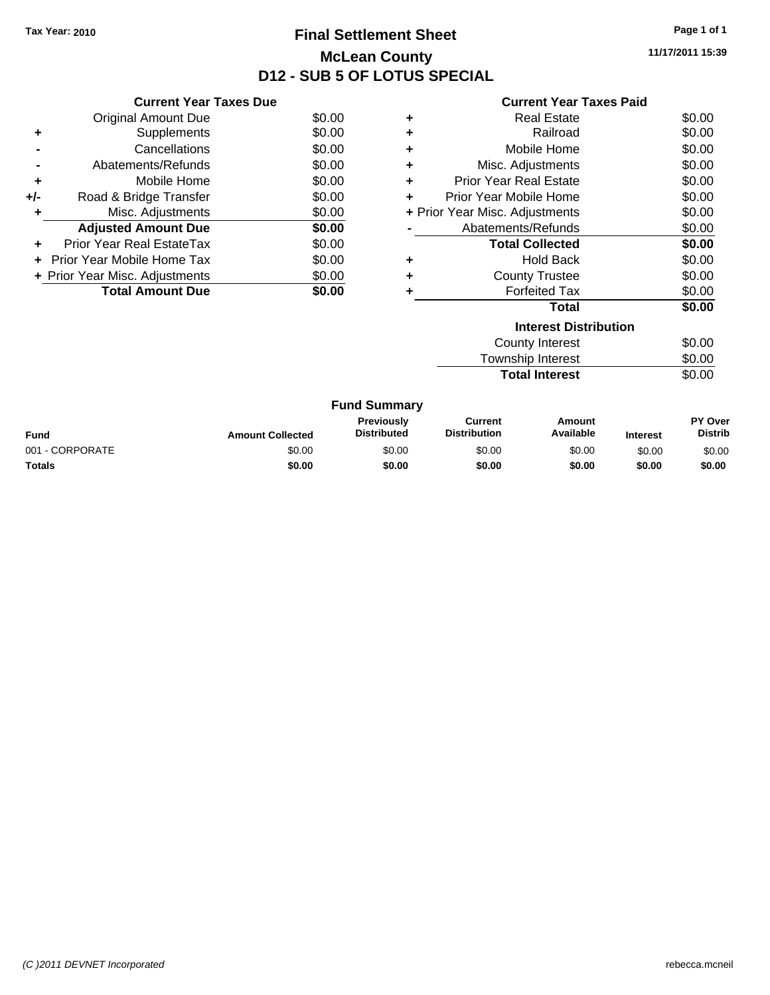## **Final Settlement Sheet Tax Year: 2010 Page 1 of 1 McLean County D12 - SUB 5 OF LOTUS SPECIAL**

**11/17/2011 15:39**

#### **Current Year Taxes Paid**

|     | <b>Current Year Taxes Due</b>     |        |
|-----|-----------------------------------|--------|
|     | <b>Original Amount Due</b>        | \$0.00 |
| ٠   | Supplements                       | \$0.00 |
|     | Cancellations                     | \$0.00 |
|     | Abatements/Refunds                | \$0.00 |
| ٠   | Mobile Home                       | \$0.00 |
| +/- | Road & Bridge Transfer            | \$0.00 |
| ٠   | Misc. Adjustments                 | \$0.00 |
|     | <b>Adjusted Amount Due</b>        | \$0.00 |
| ÷   | Prior Year Real EstateTax         | \$0.00 |
| ÷   | <b>Prior Year Mobile Home Tax</b> | \$0.00 |
|     | + Prior Year Misc. Adjustments    | \$0.00 |
|     | <b>Total Amount Due</b>           | SO 00  |

| ٠                              | Real Estate                   | \$0.00 |
|--------------------------------|-------------------------------|--------|
| ٠                              | Railroad                      | \$0.00 |
|                                | Mobile Home                   | \$0.00 |
| ٠                              | Misc. Adjustments             | \$0.00 |
| ٠                              | <b>Prior Year Real Estate</b> | \$0.00 |
| ÷                              | Prior Year Mobile Home        | \$0.00 |
| + Prior Year Misc. Adjustments | \$0.00                        |        |
|                                | Abatements/Refunds            | \$0.00 |
|                                | <b>Total Collected</b>        | \$0.00 |
|                                | <b>Hold Back</b>              | \$0.00 |
| ٠                              | <b>County Trustee</b>         | \$0.00 |
|                                | <b>Forfeited Tax</b>          | \$0.00 |
|                                | <b>Total</b>                  | \$0.00 |
|                                | <b>Interest Distribution</b>  |        |
|                                |                               | ሶስ ሰሰ  |

| <b>Total Interest</b> | \$0.00 |
|-----------------------|--------|
| Township Interest     | \$0.00 |
| County Interest       | \$0.00 |

| <b>Fund Summary</b> |                         |                                         |                                |                     |                 |                                  |
|---------------------|-------------------------|-----------------------------------------|--------------------------------|---------------------|-----------------|----------------------------------|
| Fund                | <b>Amount Collected</b> | <b>Previously</b><br><b>Distributed</b> | Current<br><b>Distribution</b> | Amount<br>Available | <b>Interest</b> | <b>PY Over</b><br><b>Distrib</b> |
| 001 - CORPORATE     | \$0.00                  | \$0.00                                  | \$0.00                         | \$0.00              | \$0.00          | \$0.00                           |
| Totals              | \$0.00                  | \$0.00                                  | \$0.00                         | \$0.00              | \$0.00          | \$0.00                           |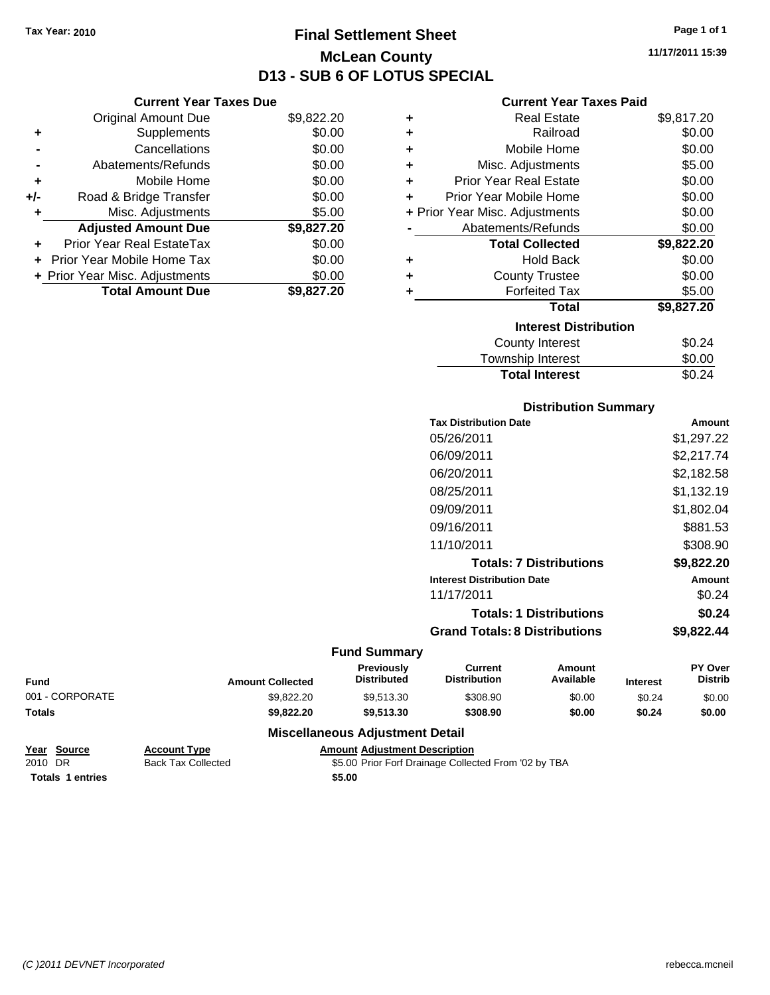**Current Year Taxes Due** Original Amount Due \$9,822.20

**Adjusted Amount Due \$9,827.20**

**Total Amount Due \$9,827.20**

**+** Supplements \$0.00 **-** Cancellations \$0.00 **-** Abatements/Refunds \$0.00 **+** Mobile Home \$0.00 **+/-** Road & Bridge Transfer \$0.00 **+** Misc. Adjustments \$5.00

**+** Prior Year Real EstateTax \$0.00 **+** Prior Year Mobile Home Tax \$0.00 **+ Prior Year Misc. Adjustments**  $$0.00$ 

## **Final Settlement Sheet Tax Year: 2010 Page 1 of 1 McLean County D13 - SUB 6 OF LOTUS SPECIAL**

**11/17/2011 15:39**

## **Current Year Taxes Paid**

| ٠                            | <b>Real Estate</b>             | \$9,817.20 |  |  |  |
|------------------------------|--------------------------------|------------|--|--|--|
| ÷                            | Railroad                       | \$0.00     |  |  |  |
| ÷                            | Mobile Home                    | \$0.00     |  |  |  |
| ÷                            | Misc. Adjustments              | \$5.00     |  |  |  |
| ÷                            | <b>Prior Year Real Estate</b>  | \$0.00     |  |  |  |
| ٠                            | Prior Year Mobile Home         | \$0.00     |  |  |  |
|                              | + Prior Year Misc. Adjustments | \$0.00     |  |  |  |
|                              | Abatements/Refunds             | \$0.00     |  |  |  |
|                              | <b>Total Collected</b>         | \$9,822.20 |  |  |  |
| ÷                            | <b>Hold Back</b>               | \$0.00     |  |  |  |
| ÷                            | <b>County Trustee</b>          | \$0.00     |  |  |  |
| ÷                            | <b>Forfeited Tax</b>           | \$5.00     |  |  |  |
|                              | <b>Total</b>                   | \$9,827.20 |  |  |  |
| <b>Interest Distribution</b> |                                |            |  |  |  |
|                              | County Interest                | \$0.24     |  |  |  |
|                              | <b>Township Interest</b>       | \$0.00     |  |  |  |

## Township Interest  $$0.00$ Total Interest \$0.24

| <b>Distribution Summary</b>       |            |
|-----------------------------------|------------|
| <b>Tax Distribution Date</b>      | Amount     |
| 05/26/2011                        | \$1,297.22 |
| 06/09/2011                        | \$2,217.74 |
| 06/20/2011                        | \$2,182.58 |
| 08/25/2011                        | \$1,132.19 |
| 09/09/2011                        | \$1,802.04 |
| 09/16/2011                        | \$881.53   |
| 11/10/2011                        | \$308.90   |
| <b>Totals: 7 Distributions</b>    | \$9,822.20 |
| <b>Interest Distribution Date</b> | Amount     |
| 11/17/2011                        | \$0.24     |
| <b>Totals: 1 Distributions</b>    | \$0.24     |
|                                   |            |

## **Grand Totals: 8 Distributions \$9,822.44**

## **Fund Summary**

| <b>Fund</b>     | <b>Amount Collected</b> | <b>Previously</b><br><b>Distributed</b> | Current<br><b>Distribution</b> | Amount<br>Available | <b>Interest</b> | <b>PY Over</b><br><b>Distrib</b> |
|-----------------|-------------------------|-----------------------------------------|--------------------------------|---------------------|-----------------|----------------------------------|
| 001 - CORPORATE | \$9.822.20              | \$9.513.30                              | \$308.90                       | \$0.00              | \$0.24          | \$0.00                           |
| Totals          | \$9.822.20              | \$9.513.30                              | \$308.90                       | \$0.00              | \$0.24          | \$0.00                           |
|                 | ___                     |                                         |                                |                     |                 |                                  |

## **Miscellaneous Adjustment Detail**

|         | Year Source             | <b>Account Type</b>       | <b>Amount Adjustment Description</b>                 |
|---------|-------------------------|---------------------------|------------------------------------------------------|
| 2010 DR |                         | <b>Back Tax Collected</b> | \$5.00 Prior Forf Drainage Collected From '02 by TBA |
|         | <b>Totals 1 entries</b> |                           | \$5.00                                               |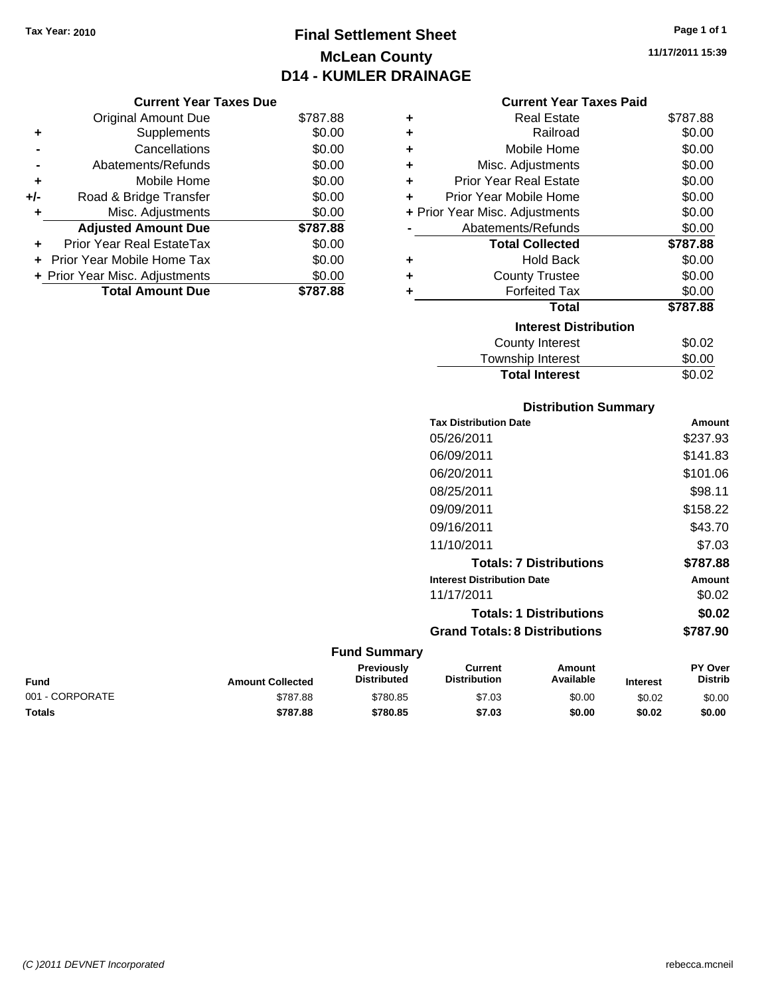## **Final Settlement Sheet Tax Year: 2010 Page 1 of 1 McLean County D14 - KUMLER DRAINAGE**

**11/17/2011 15:39**

| Current Year Taxes Due |  |  |
|------------------------|--|--|
|                        |  |  |

|     | <b>Original Amount Due</b>       | \$787.88 |
|-----|----------------------------------|----------|
| ٠   | Supplements                      | \$0.00   |
|     | Cancellations                    | \$0.00   |
|     | Abatements/Refunds               | \$0.00   |
| ÷   | Mobile Home                      | \$0.00   |
| +/- | Road & Bridge Transfer           | \$0.00   |
| ۰   | Misc. Adjustments                | \$0.00   |
|     | <b>Adjusted Amount Due</b>       | \$787.88 |
|     | <b>Prior Year Real EstateTax</b> | \$0.00   |
|     | Prior Year Mobile Home Tax       | \$0.00   |
|     | + Prior Year Misc. Adjustments   | \$0.00   |
|     | <b>Total Amount Due</b>          | \$787.88 |

## **Current Year Taxes Paid**

| ٠ | Real Estate                    | \$787.88 |
|---|--------------------------------|----------|
| ٠ | Railroad                       | \$0.00   |
| ٠ | Mobile Home                    | \$0.00   |
| ٠ | Misc. Adjustments              | \$0.00   |
| ÷ | Prior Year Real Estate         | \$0.00   |
| ٠ | Prior Year Mobile Home         | \$0.00   |
|   | + Prior Year Misc. Adjustments | \$0.00   |
|   | Abatements/Refunds             | \$0.00   |
|   | <b>Total Collected</b>         | \$787.88 |
| ٠ | <b>Hold Back</b>               | \$0.00   |
| ÷ | <b>County Trustee</b>          | \$0.00   |
| ٠ | <b>Forfeited Tax</b>           | \$0.00   |
|   | <b>Total</b>                   | \$787.88 |
|   | <b>Interest Distribution</b>   |          |
|   | County Interest                | \$0.02   |
|   | <b>Township Interest</b>       | \$0.00   |
|   | <b>Total Interest</b>          | \$0.02   |

## **Distribution Summary**

| <b>Tax Distribution Date</b>         | Amount   |
|--------------------------------------|----------|
| 05/26/2011                           | \$237.93 |
| 06/09/2011                           | \$141.83 |
| 06/20/2011                           | \$101.06 |
| 08/25/2011                           | \$98.11  |
| 09/09/2011                           | \$158.22 |
| 09/16/2011                           | \$43.70  |
| 11/10/2011                           | \$7.03   |
| <b>Totals: 7 Distributions</b>       | \$787.88 |
| <b>Interest Distribution Date</b>    | Amount   |
| 11/17/2011                           | \$0.02   |
| <b>Totals: 1 Distributions</b>       | \$0.02   |
| <b>Grand Totals: 8 Distributions</b> | \$787.90 |

| Fund            | <b>Amount Collected</b> | <b>Previously</b><br><b>Distributed</b> | Current<br><b>Distribution</b> | Amount<br>Available | <b>Interest</b> | <b>PY Over</b><br><b>Distrib</b> |
|-----------------|-------------------------|-----------------------------------------|--------------------------------|---------------------|-----------------|----------------------------------|
| 001 - CORPORATE | \$787.88                | \$780.85                                | \$7.03                         | \$0.00              | \$0.02          | \$0.00                           |
| <b>Totals</b>   | \$787.88                | \$780.85                                | \$7.03                         | \$0.00              | \$0.02          | \$0.00                           |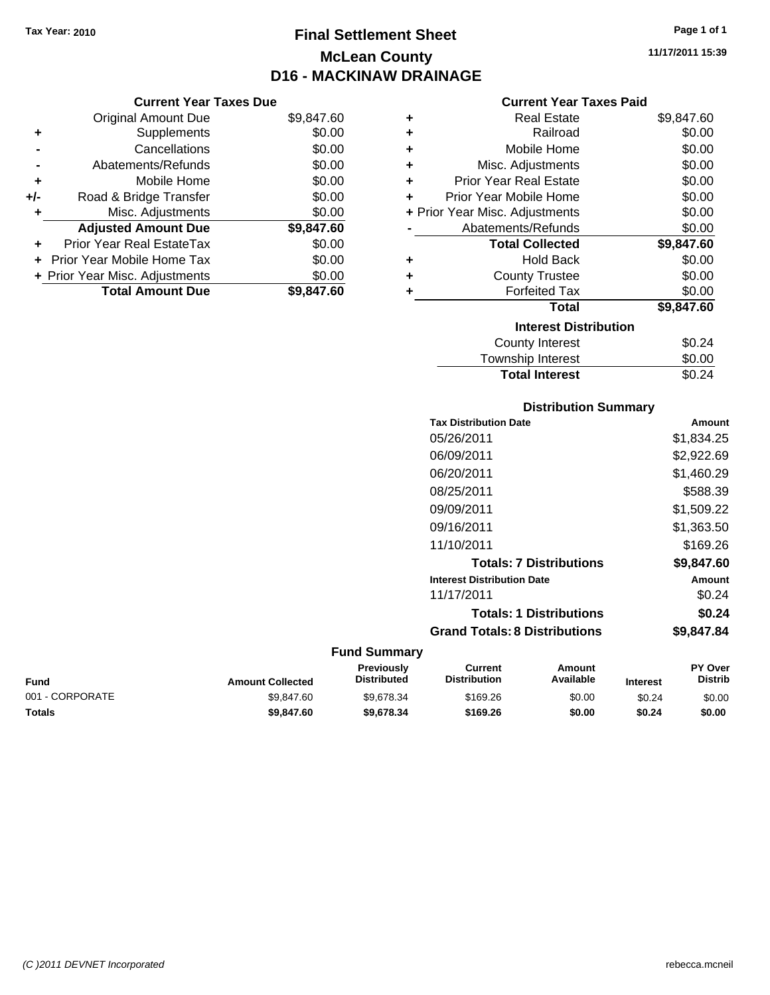**Current Year Taxes Due** Original Amount Due \$9,847.60

**Adjusted Amount Due \$9,847.60**

Total Amount Due \$9,847.60

**+** Supplements \$0.00 **-** Cancellations \$0.00 **-** Abatements/Refunds \$0.00 **+** Mobile Home \$0.00 **+/-** Road & Bridge Transfer \$0.00 **+** Misc. Adjustments \$0.00

**+** Prior Year Real EstateTax \$0.00 **+** Prior Year Mobile Home Tax \$0.00 **+ Prior Year Misc. Adjustments**  $$0.00$ 

## **Final Settlement Sheet Tax Year: 2010 Page 1 of 1 McLean County D16 - MACKINAW DRAINAGE**

**11/17/2011 15:39**

## **Current Year Taxes Paid**

| ٠ | <b>Real Estate</b>             | \$9,847.60 |
|---|--------------------------------|------------|
| ٠ | Railroad                       | \$0.00     |
| ÷ | Mobile Home                    | \$0.00     |
| ÷ | Misc. Adjustments              | \$0.00     |
| ٠ | <b>Prior Year Real Estate</b>  | \$0.00     |
| ٠ | Prior Year Mobile Home         | \$0.00     |
|   | + Prior Year Misc. Adjustments | \$0.00     |
|   | Abatements/Refunds             | \$0.00     |
|   | <b>Total Collected</b>         | \$9,847.60 |
| ÷ | <b>Hold Back</b>               | \$0.00     |
| ٠ | <b>County Trustee</b>          | \$0.00     |
| ٠ | <b>Forfeited Tax</b>           | \$0.00     |
|   | <b>Total</b>                   | \$9,847.60 |
|   | <b>Interest Distribution</b>   |            |
|   | <b>County Interest</b>         | \$0.24     |
|   | Townshin Interest              | ፍስ ሰሰ      |

| <b>Total Interest</b> | \$0.24 |
|-----------------------|--------|
| Township Interest     | \$0.00 |
| County Interest       | \$0.24 |

### **Distribution Summary**

| <b>Tax Distribution Date</b>         | Amount     |
|--------------------------------------|------------|
| 05/26/2011                           | \$1,834.25 |
| 06/09/2011                           | \$2,922.69 |
| 06/20/2011                           | \$1,460.29 |
| 08/25/2011                           | \$588.39   |
| 09/09/2011                           | \$1,509.22 |
| 09/16/2011                           | \$1,363.50 |
| 11/10/2011                           | \$169.26   |
| <b>Totals: 7 Distributions</b>       | \$9,847.60 |
| <b>Interest Distribution Date</b>    | Amount     |
| 11/17/2011                           | \$0.24     |
| <b>Totals: 1 Distributions</b>       | \$0.24     |
| <b>Grand Totals: 8 Distributions</b> | \$9.847.84 |
|                                      |            |

| Fund            | <b>Amount Collected</b> | <b>Previously</b><br><b>Distributed</b> | Current<br><b>Distribution</b> | Amount<br>Available | <b>Interest</b> | <b>PY Over</b><br><b>Distrib</b> |
|-----------------|-------------------------|-----------------------------------------|--------------------------------|---------------------|-----------------|----------------------------------|
| 001 - CORPORATE | \$9.847.60              | \$9.678.34                              | \$169.26                       | \$0.00              | \$0.24          | \$0.00                           |
| <b>Totals</b>   | \$9,847.60              | \$9,678,34                              | \$169.26                       | \$0.00              | \$0.24          | \$0.00                           |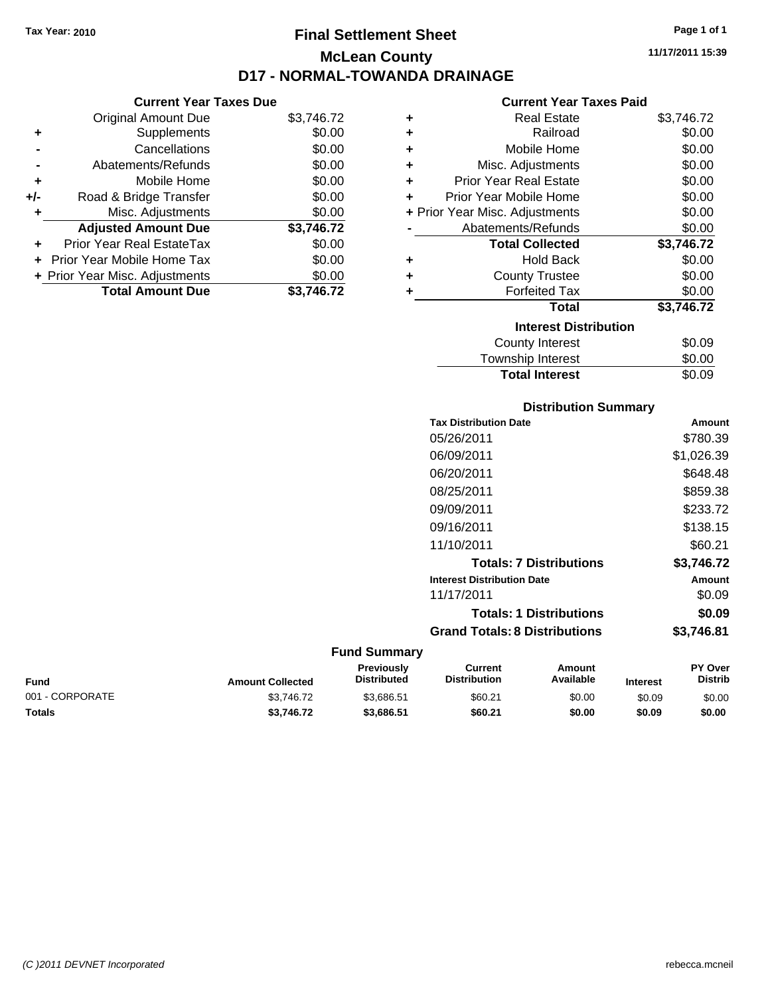## **Final Settlement Sheet Tax Year: 2010 Page 1 of 1 McLean County D17 - NORMAL-TOWANDA DRAINAGE**

**11/17/2011 15:39**

## **Current Year Taxes Paid**

|     | <b>Current Year Taxes Due</b>    |            |
|-----|----------------------------------|------------|
|     | <b>Original Amount Due</b>       | \$3,746.72 |
| ٠   | Supplements                      | \$0.00     |
|     | Cancellations                    | \$0.00     |
|     | Abatements/Refunds               | \$0.00     |
| ٠   | Mobile Home                      | \$0.00     |
| +/- | Road & Bridge Transfer           | \$0.00     |
| ٠   | Misc. Adjustments                | \$0.00     |
|     | <b>Adjusted Amount Due</b>       | \$3,746.72 |
|     | <b>Prior Year Real EstateTax</b> | \$0.00     |
|     | Prior Year Mobile Home Tax       | \$0.00     |
|     | + Prior Year Misc. Adjustments   | \$0.00     |
|     | <b>Total Amount Due</b>          | \$3.746.72 |
|     |                                  |            |

| ٠ | <b>Real Estate</b>             | \$3,746.72 |
|---|--------------------------------|------------|
| ٠ | Railroad                       | \$0.00     |
| ٠ | Mobile Home                    | \$0.00     |
| ٠ | Misc. Adjustments              | \$0.00     |
| ٠ | Prior Year Real Estate         | \$0.00     |
| ٠ | Prior Year Mobile Home         | \$0.00     |
|   | + Prior Year Misc. Adjustments | \$0.00     |
|   | Abatements/Refunds             | \$0.00     |
|   | <b>Total Collected</b>         | \$3,746.72 |
| ÷ | <b>Hold Back</b>               | \$0.00     |
| ÷ | <b>County Trustee</b>          | \$0.00     |
| ٠ | <b>Forfeited Tax</b>           | \$0.00     |
|   | <b>Total</b>                   | \$3,746.72 |
|   | <b>Interest Distribution</b>   |            |
|   | County Interest                | \$0.09     |
|   | <b>Township Interest</b>       | \$0.00     |
|   | <b>Total Interest</b>          | \$0.09     |

## **Distribution Summary**

| <b>Amount</b> |
|---------------|
| \$780.39      |
| \$1,026.39    |
| \$648.48      |
| \$859.38      |
| \$233.72      |
| \$138.15      |
| \$60.21       |
| \$3,746.72    |
| Amount        |
| \$0.09        |
| \$0.09        |
| \$3.746.81    |
|               |

| <b>Fund</b>     | <b>Amount Collected</b> | <b>Previously</b><br><b>Distributed</b> | Current<br><b>Distribution</b> | Amount<br>Available | <b>Interest</b> | <b>PY Over</b><br><b>Distrib</b> |
|-----------------|-------------------------|-----------------------------------------|--------------------------------|---------------------|-----------------|----------------------------------|
| 001 - CORPORATE | \$3.746.72              | \$3.686.51                              | \$60.21                        | \$0.00              | \$0.09          | \$0.00                           |
| Totals          | \$3.746.72              | \$3.686.51                              | \$60.21                        | \$0.00              | \$0.09          | \$0.00                           |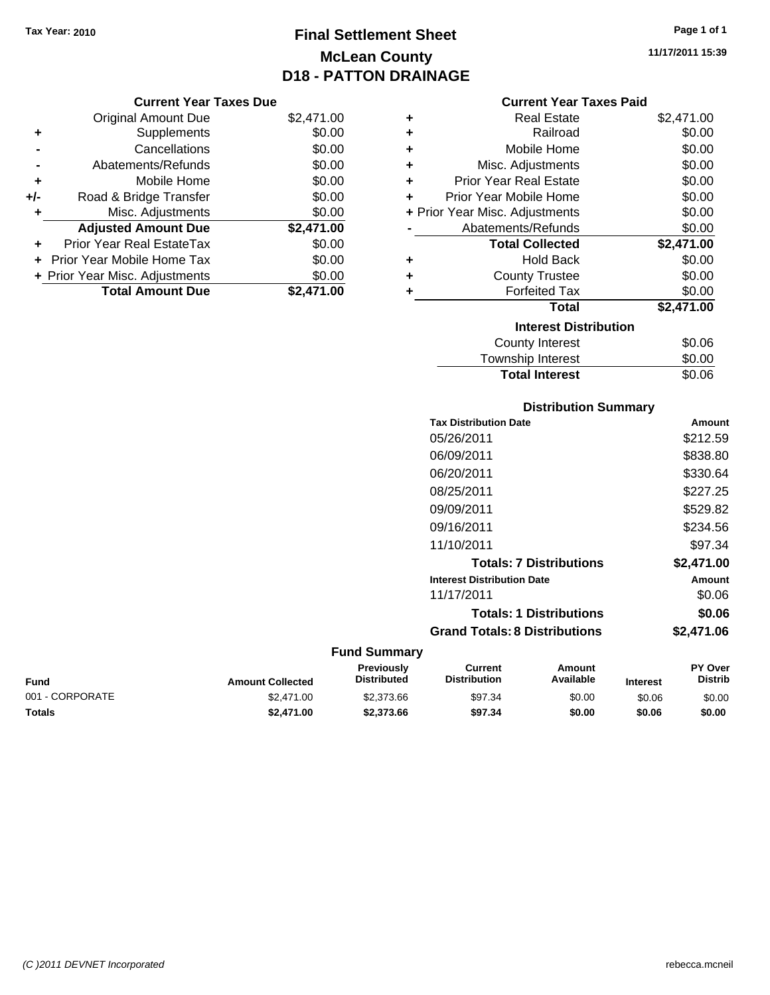## **Final Settlement Sheet Tax Year: 2010 Page 1 of 1 McLean County D18 - PATTON DRAINAGE**

#### **Current Year Taxes Due**

|       | <b>Original Amount Due</b>     | \$2,471.00 |
|-------|--------------------------------|------------|
| ٠     | Supplements                    | \$0.00     |
|       | Cancellations                  | \$0.00     |
|       | Abatements/Refunds             | \$0.00     |
| ÷     | Mobile Home                    | \$0.00     |
| $+/-$ | Road & Bridge Transfer         | \$0.00     |
|       | Misc. Adjustments              | \$0.00     |
|       | <b>Adjusted Amount Due</b>     | \$2,471.00 |
| ÷     | Prior Year Real EstateTax      | \$0.00     |
|       | Prior Year Mobile Home Tax     | \$0.00     |
|       | + Prior Year Misc. Adjustments | \$0.00     |
|       | <b>Total Amount Due</b>        | \$2,471.00 |

## **Current Year Taxes Paid**

| ٠ | <b>Real Estate</b>             | \$2,471.00 |
|---|--------------------------------|------------|
| ٠ | Railroad                       | \$0.00     |
| ٠ | Mobile Home                    | \$0.00     |
| ٠ | Misc. Adjustments              | \$0.00     |
| ÷ | <b>Prior Year Real Estate</b>  | \$0.00     |
| ٠ | Prior Year Mobile Home         | \$0.00     |
|   | + Prior Year Misc. Adjustments | \$0.00     |
|   | Abatements/Refunds             | \$0.00     |
|   | <b>Total Collected</b>         | \$2,471.00 |
|   |                                |            |
| ٠ | <b>Hold Back</b>               | \$0.00     |
| ٠ | <b>County Trustee</b>          | \$0.00     |
| ٠ | <b>Forfeited Tax</b>           | \$0.00     |
|   | Total                          | \$2,471.00 |
|   | <b>Interest Distribution</b>   |            |
|   | County Interest                | \$0.06     |

## Township Interest  $$0.00$ Total Interest \$0.06

## **Distribution Summary**

| <b>Tax Distribution Date</b>         | Amount     |
|--------------------------------------|------------|
| 05/26/2011                           | \$212.59   |
| 06/09/2011                           | \$838.80   |
| 06/20/2011                           | \$330.64   |
| 08/25/2011                           | \$227.25   |
| 09/09/2011                           | \$529.82   |
| 09/16/2011                           | \$234.56   |
| 11/10/2011                           | \$97.34    |
| <b>Totals: 7 Distributions</b>       | \$2.471.00 |
| <b>Interest Distribution Date</b>    | Amount     |
| 11/17/2011                           | \$0.06     |
| <b>Totals: 1 Distributions</b>       | \$0.06     |
| <b>Grand Totals: 8 Distributions</b> | \$2,471.06 |
|                                      |            |

| <b>Fund</b>     | <b>Amount Collected</b> | <b>Previously</b><br><b>Distributed</b> | Current<br><b>Distribution</b> | Amount<br>Available | <b>Interest</b> | <b>PY Over</b><br><b>Distrib</b> |
|-----------------|-------------------------|-----------------------------------------|--------------------------------|---------------------|-----------------|----------------------------------|
| 001 - CORPORATE | \$2,471.00              | \$2,373.66                              | \$97.34                        | \$0.00              | \$0.06          | \$0.00                           |
| Totals          | \$2,471.00              | \$2,373,66                              | \$97.34                        | \$0.00              | \$0.06          | \$0.00                           |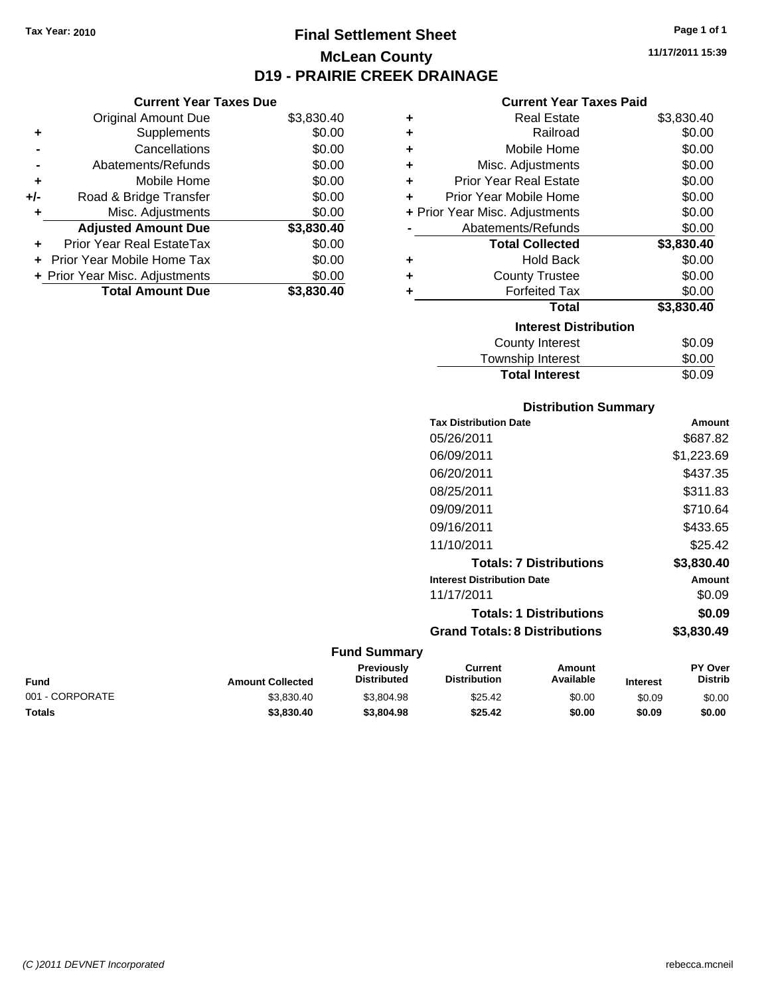## **Final Settlement Sheet Tax Year: 2010 Page 1 of 1 McLean County D19 - PRAIRIE CREEK DRAINAGE**

**Current Year Taxes Due**

|       | Abatements/Refunds             | \$0.00     |
|-------|--------------------------------|------------|
| ÷     | Mobile Home                    | \$0.00     |
| $+/-$ | Road & Bridge Transfer         | \$0.00     |
|       |                                |            |
| ٠     | Misc. Adjustments              | \$0.00     |
|       | <b>Adjusted Amount Due</b>     | \$3,830.40 |
|       | Prior Year Real EstateTax      | \$0.00     |
|       | Prior Year Mobile Home Tax     | \$0.00     |
|       | + Prior Year Misc. Adjustments | \$0.00     |

#### **Current Year Taxes Paid**

|   | <b>Real Estate</b>             | \$3,830.40 |
|---|--------------------------------|------------|
| ٠ | Railroad                       | \$0.00     |
| ÷ | Mobile Home                    | \$0.00     |
| ٠ | Misc. Adjustments              | \$0.00     |
| ÷ | <b>Prior Year Real Estate</b>  | \$0.00     |
| ÷ | Prior Year Mobile Home         | \$0.00     |
|   | + Prior Year Misc. Adjustments | \$0.00     |
|   | Abatements/Refunds             | \$0.00     |
|   |                                |            |
|   | <b>Total Collected</b>         | \$3,830.40 |
| ٠ | <b>Hold Back</b>               | \$0.00     |
| ÷ | <b>County Trustee</b>          | \$0.00     |
| ٠ | <b>Forfeited Tax</b>           | \$0.00     |
|   | <b>Total</b>                   | \$3,830.40 |
|   | <b>Interest Distribution</b>   |            |
|   | County Interest                | \$0.09     |

# **Distribution Summary Tax Distribution Date Amount** 05/26/2011 \$687.82

**Total Interest** \$0.09

| 06/09/2011                           | \$1,223.69 |
|--------------------------------------|------------|
| 06/20/2011                           | \$437.35   |
| 08/25/2011                           | \$311.83   |
| 09/09/2011                           | \$710.64   |
| 09/16/2011                           | \$433.65   |
| 11/10/2011                           | \$25.42    |
| <b>Totals: 7 Distributions</b>       | \$3,830.40 |
| <b>Interest Distribution Date</b>    | Amount     |
| 11/17/2011                           | \$0.09     |
| <b>Totals: 1 Distributions</b>       | \$0.09     |
| <b>Grand Totals: 8 Distributions</b> | \$3.830.49 |

| <b>Amount Collected</b> | <b>Previously</b><br><b>Distributed</b> | Current<br><b>Distribution</b> | Amount<br>Available | <b>Interest</b> | <b>PY Over</b><br><b>Distrib</b> |
|-------------------------|-----------------------------------------|--------------------------------|---------------------|-----------------|----------------------------------|
| \$3.830.40              | \$3,804.98                              | \$25.42                        | \$0.00              | \$0.09          | \$0.00                           |
| \$3,830.40              | \$3,804.98                              | \$25.42                        | \$0.00              | \$0.09          | \$0.00                           |
|                         |                                         |                                |                     |                 |                                  |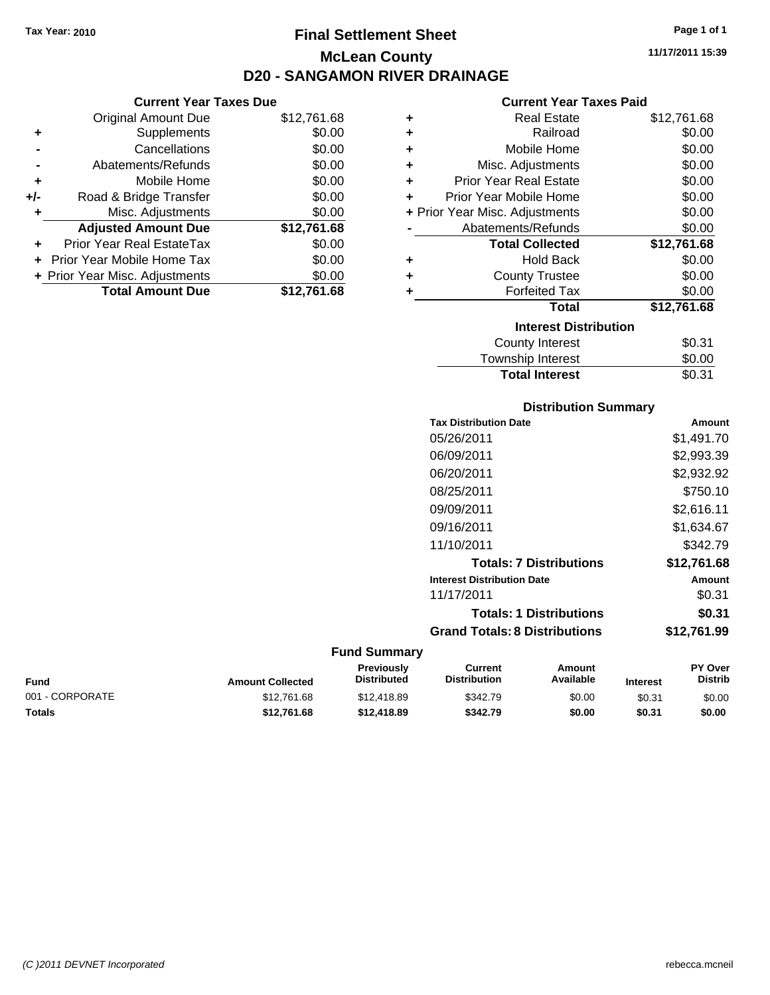## **Final Settlement Sheet Tax Year: 2010 Page 1 of 1 McLean County D20 - SANGAMON RIVER DRAINAGE**

**Current Year Taxes Due**

|     | <b>Original Amount Due</b>     | \$12,761.68 |
|-----|--------------------------------|-------------|
| ٠   | Supplements                    | \$0.00      |
|     | Cancellations                  | \$0.00      |
|     | Abatements/Refunds             | \$0.00      |
| ٠   | Mobile Home                    | \$0.00      |
| +/- | Road & Bridge Transfer         | \$0.00      |
|     | Misc. Adjustments              | \$0.00      |
|     | <b>Adjusted Amount Due</b>     | \$12,761.68 |
|     | Prior Year Real EstateTax      | \$0.00      |
|     | Prior Year Mobile Home Tax     | \$0.00      |
|     | + Prior Year Misc. Adjustments | \$0.00      |
|     | <b>Total Amount Due</b>        | \$12.761.68 |
|     |                                |             |

#### **Current Year Taxes Paid**

| ٠ | <b>Real Estate</b>             | \$12,761.68 |
|---|--------------------------------|-------------|
| ÷ | Railroad                       | \$0.00      |
| ٠ | Mobile Home                    | \$0.00      |
| ٠ | Misc. Adjustments              | \$0.00      |
| ٠ | <b>Prior Year Real Estate</b>  | \$0.00      |
| ٠ | Prior Year Mobile Home         | \$0.00      |
|   | + Prior Year Misc. Adjustments | \$0.00      |
|   | Abatements/Refunds             | \$0.00      |
|   | <b>Total Collected</b>         | \$12,761.68 |
| ٠ | <b>Hold Back</b>               | \$0.00      |
| ٠ | <b>County Trustee</b>          | \$0.00      |
| ٠ | <b>Forfeited Tax</b>           | \$0.00      |
|   | Total                          | \$12,761.68 |
|   | <b>Interest Distribution</b>   |             |
|   | County Interest                | \$0.31      |
|   | Township Interest              | \$0.00      |
|   | <b>Total Interest</b>          | \$0.31      |

| <b>Distribution Summary</b>       |             |
|-----------------------------------|-------------|
| <b>Tax Distribution Date</b>      | Amount      |
| 05/26/2011                        | \$1,491.70  |
| 06/09/2011                        | \$2,993.39  |
| 06/20/2011                        | \$2,932.92  |
| 08/25/2011                        | \$750.10    |
| 09/09/2011                        | \$2,616.11  |
| 09/16/2011                        | \$1.634.67  |
| 11/10/2011                        | \$342.79    |
| <b>Totals: 7 Distributions</b>    | \$12,761.68 |
| <b>Interest Distribution Date</b> | Amount      |
| 11/17/2011                        | \$0.31      |
| <b>Totals: 1 Distributions</b>    | \$0.31      |

**Grand Totals: 8 Distributions \$12,761.99**

**Fund Summary Fund Interest Amount Collected Distributed PY Over Distrib Amount Available Current Distribution Previously** 001 - CORPORATE 60.00 \$12,761.68 \$12,418.89 \$342.79 \$0.00 \$0.31 \$0.00 **Totals \$12,761.68 \$12,418.89 \$342.79 \$0.00 \$0.31 \$0.00**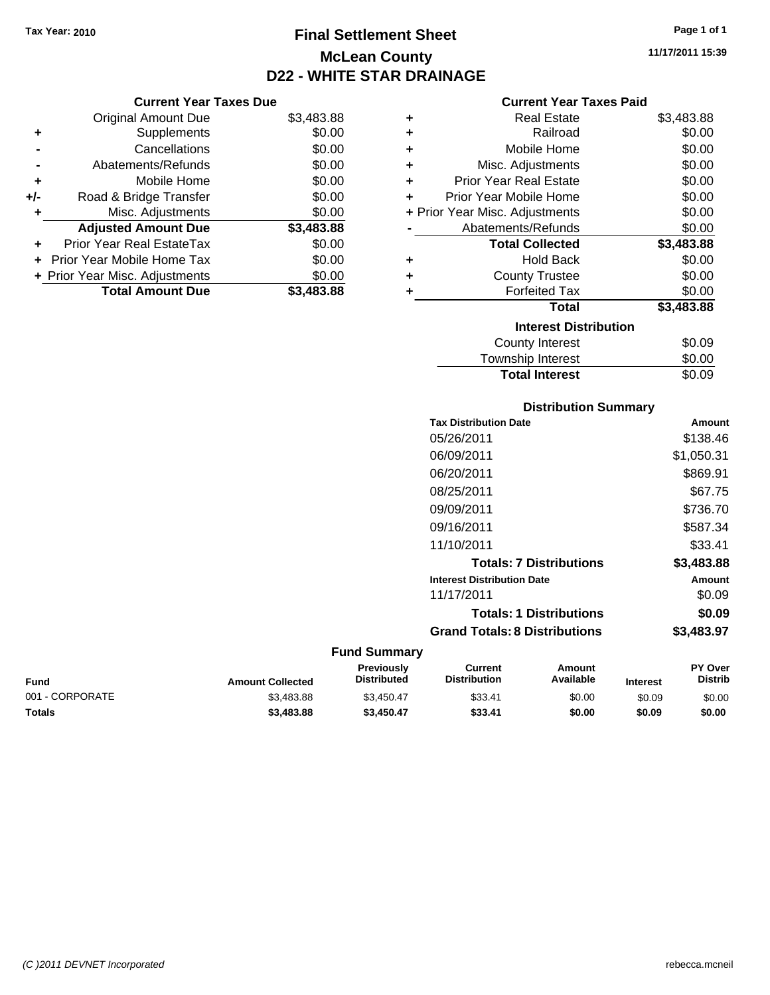**Current Year Taxes Due** Original Amount Due \$3,483.88

**Adjusted Amount Due \$3,483.88**

**Total Amount Due \$3,483.88**

**+** Supplements \$0.00 **-** Cancellations \$0.00 **-** Abatements/Refunds \$0.00 **+** Mobile Home \$0.00 **+/-** Road & Bridge Transfer \$0.00 **+** Misc. Adjustments \$0.00

**+** Prior Year Real EstateTax \$0.00 **+** Prior Year Mobile Home Tax \$0.00 **+ Prior Year Misc. Adjustments**  $$0.00$ 

## **Final Settlement Sheet Tax Year: 2010 Page 1 of 1 McLean County D22 - WHITE STAR DRAINAGE**

**11/17/2011 15:39**

## **Current Year Taxes Paid**

| ٠ | <b>Real Estate</b>             | \$3,483.88 |
|---|--------------------------------|------------|
| ÷ | Railroad                       | \$0.00     |
| ٠ | Mobile Home                    | \$0.00     |
| ÷ | Misc. Adjustments              | \$0.00     |
| ÷ | <b>Prior Year Real Estate</b>  | \$0.00     |
| ÷ | Prior Year Mobile Home         | \$0.00     |
|   | + Prior Year Misc. Adjustments | \$0.00     |
|   | Abatements/Refunds             | \$0.00     |
|   | <b>Total Collected</b>         | \$3,483.88 |
| ٠ | <b>Hold Back</b>               | \$0.00     |
| ÷ | <b>County Trustee</b>          | \$0.00     |
|   | <b>Forfeited Tax</b>           | \$0.00     |
|   | <b>Total</b>                   | \$3,483.88 |
|   | <b>Interest Distribution</b>   |            |
|   | <b>County Interest</b>         | \$0.09     |
|   | Townehin Interest              | ቁስ ሰስ      |

## Township Interest \$0.00 Total Interest \$0.09

| <b>Distribution Summary</b> |  |
|-----------------------------|--|
|-----------------------------|--|

| <b>Tax Distribution Date</b>         | Amount     |
|--------------------------------------|------------|
| 05/26/2011                           | \$138.46   |
| 06/09/2011                           | \$1,050.31 |
| 06/20/2011                           | \$869.91   |
| 08/25/2011                           | \$67.75    |
| 09/09/2011                           | \$736.70   |
| 09/16/2011                           | \$587.34   |
| 11/10/2011                           | \$33.41    |
| <b>Totals: 7 Distributions</b>       | \$3,483.88 |
| <b>Interest Distribution Date</b>    | Amount     |
| 11/17/2011                           | \$0.09     |
| <b>Totals: 1 Distributions</b>       | \$0.09     |
| <b>Grand Totals: 8 Distributions</b> | \$3,483.97 |
|                                      |            |

| Fund            | <b>Amount Collected</b> | <b>Previously</b><br><b>Distributed</b> | Current<br><b>Distribution</b> | Amount<br>Available | <b>Interest</b> | <b>PY Over</b><br><b>Distrib</b> |
|-----------------|-------------------------|-----------------------------------------|--------------------------------|---------------------|-----------------|----------------------------------|
| 001 - CORPORATE | \$3,483.88              | \$3,450.47                              | \$33.41                        | \$0.00              | \$0.09          | \$0.00                           |
| Totals          | \$3,483,88              | \$3,450,47                              | \$33.41                        | \$0.00              | \$0.09          | \$0.00                           |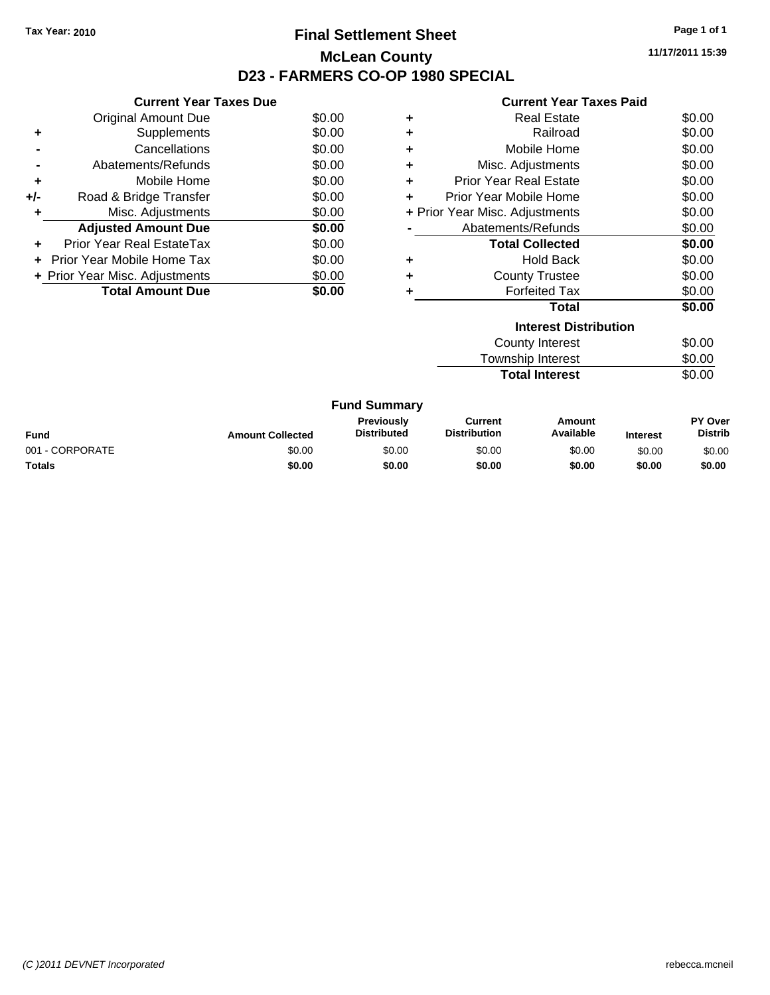## **Final Settlement Sheet Tax Year: 2010 Page 1 of 1 McLean County D23 - FARMERS CO-OP 1980 SPECIAL**

**11/17/2011 15:39**

#### **Current Year Taxes Paid**

|     | <b>Current Year Taxes Due</b>     |        |
|-----|-----------------------------------|--------|
|     | <b>Original Amount Due</b>        | \$0.00 |
| ٠   | Supplements                       | \$0.00 |
|     | Cancellations                     | \$0.00 |
|     | Abatements/Refunds                | \$0.00 |
| ٠   | Mobile Home                       | \$0.00 |
| +/- | Road & Bridge Transfer            | \$0.00 |
|     | Misc. Adjustments                 | \$0.00 |
|     | <b>Adjusted Amount Due</b>        | \$0.00 |
| ÷   | Prior Year Real EstateTax         | \$0.00 |
|     | <b>Prior Year Mobile Home Tax</b> | \$0.00 |
|     | + Prior Year Misc. Adjustments    | \$0.00 |
|     | <b>Total Amount Due</b>           | \$0.00 |

|   | <b>Interest Distribution</b>   |        |
|---|--------------------------------|--------|
|   | Total                          | \$0.00 |
|   | <b>Forfeited Tax</b>           | \$0.00 |
| ٠ | <b>County Trustee</b>          | \$0.00 |
| ٠ | <b>Hold Back</b>               | \$0.00 |
|   | <b>Total Collected</b>         | \$0.00 |
|   | Abatements/Refunds             | \$0.00 |
|   | + Prior Year Misc. Adjustments | \$0.00 |
|   | Prior Year Mobile Home         | \$0.00 |
| ٠ | <b>Prior Year Real Estate</b>  | \$0.00 |
| ٠ | Misc. Adjustments              | \$0.00 |
| ٠ | Mobile Home                    | \$0.00 |
| ٠ | Railroad                       | \$0.00 |
| ٠ | <b>Real Estate</b>             | \$0.00 |

| County Interest       | \$0.00 |
|-----------------------|--------|
| Township Interest     | \$0.00 |
| <b>Total Interest</b> | \$0.00 |

| <b>Fund Summary</b> |                         |                                         |                                |                     |                 |                                  |
|---------------------|-------------------------|-----------------------------------------|--------------------------------|---------------------|-----------------|----------------------------------|
| Fund                | <b>Amount Collected</b> | <b>Previously</b><br><b>Distributed</b> | Current<br><b>Distribution</b> | Amount<br>Available | <b>Interest</b> | <b>PY Over</b><br><b>Distrib</b> |
| 001 - CORPORATE     | \$0.00                  | \$0.00                                  | \$0.00                         | \$0.00              | \$0.00          | \$0.00                           |
| Totals              | \$0.00                  | \$0.00                                  | \$0.00                         | \$0.00              | \$0.00          | \$0.00                           |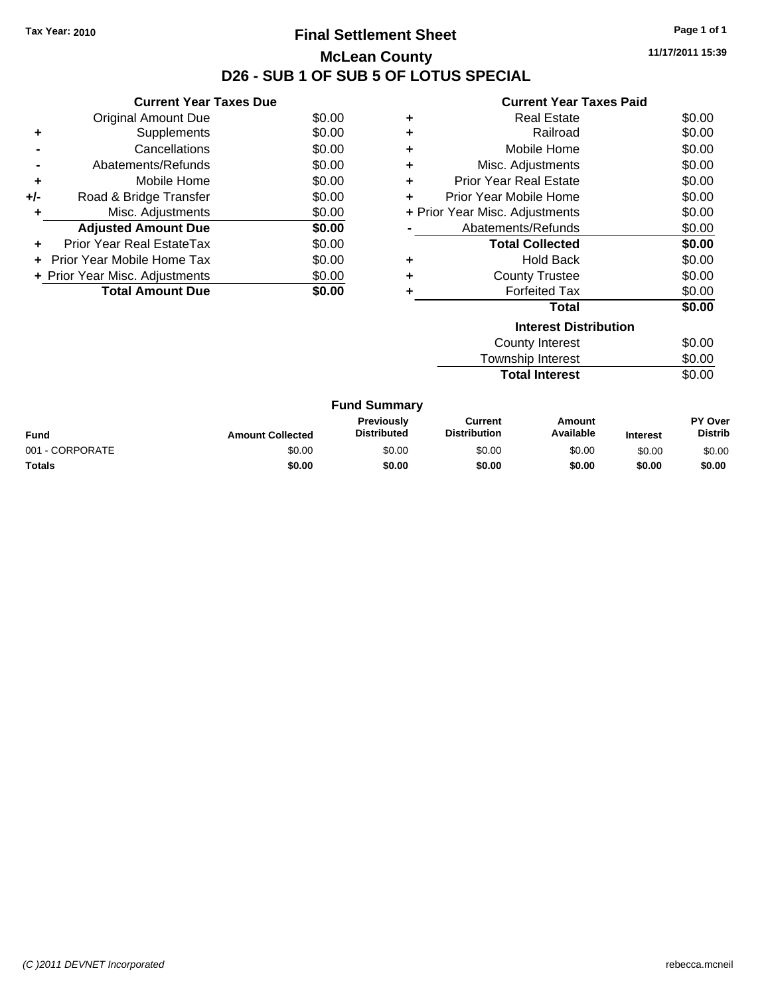## **Final Settlement Sheet Tax Year: 2010 Page 1 of 1 McLean County D26 - SUB 1 OF SUB 5 OF LOTUS SPECIAL**

**11/17/2011 15:39**

|     | <b>Current Year Taxes Due</b>     |        |
|-----|-----------------------------------|--------|
|     | <b>Original Amount Due</b>        | \$0.00 |
|     | Supplements                       | \$0.00 |
|     | Cancellations                     | \$0.00 |
|     | Abatements/Refunds                | \$0.00 |
| ٠   | Mobile Home                       | \$0.00 |
| +/- | Road & Bridge Transfer            | \$0.00 |
|     | Misc. Adjustments                 | \$0.00 |
|     | <b>Adjusted Amount Due</b>        | \$0.00 |
|     | Prior Year Real EstateTax         | \$0.00 |
|     | <b>Prior Year Mobile Home Tax</b> | \$0.00 |
|     | + Prior Year Misc. Adjustments    | \$0.00 |
|     | <b>Total Amount Due</b>           |        |

|   | <b>Current Year Taxes Paid</b> |        |
|---|--------------------------------|--------|
| ٠ | Real Estate                    | \$0.00 |
|   | Railroad                       | \$0.00 |
| ٠ | Mobile Home                    | \$0.00 |
| ٠ | Misc. Adjustments              | \$0.00 |
| ٠ | <b>Prior Year Real Estate</b>  | \$0.00 |
| ÷ | Prior Year Mobile Home         | \$0.00 |
|   | + Prior Year Misc. Adjustments | \$0.00 |
|   | Abatements/Refunds             | \$0.00 |
|   | <b>Total Collected</b>         | \$0.00 |
| ٠ | <b>Hold Back</b>               | \$0.00 |
|   | <b>County Trustee</b>          | \$0.00 |
|   | <b>Forfeited Tax</b>           | \$0.00 |
|   | Total                          | \$0.00 |
|   | <b>Interest Distribution</b>   |        |

| County Interest       | \$0.00 |
|-----------------------|--------|
| Township Interest     | \$0.00 |
| <b>Total Interest</b> | \$0.00 |

| <b>Fund Summary</b> |                         |                                         |                                |                     |                 |                                  |
|---------------------|-------------------------|-----------------------------------------|--------------------------------|---------------------|-----------------|----------------------------------|
| Fund                | <b>Amount Collected</b> | <b>Previously</b><br><b>Distributed</b> | Current<br><b>Distribution</b> | Amount<br>Available | <b>Interest</b> | <b>PY Over</b><br><b>Distrib</b> |
| 001 - CORPORATE     | \$0.00                  | \$0.00                                  | \$0.00                         | \$0.00              | \$0.00          | \$0.00                           |
| Totals              | \$0.00                  | \$0.00                                  | \$0.00                         | \$0.00              | \$0.00          | \$0.00                           |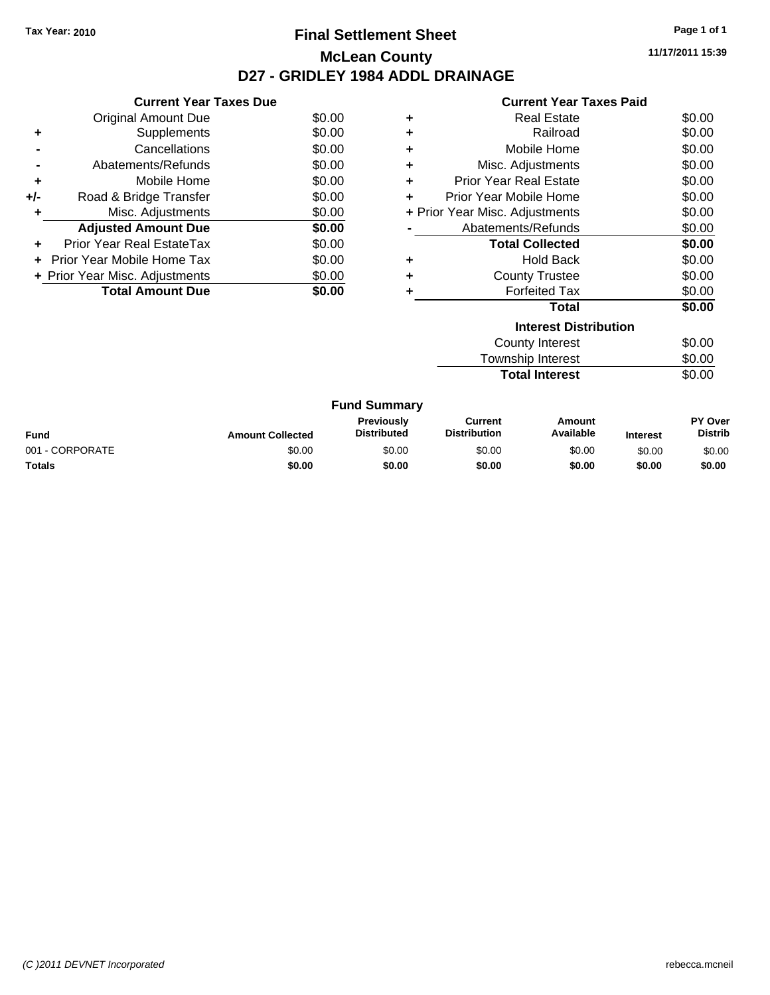## **Final Settlement Sheet Tax Year: 2010 Page 1 of 1 McLean County D27 - GRIDLEY 1984 ADDL DRAINAGE**

**11/17/2011 15:39**

## **Current Year Taxes Paid**

|     | <b>Current Year Taxes Due</b>     |        |
|-----|-----------------------------------|--------|
|     | <b>Original Amount Due</b>        | \$0.00 |
| ٠   | Supplements                       | \$0.00 |
|     | Cancellations                     | \$0.00 |
|     | Abatements/Refunds                | \$0.00 |
| ٠   | Mobile Home                       | \$0.00 |
| +/- | Road & Bridge Transfer            | \$0.00 |
| ٠   | Misc. Adjustments                 | \$0.00 |
|     | <b>Adjusted Amount Due</b>        | \$0.00 |
| ÷   | Prior Year Real EstateTax         | \$0.00 |
| ÷   | <b>Prior Year Mobile Home Tax</b> | \$0.00 |
|     | + Prior Year Misc. Adjustments    | \$0.00 |
|     | <b>Total Amount Due</b>           | \$0.00 |

|   | <b>Real Estate</b>             | \$0.00 |
|---|--------------------------------|--------|
| ٠ | Railroad                       | \$0.00 |
| ٠ | Mobile Home                    | \$0.00 |
| ٠ | Misc. Adjustments              | \$0.00 |
| ٠ | <b>Prior Year Real Estate</b>  | \$0.00 |
|   | Prior Year Mobile Home         | \$0.00 |
|   | + Prior Year Misc. Adjustments | \$0.00 |
|   | Abatements/Refunds             | \$0.00 |
|   | <b>Total Collected</b>         | \$0.00 |
|   | <b>Hold Back</b>               | \$0.00 |
| ٠ | <b>County Trustee</b>          | \$0.00 |
|   | <b>Forfeited Tax</b>           | \$0.00 |
|   | Total                          | \$0.00 |
|   | <b>Interest Distribution</b>   |        |
|   |                                |        |

| County Interest       | \$0.00 |
|-----------------------|--------|
| Township Interest     | \$0.00 |
| <b>Total Interest</b> | \$0.00 |

| <b>Fund Summary</b> |                         |                                         |                                |                     |                 |                                  |
|---------------------|-------------------------|-----------------------------------------|--------------------------------|---------------------|-----------------|----------------------------------|
| Fund                | <b>Amount Collected</b> | <b>Previously</b><br><b>Distributed</b> | Current<br><b>Distribution</b> | Amount<br>Available | <b>Interest</b> | <b>PY Over</b><br><b>Distrib</b> |
| 001 - CORPORATE     | \$0.00                  | \$0.00                                  | \$0.00                         | \$0.00              | \$0.00          | \$0.00                           |
| Totals              | \$0.00                  | \$0.00                                  | \$0.00                         | \$0.00              | \$0.00          | \$0.00                           |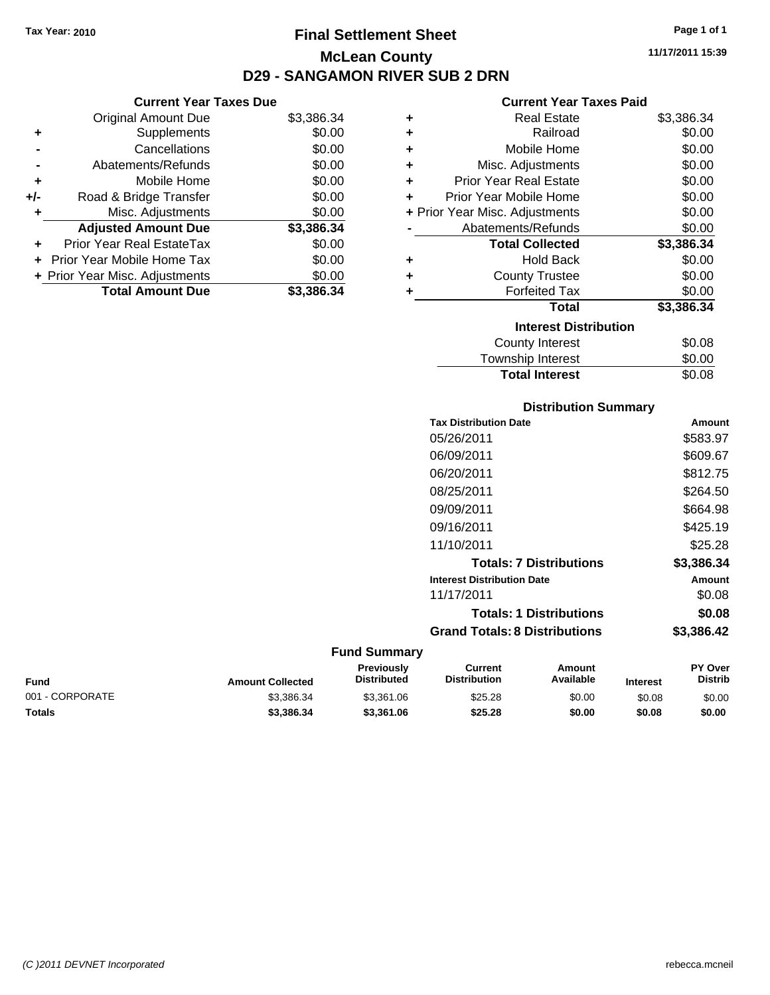## **Final Settlement Sheet Tax Year: 2010 Page 1 of 1 McLean County D29 - SANGAMON RIVER SUB 2 DRN**

## **Current Year Taxes Due**

|       | <b>Original Amount Due</b>     | \$3,386.34 |
|-------|--------------------------------|------------|
| ٠     | Supplements                    | \$0.00     |
|       | Cancellations                  | \$0.00     |
|       | Abatements/Refunds             | \$0.00     |
| ٠     | Mobile Home                    | \$0.00     |
| $+/-$ | Road & Bridge Transfer         | \$0.00     |
|       | Misc. Adjustments              | \$0.00     |
|       | <b>Adjusted Amount Due</b>     | \$3,386.34 |
|       | Prior Year Real EstateTax      | \$0.00     |
|       | Prior Year Mobile Home Tax     | \$0.00     |
|       | + Prior Year Misc. Adjustments | \$0.00     |
|       | <b>Total Amount Due</b>        | \$3.386.34 |

### **Current Year Taxes Paid**

| ٠ | <b>Real Estate</b>             | \$3,386.34 |
|---|--------------------------------|------------|
| ÷ | Railroad                       | \$0.00     |
| ÷ | Mobile Home                    | \$0.00     |
| ٠ | Misc. Adjustments              | \$0.00     |
| ÷ | <b>Prior Year Real Estate</b>  | \$0.00     |
| ٠ | Prior Year Mobile Home         | \$0.00     |
|   | + Prior Year Misc. Adjustments | \$0.00     |
|   | Abatements/Refunds             | \$0.00     |
|   | <b>Total Collected</b>         | \$3,386.34 |
| ٠ | <b>Hold Back</b>               | \$0.00     |
| ٠ | <b>County Trustee</b>          | \$0.00     |
|   | <b>Forfeited Tax</b>           | \$0.00     |
|   | Total                          | \$3,386.34 |
|   | <b>Interest Distribution</b>   |            |
|   | <b>County Interest</b>         | \$0.08     |
|   | Townehin Interact              | ቁስ ሰስ      |

| .<br>Township Interest | \$0.00 |
|------------------------|--------|
| <b>Total Interest</b>  | \$0.08 |

## **Distribution Summary**

| <b>Tax Distribution Date</b>         | Amount     |
|--------------------------------------|------------|
| 05/26/2011                           | \$583.97   |
| 06/09/2011                           | \$609.67   |
| 06/20/2011                           | \$812.75   |
| 08/25/2011                           | \$264.50   |
| 09/09/2011                           | \$664.98   |
| 09/16/2011                           | \$425.19   |
| 11/10/2011                           | \$25.28    |
| <b>Totals: 7 Distributions</b>       | \$3,386.34 |
| <b>Interest Distribution Date</b>    | Amount     |
| 11/17/2011                           | \$0.08     |
| <b>Totals: 1 Distributions</b>       | \$0.08     |
| <b>Grand Totals: 8 Distributions</b> | \$3,386.42 |
|                                      |            |

| Fund            | <b>Amount Collected</b> | <b>Previously</b><br><b>Distributed</b> | Current<br><b>Distribution</b> | Amount<br>Available | <b>Interest</b> | <b>PY Over</b><br><b>Distrib</b> |
|-----------------|-------------------------|-----------------------------------------|--------------------------------|---------------------|-----------------|----------------------------------|
| 001 - CORPORATE | \$3.386.34              | \$3.361.06                              | \$25.28                        | \$0.00              | \$0.08          | \$0.00                           |
| <b>Totals</b>   | \$3,386,34              | \$3.361.06                              | \$25.28                        | \$0.00              | \$0.08          | \$0.00                           |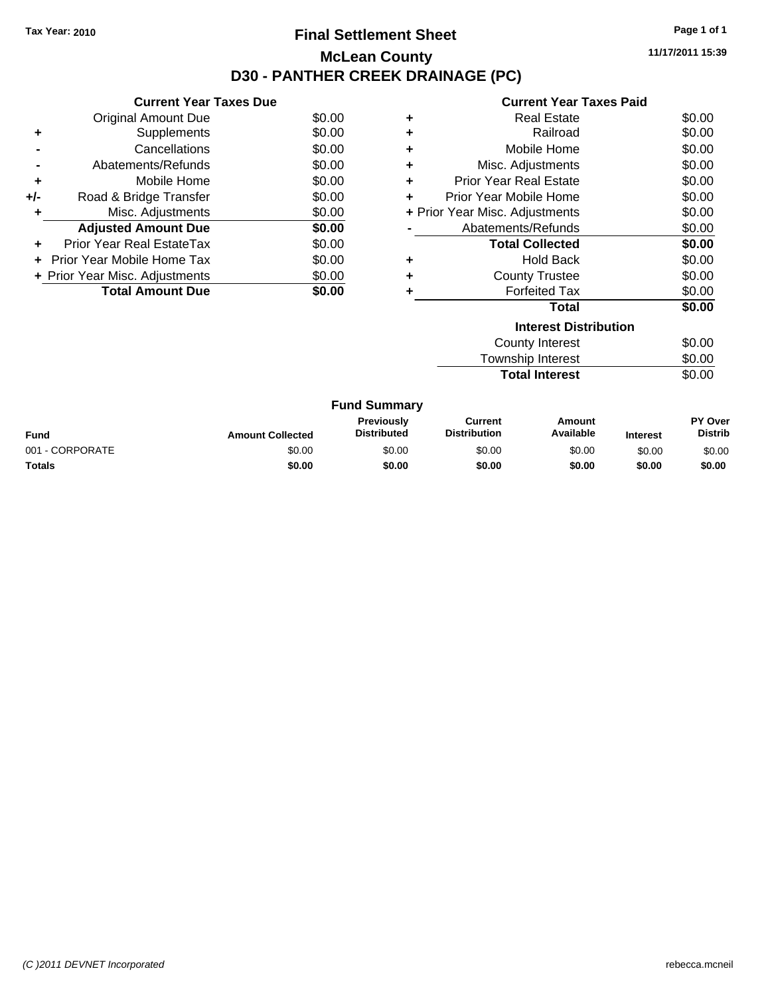## **Final Settlement Sheet Tax Year: 2010 Page 1 of 1 McLean County D30 - PANTHER CREEK DRAINAGE (PC)**

**11/17/2011 15:39**

| <b>Current Year Taxes Paid</b> |  |
|--------------------------------|--|

|     | <b>Current Year Taxes Due</b>     |        |
|-----|-----------------------------------|--------|
|     | Original Amount Due               | \$0.00 |
| ٠   | Supplements                       | \$0.00 |
|     | Cancellations                     | \$0.00 |
|     | Abatements/Refunds                | \$0.00 |
| ٠   | Mobile Home                       | \$0.00 |
| +/- | Road & Bridge Transfer            | \$0.00 |
| ٠   | Misc. Adjustments                 | \$0.00 |
|     | <b>Adjusted Amount Due</b>        | \$0.00 |
|     | Prior Year Real EstateTax         | \$0.00 |
|     | <b>Prior Year Mobile Home Tax</b> | \$0.00 |
|     | + Prior Year Misc. Adjustments    | \$0.00 |
|     | <b>Total Amount Due</b>           | \$0.00 |
|     |                                   |        |

|   | <b>Interest Distribution</b>   |        |
|---|--------------------------------|--------|
|   | Total                          | \$0.00 |
|   | <b>Forfeited Tax</b>           | \$0.00 |
|   | <b>County Trustee</b>          | \$0.00 |
|   | <b>Hold Back</b>               | \$0.00 |
|   | <b>Total Collected</b>         | \$0.00 |
|   | Abatements/Refunds             | \$0.00 |
|   | + Prior Year Misc. Adjustments | \$0.00 |
|   | Prior Year Mobile Home         | \$0.00 |
| ٠ | <b>Prior Year Real Estate</b>  | \$0.00 |
|   | Misc. Adjustments              | \$0.00 |
| ٠ | Mobile Home                    | \$0.00 |
| ٠ | Railroad                       | \$0.00 |
|   | Real Estate                    | \$0.00 |
|   |                                |        |

| County Interest       | \$0.00 |
|-----------------------|--------|
| Township Interest     | \$0.00 |
| <b>Total Interest</b> | \$0.00 |

| <b>Fund Summary</b> |                         |                                  |                         |                     |                 |                           |
|---------------------|-------------------------|----------------------------------|-------------------------|---------------------|-----------------|---------------------------|
| Fund                | <b>Amount Collected</b> | Previously<br><b>Distributed</b> | Current<br>Distribution | Amount<br>Available | <b>Interest</b> | PY Over<br><b>Distrib</b> |
| 001 - CORPORATE     | \$0.00                  | \$0.00                           | \$0.00                  | \$0.00              | \$0.00          | \$0.00                    |
| Totals              | \$0.00                  | \$0.00                           | \$0.00                  | \$0.00              | \$0.00          | \$0.00                    |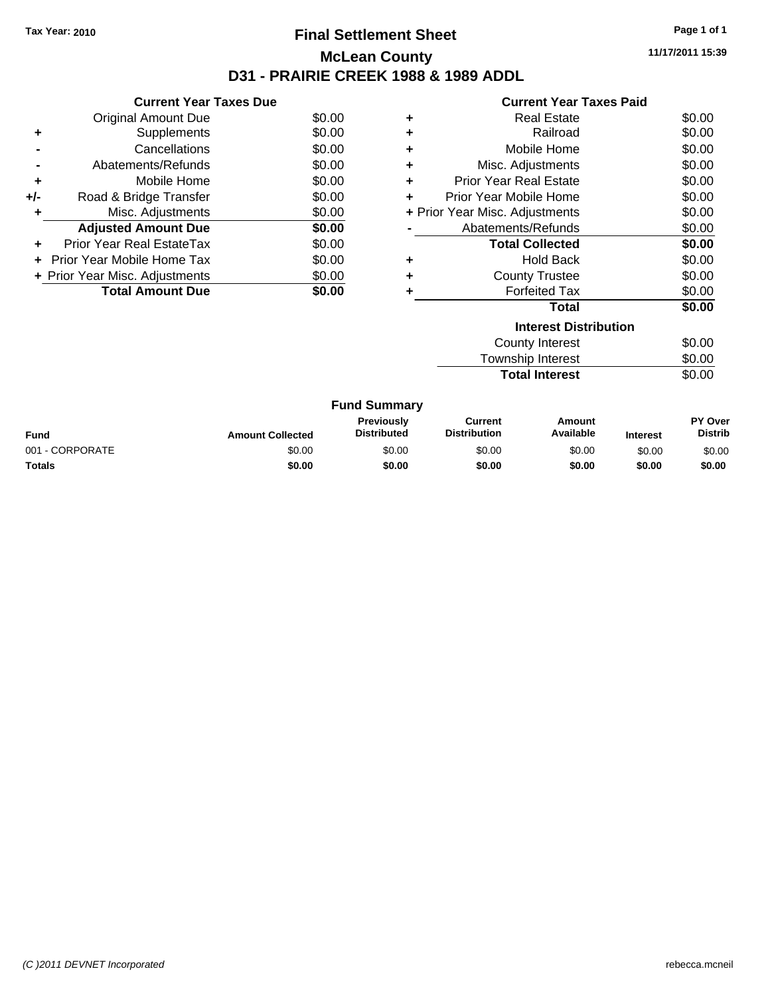## **Final Settlement Sheet Tax Year: 2010 Page 1 of 1 McLean County D31 - PRAIRIE CREEK 1988 & 1989 ADDL**

**11/17/2011 15:39**

|       | <b>Current Year Taxes Due</b>     |        |
|-------|-----------------------------------|--------|
|       | <b>Original Amount Due</b>        | \$0.00 |
|       | Supplements                       | \$0.00 |
|       | Cancellations                     | \$0.00 |
|       | Abatements/Refunds                | \$0.00 |
| ٠     | Mobile Home                       | \$0.00 |
| $+/-$ | Road & Bridge Transfer            | \$0.00 |
|       | Misc. Adjustments                 | \$0.00 |
|       | <b>Adjusted Amount Due</b>        | \$0.00 |
|       | Prior Year Real EstateTax         | \$0.00 |
|       | <b>Prior Year Mobile Home Tax</b> | \$0.00 |
|       | + Prior Year Misc. Adjustments    | \$0.00 |
|       | <b>Total Amount Due</b>           | \$0.00 |
|       |                                   |        |

|                                          | <b>Current Year Taxes Paid</b> |        |  |  |  |  |
|------------------------------------------|--------------------------------|--------|--|--|--|--|
| ٠                                        | <b>Real Estate</b>             | \$0.00 |  |  |  |  |
| ٠                                        | Railroad                       | \$0.00 |  |  |  |  |
| ٠                                        | Mobile Home                    | \$0.00 |  |  |  |  |
| ٠                                        | Misc. Adjustments              | \$0.00 |  |  |  |  |
| ٠                                        | <b>Prior Year Real Estate</b>  | \$0.00 |  |  |  |  |
| ÷                                        | Prior Year Mobile Home         | \$0.00 |  |  |  |  |
| \$0.00<br>+ Prior Year Misc. Adjustments |                                |        |  |  |  |  |
|                                          | Abatements/Refunds             | \$0.00 |  |  |  |  |
|                                          | <b>Total Collected</b>         | \$0.00 |  |  |  |  |
| ٠                                        | <b>Hold Back</b>               | \$0.00 |  |  |  |  |
|                                          | <b>County Trustee</b>          | \$0.00 |  |  |  |  |
| ٠                                        | <b>Forfeited Tax</b>           | \$0.00 |  |  |  |  |
|                                          | Total                          | \$0.00 |  |  |  |  |
|                                          | <b>Interest Distribution</b>   |        |  |  |  |  |

| County Interest       | \$0.00 |
|-----------------------|--------|
| Township Interest     | \$0.00 |
| <b>Total Interest</b> | \$0.00 |

| <b>Fund Summary</b> |                         |                                         |                                |                     |                 |                                  |
|---------------------|-------------------------|-----------------------------------------|--------------------------------|---------------------|-----------------|----------------------------------|
| Fund                | <b>Amount Collected</b> | <b>Previously</b><br><b>Distributed</b> | Current<br><b>Distribution</b> | Amount<br>Available | <b>Interest</b> | <b>PY Over</b><br><b>Distrib</b> |
| 001 - CORPORATE     | \$0.00                  | \$0.00                                  | \$0.00                         | \$0.00              | \$0.00          | \$0.00                           |
| Totals              | \$0.00                  | \$0.00                                  | \$0.00                         | \$0.00              | \$0.00          | \$0.00                           |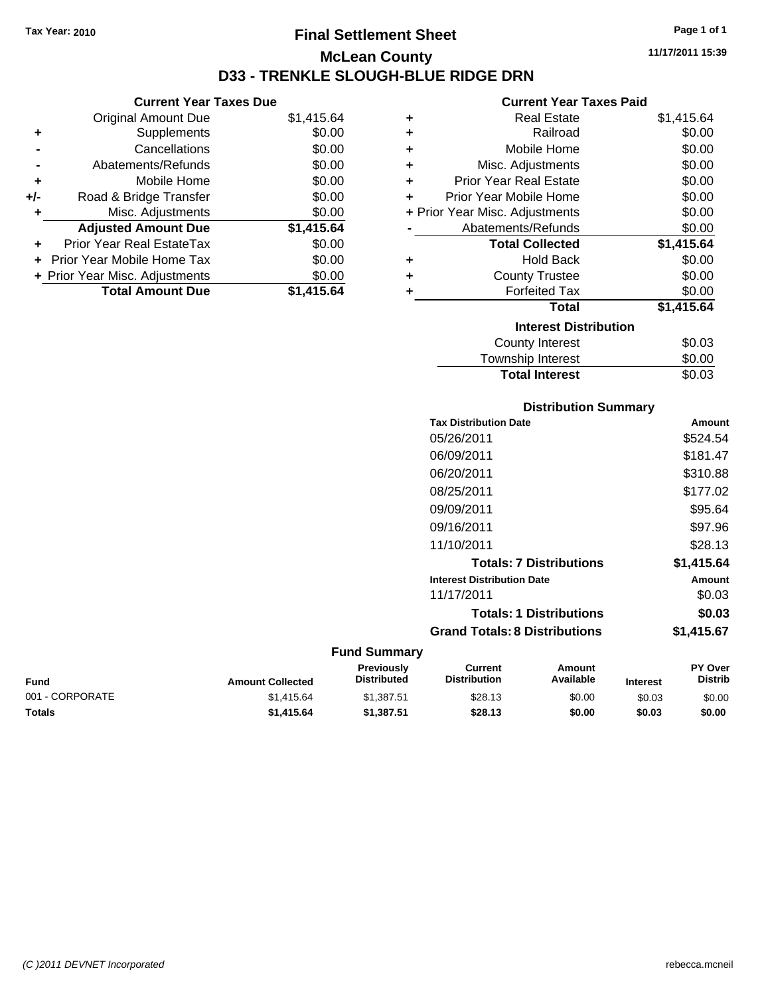**Current Year Taxes Due** Original Amount Due \$1,415.64

**Adjusted Amount Due \$1,415.64**

**Total Amount Due \$1,415.64**

**+** Supplements \$0.00 **-** Cancellations \$0.00 **-** Abatements/Refunds \$0.00 **+** Mobile Home \$0.00 **+/-** Road & Bridge Transfer \$0.00 **+** Misc. Adjustments \$0.00

**+** Prior Year Real EstateTax \$0.00 **+** Prior Year Mobile Home Tax \$0.00 **+ Prior Year Misc. Adjustments**  $$0.00$ 

## **Final Settlement Sheet Tax Year: 2010 Page 1 of 1 McLean County D33 - TRENKLE SLOUGH-BLUE RIDGE DRN**

**11/17/2011 15:39**

#### **Current Year Taxes Paid**

| ٠ | <b>Real Estate</b>             | \$1,415.64 |
|---|--------------------------------|------------|
| ٠ | Railroad                       | \$0.00     |
| ٠ | Mobile Home                    | \$0.00     |
| ٠ | Misc. Adjustments              | \$0.00     |
| ٠ | <b>Prior Year Real Estate</b>  | \$0.00     |
| ÷ | Prior Year Mobile Home         | \$0.00     |
|   | + Prior Year Misc. Adjustments | \$0.00     |
|   | Abatements/Refunds             | \$0.00     |
|   | <b>Total Collected</b>         | \$1,415.64 |
| ٠ | <b>Hold Back</b>               | \$0.00     |
| ٠ | <b>County Trustee</b>          | \$0.00     |
| ٠ | <b>Forfeited Tax</b>           | \$0.00     |
|   | <b>Total</b>                   | \$1,415.64 |
|   | <b>Interest Distribution</b>   |            |
|   | <b>County Interest</b>         | \$0.03     |
|   |                                |            |

| <b>Total Interest</b> | \$0.03 |
|-----------------------|--------|
| Township Interest     | \$0.00 |
| OUGHTY THIUTUOL       | vv.vv  |

### **Distribution Summary**

| <b>Tax Distribution Date</b>         | Amount     |
|--------------------------------------|------------|
| 05/26/2011                           | \$524.54   |
| 06/09/2011                           | \$181.47   |
| 06/20/2011                           | \$310.88   |
| 08/25/2011                           | \$177.02   |
| 09/09/2011                           | \$95.64    |
| 09/16/2011                           | \$97.96    |
| 11/10/2011                           | \$28.13    |
| <b>Totals: 7 Distributions</b>       | \$1,415.64 |
| <b>Interest Distribution Date</b>    | Amount     |
| 11/17/2011                           | \$0.03     |
| <b>Totals: 1 Distributions</b>       | \$0.03     |
| <b>Grand Totals: 8 Distributions</b> | \$1,415.67 |
|                                      |            |

| <b>Fund</b>     | <b>Amount Collected</b> | <b>Previously</b><br><b>Distributed</b> | Current<br><b>Distribution</b> | Amount<br>Available | <b>Interest</b> | <b>PY Over</b><br><b>Distrib</b> |
|-----------------|-------------------------|-----------------------------------------|--------------------------------|---------------------|-----------------|----------------------------------|
| 001 - CORPORATE | \$1,415.64              | \$1.387.51                              | \$28.13                        | \$0.00              | \$0.03          | \$0.00                           |
| <b>Totals</b>   | \$1,415.64              | \$1.387.51                              | \$28.13                        | \$0.00              | \$0.03          | \$0.00                           |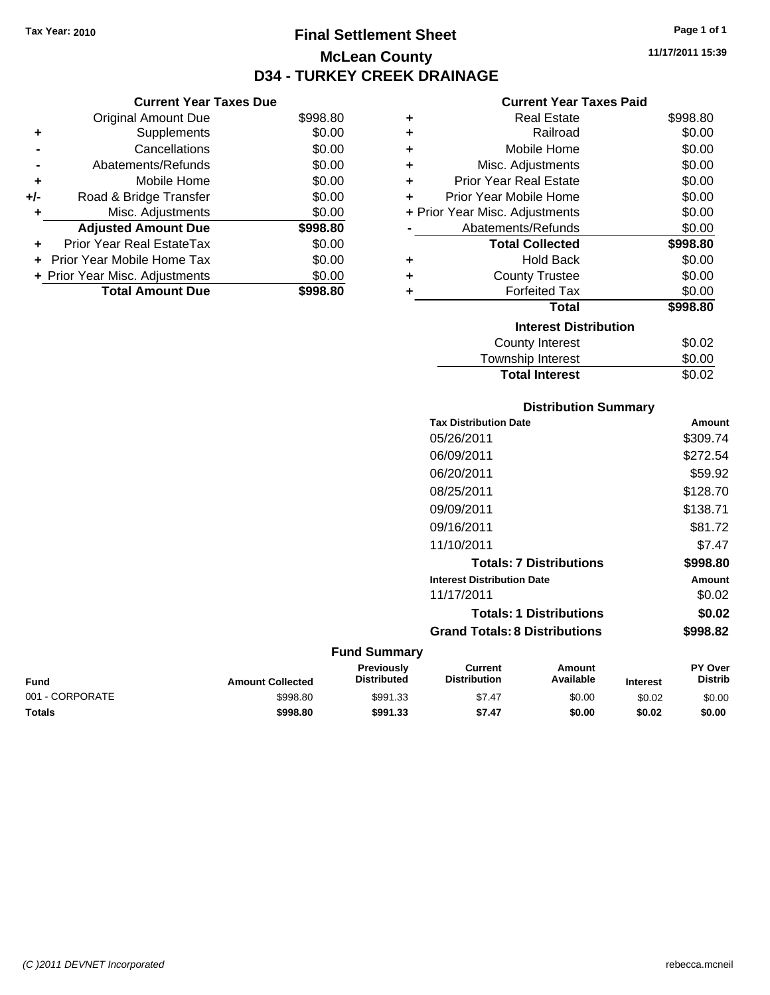**Current Year Taxes Due**

## **Final Settlement Sheet Tax Year: 2010 Page 1 of 1 McLean County D34 - TURKEY CREEK DRAINAGE**

**11/17/2011 15:39**

## **Current Year Taxes Paid**

|     | YUN YIN TVUL TUAVY PUV         |          |   | OUITUIR TUUT TUAGO FURU        |          |
|-----|--------------------------------|----------|---|--------------------------------|----------|
|     | <b>Original Amount Due</b>     | \$998.80 | ٠ | <b>Real Estate</b>             | \$998.80 |
| ٠   | Supplements                    | \$0.00   | ٠ | Railroad                       | \$0.00   |
|     | Cancellations                  | \$0.00   | ٠ | Mobile Home                    | \$0.00   |
|     | Abatements/Refunds             | \$0.00   | ٠ | Misc. Adjustments              | \$0.00   |
| ٠   | Mobile Home                    | \$0.00   | ٠ | <b>Prior Year Real Estate</b>  | \$0.00   |
| +/- | Road & Bridge Transfer         | \$0.00   | ٠ | Prior Year Mobile Home         | \$0.00   |
| ٠   | Misc. Adjustments              | \$0.00   |   | + Prior Year Misc. Adjustments | \$0.00   |
|     | <b>Adjusted Amount Due</b>     | \$998.80 |   | Abatements/Refunds             | \$0.00   |
| ÷.  | Prior Year Real EstateTax      | \$0.00   |   | <b>Total Collected</b>         | \$998.80 |
|     | + Prior Year Mobile Home Tax   | \$0.00   | ٠ | <b>Hold Back</b>               | \$0.00   |
|     | + Prior Year Misc. Adjustments | \$0.00   | ٠ | <b>County Trustee</b>          | \$0.00   |
|     | <b>Total Amount Due</b>        | \$998.80 |   | <b>Forfeited Tax</b>           | \$0.00   |
|     |                                |          |   | <b>Total</b>                   | \$998.80 |
|     |                                |          |   | <b>Interest Distribution</b>   |          |
|     |                                |          |   | County Interest                | \$0.02   |
|     |                                |          |   | Township Interact              | ድስ ሰሰ    |

| <b>Total Interest</b> | \$0.02 |
|-----------------------|--------|
| Township Interest     | \$0.00 |
| OUGHTY THIUTUOL       | ៴៴.៴៹  |

### **Distribution Summary**

| <b>Tax Distribution Date</b>         | Amount   |
|--------------------------------------|----------|
| 05/26/2011                           | \$309.74 |
| 06/09/2011                           | \$272.54 |
| 06/20/2011                           | \$59.92  |
| 08/25/2011                           | \$128.70 |
| 09/09/2011                           | \$138.71 |
| 09/16/2011                           | \$81.72  |
| 11/10/2011                           | \$7.47   |
| <b>Totals: 7 Distributions</b>       | \$998.80 |
| <b>Interest Distribution Date</b>    | Amount   |
| 11/17/2011                           | \$0.02   |
| <b>Totals: 1 Distributions</b>       | \$0.02   |
| <b>Grand Totals: 8 Distributions</b> | \$998.82 |
|                                      |          |

| Fund            | <b>Amount Collected</b> | <b>Previously</b><br>Distributed | Current<br><b>Distribution</b> | Amount<br>Available | <b>Interest</b> | <b>PY Over</b><br><b>Distrib</b> |
|-----------------|-------------------------|----------------------------------|--------------------------------|---------------------|-----------------|----------------------------------|
| 001 - CORPORATE | \$998.80                | \$991.33                         | \$7.47                         | \$0.00              | \$0.02          | \$0.00                           |
| Totals          | \$998.80                | \$991.33                         | \$7.47                         | \$0.00              | \$0.02          | \$0.00                           |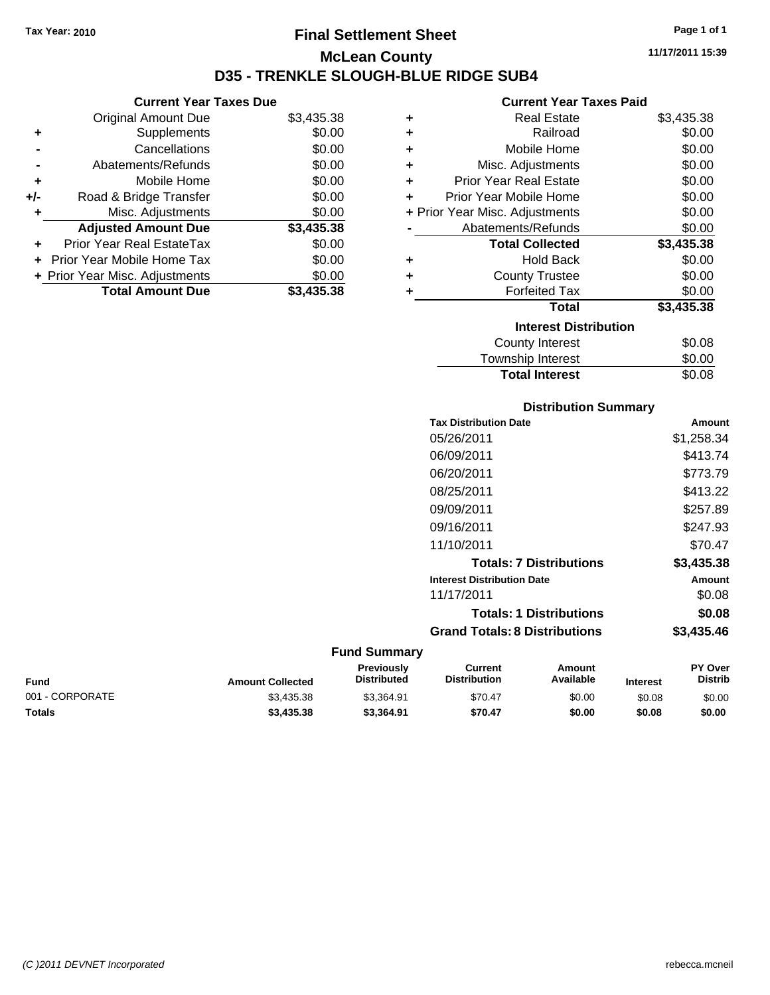## **Final Settlement Sheet Tax Year: 2010 Page 1 of 1 McLean County D35 - TRENKLE SLOUGH-BLUE RIDGE SUB4**

**11/17/2011 15:39**

|     | <b>Current Year Taxes Due</b>  |            |
|-----|--------------------------------|------------|
|     | <b>Original Amount Due</b>     | \$3,435.38 |
|     | Supplements                    | \$0.00     |
|     | Cancellations                  | \$0.00     |
|     | Abatements/Refunds             | \$0.00     |
| ٠   | Mobile Home                    | \$0.00     |
| +/- | Road & Bridge Transfer         | \$0.00     |
|     | Misc. Adjustments              | \$0.00     |
|     | <b>Adjusted Amount Due</b>     | \$3,435.38 |
|     | Prior Year Real EstateTax      | \$0.00     |
|     | Prior Year Mobile Home Tax     | \$0.00     |
|     | + Prior Year Misc. Adjustments | \$0.00     |
|     | <b>Total Amount Due</b>        | \$3.435.38 |

|   | <b>Current Year Taxes Paid</b> |            |
|---|--------------------------------|------------|
| ٠ | <b>Real Estate</b>             | \$3,435.38 |
| ٠ | Railroad                       | \$0.00     |
| ٠ | Mobile Home                    | \$0.00     |
| ٠ | Misc. Adjustments              | \$0.00     |
| ÷ | <b>Prior Year Real Estate</b>  | \$0.00     |
| ÷ | Prior Year Mobile Home         | \$0.00     |
|   | + Prior Year Misc. Adjustments | \$0.00     |
|   | Abatements/Refunds             | \$0.00     |
|   | <b>Total Collected</b>         | \$3,435.38 |
| ٠ | Hold Back                      | \$0.00     |
| ٠ | <b>County Trustee</b>          | \$0.00     |
|   |                                |            |
| ٠ | <b>Forfeited Tax</b>           | \$0.00     |
|   | Total                          | \$3,435.38 |
|   | <b>Interest Distribution</b>   |            |
|   | <b>County Interest</b>         | \$0.08     |
|   | <b>Township Interest</b>       | \$0.00     |

## **Distribution Summary**

| <b>Tax Distribution Date</b>         | Amount     |
|--------------------------------------|------------|
| 05/26/2011                           | \$1,258.34 |
| 06/09/2011                           | \$413.74   |
| 06/20/2011                           | \$773.79   |
| 08/25/2011                           | \$413.22   |
| 09/09/2011                           | \$257.89   |
| 09/16/2011                           | \$247.93   |
| 11/10/2011                           | \$70.47    |
| <b>Totals: 7 Distributions</b>       | \$3,435.38 |
| <b>Interest Distribution Date</b>    | Amount     |
| 11/17/2011                           | \$0.08     |
| <b>Totals: 1 Distributions</b>       | \$0.08     |
| <b>Grand Totals: 8 Distributions</b> | \$3,435.46 |

| <b>Fund</b>     | <b>Amount Collected</b> | <b>Previously</b><br><b>Distributed</b> | Current<br><b>Distribution</b> | Amount<br>Available | <b>Interest</b> | <b>PY Over</b><br><b>Distrib</b> |
|-----------------|-------------------------|-----------------------------------------|--------------------------------|---------------------|-----------------|----------------------------------|
| 001 - CORPORATE | \$3.435.38              | \$3.364.91                              | \$70.47                        | \$0.00              | \$0.08          | \$0.00                           |
| <b>Totals</b>   | \$3,435.38              | \$3.364.91                              | \$70.47                        | \$0.00              | \$0.08          | \$0.00                           |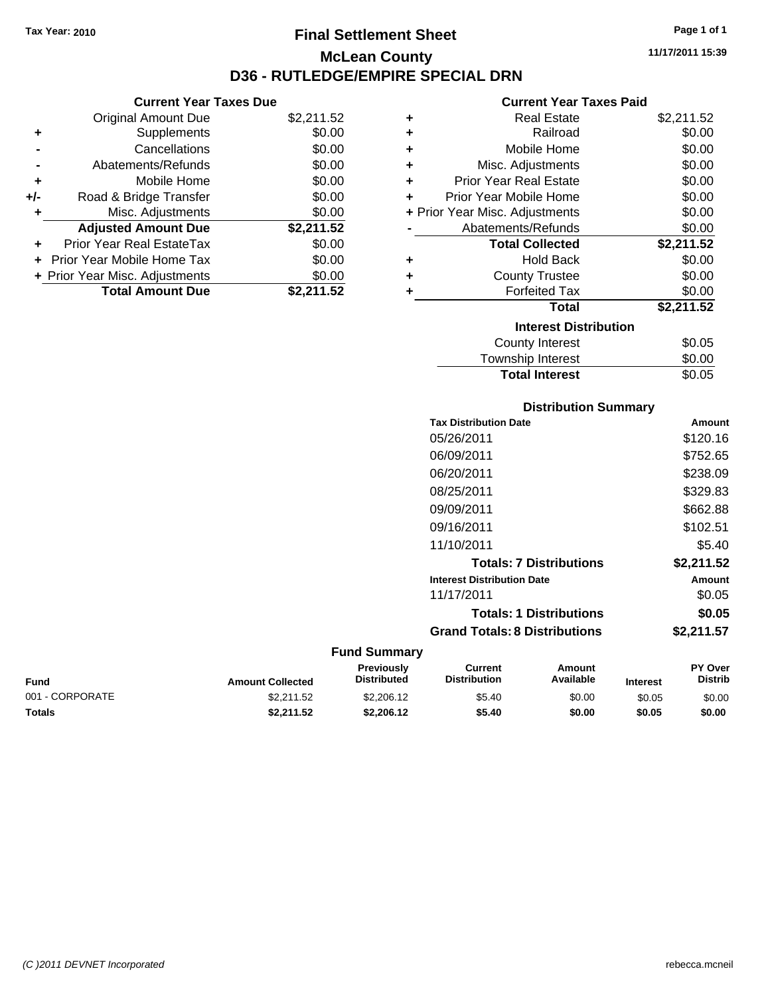**Current Year Taxes Due** Original Amount Due \$2,211.52

**Adjusted Amount Due \$2,211.52**

Total Amount Due \$2,211.52

**+** Supplements \$0.00 **-** Cancellations \$0.00 **-** Abatements/Refunds \$0.00 **+** Mobile Home \$0.00 **+/-** Road & Bridge Transfer \$0.00 **+** Misc. Adjustments \$0.00

**+** Prior Year Real EstateTax \$0.00 **+** Prior Year Mobile Home Tax \$0.00 **+ Prior Year Misc. Adjustments**  $$0.00$ 

## **Final Settlement Sheet Tax Year: 2010 Page 1 of 1 McLean County D36 - RUTLEDGE/EMPIRE SPECIAL DRN**

**11/17/2011 15:39**

### **Current Year Taxes Paid**

|   | un viit 1 vai 1 unvolt ulu     |            |
|---|--------------------------------|------------|
| ٠ | <b>Real Estate</b>             | \$2,211.52 |
| ٠ | Railroad                       | \$0.00     |
| ٠ | Mobile Home                    | \$0.00     |
| ÷ | Misc. Adjustments              | \$0.00     |
| ÷ | <b>Prior Year Real Estate</b>  | \$0.00     |
| ÷ | Prior Year Mobile Home         | \$0.00     |
|   | + Prior Year Misc. Adjustments | \$0.00     |
|   | Abatements/Refunds             | \$0.00     |
|   | <b>Total Collected</b>         | \$2,211.52 |
| ٠ | <b>Hold Back</b>               | \$0.00     |
| ٠ | <b>County Trustee</b>          | \$0.00     |
| ٠ | <b>Forfeited Tax</b>           | \$0.00     |
|   | <b>Total</b>                   | \$2,211.52 |
|   | <b>Interest Distribution</b>   |            |
|   | <b>County Interest</b>         | \$0.05     |
|   |                                | ີ ລ        |

| <b>Total Interest</b> | \$0.05 |
|-----------------------|--------|
| Township Interest     | \$0.00 |
| County Interest       | \$0.05 |

### **Distribution Summary**

| Amount     |
|------------|
| \$120.16   |
| \$752.65   |
| \$238.09   |
| \$329.83   |
| \$662.88   |
| \$102.51   |
| \$5.40     |
| \$2,211.52 |
| Amount     |
| \$0.05     |
| \$0.05     |
| \$2.211.57 |
|            |

| <b>Fund</b>     | <b>Amount Collected</b> | <b>Previously</b><br><b>Distributed</b> | Current<br><b>Distribution</b> | Amount<br>Available | <b>Interest</b> | <b>PY Over</b><br><b>Distrib</b> |
|-----------------|-------------------------|-----------------------------------------|--------------------------------|---------------------|-----------------|----------------------------------|
| 001 - CORPORATE | \$2.211.52              | \$2,206.12                              | \$5.40                         | \$0.00              | \$0.05          | \$0.00                           |
| <b>Totals</b>   | \$2.211.52              | \$2,206.12                              | \$5.40                         | \$0.00              | \$0.05          | \$0.00                           |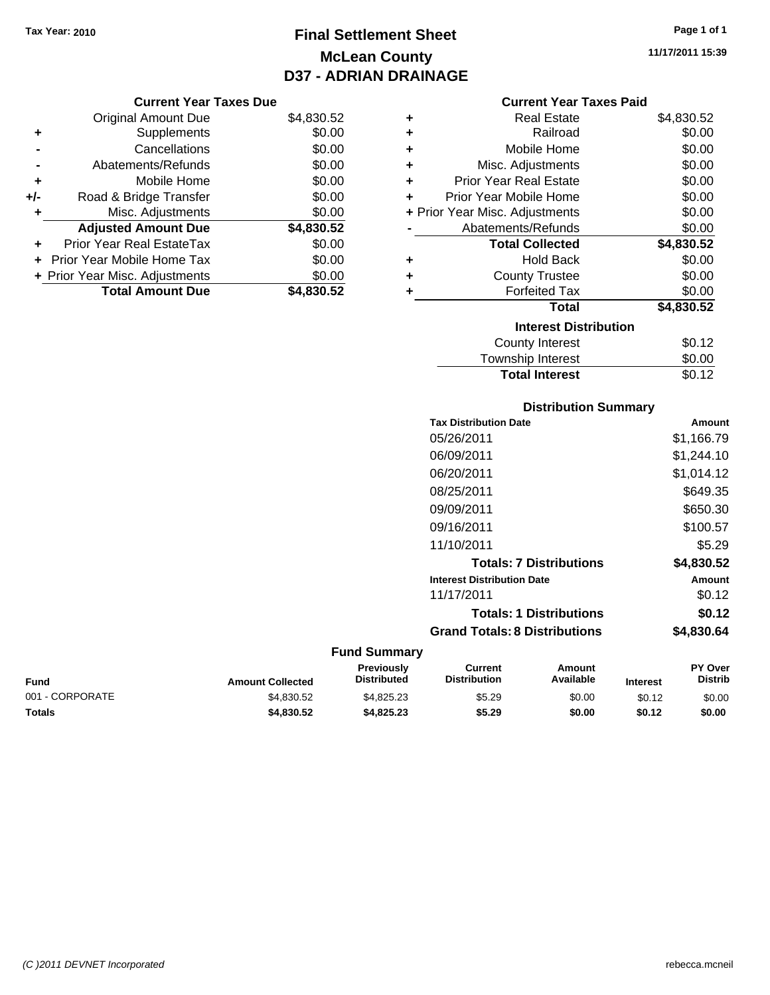## **Final Settlement Sheet Tax Year: 2010 Page 1 of 1 McLean County D37 - ADRIAN DRAINAGE**

#### **Current Year Taxes Due**

|       | <b>Original Amount Due</b>     | \$4,830.52 |
|-------|--------------------------------|------------|
| ٠     | Supplements                    | \$0.00     |
|       | Cancellations                  | \$0.00     |
|       | Abatements/Refunds             | \$0.00     |
| ÷     | Mobile Home                    | \$0.00     |
| $+/-$ | Road & Bridge Transfer         | \$0.00     |
|       | Misc. Adjustments              | \$0.00     |
|       | <b>Adjusted Amount Due</b>     | \$4,830.52 |
|       | Prior Year Real EstateTax      | \$0.00     |
|       | Prior Year Mobile Home Tax     | \$0.00     |
|       | + Prior Year Misc. Adjustments | \$0.00     |
|       | <b>Total Amount Due</b>        | \$4,830.52 |

### **Current Year Taxes Paid**

| ٠ | Real Estate                    | \$4,830.52 |
|---|--------------------------------|------------|
| ٠ | Railroad                       | \$0.00     |
| ٠ | Mobile Home                    | \$0.00     |
| ٠ | Misc. Adjustments              | \$0.00     |
| ٠ | <b>Prior Year Real Estate</b>  | \$0.00     |
| ٠ | Prior Year Mobile Home         | \$0.00     |
|   | + Prior Year Misc. Adjustments | \$0.00     |
|   | Abatements/Refunds             | \$0.00     |
|   | <b>Total Collected</b>         | \$4,830.52 |
| ٠ | <b>Hold Back</b>               | \$0.00     |
| ٠ | <b>County Trustee</b>          | \$0.00     |
| ٠ | <b>Forfeited Tax</b>           | \$0.00     |
|   | Total                          | \$4,830.52 |
|   | <b>Interest Distribution</b>   |            |
|   | County Interest                | \$0.12     |
|   | <b>Township Interest</b>       | \$0.00     |
|   | <b>Total Interest</b>          | \$0.12     |

## **Distribution Summary**

| <b>Tax Distribution Date</b>         | Amount     |
|--------------------------------------|------------|
| 05/26/2011                           | \$1,166.79 |
| 06/09/2011                           | \$1,244.10 |
| 06/20/2011                           | \$1.014.12 |
| 08/25/2011                           | \$649.35   |
| 09/09/2011                           | \$650.30   |
| 09/16/2011                           | \$100.57   |
| 11/10/2011                           | \$5.29     |
| <b>Totals: 7 Distributions</b>       | \$4,830.52 |
| <b>Interest Distribution Date</b>    | Amount     |
| 11/17/2011                           | \$0.12     |
| <b>Totals: 1 Distributions</b>       | \$0.12     |
| <b>Grand Totals: 8 Distributions</b> | \$4,830.64 |
|                                      |            |

| Fund            | <b>Amount Collected</b> | <b>Previously</b><br><b>Distributed</b> | Current<br><b>Distribution</b> | Amount<br>Available | <b>Interest</b> | <b>PY Over</b><br><b>Distrib</b> |
|-----------------|-------------------------|-----------------------------------------|--------------------------------|---------------------|-----------------|----------------------------------|
| 001 - CORPORATE | \$4.830.52              | \$4.825.23                              | \$5.29                         | \$0.00              | \$0.12          | \$0.00                           |
| Totals          | \$4,830.52              | \$4,825,23                              | \$5.29                         | \$0.00              | \$0.12          | \$0.00                           |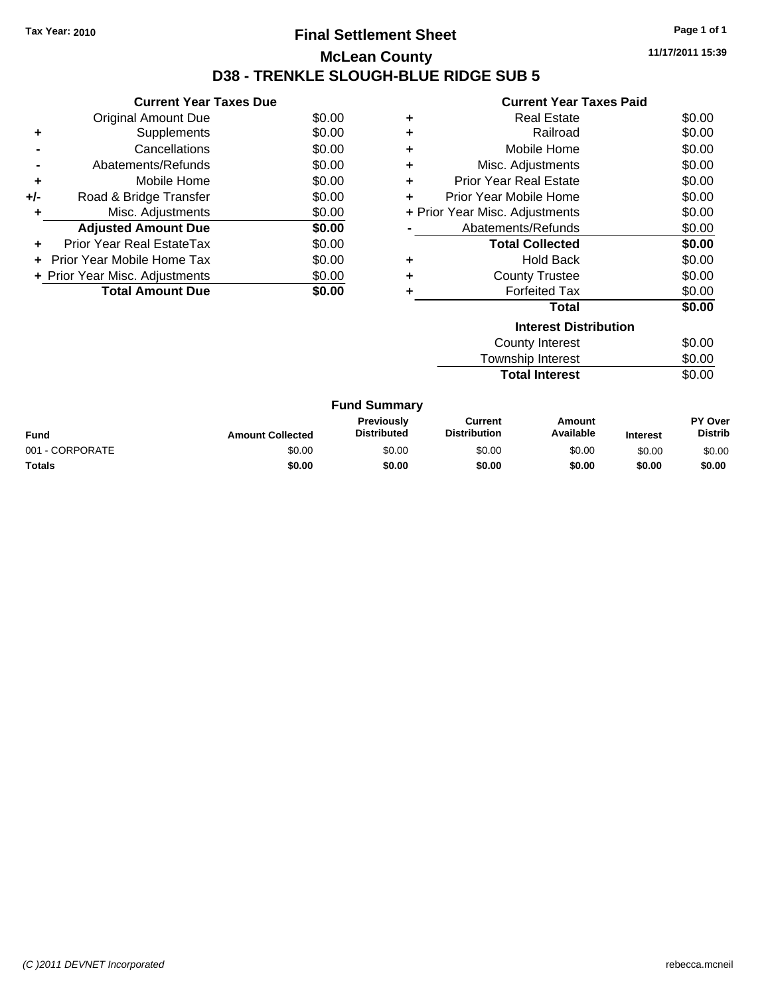## **Final Settlement Sheet Tax Year: 2010 Page 1 of 1 McLean County D38 - TRENKLE SLOUGH-BLUE RIDGE SUB 5**

**11/17/2011 15:39**

|     | <b>Current Year Taxes Due</b>     |        |
|-----|-----------------------------------|--------|
|     | Original Amount Due               | \$0.00 |
|     | Supplements                       | \$0.00 |
|     | Cancellations                     | \$0.00 |
|     | Abatements/Refunds                | \$0.00 |
| ٠   | Mobile Home                       | \$0.00 |
| +/- | Road & Bridge Transfer            | \$0.00 |
|     | Misc. Adjustments                 | \$0.00 |
|     | <b>Adjusted Amount Due</b>        | \$0.00 |
|     | Prior Year Real EstateTax         | \$0.00 |
|     | <b>Prior Year Mobile Home Tax</b> | \$0.00 |
|     | + Prior Year Misc. Adjustments    | \$0.00 |
|     | <b>Total Amount Due</b>           | \$0.00 |
|     |                                   |        |

## **Current Year Taxes Paid**

| <b>Interest Distribution</b>             |                                  |        |  |  |  |  |
|------------------------------------------|----------------------------------|--------|--|--|--|--|
|                                          | Total                            | \$0.00 |  |  |  |  |
|                                          | <b>Forfeited Tax</b>             | \$0.00 |  |  |  |  |
| ٠                                        | <b>County Trustee</b>            | \$0.00 |  |  |  |  |
| ٠                                        | <b>Hold Back</b>                 | \$0.00 |  |  |  |  |
|                                          | <b>Total Collected</b>           | \$0.00 |  |  |  |  |
|                                          | Abatements/Refunds               | \$0.00 |  |  |  |  |
| \$0.00<br>+ Prior Year Misc. Adjustments |                                  |        |  |  |  |  |
| ٠                                        | \$0.00<br>Prior Year Mobile Home |        |  |  |  |  |
| ٠                                        | <b>Prior Year Real Estate</b>    | \$0.00 |  |  |  |  |
| ٠                                        | Misc. Adjustments                | \$0.00 |  |  |  |  |
| ٠                                        | Mobile Home                      | \$0.00 |  |  |  |  |
| ٠                                        | Railroad                         | \$0.00 |  |  |  |  |
| ٠                                        | Real Estate                      | \$0.00 |  |  |  |  |

| \$0.00 |
|--------|
| \$0.00 |
| \$0.00 |
|        |

#### **Fund Summary Fund Interest Amount Collected Distributed PY Over Distrib Amount Available Current Distribution Previously** 001 - CORPORATE 60.00 \$0.00 \$0.00 \$0.00 \$0.00 \$0.00 \$0.00 \$0.00 \$0.00 \$0.00 \$0.00 \$0.00 \$0.00 \$0.00 \$0.00 \$0.00 **Totals \$0.00 \$0.00 \$0.00 \$0.00 \$0.00 \$0.00**